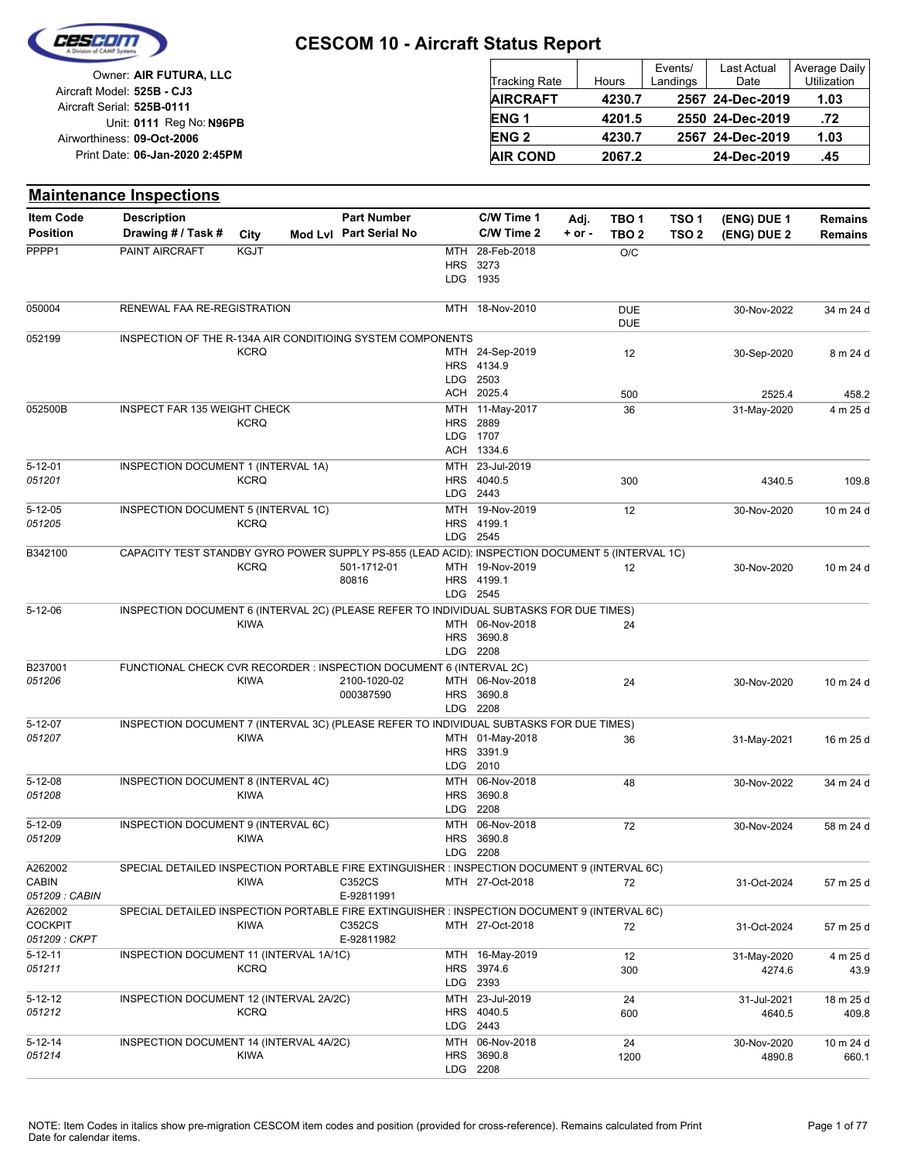

|                            | Owner: AIR FUTURA, LLC         |
|----------------------------|--------------------------------|
| Aircraft Model: 525B - CJ3 |                                |
| Aircraft Serial: 525B-0111 |                                |
|                            | Unit: 0111 Reg No: N96PB       |
| Airworthiness: 09-Oct-2006 |                                |
|                            | Print Date: 06-Jan-2020 2:45PM |
|                            |                                |

| <b>Tracking Rate</b> | <b>Hours</b> | Events/<br>Landings | <b>Last Actual</b><br>Date | Average Daily<br>Utilization |
|----------------------|--------------|---------------------|----------------------------|------------------------------|
| <b>AIRCRAFT</b>      | 4230.7       |                     | 2567 24-Dec-2019           | 1.03                         |
| ENG <sub>1</sub>     | 4201.5       |                     | 2550 24-Dec-2019           | .72                          |
| <b>ENG2</b>          | 4230.7       |                     | 2567 24-Dec-2019           | 1.03                         |
| <b>AIR COND</b>      | 2067.2       |                     | 24-Dec-2019                | .45                          |

|                           | <b>Maintenance Inspections</b>                                                                  |             |                        |            |                               |            |                          |                  |                       |                    |
|---------------------------|-------------------------------------------------------------------------------------------------|-------------|------------------------|------------|-------------------------------|------------|--------------------------|------------------|-----------------------|--------------------|
| <b>Item Code</b>          | <b>Description</b>                                                                              |             | <b>Part Number</b>     |            | C/W Time 1                    | Adj.       | TBO <sub>1</sub>         | TSO <sub>1</sub> | (ENG) DUE 1           | <b>Remains</b>     |
| <b>Position</b>           | Drawing # / Task #                                                                              | City        | Mod Lvl Part Serial No |            | C/W Time 2                    | $+$ or $-$ | TBO <sub>2</sub>         | TSO <sub>2</sub> | (ENG) DUE 2           | <b>Remains</b>     |
| PPPP1                     | PAINT AIRCRAFT                                                                                  | <b>KGJT</b> |                        | MTH        | 28-Feb-2018                   |            | O/C                      |                  |                       |                    |
|                           |                                                                                                 |             |                        | <b>HRS</b> | 3273                          |            |                          |                  |                       |                    |
|                           |                                                                                                 |             |                        | <b>LDG</b> | 1935                          |            |                          |                  |                       |                    |
| 050004                    | RENEWAL FAA RE-REGISTRATION                                                                     |             |                        |            | MTH 18-Nov-2010               |            | <b>DUE</b><br><b>DUE</b> |                  | 30-Nov-2022           | 34 m 24 d          |
| 052199                    | INSPECTION OF THE R-134A AIR CONDITIOING SYSTEM COMPONENTS                                      |             |                        |            |                               |            |                          |                  |                       |                    |
|                           |                                                                                                 | <b>KCRQ</b> |                        |            | MTH 24-Sep-2019               |            | 12                       |                  | 30-Sep-2020           | 8 m 24 d           |
|                           |                                                                                                 |             |                        |            | HRS 4134.9                    |            |                          |                  |                       |                    |
|                           |                                                                                                 |             |                        |            | LDG 2503<br>ACH 2025.4        |            |                          |                  |                       |                    |
| 052500B                   | INSPECT FAR 135 WEIGHT CHECK                                                                    |             |                        | MTH        | 11-May-2017                   |            | 500                      |                  | 2525.4                | 458.2              |
|                           |                                                                                                 | <b>KCRQ</b> |                        |            | <b>HRS</b> 2889               |            | 36                       |                  | 31-May-2020           | 4 m 25 d           |
|                           |                                                                                                 |             |                        | <b>LDG</b> | 1707                          |            |                          |                  |                       |                    |
|                           |                                                                                                 |             |                        |            | ACH 1334.6                    |            |                          |                  |                       |                    |
| $5 - 12 - 01$             | INSPECTION DOCUMENT 1 (INTERVAL 1A)                                                             |             |                        |            | MTH 23-Jul-2019               |            |                          |                  |                       |                    |
| 051201                    |                                                                                                 | <b>KCRQ</b> |                        |            | HRS 4040.5                    |            | 300                      |                  | 4340.5                | 109.8              |
|                           |                                                                                                 |             |                        |            | LDG 2443<br>MTH 19-Nov-2019   |            |                          |                  |                       |                    |
| $5 - 12 - 05$<br>051205   | INSPECTION DOCUMENT 5 (INTERVAL 1C)                                                             | <b>KCRQ</b> |                        |            | HRS 4199.1                    |            | 12                       |                  | 30-Nov-2020           | 10 m 24 d          |
|                           |                                                                                                 |             |                        |            | LDG 2545                      |            |                          |                  |                       |                    |
| B342100                   | CAPACITY TEST STANDBY GYRO POWER SUPPLY PS-855 (LEAD ACID): INSPECTION DOCUMENT 5 (INTERVAL 1C) |             |                        |            |                               |            |                          |                  |                       |                    |
|                           |                                                                                                 | <b>KCRQ</b> | 501-1712-01            |            | MTH 19-Nov-2019               |            | 12                       |                  | 30-Nov-2020           | 10 m 24 d          |
|                           |                                                                                                 |             | 80816                  |            | HRS 4199.1                    |            |                          |                  |                       |                    |
|                           |                                                                                                 |             |                        |            | LDG 2545                      |            |                          |                  |                       |                    |
| $5 - 12 - 06$             | INSPECTION DOCUMENT 6 (INTERVAL 2C) (PLEASE REFER TO INDIVIDUAL SUBTASKS FOR DUE TIMES)         | <b>KIWA</b> |                        |            | MTH 06-Nov-2018               |            | 24                       |                  |                       |                    |
|                           |                                                                                                 |             |                        |            | HRS 3690.8                    |            |                          |                  |                       |                    |
|                           |                                                                                                 |             |                        |            | LDG 2208                      |            |                          |                  |                       |                    |
| B237001                   | FUNCTIONAL CHECK CVR RECORDER : INSPECTION DOCUMENT 6 (INTERVAL 2C)                             |             |                        |            |                               |            |                          |                  |                       |                    |
| 051206                    |                                                                                                 | <b>KIWA</b> | 2100-1020-02           |            | MTH 06-Nov-2018               |            | 24                       |                  | 30-Nov-2020           | 10 m 24 d          |
|                           |                                                                                                 |             | 000387590              |            | HRS 3690.8<br>LDG 2208        |            |                          |                  |                       |                    |
| $5 - 12 - 07$             | INSPECTION DOCUMENT 7 (INTERVAL 3C) (PLEASE REFER TO INDIVIDUAL SUBTASKS FOR DUE TIMES)         |             |                        |            |                               |            |                          |                  |                       |                    |
| 051207                    |                                                                                                 | <b>KIWA</b> |                        |            | MTH 01-May-2018               |            | 36                       |                  | 31-May-2021           | 16 m 25 d          |
|                           |                                                                                                 |             |                        |            | HRS 3391.9                    |            |                          |                  |                       |                    |
|                           |                                                                                                 |             |                        |            | LDG 2010                      |            |                          |                  |                       |                    |
| $5 - 12 - 08$             | INSPECTION DOCUMENT 8 (INTERVAL 4C)                                                             |             |                        |            | MTH 06-Nov-2018               |            | 48                       |                  | 30-Nov-2022           | 34 m 24 d          |
| 051208                    |                                                                                                 | <b>KIWA</b> |                        |            | HRS 3690.8                    |            |                          |                  |                       |                    |
| $5 - 12 - 09$             |                                                                                                 |             |                        | LDG.       | 2208                          |            |                          |                  |                       |                    |
| 051209                    | INSPECTION DOCUMENT 9 (INTERVAL 6C)                                                             | KIWA        |                        |            | MTH 06-Nov-2018<br>HRS 3690.8 |            | 72                       |                  | 30-Nov-2024           | 58 m 24 d          |
|                           |                                                                                                 |             |                        |            | LDG 2208                      |            |                          |                  |                       |                    |
| A262002                   | SPECIAL DETAILED INSPECTION PORTABLE FIRE EXTINGUISHER : INSPECTION DOCUMENT 9 (INTERVAL 6C)    |             |                        |            |                               |            |                          |                  |                       |                    |
| <b>CABIN</b>              |                                                                                                 | <b>KIWA</b> | C352CS                 |            | MTH 27-Oct-2018               |            | 72                       |                  | 31-Oct-2024           | 57 m 25 d          |
| 051209 : CABIN            |                                                                                                 |             | E-92811991             |            |                               |            |                          |                  |                       |                    |
| A262002<br><b>COCKPIT</b> | SPECIAL DETAILED INSPECTION PORTABLE FIRE EXTINGUISHER : INSPECTION DOCUMENT 9 (INTERVAL 6C)    |             |                        |            |                               |            |                          |                  |                       |                    |
| 051209 : CKPT             |                                                                                                 | KIWA        | C352CS<br>E-92811982   |            | MTH 27-Oct-2018               |            | 72                       |                  | 31-Oct-2024           | 57 m 25 d          |
| $5 - 12 - 11$             | INSPECTION DOCUMENT 11 (INTERVAL 1A/1C)                                                         |             |                        |            | MTH 16-May-2019               |            | 12                       |                  | 31-May-2020           | 4 m 25 d           |
| 051211                    |                                                                                                 | <b>KCRQ</b> |                        |            | HRS 3974.6                    |            | 300                      |                  | 4274.6                | 43.9               |
|                           |                                                                                                 |             |                        |            | LDG 2393                      |            |                          |                  |                       |                    |
| $5 - 12 - 12$             | INSPECTION DOCUMENT 12 (INTERVAL 2A/2C)                                                         |             |                        |            | MTH 23-Jul-2019               |            | 24                       |                  | 31-Jul-2021           | 18 m 25 d          |
| 051212                    |                                                                                                 | <b>KCRQ</b> |                        |            | HRS 4040.5                    |            | 600                      |                  | 4640.5                | 409.8              |
|                           |                                                                                                 |             |                        |            | LDG 2443                      |            |                          |                  |                       |                    |
| $5 - 12 - 14$<br>051214   | INSPECTION DOCUMENT 14 (INTERVAL 4A/2C)                                                         | KIWA        |                        |            | MTH 06-Nov-2018<br>HRS 3690.8 |            | 24<br>1200               |                  | 30-Nov-2020<br>4890.8 | 10 m 24 d<br>660.1 |
|                           |                                                                                                 |             |                        |            | LDG 2208                      |            |                          |                  |                       |                    |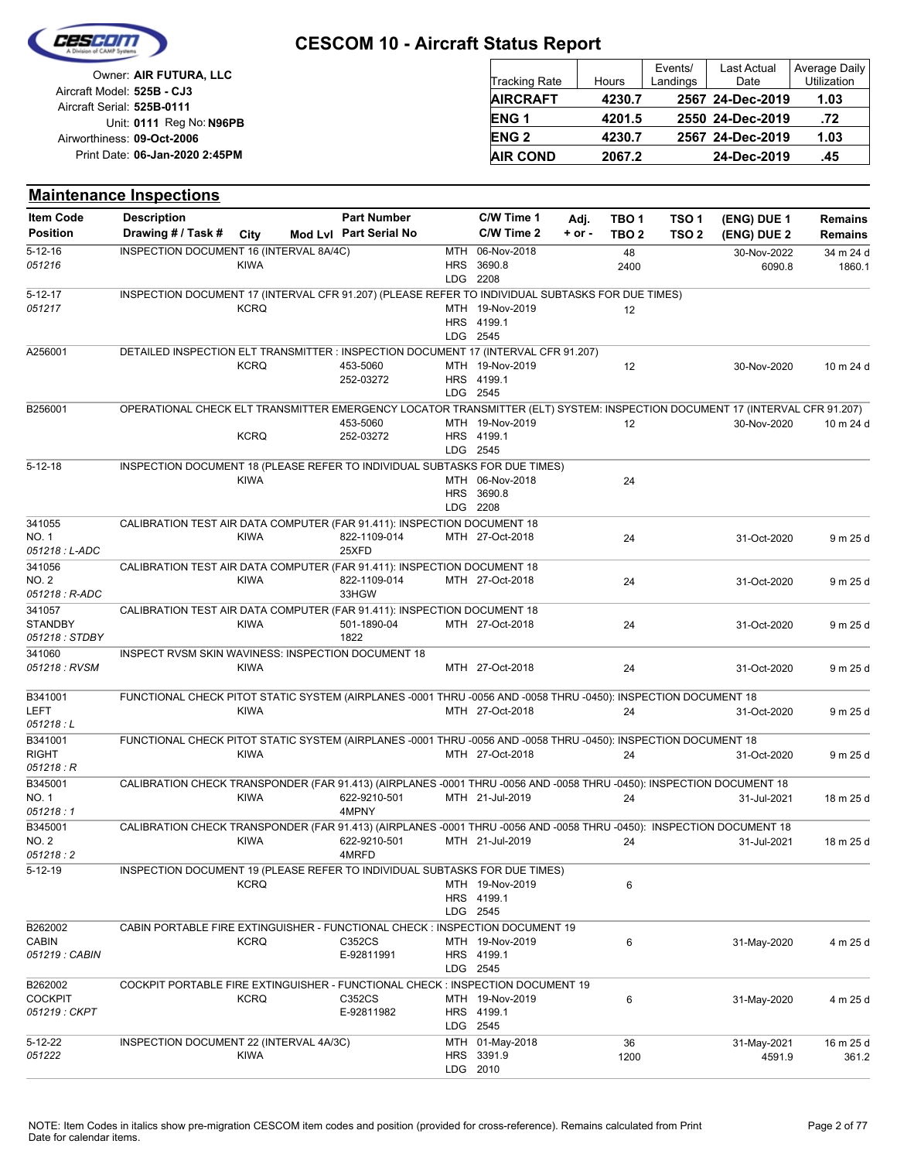

| Owner: AIR FUTURA, LLC                                 |                 |        | Events/  | Last Actual      | Average Daily |
|--------------------------------------------------------|-----------------|--------|----------|------------------|---------------|
|                                                        | Tracking Rate   | Hours  | Landings | Date             | Utilization   |
| Aircraft Model: 525B - CJ3                             | <b>AIRCRAFT</b> | 4230.7 |          | 2567 24-Dec-2019 | 1.03          |
| Aircraft Serial: 525B-0111<br>Unit: 0111 Reg No: N96PB | <b>ENG1</b>     | 4201.5 |          | 2550 24-Dec-2019 | .72           |
| Airworthiness: 09-Oct-2006                             | <b>ENG 2</b>    | 4230.7 |          | 2567 24-Dec-2019 | 1.03          |
| Print Date: 06-Jan-2020 2:45PM                         | <b>AIR COND</b> | 2067.2 |          | 24-Dec-2019      | .45           |

#### **(ENG) DUE 2 (ENG) DUE 1 Maintenance Inspections** City **Mod Lvl Part Serial No Part Number C/W Time 1 C/W Time 2 + or - Adj. TBO 1 TBO 2 TSO 2 TSO 1 Remains** Description Part Number C/W Time 1 Adj. TBO 1 TSO 1 (ENG) DUE 1 Remains **Position Drawing # / Task # Item Code** LDG **HRS** MTH 2208 3690.8 06-Nov-2018 2400 48 6090.8 30-Nov-2022 1860.1 34 m 24 d *051216*  $5 - 12 - 16$ KIWA INSPECTION DOCUMENT 16 (INTERVAL 8A/4C) LDG HRS 4199.1 MTH *051217* 19-Nov-2019 12 2545 5-12-17 **KCRQ** INSPECTION DOCUMENT 17 (INTERVAL CFR 91.207) (PLEASE REFER TO INDIVIDUAL SUBTASKS FOR DUE TIMES) LDG **HRS** MTH 19-Nov-2019 12 453-5060 30-Nov-2020 10 m 24 d 2545 4199.1 252-03272 A256001 **KCRO** DETAILED INSPECTION ELT TRANSMITTER : INSPECTION DOCUMENT 17 (INTERVAL CFR 91.207) LDG 2545 HRS 4199.1 MTH 19-Nov-2019 12 453-5060 30-Nov-2020 10 m 24 d 252-03272 B256001 **KCRQ** OPERATIONAL CHECK ELT TRANSMITTER EMERGENCY LOCATOR TRANSMITTER (ELT) SYSTEM: INSPECTION DOCUMENT 17 (INTERVAL CFR 91.207) LDG HRS 3690.8 MTH 06-Nov-2018 24 2208 5-12-18 KIWA INSPECTION DOCUMENT 18 (PLEASE REFER TO INDIVIDUAL SUBTASKS FOR DUE TIMES) MTH 27-Oct-2018 24 822-1109-014 31-Oct-2020 9 m 25 d 25XFD *051218 : L-ADC* NO. 1 341055 KIWA CALIBRATION TEST AIR DATA COMPUTER (FAR 91.411): INSPECTION DOCUMENT 18 MTH 27-Oct-2018 24 822-1109-014 31-Oct-2020 9 m 25 d 33HGW *051218 : R-ADC* NO. 2 341056 KIWA CALIBRATION TEST AIR DATA COMPUTER (FAR 91.411): INSPECTION DOCUMENT 18 MTH 27-Oct-2018 24 501-1890-04 31-Oct-2020 9 m 25 d 1822 *051218 : STDBY* **STANDBY** 341057 KIWA CALIBRATION TEST AIR DATA COMPUTER (FAR 91.411): INSPECTION DOCUMENT 18 *051218 : RVSM* MTH 27-Oct-2018 24 31-Oct-2020 9 m 25 d 341060 KIWA INSPECT RVSM SKIN WAVINESS: INSPECTION DOCUMENT 18 MTH 27-Oct-2018 24 31-Oct-2020 9 m 25 d *051218 : L* LEFT B341001 KIWA FUNCTIONAL CHECK PITOT STATIC SYSTEM (AIRPLANES -0001 THRU -0056 AND -0058 THRU -0450): INSPECTION DOCUMENT 18 MTH 27-Oct-2018 24 31-Oct-2020 9 m 25 d *051218 : R* RIGHT B341001 KIWA FUNCTIONAL CHECK PITOT STATIC SYSTEM (AIRPLANES -0001 THRU -0056 AND -0058 THRU -0450): INSPECTION DOCUMENT 18 MTH 21-Jul-2019 24 622-9210-501 31-Jul-2021 18 m 25 d 4MPNY *051218 : 1* NO. 1 B345001 KIWA CALIBRATION CHECK TRANSPONDER (FAR 91.413) (AIRPLANES -0001 THRU -0056 AND -0058 THRU -0450): INSPECTION DOCUMENT 18 MTH 21-Jul-2019 24 622-9210-501 31-Jul-2021 18 m 25 d 4MRFD *051218 : 2* NO. 2 B345001 KIWA CALIBRATION CHECK TRANSPONDER (FAR 91.413) (AIRPLANES -0001 THRU -0056 AND -0058 THRU -0450): INSPECTION DOCUMENT 18 LDG 2545 HRS MTH 19-Nov-2019 6 4199.1 5-12-19 **KCRO** INSPECTION DOCUMENT 19 (PLEASE REFER TO INDIVIDUAL SUBTASKS FOR DUE TIMES) LDG 2545 **HRS** MTH 19-Nov-2019 6 4199.1 E-92811991 C352CS MTH 19-Nov-2019 6 6 31-May-2020 4 m 25 d *051219 : CABIN* CABIN B<sub>262002</sub> **KCRO** CABIN PORTABLE FIRE EXTINGUISHER - FUNCTIONAL CHECK : INSPECTION DOCUMENT 19 LDG HRS 4199.1 MTH 19-Nov-2019 6 C352CS 31-May-2020 4 m 25 d 2545 E-92811982 *051219 : CKPT* COCKPIT B<sub>262002</sub> **KCRQ** COCKPIT PORTABLE FIRE EXTINGUISHER - FUNCTIONAL CHECK : INSPECTION DOCUMENT 19 LDG HRS 3391.9 MTH 01-May-2018 2010 1200 36 4591.9 31-May-2021 361.2 16 m 25 d *051222* 5-12-22 KIWA INSPECTION DOCUMENT 22 (INTERVAL 4A/3C)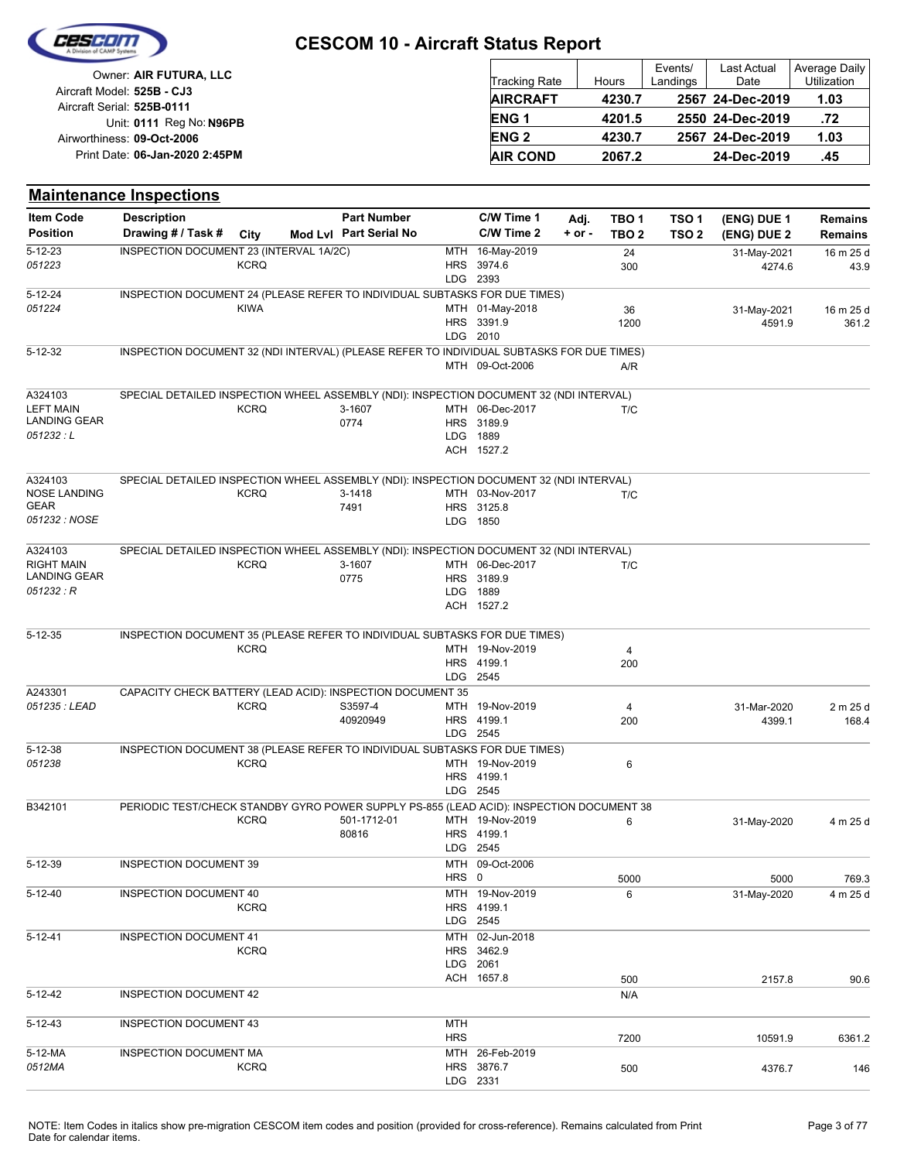

| Owner: AIR FUTURA, LLC                                   | Tracking Rate   | Hours  | Events/<br>Landings | <b>Last Actual</b><br>Date | Average Daily<br>Utilization |
|----------------------------------------------------------|-----------------|--------|---------------------|----------------------------|------------------------------|
| Aircraft Model: 525B - CJ3<br>Aircraft Serial: 525B-0111 | <b>AIRCRAFT</b> | 4230.7 |                     | 2567 24-Dec-2019           | 1.03                         |
| Unit: 0111 Reg No: N96PB                                 | <b>ENG1</b>     | 4201.5 |                     | 2550 24-Dec-2019           | .72                          |
| Airworthiness: 09-Oct-2006                               | <b>ENG 2</b>    | 4230.7 |                     | 2567 24-Dec-2019           | 1.03                         |
| Print Date: 06-Jan-2020 2:45PM                           | <b>AIR COND</b> | 2067.2 |                     | 24-Dec-2019                | .45                          |

|                     | <b>Maintenance Inspections</b>                                                            |             |                        |            |                               |            |                  |                  |                       |                    |
|---------------------|-------------------------------------------------------------------------------------------|-------------|------------------------|------------|-------------------------------|------------|------------------|------------------|-----------------------|--------------------|
| <b>Item Code</b>    | <b>Description</b>                                                                        |             | <b>Part Number</b>     |            | C/W Time 1                    | Adj.       | TBO <sub>1</sub> | TSO <sub>1</sub> | (ENG) DUE 1           | Remains            |
| <b>Position</b>     | Drawing # / Task #                                                                        | City        | Mod Lvl Part Serial No |            | C/W Time 2                    | $+$ or $-$ | TBO 2            | TSO <sub>2</sub> | (ENG) DUE 2           | Remains            |
| $5 - 12 - 23$       | INSPECTION DOCUMENT 23 (INTERVAL 1A/2C)                                                   |             |                        |            | MTH 16-May-2019               |            | 24               |                  | 31-May-2021           | 16 m 25 d          |
| 051223              |                                                                                           | <b>KCRQ</b> |                        |            | HRS 3974.6                    |            | 300              |                  | 4274.6                | 43.9               |
|                     |                                                                                           |             |                        |            | LDG 2393                      |            |                  |                  |                       |                    |
| 5-12-24<br>051224   | INSPECTION DOCUMENT 24 (PLEASE REFER TO INDIVIDUAL SUBTASKS FOR DUE TIMES)                | <b>KIWA</b> |                        |            | MTH 01-May-2018               |            |                  |                  |                       |                    |
|                     |                                                                                           |             |                        |            | HRS 3391.9                    |            | 36<br>1200       |                  | 31-May-2021<br>4591.9 | 16 m 25 d<br>361.2 |
|                     |                                                                                           |             |                        |            | LDG 2010                      |            |                  |                  |                       |                    |
| 5-12-32             | INSPECTION DOCUMENT 32 (NDI INTERVAL) (PLEASE REFER TO INDIVIDUAL SUBTASKS FOR DUE TIMES) |             |                        |            |                               |            |                  |                  |                       |                    |
|                     |                                                                                           |             |                        |            | MTH 09-Oct-2006               |            | A/R              |                  |                       |                    |
| A324103             | SPECIAL DETAILED INSPECTION WHEEL ASSEMBLY (NDI): INSPECTION DOCUMENT 32 (NDI INTERVAL)   |             |                        |            |                               |            |                  |                  |                       |                    |
| <b>LEFT MAIN</b>    |                                                                                           | <b>KCRQ</b> | 3-1607                 |            | MTH 06-Dec-2017               |            | T/C              |                  |                       |                    |
| LANDING GEAR        |                                                                                           |             | 0774                   |            | HRS 3189.9                    |            |                  |                  |                       |                    |
| 051232 : L          |                                                                                           |             |                        | LDG.       | 1889                          |            |                  |                  |                       |                    |
|                     |                                                                                           |             |                        |            | ACH 1527.2                    |            |                  |                  |                       |                    |
| A324103             | SPECIAL DETAILED INSPECTION WHEEL ASSEMBLY (NDI): INSPECTION DOCUMENT 32 (NDI INTERVAL)   |             |                        |            |                               |            |                  |                  |                       |                    |
| <b>NOSE LANDING</b> |                                                                                           | <b>KCRQ</b> | 3-1418                 |            | MTH 03-Nov-2017               |            | T/C              |                  |                       |                    |
| GEAR                |                                                                                           |             | 7491                   |            | HRS 3125.8                    |            |                  |                  |                       |                    |
| 051232 : NOSE       |                                                                                           |             |                        |            | LDG 1850                      |            |                  |                  |                       |                    |
| A324103             | SPECIAL DETAILED INSPECTION WHEEL ASSEMBLY (NDI): INSPECTION DOCUMENT 32 (NDI INTERVAL)   |             |                        |            |                               |            |                  |                  |                       |                    |
| <b>RIGHT MAIN</b>   |                                                                                           | <b>KCRQ</b> | 3-1607                 |            | MTH 06-Dec-2017               |            | T/C              |                  |                       |                    |
| <b>LANDING GEAR</b> |                                                                                           |             | 0775                   |            | HRS 3189.9                    |            |                  |                  |                       |                    |
| 051232 : R          |                                                                                           |             |                        | <b>LDG</b> | 1889                          |            |                  |                  |                       |                    |
|                     |                                                                                           |             |                        |            | ACH 1527.2                    |            |                  |                  |                       |                    |
| $5 - 12 - 35$       | INSPECTION DOCUMENT 35 (PLEASE REFER TO INDIVIDUAL SUBTASKS FOR DUE TIMES)                |             |                        |            |                               |            |                  |                  |                       |                    |
|                     |                                                                                           | <b>KCRQ</b> |                        |            | MTH 19-Nov-2019               |            | 4                |                  |                       |                    |
|                     |                                                                                           |             |                        |            | HRS 4199.1                    |            | 200              |                  |                       |                    |
|                     |                                                                                           |             |                        |            | LDG 2545                      |            |                  |                  |                       |                    |
| A243301             | CAPACITY CHECK BATTERY (LEAD ACID): INSPECTION DOCUMENT 35                                |             |                        |            |                               |            |                  |                  |                       |                    |
| 051235 : LEAD       |                                                                                           | <b>KCRQ</b> | S3597-4                |            | MTH 19-Nov-2019               |            | 4                |                  | 31-Mar-2020           | 2 m 25 d           |
|                     |                                                                                           |             | 40920949               |            | HRS 4199.1<br>LDG 2545        |            | 200              |                  | 4399.1                | 168.4              |
| $5 - 12 - 38$       | INSPECTION DOCUMENT 38 (PLEASE REFER TO INDIVIDUAL SUBTASKS FOR DUE TIMES)                |             |                        |            |                               |            |                  |                  |                       |                    |
| 051238              |                                                                                           | <b>KCRQ</b> |                        |            | MTH 19-Nov-2019               |            | 6                |                  |                       |                    |
|                     |                                                                                           |             |                        |            | HRS 4199.1                    |            |                  |                  |                       |                    |
|                     |                                                                                           |             |                        |            | LDG 2545                      |            |                  |                  |                       |                    |
| B342101             | PERIODIC TEST/CHECK STANDBY GYRO POWER SUPPLY PS-855 (LEAD ACID): INSPECTION DOCUMENT 38  |             |                        |            |                               |            |                  |                  |                       |                    |
|                     |                                                                                           | <b>KCRQ</b> | 501-1712-01            |            | MTH 19-Nov-2019               |            | 6                |                  | 31-May-2020           | 4 m 25 d           |
|                     |                                                                                           |             | 80816                  |            | HRS 4199.1<br>LDG 2545        |            |                  |                  |                       |                    |
| 5-12-39             | <b>INSPECTION DOCUMENT 39</b>                                                             |             |                        |            | MTH 09-Oct-2006               |            |                  |                  |                       |                    |
|                     |                                                                                           |             |                        | HRS 0      |                               |            | 5000             |                  | 5000                  | 769.3              |
| $5 - 12 - 40$       | INSPECTION DOCUMENT 40                                                                    |             |                        |            | MTH 19-Nov-2019               |            | 6                |                  | 31-May-2020           | 4 m 25 d           |
|                     |                                                                                           | <b>KCRQ</b> |                        |            | HRS 4199.1                    |            |                  |                  |                       |                    |
|                     |                                                                                           |             |                        |            | LDG 2545                      |            |                  |                  |                       |                    |
| $5 - 12 - 41$       | <b>INSPECTION DOCUMENT 41</b>                                                             |             |                        |            | MTH 02-Jun-2018               |            |                  |                  |                       |                    |
|                     |                                                                                           | <b>KCRQ</b> |                        |            | HRS 3462.9                    |            |                  |                  |                       |                    |
|                     |                                                                                           |             |                        |            | LDG 2061                      |            |                  |                  |                       |                    |
| $5 - 12 - 42$       | <b>INSPECTION DOCUMENT 42</b>                                                             |             |                        |            | ACH 1657.8                    |            | 500<br>N/A       |                  | 2157.8                | 90.6               |
|                     |                                                                                           |             |                        |            |                               |            |                  |                  |                       |                    |
| $5 - 12 - 43$       | <b>INSPECTION DOCUMENT 43</b>                                                             |             |                        | MTH        |                               |            |                  |                  |                       |                    |
|                     |                                                                                           |             |                        | <b>HRS</b> |                               |            | 7200             |                  | 10591.9               | 6361.2             |
| 5-12-MA<br>0512MA   | <b>INSPECTION DOCUMENT MA</b>                                                             | <b>KCRQ</b> |                        |            | MTH 26-Feb-2019<br>HRS 3876.7 |            |                  |                  |                       |                    |
|                     |                                                                                           |             |                        |            | LDG 2331                      |            | 500              |                  | 4376.7                | 146                |
|                     |                                                                                           |             |                        |            |                               |            |                  |                  |                       |                    |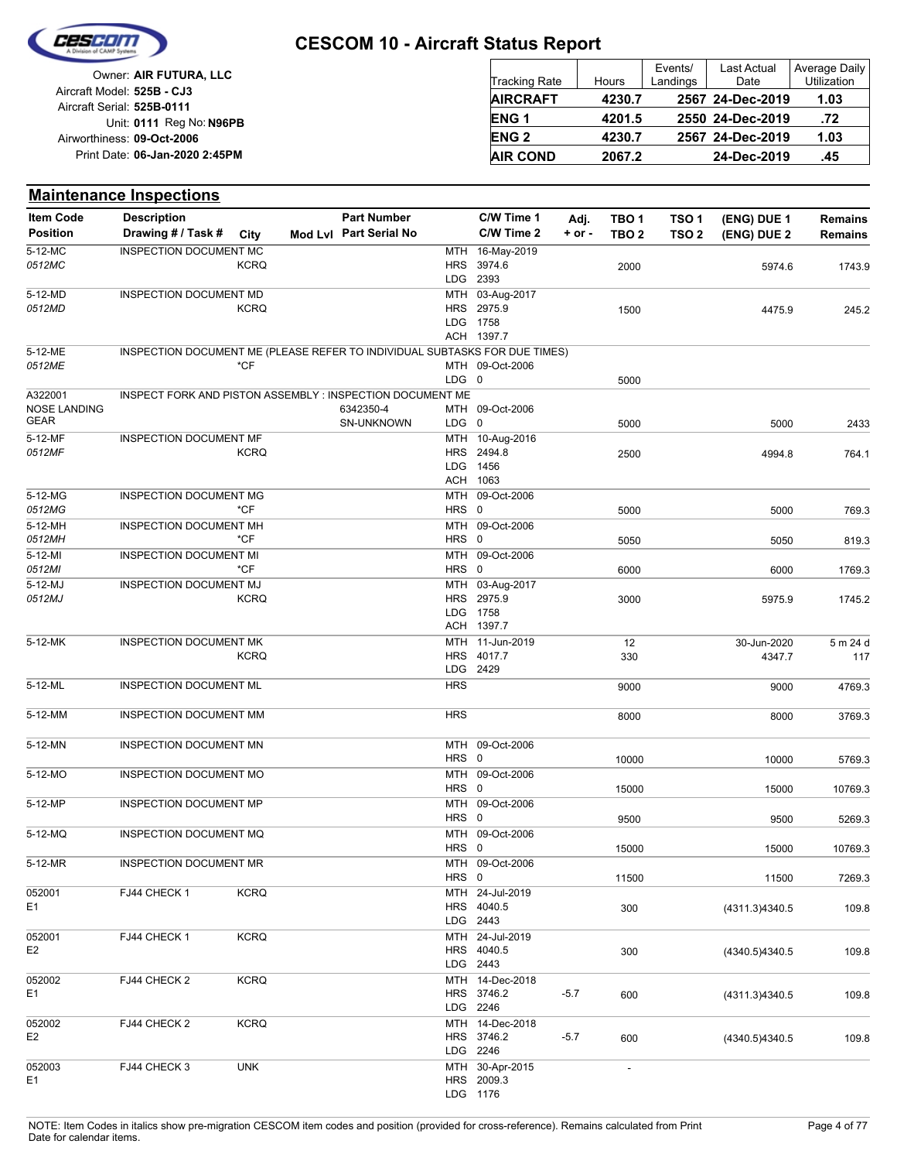

| Owner: AIR FUTURA, LLC                                   | Tracking Rate   | <b>Hours</b> | Events/<br>Landings | Last Actual<br>Date | Average Daily<br><b>Utilization</b> |
|----------------------------------------------------------|-----------------|--------------|---------------------|---------------------|-------------------------------------|
| Aircraft Model: 525B - CJ3<br>Aircraft Serial: 525B-0111 | <b>AIRCRAFT</b> | 4230.7       |                     | 2567 24-Dec-2019    | 1.03                                |
| Unit: 0111 Reg No: N96PB                                 | <b>ENG1</b>     | 4201.5       |                     | 2550 24-Dec-2019    | .72                                 |
| Airworthiness: 09-Oct-2006                               | <b>ENG 2</b>    | 4230.7       |                     | 2567 24-Dec-2019    | 1.03                                |
| Print Date: 06-Jan-2020 2:45PM                           | <b>AIR COND</b> | 2067.2       |                     | 24-Dec-2019         | .45                                 |

|                         | <b>Maintenance Inspections</b>                                             |             |                        |            |                                                         |          |                          |                  |                |                |
|-------------------------|----------------------------------------------------------------------------|-------------|------------------------|------------|---------------------------------------------------------|----------|--------------------------|------------------|----------------|----------------|
| <b>Item Code</b>        | <b>Description</b>                                                         |             | <b>Part Number</b>     |            | C/W Time 1                                              | Adj.     | TBO <sub>1</sub>         | TSO <sub>1</sub> | (ENG) DUE 1    | <b>Remains</b> |
| <b>Position</b>         | Drawing # / Task #                                                         | City        | Mod Lvl Part Serial No |            | C/W Time 2                                              | $+ or -$ | TBO <sub>2</sub>         | TSO <sub>2</sub> | (ENG) DUE 2    | <b>Remains</b> |
| $5-12-MC$<br>0512MC     | INSPECTION DOCUMENT MC                                                     | <b>KCRQ</b> |                        |            | MTH 16-May-2019<br>HRS 3974.6                           |          | 2000                     |                  | 5974.6         | 1743.9         |
|                         |                                                                            |             |                        |            | LDG 2393                                                |          |                          |                  |                |                |
| 5-12-MD<br>0512MD       | INSPECTION DOCUMENT MD                                                     | <b>KCRQ</b> |                        |            | MTH 03-Aug-2017<br>HRS 2975.9<br>LDG 1758<br>ACH 1397.7 |          | 1500                     |                  | 4475.9         | 245.2          |
| 5-12-ME                 | INSPECTION DOCUMENT ME (PLEASE REFER TO INDIVIDUAL SUBTASKS FOR DUE TIMES) |             |                        |            |                                                         |          |                          |                  |                |                |
| 0512ME                  |                                                                            | *CF         |                        |            | MTH 09-Oct-2006                                         |          |                          |                  |                |                |
|                         |                                                                            |             |                        | $LDG \t0$  |                                                         |          | 5000                     |                  |                |                |
| A322001<br>NOSE LANDING | INSPECT FORK AND PISTON ASSEMBLY : INSPECTION DOCUMENT ME                  |             | 6342350-4              |            | MTH 09-Oct-2006                                         |          |                          |                  |                |                |
| GEAR                    |                                                                            |             | SN-UNKNOWN             | LDG 0      |                                                         |          | 5000                     |                  | 5000           | 2433           |
| 5-12-MF                 | INSPECTION DOCUMENT MF                                                     |             |                        |            | MTH 10-Aug-2016                                         |          |                          |                  |                |                |
| 0512MF                  |                                                                            | <b>KCRQ</b> |                        |            | HRS 2494.8                                              |          | 2500                     |                  | 4994.8         | 764.1          |
|                         |                                                                            |             |                        |            | LDG 1456<br>ACH 1063                                    |          |                          |                  |                |                |
| 5-12-MG                 | <b>INSPECTION DOCUMENT MG</b>                                              |             |                        | MTH        | 09-Oct-2006                                             |          |                          |                  |                |                |
| 0512MG                  |                                                                            | *CF         |                        | HRS 0      |                                                         |          | 5000                     |                  | 5000           | 769.3          |
| 5-12-MH                 | <b>INSPECTION DOCUMENT MH</b>                                              |             |                        |            | MTH 09-Oct-2006                                         |          |                          |                  |                |                |
| 0512MH                  |                                                                            | *CF         |                        | HRS 0      |                                                         |          | 5050                     |                  | 5050           | 819.3          |
| $5-12-MI$               | <b>INSPECTION DOCUMENT MI</b>                                              |             |                        |            | MTH 09-Oct-2006                                         |          |                          |                  |                |                |
| 0512MI                  |                                                                            | *CF         |                        | HRS 0      |                                                         |          | 6000                     |                  | 6000           | 1769.3         |
| 5-12-MJ<br>0512MJ       | <b>INSPECTION DOCUMENT MJ</b>                                              | <b>KCRQ</b> |                        |            | MTH 03-Aug-2017<br>HRS 2975.9                           |          |                          |                  |                |                |
|                         |                                                                            |             |                        |            | LDG 1758                                                |          | 3000                     |                  | 5975.9         | 1745.2         |
|                         |                                                                            |             |                        |            | ACH 1397.7                                              |          |                          |                  |                |                |
| 5-12-MK                 | <b>INSPECTION DOCUMENT MK</b>                                              |             |                        |            | MTH 11-Jun-2019                                         |          | 12                       |                  | 30-Jun-2020    | 5 m 24 d       |
|                         |                                                                            | <b>KCRQ</b> |                        | <b>HRS</b> | 4017.7                                                  |          | 330                      |                  | 4347.7         | 117            |
|                         |                                                                            |             |                        |            | LDG 2429                                                |          |                          |                  |                |                |
| 5-12-ML                 | INSPECTION DOCUMENT ML                                                     |             |                        | <b>HRS</b> |                                                         |          | 9000                     |                  | 9000           | 4769.3         |
| 5-12-MM                 | INSPECTION DOCUMENT MM                                                     |             |                        | <b>HRS</b> |                                                         |          | 8000                     |                  | 8000           | 3769.3         |
| 5-12-MN                 | INSPECTION DOCUMENT MN                                                     |             |                        |            | MTH 09-Oct-2006                                         |          |                          |                  |                |                |
|                         |                                                                            |             |                        | HRS 0      |                                                         |          | 10000                    |                  | 10000          | 5769.3         |
| 5-12-MO                 | INSPECTION DOCUMENT MO                                                     |             |                        |            | MTH 09-Oct-2006                                         |          |                          |                  |                |                |
|                         |                                                                            |             |                        | HRS 0      |                                                         |          | 15000                    |                  | 15000          | 10769.3        |
| 5-12-MP                 | INSPECTION DOCUMENT MP                                                     |             |                        | HRS 0      | MTH 09-Oct-2006                                         |          | 9500                     |                  | 9500           | 5269.3         |
| 5-12-MQ                 | INSPECTION DOCUMENT MQ                                                     |             |                        |            | MTH 09-Oct-2006                                         |          |                          |                  |                |                |
|                         |                                                                            |             |                        | HRS 0      |                                                         |          | 15000                    |                  | 15000          | 10769.3        |
| 5-12-MR                 | <b>INSPECTION DOCUMENT MR</b>                                              |             |                        |            | MTH 09-Oct-2006                                         |          |                          |                  |                |                |
|                         |                                                                            |             |                        | HRS 0      |                                                         |          | 11500                    |                  | 11500          | 7269.3         |
| 052001                  | FJ44 CHECK 1                                                               | <b>KCRQ</b> |                        |            | MTH 24-Jul-2019<br>HRS 4040.5                           |          |                          |                  |                |                |
| E1                      |                                                                            |             |                        |            | LDG 2443                                                |          | 300                      |                  | (4311.3)4340.5 | 109.8          |
| 052001                  | FJ44 CHECK 1                                                               | <b>KCRQ</b> |                        |            | MTH 24-Jul-2019                                         |          |                          |                  |                |                |
| E <sub>2</sub>          |                                                                            |             |                        |            | HRS 4040.5                                              |          | 300                      |                  | (4340.5)4340.5 | 109.8          |
|                         |                                                                            |             |                        |            | LDG 2443                                                |          |                          |                  |                |                |
| 052002                  | FJ44 CHECK 2                                                               | <b>KCRQ</b> |                        |            | MTH 14-Dec-2018                                         |          |                          |                  |                |                |
| E1                      |                                                                            |             |                        |            | HRS 3746.2<br>LDG 2246                                  | $-5.7$   | 600                      |                  | (4311.3)4340.5 | 109.8          |
| 052002                  | FJ44 CHECK 2                                                               | <b>KCRQ</b> |                        |            | MTH 14-Dec-2018                                         |          |                          |                  |                |                |
| E <sub>2</sub>          |                                                                            |             |                        |            | HRS 3746.2                                              | $-5.7$   | 600                      |                  | (4340.5)4340.5 | 109.8          |
|                         |                                                                            |             |                        |            | LDG 2246                                                |          |                          |                  |                |                |
| 052003                  | FJ44 CHECK 3                                                               | <b>UNK</b>  |                        |            | MTH 30-Apr-2015                                         |          | $\overline{\phantom{a}}$ |                  |                |                |
| E1                      |                                                                            |             |                        |            | HRS 2009.3<br>LDG 1176                                  |          |                          |                  |                |                |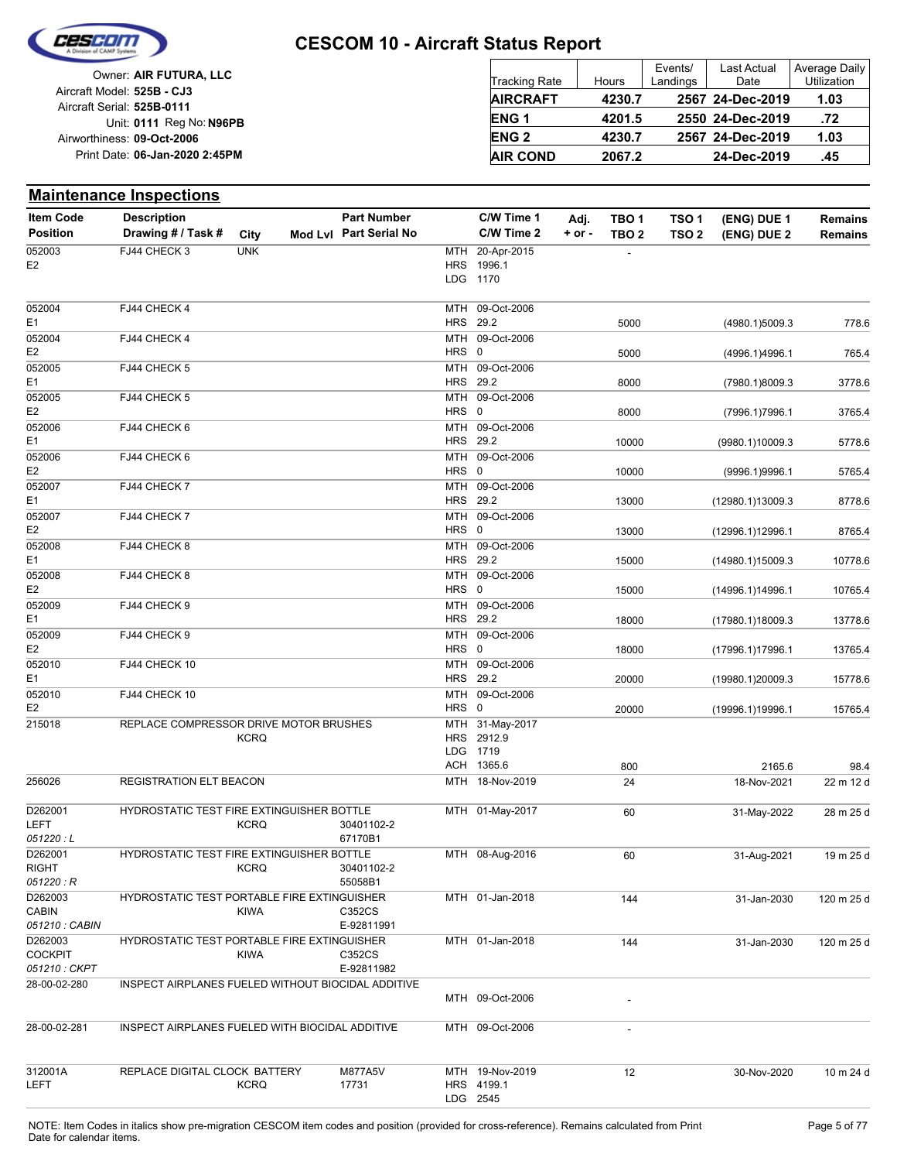

|                            | Owner: AIR FUTURA, LLC         |
|----------------------------|--------------------------------|
| Aircraft Model: 525B - CJ3 |                                |
| Aircraft Serial: 525B-0111 |                                |
|                            | Unit: 0111 Reg No: N96PB       |
| Airworthiness: 09-Oct-2006 |                                |
|                            | Print Date: 06-Jan-2020 2:45PM |
|                            |                                |

| <b>Tracking Rate</b> | Hours  | Events/<br>Landings | <b>Last Actual</b><br>Date | Average Daily<br>Utilization |
|----------------------|--------|---------------------|----------------------------|------------------------------|
| <b>AIRCRAFT</b>      | 4230.7 |                     | 2567 24-Dec-2019           | 1.03                         |
| <b>ENG1</b>          | 4201.5 |                     | 2550 24-Dec-2019           | .72                          |
| <b>ENG 2</b>         | 4230.7 |                     | 2567 24-Dec-2019           | 1.03                         |
| <b>AIR COND</b>      | 2067.2 |                     | 24-Dec-2019                | .45                          |

#### **Maintenance Inspections**

| <b>Item Code</b>        | <b>Description</b>                                 |             | <b>Part Number</b>     |       | C/W Time 1                  | Adj.       | TBO 1                    | TSO 1            | (ENG) DUE 1      | <b>Remains</b> |
|-------------------------|----------------------------------------------------|-------------|------------------------|-------|-----------------------------|------------|--------------------------|------------------|------------------|----------------|
| <b>Position</b>         | Drawing # / Task #                                 | City        | Mod Lvl Part Serial No |       | C/W Time 2                  | $+$ or $-$ | TBO <sub>2</sub>         | TSO <sub>2</sub> | (ENG) DUE 2      | <b>Remains</b> |
| 052003                  | FJ44 CHECK 3                                       | <b>UNK</b>  |                        |       | MTH 20-Apr-2015             |            | $\overline{\phantom{a}}$ |                  |                  |                |
| E <sub>2</sub>          |                                                    |             |                        |       | HRS 1996.1                  |            |                          |                  |                  |                |
|                         |                                                    |             |                        |       | LDG 1170                    |            |                          |                  |                  |                |
| 052004                  | FJ44 CHECK 4                                       |             |                        |       | MTH 09-Oct-2006             |            |                          |                  |                  |                |
| E1                      |                                                    |             |                        |       | HRS 29.2                    |            | 5000                     |                  | (4980.1)5009.3   | 778.6          |
| 052004                  | FJ44 CHECK 4                                       |             |                        |       | MTH 09-Oct-2006             |            |                          |                  |                  |                |
| E <sub>2</sub>          |                                                    |             |                        | HRS 0 |                             |            | 5000                     |                  | (4996.1)4996.1   | 765.4          |
| 052005                  | FJ44 CHECK 5                                       |             |                        |       | MTH 09-Oct-2006             |            |                          |                  |                  |                |
| E1                      |                                                    |             |                        |       | HRS 29.2                    |            | 8000                     |                  | (7980.1)8009.3   | 3778.6         |
| 052005                  | FJ44 CHECK 5                                       |             |                        |       | MTH 09-Oct-2006             |            |                          |                  |                  |                |
| E <sub>2</sub>          |                                                    |             |                        | HRS 0 |                             |            | 8000                     |                  | (7996.1)7996.1   | 3765.4         |
| 052006                  | FJ44 CHECK 6                                       |             |                        |       | MTH 09-Oct-2006             |            |                          |                  |                  |                |
| E1                      |                                                    |             |                        |       | HRS 29.2                    |            | 10000                    |                  | (9980.1)10009.3  | 5778.6         |
| 052006                  | FJ44 CHECK 6                                       |             |                        | HRS 0 | MTH 09-Oct-2006             |            |                          |                  |                  |                |
| E <sub>2</sub>          |                                                    |             |                        |       |                             |            | 10000                    |                  | (9996.1)9996.1   | 5765.4         |
| 052007<br>E1            | FJ44 CHECK 7                                       |             |                        |       | MTH 09-Oct-2006<br>HRS 29.2 |            | 13000                    |                  |                  |                |
| 052007                  | FJ44 CHECK 7                                       |             |                        |       | MTH 09-Oct-2006             |            |                          |                  | (12980.1)13009.3 | 8778.6         |
| E <sub>2</sub>          |                                                    |             |                        | HRS 0 |                             |            | 13000                    |                  | (12996.1)12996.1 | 8765.4         |
| 052008                  | FJ44 CHECK 8                                       |             |                        |       | MTH 09-Oct-2006             |            |                          |                  |                  |                |
| E1                      |                                                    |             |                        |       | HRS 29.2                    |            | 15000                    |                  | (14980.1)15009.3 | 10778.6        |
| 052008                  | FJ44 CHECK 8                                       |             |                        |       | MTH 09-Oct-2006             |            |                          |                  |                  |                |
| E <sub>2</sub>          |                                                    |             |                        | HRS 0 |                             |            | 15000                    |                  | (14996.1)14996.1 | 10765.4        |
| 052009                  | FJ44 CHECK 9                                       |             |                        |       | MTH 09-Oct-2006             |            |                          |                  |                  |                |
| E1                      |                                                    |             |                        |       | HRS 29.2                    |            | 18000                    |                  | (17980.1)18009.3 | 13778.6        |
| 052009                  | FJ44 CHECK 9                                       |             |                        |       | MTH 09-Oct-2006             |            |                          |                  |                  |                |
| E <sub>2</sub>          |                                                    |             |                        | HRS 0 |                             |            | 18000                    |                  | (17996.1)17996.1 | 13765.4        |
| 052010                  | FJ44 CHECK 10                                      |             |                        |       | MTH 09-Oct-2006             |            |                          |                  |                  |                |
| E1                      |                                                    |             |                        |       | HRS 29.2                    |            | 20000                    |                  | (19980.1)20009.3 | 15778.6        |
| 052010                  | FJ44 CHECK 10                                      |             |                        |       | MTH 09-Oct-2006             |            |                          |                  |                  |                |
| E <sub>2</sub>          |                                                    |             |                        | HRS 0 |                             |            | 20000                    |                  | (19996.1)19996.1 | 15765.4        |
| 215018                  | REPLACE COMPRESSOR DRIVE MOTOR BRUSHES             |             |                        |       | MTH 31-May-2017             |            |                          |                  |                  |                |
|                         |                                                    | <b>KCRQ</b> |                        |       | HRS 2912.9                  |            |                          |                  |                  |                |
|                         |                                                    |             |                        |       | LDG 1719<br>ACH 1365.6      |            |                          |                  |                  |                |
|                         | REGISTRATION ELT BEACON                            |             |                        |       | MTH 18-Nov-2019             |            | 800                      |                  | 2165.6           | 98.4           |
| 256026                  |                                                    |             |                        |       |                             |            | 24                       |                  | 18-Nov-2021      | 22 m 12 d      |
| D262001                 | HYDROSTATIC TEST FIRE EXTINGUISHER BOTTLE          |             |                        |       | MTH 01-May-2017             |            | 60                       |                  | 31-May-2022      | 28 m 25 d      |
| LEFT                    |                                                    | <b>KCRQ</b> | 30401102-2             |       |                             |            |                          |                  |                  |                |
| 051220:L                |                                                    |             | 67170B1                |       |                             |            |                          |                  |                  |                |
| D262001                 | HYDROSTATIC TEST FIRE EXTINGUISHER BOTTLE          |             |                        |       | MTH 08-Aug-2016             |            | 60                       |                  | 31-Aug-2021      | 19 m 25 d      |
| <b>RIGHT</b>            |                                                    | <b>KCRQ</b> | 30401102-2             |       |                             |            |                          |                  |                  |                |
| 051220: R               |                                                    |             | 55058B1                |       |                             |            |                          |                  |                  |                |
| D262003<br><b>CABIN</b> | HYDROSTATIC TEST PORTABLE FIRE EXTINGUISHER        | <b>KIWA</b> | C352CS                 |       | MTH 01-Jan-2018             |            | 144                      |                  | 31-Jan-2030      | 120 m 25 d     |
| 051210 : CABIN          |                                                    |             | E-92811991             |       |                             |            |                          |                  |                  |                |
| D262003                 | <b>HYDROSTATIC TEST PORTABLE FIRE EXTINGUISHER</b> |             |                        |       | MTH 01-Jan-2018             |            | 144                      |                  | 31-Jan-2030      | 120 m 25 d     |
| <b>COCKPIT</b>          |                                                    | KIWA        | C352CS                 |       |                             |            |                          |                  |                  |                |
| 051210: CKPT            |                                                    |             | E-92811982             |       |                             |            |                          |                  |                  |                |
| 28-00-02-280            | INSPECT AIRPLANES FUELED WITHOUT BIOCIDAL ADDITIVE |             |                        |       |                             |            |                          |                  |                  |                |
|                         |                                                    |             |                        |       | MTH 09-Oct-2006             |            |                          |                  |                  |                |
| 28-00-02-281            | INSPECT AIRPLANES FUELED WITH BIOCIDAL ADDITIVE    |             |                        |       | MTH 09-Oct-2006             |            | $\overline{\phantom{a}}$ |                  |                  |                |
|                         |                                                    |             |                        |       |                             |            |                          |                  |                  |                |
| 312001A                 | REPLACE DIGITAL CLOCK BATTERY                      |             | M877A5V                |       | MTH 19-Nov-2019             |            | 12                       |                  | 30-Nov-2020      | 10 m 24 d      |
| LEFT                    |                                                    | <b>KCRQ</b> | 17731                  |       | HRS 4199.1                  |            |                          |                  |                  |                |
|                         |                                                    |             |                        |       | LDG 2545                    |            |                          |                  |                  |                |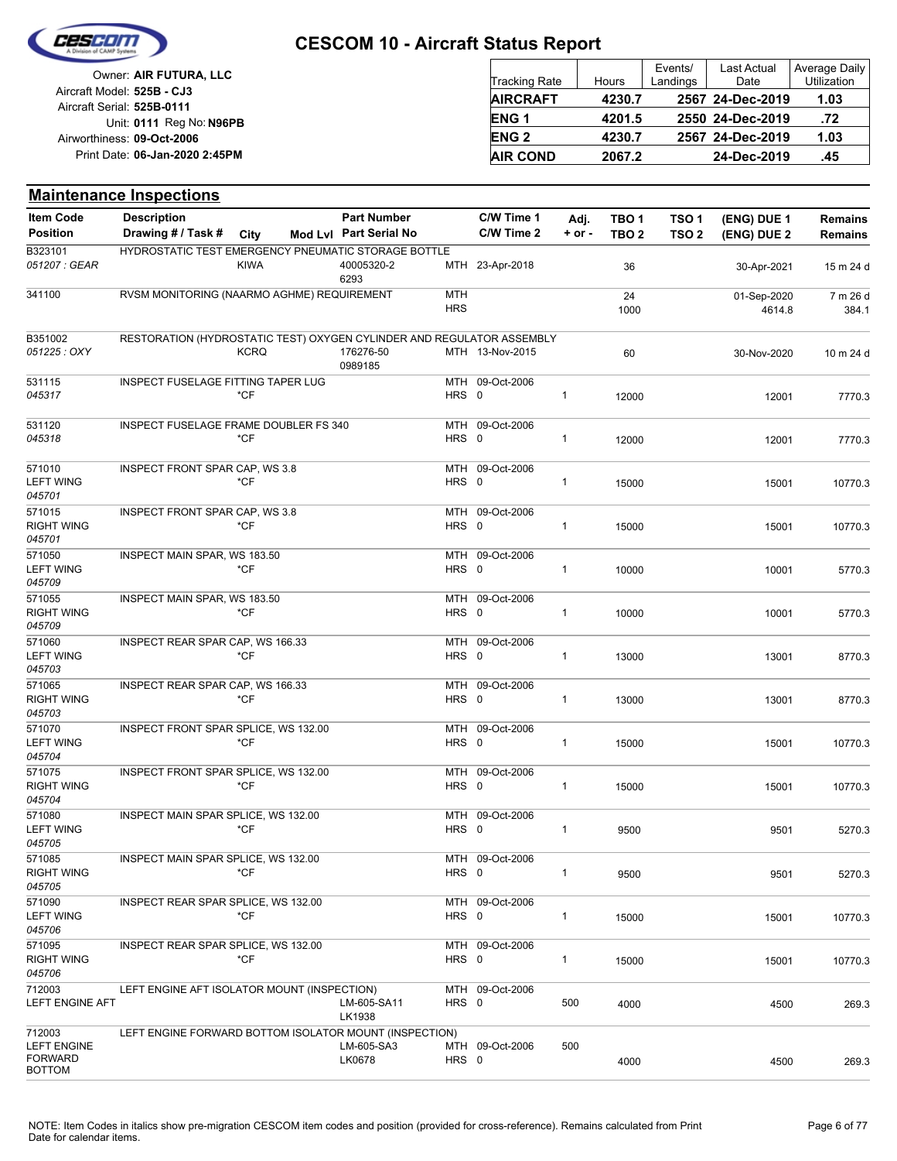

| Owner: AIR FUTURA, LLC                                   | <b>Tracking Rate</b> | Hours  | Events/<br>Landings | <b>Last Actual</b><br>Date | Average Daily<br>Utilization |
|----------------------------------------------------------|----------------------|--------|---------------------|----------------------------|------------------------------|
| Aircraft Model: 525B - CJ3<br>Aircraft Serial: 525B-0111 | <b>AIRCRAFT</b>      | 4230.7 |                     | 2567 24-Dec-2019           | 1.03                         |
| Unit: 0111 Reg No: N96PB                                 | <b>ENG1</b>          | 4201.5 |                     | 2550 24-Dec-2019           | .72                          |
| Airworthiness: 09-Oct-2006                               | <b>ENG 2</b>         | 4230.7 |                     | 2567 24-Dec-2019           | 1.03                         |
| Print Date: 06-Jan-2020 2:45PM                           | <b>AIR COND</b>      | 2067.2 |                     | 24-Dec-2019                | .45                          |

|                                                                 | <b>Maintenance Inspections</b>                                        |             |                        |                          |                 |              |                  |                  |                       |                   |
|-----------------------------------------------------------------|-----------------------------------------------------------------------|-------------|------------------------|--------------------------|-----------------|--------------|------------------|------------------|-----------------------|-------------------|
| <b>Item Code</b>                                                | <b>Description</b>                                                    |             | <b>Part Number</b>     |                          | C/W Time 1      | Adj.         | TBO <sub>1</sub> | TSO <sub>1</sub> | (ENG) DUE 1           | <b>Remains</b>    |
| <b>Position</b>                                                 | Drawing # / Task #                                                    | City        | Mod Lvl Part Serial No |                          | C/W Time 2      | $+$ or $-$   | TBO <sub>2</sub> | TSO <sub>2</sub> | (ENG) DUE 2           | Remains           |
| B323101<br>051207 : GEAR                                        | HYDROSTATIC TEST EMERGENCY PNEUMATIC STORAGE BOTTLE                   | <b>KIWA</b> | 40005320-2             |                          | MTH 23-Apr-2018 |              | 36               |                  | 30-Apr-2021           | 15 m 24 d         |
| 341100                                                          | RVSM MONITORING (NAARMO AGHME) REQUIREMENT                            |             | 6293                   | <b>MTH</b><br><b>HRS</b> |                 |              | 24<br>1000       |                  | 01-Sep-2020<br>4614.8 | 7 m 26 d<br>384.1 |
| B351002<br>051225 : OXY                                         | RESTORATION (HYDROSTATIC TEST) OXYGEN CYLINDER AND REGULATOR ASSEMBLY | <b>KCRQ</b> | 176276-50<br>0989185   |                          | MTH 13-Nov-2015 |              | 60               |                  | 30-Nov-2020           | 10 m 24 d         |
| 531115<br>045317                                                | <b>INSPECT FUSELAGE FITTING TAPER LUG</b>                             | *CF         |                        | HRS 0                    | MTH 09-Oct-2006 | $\mathbf{1}$ | 12000            |                  | 12001                 | 7770.3            |
| 531120<br>045318                                                | INSPECT FUSELAGE FRAME DOUBLER FS 340                                 | *CF         |                        | HRS 0                    | MTH 09-Oct-2006 | $\mathbf{1}$ | 12000            |                  | 12001                 | 7770.3            |
| 571010<br><b>LEFT WING</b><br>045701                            | INSPECT FRONT SPAR CAP, WS 3.8                                        | *CF         |                        | HRS 0                    | MTH 09-Oct-2006 | $\mathbf{1}$ | 15000            |                  | 15001                 | 10770.3           |
| 571015<br><b>RIGHT WING</b><br>045701                           | <b>INSPECT FRONT SPAR CAP, WS 3.8</b>                                 | *CF         |                        | HRS 0                    | MTH 09-Oct-2006 | $\mathbf{1}$ | 15000            |                  | 15001                 | 10770.3           |
| 571050<br><b>LEFT WING</b><br>045709                            | INSPECT MAIN SPAR, WS 183.50                                          | $*$ CF      |                        | HRS 0                    | MTH 09-Oct-2006 | $\mathbf{1}$ | 10000            |                  | 10001                 | 5770.3            |
| 571055<br><b>RIGHT WING</b><br>045709                           | INSPECT MAIN SPAR, WS 183.50                                          | *CF         |                        | HRS 0                    | MTH 09-Oct-2006 | $\mathbf{1}$ | 10000            |                  | 10001                 | 5770.3            |
| 571060<br><b>LEFT WING</b><br>045703                            | INSPECT REAR SPAR CAP, WS 166.33                                      | *CF         |                        | HRS 0                    | MTH 09-Oct-2006 | $\mathbf{1}$ | 13000            |                  | 13001                 | 8770.3            |
| 571065<br><b>RIGHT WING</b><br>045703                           | INSPECT REAR SPAR CAP, WS 166.33                                      | *CF         |                        | HRS 0                    | MTH 09-Oct-2006 | $\mathbf{1}$ | 13000            |                  | 13001                 | 8770.3            |
| 571070<br><b>LEFT WING</b><br>045704                            | INSPECT FRONT SPAR SPLICE, WS 132.00                                  | $*$ CF      |                        | HRS 0                    | MTH 09-Oct-2006 | $\mathbf{1}$ | 15000            |                  | 15001                 | 10770.3           |
| 571075<br><b>RIGHT WING</b><br>045704                           | INSPECT FRONT SPAR SPLICE, WS 132.00                                  | *CF         |                        | HRS 0                    | MTH 09-Oct-2006 | $\mathbf{1}$ | 15000            |                  | 15001                 | 10770.3           |
| 571080<br><b>LEFT WING</b><br>v45705                            | INSPECT MAIN SPAR SPLICE, WS 132.00                                   | *CF         |                        | HRS 0                    | MTH 09-Oct-2006 | $\mathbf{1}$ | 9500             |                  | 9501                  | 5270.3            |
| 571085<br><b>RIGHT WING</b><br>045705                           | INSPECT MAIN SPAR SPLICE, WS 132.00                                   | *CF         |                        | HRS 0                    | MTH 09-Oct-2006 | $\mathbf{1}$ | 9500             |                  | 9501                  | 5270.3            |
| 571090<br><b>LEFT WING</b><br>045706                            | INSPECT REAR SPAR SPLICE, WS 132.00                                   | *CF         |                        | HRS 0                    | MTH 09-Oct-2006 | $\mathbf{1}$ | 15000            |                  | 15001                 | 10770.3           |
| 571095<br><b>RIGHT WING</b><br>045706                           | INSPECT REAR SPAR SPLICE, WS 132.00                                   | *CF         |                        | HRS 0                    | MTH 09-Oct-2006 | $\mathbf{1}$ | 15000            |                  | 15001                 | 10770.3           |
| 712003<br><b>LEFT ENGINE AFT</b>                                | LEFT ENGINE AFT ISOLATOR MOUNT (INSPECTION)                           |             | LM-605-SA11<br>LK1938  | HRS 0                    | MTH 09-Oct-2006 | 500          | 4000             |                  | 4500                  | 269.3             |
| 712003<br><b>LEFT ENGINE</b><br><b>FORWARD</b><br><b>BOTTOM</b> | LEFT ENGINE FORWARD BOTTOM ISOLATOR MOUNT (INSPECTION)                |             | LM-605-SA3<br>LK0678   | HRS 0                    | MTH 09-Oct-2006 | 500          | 4000             |                  | 4500                  | 269.3             |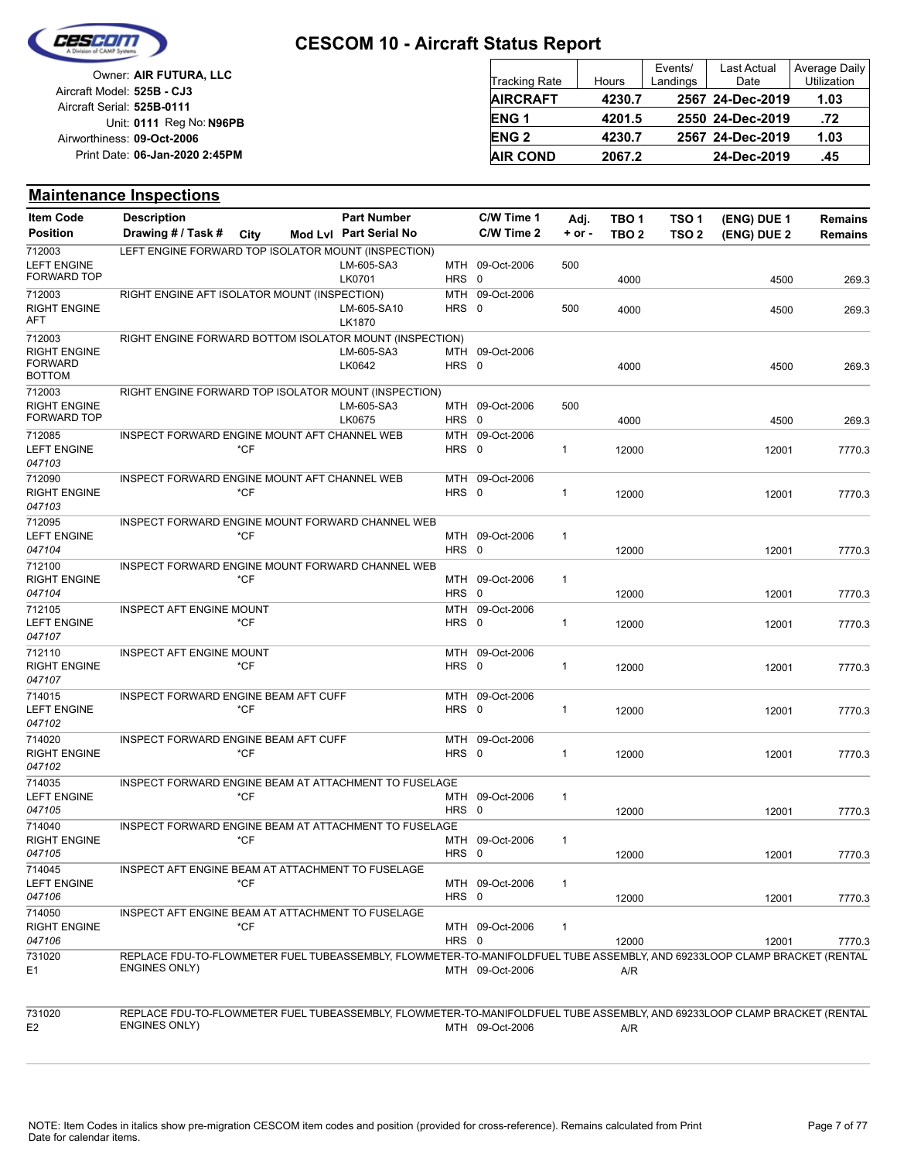

| Owner: AIR FUTURA, LLC                                   | Tracking Rate          | Hours  | Events/<br>Landings | <b>Last Actual</b><br>Date | Average Daily<br>Utilization |
|----------------------------------------------------------|------------------------|--------|---------------------|----------------------------|------------------------------|
| Aircraft Model: 525B - CJ3<br>Aircraft Serial: 525B-0111 | <b>AIRCRAFT</b>        | 4230.7 |                     | 2567 24-Dec-2019           | 1.03                         |
| Unit: 0111 Reg No: N96PB                                 | ENG <sub>1</sub>       | 4201.5 |                     | 2550 24-Dec-2019           | .72                          |
| Airworthiness: 09-Oct-2006                               | <b>ENG<sub>2</sub></b> | 4230.7 |                     | 2567 24-Dec-2019           | 1.03                         |
| Print Date: 06-Jan-2020 2:45PM                           | <b>AIR COND</b>        | 2067.2 |                     | 24-Dec-2019                | .45                          |

#### **Maintenance Inspections**

| <b>Item Code</b>                                                 | <b>Description</b>                                                                                                                               |        | <b>Part Number</b>     |              | C/W Time 1      | Adj.         | TBO 1            | TSO <sub>1</sub> | (ENG) DUE 1 | <b>Remains</b> |
|------------------------------------------------------------------|--------------------------------------------------------------------------------------------------------------------------------------------------|--------|------------------------|--------------|-----------------|--------------|------------------|------------------|-------------|----------------|
| <b>Position</b>                                                  | Drawing # / Task #                                                                                                                               | City   | Mod Lvl Part Serial No |              | C/W Time 2      | $+$ or $-$   | TBO <sub>2</sub> | TSO <sub>2</sub> | (ENG) DUE 2 | <b>Remains</b> |
| 712003<br><b>LEFT ENGINE</b><br>FORWARD TOP                      | LEFT ENGINE FORWARD TOP ISOLATOR MOUNT (INSPECTION)                                                                                              |        | LM-605-SA3<br>LK0701   | HRS 0        | MTH 09-Oct-2006 | 500          | 4000             |                  | 4500        | 269.3          |
| 712003<br><b>RIGHT ENGINE</b><br>AFT                             | RIGHT ENGINE AFT ISOLATOR MOUNT (INSPECTION)                                                                                                     |        | LM-605-SA10<br>LK1870  | HRS 0        | MTH 09-Oct-2006 | 500          | 4000             |                  | 4500        | 269.3          |
| 712003<br><b>RIGHT ENGINE</b><br><b>FORWARD</b><br><b>BOTTOM</b> | RIGHT ENGINE FORWARD BOTTOM ISOLATOR MOUNT (INSPECTION)                                                                                          |        | LM-605-SA3<br>LK0642   | HRS 0        | MTH 09-Oct-2006 |              | 4000             |                  | 4500        | 269.3          |
| 712003<br><b>RIGHT ENGINE</b><br>FORWARD TOP                     | RIGHT ENGINE FORWARD TOP ISOLATOR MOUNT (INSPECTION)                                                                                             |        | LM-605-SA3<br>LK0675   | HRS 0        | MTH 09-Oct-2006 | 500          | 4000             |                  | 4500        | 269.3          |
| 712085<br><b>LEFT ENGINE</b><br>047103                           | INSPECT FORWARD ENGINE MOUNT AFT CHANNEL WEB                                                                                                     | $*$ CF |                        | HRS 0        | MTH 09-Oct-2006 | 1            | 12000            |                  | 12001       | 7770.3         |
| 712090<br><b>RIGHT ENGINE</b><br>047103                          | INSPECT FORWARD ENGINE MOUNT AFT CHANNEL WEB                                                                                                     | $*$ CF |                        | HRS 0        | MTH 09-Oct-2006 | 1            | 12000            |                  | 12001       | 7770.3         |
| 712095<br><b>LEFT ENGINE</b><br>047104                           | INSPECT FORWARD ENGINE MOUNT FORWARD CHANNEL WEB                                                                                                 | *CF    |                        | HRS 0        | MTH 09-Oct-2006 | 1            | 12000            |                  | 12001       | 7770.3         |
| 712100<br><b>RIGHT ENGINE</b><br>047104                          | INSPECT FORWARD ENGINE MOUNT FORWARD CHANNEL WEB                                                                                                 | *CF    |                        | HRS 0        | MTH 09-Oct-2006 | 1            | 12000            |                  | 12001       | 7770.3         |
| 712105<br><b>LEFT ENGINE</b><br>047107                           | <b>INSPECT AFT ENGINE MOUNT</b>                                                                                                                  | *CF    |                        | HRS 0        | MTH 09-Oct-2006 | 1            | 12000            |                  | 12001       | 7770.3         |
| 712110<br><b>RIGHT ENGINE</b><br>047107                          | <b>INSPECT AFT ENGINE MOUNT</b>                                                                                                                  | $*$ CF |                        | MTH<br>HRS 0 | 09-Oct-2006     | 1            | 12000            |                  | 12001       | 7770.3         |
| 714015<br><b>LEFT ENGINE</b><br>047102                           | INSPECT FORWARD ENGINE BEAM AFT CUFF                                                                                                             | *CF    |                        | HRS 0        | MTH 09-Oct-2006 | 1            | 12000            |                  | 12001       | 7770.3         |
| 714020<br><b>RIGHT ENGINE</b><br>047102                          | INSPECT FORWARD ENGINE BEAM AFT CUFF                                                                                                             | *CF    |                        | MTH<br>HRS 0 | 09-Oct-2006     | 1            | 12000            |                  | 12001       | 7770.3         |
| 714035<br><b>LEFT ENGINE</b><br>047105                           | INSPECT FORWARD ENGINE BEAM AT ATTACHMENT TO FUSELAGE                                                                                            | *CF    |                        | HRS 0        | MTH 09-Oct-2006 | $\mathbf{1}$ | 12000            |                  | 12001       | 7770.3         |
| 714040<br><b>RIGHT ENGINE</b><br>047105                          | <b>INSPECT FORWARD ENGINE BEAM AT ATTACHMENT TO FUSELAGE</b>                                                                                     | *CF    |                        | HRS 0        | MTH 09-Oct-2006 | $\mathbf{1}$ | 12000            |                  | 12001       | 7770.3         |
| 714045<br><b>LEFT ENGINE</b><br>047106                           | INSPECT AFT ENGINE BEAM AT ATTACHMENT TO FUSELAGE                                                                                                | $*CF$  |                        | HRS 0        | MTH 09-Oct-2006 | 1            | 12000            |                  | 12001       | 7770.3         |
| 714050<br><b>RIGHT ENGINE</b><br>047106                          | INSPECT AFT ENGINE BEAM AT ATTACHMENT TO FUSELAGE                                                                                                | $*$ CF |                        | HRS 0        | MTH 09-Oct-2006 | $\mathbf{1}$ | 12000            |                  | 12001       | 7770.3         |
| 731020<br>E <sub>1</sub>                                         | REPLACE FDU-TO-FLOWMETER FUEL TUBEASSEMBLY, FLOWMETER-TO-MANIFOLDFUEL TUBE ASSEMBLY, AND 69233LOOP CLAMP BRACKET (RENTAL<br><b>ENGINES ONLY)</b> |        |                        |              | MTH 09-Oct-2006 |              | A/R              |                  |             |                |
| 731020<br>E <sub>2</sub>                                         | REPLACE FDU-TO-FLOWMETER FUEL TUBEASSEMBLY, FLOWMETER-TO-MANIFOLDFUEL TUBE ASSEMBLY, AND 69233LOOP CLAMP BRACKET (RENTAL<br><b>ENGINES ONLY)</b> |        |                        |              | MTH 09-Oct-2006 |              | A/R              |                  |             |                |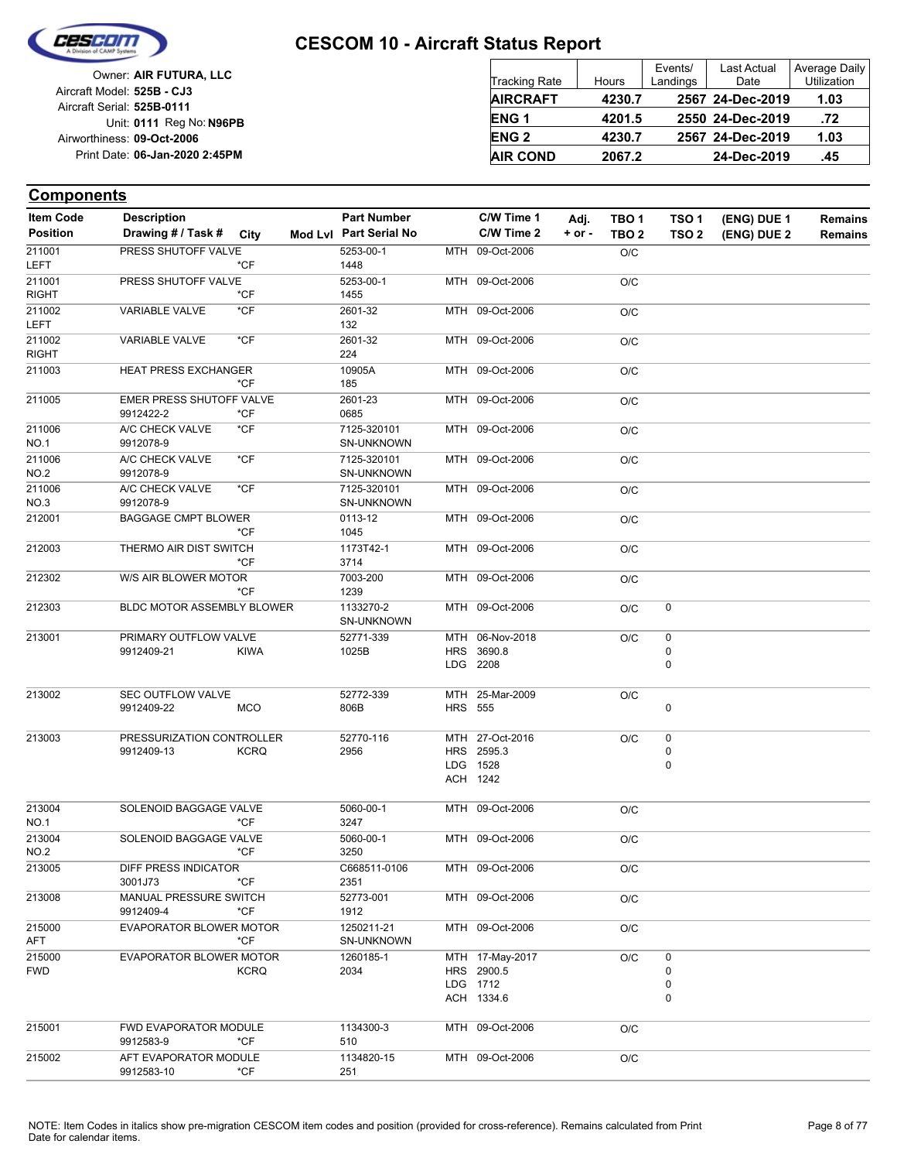

| Owner: AIR FUTURA, LLC         | <b>Tracking Rate</b> | Hours         |
|--------------------------------|----------------------|---------------|
| Aircraft Model: 525B - CJ3     | <b>AIRCRAFT</b>      | 423           |
| Aircraft Serial: 525B-0111     |                      |               |
| Unit: 0111 Reg No: N96PB       | <b>ENG1</b>          | $420^{\circ}$ |
| Airworthiness: 09-Oct-2006     | <b>ENG 2</b>         | 423           |
| Print Date: 06-Jan-2020 2:45PM | <b>AIR COND</b>      | 206           |
|                                |                      |               |

| Tracking Rate | Hours  | Events/<br>Landings | <b>Last Actual</b><br>Date | <b>Average Daily</b><br>Utilization |
|---------------|--------|---------------------|----------------------------|-------------------------------------|
| AIRCRAFT      | 4230.7 |                     | 2567 24-Dec-2019           | 1.03                                |
| ENG 1         | 4201.5 |                     | 2550 24-Dec-2019           | .72                                 |
| <b>ENG 2</b>  | 4230.7 |                     | 2567 24-Dec-2019           | 1.03                                |
| AIR COND      | 2067.2 |                     | 24-Dec-2019                | .45                                 |
|               |        |                     |                            |                                     |

| <b>Item Code</b>       | <b>Description</b>                      |             | <b>Part Number</b>        |                | C/W Time 1                                              | Adj.   | TBO 1            | TSO <sub>1</sub>            | (ENG) DUE 1 | <b>Remains</b> |
|------------------------|-----------------------------------------|-------------|---------------------------|----------------|---------------------------------------------------------|--------|------------------|-----------------------------|-------------|----------------|
| <b>Position</b>        | Drawing # / Task # City                 |             | Mod Lvl Part Serial No    |                | C/W Time 2                                              | + or - | TBO <sub>2</sub> | TSO <sub>2</sub>            | (ENG) DUE 2 | <b>Remains</b> |
| 211001<br><b>LEFT</b>  | PRESS SHUTOFF VALVE                     | *CF         | 5253-00-1<br>1448         |                | MTH 09-Oct-2006                                         |        | O/C              |                             |             |                |
| 211001<br><b>RIGHT</b> | PRESS SHUTOFF VALVE                     | *CF         | 5253-00-1<br>1455         |                | MTH 09-Oct-2006                                         |        | O/C              |                             |             |                |
| 211002<br>LEFT         | <b>VARIABLE VALVE</b>                   | *CF         | 2601-32<br>132            |                | MTH 09-Oct-2006                                         |        | O/C              |                             |             |                |
| 211002<br><b>RIGHT</b> | VARIABLE VALVE                          | $*$ CF      | 2601-32<br>224            |                | MTH 09-Oct-2006                                         |        | O/C              |                             |             |                |
| 211003                 | <b>HEAT PRESS EXCHANGER</b>             | *CF         | 10905A<br>185             |                | MTH 09-Oct-2006                                         |        | O/C              |                             |             |                |
| 211005                 | EMER PRESS SHUTOFF VALVE<br>9912422-2   | *CF         | 2601-23<br>0685           |                | MTH 09-Oct-2006                                         |        | O/C              |                             |             |                |
| 211006<br><b>NO.1</b>  | A/C CHECK VALVE<br>9912078-9            | *CF         | 7125-320101<br>SN-UNKNOWN |                | MTH 09-Oct-2006                                         |        | O/C              |                             |             |                |
| 211006<br><b>NO.2</b>  | A/C CHECK VALVE<br>9912078-9            | $*$ CF      | 7125-320101<br>SN-UNKNOWN |                | MTH 09-Oct-2006                                         |        | O/C              |                             |             |                |
| 211006<br>NO.3         | A/C CHECK VALVE<br>9912078-9            | *CF         | 7125-320101<br>SN-UNKNOWN |                | MTH 09-Oct-2006                                         |        | O/C              |                             |             |                |
| 212001                 | <b>BAGGAGE CMPT BLOWER</b>              | *CF         | 0113-12<br>1045           |                | MTH 09-Oct-2006                                         |        | O/C              |                             |             |                |
| 212003                 | THERMO AIR DIST SWITCH                  | *CF         | 1173T42-1<br>3714         |                | MTH 09-Oct-2006                                         |        | O/C              |                             |             |                |
| 212302                 | W/S AIR BLOWER MOTOR                    | *CF         | 7003-200<br>1239          |                | MTH 09-Oct-2006                                         |        | O/C              |                             |             |                |
| 212303                 | <b>BLDC MOTOR ASSEMBLY BLOWER</b>       |             | 1133270-2<br>SN-UNKNOWN   |                | MTH 09-Oct-2006                                         |        | O/C              | 0                           |             |                |
| 213001                 | PRIMARY OUTFLOW VALVE<br>9912409-21     | <b>KIWA</b> | 52771-339<br>1025B        |                | MTH 06-Nov-2018<br>HRS 3690.8<br>LDG 2208               |        | O/C              | $\pmb{0}$<br>0<br>$\pmb{0}$ |             |                |
| 213002                 | SEC OUTFLOW VALVE<br>9912409-22         | <b>MCO</b>  | 52772-339<br>806B         | <b>HRS 555</b> | MTH 25-Mar-2009                                         |        | O/C              | 0                           |             |                |
| 213003                 | PRESSURIZATION CONTROLLER<br>9912409-13 | <b>KCRQ</b> | 52770-116<br>2956         |                | MTH 27-Oct-2016<br>HRS 2595.3<br>LDG 1528<br>ACH 1242   |        | O/C              | 0<br>0<br>$\mathbf 0$       |             |                |
| 213004<br><b>NO.1</b>  | SOLENOID BAGGAGE VALVE                  | *CF         | 5060-00-1<br>3247         |                | MTH 09-Oct-2006                                         |        | O/C              |                             |             |                |
| 213004<br><b>NO.2</b>  | SOLENOID BAGGAGE VALVE                  | *CF         | 5060-00-1<br>3250         |                | MTH 09-Oct-2006                                         |        | O/C              |                             |             |                |
| 213005                 | DIFF PRESS INDICATOR<br>3001J73         | *CF         | C668511-0106<br>2351      |                | MTH 09-Oct-2006                                         |        | O/C              |                             |             |                |
| 213008                 | MANUAL PRESSURE SWITCH<br>9912409-4     | *CF         | 52773-001<br>1912         |                | MTH 09-Oct-2006                                         |        | O/C              |                             |             |                |
| 215000<br>AFT          | EVAPORATOR BLOWER MOTOR                 | $*$ CF      | 1250211-21<br>SN-UNKNOWN  |                | MTH 09-Oct-2006                                         |        | O/C              |                             |             |                |
| 215000<br><b>FWD</b>   | EVAPORATOR BLOWER MOTOR                 | <b>KCRQ</b> | 1260185-1<br>2034         |                | MTH 17-May-2017<br>HRS 2900.5<br>LDG 1712<br>ACH 1334.6 |        | O/C              | 0<br>0<br>0<br>$\mathbf 0$  |             |                |
| 215001                 | FWD EVAPORATOR MODULE<br>9912583-9      | *CF         | 1134300-3<br>510          |                | MTH 09-Oct-2006                                         |        | O/C              |                             |             |                |
| 215002                 | AFT EVAPORATOR MODULE<br>9912583-10     | *CF         | 1134820-15<br>251         |                | MTH 09-Oct-2006                                         |        | O/C              |                             |             |                |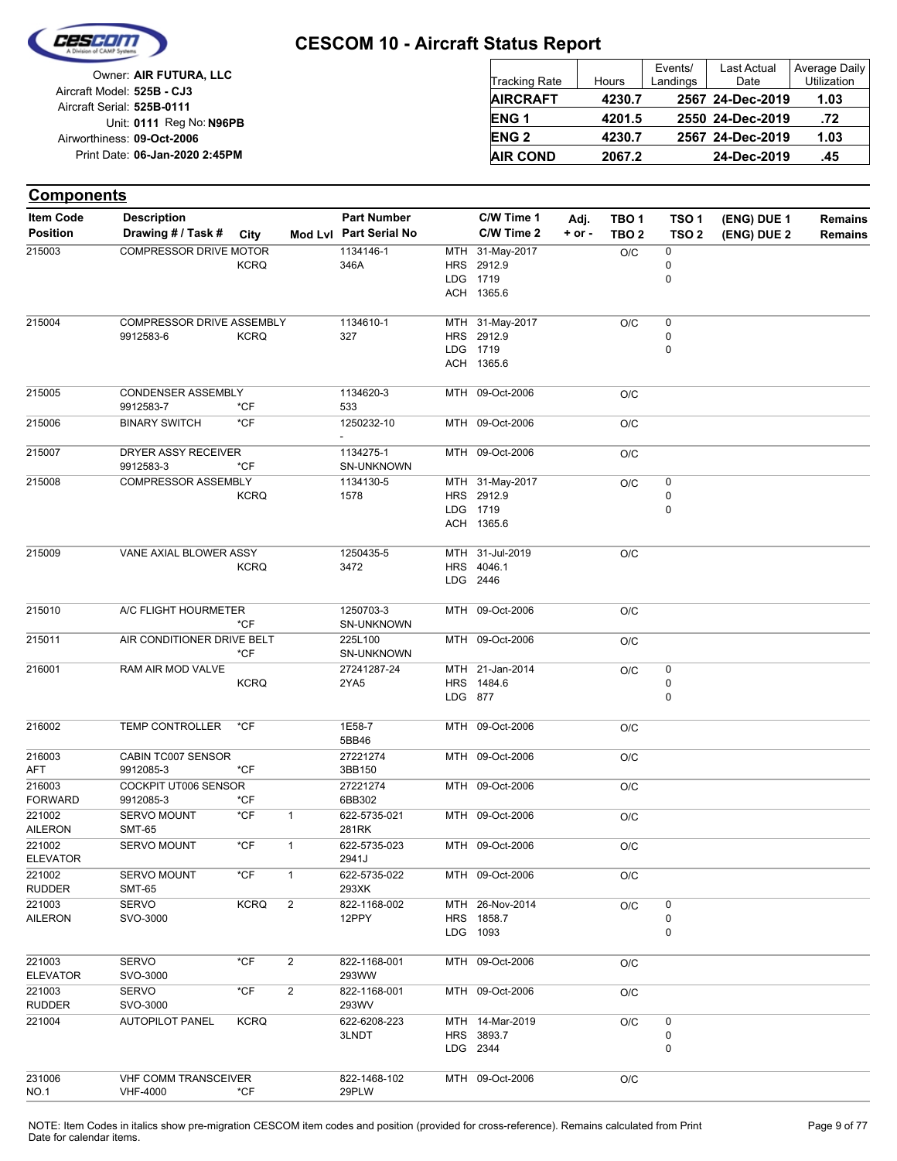

| Owner: AIR FUTURA, LLC                                   | <b>Tracking Rate</b> | Hours  | Events/<br>Landings | Last Actual<br>Date | Average Daily<br>Utilization |
|----------------------------------------------------------|----------------------|--------|---------------------|---------------------|------------------------------|
| Aircraft Model: 525B - CJ3<br>Aircraft Serial: 525B-0111 | <b>AIRCRAFT</b>      | 4230.7 |                     | 2567 24-Dec-2019    | 1.03                         |
| Unit: 0111 Reg No: N96PB                                 | <b>ENG1</b>          | 4201.5 |                     | 2550 24-Dec-2019    | .72                          |
| Airworthiness: 09-Oct-2006                               | <b>ENG 2</b>         | 4230.7 |                     | 2567 24-Dec-2019    | 1.03                         |
| Print Date: 06-Jan-2020 2:45PM                           | <b>AIR COND</b>      | 2067.2 |                     | 24-Dec-2019         | .45                          |

| <b>Components</b>        |                                     |               |                |                        |         |                               |            |                  |                  |             |                |
|--------------------------|-------------------------------------|---------------|----------------|------------------------|---------|-------------------------------|------------|------------------|------------------|-------------|----------------|
| <b>Item Code</b>         | <b>Description</b>                  |               |                | <b>Part Number</b>     |         | C/W Time 1                    | Adj.       | TBO <sub>1</sub> | TSO <sub>1</sub> | (ENG) DUE 1 | <b>Remains</b> |
| <b>Position</b>          | Drawing # / Task #                  | City          |                | Mod Lvl Part Serial No |         | C/W Time 2                    | $+$ or $-$ | TBO <sub>2</sub> | TSO <sub>2</sub> | (ENG) DUE 2 | <b>Remains</b> |
| 215003                   | COMPRESSOR DRIVE MOTOR              |               |                | 1134146-1              |         | MTH 31-May-2017               |            | O/C              | 0                |             |                |
|                          |                                     | <b>KCRQ</b>   |                | 346A                   |         | HRS 2912.9                    |            |                  | 0                |             |                |
|                          |                                     |               |                |                        |         | LDG 1719                      |            |                  | 0                |             |                |
|                          |                                     |               |                |                        |         | ACH 1365.6                    |            |                  |                  |             |                |
| 215004                   | COMPRESSOR DRIVE ASSEMBLY           |               |                | 1134610-1              |         | MTH 31-May-2017               |            | O/C              | 0                |             |                |
|                          | 9912583-6                           | <b>KCRQ</b>   |                | 327                    |         | HRS 2912.9                    |            |                  | 0                |             |                |
|                          |                                     |               |                |                        |         | LDG 1719                      |            |                  | 0                |             |                |
|                          |                                     |               |                |                        |         | ACH 1365.6                    |            |                  |                  |             |                |
| 215005                   | <b>CONDENSER ASSEMBLY</b>           |               |                | 1134620-3              |         | MTH 09-Oct-2006               |            | O/C              |                  |             |                |
|                          | 9912583-7                           | $*$ CF        |                | 533                    |         |                               |            |                  |                  |             |                |
| 215006                   | <b>BINARY SWITCH</b>                | $*$ CF        |                | 1250232-10             |         | MTH 09-Oct-2006               |            | O/C              |                  |             |                |
| 215007                   | DRYER ASSY RECEIVER                 |               |                | 1134275-1              |         | MTH 09-Oct-2006               |            | O/C              |                  |             |                |
|                          | 9912583-3                           | $*CF$         |                | SN-UNKNOWN             |         |                               |            |                  |                  |             |                |
| 215008                   | <b>COMPRESSOR ASSEMBLY</b>          |               |                | 1134130-5              |         | MTH 31-May-2017               |            | O/C              | 0                |             |                |
|                          |                                     | <b>KCRQ</b>   |                | 1578                   |         | HRS 2912.9                    |            |                  | 0                |             |                |
|                          |                                     |               |                |                        |         | LDG 1719                      |            |                  | $\mathbf 0$      |             |                |
|                          |                                     |               |                |                        |         | ACH 1365.6                    |            |                  |                  |             |                |
| 215009                   | VANE AXIAL BLOWER ASSY              |               |                | 1250435-5              |         | MTH 31-Jul-2019               |            | O/C              |                  |             |                |
|                          |                                     | <b>KCRQ</b>   |                | 3472                   |         | HRS 4046.1                    |            |                  |                  |             |                |
|                          |                                     |               |                |                        |         | LDG 2446                      |            |                  |                  |             |                |
| 215010                   | A/C FLIGHT HOURMETER                |               |                | 1250703-3              |         | MTH 09-Oct-2006               |            | O/C              |                  |             |                |
|                          |                                     | $*$ CF        |                | SN-UNKNOWN             |         |                               |            |                  |                  |             |                |
| 215011                   | AIR CONDITIONER DRIVE BELT          | *CF           |                | 225L100<br>SN-UNKNOWN  |         | MTH 09-Oct-2006               |            | O/C              |                  |             |                |
| 216001                   | RAM AIR MOD VALVE                   |               |                | 27241287-24            |         | MTH 21-Jan-2014               |            | O/C              | 0                |             |                |
|                          |                                     | <b>KCRQ</b>   |                | 2YA5                   |         | HRS 1484.6                    |            |                  | 0                |             |                |
|                          |                                     |               |                |                        | LDG 877 |                               |            |                  | $\mathbf 0$      |             |                |
| 216002                   | <b>TEMP CONTROLLER</b>              | $*$ CF        |                | 1E58-7<br>5BB46        |         | MTH 09-Oct-2006               |            | O/C              |                  |             |                |
| 216003                   | CABIN TC007 SENSOR                  |               |                | 27221274               |         | MTH 09-Oct-2006               |            | O/C              |                  |             |                |
| AFT                      | 9912085-3                           | $*$ CF        |                | 3BB150                 |         |                               |            |                  |                  |             |                |
| 216003                   | COCKPIT UT006 SENSOR                |               |                | 27221274               |         | MTH 09-Oct-2006               |            | O/C              |                  |             |                |
| <b>FORWARD</b>           | 9912085-3                           | *CF           |                | 6BB302                 |         |                               |            |                  |                  |             |                |
| 221002<br><b>AILERON</b> | <b>SERVO MOUNT</b><br><b>SMT-65</b> | $*$ CF        | $\mathbf{1}$   | 622-5735-021<br>281RK  |         | MTH 09-Oct-2006               |            | O/C              |                  |             |                |
| 221002                   | <b>SERVO MOUNT</b>                  | *CF           | $\mathbf{1}$   | 622-5735-023           |         | MTH 09-Oct-2006               |            | O/C              |                  |             |                |
| <b>ELEVATOR</b>          |                                     |               |                | 2941J                  |         |                               |            |                  |                  |             |                |
| 221002                   | SERVO MOUNT                         | $*$ CF        | $\mathbf{1}$   | 622-5735-022           |         | MTH 09-Oct-2006               |            | O/C              |                  |             |                |
| <b>RUDDER</b><br>221003  | SMT-65<br>SERVO                     | <b>KCRQ</b>   | $\overline{2}$ | 293XK<br>822-1168-002  |         | MTH 26-Nov-2014               |            | O/C              | 0                |             |                |
| <b>AILERON</b>           | SVO-3000                            |               |                | 12PPY                  |         | HRS 1858.7                    |            |                  | 0                |             |                |
|                          |                                     |               |                |                        |         | LDG 1093                      |            |                  | 0                |             |                |
| 221003                   | <b>SERVO</b>                        | $*$ CF        | $\overline{2}$ | 822-1168-001           |         | MTH 09-Oct-2006               |            | O/C              |                  |             |                |
| <b>ELEVATOR</b>          | SVO-3000                            |               |                | 293WW                  |         |                               |            |                  |                  |             |                |
| 221003                   | <b>SERVO</b>                        | $^{\star}$ CF | $\overline{2}$ | 822-1168-001           |         | MTH 09-Oct-2006               |            | O/C              |                  |             |                |
| <b>RUDDER</b>            | SVO-3000                            |               |                | 293WV                  |         |                               |            |                  |                  |             |                |
| 221004                   | <b>AUTOPILOT PANEL</b>              | <b>KCRQ</b>   |                | 622-6208-223<br>3LNDT  |         | MTH 14-Mar-2019<br>HRS 3893.7 |            | O/C              | 0<br>0           |             |                |
|                          |                                     |               |                |                        |         | LDG 2344                      |            |                  | $\mathbf 0$      |             |                |
|                          |                                     |               |                |                        |         |                               |            |                  |                  |             |                |
| 231006                   | VHF COMM TRANSCEIVER                |               |                | 822-1468-102           |         | MTH 09-Oct-2006               |            | O/C              |                  |             |                |
| NO.1                     | <b>VHF-4000</b>                     | *CF           |                | 29PLW                  |         |                               |            |                  |                  |             |                |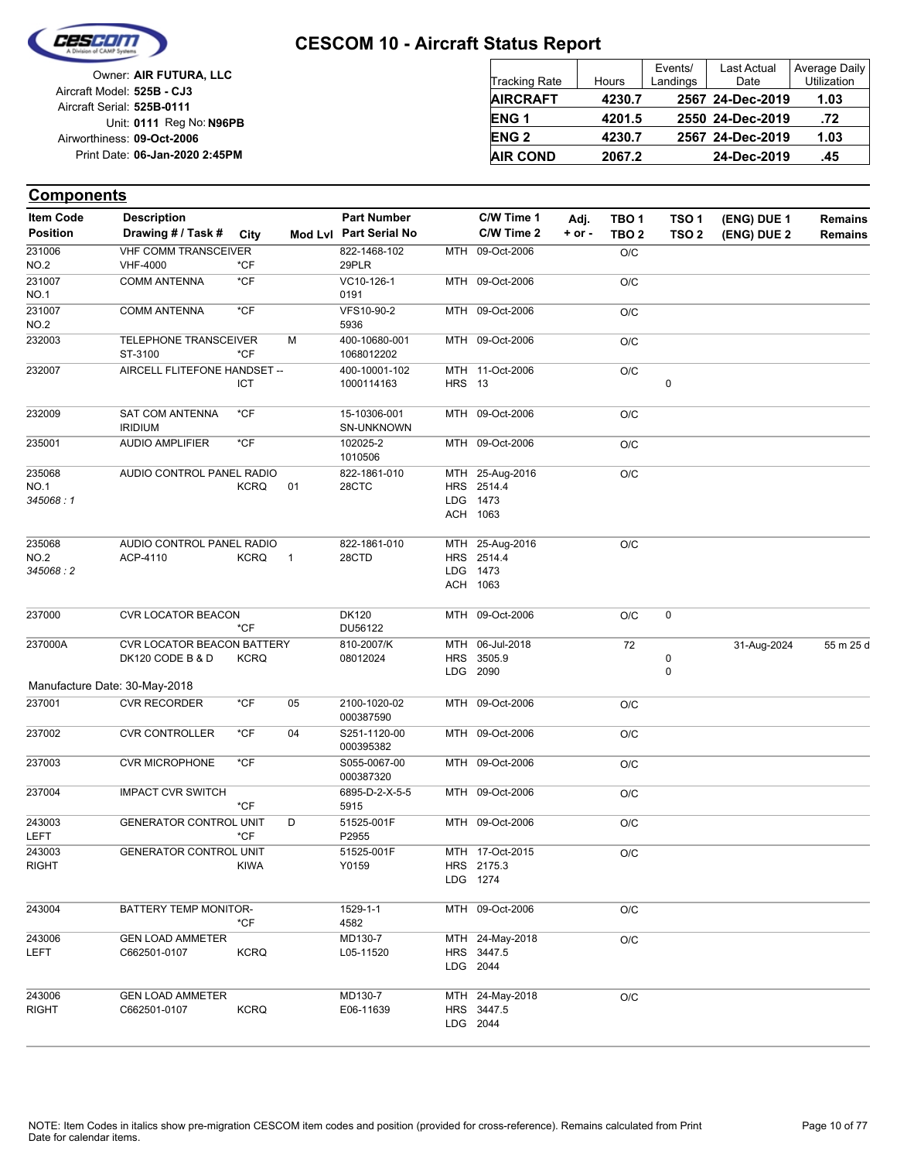

| Owner: AIR FUTURA, LLC                                   | <b>Tracking Rate</b> | Hours  | Events/<br>Landings | Last Actual<br>Date | Average Daily<br><b>Utilization</b> |
|----------------------------------------------------------|----------------------|--------|---------------------|---------------------|-------------------------------------|
| Aircraft Model: 525B - CJ3<br>Aircraft Serial: 525B-0111 | <b>AIRCRAFT</b>      | 4230.7 |                     | 2567 24-Dec-2019    | 1.03                                |
| Unit: 0111 Reg No: N96PB                                 | ENG <sub>1</sub>     | 4201.5 |                     | 2550 24-Dec-2019    | .72                                 |
| Airworthiness: 09-Oct-2006                               | <b>ENG 2</b>         | 4230.7 |                     | 2567 24-Dec-2019    | 1.03                                |
| Print Date: 06-Jan-2020 2:45PM                           | <b>AIR COND</b>      | 2067.2 |                     | 24-Dec-2019         | .45                                 |

| <b>Item Code</b>                  | <b>Description</b>                                                                     |             |              | <b>Part Number</b>          |               | C/W Time 1                                            | Adj.       | TBO <sub>1</sub> | TSO <sub>1</sub> | (ENG) DUE 1 | <b>Remains</b> |
|-----------------------------------|----------------------------------------------------------------------------------------|-------------|--------------|-----------------------------|---------------|-------------------------------------------------------|------------|------------------|------------------|-------------|----------------|
| <b>Position</b>                   | Drawing # / Task #                                                                     | City        |              | Mod Lvl Part Serial No      |               | C/W Time 2                                            | $+$ or $-$ | TBO <sub>2</sub> | TSO <sub>2</sub> | (ENG) DUE 2 | <b>Remains</b> |
| 231006<br><b>NO.2</b>             | <b>VHF COMM TRANSCEIVER</b><br><b>VHF-4000</b>                                         | $*$ CF      |              | 822-1468-102<br>29PLR       |               | MTH 09-Oct-2006                                       |            | O/C              |                  |             |                |
| 231007<br><b>NO.1</b>             | <b>COMM ANTENNA</b>                                                                    | $*$ CF      |              | VC10-126-1<br>0191          |               | MTH 09-Oct-2006                                       |            | O/C              |                  |             |                |
| 231007<br><b>NO.2</b>             | <b>COMM ANTENNA</b>                                                                    | $*CF$       |              | VFS10-90-2<br>5936          |               | MTH 09-Oct-2006                                       |            | O/C              |                  |             |                |
| 232003                            | <b>TELEPHONE TRANSCEIVER</b><br>ST-3100                                                | $*$ CF      | M            | 400-10680-001<br>1068012202 |               | MTH 09-Oct-2006                                       |            | O/C              |                  |             |                |
| 232007                            | AIRCELL FLITEFONE HANDSET --                                                           | ICT         |              | 400-10001-102<br>1000114163 | <b>HRS</b> 13 | MTH 11-Oct-2006                                       |            | O/C              | $\pmb{0}$        |             |                |
| 232009                            | <b>SAT COM ANTENNA</b><br><b>IRIDIUM</b>                                               | $*$ CF      |              | 15-10306-001<br>SN-UNKNOWN  |               | MTH 09-Oct-2006                                       |            | O/C              |                  |             |                |
| 235001                            | <b>AUDIO AMPLIFIER</b>                                                                 | $*$ CF      |              | 102025-2<br>1010506         |               | MTH 09-Oct-2006                                       |            | O/C              |                  |             |                |
| 235068<br>NO.1<br>345068:1        | AUDIO CONTROL PANEL RADIO                                                              | <b>KCRQ</b> | 01           | 822-1861-010<br>28CTC       |               | MTH 25-Aug-2016<br>HRS 2514.4<br>LDG 1473<br>ACH 1063 |            | O/C              |                  |             |                |
| 235068<br><b>NO.2</b><br>345068:2 | AUDIO CONTROL PANEL RADIO<br>ACP-4110                                                  | <b>KCRQ</b> | $\mathbf{1}$ | 822-1861-010<br>28CTD       |               | MTH 25-Aug-2016<br>HRS 2514.4<br>LDG 1473<br>ACH 1063 |            | O/C              |                  |             |                |
| 237000                            | <b>CVR LOCATOR BEACON</b>                                                              | $*CF$       |              | <b>DK120</b><br>DU56122     |               | MTH 09-Oct-2006                                       |            | O/C              | 0                |             |                |
| 237000A                           | <b>CVR LOCATOR BEACON BATTERY</b><br>DK120 CODE B & D<br>Manufacture Date: 30-May-2018 | <b>KCRQ</b> |              | 810-2007/K<br>08012024      |               | MTH 06-Jul-2018<br>HRS 3505.9<br>LDG 2090             |            | 72               | 0<br>$\mathbf 0$ | 31-Aug-2024 | 55 m 25 d      |
| 237001                            | <b>CVR RECORDER</b>                                                                    | $*$ CF      | 05           | 2100-1020-02<br>000387590   |               | MTH 09-Oct-2006                                       |            | O/C              |                  |             |                |
| 237002                            | <b>CVR CONTROLLER</b>                                                                  | $*$ CF      | 04           | S251-1120-00<br>000395382   |               | MTH 09-Oct-2006                                       |            | O/C              |                  |             |                |
| 237003                            | <b>CVR MICROPHONE</b>                                                                  | $*$ CF      |              | S055-0067-00<br>000387320   |               | MTH 09-Oct-2006                                       |            | O/C              |                  |             |                |
| 237004                            | <b>IMPACT CVR SWITCH</b>                                                               | $*$ CF      |              | 6895-D-2-X-5-5<br>5915      |               | MTH 09-Oct-2006                                       |            | O/C              |                  |             |                |
| 243003<br><b>LEFT</b>             | <b>GENERATOR CONTROL UNIT</b>                                                          | $*$ CF      | D            | 51525-001F<br>P2955         |               | MTH 09-Oct-2006                                       |            | O/C              |                  |             |                |
| 243003<br><b>RIGHT</b>            | <b>GENERATOR CONTROL UNIT</b>                                                          | KIWA        |              | 51525-001F<br>Y0159         |               | MTH 17-Oct-2015<br>HRS 2175.3<br>LDG 1274             |            | O/C              |                  |             |                |
| 243004                            | BATTERY TEMP MONITOR-                                                                  | *CF         |              | 1529-1-1<br>4582            |               | MTH 09-Oct-2006                                       |            | O/C              |                  |             |                |
| 243006<br><b>LEFT</b>             | <b>GEN LOAD AMMETER</b><br>C662501-0107                                                | <b>KCRQ</b> |              | MD130-7<br>L05-11520        |               | MTH 24-May-2018<br>HRS 3447.5<br>LDG 2044             |            | O/C              |                  |             |                |
| 243006<br><b>RIGHT</b>            | <b>GEN LOAD AMMETER</b><br>C662501-0107                                                | <b>KCRQ</b> |              | MD130-7<br>E06-11639        |               | MTH 24-May-2018<br>HRS 3447.5<br>LDG 2044             |            | O/C              |                  |             |                |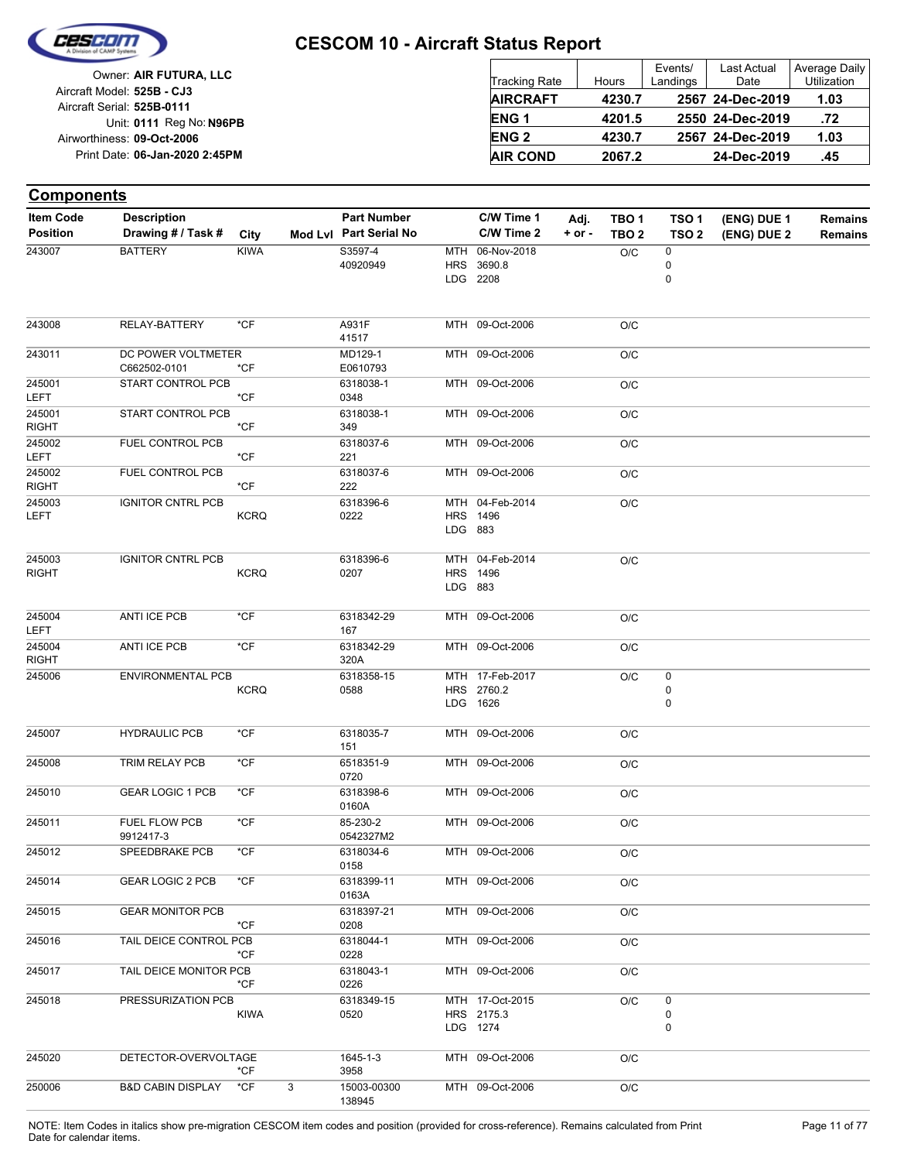

| Owner: AIR FUTURA, LLC                                   | <b>Tracking Rate</b> | Hours  | Events/<br>Landings | Last Actual<br>Date | Average Daily<br>Utilization |
|----------------------------------------------------------|----------------------|--------|---------------------|---------------------|------------------------------|
| Aircraft Model: 525B - CJ3<br>Aircraft Serial: 525B-0111 | <b>AIRCRAFT</b>      | 4230.7 |                     | 2567 24-Dec-2019    | 1.03                         |
| Unit: 0111 Reg No: N96PB                                 | <b>ENG1</b>          | 4201.5 |                     | 2550 24-Dec-2019    | .72                          |
| Airworthiness: 09-Oct-2006                               | <b>ENG 2</b>         | 4230.7 |                     | 2567 24-Dec-2019    | 1.03                         |
| Print Date: 06-Jan-2020 2:45PM                           | <b>AIR COND</b>      | 2067.2 |                     | 24-Dec-2019         | .45                          |

#### **(ENG) DUE 2 (ENG) DUE 1 Components** City **Mod Lvl Part Serial No Part Number C/W Time 1 C/W Time 2 + or - Adj. TBO 1 TBO 2 TSO 2 TSO 1 Remains** Description Part Number C/W Time 1 Adj. TBO 1 TSO 1 (ENG) DUE 1 Remains **Position Drawing # / Task # Item Code** LDG **HRS** MTH 2208 3690.8 06-Nov-2018 0 0  $O/C$  0 40920949 243007 BATTERY KIWA S3597-4 MTH 09-Oct-2006 O/C 41517 243008 RELAY-BATTERY \*CF A931F MTH 09-Oct-2006 O/C E0610793 243011 MD129-1 DC POWER VOLTMETER C662502-0101 \*CF MTH 09-Oct-2006 O/C 0348 6318038-1 LEFT 245001 \*CF START CONTROL PCB MTH 09-Oct-2006 O/C 349 6318038-1 RIGHT 245001 \*CF START CONTROL PCB MTH 09-Oct-2006 O/C 221 6318037-6 LEFT 245002 \*CF FUEL CONTROL PCB MTH 09-Oct-2006 O/C 222 6318037-6 RIGHT 245002 \*CF FUEL CONTROL PCB LDG **HRS** MTH 883 1496 04-Feb-2014 O/C 0222 6318396-6 LEFT 245003 **KCRO** IGNITOR CNTRL PCB LDG HRS MTH 04-Feb-2014 O/C 883 1496 0207 6318396-6 RIGHT 245003 **KCRQ** IGNITOR CNTRL PCB  $MTH$  09-Oct-2006  $O/C$ 167 6318342-29 LEFT 245004 ANTI ICE PCB \*CF MTH 09-Oct-2006 O/C 320A 6318342-29 RIGHT 245004 ANTI ICE PCB \*CF LDG **HRS** MTH 17-Feb-2017 1626 2760.2 0 0  $O/C$  0 0588 245006 6318358-15 ENVIRONMENTAL PCB **KCRQ** MTH 09-Oct-2006 O/C 151 245007 HYDRAULIC PCB \*CF 6318035-7 MTH 09-Oct-2006 O/C 0720 245008 TRIM RELAY PCB \*CF 6518351-9 MTH 09-Oct-2006 O/C 0160A 245010 GEAR LOGIC 1 PCB \*CF 6318398-6 MTH 09-Oct-2006 0/C 0542327M2 245011 85-230-2 FUEL FLOW PCB \*CF 9912417-3 MTH 09-Oct-2006 O/C 0158 245012 SPEEDBRAKE PCB \*CF 6318034-6 MTH 09-Oct-2006 O/C 0163A 245014 GEAR LOGIC 2 PCB \*CF 6318399-11 MTH 09-Oct-2006 0/C 0208 245015 6318397-21 GEAR MONITOR PCB \*CF MTH 09-Oct-2006 O/C 0228 245016 6318044-1 TAIL DEICE CONTROL PCB \*CF MTH 09-Oct-2006 O/C 0226 245017 6318043-1 TAIL DEICE MONITOR PCB \*CF LDG **HRS** MTH 17-Oct-2015 1274 2175.3  $\Omega$ 0  $O/C = 0$ 0520 245018 6318349-15 PRESSURIZATION PCB KIWA MTH 09-Oct-2006 O/C 3958 245020 1645-1-3 DETECTOR-OVERVOLTAGE \*CF MTH 09-Oct-2006 O/C 250006 B&D CABIN DISPLAY \*CF 3 15003-00300

138945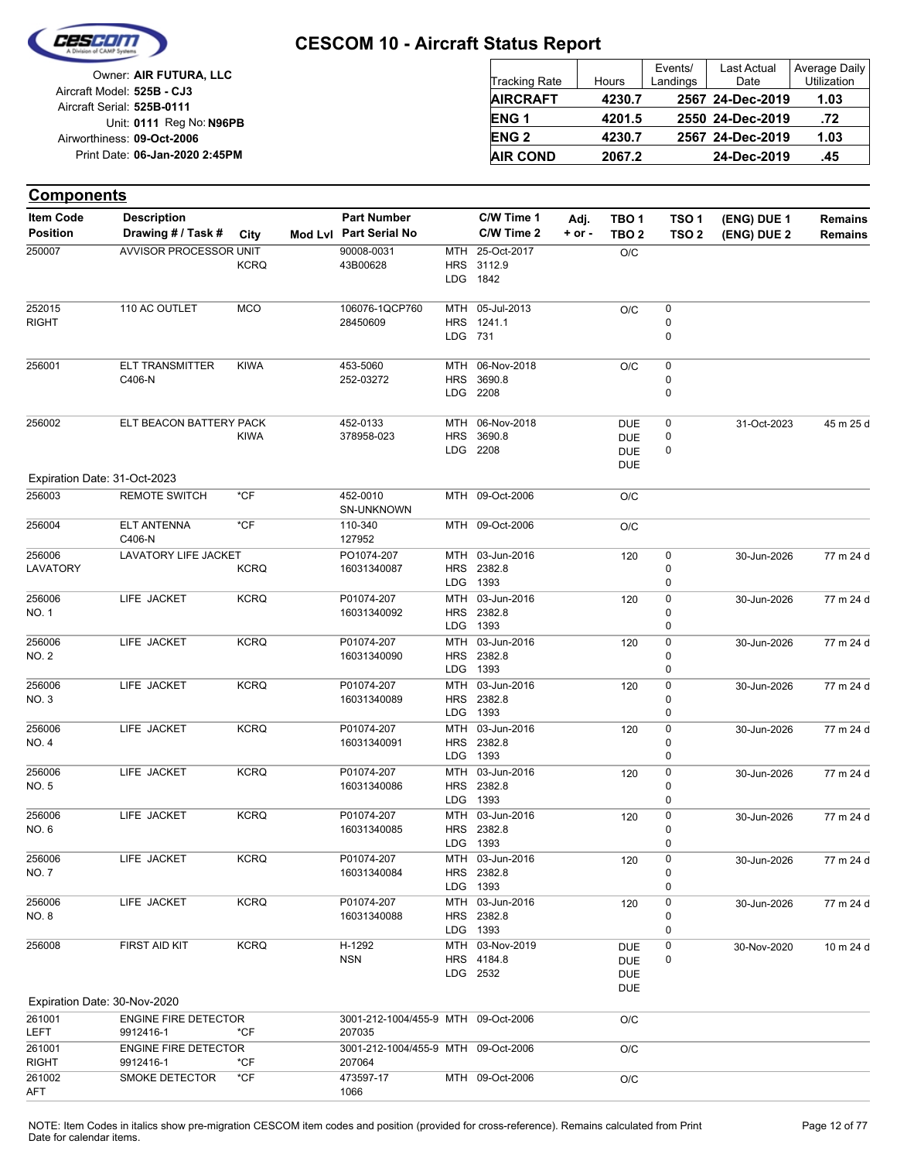

| Owner: AIR FUTURA, LLC                                   | Tracking Rate   | Hours  | Events/<br>Landings | Last Actual<br>Date | Average Daily<br>Utilization |
|----------------------------------------------------------|-----------------|--------|---------------------|---------------------|------------------------------|
| Aircraft Model: 525B - CJ3<br>Aircraft Serial: 525B-0111 | <b>AIRCRAFT</b> | 4230.7 |                     | 2567 24-Dec-2019    | 1.03                         |
| Unit: 0111 Reg No: N96PB                                 | <b>ENG1</b>     | 4201.5 |                     | 2550 24-Dec-2019    | .72                          |
| Airworthiness: 09-Oct-2006                               | <b>ENG 2</b>    | 4230.7 |                     | 2567 24-Dec-2019    | 1.03                         |
| Print Date: 06-Jan-2020 2:45PM                           | <b>AIR COND</b> | 2067.2 |                     | 24-Dec-2019         | .45                          |

| <b>Components</b>                   |                                          |             |                                               |                                        |                                           |                    |                                                      |                                      |                            |                                  |
|-------------------------------------|------------------------------------------|-------------|-----------------------------------------------|----------------------------------------|-------------------------------------------|--------------------|------------------------------------------------------|--------------------------------------|----------------------------|----------------------------------|
| <b>Item Code</b><br><b>Position</b> | <b>Description</b><br>Drawing # / Task # | City        | <b>Part Number</b><br>Mod Lvl Part Serial No  |                                        | C/W Time 1<br>C/W Time 2                  | Adj.<br>$+$ or $-$ | TBO 1<br>TBO <sub>2</sub>                            | TSO <sub>1</sub><br>TSO <sub>2</sub> | (ENG) DUE 1<br>(ENG) DUE 2 | <b>Remains</b><br><b>Remains</b> |
| 250007                              | AVVISOR PROCESSOR UNIT                   | <b>KCRQ</b> | 90008-0031<br>43B00628                        | MTH<br><b>HRS</b><br>LDG               | 25-Oct-2017<br>3112.9<br>1842             |                    | O/C                                                  |                                      |                            |                                  |
| 252015<br><b>RIGHT</b>              | 110 AC OUTLET                            | <b>MCO</b>  | 106076-1QCP760<br>28450609                    | MTH<br>HRS<br>LDG 731                  | 05-Jul-2013<br>1241.1                     |                    | O/C                                                  | 0<br>0<br>0                          |                            |                                  |
| 256001                              | <b>ELT TRANSMITTER</b><br>C406-N         | <b>KIWA</b> | 453-5060<br>252-03272                         | MTH<br><b>HRS</b><br>LDG               | 06-Nov-2018<br>3690.8<br>2208             |                    | O/C                                                  | 0<br>0<br>0                          |                            |                                  |
| 256002                              | ELT BEACON BATTERY PACK                  | <b>KIWA</b> | 452-0133<br>378958-023                        | MTH<br><b>HRS</b><br>LDG               | 06-Nov-2018<br>3690.8<br>2208             |                    | <b>DUE</b><br><b>DUE</b><br><b>DUE</b><br><b>DUE</b> | 0<br>0<br>0                          | 31-Oct-2023                | 45 m 25 d                        |
|                                     | Expiration Date: 31-Oct-2023             |             |                                               |                                        |                                           |                    |                                                      |                                      |                            |                                  |
| 256003                              | <b>REMOTE SWITCH</b>                     | *CF         | 452-0010<br>SN-UNKNOWN                        |                                        | MTH 09-Oct-2006                           |                    | O/C                                                  |                                      |                            |                                  |
| 256004                              | <b>ELT ANTENNA</b><br>C406-N             | *CF         | 110-340<br>127952                             |                                        | MTH 09-Oct-2006                           |                    | O/C                                                  |                                      |                            |                                  |
| 256006<br>LAVATORY                  | LAVATORY LIFE JACKET                     | <b>KCRQ</b> | PO1074-207<br>16031340087                     | MTH<br><b>HRS</b><br><b>LDG</b>        | 03-Jun-2016<br>2382.8<br>1393             |                    | 120                                                  | 0<br>0<br>0                          | 30-Jun-2026                | 77 m 24 d                        |
| 256006<br>NO. 1                     | LIFE JACKET                              | <b>KCRQ</b> | P01074-207<br>16031340092                     | MTH<br>HRS<br>LDG                      | 03-Jun-2016<br>2382.8<br>1393             |                    | 120                                                  | 0<br>0<br>0                          | 30-Jun-2026                | 77 m 24 d                        |
| 256006<br>NO. 2                     | LIFE JACKET                              | <b>KCRQ</b> | P01074-207<br>16031340090                     | <b>MTH</b><br><b>HRS</b><br>LDG        | 03-Jun-2016<br>2382.8<br>1393             |                    | 120                                                  | 0<br>0<br>0                          | 30-Jun-2026                | 77 m 24 d                        |
| 256006<br>NO. 3                     | LIFE JACKET                              | <b>KCRQ</b> | P01074-207<br>16031340089                     | <b>MTH</b><br><b>HRS</b><br>LDG        | 03-Jun-2016<br>2382.8<br>1393             |                    | 120                                                  | 0<br>0<br>0                          | 30-Jun-2026                | 77 m 24 d                        |
| 256006<br>NO. 4                     | LIFE JACKET                              | <b>KCRQ</b> | P01074-207<br>16031340091                     | <b>MTH</b><br><b>HRS</b><br><b>LDG</b> | 03-Jun-2016<br>2382.8<br>1393             |                    | 120                                                  | 0<br>0<br>0                          | 30-Jun-2026                | 77 m 24 d                        |
| 256006<br>NO. 5                     | LIFE JACKET                              | <b>KCRQ</b> | P01074-207<br>16031340086                     | <b>MTH</b><br><b>HRS</b><br>LDG        | 03-Jun-2016<br>2382.8<br>1393             |                    | 120                                                  | 0<br>0<br>0                          | 30-Jun-2026                | 77 m 24 d                        |
| 256006<br>NO. 6                     | LIFE JACKET                              | <b>KCRQ</b> | P01074-207<br>16031340085                     | MTH                                    | 03-Jun-2016<br>HRS 2382.8<br>LDG 1393     |                    | 120                                                  | 0<br>0<br>$\Omega$                   | 30-Jun-2026                | 77 m 24 d                        |
| 256006<br>NO. 7                     | LIFE JACKET                              | <b>KCRQ</b> | P01074-207<br>16031340084                     |                                        | MTH 03-Jun-2016<br>HRS 2382.8<br>LDG 1393 |                    | 120                                                  | 0<br>0<br>0                          | 30-Jun-2026                | 77 m 24 d                        |
| 256006<br>NO. 8                     | LIFE JACKET                              | <b>KCRQ</b> | P01074-207<br>16031340088                     |                                        | MTH 03-Jun-2016<br>HRS 2382.8<br>LDG 1393 |                    | 120                                                  | 0<br>0<br>0                          | 30-Jun-2026                | 77 m 24 d                        |
| 256008                              | FIRST AID KIT                            | <b>KCRQ</b> | H-1292<br><b>NSN</b>                          |                                        | MTH 03-Nov-2019<br>HRS 4184.8<br>LDG 2532 |                    | <b>DUE</b><br><b>DUE</b><br><b>DUE</b><br><b>DUE</b> | 0<br>0                               | 30-Nov-2020                | 10 m 24 d                        |
|                                     | Expiration Date: 30-Nov-2020             |             |                                               |                                        |                                           |                    |                                                      |                                      |                            |                                  |
| 261001                              | <b>ENGINE FIRE DETECTOR</b>              |             | 3001-212-1004/455-9 MTH 09-Oct-2006           |                                        |                                           |                    | O/C                                                  |                                      |                            |                                  |
| LEFT<br>261001                      | 9912416-1<br><b>ENGINE FIRE DETECTOR</b> | *CF         | 207035<br>3001-212-1004/455-9 MTH 09-Oct-2006 |                                        |                                           |                    | O/C                                                  |                                      |                            |                                  |
| <b>RIGHT</b><br>261002<br>AFT       | 9912416-1<br>SMOKE DETECTOR              | *CF<br>*CF  | 207064<br>473597-17<br>1066                   |                                        | MTH 09-Oct-2006                           |                    | O/C                                                  |                                      |                            |                                  |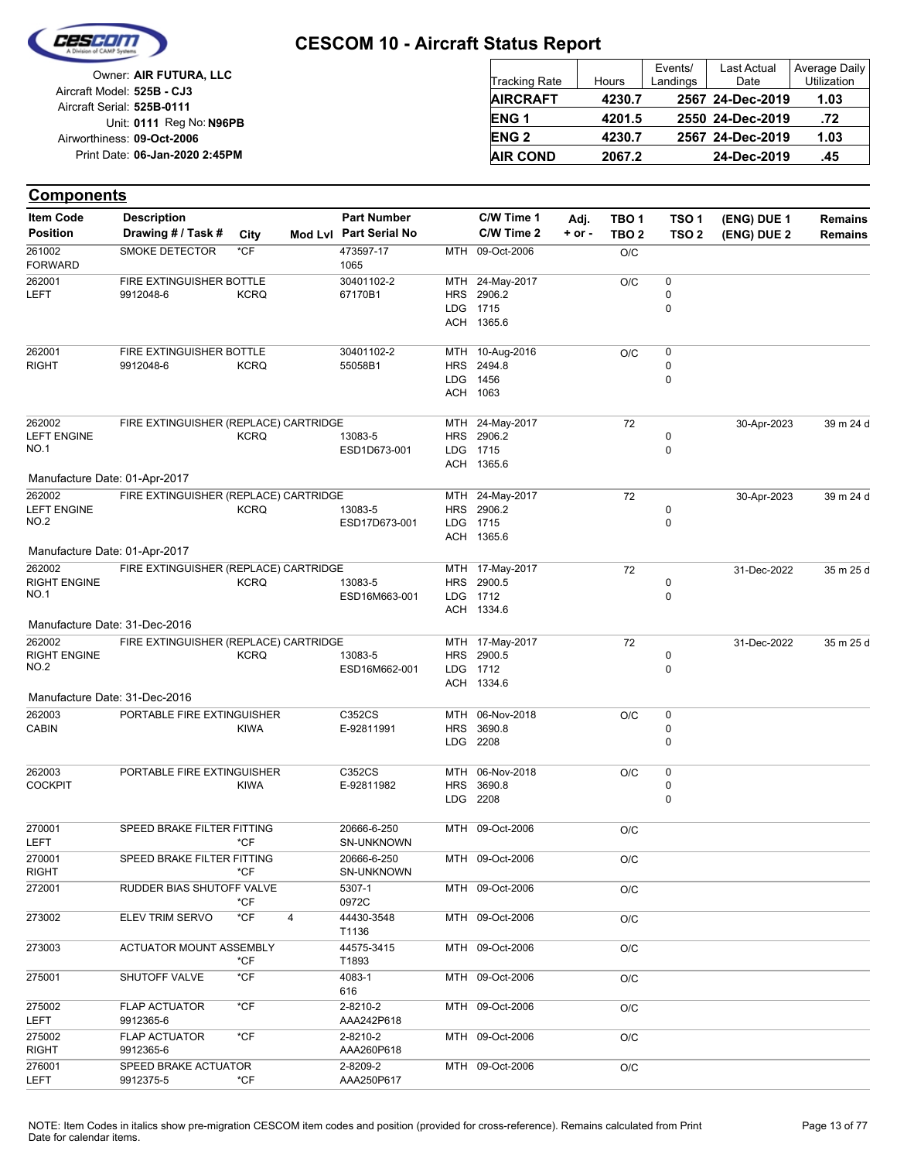

| Owner: AIR FUTURA, LLC                                   | Tracking Rate    | Hours  | Events/<br>Landings | Last Actual<br>Date | Average Daily<br><b>Utilization</b> |
|----------------------------------------------------------|------------------|--------|---------------------|---------------------|-------------------------------------|
| Aircraft Model: 525B - CJ3<br>Aircraft Serial: 525B-0111 | <b>AIRCRAFT</b>  | 4230.7 |                     | 2567 24-Dec-2019    | 1.03                                |
| Unit: 0111 Reg No: N96PB                                 | ENG <sub>1</sub> | 4201.5 |                     | 2550 24-Dec-2019    | .72                                 |
| Airworthiness: 09-Oct-2006                               | <b>ENG 2</b>     | 4230.7 |                     | 2567 24-Dec-2019    | 1.03                                |
| Print Date: 06-Jan-2020 2:45PM                           | <b>AIR COND</b>  | 2067.2 |                     | 24-Dec-2019         | .45                                 |

#### **(ENG) DUE 2 (ENG) DUE 1 Components** City **Mod Lvl Part Serial No Part Number C/W Time 1 C/W Time 2 + or - Adj. TBO 1 TBO 2 TSO 2 TSO 1 Remains** Description Part Number C/W Time 1 Adj. TBO 1 TSO 1 (ENG) DUE 1 Remains **Position Drawing # / Task # Item Code** MTH 09-Oct-2006 O/C 1065 473597-17 FORWARD 261002 SMOKE DETECTOR \*CF **ACH** LDG HRS MTH 24-May-2017 1365.6 1715 2906.2 0 0  $O/C$  0 67170B1 30401102-2 LEFT 262001 9912048-6 KCRQ **FIRE EXTINGUISHER BOTTLE** ACH LDG **HRS** MTH 1063 1456 2494.8 10-Aug-2016 0  $\Omega$  $O/C$  0 55058B1 30401102-2 RIGHT 262001 9912048-6 KCRQ FIRE EXTINGUISHER BOTTLE ACH LDG HRS MTH 24-May-2017 1365.6 1715 2906.2  $\Omega$ 0 72 ESD1D673-001 13083-5 30-Apr-2023 39 m 24 d LEFT ENGINE  $NO<sub>1</sub>$ 262002 **KCRQ** FIRE EXTINGUISHER (REPLACE) CARTRIDGE Manufacture Date: 01-Apr-2017 ACH LDG **HRS MTH** 1365.6 1715 2906.2 24-May-2017 0 0 72 ESD17D673-001 13083-5 30-Apr-2023 39 m 24 d LEFT ENGINE NO.2 262002 KCRQ FIRE EXTINGUISHER (REPLACE) CARTRIDGE Manufacture Date: 01-Apr-2017 ACH LDG **HRS** MTH 1334.6 1712 2900.5 17-May-2017 0  $\Omega$ 72 ESD16M663-001 13083-5 31-Dec-2022 35 m 25 d RIGHT ENGINE  $NO<sub>1</sub>$ 262002 **KCRO** FIRE EXTINGUISHER (REPLACE) CARTRIDGE Manufacture Date: 31-Dec-2016 ACH LDG **HRS** MTH 17-May-2017 1334.6 1712 2900.5 0 0 72 ESD16M662-001 13083-5 31-Dec-2022 35 m 25 d RIGHT ENGINE  $NO.2$ 262002 **KCRO** FIRE EXTINGUISHER (REPLACE) CARTRIDGE Manufacture Date: 31-Dec-2016 LDG HRS MTH 2208 3690.8 06-Nov-2018 0 0  $O/C$  0 E-92811991 C352CS CABIN 262003 KIWA PORTABLE FIRE EXTINGUISHER LDG **HRS MTH** 2208 3690.8 06-Nov-2018  $\Omega$ 0  $\overline{O/C}$  0 E-92811982 C352CS **COCKPIT** 262003 KIWA PORTABLE FIRE EXTINGUISHER MTH 09-Oct-2006 O/C SN-UNKNOWN 20666-6-250 LEFT 270001 \*CF SPEED BRAKE FILTER FITTING MTH 09-Oct-2006 O/C SN-UNKNOWN 20666-6-250 RIGHT 270001 \*CF SPEED BRAKE FILTER FITTING MTH 09-Oct-2006 O/C 0972C 272001 5307-1 RUDDER BIAS SHUTOFF VALVE \*CF MTH 09-Oct-2006 O/C T1136 273002 ELEV TRIM SERVO \*CF 4 44430-3548 MTH 09-Oct-2006 O/C T1893 273003 44575-3415 ACTUATOR MOUNT ASSEMBLY \*CF MTH 09-Oct-2006 0/C 616 275001 SHUTOFF VALVE \*CF 4083-1 MTH 09-Oct-2006 0/C AAA242P618 2-8210-2 LEFT 275002 9912365-6 FLAP ACTUATOR \*CF MTH 09-Oct-2006 O/C AAA260P618 2-8210-2 RIGHT 275002 9912365-6 FLAP ACTUATOR \*CF MTH 09-Oct-2006 O/C AAA250P617 2-8209-2 LEFT 276001 9912375-5 \*CF SPEED BRAKE ACTUATOR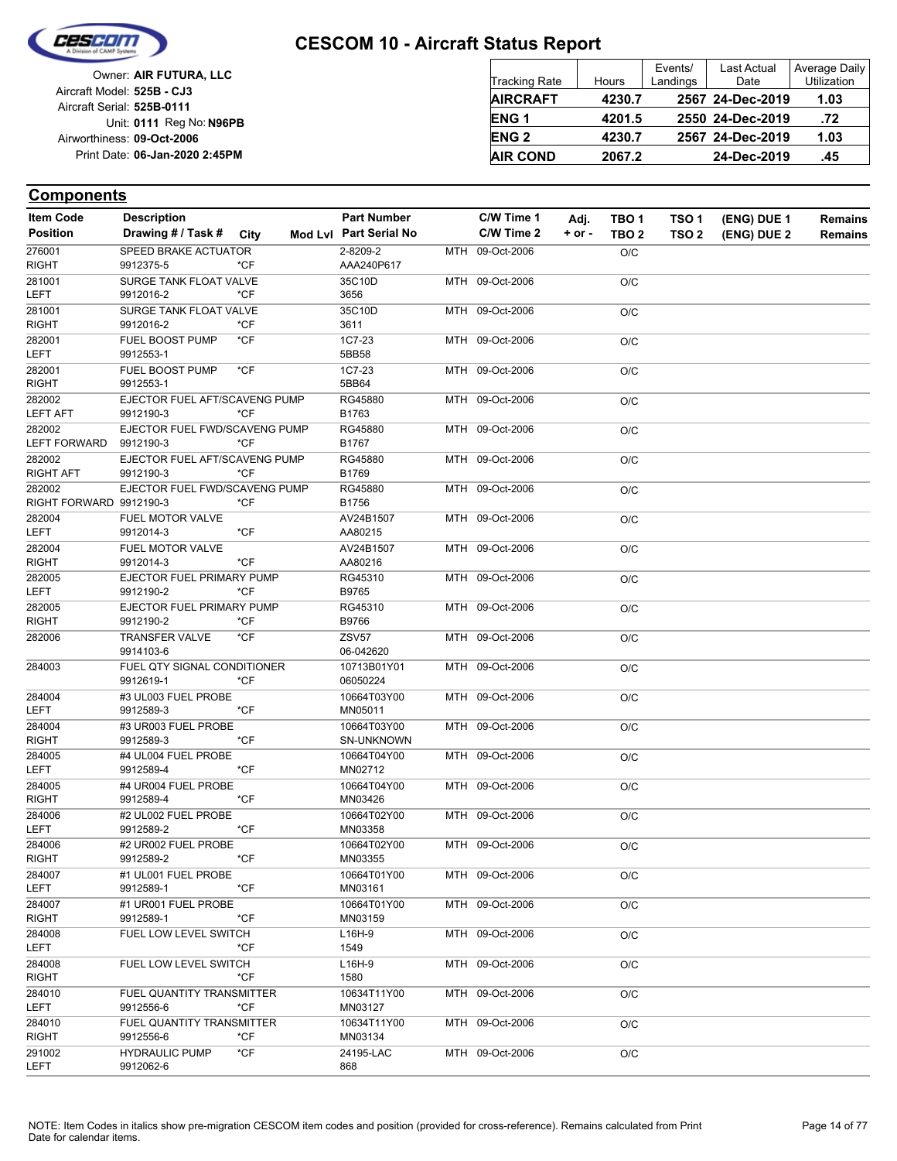

| Owner: AIR FUTURA, LLC                                   | <b>Tracking Rate</b>   | Hours  | Events/<br>Landings | <b>Last Actual</b><br>Date | Average Daily<br>Utilization |
|----------------------------------------------------------|------------------------|--------|---------------------|----------------------------|------------------------------|
| Aircraft Model: 525B - CJ3<br>Aircraft Serial: 525B-0111 | <b>AIRCRAFT</b>        | 4230.7 |                     | 2567 24-Dec-2019           | 1.03                         |
| Unit: 0111 Reg No: N96PB                                 | ENG <sub>1</sub>       | 4201.5 |                     | 2550 24-Dec-2019           | .72                          |
| Airworthiness: 09-Oct-2006                               | <b>ENG<sub>2</sub></b> | 4230.7 |                     | 2567 24-Dec-2019           | 1.03                         |
| Print Date: 06-Jan-2020 2:45PM                           | <b>AIR COND</b>        | 2067.2 |                     | 24-Dec-2019                | .45                          |

| <b>Item Code</b>        | <b>Description</b>                         |        | <b>Part Number</b>     | C/W Time 1      | Adj.       | TBO 1            | TSO 1            | (ENG) DUE 1 | Remains        |
|-------------------------|--------------------------------------------|--------|------------------------|-----------------|------------|------------------|------------------|-------------|----------------|
| <b>Position</b>         | Drawing # / Task #                         | City   | Mod Lvl Part Serial No | C/W Time 2      | $+$ or $-$ | TBO <sub>2</sub> | TSO <sub>2</sub> | (ENG) DUE 2 | <b>Remains</b> |
| 276001                  | SPEED BRAKE ACTUATOR                       |        | 2-8209-2               | MTH 09-Oct-2006 |            | O/C              |                  |             |                |
| <b>RIGHT</b>            | 9912375-5                                  | *CF    | AAA240P617             |                 |            |                  |                  |             |                |
| 281001                  | SURGE TANK FLOAT VALVE                     |        | 35C10D                 | MTH 09-Oct-2006 |            | O/C              |                  |             |                |
| <b>LEFT</b>             | 9912016-2                                  | *CF    | 3656                   |                 |            |                  |                  |             |                |
| 281001<br><b>RIGHT</b>  | <b>SURGE TANK FLOAT VALVE</b><br>9912016-2 | $*$ CF | 35C10D<br>3611         | MTH 09-Oct-2006 |            | O/C              |                  |             |                |
| 282001                  | FUEL BOOST PUMP                            | $*$ CF | 1C7-23                 | MTH 09-Oct-2006 |            |                  |                  |             |                |
| <b>LEFT</b>             | 9912553-1                                  |        | 5BB58                  |                 |            | O/C              |                  |             |                |
| 282001                  | FUEL BOOST PUMP                            | $*CF$  | 1C7-23                 | MTH 09-Oct-2006 |            | O/C              |                  |             |                |
| <b>RIGHT</b>            | 9912553-1                                  |        | 5BB64                  |                 |            |                  |                  |             |                |
| 282002                  | EJECTOR FUEL AFT/SCAVENG PUMP              |        | RG45880                | MTH 09-Oct-2006 |            | O/C              |                  |             |                |
| <b>LEFT AFT</b>         | 9912190-3                                  | $*CF$  | B1763                  |                 |            |                  |                  |             |                |
| 282002                  | EJECTOR FUEL FWD/SCAVENG PUMP              |        | RG45880                | MTH 09-Oct-2006 |            | O/C              |                  |             |                |
| <b>LEFT FORWARD</b>     | 9912190-3                                  | *CF    | B1767                  |                 |            |                  |                  |             |                |
| 282002                  | EJECTOR FUEL AFT/SCAVENG PUMP              |        | RG45880                | MTH 09-Oct-2006 |            | O/C              |                  |             |                |
| RIGHT AFT               | 9912190-3                                  | $*CF$  | B1769                  |                 |            |                  |                  |             |                |
| 282002                  | EJECTOR FUEL FWD/SCAVENG PUMP              |        | RG45880                | MTH 09-Oct-2006 |            | O/C              |                  |             |                |
| RIGHT FORWARD 9912190-3 |                                            | $*$ CF | B1756                  |                 |            |                  |                  |             |                |
| 282004<br><b>LEFT</b>   | FUEL MOTOR VALVE<br>9912014-3              | $*$ CF | AV24B1507<br>AA80215   | MTH 09-Oct-2006 |            | O/C              |                  |             |                |
| 282004                  | FUEL MOTOR VALVE                           |        | AV24B1507              | MTH 09-Oct-2006 |            | O/C              |                  |             |                |
| <b>RIGHT</b>            | 9912014-3                                  | $*$ CF | AA80216                |                 |            |                  |                  |             |                |
| 282005                  | EJECTOR FUEL PRIMARY PUMP                  |        | RG45310                | MTH 09-Oct-2006 |            | O/C              |                  |             |                |
| <b>LEFT</b>             | 9912190-2                                  | $*CF$  | B9765                  |                 |            |                  |                  |             |                |
| 282005                  | EJECTOR FUEL PRIMARY PUMP                  |        | RG45310                | MTH 09-Oct-2006 |            | O/C              |                  |             |                |
| RIGHT                   | 9912190-2                                  | *CF    | B9766                  |                 |            |                  |                  |             |                |
| 282006                  | <b>TRANSFER VALVE</b>                      | $*CF$  | <b>ZSV57</b>           | MTH 09-Oct-2006 |            | O/C              |                  |             |                |
|                         | 9914103-6                                  |        | 06-042620              |                 |            |                  |                  |             |                |
| 284003                  | FUEL QTY SIGNAL CONDITIONER                |        | 10713B01Y01            | MTH 09-Oct-2006 |            | O/C              |                  |             |                |
|                         | 9912619-1                                  | $*$ CF | 06050224               |                 |            |                  |                  |             |                |
| 284004<br>LEFT          | #3 UL003 FUEL PROBE<br>9912589-3           | $*CF$  | 10664T03Y00            | MTH 09-Oct-2006 |            | O/C              |                  |             |                |
| 284004                  | #3 UR003 FUEL PROBE                        |        | MN05011<br>10664T03Y00 |                 |            |                  |                  |             |                |
| RIGHT                   | 9912589-3                                  | $*$ CF | <b>SN-UNKNOWN</b>      | MTH 09-Oct-2006 |            | O/C              |                  |             |                |
| 284005                  | #4 UL004 FUEL PROBE                        |        | 10664T04Y00            | MTH 09-Oct-2006 |            | O/C              |                  |             |                |
| LEFT                    | 9912589-4                                  | $*CF$  | MN02712                |                 |            |                  |                  |             |                |
| 284005                  | #4 UR004 FUEL PROBE                        |        | 10664T04Y00            | MTH 09-Oct-2006 |            | O/C              |                  |             |                |
| <b>RIGHT</b>            | 9912589-4                                  | $*$ CF | MN03426                |                 |            |                  |                  |             |                |
| 284006                  | #2 UL002 FUEL PROBE                        |        | 10664T02Y00            | MTH 09-Oct-2006 |            | O/C              |                  |             |                |
| LEFT                    | 9912589-2                                  | $*CF$  | MN03358                |                 |            |                  |                  |             |                |
| 284006                  | #2 UR002 FUEL PROBE                        |        | 10664T02Y00            | MTH 09-Oct-2006 |            | O/C              |                  |             |                |
| RIGHT                   | 9912589-2                                  | $*CF$  | MN03355                |                 |            |                  |                  |             |                |
| 284007                  | #1 UL001 FUEL PROBE                        |        | 10664T01Y00            | MTH 09-Oct-2006 |            | O/C              |                  |             |                |
| LEFT                    | 9912589-1                                  | $*$ CF | MN03161                |                 |            |                  |                  |             |                |
| 284007<br><b>RIGHT</b>  | #1 UR001 FUEL PROBE<br>9912589-1           | *CF    | 10664T01Y00<br>MN03159 | MTH 09-Oct-2006 |            | O/C              |                  |             |                |
| 284008                  | FUEL LOW LEVEL SWITCH                      |        | L16H-9                 | MTH 09-Oct-2006 |            |                  |                  |             |                |
| LEFT                    |                                            | *CF    | 1549                   |                 |            | O/C              |                  |             |                |
| 284008                  | FUEL LOW LEVEL SWITCH                      |        | L16H-9                 | MTH 09-Oct-2006 |            | O/C              |                  |             |                |
| RIGHT                   |                                            | $*CF$  | 1580                   |                 |            |                  |                  |             |                |
| 284010                  | FUEL QUANTITY TRANSMITTER                  |        | 10634T11Y00            | MTH 09-Oct-2006 |            | O/C              |                  |             |                |
| LEFT                    | 9912556-6                                  | $*$ CF | MN03127                |                 |            |                  |                  |             |                |
| 284010                  | FUEL QUANTITY TRANSMITTER                  |        | 10634T11Y00            | MTH 09-Oct-2006 |            | O/C              |                  |             |                |
| RIGHT                   | 9912556-6                                  | *CF    | MN03134                |                 |            |                  |                  |             |                |
| 291002                  | <b>HYDRAULIC PUMP</b>                      | $*$ CF | 24195-LAC              | MTH 09-Oct-2006 |            | O/C              |                  |             |                |
| LEFT                    | 9912062-6                                  |        | 868                    |                 |            |                  |                  |             |                |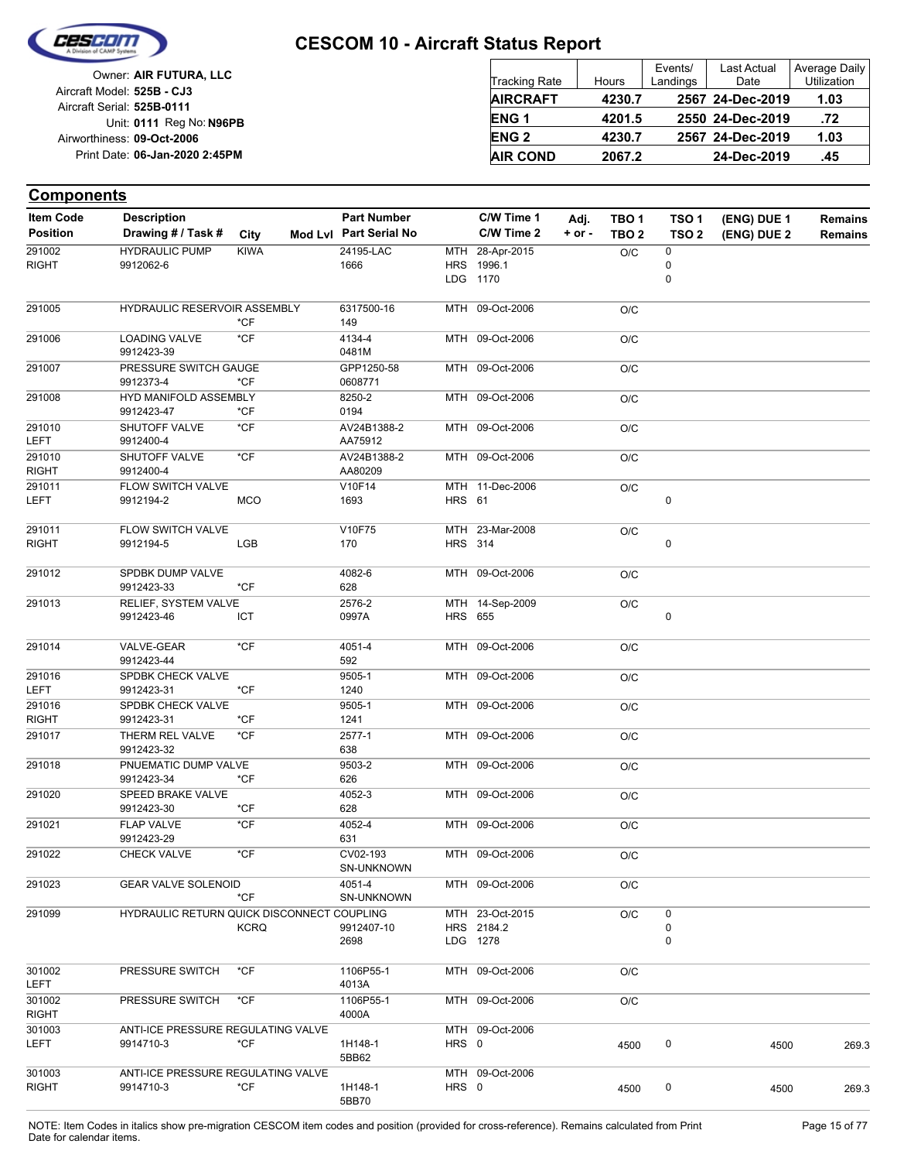

| Owner: AIR FUTURA, LLC         |
|--------------------------------|
| Aircraft Model: 525B - CJ3     |
| Aircraft Serial: 525B-0111     |
| Unit: 0111 Reg No: N96PB       |
| Airworthiness: 09-Oct-2006     |
| Print Date: 06-Jan-2020 2:45PM |
|                                |

| <b>Tracking Rate</b> | Hours  | Events/<br>Landings | <b>Last Actual</b><br>Date | Average Daily<br>Utilization |
|----------------------|--------|---------------------|----------------------------|------------------------------|
| <b>AIRCRAFT</b>      | 4230.7 |                     | 2567 24-Dec-2019           | 1.03                         |
| <b>ENG1</b>          | 4201.5 |                     | 2550 24-Dec-2019           | .72                          |
| <b>ENG2</b>          | 4230.7 |                     | 2567 24-Dec-2019           | 1.03                         |
| <b>AIR COND</b>      | 2067.2 |                     | 24-Dec-2019                | .45                          |

#### **Components**

| <b>Item Code</b>       | <b>Description</b>                              |             | <b>Part Number</b>     |                | C/W Time 1                                | Adj.       | TBO 1            | TSO <sub>1</sub>    | (ENG) DUE 1 | <b>Remains</b> |
|------------------------|-------------------------------------------------|-------------|------------------------|----------------|-------------------------------------------|------------|------------------|---------------------|-------------|----------------|
| <b>Position</b>        | Drawing # / Task #                              | City        | Mod Lvl Part Serial No |                | C/W Time 2                                | $+$ or $-$ | TBO <sub>2</sub> | TSO <sub>2</sub>    | (ENG) DUE 2 | <b>Remains</b> |
| 291002<br><b>RIGHT</b> | <b>HYDRAULIC PUMP</b><br>9912062-6              | <b>KIWA</b> | 24195-LAC<br>1666      |                | MTH 28-Apr-2015<br>HRS 1996.1<br>LDG 1170 |            | O/C              | 0<br>0<br>0         |             |                |
| 291005                 | HYDRAULIC RESERVOIR ASSEMBLY                    | *CF         | 6317500-16<br>149      |                | MTH 09-Oct-2006                           |            | O/C              |                     |             |                |
| 291006                 | <b>LOADING VALVE</b><br>9912423-39              | $*$ CF      | 4134-4<br>0481M        |                | MTH 09-Oct-2006                           |            | O/C              |                     |             |                |
| 291007                 | PRESSURE SWITCH GAUGE<br>9912373-4              | *CF         | GPP1250-58<br>0608771  |                | MTH 09-Oct-2006                           |            | O/C              |                     |             |                |
| 291008                 | HYD MANIFOLD ASSEMBLY<br>9912423-47             | *CF         | 8250-2<br>0194         |                | MTH 09-Oct-2006                           |            | O/C              |                     |             |                |
| 291010<br>LEFT         | SHUTOFF VALVE<br>9912400-4                      | *CF         | AV24B1388-2<br>AA75912 |                | MTH 09-Oct-2006                           |            | O/C              |                     |             |                |
| 291010<br><b>RIGHT</b> | SHUTOFF VALVE<br>9912400-4                      | *CF         | AV24B1388-2<br>AA80209 |                | MTH 09-Oct-2006                           |            | O/C              |                     |             |                |
| 291011<br>LEFT         | FLOW SWITCH VALVE<br>9912194-2                  | <b>MCO</b>  | V10F14<br>1693         | <b>HRS 61</b>  | MTH 11-Dec-2006                           |            | O/C              | 0                   |             |                |
| 291011<br><b>RIGHT</b> | FLOW SWITCH VALVE<br>9912194-5                  | LGB         | V10F75<br>170          | <b>HRS 314</b> | MTH 23-Mar-2008                           |            | O/C              | $\pmb{0}$           |             |                |
| 291012                 | SPDBK DUMP VALVE<br>9912423-33                  | *CF         | 4082-6<br>628          |                | MTH 09-Oct-2006                           |            | O/C              |                     |             |                |
| 291013                 | RELIEF, SYSTEM VALVE<br>9912423-46              | ICT         | 2576-2<br>0997A        | <b>HRS</b> 655 | MTH 14-Sep-2009                           |            | O/C              | 0                   |             |                |
| 291014                 | VALVE-GEAR<br>9912423-44                        | *CF         | 4051-4<br>592          |                | MTH 09-Oct-2006                           |            | O/C              |                     |             |                |
| 291016<br>LEFT         | SPDBK CHECK VALVE<br>9912423-31                 | *CF         | 9505-1<br>1240         |                | MTH 09-Oct-2006                           |            | O/C              |                     |             |                |
| 291016<br><b>RIGHT</b> | SPDBK CHECK VALVE<br>9912423-31                 | *CF         | 9505-1<br>1241         |                | MTH 09-Oct-2006                           |            | O/C              |                     |             |                |
| 291017                 | THERM REL VALVE<br>9912423-32                   | *CF         | 2577-1<br>638          |                | MTH 09-Oct-2006                           |            | O/C              |                     |             |                |
| 291018                 | PNUEMATIC DUMP VALVE<br>9912423-34              | *CF         | 9503-2<br>626          |                | MTH 09-Oct-2006                           |            | O/C              |                     |             |                |
| 291020                 | SPEED BRAKE VALVE<br>9912423-30                 | *CF         | 4052-3<br>628          |                | MTH 09-Oct-2006                           |            | O/C              |                     |             |                |
| 291021                 | FLAP VALVE<br>9912423-29                        | *CF         | 4052-4<br>631          |                | MTH 09-Oct-2006                           |            | O/C              |                     |             |                |
| 291022                 | <b>CHECK VALVE</b>                              | $*$ CF      | CV02-193<br>SN-UNKNOWN |                | MTH 09-Oct-2006                           |            | O/C              |                     |             |                |
| 291023                 | <b>GEAR VALVE SOLENOID</b>                      | *CF         | 4051-4<br>SN-UNKNOWN   |                | MTH 09-Oct-2006                           |            | O/C              |                     |             |                |
| 291099                 | HYDRAULIC RETURN QUICK DISCONNECT COUPLING      | <b>KCRQ</b> | 9912407-10<br>2698     |                | MTH 23-Oct-2015<br>HRS 2184.2<br>LDG 1278 |            | O/C              | 0<br>$\pmb{0}$<br>0 |             |                |
| 301002<br><b>LEFT</b>  | PRESSURE SWITCH                                 | $*$ CF      | 1106P55-1<br>4013A     |                | MTH 09-Oct-2006                           |            | O/C              |                     |             |                |
| 301002<br><b>RIGHT</b> | PRESSURE SWITCH                                 | *CF         | 1106P55-1<br>4000A     |                | MTH 09-Oct-2006                           |            | O/C              |                     |             |                |
| 301003<br><b>LEFT</b>  | ANTI-ICE PRESSURE REGULATING VALVE<br>9914710-3 | *CF         | 1H148-1<br>5BB62       | HRS 0          | MTH 09-Oct-2006                           |            | 4500             | 0                   | 4500        | 269.3          |
| 301003<br><b>RIGHT</b> | ANTI-ICE PRESSURE REGULATING VALVE<br>9914710-3 | *CF         | 1H148-1<br>5BB70       | HRS 0          | MTH 09-Oct-2006                           |            | 4500             | 0                   | 4500        | 269.3          |

NOTE: Item Codes in italics show pre-migration CESCOM item codes and position (provided for cross-reference). Remains calculated from Print Page 15 of 77 Date for calendar items.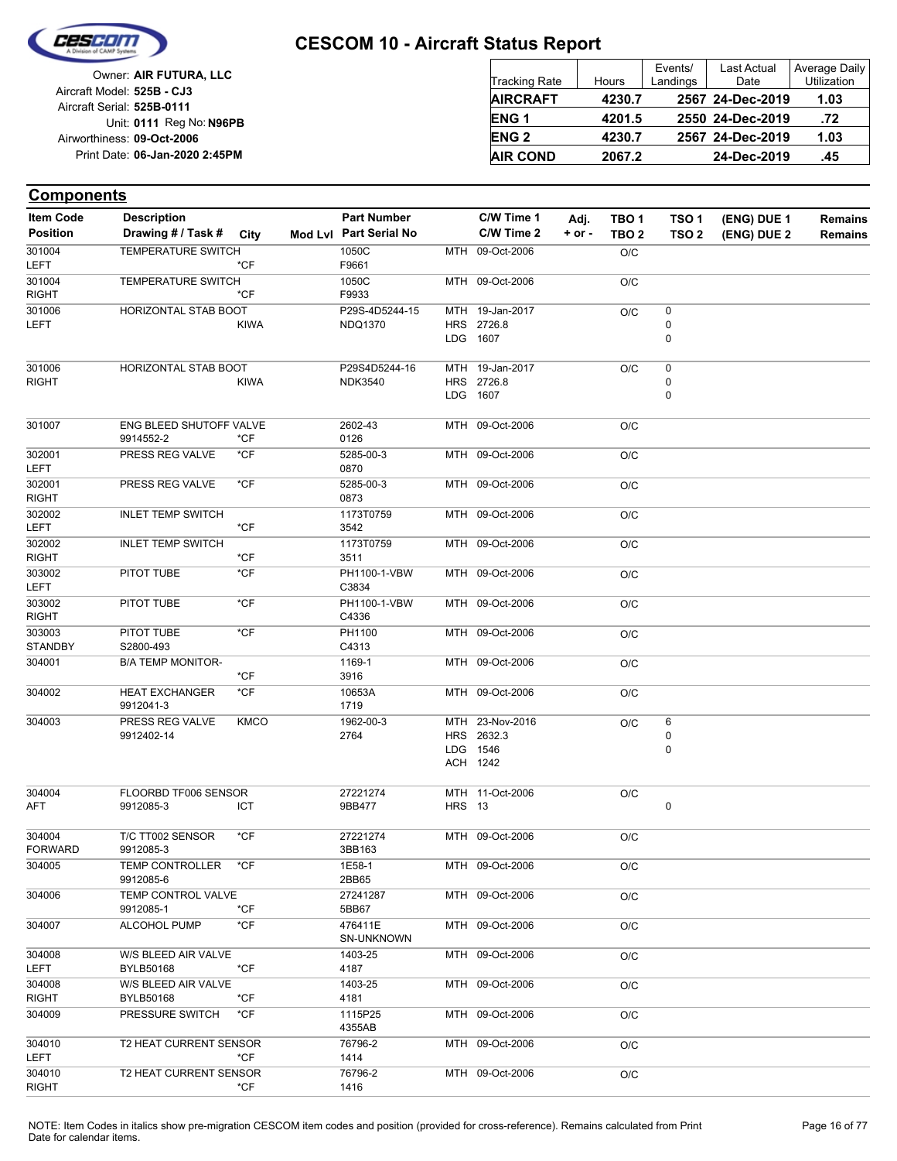

| Owner: AIR FUTURA, LLC                                   | <b>Tracking Rate</b> | Hours  | Events/<br>Landings | Last Actual<br>Date | Average Daily<br>Utilization |
|----------------------------------------------------------|----------------------|--------|---------------------|---------------------|------------------------------|
| Aircraft Model: 525B - CJ3<br>Aircraft Serial: 525B-0111 | <b>AIRCRAFT</b>      | 4230.7 |                     | 2567 24-Dec-2019    | 1.03                         |
| Unit: 0111 Reg No: N96PB                                 | <b>ENG1</b>          | 4201.5 |                     | 2550 24-Dec-2019    | .72                          |
| Airworthiness: 09-Oct-2006                               | <b>ENG 2</b>         | 4230.7 |                     | 2567 24-Dec-2019    | 1.03                         |
| Print Date: 06-Jan-2020 2:45PM                           | <b>AIR COND</b>      | 2067.2 |                     | 24-Dec-2019         | .45                          |

| <b>Item Code</b>         | <b>Description</b>                   |             | <b>Part Number</b>               |               | C/W Time 1                                            | Adj.       | TBO 1            | TSO <sub>1</sub>                    | (ENG) DUE 1 | <b>Remains</b> |
|--------------------------|--------------------------------------|-------------|----------------------------------|---------------|-------------------------------------------------------|------------|------------------|-------------------------------------|-------------|----------------|
| <b>Position</b>          | Drawing # / Task # City              |             | Mod Lvl Part Serial No           |               | C/W Time 2                                            | $+$ or $-$ | TBO <sub>2</sub> | TSO <sub>2</sub>                    | (ENG) DUE 2 | <b>Remains</b> |
| 301004<br>LEFT           | <b>TEMPERATURE SWITCH</b>            | *CF         | 1050C<br>F9661                   |               | MTH 09-Oct-2006                                       |            | O/C              |                                     |             |                |
| 301004<br><b>RIGHT</b>   | <b>TEMPERATURE SWITCH</b>            | *CF         | 1050C<br>F9933                   |               | MTH 09-Oct-2006                                       |            | O/C              |                                     |             |                |
| 301006<br><b>LEFT</b>    | HORIZONTAL STAB BOOT                 | <b>KIWA</b> | P29S-4D5244-15<br><b>NDQ1370</b> |               | MTH 19-Jan-2017<br>HRS 2726.8<br>LDG 1607             |            | O/C              | $\pmb{0}$<br>$\pmb{0}$<br>$\pmb{0}$ |             |                |
| 301006<br><b>RIGHT</b>   | HORIZONTAL STAB BOOT                 | <b>KIWA</b> | P29S4D5244-16<br><b>NDK3540</b>  |               | MTH 19-Jan-2017<br>HRS 2726.8<br>LDG 1607             |            | O/C              | 0<br>0<br>$\mathbf 0$               |             |                |
| 301007                   | ENG BLEED SHUTOFF VALVE<br>9914552-2 | $*$ CF      | 2602-43<br>0126                  |               | MTH 09-Oct-2006                                       |            | O/C              |                                     |             |                |
| 302001<br>LEFT           | PRESS REG VALVE                      | *CF         | 5285-00-3<br>0870                |               | MTH 09-Oct-2006                                       |            | O/C              |                                     |             |                |
| 302001<br><b>RIGHT</b>   | PRESS REG VALVE                      | $*CF$       | 5285-00-3<br>0873                |               | MTH 09-Oct-2006                                       |            | O/C              |                                     |             |                |
| 302002<br><b>LEFT</b>    | <b>INLET TEMP SWITCH</b>             | *CF         | 1173T0759<br>3542                |               | MTH 09-Oct-2006                                       |            | O/C              |                                     |             |                |
| 302002<br><b>RIGHT</b>   | <b>INLET TEMP SWITCH</b>             | *CF         | 1173T0759<br>3511                |               | MTH 09-Oct-2006                                       |            | O/C              |                                     |             |                |
| 303002<br>LEFT           | PITOT TUBE                           | $*$ CF      | PH1100-1-VBW<br>C3834            |               | MTH 09-Oct-2006                                       |            | O/C              |                                     |             |                |
| 303002<br><b>RIGHT</b>   | PITOT TUBE                           | $*$ CF      | PH1100-1-VBW<br>C4336            |               | MTH 09-Oct-2006                                       |            | O/C              |                                     |             |                |
| 303003<br><b>STANDBY</b> | PITOT TUBE<br>S2800-493              | $*$ CF      | PH1100<br>C4313                  |               | MTH 09-Oct-2006                                       |            | O/C              |                                     |             |                |
| 304001                   | <b>B/A TEMP MONITOR-</b>             | *CF         | 1169-1<br>3916                   |               | MTH 09-Oct-2006                                       |            | O/C              |                                     |             |                |
| 304002                   | <b>HEAT EXCHANGER</b><br>9912041-3   | *CF         | 10653A<br>1719                   |               | MTH 09-Oct-2006                                       |            | O/C              |                                     |             |                |
| 304003                   | PRESS REG VALVE<br>9912402-14        | <b>KMCO</b> | 1962-00-3<br>2764                |               | MTH 23-Nov-2016<br>HRS 2632.3<br>LDG 1546<br>ACH 1242 |            | O/C              | 6<br>0<br>0                         |             |                |
| 304004<br>AFT            | FLOORBD TF006 SENSOR<br>9912085-3    | ICT         | 27221274<br>9BB477               | <b>HRS</b> 13 | MTH 11-Oct-2006                                       |            | O/C              | 0                                   |             |                |
| 304004<br><b>FORWARD</b> | T/C TT002 SENSOR<br>9912085-3        | $*CF$       | 27221274<br>3BB163               |               | MTH 09-Oct-2006                                       |            | O/C              |                                     |             |                |
| 304005                   | TEMP CONTROLLER *CF<br>9912085-6     |             | 1E58-1<br>2BB65                  |               | MTH 09-Oct-2006                                       |            | O/C              |                                     |             |                |
| 304006                   | TEMP CONTROL VALVE<br>9912085-1      | *CF         | 27241287<br>5BB67                |               | MTH 09-Oct-2006                                       |            | O/C              |                                     |             |                |
| 304007                   | ALCOHOL PUMP                         | *CF         | 476411E<br>SN-UNKNOWN            |               | MTH 09-Oct-2006                                       |            | O/C              |                                     |             |                |
| 304008<br><b>LEFT</b>    | W/S BLEED AIR VALVE<br>BYLB50168     | *CF         | 1403-25<br>4187                  |               | MTH 09-Oct-2006                                       |            | O/C              |                                     |             |                |
| 304008<br><b>RIGHT</b>   | W/S BLEED AIR VALVE<br>BYLB50168     | *CF         | 1403-25<br>4181                  |               | MTH 09-Oct-2006                                       |            | O/C              |                                     |             |                |
| 304009                   | PRESSURE SWITCH                      | *CF         | 1115P25<br>4355AB                |               | MTH 09-Oct-2006                                       |            | O/C              |                                     |             |                |
| 304010<br>LEFT           | T2 HEAT CURRENT SENSOR               | *CF         | 76796-2<br>1414                  |               | MTH 09-Oct-2006                                       |            | O/C              |                                     |             |                |
| 304010<br><b>RIGHT</b>   | T2 HEAT CURRENT SENSOR               | *CF         | 76796-2<br>1416                  |               | MTH 09-Oct-2006                                       |            | O/C              |                                     |             |                |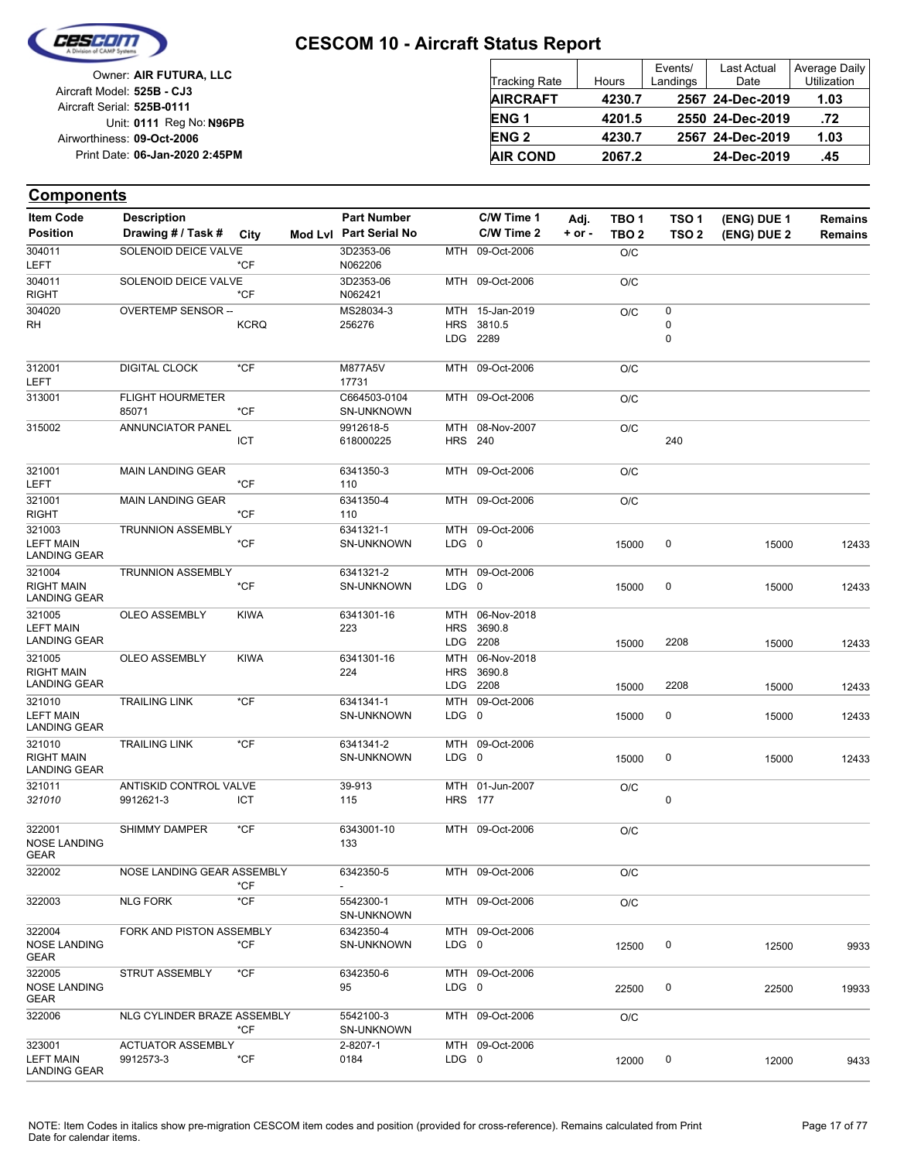

| Owner: AIR FUTURA, LLC                                   | <b>Tracking Rate</b> | Hours  | Events/<br>Landings | Last Actual<br>Date | Average Daily<br>Utilization |
|----------------------------------------------------------|----------------------|--------|---------------------|---------------------|------------------------------|
| Aircraft Model: 525B - CJ3<br>Aircraft Serial: 525B-0111 | <b>AIRCRAFT</b>      | 4230.7 |                     | 2567 24-Dec-2019    | 1.03                         |
| Unit: 0111 Reg No: N96PB                                 | ENG <sub>1</sub>     | 4201.5 |                     | 2550 24-Dec-2019    | .72                          |
| Airworthiness: 09-Oct-2006                               | <b>ENG 2</b>         | 4230.7 |                     | 2567 24-Dec-2019    | 1.03                         |
| Print Date: 06-Jan-2020 2:45PM                           | <b>AIR COND</b>      | 2067.2 |                     | 24-Dec-2019         | .45                          |

| <b>Item Code</b>                                   | <b>Description</b>                    |             | <b>Part Number</b>                |                       | C/W Time 1                        | Adj.       | TBO 1            | TSO 1            | (ENG) DUE 1    | <b>Remains</b> |
|----------------------------------------------------|---------------------------------------|-------------|-----------------------------------|-----------------------|-----------------------------------|------------|------------------|------------------|----------------|----------------|
| <b>Position</b>                                    | Drawing # / Task #                    | City        | Mod Lvl Part Serial No            |                       | C/W Time 2                        | $+$ or $-$ | TBO <sub>2</sub> | TSO <sub>2</sub> | (ENG) DUE 2    | <b>Remains</b> |
| 304011<br>LEFT                                     | SOLENOID DEICE VALVE                  | $*$ CF      | 3D2353-06<br>N062206              |                       | MTH 09-Oct-2006                   |            | O/C              |                  |                |                |
| 304011<br><b>RIGHT</b>                             | SOLENOID DEICE VALVE                  | *CF         | 3D2353-06<br>N062421              |                       | MTH 09-Oct-2006                   |            | O/C              |                  |                |                |
| 304020                                             | OVERTEMP SENSOR --                    |             | MS28034-3                         |                       | MTH 15-Jan-2019                   |            | O/C              | 0                |                |                |
| RH                                                 |                                       | <b>KCRQ</b> | 256276                            | HRS                   | 3810.5<br>LDG 2289                |            |                  | 0<br>0           |                |                |
| 312001<br>LEFT                                     | <b>DIGITAL CLOCK</b>                  | $*$ CF      | M877A5V<br>17731                  |                       | MTH 09-Oct-2006                   |            | O/C              |                  |                |                |
| 313001                                             | <b>FLIGHT HOURMETER</b><br>85071      | *CF         | C664503-0104<br><b>SN-UNKNOWN</b> |                       | MTH 09-Oct-2006                   |            | O/C              |                  |                |                |
| 315002                                             | <b>ANNUNCIATOR PANEL</b>              | ICT         | 9912618-5<br>618000225            | <b>HRS</b> 240        | MTH 08-Nov-2007                   |            | O/C              | 240              |                |                |
| 321001<br><b>LEFT</b>                              | <b>MAIN LANDING GEAR</b>              | *CF         | 6341350-3<br>110                  |                       | MTH 09-Oct-2006                   |            | O/C              |                  |                |                |
| 321001<br><b>RIGHT</b>                             | <b>MAIN LANDING GEAR</b>              | *CF         | 6341350-4<br>110                  |                       | MTH 09-Oct-2006                   |            | O/C              |                  |                |                |
| 321003<br><b>LEFT MAIN</b><br><b>LANDING GEAR</b>  | <b>TRUNNION ASSEMBLY</b>              | *CF         | 6341321-1<br><b>SN-UNKNOWN</b>    | $LDG \t0$             | MTH 09-Oct-2006                   |            | 15000            | 0                | 15000          | 12433          |
| 321004<br><b>RIGHT MAIN</b><br><b>LANDING GEAR</b> | <b>TRUNNION ASSEMBLY</b>              | *CF         | 6341321-2<br><b>SN-UNKNOWN</b>    | LDG 0                 | MTH 09-Oct-2006                   |            | 15000            | 0                | 15000          | 12433          |
| 321005<br><b>LEFT MAIN</b><br><b>LANDING GEAR</b>  | <b>OLEO ASSEMBLY</b>                  | <b>KIWA</b> | 6341301-16<br>223                 | MTH<br><b>HRS</b>     | 06-Nov-2018<br>3690.8<br>LDG 2208 |            | 15000            | 2208             | 15000          | 12433          |
| 321005<br><b>RIGHT MAIN</b><br><b>LANDING GEAR</b> | <b>OLEO ASSEMBLY</b>                  | <b>KIWA</b> | 6341301-16<br>224                 | MTH<br><b>HRS</b>     | 06-Nov-2018<br>3690.8             |            |                  |                  |                |                |
| 321010<br><b>LEFT MAIN</b><br><b>LANDING GEAR</b>  | <b>TRAILING LINK</b>                  | *CF         | 6341341-1<br><b>SN-UNKNOWN</b>    | LDG 0                 | LDG 2208<br>MTH 09-Oct-2006       |            | 15000<br>15000   | 2208<br>0        | 15000<br>15000 | 12433<br>12433 |
| 321010<br><b>RIGHT MAIN</b><br><b>LANDING GEAR</b> | <b>TRAILING LINK</b>                  | $*$ CF      | 6341341-2<br><b>SN-UNKNOWN</b>    | LDG 0                 | MTH 09-Oct-2006                   |            | 15000            | 0                | 15000          | 12433          |
| 321011<br>321010                                   | ANTISKID CONTROL VALVE<br>9912621-3   | <b>ICT</b>  | 39-913<br>115                     | MTH<br><b>HRS</b> 177 | 01-Jun-2007                       |            | O/C              | 0                |                |                |
| 322001<br><b>NOSE LANDING</b><br>GEAR              | <b>SHIMMY DAMPER</b>                  | *CF         | 6343001-10<br>133                 |                       | MTH 09-Oct-2006                   |            | O/C              |                  |                |                |
| 322002                                             | NOSE LANDING GEAR ASSEMBLY            | *CF         | 6342350-5                         |                       | MTH 09-Oct-2006                   |            | O/C              |                  |                |                |
| 322003                                             | <b>NLG FORK</b>                       | *CF         | 5542300-1<br>SN-UNKNOWN           |                       | MTH 09-Oct-2006                   |            | O/C              |                  |                |                |
| 322004<br><b>NOSE LANDING</b><br>GEAR              | FORK AND PISTON ASSEMBLY              | *CF         | 6342350-4<br>SN-UNKNOWN           | LDG 0                 | MTH 09-Oct-2006                   |            | 12500            | 0                | 12500          | 9933           |
| 322005<br><b>NOSE LANDING</b><br>GEAR              | <b>STRUT ASSEMBLY</b>                 | *CF         | 6342350-6<br>95                   | $LDG \t0$             | MTH 09-Oct-2006                   |            | 22500            | 0                | 22500          | 19933          |
| 322006                                             | NLG CYLINDER BRAZE ASSEMBLY           | *CF         | 5542100-3<br><b>SN-UNKNOWN</b>    |                       | MTH 09-Oct-2006                   |            | O/C              |                  |                |                |
| 323001<br><b>LEFT MAIN</b><br><b>LANDING GEAR</b>  | <b>ACTUATOR ASSEMBLY</b><br>9912573-3 | *CF         | 2-8207-1<br>0184                  | LDG 0                 | MTH 09-Oct-2006                   |            | 12000            | 0                | 12000          | 9433           |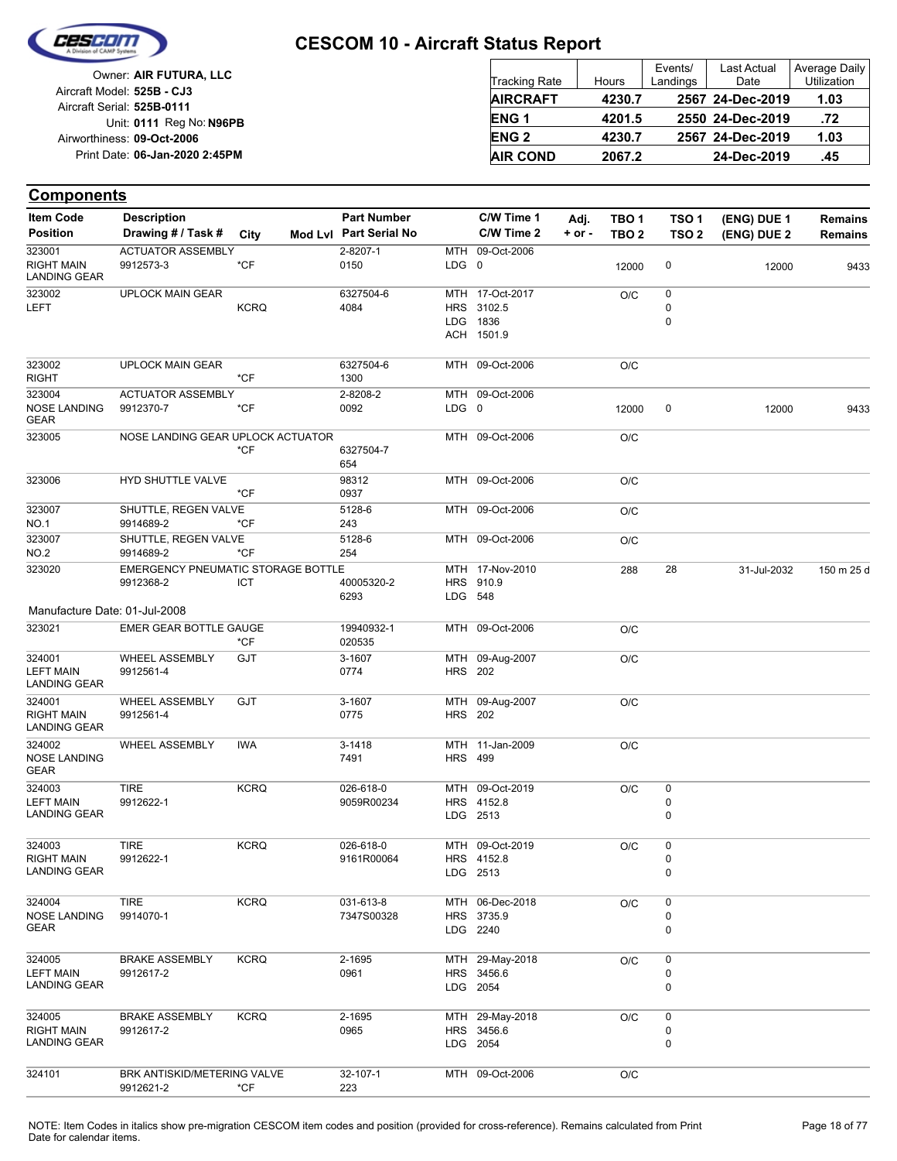

| Owner: AIR FUTURA, LLC                                   | <b>Tracking Rate</b> | Hours  | Events/<br>Landings | Last Actual<br>Date | Average Daily<br>Utilization |
|----------------------------------------------------------|----------------------|--------|---------------------|---------------------|------------------------------|
| Aircraft Model: 525B - CJ3<br>Aircraft Serial: 525B-0111 | <b>AIRCRAFT</b>      | 4230.7 |                     | 2567 24-Dec-2019    | 1.03                         |
| Unit: 0111 Reg No: N96PB                                 | <b>ENG1</b>          | 4201.5 |                     | 2550 24-Dec-2019    | .72                          |
| Airworthiness: 09-Oct-2006                               | <b>ENG 2</b>         | 4230.7 |                     | 2567 24-Dec-2019    | 1.03                         |
| Print Date: 06-Jan-2020 2:45PM                           | <b>AIR COND</b>      | 2067.2 |                     | 24-Dec-2019         | .45                          |

| <b>Item Code</b>                         | <b>Description</b>                 |             | <b>Part Number</b>     |                | C/W Time 1      | Adj.       | TBO 1            | TSO <sub>1</sub> | (ENG) DUE 1 | <b>Remains</b> |
|------------------------------------------|------------------------------------|-------------|------------------------|----------------|-----------------|------------|------------------|------------------|-------------|----------------|
| <b>Position</b>                          | Drawing # / Task #                 | City        | Mod Lvl Part Serial No |                | C/W Time 2      | $+$ or $-$ | TBO <sub>2</sub> | TSO <sub>2</sub> | (ENG) DUE 2 | <b>Remains</b> |
| 323001                                   | <b>ACTUATOR ASSEMBLY</b>           |             | 2-8207-1               |                | MTH 09-Oct-2006 |            |                  |                  |             |                |
| <b>RIGHT MAIN</b><br><b>LANDING GEAR</b> | 9912573-3                          | $*$ CF      | 0150                   | LDG 0          |                 |            | 12000            | 0                | 12000       | 9433           |
| 323002                                   | <b>UPLOCK MAIN GEAR</b>            |             | 6327504-6              |                | MTH 17-Oct-2017 |            | O/C              | 0                |             |                |
| LEFT                                     |                                    | <b>KCRQ</b> | 4084                   |                | HRS 3102.5      |            |                  | $\pmb{0}$        |             |                |
|                                          |                                    |             |                        | <b>LDG</b>     | 1836            |            |                  | $\pmb{0}$        |             |                |
|                                          |                                    |             |                        |                | ACH 1501.9      |            |                  |                  |             |                |
| 323002                                   | <b>UPLOCK MAIN GEAR</b>            |             | 6327504-6              |                | MTH 09-Oct-2006 |            | O/C              |                  |             |                |
| <b>RIGHT</b>                             |                                    | *CF         | 1300                   |                |                 |            |                  |                  |             |                |
| 323004                                   | <b>ACTUATOR ASSEMBLY</b>           |             | 2-8208-2               |                | MTH 09-Oct-2006 |            |                  |                  |             |                |
| <b>NOSE LANDING</b><br><b>GEAR</b>       | 9912370-7                          | *CF         | 0092                   | LDG 0          |                 |            | 12000            | 0                | 12000       | 9433           |
| 323005                                   | NOSE LANDING GEAR UPLOCK ACTUATOR  |             |                        |                | MTH 09-Oct-2006 |            | O/C              |                  |             |                |
|                                          |                                    | *CF         | 6327504-7              |                |                 |            |                  |                  |             |                |
|                                          |                                    |             | 654                    |                |                 |            |                  |                  |             |                |
| 323006                                   | HYD SHUTTLE VALVE                  | *CF         | 98312<br>0937          |                | MTH 09-Oct-2006 |            | O/C              |                  |             |                |
| 323007                                   | SHUTTLE, REGEN VALVE               |             | 5128-6                 |                | MTH 09-Oct-2006 |            | O/C              |                  |             |                |
| <b>NO.1</b>                              | 9914689-2                          | *CF         | 243                    |                |                 |            |                  |                  |             |                |
| 323007                                   | SHUTTLE, REGEN VALVE               |             | 5128-6                 |                | MTH 09-Oct-2006 |            | O/C              |                  |             |                |
| <b>NO.2</b>                              | 9914689-2                          | *CF         | 254                    |                |                 |            |                  |                  |             |                |
| 323020                                   | EMERGENCY PNEUMATIC STORAGE BOTTLE |             |                        |                | MTH 17-Nov-2010 |            | 288              | 28               | 31-Jul-2032 | 150 m 25 d     |
|                                          | 9912368-2                          | ICT         | 40005320-2             | HRS            | 910.9           |            |                  |                  |             |                |
|                                          |                                    |             | 6293                   | LDG 548        |                 |            |                  |                  |             |                |
| Manufacture Date: 01-Jul-2008            |                                    |             |                        |                |                 |            |                  |                  |             |                |
| 323021                                   | EMER GEAR BOTTLE GAUGE             |             | 19940932-1             |                | MTH 09-Oct-2006 |            | O/C              |                  |             |                |
|                                          |                                    | *CF         | 020535                 |                |                 |            |                  |                  |             |                |
| 324001                                   | <b>WHEEL ASSEMBLY</b>              | <b>GJT</b>  | 3-1607                 |                | MTH 09-Aug-2007 |            | O/C              |                  |             |                |
| <b>LEFT MAIN</b><br><b>LANDING GEAR</b>  | 9912561-4                          |             | 0774                   | <b>HRS</b> 202 |                 |            |                  |                  |             |                |
| 324001                                   | WHEEL ASSEMBLY                     | GJT         | 3-1607                 |                | MTH 09-Aug-2007 |            | O/C              |                  |             |                |
| <b>RIGHT MAIN</b><br>LANDING GEAR        | 9912561-4                          |             | 0775                   | <b>HRS</b> 202 |                 |            |                  |                  |             |                |
| 324002                                   | <b>WHEEL ASSEMBLY</b>              | <b>IWA</b>  | 3-1418                 |                | MTH 11-Jan-2009 |            | O/C              |                  |             |                |
| <b>NOSE LANDING</b><br><b>GEAR</b>       |                                    |             | 7491                   | <b>HRS</b> 499 |                 |            |                  |                  |             |                |
| 324003                                   | <b>TIRE</b>                        | <b>KCRQ</b> | 026-618-0              |                | MTH 09-Oct-2019 |            | O/C              | 0                |             |                |
| <b>LEFT MAIN</b>                         | 9912622-1                          |             | 9059R00234             |                | HRS 4152.8      |            |                  | 0                |             |                |
| <b>LANDING GEAR</b>                      |                                    |             |                        |                | LDG 2513        |            |                  | 0                |             |                |
| 324003                                   | <b>TIRE</b>                        | <b>KCRQ</b> | 026-618-0              |                | MTH 09-Oct-2019 |            | O/C              | 0                |             |                |
| <b>RIGHT MAIN</b>                        | 9912622-1                          |             | 9161R00064             |                | HRS 4152.8      |            |                  | $\Omega$         |             |                |
| <b>LANDING GEAR</b>                      |                                    |             |                        |                | LDG 2513        |            |                  | 0                |             |                |
| 324004                                   | <b>TIRE</b>                        | <b>KCRQ</b> | 031-613-8              |                | MTH 06-Dec-2018 |            | O/C              | 0                |             |                |
| <b>NOSE LANDING</b>                      | 9914070-1                          |             | 7347S00328             |                | HRS 3735.9      |            |                  | 0                |             |                |
| GEAR                                     |                                    |             |                        |                | LDG 2240        |            |                  | 0                |             |                |
| 324005                                   | <b>BRAKE ASSEMBLY</b>              | <b>KCRQ</b> | 2-1695                 |                | MTH 29-May-2018 |            | O/C              | 0                |             |                |
| <b>LEFT MAIN</b>                         | 9912617-2                          |             | 0961                   |                | HRS 3456.6      |            |                  | 0                |             |                |
| <b>LANDING GEAR</b>                      |                                    |             |                        |                | LDG 2054        |            |                  | 0                |             |                |
| 324005                                   | <b>BRAKE ASSEMBLY</b>              | <b>KCRQ</b> | 2-1695                 |                | MTH 29-May-2018 |            | O/C              | 0                |             |                |
| <b>RIGHT MAIN</b>                        | 9912617-2                          |             | 0965                   |                | HRS 3456.6      |            |                  | 0                |             |                |
| <b>LANDING GEAR</b>                      |                                    |             |                        |                | LDG 2054        |            |                  | 0                |             |                |
| 324101                                   | BRK ANTISKID/METERING VALVE        |             | 32-107-1               |                | MTH 09-Oct-2006 |            | O/C              |                  |             |                |
|                                          | 9912621-2                          | *CF         | 223                    |                |                 |            |                  |                  |             |                |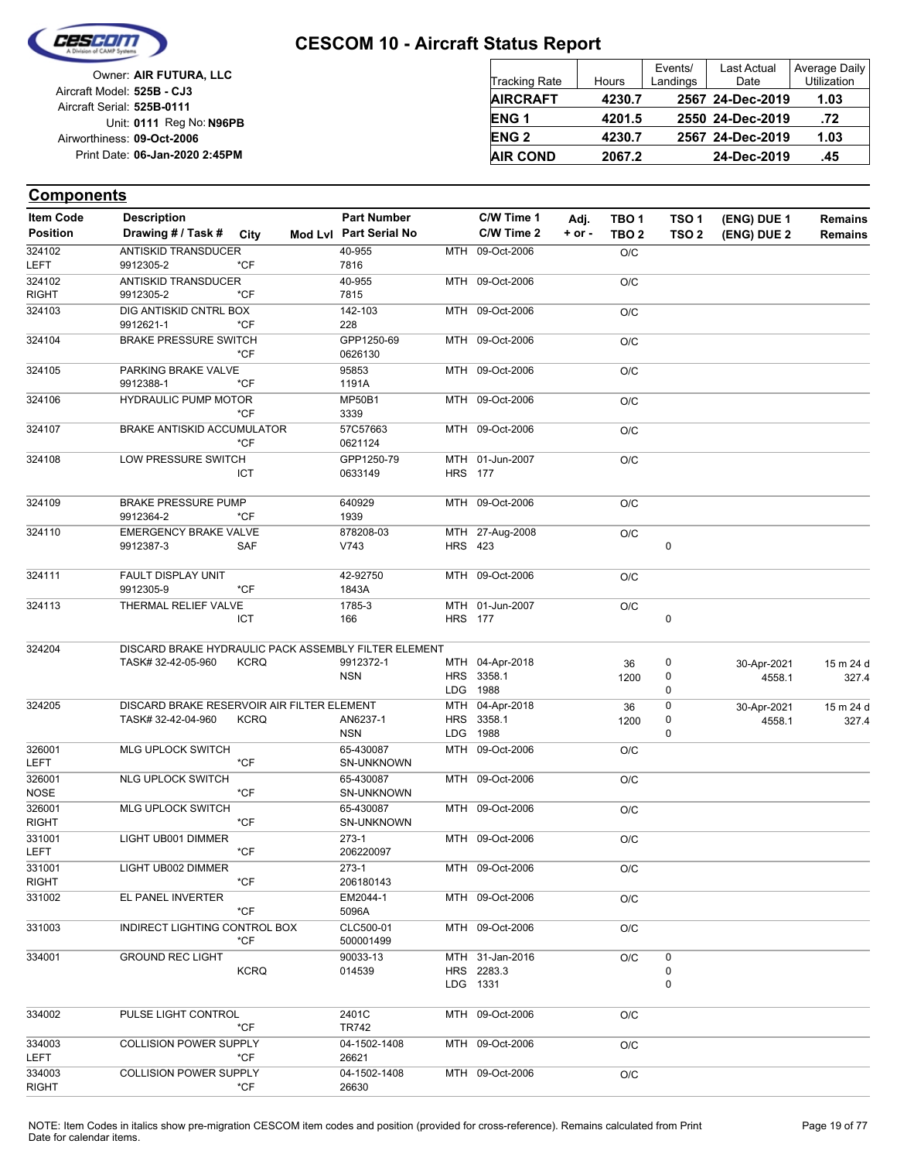

| Owner: AIR FUTURA, LLC                                   | <b>Tracking Rate</b>   | Hours  | Events/<br>Landings | Last Actual<br>Date | Average Daily<br>Utilization |
|----------------------------------------------------------|------------------------|--------|---------------------|---------------------|------------------------------|
| Aircraft Model: 525B - CJ3<br>Aircraft Serial: 525B-0111 | <b>AIRCRAFT</b>        | 4230.7 |                     | 2567 24-Dec-2019    | 1.03                         |
| Unit: 0111 Reg No: N96PB                                 | ENG <sub>1</sub>       | 4201.5 |                     | 2550 24-Dec-2019    | .72                          |
| Airworthiness: 09-Oct-2006                               | <b>ENG<sub>2</sub></b> | 4230.7 |                     | 2567 24-Dec-2019    | 1.03                         |
| Print Date: 06-Jan-2020 2:45PM                           | <b>AIR COND</b>        | 2067.2 |                     | 24-Dec-2019         | .45                          |

| <b>Item Code</b>       | <b>Description</b>                                               |               | <b>Part Number</b>             |                | C/W Time 1                    | Adj.       | TBO 1            | TSO 1            | (ENG) DUE 1           | <b>Remains</b>     |
|------------------------|------------------------------------------------------------------|---------------|--------------------------------|----------------|-------------------------------|------------|------------------|------------------|-----------------------|--------------------|
| <b>Position</b>        | Drawing # / Task #                                               | City          | Mod Lvl Part Serial No         |                | C/W Time 2                    | $+$ or $-$ | TBO <sub>2</sub> | TSO <sub>2</sub> | (ENG) DUE 2           | <b>Remains</b>     |
| 324102<br>LEFT         | ANTISKID TRANSDUCER<br>9912305-2                                 | *CF           | 40-955<br>7816                 |                | MTH 09-Oct-2006               |            | O/C              |                  |                       |                    |
| 324102                 | <b>ANTISKID TRANSDUCER</b>                                       |               | 40-955                         |                | MTH 09-Oct-2006               |            | O/C              |                  |                       |                    |
| <b>RIGHT</b>           | 9912305-2                                                        | *CF           | 7815                           |                |                               |            |                  |                  |                       |                    |
| 324103                 | DIG ANTISKID CNTRL BOX<br>9912621-1                              | *CF           | 142-103<br>228                 |                | MTH 09-Oct-2006               |            | O/C              |                  |                       |                    |
| 324104                 | <b>BRAKE PRESSURE SWITCH</b>                                     | *CF           | GPP1250-69<br>0626130          |                | MTH 09-Oct-2006               |            | O/C              |                  |                       |                    |
| 324105                 | PARKING BRAKE VALVE<br>9912388-1                                 | *CF           | 95853<br>1191A                 |                | MTH 09-Oct-2006               |            | O/C              |                  |                       |                    |
| 324106                 | <b>HYDRAULIC PUMP MOTOR</b>                                      | *CF           | <b>MP50B1</b><br>3339          |                | MTH 09-Oct-2006               |            | O/C              |                  |                       |                    |
| 324107                 | BRAKE ANTISKID ACCUMULATOR                                       | *CF           | 57C57663                       |                | MTH 09-Oct-2006               |            | O/C              |                  |                       |                    |
| 324108                 | LOW PRESSURE SWITCH                                              |               | 0621124<br>GPP1250-79          |                | MTH 01-Jun-2007               |            | O/C              |                  |                       |                    |
|                        |                                                                  | ICT           | 0633149                        | <b>HRS</b> 177 |                               |            |                  |                  |                       |                    |
| 324109                 | <b>BRAKE PRESSURE PUMP</b><br>9912364-2                          | *CF           | 640929<br>1939                 |                | MTH 09-Oct-2006               |            | O/C              |                  |                       |                    |
| 324110                 | <b>EMERGENCY BRAKE VALVE</b>                                     |               | 878208-03                      |                | MTH 27-Aug-2008               |            | O/C              |                  |                       |                    |
|                        | 9912387-3                                                        | SAF           | V743                           |                | <b>HRS 423</b>                |            |                  | 0                |                       |                    |
| 324111                 | FAULT DISPLAY UNIT<br>9912305-9                                  | $*$ CF        | 42-92750<br>1843A              |                | MTH 09-Oct-2006               |            | O/C              |                  |                       |                    |
| 324113                 | THERMAL RELIEF VALVE                                             |               | 1785-3                         |                | MTH 01-Jun-2007               |            | O/C              |                  |                       |                    |
|                        |                                                                  | <b>ICT</b>    | 166                            | <b>HRS</b> 177 |                               |            |                  | $\mathbf 0$      |                       |                    |
| 324204                 | DISCARD BRAKE HYDRAULIC PACK ASSEMBLY FILTER ELEMENT             |               |                                |                |                               |            |                  |                  |                       |                    |
|                        | TASK# 32-42-05-960                                               | <b>KCRQ</b>   | 9912372-1                      |                | MTH 04-Apr-2018               |            | 36               | 0                | 30-Apr-2021           | 15 m 24 d          |
|                        |                                                                  |               | <b>NSN</b>                     |                | HRS 3358.1                    |            | 1200             | 0                | 4558.1                | 327.4              |
|                        |                                                                  |               |                                |                | LDG 1988                      |            |                  | 0                |                       |                    |
| 324205                 | DISCARD BRAKE RESERVOIR AIR FILTER ELEMENT<br>TASK# 32-42-04-960 | <b>KCRQ</b>   | AN6237-1                       |                | MTH 04-Apr-2018<br>HRS 3358.1 |            | 36<br>1200       | 0<br>0           | 30-Apr-2021<br>4558.1 | 15 m 24 d<br>327.4 |
|                        |                                                                  |               | <b>NSN</b>                     |                | LDG 1988                      |            |                  | 0                |                       |                    |
| 326001                 | MLG UPLOCK SWITCH                                                |               | 65-430087                      |                | MTH 09-Oct-2006               |            | O/C              |                  |                       |                    |
| LEFT                   |                                                                  | *CF           | SN-UNKNOWN                     |                |                               |            |                  |                  |                       |                    |
| 326001<br><b>NOSE</b>  | <b>NLG UPLOCK SWITCH</b>                                         | *CF           | 65-430087<br>SN-UNKNOWN        |                | MTH 09-Oct-2006               |            | O/C              |                  |                       |                    |
| 326001<br><b>RIGHT</b> | MLG UPLOCK SWITCH                                                | $*$ CF        | 65-430087<br><b>SN-UNKNOWN</b> |                | MTH 09-Oct-2006               |            | O/C              |                  |                       |                    |
| 331001<br>LEFT         | LIGHT UB001 DIMMER                                               | $*$ CF        | 273-1<br>206220097             |                | MTH 09-Oct-2006               |            | O/C              |                  |                       |                    |
| 331001                 | LIGHT UB002 DIMMER                                               |               | 273-1                          |                | MTH 09-Oct-2006               |            | O/C              |                  |                       |                    |
| <b>RIGHT</b>           |                                                                  | $*$ CF        | 206180143                      |                |                               |            |                  |                  |                       |                    |
| 331002                 | EL PANEL INVERTER                                                | *CF           | EM2044-1<br>5096A              |                | MTH 09-Oct-2006               |            | O/C              |                  |                       |                    |
| 331003                 | INDIRECT LIGHTING CONTROL BOX                                    | $*$ CF        | CLC500-01<br>500001499         |                | MTH 09-Oct-2006               |            | O/C              |                  |                       |                    |
| 334001                 | <b>GROUND REC LIGHT</b>                                          |               | 90033-13                       |                | MTH 31-Jan-2016               |            | O/C              | 0                |                       |                    |
|                        |                                                                  | <b>KCRQ</b>   | 014539                         |                | HRS 2283.3<br>LDG 1331        |            |                  | 0<br>0           |                       |                    |
|                        |                                                                  |               |                                |                |                               |            |                  |                  |                       |                    |
| 334002                 | PULSE LIGHT CONTROL                                              | *CF           | 2401C<br>TR742                 |                | MTH 09-Oct-2006               |            | O/C              |                  |                       |                    |
| 334003<br>LEFT         | <b>COLLISION POWER SUPPLY</b>                                    | *CF           | 04-1502-1408<br>26621          |                | MTH 09-Oct-2006               |            | O/C              |                  |                       |                    |
| 334003                 | <b>COLLISION POWER SUPPLY</b>                                    |               | 04-1502-1408                   |                | MTH 09-Oct-2006               |            | O/C              |                  |                       |                    |
| <b>RIGHT</b>           |                                                                  | $^{\star}$ CF | 26630                          |                |                               |            |                  |                  |                       |                    |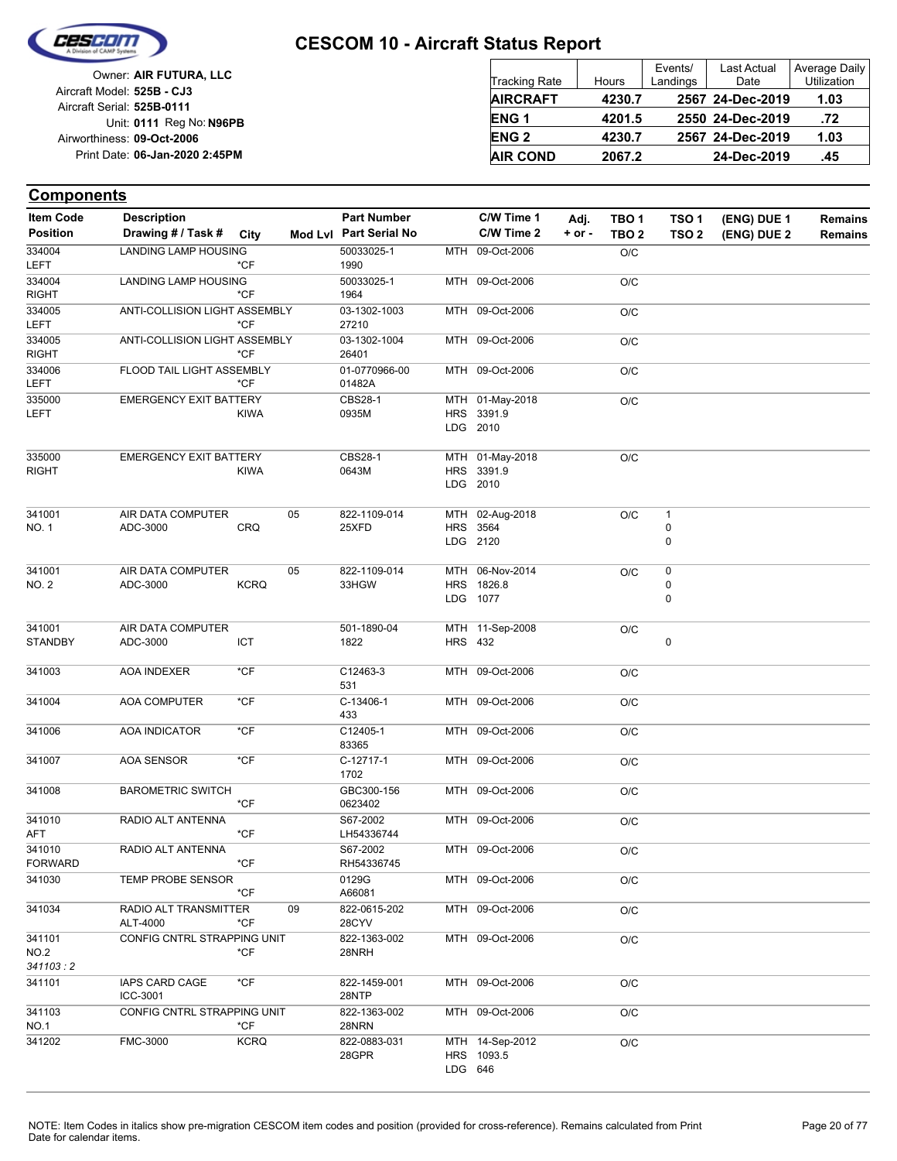

| Owner: AIR FUTURA, LLC                                   | Tracking Rate          | Hours  | Events/<br>Landings | Last Actual<br>Date | Average Daily<br><b>Utilization</b> |
|----------------------------------------------------------|------------------------|--------|---------------------|---------------------|-------------------------------------|
| Aircraft Model: 525B - CJ3<br>Aircraft Serial: 525B-0111 | <b>AIRCRAFT</b>        | 4230.7 |                     | 2567 24-Dec-2019    | 1.03                                |
| Unit: 0111 Reg No: N96PB                                 | ENG <sub>1</sub>       | 4201.5 |                     | 2550 24-Dec-2019    | .72                                 |
| Airworthiness: 09-Oct-2006                               | <b>ENG<sub>2</sub></b> | 4230.7 |                     | 2567 24-Dec-2019    | 1.03                                |
| Print Date: 06-Jan-2020 2:45PM                           | <b>AIR COND</b>        | 2067.2 |                     | 24-Dec-2019         | .45                                 |

| <b>Item Code</b>           | <b>Description</b>                |             |    | <b>Part Number</b>      |                | C/W Time 1                                | Adj.       | TBO <sub>1</sub> | TSO 1                  | (ENG) DUE 1 | <b>Remains</b> |
|----------------------------|-----------------------------------|-------------|----|-------------------------|----------------|-------------------------------------------|------------|------------------|------------------------|-------------|----------------|
| <b>Position</b>            | Drawing # / Task # City           |             |    | Mod Lvl Part Serial No  |                | C/W Time 2                                | $+$ or $-$ | TBO <sub>2</sub> | TSO <sub>2</sub>       | (ENG) DUE 2 | <b>Remains</b> |
| 334004<br><b>LEFT</b>      | <b>LANDING LAMP HOUSING</b>       | *CF         |    | 50033025-1<br>1990      |                | MTH 09-Oct-2006                           |            | O/C              |                        |             |                |
| 334004<br><b>RIGHT</b>     | LANDING LAMP HOUSING              | *CF         |    | 50033025-1<br>1964      |                | MTH 09-Oct-2006                           |            | O/C              |                        |             |                |
| 334005<br><b>LEFT</b>      | ANTI-COLLISION LIGHT ASSEMBLY     | *CF         |    | 03-1302-1003<br>27210   |                | MTH 09-Oct-2006                           |            | O/C              |                        |             |                |
| 334005<br><b>RIGHT</b>     | ANTI-COLLISION LIGHT ASSEMBLY     | *CF         |    | 03-1302-1004<br>26401   |                | MTH 09-Oct-2006                           |            | O/C              |                        |             |                |
| 334006<br>LEFT             | FLOOD TAIL LIGHT ASSEMBLY         | *CF         |    | 01-0770966-00<br>01482A |                | MTH 09-Oct-2006                           |            | O/C              |                        |             |                |
| 335000<br>LEFT             | <b>EMERGENCY EXIT BATTERY</b>     | <b>KIWA</b> |    | <b>CBS28-1</b><br>0935M |                | MTH 01-May-2018<br>HRS 3391.9<br>LDG 2010 |            | O/C              |                        |             |                |
| 335000<br><b>RIGHT</b>     | <b>EMERGENCY EXIT BATTERY</b>     | <b>KIWA</b> |    | <b>CBS28-1</b><br>0643M |                | MTH 01-May-2018<br>HRS 3391.9<br>LDG 2010 |            | O/C              |                        |             |                |
| 341001<br>NO. 1            | AIR DATA COMPUTER<br>ADC-3000     | <b>CRQ</b>  | 05 | 822-1109-014<br>25XFD   |                | MTH 02-Aug-2018<br>HRS 3564<br>LDG 2120   |            | O/C              | $\mathbf{1}$<br>0<br>0 |             |                |
| 341001<br>NO. 2            | AIR DATA COMPUTER<br>ADC-3000     | <b>KCRQ</b> | 05 | 822-1109-014<br>33HGW   |                | MTH 06-Nov-2014<br>HRS 1826.8<br>LDG 1077 |            | O/C              | 0<br>0<br>0            |             |                |
| 341001<br><b>STANDBY</b>   | AIR DATA COMPUTER<br>ADC-3000     | ICT         |    | 501-1890-04<br>1822     | <b>HRS 432</b> | MTH 11-Sep-2008                           |            | O/C              | 0                      |             |                |
| 341003                     | AOA INDEXER                       | *CF         |    | C12463-3<br>531         |                | MTH 09-Oct-2006                           |            | O/C              |                        |             |                |
| 341004                     | AOA COMPUTER                      | $*$ CF      |    | C-13406-1<br>433        |                | MTH 09-Oct-2006                           |            | O/C              |                        |             |                |
| 341006                     | AOA INDICATOR                     | *CF         |    | C12405-1<br>83365       |                | MTH 09-Oct-2006                           |            | O/C              |                        |             |                |
| 341007                     | AOA SENSOR                        | $*$ CF      |    | C-12717-1<br>1702       |                | MTH 09-Oct-2006                           |            | O/C              |                        |             |                |
| 341008                     | <b>BAROMETRIC SWITCH</b>          | *CF         |    | GBC300-156<br>0623402   |                | MTH 09-Oct-2006                           |            | O/C              |                        |             |                |
| 341010<br>AFT              | RADIO ALT ANTENNA                 | *CF         |    | S67-2002<br>LH54336744  |                | MTH 09-Oct-2006                           |            | O/C              |                        |             |                |
| 341010<br><b>FORWARD</b>   | RADIO ALT ANTENNA                 | $*$ CF      |    | S67-2002<br>RH54336745  |                | MTH 09-Oct-2006                           |            | O/C              |                        |             |                |
| 341030                     | TEMP PROBE SENSOR                 | *CF         |    | 0129G<br>A66081         |                | MTH 09-Oct-2006                           |            | O/C              |                        |             |                |
| 341034                     | RADIO ALT TRANSMITTER<br>ALT-4000 | *CF         | 09 | 822-0615-202<br>28CYV   |                | MTH 09-Oct-2006                           |            | O/C              |                        |             |                |
| 341101<br>NO.2<br>341103:2 | CONFIG CNTRL STRAPPING UNIT       | *CF         |    | 822-1363-002<br>28NRH   |                | MTH 09-Oct-2006                           |            | O/C              |                        |             |                |
| 341101                     | <b>IAPS CARD CAGE</b><br>ICC-3001 | $*$ CF      |    | 822-1459-001<br>28NTP   |                | MTH 09-Oct-2006                           |            | O/C              |                        |             |                |
| 341103<br>NO.1             | CONFIG CNTRL STRAPPING UNIT       | *CF         |    | 822-1363-002<br>28NRN   |                | MTH 09-Oct-2006                           |            | O/C              |                        |             |                |
| 341202                     | FMC-3000                          | <b>KCRQ</b> |    | 822-0883-031<br>28GPR   | LDG 646        | MTH 14-Sep-2012<br>HRS 1093.5             |            | O/C              |                        |             |                |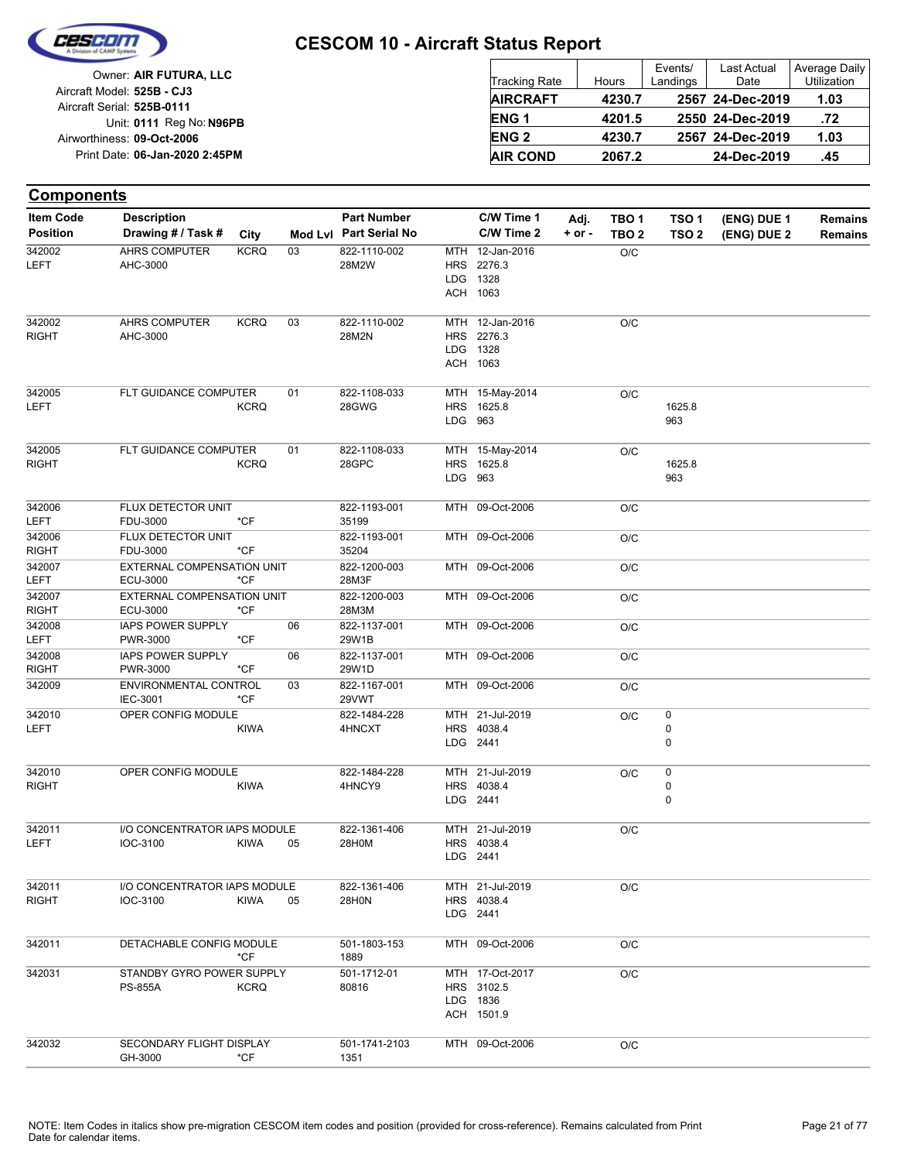

|                            | Owner: AIR FUTURA, LLC         |
|----------------------------|--------------------------------|
| Aircraft Model: 525B - CJ3 |                                |
| Aircraft Serial: 525B-0111 |                                |
|                            | Unit: 0111 Reg No: N96PB       |
| Airworthiness: 09-Oct-2006 |                                |
|                            | Print Date: 06-Jan-2020 2:45PM |

| <b>Tracking Rate</b> | Hours  | Events/<br>Landings | <b>Last Actual</b><br>Date | Average Daily<br>Utilization |
|----------------------|--------|---------------------|----------------------------|------------------------------|
| <b>AIRCRAFT</b>      | 4230.7 |                     | 2567 24-Dec-2019           | 1.03                         |
| ENG <sub>1</sub>     | 4201.5 |                     | 2550 24-Dec-2019           | .72                          |
| <b>ENG2</b>          | 4230.7 |                     | 2567 24-Dec-2019           | 1.03                         |
| <b>AIR COND</b>      | 2067.2 |                     | 24-Dec-2019                | .45                          |

| <b>Components</b>      |                                             |             |    |                        |         |                                                         |            |                  |                  |             |                |
|------------------------|---------------------------------------------|-------------|----|------------------------|---------|---------------------------------------------------------|------------|------------------|------------------|-------------|----------------|
| <b>Item Code</b>       | <b>Description</b>                          |             |    | <b>Part Number</b>     |         | C/W Time 1                                              | Adj.       | TBO <sub>1</sub> | TSO <sub>1</sub> | (ENG) DUE 1 | <b>Remains</b> |
| <b>Position</b>        | Drawing # / Task #                          | City        |    | Mod Lvl Part Serial No |         | C/W Time 2                                              | $+$ or $-$ | TBO <sub>2</sub> | TSO <sub>2</sub> | (ENG) DUE 2 | Remains        |
| 342002<br>LEFT         | <b>AHRS COMPUTER</b><br>AHC-3000            | <b>KCRQ</b> | 03 | 822-1110-002<br>28M2W  |         | MTH 12-Jan-2016<br>HRS 2276.3<br>LDG 1328<br>ACH 1063   |            | O/C              |                  |             |                |
| 342002<br><b>RIGHT</b> | AHRS COMPUTER<br>AHC-3000                   | <b>KCRQ</b> | 03 | 822-1110-002<br>28M2N  |         | MTH 12-Jan-2016<br>HRS 2276.3<br>LDG 1328<br>ACH 1063   |            | O/C              |                  |             |                |
| 342005<br>LEFT         | FLT GUIDANCE COMPUTER                       | <b>KCRQ</b> | 01 | 822-1108-033<br>28GWG  | LDG 963 | MTH 15-May-2014<br>HRS 1625.8                           |            | O/C              | 1625.8<br>963    |             |                |
| 342005<br>RIGHT        | FLT GUIDANCE COMPUTER                       | <b>KCRQ</b> | 01 | 822-1108-033<br>28GPC  | LDG 963 | MTH 15-May-2014<br>HRS 1625.8                           |            | O/C              | 1625.8<br>963    |             |                |
| 342006<br>LEFT         | FLUX DETECTOR UNIT<br>FDU-3000              | *CF         |    | 822-1193-001<br>35199  |         | MTH 09-Oct-2006                                         |            | O/C              |                  |             |                |
| 342006<br><b>RIGHT</b> | FLUX DETECTOR UNIT<br>FDU-3000              | *CF         |    | 822-1193-001<br>35204  |         | MTH 09-Oct-2006                                         |            | O/C              |                  |             |                |
| 342007<br>LEFT         | EXTERNAL COMPENSATION UNIT<br>ECU-3000      | *CF         |    | 822-1200-003<br>28M3F  |         | MTH 09-Oct-2006                                         |            | O/C              |                  |             |                |
| 342007<br><b>RIGHT</b> | EXTERNAL COMPENSATION UNIT<br>ECU-3000      | *CF         |    | 822-1200-003<br>28M3M  |         | MTH 09-Oct-2006                                         |            | O/C              |                  |             |                |
| 342008<br>LEFT         | <b>IAPS POWER SUPPLY</b><br>PWR-3000        | *CF         | 06 | 822-1137-001<br>29W1B  |         | MTH 09-Oct-2006                                         |            | O/C              |                  |             |                |
| 342008<br><b>RIGHT</b> | <b>IAPS POWER SUPPLY</b><br>PWR-3000        | *CF         | 06 | 822-1137-001<br>29W1D  |         | MTH 09-Oct-2006                                         |            | O/C              |                  |             |                |
| 342009                 | ENVIRONMENTAL CONTROL<br>IEC-3001           | *CF         | 03 | 822-1167-001<br>29VWT  |         | MTH 09-Oct-2006                                         |            | O/C              |                  |             |                |
| 342010<br>LEFT         | OPER CONFIG MODULE                          | <b>KIWA</b> |    | 822-1484-228<br>4HNCXT |         | MTH 21-Jul-2019<br>HRS 4038.4<br>LDG 2441               |            | O/C              | 0<br>0<br>0      |             |                |
| 342010<br><b>RIGHT</b> | OPER CONFIG MODULE                          | <b>KIWA</b> |    | 822-1484-228<br>4HNCY9 |         | MTH 21-Jul-2019<br>HRS 4038.4<br>LDG 2441               |            | O/C              | 0<br>0<br>0      |             |                |
| 342011<br><b>LEFT</b>  | I/O CONCENTRATOR IAPS MODULE<br>IOC-3100    | KIWA        | 05 | 822-1361-406<br>28H0M  |         | MTH 21-Jul-2019<br>HRS 4038.4<br>LDG 2441               |            | O/C              |                  |             |                |
| 342011<br><b>RIGHT</b> | I/O CONCENTRATOR IAPS MODULE<br>IOC-3100    | <b>KIWA</b> | 05 | 822-1361-406<br>28H0N  |         | MTH 21-Jul-2019<br>HRS 4038.4<br>LDG 2441               |            | O/C              |                  |             |                |
| 342011                 | DETACHABLE CONFIG MODULE                    | $*$ CF      |    | 501-1803-153<br>1889   |         | MTH 09-Oct-2006                                         |            | O/C              |                  |             |                |
| 342031                 | STANDBY GYRO POWER SUPPLY<br><b>PS-855A</b> | <b>KCRQ</b> |    | 501-1712-01<br>80816   |         | MTH 17-Oct-2017<br>HRS 3102.5<br>LDG 1836<br>ACH 1501.9 |            | O/C              |                  |             |                |
| 342032                 | SECONDARY FLIGHT DISPLAY<br>GH-3000         | *CF         |    | 501-1741-2103<br>1351  |         | MTH 09-Oct-2006                                         |            | O/C              |                  |             |                |
|                        |                                             |             |    |                        |         |                                                         |            |                  |                  |             |                |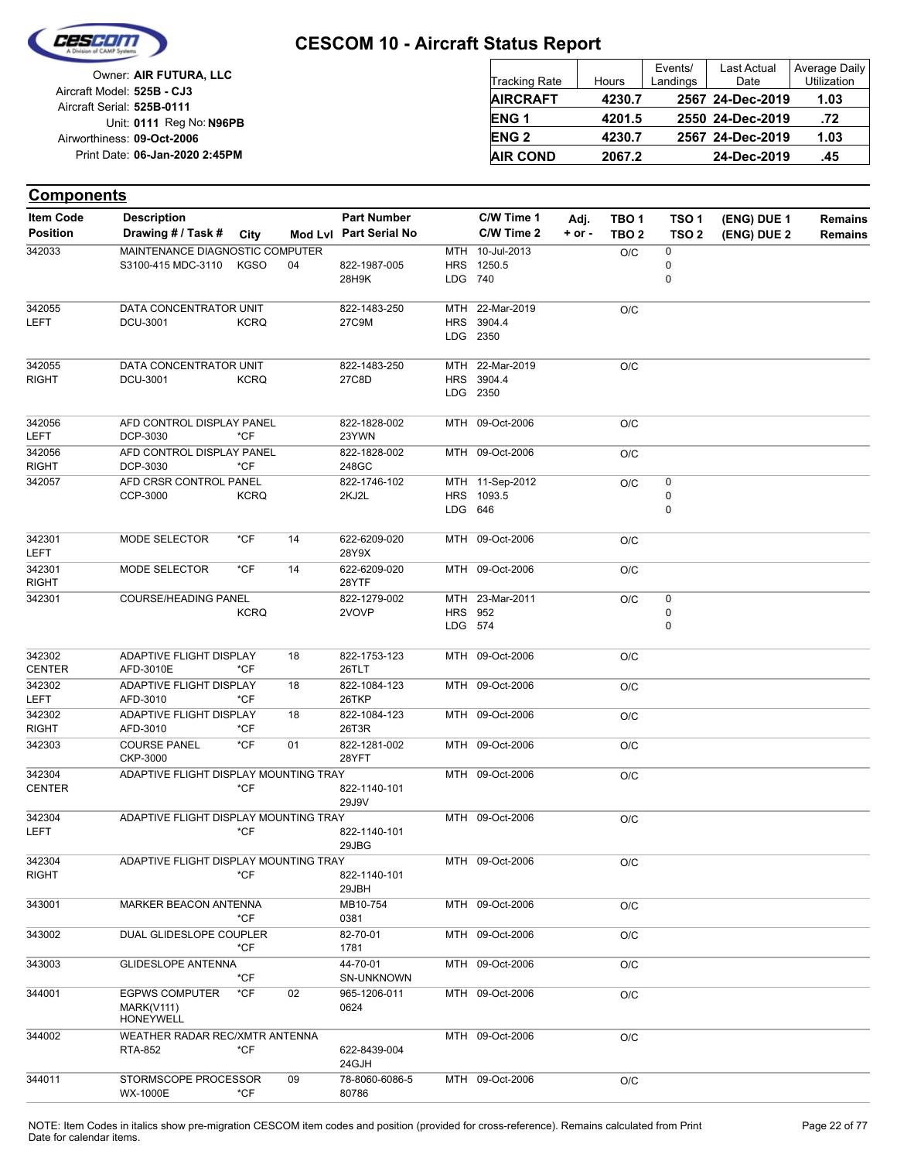

| Owner: AIR FUTURA, LLC                                   | Tracking Rate    | Hours  | Events/<br>Landings | Last Actual<br>Date | Average Daily<br>Utilization |
|----------------------------------------------------------|------------------|--------|---------------------|---------------------|------------------------------|
| Aircraft Model: 525B - CJ3<br>Aircraft Serial: 525B-0111 | <b>AIRCRAFT</b>  | 4230.7 |                     | 2567 24-Dec-2019    | 1.03                         |
| Unit: 0111 Reg No: N96PB                                 | ENG <sub>1</sub> | 4201.5 |                     | 2550 24-Dec-2019    | .72                          |
| Airworthiness: 09-Oct-2006                               | <b>ENG 2</b>     | 4230.7 |                     | 2567 24-Dec-2019    | 1.03                         |
| Print Date: 06-Jan-2020 2:45PM                           | <b>AIR COND</b>  | 2067.2 |                     | 24-Dec-2019         | .45                          |

| <b>Item Code</b>       | <b>Description</b>                    |             |    | <b>Part Number</b>     |                | C/W Time 1                    | Adj.       | TBO <sub>1</sub> | TSO <sub>1</sub> | (ENG) DUE 1 | <b>Remains</b> |
|------------------------|---------------------------------------|-------------|----|------------------------|----------------|-------------------------------|------------|------------------|------------------|-------------|----------------|
| <b>Position</b>        | Drawing # / Task # City               |             |    | Mod Lvl Part Serial No |                | C/W Time 2                    | $+$ or $-$ | TBO <sub>2</sub> | TSO <sub>2</sub> | (ENG) DUE 2 | <b>Remains</b> |
| 342033                 | MAINTENANCE DIAGNOSTIC COMPUTER       |             |    |                        |                | MTH 10-Jul-2013               |            | O/C              | 0                |             |                |
|                        | S3100-415 MDC-3110                    | <b>KGSO</b> | 04 | 822-1987-005           |                | HRS 1250.5                    |            |                  | 0                |             |                |
|                        |                                       |             |    | 28H9K                  | LDG 740        |                               |            |                  | 0                |             |                |
| 342055                 | DATA CONCENTRATOR UNIT                |             |    | 822-1483-250           |                | MTH 22-Mar-2019               |            | O/C              |                  |             |                |
| LEFT                   | DCU-3001                              | <b>KCRQ</b> |    | 27C9M                  |                | HRS 3904.4                    |            |                  |                  |             |                |
|                        |                                       |             |    |                        |                | LDG 2350                      |            |                  |                  |             |                |
|                        |                                       |             |    |                        |                |                               |            |                  |                  |             |                |
| 342055<br><b>RIGHT</b> | DATA CONCENTRATOR UNIT<br>DCU-3001    | <b>KCRQ</b> |    | 822-1483-250<br>27C8D  |                | MTH 22-Mar-2019<br>HRS 3904.4 |            | O/C              |                  |             |                |
|                        |                                       |             |    |                        |                | LDG 2350                      |            |                  |                  |             |                |
|                        |                                       |             |    |                        |                |                               |            |                  |                  |             |                |
| 342056                 | AFD CONTROL DISPLAY PANEL             |             |    | 822-1828-002           |                | MTH 09-Oct-2006               |            | O/C              |                  |             |                |
| <b>LEFT</b>            | DCP-3030                              | $*CF$       |    | 23YWN                  |                |                               |            |                  |                  |             |                |
| 342056                 | AFD CONTROL DISPLAY PANEL             |             |    | 822-1828-002           |                | MTH 09-Oct-2006               |            | O/C              |                  |             |                |
| <b>RIGHT</b>           | DCP-3030<br>AFD CRSR CONTROL PANEL    | $*$ CF      |    | 248GC<br>822-1746-102  |                |                               |            |                  |                  |             |                |
| 342057                 | CCP-3000                              | <b>KCRQ</b> |    | 2KJ2L                  |                | MTH 11-Sep-2012<br>HRS 1093.5 |            | O/C              | 0<br>0           |             |                |
|                        |                                       |             |    |                        | LDG 646        |                               |            |                  | 0                |             |                |
|                        |                                       |             |    |                        |                |                               |            |                  |                  |             |                |
| 342301                 | MODE SELECTOR                         | $*$ CF      | 14 | 622-6209-020           |                | MTH 09-Oct-2006               |            | O/C              |                  |             |                |
| <b>LEFT</b>            |                                       |             |    | 28Y9X                  |                |                               |            |                  |                  |             |                |
| 342301                 | MODE SELECTOR                         | *CF         | 14 | 622-6209-020           |                | MTH 09-Oct-2006               |            | O/C              |                  |             |                |
| <b>RIGHT</b><br>342301 | <b>COURSE/HEADING PANEL</b>           |             |    | 28YTF<br>822-1279-002  |                | MTH 23-Mar-2011               |            |                  | 0                |             |                |
|                        |                                       | <b>KCRQ</b> |    | 2VOVP                  | <b>HRS</b> 952 |                               |            | O/C              | 0                |             |                |
|                        |                                       |             |    |                        | LDG 574        |                               |            |                  | 0                |             |                |
|                        |                                       |             |    |                        |                |                               |            |                  |                  |             |                |
| 342302                 | ADAPTIVE FLIGHT DISPLAY               |             | 18 | 822-1753-123           |                | MTH 09-Oct-2006               |            | O/C              |                  |             |                |
| CENTER                 | AFD-3010E                             | $*CF$       |    | 26TLT                  |                |                               |            |                  |                  |             |                |
| 342302<br><b>LEFT</b>  | ADAPTIVE FLIGHT DISPLAY<br>AFD-3010   | *CF         | 18 | 822-1084-123<br>26TKP  |                | MTH 09-Oct-2006               |            | O/C              |                  |             |                |
| 342302                 | ADAPTIVE FLIGHT DISPLAY               |             | 18 | 822-1084-123           |                | MTH 09-Oct-2006               |            | O/C              |                  |             |                |
| <b>RIGHT</b>           | AFD-3010                              | *CF         |    | 26T3R                  |                |                               |            |                  |                  |             |                |
| 342303                 | <b>COURSE PANEL</b>                   | $*$ CF      | 01 | 822-1281-002           |                | MTH 09-Oct-2006               |            | O/C              |                  |             |                |
|                        | CKP-3000                              |             |    | 28YFT                  |                |                               |            |                  |                  |             |                |
| 342304                 | ADAPTIVE FLIGHT DISPLAY MOUNTING TRAY |             |    |                        |                | MTH 09-Oct-2006               |            | O/C              |                  |             |                |
| <b>CENTER</b>          |                                       | *CF         |    | 822-1140-101<br>29J9V  |                |                               |            |                  |                  |             |                |
| 342304                 | ADAPTIVE FLIGHT DISPLAY MOUNTING TRAY |             |    |                        |                | MTH 09-Oct-2006               |            | O/C              |                  |             |                |
| LEFT                   |                                       | $*CF$       |    | 822-1140-101           |                |                               |            |                  |                  |             |                |
|                        |                                       |             |    | 29JBG                  |                |                               |            |                  |                  |             |                |
| 342304                 | ADAPTIVE FLIGHT DISPLAY MOUNTING TRAY |             |    |                        |                | MTH 09-Oct-2006               |            | O/C              |                  |             |                |
| <b>RIGHT</b>           |                                       | $*$ CF      |    | 822-1140-101           |                |                               |            |                  |                  |             |                |
| 343001                 | MARKER BEACON ANTENNA                 |             |    | 29JBH<br>MB10-754      |                | MTH 09-Oct-2006               |            | $\rm O/C$        |                  |             |                |
|                        |                                       | *CF         |    | 0381                   |                |                               |            |                  |                  |             |                |
| 343002                 | DUAL GLIDESLOPE COUPLER               |             |    | 82-70-01               |                | MTH 09-Oct-2006               |            | O/C              |                  |             |                |
|                        |                                       | $*$ CF      |    | 1781                   |                |                               |            |                  |                  |             |                |
| 343003                 | <b>GLIDESLOPE ANTENNA</b>             |             |    | 44-70-01               |                | MTH 09-Oct-2006               |            | O/C              |                  |             |                |
|                        |                                       | *CF         |    | SN-UNKNOWN             |                |                               |            |                  |                  |             |                |
| 344001                 | <b>EGPWS COMPUTER</b>                 | $*$ CF      | 02 | 965-1206-011           |                | MTH 09-Oct-2006               |            | $\rm O/C$        |                  |             |                |
|                        | <b>MARK(V111)</b><br><b>HONEYWELL</b> |             |    | 0624                   |                |                               |            |                  |                  |             |                |
| 344002                 | WEATHER RADAR REC/XMTR ANTENNA        |             |    |                        |                | MTH 09-Oct-2006               |            | O/C              |                  |             |                |
|                        | <b>RTA-852</b>                        | $*$ CF      |    | 622-8439-004           |                |                               |            |                  |                  |             |                |
|                        |                                       |             |    | 24GJH                  |                |                               |            |                  |                  |             |                |
| 344011                 | STORMSCOPE PROCESSOR                  |             | 09 | 78-8060-6086-5         |                | MTH 09-Oct-2006               |            | O/C              |                  |             |                |
|                        | WX-1000E                              | *CF         |    | 80786                  |                |                               |            |                  |                  |             |                |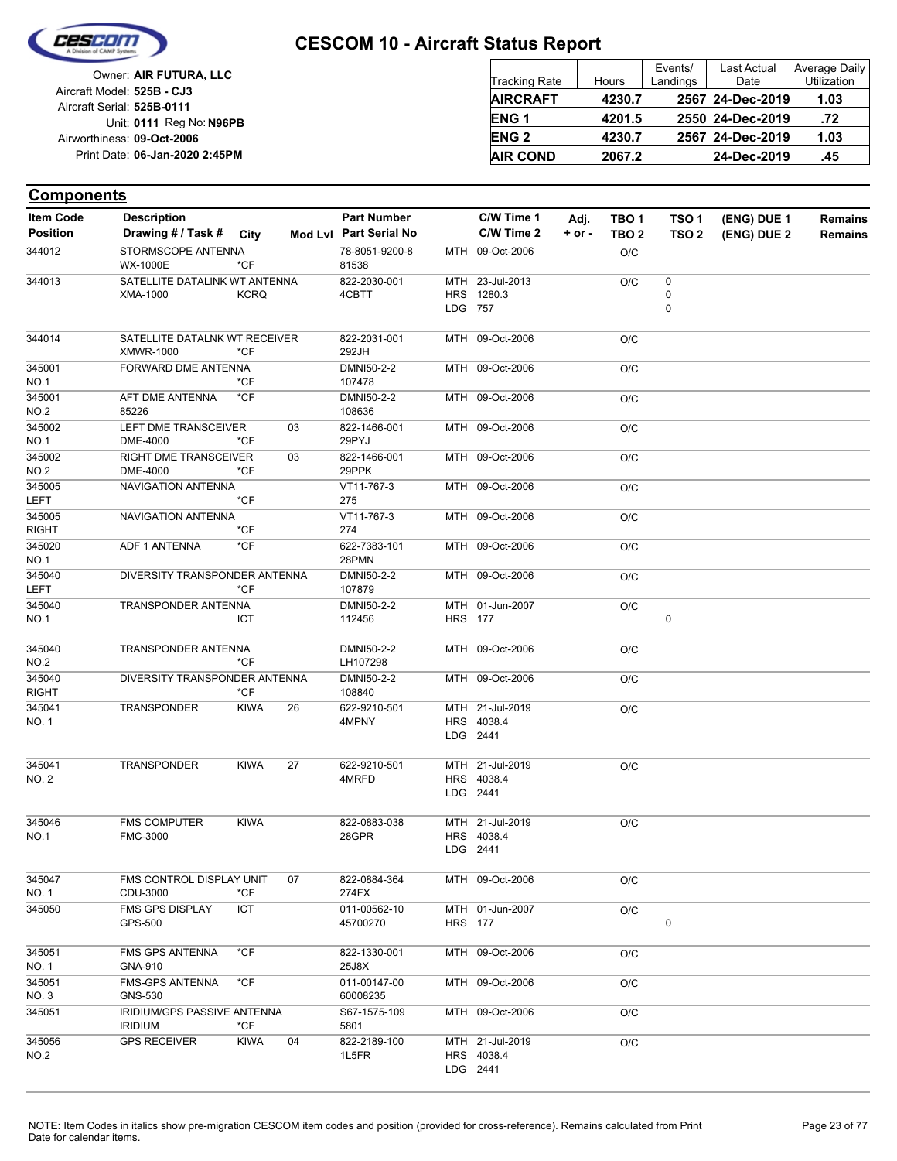

| Owner: AIR FUTURA, LLC                                   | Tracking Rate          | Hours  | Events/<br>Landings | Last Actual<br>Date | Average Daily<br><b>Utilization</b> |
|----------------------------------------------------------|------------------------|--------|---------------------|---------------------|-------------------------------------|
| Aircraft Model: 525B - CJ3<br>Aircraft Serial: 525B-0111 | <b>AIRCRAFT</b>        | 4230.7 |                     | 2567 24-Dec-2019    | 1.03                                |
| Unit: 0111 Reg No: N96PB                                 | <b>ENG1</b>            | 4201.5 |                     | 2550 24-Dec-2019    | .72                                 |
| Airworthiness: 09-Oct-2006                               | <b>ENG<sub>2</sub></b> | 4230.7 |                     | 2567 24-Dec-2019    | 1.03                                |
| Print Date: 06-Jan-2020 2:45PM                           | <b>AIR COND</b>        | 2067.2 |                     | 24-Dec-2019         | .45                                 |

| <b>Item Code</b>       | <b>Description</b>                                |             |    | <b>Part Number</b>       |                | C/W Time 1                                | Adj.       | TBO <sub>1</sub> | TSO <sub>1</sub> | (ENG) DUE 1 | <b>Remains</b> |
|------------------------|---------------------------------------------------|-------------|----|--------------------------|----------------|-------------------------------------------|------------|------------------|------------------|-------------|----------------|
| <b>Position</b>        | Drawing # / Task # City                           |             |    | Mod Lvl Part Serial No   |                | C/W Time 2                                | $+$ or $-$ | TBO <sub>2</sub> | TSO <sub>2</sub> | (ENG) DUE 2 | <b>Remains</b> |
| 344012                 | STORMSCOPE ANTENNA<br><b>WX-1000E</b>             | $*$ CF      |    | 78-8051-9200-8<br>81538  |                | MTH 09-Oct-2006                           |            | O/C              |                  |             |                |
| 344013                 | SATELLITE DATALINK WT ANTENNA<br>XMA-1000         | <b>KCRQ</b> |    | 822-2030-001<br>4CBTT    | LDG 757        | MTH 23-Jul-2013<br>HRS 1280.3             |            | O/C              | 0<br>0<br>0      |             |                |
| 344014                 | SATELLITE DATALNK WT RECEIVER<br><b>XMWR-1000</b> | $*$ CF      |    | 822-2031-001<br>292JH    |                | MTH 09-Oct-2006                           |            | O/C              |                  |             |                |
| 345001<br><b>NO.1</b>  | FORWARD DME ANTENNA                               | *CF         |    | DMNI50-2-2<br>107478     |                | MTH 09-Oct-2006                           |            | O/C              |                  |             |                |
| 345001<br><b>NO.2</b>  | AFT DME ANTENNA<br>85226                          | $*$ CF      |    | DMNI50-2-2<br>108636     |                | MTH 09-Oct-2006                           |            | O/C              |                  |             |                |
| 345002<br><b>NO.1</b>  | LEFT DME TRANSCEIVER<br>DME-4000                  | $*$ CF      | 03 | 822-1466-001<br>29PYJ    |                | MTH 09-Oct-2006                           |            | O/C              |                  |             |                |
| 345002<br><b>NO.2</b>  | RIGHT DME TRANSCEIVER<br>DME-4000                 | *CF         | 03 | 822-1466-001<br>29PPK    |                | MTH 09-Oct-2006                           |            | O/C              |                  |             |                |
| 345005<br><b>LEFT</b>  | NAVIGATION ANTENNA                                | *CF         |    | VT11-767-3<br>275        |                | MTH 09-Oct-2006                           |            | O/C              |                  |             |                |
| 345005<br><b>RIGHT</b> | NAVIGATION ANTENNA                                | *CF         |    | VT11-767-3<br>274        |                | MTH 09-Oct-2006                           |            | O/C              |                  |             |                |
| 345020<br><b>NO.1</b>  | ADF 1 ANTENNA                                     | $*$ CF      |    | 622-7383-101<br>28PMN    |                | MTH 09-Oct-2006                           |            | O/C              |                  |             |                |
| 345040<br><b>LEFT</b>  | DIVERSITY TRANSPONDER ANTENNA                     | $*$ CF      |    | DMNI50-2-2<br>107879     |                | MTH 09-Oct-2006                           |            | O/C              |                  |             |                |
| 345040<br><b>NO.1</b>  | TRANSPONDER ANTENNA                               | ICT         |    | DMNI50-2-2<br>112456     | <b>HRS</b> 177 | MTH 01-Jun-2007                           |            | O/C              | $\pmb{0}$        |             |                |
| 345040<br><b>NO.2</b>  | TRANSPONDER ANTENNA                               | $*CF$       |    | DMNI50-2-2<br>LH107298   |                | MTH 09-Oct-2006                           |            | O/C              |                  |             |                |
| 345040<br><b>RIGHT</b> | DIVERSITY TRANSPONDER ANTENNA                     | *CF         |    | DMNI50-2-2<br>108840     |                | MTH 09-Oct-2006                           |            | O/C              |                  |             |                |
| 345041<br>NO. 1        | TRANSPONDER                                       | <b>KIWA</b> | 26 | 622-9210-501<br>4MPNY    |                | MTH 21-Jul-2019<br>HRS 4038.4<br>LDG 2441 |            | O/C              |                  |             |                |
| 345041<br><b>NO. 2</b> | TRANSPONDER                                       | <b>KIWA</b> | 27 | 622-9210-501<br>4MRFD    |                | MTH 21-Jul-2019<br>HRS 4038.4<br>LDG 2441 |            | O/C              |                  |             |                |
| 345046<br><b>NO.1</b>  | <b>FMS COMPUTER</b><br>FMC-3000                   | <b>KIWA</b> |    | 822-0883-038<br>28GPR    |                | MTH 21-Jul-2019<br>HRS 4038.4<br>LDG 2441 |            | O/C              |                  |             |                |
| 345047<br>NO. 1        | FMS CONTROL DISPLAY UNIT<br>CDU-3000              | *CF         | 07 | 822-0884-364<br>274FX    |                | MTH 09-Oct-2006                           |            | O/C              |                  |             |                |
| 345050                 | FMS GPS DISPLAY<br>GPS-500                        | ICT         |    | 011-00562-10<br>45700270 | <b>HRS</b> 177 | MTH 01-Jun-2007                           |            | O/C              | 0                |             |                |
| 345051<br>NO. 1        | <b>FMS GPS ANTENNA</b><br>GNA-910                 | *CF         |    | 822-1330-001<br>25J8X    |                | MTH 09-Oct-2006                           |            | O/C              |                  |             |                |
| 345051<br>NO. 3        | <b>FMS-GPS ANTENNA</b><br>GNS-530                 | *CF         |    | 011-00147-00<br>60008235 |                | MTH 09-Oct-2006                           |            | O/C              |                  |             |                |
| 345051                 | IRIDIUM/GPS PASSIVE ANTENNA<br><b>IRIDIUM</b>     | *CF         |    | S67-1575-109<br>5801     |                | MTH 09-Oct-2006                           |            | O/C              |                  |             |                |
| 345056<br>NO.2         | <b>GPS RECEIVER</b>                               | <b>KIWA</b> | 04 | 822-2189-100<br>1L5FR    |                | MTH 21-Jul-2019<br>HRS 4038.4<br>LDG 2441 |            | O/C              |                  |             |                |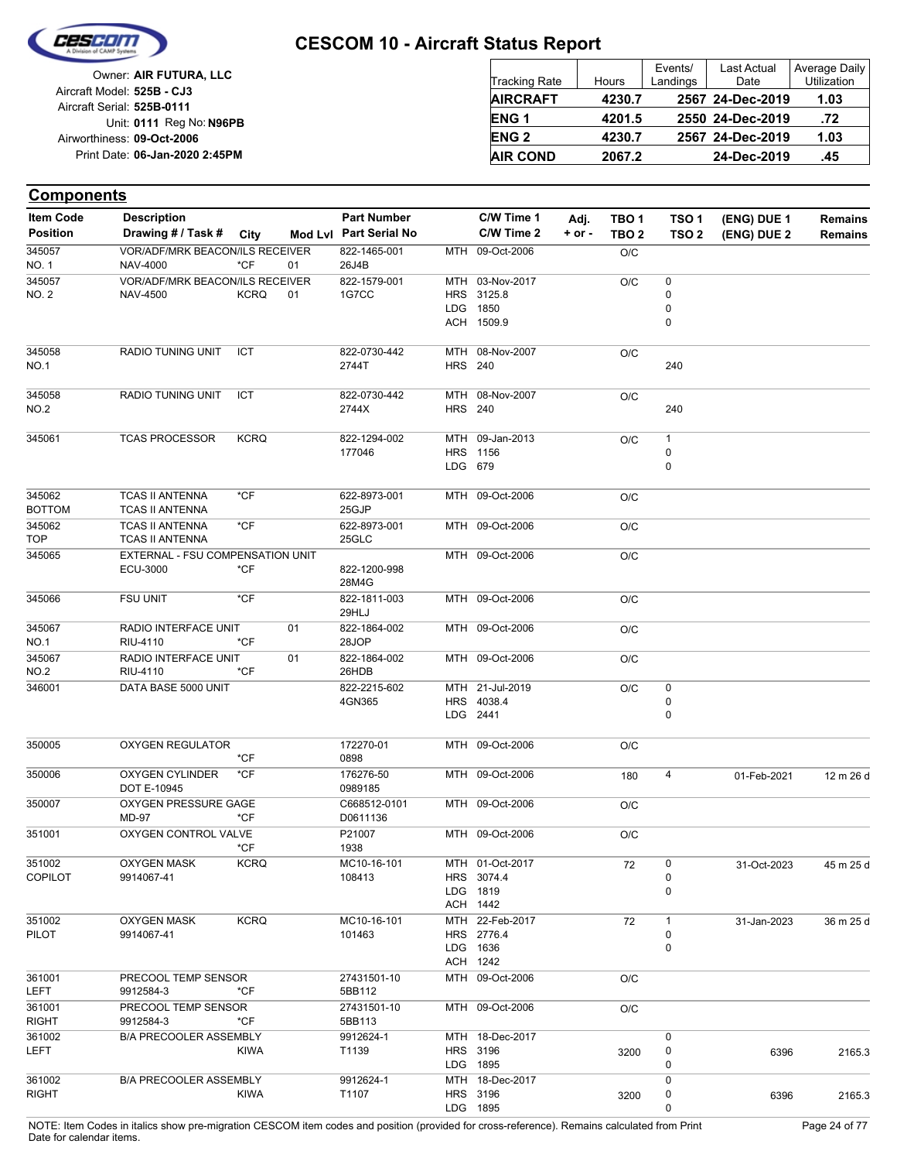

| Owner: AIR FUTURA, LLC         |
|--------------------------------|
| Aircraft Model: 525B - CJ3     |
| Aircraft Serial: 525B-0111     |
| Unit: 0111 Reg No: N96PB       |
| Airworthiness: 09-Oct-2006     |
| Print Date: 06-Jan-2020 2:45PM |
|                                |

| <b>Tracking Rate</b> | Hours  | Events/<br>Landings | <b>Last Actual</b><br>Date | Average Daily<br>Utilization |
|----------------------|--------|---------------------|----------------------------|------------------------------|
| <b>AIRCRAFT</b>      | 4230.7 |                     | 2567 24-Dec-2019           | 1.03                         |
| <b>ENG1</b>          | 4201.5 |                     | 2550 24-Dec-2019           | .72                          |
| <b>ENG2</b>          | 4230.7 |                     | 2567 24-Dec-2019           | 1.03                         |
| <b>AIR COND</b>      | 2067.2 |                     | 24-Dec-2019                | .45                          |

| <b>Components</b>      |                                                  |             |    |                          |                |                        |          |                  |                  |             |                |
|------------------------|--------------------------------------------------|-------------|----|--------------------------|----------------|------------------------|----------|------------------|------------------|-------------|----------------|
| <b>Item Code</b>       | <b>Description</b>                               |             |    | <b>Part Number</b>       |                | C/W Time 1             | Adj.     | TBO <sub>1</sub> | TSO <sub>1</sub> | (ENG) DUE 1 | <b>Remains</b> |
| <b>Position</b>        | Drawing # / Task #                               | City        |    | Mod Lvl Part Serial No   |                | C/W Time 2             | $+ or -$ | TBO <sub>2</sub> | TSO <sub>2</sub> | (ENG) DUE 2 | <b>Remains</b> |
| 345057                 | VOR/ADF/MRK BEACON/ILS RECEIVER                  |             |    | 822-1465-001             | MTH            | 09-Oct-2006            |          | O/C              |                  |             |                |
| NO. 1                  | NAV-4000                                         | $*$ CF      | 01 | 26J4B                    |                |                        |          |                  |                  |             |                |
| 345057                 | VOR/ADF/MRK BEACON/ILS RECEIVER                  |             |    | 822-1579-001             |                | MTH 03-Nov-2017        |          | O/C              | 0                |             |                |
| NO. 2                  | <b>NAV-4500</b>                                  | <b>KCRQ</b> | 01 | 1G7CC                    |                | HRS 3125.8             |          |                  | 0                |             |                |
|                        |                                                  |             |    |                          | <b>LDG</b>     | 1850                   |          |                  | 0<br>0           |             |                |
|                        |                                                  |             |    |                          |                | ACH 1509.9             |          |                  |                  |             |                |
| 345058                 | RADIO TUNING UNIT                                | ICT         |    | 822-0730-442             |                | MTH 08-Nov-2007        |          | O/C              |                  |             |                |
| NO.1                   |                                                  |             |    | 2744T                    | <b>HRS 240</b> |                        |          |                  | 240              |             |                |
| 345058                 | <b>RADIO TUNING UNIT</b>                         | ICT         |    | 822-0730-442             |                | MTH 08-Nov-2007        |          | O/C              |                  |             |                |
| NO.2                   |                                                  |             |    | 2744X                    | <b>HRS</b> 240 |                        |          |                  | 240              |             |                |
| 345061                 | <b>TCAS PROCESSOR</b>                            | <b>KCRQ</b> |    | 822-1294-002             |                | MTH 09-Jan-2013        |          | O/C              | 1                |             |                |
|                        |                                                  |             |    | 177046                   |                | HRS 1156               |          |                  | 0                |             |                |
|                        |                                                  |             |    |                          | LDG 679        |                        |          |                  | 0                |             |                |
| 345062                 | <b>TCAS II ANTENNA</b>                           | $*$ CF      |    | 622-8973-001             |                | MTH 09-Oct-2006        |          | O/C              |                  |             |                |
| <b>BOTTOM</b>          | <b>TCAS II ANTENNA</b>                           |             |    | 25GJP                    |                |                        |          |                  |                  |             |                |
| 345062<br><b>TOP</b>   | <b>TCAS II ANTENNA</b><br><b>TCAS II ANTENNA</b> | $*$ CF      |    | 622-8973-001<br>25GLC    |                | MTH 09-Oct-2006        |          | O/C              |                  |             |                |
| 345065                 | EXTERNAL - FSU COMPENSATION UNIT                 |             |    |                          |                | MTH 09-Oct-2006        |          | O/C              |                  |             |                |
|                        | ECU-3000                                         | *CF         |    | 822-1200-998             |                |                        |          |                  |                  |             |                |
|                        |                                                  |             |    | 28M4G                    |                |                        |          |                  |                  |             |                |
| 345066                 | <b>FSU UNIT</b>                                  | $*CF$       |    | 822-1811-003<br>29HLJ    |                | MTH 09-Oct-2006        |          | O/C              |                  |             |                |
| 345067                 | RADIO INTERFACE UNIT                             |             | 01 | 822-1864-002             |                | MTH 09-Oct-2006        |          | O/C              |                  |             |                |
| NO.1                   | RIU-4110                                         | *CF         |    | 28JOP                    |                |                        |          |                  |                  |             |                |
| 345067<br>NO.2         | RADIO INTERFACE UNIT<br>RIU-4110                 | $*$ CF      | 01 | 822-1864-002<br>26HDB    |                | MTH 09-Oct-2006        |          | O/C              |                  |             |                |
| 346001                 | DATA BASE 5000 UNIT                              |             |    | 822-2215-602             |                | MTH 21-Jul-2019        |          | O/C              | 0                |             |                |
|                        |                                                  |             |    | 4GN365                   |                | HRS 4038.4             |          |                  | 0                |             |                |
|                        |                                                  |             |    |                          |                | LDG 2441               |          |                  | $\mathbf 0$      |             |                |
| 350005                 | <b>OXYGEN REGULATOR</b>                          |             |    | 172270-01                |                | MTH 09-Oct-2006        |          | O/C              |                  |             |                |
|                        |                                                  | *CF         |    | 0898                     |                |                        |          |                  |                  |             |                |
| 350006                 | OXYGEN CYLINDER                                  | $*$ CF      |    | 176276-50                |                | MTH 09-Oct-2006        |          | 180              | 4                | 01-Feb-2021 | 12 m 26 d      |
|                        | DOT E-10945                                      |             |    | 0989185                  |                |                        |          |                  |                  |             |                |
| 350007                 | OXYGEN PRESSURE GAGE<br>MD-97                    | *CF         |    | C668512-0101<br>D0611136 |                | MTH 09-Oct-2006        |          | O/C              |                  |             |                |
| 351001                 | OXYGEN CONTROL VALVE                             |             |    | P21007                   |                | MTH 09-Oct-2006        |          | O/C              |                  |             |                |
|                        |                                                  | *CF         |    | 1938                     |                |                        |          |                  |                  |             |                |
| 351002                 | <b>OXYGEN MASK</b>                               | <b>KCRQ</b> |    | MC10-16-101              |                | MTH 01-Oct-2017        |          | 72               | 0                | 31-Oct-2023 | 45 m 25 d      |
| <b>COPILOT</b>         | 9914067-41                                       |             |    | 108413                   |                | HRS 3074.4             |          |                  | 0                |             |                |
|                        |                                                  |             |    |                          |                | LDG 1819               |          |                  | $\mathbf 0$      |             |                |
|                        |                                                  |             |    |                          |                | ACH 1442               |          |                  |                  |             |                |
| 351002                 | <b>OXYGEN MASK</b>                               | <b>KCRQ</b> |    | MC10-16-101              |                | MTH 22-Feb-2017        |          | 72               | $\mathbf{1}$     | 31-Jan-2023 | 36 m 25 d      |
| PILOT                  | 9914067-41                                       |             |    | 101463                   |                | HRS 2776.4<br>LDG 1636 |          |                  | 0<br>$\mathbf 0$ |             |                |
|                        |                                                  |             |    |                          |                | ACH 1242               |          |                  |                  |             |                |
| 361001                 | PRECOOL TEMP SENSOR                              |             |    | 27431501-10              |                | MTH 09-Oct-2006        |          | O/C              |                  |             |                |
| LEFT                   | 9912584-3                                        | *CF         |    | 5BB112                   |                |                        |          |                  |                  |             |                |
| 361001                 | PRECOOL TEMP SENSOR                              | *CF         |    | 27431501-10              |                | MTH 09-Oct-2006        |          | O/C              |                  |             |                |
| <b>RIGHT</b><br>361002 | 9912584-3<br><b>B/A PRECOOLER ASSEMBLY</b>       |             |    | 5BB113<br>9912624-1      |                | MTH 18-Dec-2017        |          |                  | 0                |             |                |
| LEFT                   |                                                  | <b>KIWA</b> |    | T1139                    |                | HRS 3196               |          | 3200             | 0                | 6396        | 2165.3         |
|                        |                                                  |             |    |                          |                | LDG 1895               |          |                  | 0                |             |                |
| 361002                 | <b>B/A PRECOOLER ASSEMBLY</b>                    |             |    | 9912624-1                |                | MTH 18-Dec-2017        |          |                  | 0                |             |                |
| <b>RIGHT</b>           |                                                  | <b>KIWA</b> |    | T1107                    |                | HRS 3196               |          | 3200             | 0                | 6396        | 2165.3         |
|                        |                                                  |             |    |                          |                | LDG 1895               |          |                  | 0                |             |                |

NOTE: Item Codes in italics show pre-migration CESCOM item codes and position (provided for cross-reference). Remains calculated from Print Page 24 of 77 Date for calendar items.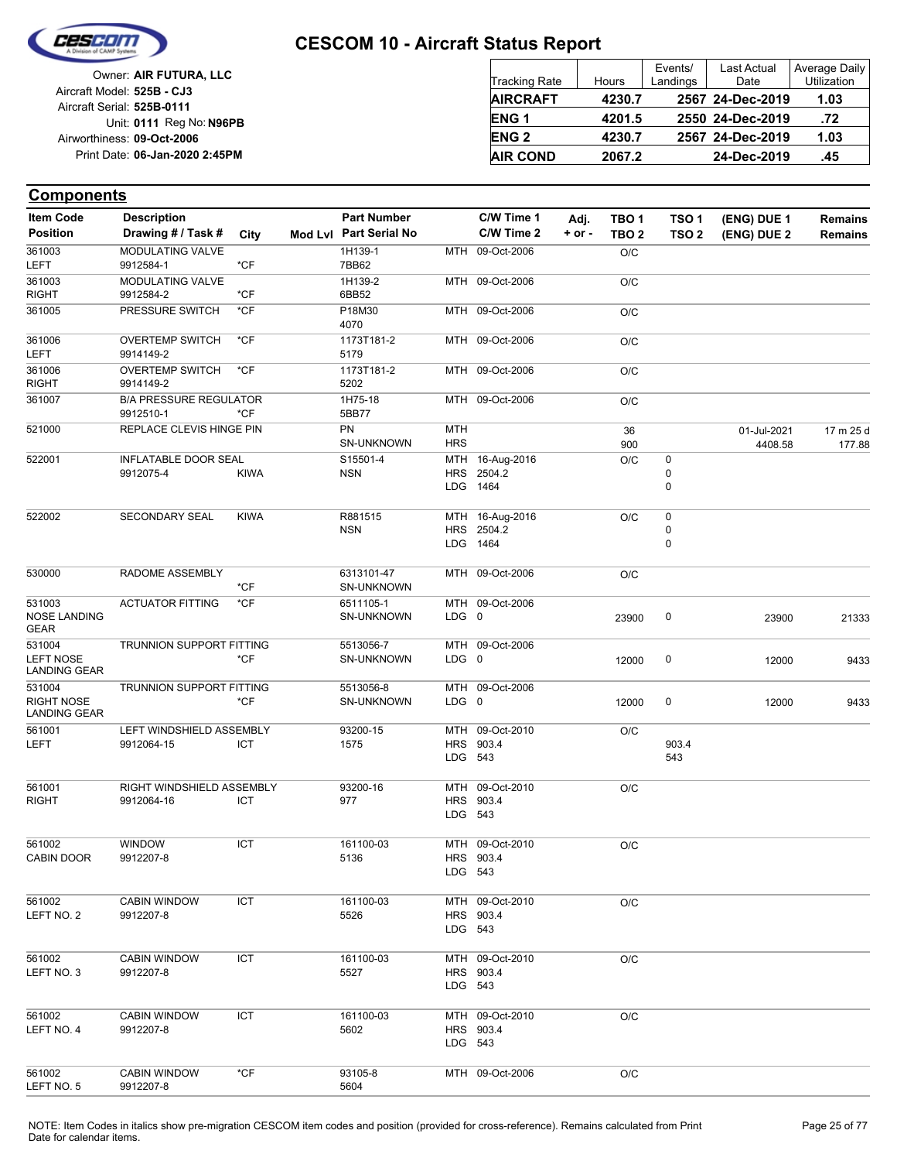

| Owner: AIR FUTURA, LLC                                   | Tracking Rate    | Hours  | Events/<br>Landings | <b>Last Actual</b><br>Date | Average Daily<br><b>Utilization</b> |
|----------------------------------------------------------|------------------|--------|---------------------|----------------------------|-------------------------------------|
| Aircraft Model: 525B - CJ3<br>Aircraft Serial: 525B-0111 | <b>AIRCRAFT</b>  | 4230.7 |                     | 2567 24-Dec-2019           | 1.03                                |
| Unit: 0111 Reg No: N96PB                                 | ENG <sub>1</sub> | 4201.5 |                     | 2550 24-Dec-2019           | .72                                 |
| Airworthiness: 09-Oct-2006                               | <b>ENG 2</b>     | 4230.7 |                     | 2567 24-Dec-2019           | 1.03                                |
| Print Date: 06-Jan-2020 2:45PM                           | <b>AIR COND</b>  | 2067.2 |                     | 24-Dec-2019                | .45                                 |

| Item Code                                | <b>Description</b>                         |             | <b>Part Number</b>     |            | C/W Time 1         | Adj.     | TBO <sub>1</sub> | TSO <sub>1</sub> | (ENG) DUE 1 | <b>Remains</b> |
|------------------------------------------|--------------------------------------------|-------------|------------------------|------------|--------------------|----------|------------------|------------------|-------------|----------------|
| <b>Position</b>                          | Drawing # / Task #                         | City        | Mod Lvl Part Serial No |            | C/W Time 2         | $+ or -$ | TBO <sub>2</sub> | TSO <sub>2</sub> | (ENG) DUE 2 | <b>Remains</b> |
| 361003                                   | <b>MODULATING VALVE</b>                    |             | 1H139-1                |            | MTH 09-Oct-2006    |          | O/C              |                  |             |                |
| <b>LEFT</b>                              | 9912584-1                                  | $*$ CF      | 7BB62                  |            |                    |          |                  |                  |             |                |
| 361003                                   | MODULATING VALVE                           |             | 1H139-2                |            | MTH 09-Oct-2006    |          | O/C              |                  |             |                |
| <b>RIGHT</b>                             | 9912584-2                                  | $*$ CF      | 6BB52                  |            |                    |          |                  |                  |             |                |
| 361005                                   | PRESSURE SWITCH                            | $*$ CF      | P18M30<br>4070         |            | MTH 09-Oct-2006    |          | O/C              |                  |             |                |
| 361006<br>LEFT                           | <b>OVERTEMP SWITCH</b><br>9914149-2        | $*$ CF      | 1173T181-2<br>5179     |            | MTH 09-Oct-2006    |          | O/C              |                  |             |                |
| 361006                                   | <b>OVERTEMP SWITCH</b>                     | *CF         | 1173T181-2             |            | MTH 09-Oct-2006    |          | O/C              |                  |             |                |
| <b>RIGHT</b>                             | 9914149-2                                  |             | 5202                   |            |                    |          |                  |                  |             |                |
| 361007                                   | <b>B/A PRESSURE REGULATOR</b><br>9912510-1 | *CF         | 1H75-18<br>5BB77       |            | MTH 09-Oct-2006    |          | O/C              |                  |             |                |
| 521000                                   | REPLACE CLEVIS HINGE PIN                   |             | PN                     | MTH        |                    |          | 36               |                  | 01-Jul-2021 | 17 m 25 d      |
|                                          |                                            |             | SN-UNKNOWN             | <b>HRS</b> |                    |          | 900              |                  | 4408.58     | 177.88         |
| 522001                                   | <b>INFLATABLE DOOR SEAL</b>                |             | S15501-4               |            | MTH 16-Aug-2016    |          | O/C              | 0                |             |                |
|                                          | 9912075-4                                  | <b>KIWA</b> | <b>NSN</b>             | <b>HRS</b> | 2504.2<br>LDG 1464 |          |                  | 0<br>0           |             |                |
| 522002                                   | SECONDARY SEAL                             | <b>KIWA</b> | R881515                |            | MTH 16-Aug-2016    |          | O/C              | 0                |             |                |
|                                          |                                            |             | <b>NSN</b>             |            | HRS 2504.2         |          |                  | 0                |             |                |
|                                          |                                            |             |                        |            | LDG 1464           |          |                  | 0                |             |                |
|                                          |                                            |             |                        |            |                    |          |                  |                  |             |                |
| 530000                                   | <b>RADOME ASSEMBLY</b>                     |             | 6313101-47             |            | MTH 09-Oct-2006    |          | O/C              |                  |             |                |
|                                          |                                            | *CF         | <b>SN-UNKNOWN</b>      |            |                    |          |                  |                  |             |                |
| 531003                                   | <b>ACTUATOR FITTING</b>                    | *CF         | 6511105-1              |            | MTH 09-Oct-2006    |          |                  |                  |             |                |
| <b>NOSE LANDING</b><br>GEAR              |                                            |             | SN-UNKNOWN             | LDG 0      |                    |          | 23900            | 0                | 23900       | 21333          |
| 531004                                   | TRUNNION SUPPORT FITTING                   |             | 5513056-7              |            | MTH 09-Oct-2006    |          |                  |                  |             |                |
| <b>LEFT NOSE</b><br><b>LANDING GEAR</b>  |                                            | *CF         | SN-UNKNOWN             | LDG 0      |                    |          | 12000            | 0                | 12000       | 9433           |
| 531004                                   | TRUNNION SUPPORT FITTING                   |             | 5513056-8              |            | MTH 09-Oct-2006    |          |                  |                  |             |                |
| <b>RIGHT NOSE</b><br><b>LANDING GEAR</b> |                                            | *CF         | <b>SN-UNKNOWN</b>      | LDG 0      |                    |          | 12000            | 0                | 12000       | 9433           |
| 561001                                   | LEFT WINDSHIELD ASSEMBLY                   |             | 93200-15               |            | MTH 09-Oct-2010    |          | O/C              |                  |             |                |
| LEFT                                     | 9912064-15                                 | ICT         | 1575                   |            | HRS 903.4          |          |                  | 903.4<br>543     |             |                |
|                                          |                                            |             |                        | LDG 543    |                    |          |                  |                  |             |                |
| 561001                                   | RIGHT WINDSHIELD ASSEMBLY                  |             | 93200-16               | MTH        | 09-Oct-2010        |          | O/C              |                  |             |                |
| <b>RIGHT</b>                             | 9912064-16                                 | ICT         | 977                    |            | HRS 903.4          |          |                  |                  |             |                |
|                                          |                                            |             |                        | LDG 543    |                    |          |                  |                  |             |                |
| 561002                                   | <b>WINDOW</b>                              | <b>ICT</b>  | 161100-03              |            | MTH 09-Oct-2010    |          | O/C              |                  |             |                |
| <b>CABIN DOOR</b>                        | 9912207-8                                  |             | 5136                   |            | HRS 903.4          |          |                  |                  |             |                |
|                                          |                                            |             |                        | LDG 543    |                    |          |                  |                  |             |                |
| 561002                                   | <b>CABIN WINDOW</b>                        | ICT         | 161100-03              |            | MTH 09-Oct-2010    |          |                  |                  |             |                |
| LEFT NO. 2                               | 9912207-8                                  |             | 5526                   |            | HRS 903.4          |          | O/C              |                  |             |                |
|                                          |                                            |             |                        | LDG 543    |                    |          |                  |                  |             |                |
|                                          |                                            |             |                        |            |                    |          |                  |                  |             |                |
| 561002                                   | <b>CABIN WINDOW</b>                        | ICT         | 161100-03              |            | MTH 09-Oct-2010    |          | O/C              |                  |             |                |
| LEFT NO. 3                               | 9912207-8                                  |             | 5527                   |            | HRS 903.4          |          |                  |                  |             |                |
|                                          |                                            |             |                        | LDG 543    |                    |          |                  |                  |             |                |
| 561002                                   | <b>CABIN WINDOW</b>                        | ICT         | 161100-03              |            | MTH 09-Oct-2010    |          | O/C              |                  |             |                |
| LEFT NO. 4                               | 9912207-8                                  |             | 5602                   |            | HRS 903.4          |          |                  |                  |             |                |
|                                          |                                            |             |                        | LDG 543    |                    |          |                  |                  |             |                |
| 561002                                   | <b>CABIN WINDOW</b>                        | $*$ CF      | 93105-8                |            | MTH 09-Oct-2006    |          | O/C              |                  |             |                |
| LEFT NO. 5                               | 9912207-8                                  |             | 5604                   |            |                    |          |                  |                  |             |                |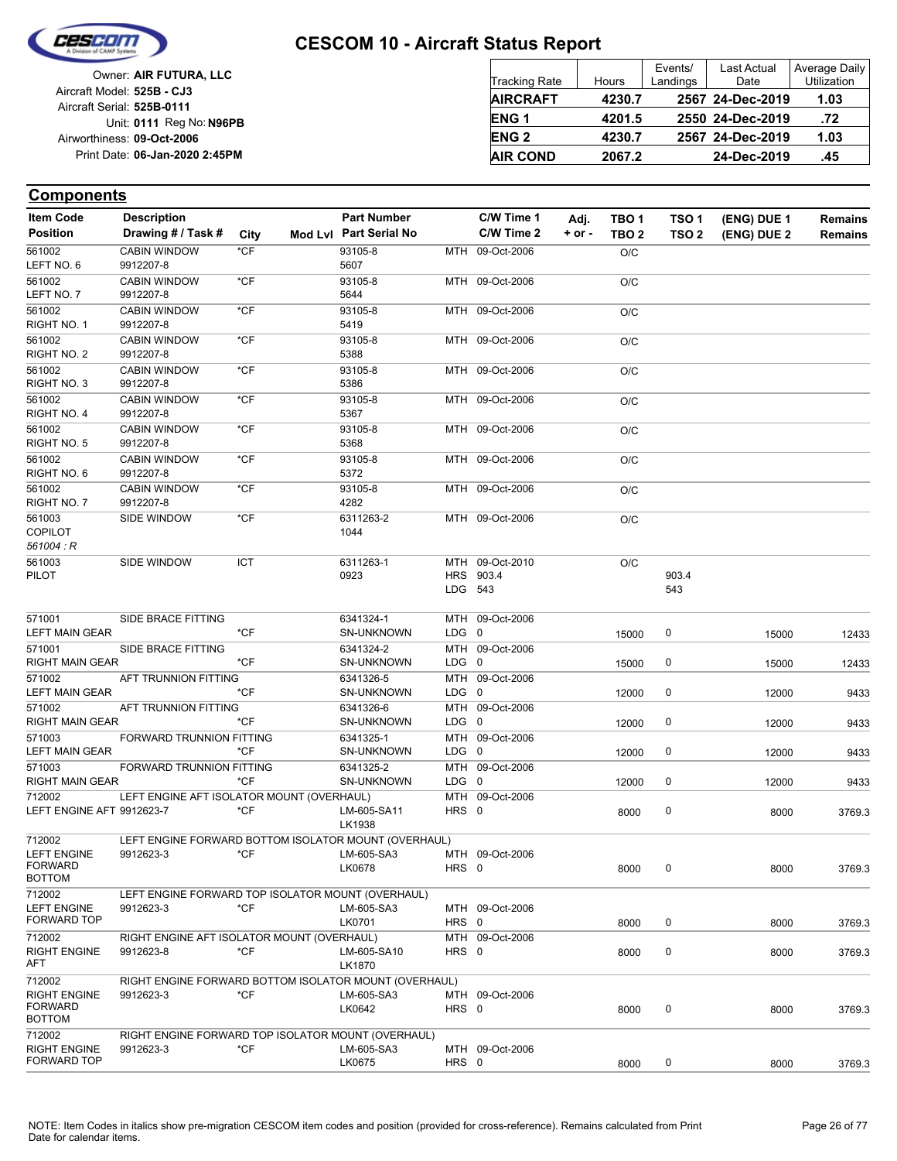

| Owner: AIR FUTURA. LLC         |
|--------------------------------|
| Aircraft Model: 525B - CJ3     |
| Aircraft Serial: 525B-0111     |
| Unit: 0111 Reg No: N96PB       |
| Airworthiness: 09-Oct-2006     |
| Print Date: 06-Jan-2020 2:45PM |
|                                |

| <b>Tracking Rate</b> | Hours  | Events/<br>Landings | Last Actual<br>Date | Average Daily<br>Utilization |
|----------------------|--------|---------------------|---------------------|------------------------------|
| <b>AIRCRAFT</b>      | 4230.7 |                     | 2567 24-Dec-2019    | 1.03                         |
| <b>ENG1</b>          | 4201.5 |                     | 2550 24-Dec-2019    | .72                          |
| <b>ENG 2</b>         | 4230.7 |                     | 2567 24-Dec-2019    | 1.03                         |
| <b>AIR COND</b>      | 2067.2 |                     | 24-Dec-2019         | .45                          |

| <b>Item Code</b>                      | <b>Description</b>                                    |        | <b>Part Number</b>     |           | C/W Time 1      | Adj.       | TBO <sub>1</sub> | TSO <sub>1</sub> | (ENG) DUE 1 | <b>Remains</b> |
|---------------------------------------|-------------------------------------------------------|--------|------------------------|-----------|-----------------|------------|------------------|------------------|-------------|----------------|
| <b>Position</b>                       | Drawing # / Task #                                    | City   | Mod Lyl Part Serial No |           | C/W Time 2      | $+$ or $-$ | TBO <sub>2</sub> | TSO <sub>2</sub> | (ENG) DUE 2 | <b>Remains</b> |
| 561002                                | <b>CABIN WINDOW</b>                                   | *CF    | 93105-8                |           | MTH 09-Oct-2006 |            | O/C              |                  |             |                |
| LEFT NO. 6                            | 9912207-8                                             |        | 5607                   |           |                 |            |                  |                  |             |                |
| 561002                                | <b>CABIN WINDOW</b>                                   | $*$ CF | 93105-8                |           | MTH 09-Oct-2006 |            | O/C              |                  |             |                |
| LEFT NO.7                             | 9912207-8                                             |        | 5644                   |           |                 |            |                  |                  |             |                |
| 561002                                | <b>CABIN WINDOW</b>                                   | $*$ CF | 93105-8                |           | MTH 09-Oct-2006 |            | O/C              |                  |             |                |
| RIGHT NO. 1                           | 9912207-8                                             |        | 5419                   |           |                 |            |                  |                  |             |                |
| 561002                                | <b>CABIN WINDOW</b>                                   | $*$ CF | 93105-8                |           | MTH 09-Oct-2006 |            | O/C              |                  |             |                |
| RIGHT NO. 2                           | 9912207-8                                             |        | 5388                   |           |                 |            |                  |                  |             |                |
| 561002                                | <b>CABIN WINDOW</b>                                   | *CF    | 93105-8                |           | MTH 09-Oct-2006 |            | O/C              |                  |             |                |
| RIGHT NO. 3                           | 9912207-8                                             |        | 5386                   |           |                 |            |                  |                  |             |                |
| 561002                                | <b>CABIN WINDOW</b>                                   | $*$ CF | 93105-8                |           | MTH 09-Oct-2006 |            | O/C              |                  |             |                |
| RIGHT NO. 4                           | 9912207-8                                             |        | 5367                   |           |                 |            |                  |                  |             |                |
| 561002                                | <b>CABIN WINDOW</b>                                   | *CF    | 93105-8                |           | MTH 09-Oct-2006 |            | O/C              |                  |             |                |
| RIGHT NO. 5                           | 9912207-8                                             |        | 5368                   |           |                 |            |                  |                  |             |                |
| 561002                                | <b>CABIN WINDOW</b>                                   | *CF    | 93105-8                |           | MTH 09-Oct-2006 |            | O/C              |                  |             |                |
| RIGHT NO. 6                           | 9912207-8                                             |        | 5372                   |           |                 |            |                  |                  |             |                |
| 561002                                | <b>CABIN WINDOW</b>                                   | $*$ CF | 93105-8                |           | MTH 09-Oct-2006 |            | O/C              |                  |             |                |
| RIGHT NO. 7                           | 9912207-8                                             |        | 4282                   |           |                 |            |                  |                  |             |                |
| 561003                                | <b>SIDE WINDOW</b>                                    | *CF    | 6311263-2              |           | MTH 09-Oct-2006 |            | O/C              |                  |             |                |
| COPILOT                               |                                                       |        | 1044                   |           |                 |            |                  |                  |             |                |
| 561004 : R                            |                                                       |        |                        |           |                 |            |                  |                  |             |                |
| 561003                                | SIDE WINDOW                                           | ICT    | 6311263-1              |           | MTH 09-Oct-2010 |            | O/C              |                  |             |                |
| PILOT                                 |                                                       |        | 0923                   |           | HRS 903.4       |            |                  | 903.4            |             |                |
|                                       |                                                       |        |                        |           | LDG 543         |            |                  | 543              |             |                |
|                                       |                                                       |        |                        |           |                 |            |                  |                  |             |                |
| 571001                                | SIDE BRACE FITTING                                    |        | 6341324-1              |           | MTH 09-Oct-2006 |            |                  |                  |             |                |
| LEFT MAIN GEAR                        |                                                       | $*CF$  | <b>SN-UNKNOWN</b>      | LDG 0     |                 |            | 15000            | 0                | 15000       | 12433          |
| 571001                                | SIDE BRACE FITTING                                    |        | 6341324-2              |           | MTH 09-Oct-2006 |            |                  |                  |             |                |
| RIGHT MAIN GEAR                       |                                                       | *CF    | <b>SN-UNKNOWN</b>      | LDG 0     |                 |            | 15000            | 0                | 15000       | 12433          |
| 571002                                | AFT TRUNNION FITTING                                  |        | 6341326-5              |           | MTH 09-Oct-2006 |            |                  |                  |             |                |
| <b>LEFT MAIN GEAR</b>                 |                                                       | *CF    | <b>SN-UNKNOWN</b>      | LDG 0     |                 |            | 12000            | 0                | 12000       | 9433           |
| 571002                                | AFT TRUNNION FITTING                                  |        | 6341326-6              |           | MTH 09-Oct-2006 |            |                  |                  |             |                |
| RIGHT MAIN GEAR                       |                                                       | *CF    | <b>SN-UNKNOWN</b>      | $LDG \t0$ |                 |            | 12000            | 0                | 12000       | 9433           |
| 571003                                | FORWARD TRUNNION FITTING                              |        | 6341325-1              |           | MTH 09-Oct-2006 |            |                  |                  |             |                |
| <b>LEFT MAIN GEAR</b>                 |                                                       | *CF    | <b>SN-UNKNOWN</b>      | LDG 0     |                 |            | 12000            | 0                | 12000       | 9433           |
| 571003                                | FORWARD TRUNNION FITTING                              |        | 6341325-2              |           | MTH 09-Oct-2006 |            |                  |                  |             |                |
| RIGHT MAIN GEAR                       |                                                       | *CF    | SN-UNKNOWN             | LDG 0     |                 |            | 12000            | 0                | 12000       | 9433           |
| 712002                                | LEFT ENGINE AFT ISOLATOR MOUNT (OVERHAUL)             |        |                        |           | MTH 09-Oct-2006 |            |                  |                  |             |                |
| LEFT ENGINE AFT 9912623-7             |                                                       | *CF    | LM-605-SA11            | HRS 0     |                 |            | 8000             | 0                | 8000        | 3769.3         |
|                                       |                                                       |        | LK1938                 |           |                 |            |                  |                  |             |                |
| 712002                                | LEFT ENGINE FORWARD BOTTOM ISOLATOR MOUNT (OVERHAUL)  |        |                        |           |                 |            |                  |                  |             |                |
| <b>LEFT ENGINE</b>                    | 9912623-3                                             | *CF    | LM-605-SA3             |           | MTH 09-Oct-2006 |            |                  |                  |             |                |
| <b>FORWARD</b>                        |                                                       |        | LK0678                 | HRS 0     |                 |            | 8000             |                  | 8000        | 3769.3         |
| <b>BOTTOM</b>                         |                                                       |        |                        |           |                 |            |                  |                  |             |                |
| 712002                                | LEFT ENGINE FORWARD TOP ISOLATOR MOUNT (OVERHAUL)     |        |                        |           |                 |            |                  |                  |             |                |
| <b>LEFT ENGINE</b><br>FORWARD TOP     | 9912623-3                                             | $*$ CF | LM-605-SA3             |           | MTH 09-Oct-2006 |            |                  |                  |             |                |
|                                       |                                                       |        | LK0701                 | HRS 0     |                 |            | 8000             | 0                | 8000        | 3769.3         |
| 712002                                | RIGHT ENGINE AFT ISOLATOR MOUNT (OVERHAUL)            |        |                        |           | MTH 09-Oct-2006 |            |                  |                  |             |                |
| <b>RIGHT ENGINE</b><br>AFT            | 9912623-8                                             | $*$ CF | LM-605-SA10            | HRS 0     |                 |            | 8000             | $\pmb{0}$        | 8000        | 3769.3         |
|                                       |                                                       |        | LK1870                 |           |                 |            |                  |                  |             |                |
| 712002                                | RIGHT ENGINE FORWARD BOTTOM ISOLATOR MOUNT (OVERHAUL) |        |                        |           |                 |            |                  |                  |             |                |
| <b>RIGHT ENGINE</b><br><b>FORWARD</b> | 9912623-3                                             | *CF    | LM-605-SA3<br>LK0642   | HRS 0     | MTH 09-Oct-2006 |            |                  | $\pmb{0}$        |             |                |
| <b>BOTTOM</b>                         |                                                       |        |                        |           |                 |            | 8000             |                  | 8000        | 3769.3         |
| 712002                                | RIGHT ENGINE FORWARD TOP ISOLATOR MOUNT (OVERHAUL)    |        |                        |           |                 |            |                  |                  |             |                |
| <b>RIGHT ENGINE</b>                   | 9912623-3                                             | $*$ CF | LM-605-SA3             |           | MTH 09-Oct-2006 |            |                  |                  |             |                |
| FORWARD TOP                           |                                                       |        | LK0675                 | HRS 0     |                 |            | 8000             | 0                | 8000        | 3769.3         |
|                                       |                                                       |        |                        |           |                 |            |                  |                  |             |                |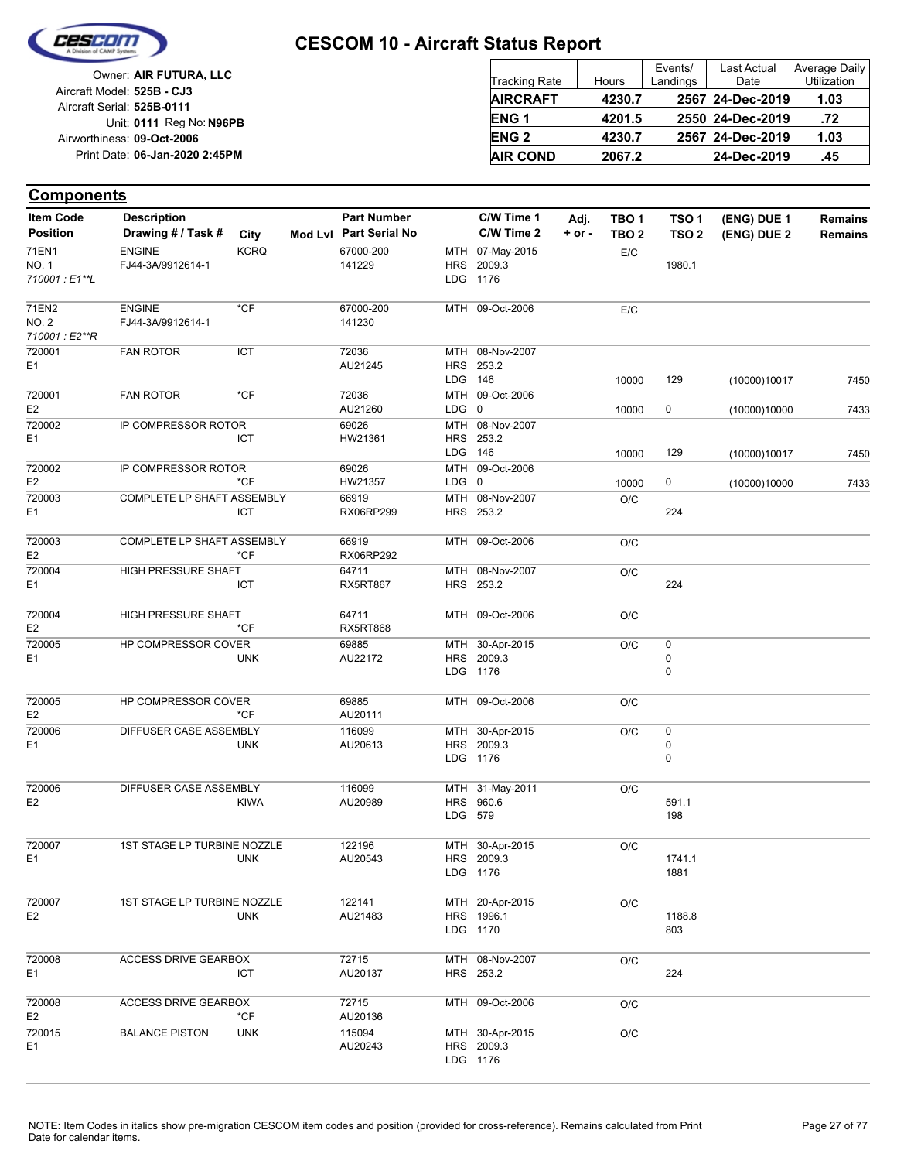

|                            | Owner: AIR FUTURA, LLC         |
|----------------------------|--------------------------------|
| Aircraft Model: 525B - CJ3 |                                |
| Aircraft Serial: 525B-0111 |                                |
|                            | Unit: 0111 Reg No: N96PB       |
| Airworthiness: 09-Oct-2006 |                                |
|                            | Print Date: 06-Jan-2020 2:45PM |
|                            |                                |

| <b>Tracking Rate</b> | Hours  | Events/<br>Landings | <b>Last Actual</b><br>Date | Average Daily<br>Utilization |
|----------------------|--------|---------------------|----------------------------|------------------------------|
| <b>AIRCRAFT</b>      | 4230.7 |                     | 2567 24-Dec-2019           | 1.03                         |
| ENG <sub>1</sub>     | 4201.5 |                     | 2550 24-Dec-2019           | .72                          |
| ENG <sub>2</sub>     | 4230.7 |                     | 2567 24-Dec-2019           | 1.03                         |
| <b>AIR COND</b>      | 2067.2 |                     | 24-Dec-2019                | .45                          |

| <b>Item Code</b>         | <b>Description</b>          |             | <b>Part Number</b>     |         | C/W Time 1      | Adj.       | TBO 1            | TSO 1            | (ENG) DUE 1  | <b>Remains</b> |
|--------------------------|-----------------------------|-------------|------------------------|---------|-----------------|------------|------------------|------------------|--------------|----------------|
| <b>Position</b>          | Drawing # / Task #          | City        | Mod Lvl Part Serial No |         | C/W Time 2      | $+$ or $-$ | TBO <sub>2</sub> | TSO <sub>2</sub> | (ENG) DUE 2  | <b>Remains</b> |
| 71EN1                    | <b>ENGINE</b>               | <b>KCRQ</b> | 67000-200              |         | MTH 07-May-2015 |            | E/C              |                  |              |                |
| NO. 1                    | FJ44-3A/9912614-1           |             | 141229                 |         | HRS 2009.3      |            |                  | 1980.1           |              |                |
| 710001: E1**L            |                             |             |                        |         | LDG 1176        |            |                  |                  |              |                |
| 71EN2                    | <b>ENGINE</b>               | $*$ CF      | 67000-200              |         | MTH 09-Oct-2006 |            | E/C              |                  |              |                |
| NO. 2                    | FJ44-3A/9912614-1           |             | 141230                 |         |                 |            |                  |                  |              |                |
| 710001: E2**R            |                             |             |                        |         |                 |            |                  |                  |              |                |
| 720001                   | <b>FAN ROTOR</b>            | ICT         | 72036                  |         | MTH 08-Nov-2007 |            |                  |                  |              |                |
| E1                       |                             |             | AU21245                |         | HRS 253.2       |            |                  |                  |              |                |
|                          |                             |             |                        | LDG 146 |                 |            | 10000            | 129              | (10000)10017 | 7450           |
| 720001                   | <b>FAN ROTOR</b>            | $*$ CF      | 72036                  |         | MTH 09-Oct-2006 |            |                  |                  |              |                |
| E <sub>2</sub>           |                             |             | AU21260                | LDG 0   |                 |            | 10000            | $\pmb{0}$        | (10000)10000 | 7433           |
| 720002                   | IP COMPRESSOR ROTOR         |             | 69026                  |         | MTH 08-Nov-2007 |            |                  |                  |              |                |
| E1                       |                             | ICT         | HW21361                |         | HRS 253.2       |            |                  |                  |              |                |
|                          |                             |             |                        | LDG 146 |                 |            | 10000            | 129              | (10000)10017 | 7450           |
| 720002                   | IP COMPRESSOR ROTOR         |             | 69026                  |         | MTH 09-Oct-2006 |            |                  |                  |              |                |
| E <sub>2</sub>           |                             | $*$ CF      | HW21357                | LDG 0   |                 |            | 10000            | 0                | (10000)10000 | 7433           |
| 720003                   | COMPLETE LP SHAFT ASSEMBLY  |             | 66919                  |         | MTH 08-Nov-2007 |            | O/C              |                  |              |                |
| E <sub>1</sub>           |                             | ICT         | RX06RP299              |         | HRS 253.2       |            |                  | 224              |              |                |
|                          |                             |             |                        |         |                 |            |                  |                  |              |                |
| 720003<br>E <sub>2</sub> | COMPLETE LP SHAFT ASSEMBLY  | $*$ CF      | 66919<br>RX06RP292     |         | MTH 09-Oct-2006 |            | O/C              |                  |              |                |
| 720004                   | HIGH PRESSURE SHAFT         |             | 64711                  |         | MTH 08-Nov-2007 |            |                  |                  |              |                |
| E1                       |                             | ICT         | <b>RX5RT867</b>        |         | HRS 253.2       |            | O/C              | 224              |              |                |
|                          |                             |             |                        |         |                 |            |                  |                  |              |                |
| 720004                   | HIGH PRESSURE SHAFT         |             | 64711                  |         | MTH 09-Oct-2006 |            | O/C              |                  |              |                |
| E <sub>2</sub>           |                             | $*$ CF      | RX5RT868               |         |                 |            |                  |                  |              |                |
| 720005                   | HP COMPRESSOR COVER         |             | 69885                  |         | MTH 30-Apr-2015 |            | O/C              | $\pmb{0}$        |              |                |
| E1                       |                             | <b>UNK</b>  | AU22172                |         | HRS 2009.3      |            |                  | $\pmb{0}$        |              |                |
|                          |                             |             |                        |         | LDG 1176        |            |                  | 0                |              |                |
|                          |                             |             |                        |         |                 |            |                  |                  |              |                |
| 720005<br>E <sub>2</sub> | HP COMPRESSOR COVER         | $*CF$       | 69885<br>AU20111       |         | MTH 09-Oct-2006 |            | O/C              |                  |              |                |
| 720006                   | DIFFUSER CASE ASSEMBLY      |             | 116099                 |         | MTH 30-Apr-2015 |            |                  | $\pmb{0}$        |              |                |
| E1                       |                             | <b>UNK</b>  | AU20613                |         | HRS 2009.3      |            | O/C              | $\pmb{0}$        |              |                |
|                          |                             |             |                        |         | LDG 1176        |            |                  | 0                |              |                |
|                          |                             |             |                        |         |                 |            |                  |                  |              |                |
| 720006                   | DIFFUSER CASE ASSEMBLY      |             | 116099                 |         | MTH 31-May-2011 |            | O/C              |                  |              |                |
| E <sub>2</sub>           |                             | <b>KIWA</b> | AU20989                |         | HRS 960.6       |            |                  | 591.1            |              |                |
|                          |                             |             |                        | LDG 579 |                 |            |                  | 198              |              |                |
|                          |                             |             |                        |         |                 |            |                  |                  |              |                |
| 720007                   | 1ST STAGE LP TURBINE NOZZLE |             | 122196                 |         | MTH 30-Apr-2015 |            | O/C              |                  |              |                |
| E <sub>1</sub>           |                             | <b>UNK</b>  | AU20543                |         | HRS 2009.3      |            |                  | 1741.1           |              |                |
|                          |                             |             |                        |         | LDG 1176        |            |                  | 1881             |              |                |
| 720007                   | 1ST STAGE LP TURBINE NOZZLE |             | 122141                 |         | MTH 20-Apr-2015 |            | O/C              |                  |              |                |
| E <sub>2</sub>           |                             | <b>UNK</b>  | AU21483                |         | HRS 1996.1      |            |                  | 1188.8           |              |                |
|                          |                             |             |                        |         | LDG 1170        |            |                  | 803              |              |                |
|                          |                             |             |                        |         |                 |            |                  |                  |              |                |
| 720008                   | <b>ACCESS DRIVE GEARBOX</b> |             | 72715                  |         | MTH 08-Nov-2007 |            | O/C              |                  |              |                |
| E1                       |                             | ICT         | AU20137                |         | HRS 253.2       |            |                  | 224              |              |                |
|                          |                             |             |                        |         |                 |            |                  |                  |              |                |
| 720008                   | <b>ACCESS DRIVE GEARBOX</b> |             | 72715                  |         | MTH 09-Oct-2006 |            | O/C              |                  |              |                |
| E <sub>2</sub>           |                             | $*$ CF      | AU20136                |         |                 |            |                  |                  |              |                |
| 720015                   | <b>BALANCE PISTON</b>       | <b>UNK</b>  | 115094                 |         | MTH 30-Apr-2015 |            | O/C              |                  |              |                |
| E1                       |                             |             | AU20243                |         | HRS 2009.3      |            |                  |                  |              |                |
|                          |                             |             |                        |         | LDG 1176        |            |                  |                  |              |                |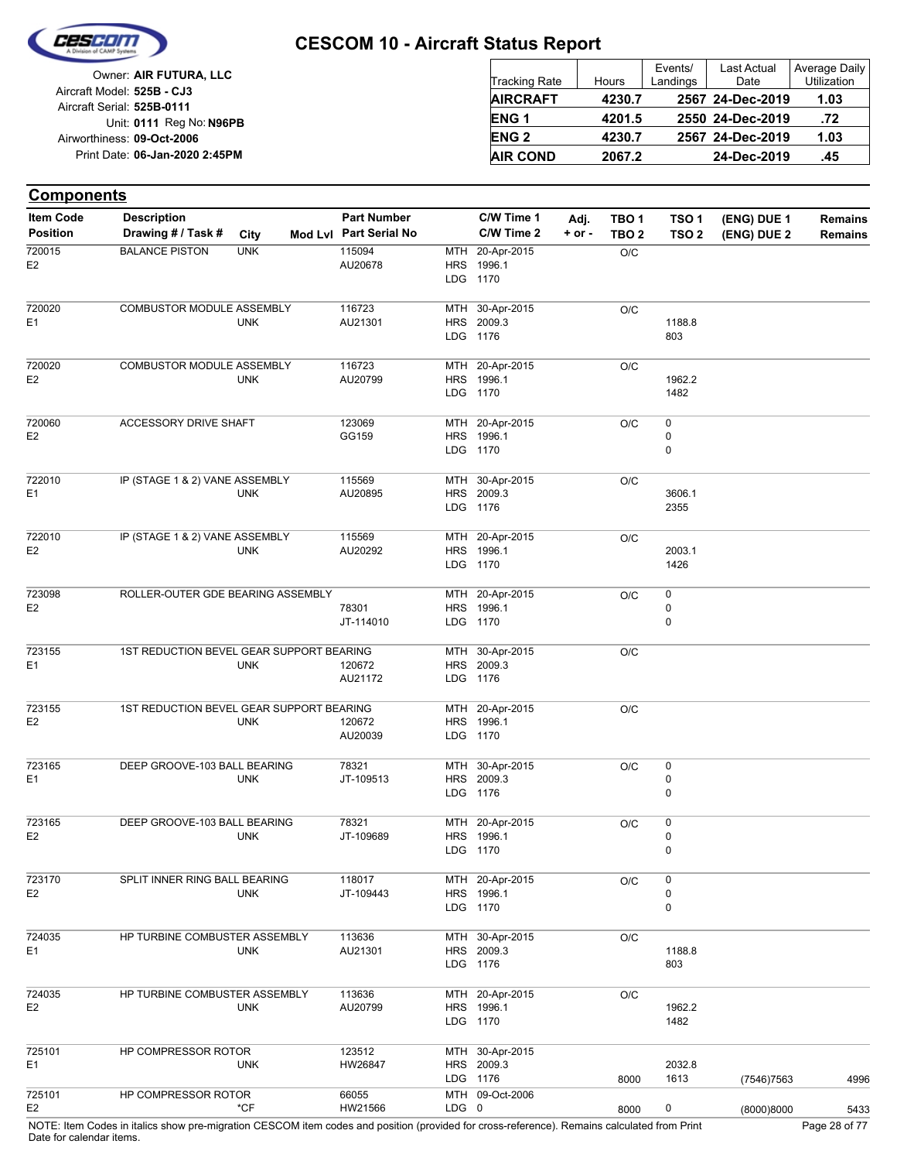

Date for calendar items.

|                            | Owner: AIR FUTURA, LLC         |
|----------------------------|--------------------------------|
| Aircraft Model: 525B - CJ3 |                                |
| Aircraft Serial: 525B-0111 |                                |
|                            | Unit: 0111 Reg No: N96PB       |
| Airworthiness: 09-Oct-2006 |                                |
|                            | Print Date: 06-Jan-2020 2:45PM |
|                            |                                |

| <b>Tracking Rate</b> | Hours  | Events/<br>Landings | <b>Last Actual</b><br>Date | Average Daily<br>Utilization |
|----------------------|--------|---------------------|----------------------------|------------------------------|
| <b>AIRCRAFT</b>      | 4230.7 |                     | 2567 24-Dec-2019           | 1.03                         |
| ENG <sub>1</sub>     | 4201.5 |                     | 2550 24-Dec-2019           | .72                          |
| <b>ENG2</b>          | 4230.7 |                     | 2567 24-Dec-2019           | 1.03                         |
| <b>AIR COND</b>      | 2067.2 |                     | 24-Dec-2019                | .45                          |

| <b>Components</b> |                                                                                                                                             |            |                        |       |                 |          |                  |                  |             |                |
|-------------------|---------------------------------------------------------------------------------------------------------------------------------------------|------------|------------------------|-------|-----------------|----------|------------------|------------------|-------------|----------------|
| <b>Item Code</b>  | <b>Description</b>                                                                                                                          |            | <b>Part Number</b>     |       | C/W Time 1      | Adj.     | TBO <sub>1</sub> | TSO <sub>1</sub> | (ENG) DUE 1 | <b>Remains</b> |
| <b>Position</b>   | Drawing # / Task #                                                                                                                          | City       | Mod Lvl Part Serial No |       | C/W Time 2      | $+ or -$ | TBO <sub>2</sub> | TSO <sub>2</sub> | (ENG) DUE 2 | <b>Remains</b> |
| 720015            | <b>BALANCE PISTON</b>                                                                                                                       | <b>UNK</b> | 115094                 |       | MTH 20-Apr-2015 |          | O/C              |                  |             |                |
| E <sub>2</sub>    |                                                                                                                                             |            | AU20678                |       | HRS 1996.1      |          |                  |                  |             |                |
|                   |                                                                                                                                             |            |                        |       | LDG 1170        |          |                  |                  |             |                |
| 720020            | COMBUSTOR MODULE ASSEMBLY                                                                                                                   |            | 116723                 |       | MTH 30-Apr-2015 |          | O/C              |                  |             |                |
| E1                |                                                                                                                                             | <b>UNK</b> | AU21301                |       | HRS 2009.3      |          |                  | 1188.8           |             |                |
|                   |                                                                                                                                             |            |                        |       | LDG 1176        |          |                  | 803              |             |                |
| 720020            | COMBUSTOR MODULE ASSEMBLY                                                                                                                   |            | 116723                 |       | MTH 20-Apr-2015 |          | O/C              |                  |             |                |
| E <sub>2</sub>    |                                                                                                                                             | <b>UNK</b> | AU20799                |       | HRS 1996.1      |          |                  | 1962.2           |             |                |
|                   |                                                                                                                                             |            |                        |       | LDG 1170        |          |                  | 1482             |             |                |
| 720060            | ACCESSORY DRIVE SHAFT                                                                                                                       |            | 123069                 |       | MTH 20-Apr-2015 |          | O/C              | 0                |             |                |
| E <sub>2</sub>    |                                                                                                                                             |            | GG159                  |       | HRS 1996.1      |          |                  | 0                |             |                |
|                   |                                                                                                                                             |            |                        |       | LDG 1170        |          |                  | 0                |             |                |
| 722010            | IP (STAGE 1 & 2) VANE ASSEMBLY                                                                                                              |            | 115569                 |       | MTH 30-Apr-2015 |          | O/C              |                  |             |                |
| E <sub>1</sub>    |                                                                                                                                             | <b>UNK</b> | AU20895                |       | HRS 2009.3      |          |                  | 3606.1           |             |                |
|                   |                                                                                                                                             |            |                        |       | LDG 1176        |          |                  | 2355             |             |                |
| 722010            | IP (STAGE 1 & 2) VANE ASSEMBLY                                                                                                              |            | 115569                 |       | MTH 20-Apr-2015 |          | O/C              |                  |             |                |
| E <sub>2</sub>    |                                                                                                                                             | <b>UNK</b> | AU20292                |       | HRS 1996.1      |          |                  | 2003.1           |             |                |
|                   |                                                                                                                                             |            |                        |       | LDG 1170        |          |                  | 1426             |             |                |
| 723098            | ROLLER-OUTER GDE BEARING ASSEMBLY                                                                                                           |            |                        |       | MTH 20-Apr-2015 |          | O/C              | $\pmb{0}$        |             |                |
| E <sub>2</sub>    |                                                                                                                                             |            | 78301                  |       | HRS 1996.1      |          |                  | 0                |             |                |
|                   |                                                                                                                                             |            | JT-114010              |       | LDG 1170        |          |                  | 0                |             |                |
| 723155            | 1ST REDUCTION BEVEL GEAR SUPPORT BEARING                                                                                                    |            |                        |       | MTH 30-Apr-2015 |          | O/C              |                  |             |                |
| E <sub>1</sub>    |                                                                                                                                             | <b>UNK</b> | 120672                 |       | HRS 2009.3      |          |                  |                  |             |                |
|                   |                                                                                                                                             |            | AU21172                |       | LDG 1176        |          |                  |                  |             |                |
| 723155            | 1ST REDUCTION BEVEL GEAR SUPPORT BEARING                                                                                                    |            |                        |       | MTH 20-Apr-2015 |          | O/C              |                  |             |                |
| E <sub>2</sub>    |                                                                                                                                             | <b>UNK</b> | 120672                 |       | HRS 1996.1      |          |                  |                  |             |                |
|                   |                                                                                                                                             |            | AU20039                |       | LDG 1170        |          |                  |                  |             |                |
| 723165            | DEEP GROOVE-103 BALL BEARING                                                                                                                |            | 78321                  |       | MTH 30-Apr-2015 |          | O/C              | $\pmb{0}$        |             |                |
| E <sub>1</sub>    |                                                                                                                                             | <b>UNK</b> | JT-109513              |       | HRS 2009.3      |          |                  | 0                |             |                |
|                   |                                                                                                                                             |            |                        |       | LDG 1176        |          |                  | 0                |             |                |
| 723165            | DEEP GROOVE-103 BALL BEARING                                                                                                                |            | 78321                  |       | MTH 20-Apr-2015 |          | O/C              | 0                |             |                |
| E <sub>2</sub>    |                                                                                                                                             | <b>UNK</b> | JT-109689              |       | HRS 1996.1      |          |                  | 0                |             |                |
|                   |                                                                                                                                             |            |                        |       | LDG 1170        |          |                  | $\pmb{0}$        |             |                |
| 723170            | SPLIT INNER RING BALL BEARING                                                                                                               |            | 118017                 |       | MTH 20-Apr-2015 |          | O/C              | 0                |             |                |
| E <sub>2</sub>    |                                                                                                                                             | <b>UNK</b> | JT-109443              |       | HRS 1996.1      |          |                  | 0                |             |                |
|                   |                                                                                                                                             |            |                        |       | LDG 1170        |          |                  | 0                |             |                |
| 724035            | HP TURBINE COMBUSTER ASSEMBLY                                                                                                               |            | 113636                 |       | MTH 30-Apr-2015 |          | O/C              |                  |             |                |
| E <sub>1</sub>    |                                                                                                                                             | <b>UNK</b> | AU21301                |       | HRS 2009.3      |          |                  | 1188.8           |             |                |
|                   |                                                                                                                                             |            |                        |       | LDG 1176        |          |                  | 803              |             |                |
| 724035            | HP TURBINE COMBUSTER ASSEMBLY                                                                                                               |            | 113636                 |       | MTH 20-Apr-2015 |          | O/C              |                  |             |                |
| E <sub>2</sub>    |                                                                                                                                             | <b>UNK</b> | AU20799                |       | HRS 1996.1      |          |                  | 1962.2           |             |                |
|                   |                                                                                                                                             |            |                        |       | LDG 1170        |          |                  | 1482             |             |                |
| 725101            | HP COMPRESSOR ROTOR                                                                                                                         |            | 123512                 |       | MTH 30-Apr-2015 |          |                  |                  |             |                |
| E <sub>1</sub>    |                                                                                                                                             | <b>UNK</b> | HW26847                |       | HRS 2009.3      |          |                  | 2032.8           |             |                |
|                   |                                                                                                                                             |            |                        |       | LDG 1176        |          | 8000             | 1613             | (7546) 7563 | 4996           |
| 725101            | HP COMPRESSOR ROTOR                                                                                                                         |            | 66055                  |       | MTH 09-Oct-2006 |          |                  |                  |             |                |
| E <sub>2</sub>    |                                                                                                                                             | *CF        | HW21566                | LDG 0 |                 |          | 8000             | 0                | (8000)8000  | 5433           |
|                   | NOTE: Item Codes in italics show pre-migration CESCOM item codes and position (provided for cross-reference). Remains calculated from Print |            |                        |       |                 |          |                  |                  |             | Page 28 of 77  |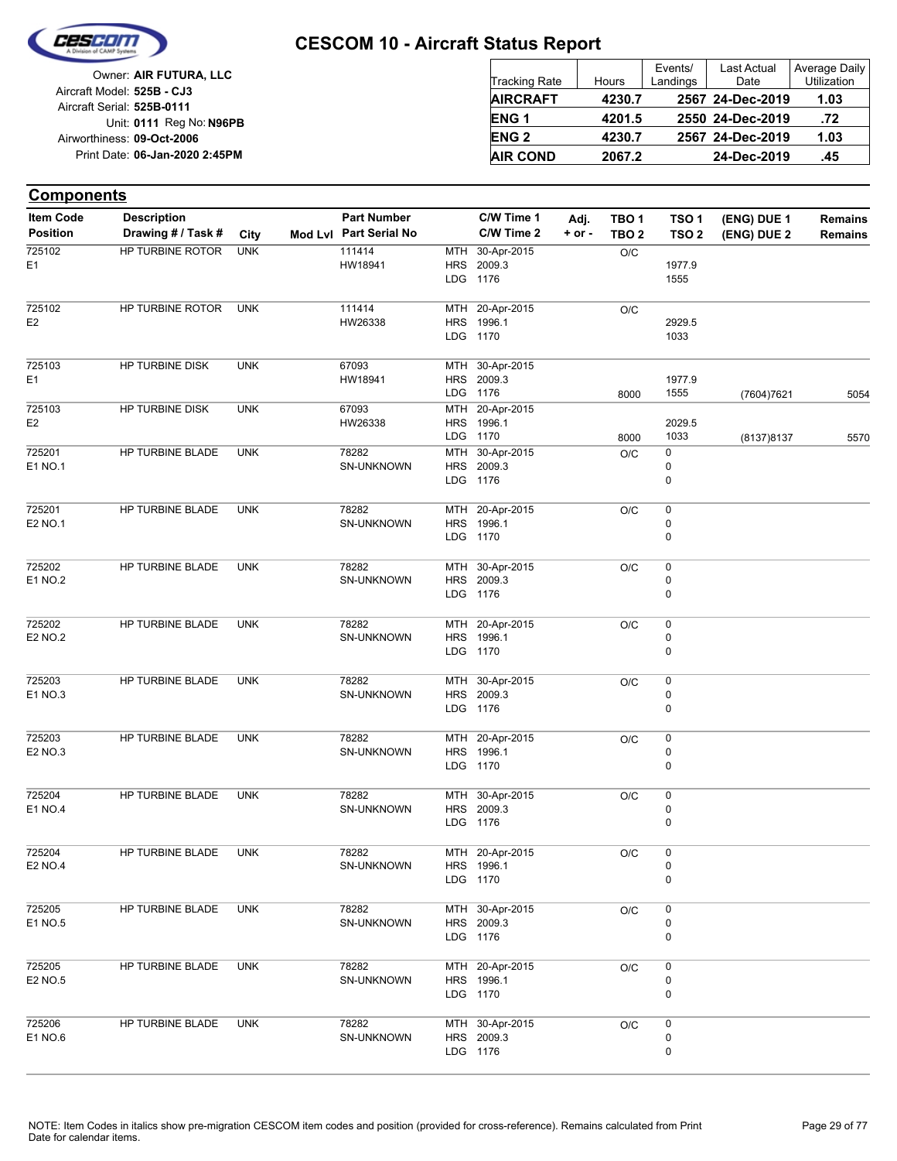

| Owner: AIR FUTURA, LLC         |                      |        | Events/  | Last Actual      | Average Daily      |
|--------------------------------|----------------------|--------|----------|------------------|--------------------|
|                                | <b>Tracking Rate</b> | Hours  | Landings | Date             | <b>Utilization</b> |
| Aircraft Model: 525B - CJ3     | <b>AIRCRAFT</b>      | 4230.7 |          | 2567 24-Dec-2019 | 1.03               |
| Aircraft Serial: 525B-0111     |                      |        |          |                  |                    |
| Unit: 0111 Reg No: N96PB       | <b>ENG1</b>          | 4201.5 |          | 2550 24-Dec-2019 | .72                |
| Airworthiness: 09-Oct-2006     | <b>ENG 2</b>         | 4230.7 |          | 2567 24-Dec-2019 | 1.03               |
| Print Date: 06-Jan-2020 2:45PM | <b>AIR COND</b>      | 2067.2 |          | 24-Dec-2019      | .45                |
|                                |                      |        |          |                  |                    |

| <b>Components</b>        |                    |            |                        |            |                               |            |                  |                  |             |                |
|--------------------------|--------------------|------------|------------------------|------------|-------------------------------|------------|------------------|------------------|-------------|----------------|
| <b>Item Code</b>         | <b>Description</b> |            | <b>Part Number</b>     |            | C/W Time 1                    | Adj.       | TBO <sub>1</sub> | TSO <sub>1</sub> | (ENG) DUE 1 | <b>Remains</b> |
| <b>Position</b>          | Drawing # / Task # | City       | Mod Lvl Part Serial No |            | C/W Time 2                    | $+$ or $-$ | TBO <sub>2</sub> | TSO <sub>2</sub> | (ENG) DUE 2 | <b>Remains</b> |
| 725102                   | HP TURBINE ROTOR   | <b>UNK</b> | 111414                 | MTH        | 30-Apr-2015                   |            | O/C              |                  |             |                |
| E1                       |                    |            | HW18941                |            | HRS 2009.3<br>LDG 1176        |            |                  | 1977.9           |             |                |
|                          |                    |            |                        |            |                               |            |                  | 1555             |             |                |
| 725102                   | HP TURBINE ROTOR   | <b>UNK</b> | 111414                 |            | MTH 20-Apr-2015               |            | O/C              |                  |             |                |
| E <sub>2</sub>           |                    |            | HW26338                |            | HRS 1996.1                    |            |                  | 2929.5           |             |                |
|                          |                    |            |                        |            | LDG 1170                      |            |                  | 1033             |             |                |
| 725103                   | HP TURBINE DISK    | <b>UNK</b> | 67093                  | MTH        | 30-Apr-2015                   |            |                  |                  |             |                |
| E <sub>1</sub>           |                    |            | HW18941                |            | HRS 2009.3                    |            |                  | 1977.9           |             |                |
|                          |                    |            |                        |            | LDG 1176                      |            | 8000             | 1555             | (7604)7621  | 5054           |
| 725103                   | HP TURBINE DISK    | <b>UNK</b> | 67093                  | <b>MTH</b> | 20-Apr-2015                   |            |                  |                  |             |                |
| E <sub>2</sub>           |                    |            | HW26338                |            | HRS 1996.1                    |            |                  | 2029.5           |             |                |
|                          |                    |            |                        | LDG        | 1170                          |            | 8000             | 1033             | (8137) 8137 | 5570           |
| 725201                   | HP TURBINE BLADE   | <b>UNK</b> | 78282                  | MTH        | 30-Apr-2015                   |            | O/C              | 0                |             |                |
| E1 NO.1                  |                    |            | SN-UNKNOWN             | <b>HRS</b> | 2009.3<br>LDG 1176            |            |                  | 0<br>0           |             |                |
|                          |                    |            |                        |            |                               |            |                  |                  |             |                |
| 725201                   | HP TURBINE BLADE   | <b>UNK</b> | 78282                  |            | MTH 20-Apr-2015               |            | O/C              | $\pmb{0}$        |             |                |
| E2 NO.1                  |                    |            | SN-UNKNOWN             | <b>HRS</b> | 1996.1                        |            |                  | 0                |             |                |
|                          |                    |            |                        |            | LDG 1170                      |            |                  | 0                |             |                |
|                          |                    |            |                        |            |                               |            |                  |                  |             |                |
| 725202                   | HP TURBINE BLADE   | <b>UNK</b> | 78282                  |            | MTH 30-Apr-2015               |            | O/C              | 0<br>0           |             |                |
| E1 NO.2                  |                    |            | SN-UNKNOWN             |            | HRS 2009.3<br>LDG 1176        |            |                  | 0                |             |                |
|                          |                    |            |                        |            |                               |            |                  |                  |             |                |
| 725202                   | HP TURBINE BLADE   | <b>UNK</b> | 78282                  |            | MTH 20-Apr-2015               |            | O/C              | 0                |             |                |
| <b>E2 NO.2</b>           |                    |            | SN-UNKNOWN             | <b>HRS</b> | 1996.1                        |            |                  | 0                |             |                |
|                          |                    |            |                        |            | LDG 1170                      |            |                  | 0                |             |                |
| 725203                   | HP TURBINE BLADE   | <b>UNK</b> | 78282                  | MTH        | 30-Apr-2015                   |            | O/C              | 0                |             |                |
| E1 NO.3                  |                    |            | SN-UNKNOWN             | <b>HRS</b> | 2009.3                        |            |                  | 0                |             |                |
|                          |                    |            |                        |            | LDG 1176                      |            |                  | 0                |             |                |
|                          |                    |            |                        |            |                               |            |                  |                  |             |                |
| 725203                   | HP TURBINE BLADE   | <b>UNK</b> | 78282                  |            | MTH 20-Apr-2015               |            | O/C              | 0                |             |                |
| E2 NO.3                  |                    |            | SN-UNKNOWN             | <b>HRS</b> | 1996.1                        |            |                  | 0                |             |                |
|                          |                    |            |                        |            | LDG 1170                      |            |                  | 0                |             |                |
| 725204                   | HP TURBINE BLADE   | <b>UNK</b> | 78282                  |            | MTH 30-Apr-2015               |            | O/C              | 0                |             |                |
| E1 NO.4                  |                    |            | SN-UNKNOWN             | <b>HRS</b> | 2009.3                        |            |                  | 0                |             |                |
|                          |                    |            |                        |            | LDG 1176                      |            |                  | 0                |             |                |
|                          |                    |            |                        |            |                               |            |                  |                  |             |                |
| 725204<br><b>E2 NO.4</b> | HP TURBINE BLADE   | <b>UNK</b> | 78282<br>SN-UNKNOWN    |            | MTH 20-Apr-2015<br>HRS 1996.1 |            | O/C              | $\pmb{0}$<br>0   |             |                |
|                          |                    |            |                        |            | LDG 1170                      |            |                  | 0                |             |                |
|                          |                    |            |                        |            |                               |            |                  |                  |             |                |
| 725205                   | HP TURBINE BLADE   | <b>UNK</b> | 78282                  |            | MTH 30-Apr-2015               |            | $\rm O/C$        | 0                |             |                |
| E1 NO.5                  |                    |            | SN-UNKNOWN             |            | HRS 2009.3<br>LDG 1176        |            |                  | 0<br>0           |             |                |
|                          |                    |            |                        |            |                               |            |                  |                  |             |                |
| 725205                   | HP TURBINE BLADE   | <b>UNK</b> | 78282                  |            | MTH 20-Apr-2015               |            | O/C              | 0                |             |                |
| E2 NO.5                  |                    |            | SN-UNKNOWN             |            | HRS 1996.1                    |            |                  | 0                |             |                |
|                          |                    |            |                        |            | LDG 1170                      |            |                  | 0                |             |                |
|                          |                    |            |                        |            |                               |            |                  |                  |             |                |
| 725206<br>E1 NO.6        | HP TURBINE BLADE   | <b>UNK</b> | 78282<br>SN-UNKNOWN    |            | MTH 30-Apr-2015<br>HRS 2009.3 |            | O/C              | 0<br>0           |             |                |
|                          |                    |            |                        |            | LDG 1176                      |            |                  | 0                |             |                |
|                          |                    |            |                        |            |                               |            |                  |                  |             |                |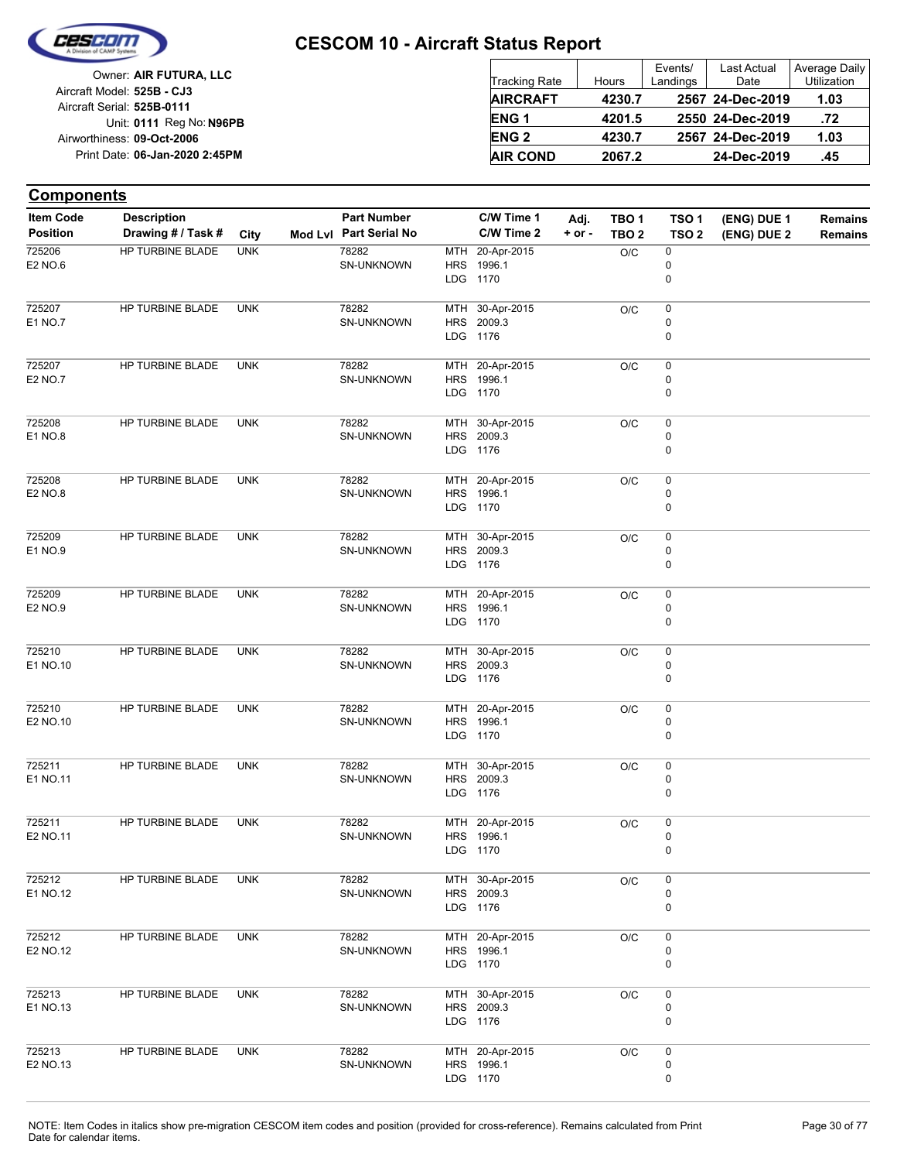

| Owner: AIR FUTURA, LLC                                   | Tracking Rate          | Hours  | Events/<br>Landings | Last Actual<br>Date | Average Daily<br>Utilization |
|----------------------------------------------------------|------------------------|--------|---------------------|---------------------|------------------------------|
| Aircraft Model: 525B - CJ3<br>Aircraft Serial: 525B-0111 | <b>AIRCRAFT</b>        | 4230.7 |                     | 2567 24-Dec-2019    | 1.03                         |
| Unit: 0111 Reg No: N96PB                                 | ENG <sub>1</sub>       | 4201.5 |                     | 2550 24-Dec-2019    | .72                          |
| Airworthiness: 09-Oct-2006                               | <b>ENG<sub>2</sub></b> | 4230.7 |                     | 2567 24-Dec-2019    | 1.03                         |
| Print Date: 06-Jan-2020 2:45PM                           | <b>AIR COND</b>        | 2067.2 |                     | 24-Dec-2019         | .45                          |

| <b>Components</b>            |                                          |            |                                              |            |                                           |                    |                                      |                                       |                            |                                  |
|------------------------------|------------------------------------------|------------|----------------------------------------------|------------|-------------------------------------------|--------------------|--------------------------------------|---------------------------------------|----------------------------|----------------------------------|
| Item Code<br><b>Position</b> | <b>Description</b><br>Drawing # / Task # | City       | <b>Part Number</b><br>Mod Lvl Part Serial No |            | C/W Time 1<br>C/W Time 2                  | Adj.<br>$+$ or $-$ | TBO <sub>1</sub><br>TBO <sub>2</sub> | TSO <sub>1</sub><br>TSO <sub>2</sub>  | (ENG) DUE 1<br>(ENG) DUE 2 | <b>Remains</b><br><b>Remains</b> |
| 725206<br>E2 NO.6            | HP TURBINE BLADE                         | <b>UNK</b> | 78282<br>SN-UNKNOWN                          | MTH        | 20-Apr-2015<br>HRS 1996.1<br>LDG 1170     |                    | O/C                                  | $\pmb{0}$<br>$\pmb{0}$<br>0           |                            |                                  |
| 725207<br>E1 NO.7            | HP TURBINE BLADE                         | <b>UNK</b> | 78282<br>SN-UNKNOWN                          |            | MTH 30-Apr-2015<br>HRS 2009.3<br>LDG 1176 |                    | O/C                                  | 0<br>$\pmb{0}$<br>$\mathbf 0$         |                            |                                  |
| 725207<br>E2 NO.7            | HP TURBINE BLADE                         | <b>UNK</b> | 78282<br>SN-UNKNOWN                          |            | MTH 20-Apr-2015<br>HRS 1996.1<br>LDG 1170 |                    | O/C                                  | $\pmb{0}$<br>0<br>0                   |                            |                                  |
| 725208<br>E1 NO.8            | HP TURBINE BLADE                         | <b>UNK</b> | 78282<br>SN-UNKNOWN                          |            | MTH 30-Apr-2015<br>HRS 2009.3<br>LDG 1176 |                    | O/C                                  | 0<br>$\pmb{0}$<br>$\mathbf 0$         |                            |                                  |
| 725208<br>E2 NO.8            | HP TURBINE BLADE                         | <b>UNK</b> | 78282<br>SN-UNKNOWN                          |            | MTH 20-Apr-2015<br>HRS 1996.1<br>LDG 1170 |                    | O/C                                  | $\pmb{0}$<br>$\pmb{0}$<br>0           |                            |                                  |
| 725209<br>E1 NO.9            | HP TURBINE BLADE                         | <b>UNK</b> | 78282<br>SN-UNKNOWN                          |            | MTH 30-Apr-2015<br>HRS 2009.3<br>LDG 1176 |                    | O/C                                  | 0<br>$\pmb{0}$<br>$\mathbf 0$         |                            |                                  |
| 725209<br>E2 NO.9            | HP TURBINE BLADE                         | <b>UNK</b> | 78282<br><b>SN-UNKNOWN</b>                   |            | MTH 20-Apr-2015<br>HRS 1996.1<br>LDG 1170 |                    | O/C                                  | $\pmb{0}$<br>0<br>0                   |                            |                                  |
| 725210<br>E1 NO.10           | HP TURBINE BLADE                         | <b>UNK</b> | 78282<br>SN-UNKNOWN                          |            | MTH 30-Apr-2015<br>HRS 2009.3<br>LDG 1176 |                    | O/C                                  | 0<br>0<br>0                           |                            |                                  |
| 725210<br>E2 NO.10           | HP TURBINE BLADE                         | <b>UNK</b> | 78282<br>SN-UNKNOWN                          |            | MTH 20-Apr-2015<br>HRS 1996.1<br>LDG 1170 |                    | O/C                                  | 0<br>0<br>0                           |                            |                                  |
| 725211<br>E1 NO.11           | HP TURBINE BLADE                         | <b>UNK</b> | 78282<br><b>SN-UNKNOWN</b>                   | <b>HRS</b> | MTH 30-Apr-2015<br>2009.3<br>LDG 1176     |                    | O/C                                  | $\pmb{0}$<br>$\pmb{0}$<br>$\mathbf 0$ |                            |                                  |
| 725211<br>E2 NO.11           | <b>HP TURBINE BLADE</b>                  | <b>UNK</b> | 78282<br>SN-UNKNOWN                          |            | MTH 20-Apr-2015<br>HRS 1996.1<br>LDG 1170 |                    | O/C                                  | 0<br>0<br>$\pmb{0}$                   |                            |                                  |
| 725212<br>E1 NO.12           | HP TURBINE BLADE                         | <b>UNK</b> | 78282<br>SN-UNKNOWN                          |            | MTH 30-Apr-2015<br>HRS 2009.3<br>LDG 1176 |                    | O/C                                  | $\pmb{0}$<br>$\pmb{0}$<br>0           |                            |                                  |
| 725212<br>E2 NO.12           | HP TURBINE BLADE                         | <b>UNK</b> | 78282<br><b>SN-UNKNOWN</b>                   |            | MTH 20-Apr-2015<br>HRS 1996.1<br>LDG 1170 |                    | O/C                                  | $\pmb{0}$<br>$\pmb{0}$<br>0           |                            |                                  |
| 725213<br>E1 NO.13           | HP TURBINE BLADE                         | <b>UNK</b> | 78282<br>SN-UNKNOWN                          |            | MTH 30-Apr-2015<br>HRS 2009.3<br>LDG 1176 |                    | O/C                                  | $\pmb{0}$<br>$\pmb{0}$<br>0           |                            |                                  |
| 725213<br>E2 NO.13           | HP TURBINE BLADE                         | <b>UNK</b> | 78282<br>SN-UNKNOWN                          |            | MTH 20-Apr-2015<br>HRS 1996.1<br>LDG 1170 |                    | O/C                                  | $\pmb{0}$<br>0<br>$\pmb{0}$           |                            |                                  |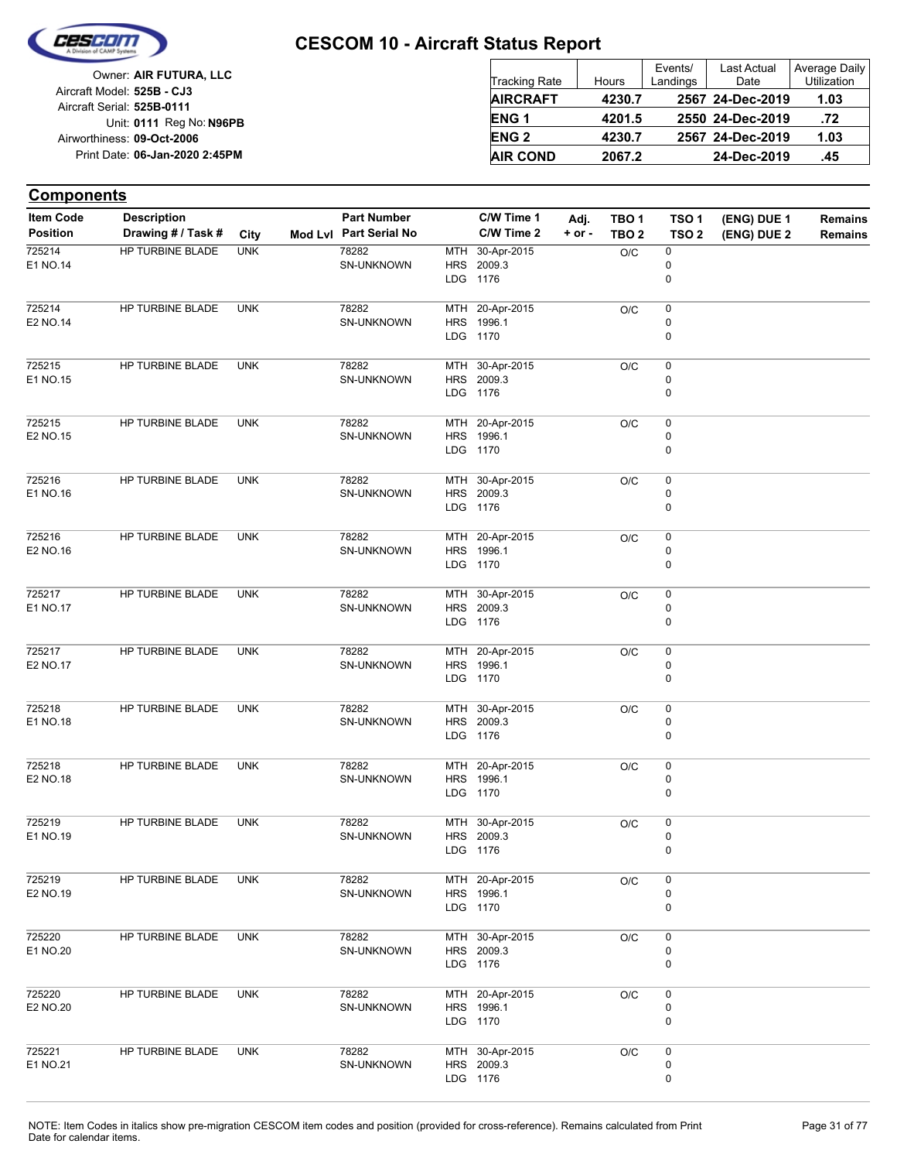

| Owner: AIR FUTURA, LLC         |                      |        | Events/  | Last Actual      | Average Daily      |
|--------------------------------|----------------------|--------|----------|------------------|--------------------|
| Aircraft Model: 525B - CJ3     | <b>Tracking Rate</b> | Hours  | Landings | Date             | <b>Utilization</b> |
| Aircraft Serial: 525B-0111     | <b>AIRCRAFT</b>      | 4230.7 |          | 2567 24-Dec-2019 | 1.03               |
| Unit: 0111 Reg No: N96PB       | <b>ENG1</b>          | 4201.5 |          | 2550 24-Dec-2019 | .72                |
| Airworthiness: 09-Oct-2006     | <b>ENG 2</b>         | 4230.7 |          | 2567 24-Dec-2019 | 1.03               |
| Print Date: 06-Jan-2020 2:45PM | <b>AIR COND</b>      | 2067.2 |          | 24-Dec-2019      | .45                |

#### **(ENG) DUE 2 (ENG) DUE 1 Components** City **Mod Lvl Part Serial No Part Number C/W Time 1 C/W Time 2 + or - Adj. TBO 1 TBO 2 TSO 2 TSO 1 Remains** Description Part Number C/W Time 1 Adj. TBO 1 TSO 1 (ENG) DUE 1 Remains **Position Drawing # / Task # Item Code** LDG **HRS** MTH 1176 2009.3 30-Apr-2015 0 0  $O/C$  0 SN-UNKNOWN 78282 E1 NO.14 725214 HP TURBINE BLADE UNK LDG **HRS** MTH 20-Apr-2015 1170 1996.1 0 0  $O/C$  0 SN-UNKNOWN 78282 E2 NO.14 725214 HP TURBINE BLADE UNK LDG HRS MTH 30-Apr-2015 1176 2009.3  $\Omega$ 0  $O/C = 0$ SN-UNKNOWN 78282 E1 NO.15 725215 HP TURBINE BLADE UNK LDG HRS 1996.1 MTH 20-Apr-2015 1170  $\Omega$ 0  $O/C = 0$ SN-UNKNOWN 78282 E2 NO.15 725215 HP TURBINE BLADE UNK LDG HRS 2009.3 MTH 1176 30-Apr-2015 0 0  $O/C$  0 SN-UNKNOWN 78282 E1 NO.16 725216 HP TURBINE BLADE UNK LDG HRS MTH 20-Apr-2015 1170 1996.1 0 0  $O/C$  0 SN-UNKNOWN 78282 E2 NO.16 725216 HP TURBINE BLADE UNK LDG HRS 2009.3 MTH 30-Apr-2015 1176  $\Omega$ 0  $O/C$  0 SN-UNKNOWN 78282 E1 NO.17 725217 HP TURBINE BLADE UNK LDG HRS MTH 1170 1996.1 20-Apr-2015  $\Omega$ 0  $\overline{OC}$  0 SN-UNKNOWN 78282 E2 NO.17 725217 HP TURBINE BLADE UNK LDG HRS 2009.3 MTH 1176 30-Apr-2015 0  $\Omega$  $O/C$  0 SN-UNKNOWN 78282 E1 NO.18 725218 HP TURBINE BLADE UNK LDG 1170 HRS 1996.1 MTH 20-Apr-2015 0  $\Omega$  $O/C$  0 SN-UNKNOWN 78282 E2 NO.18 725218 HP TURBINE BLADE UNK LDG HRS MTH 30-Apr-2015 1176 2009.3 0 0  $O/C$  0 SN-UNKNOWN 78282 E1 NO.19 725219 HP TURBINE BLADE UNK LDG HRS MTH 20-Apr-2015 1170 1996.1  $\Omega$ 0  $O/C$  0 SN-UNKNOWN 78282 E2 NO.19 725219 HP TURBINE BLADE UNK LDG HRS MTH 1176 2009.3 30-Apr-2015 0  $\Omega$  $O/C$  0 SN-UNKNOWN 78282 E1 NO.20 725220 HP TURBINE BLADE UNK LDG **HRS** MTH 1170 1996.1 20-Apr-2015 0  $\Omega$  $O/C$  0 SN-UNKNOWN 78282 E2 NO.20 725220 HP TURBINE BLADE UNK LDG 1176 HRS 2009.3 MTH 30-Apr-2015 0 0  $O/C$  0 SN-UNKNOWN 78282 E1 NO.21 725221 HP TURBINE BLADE UNK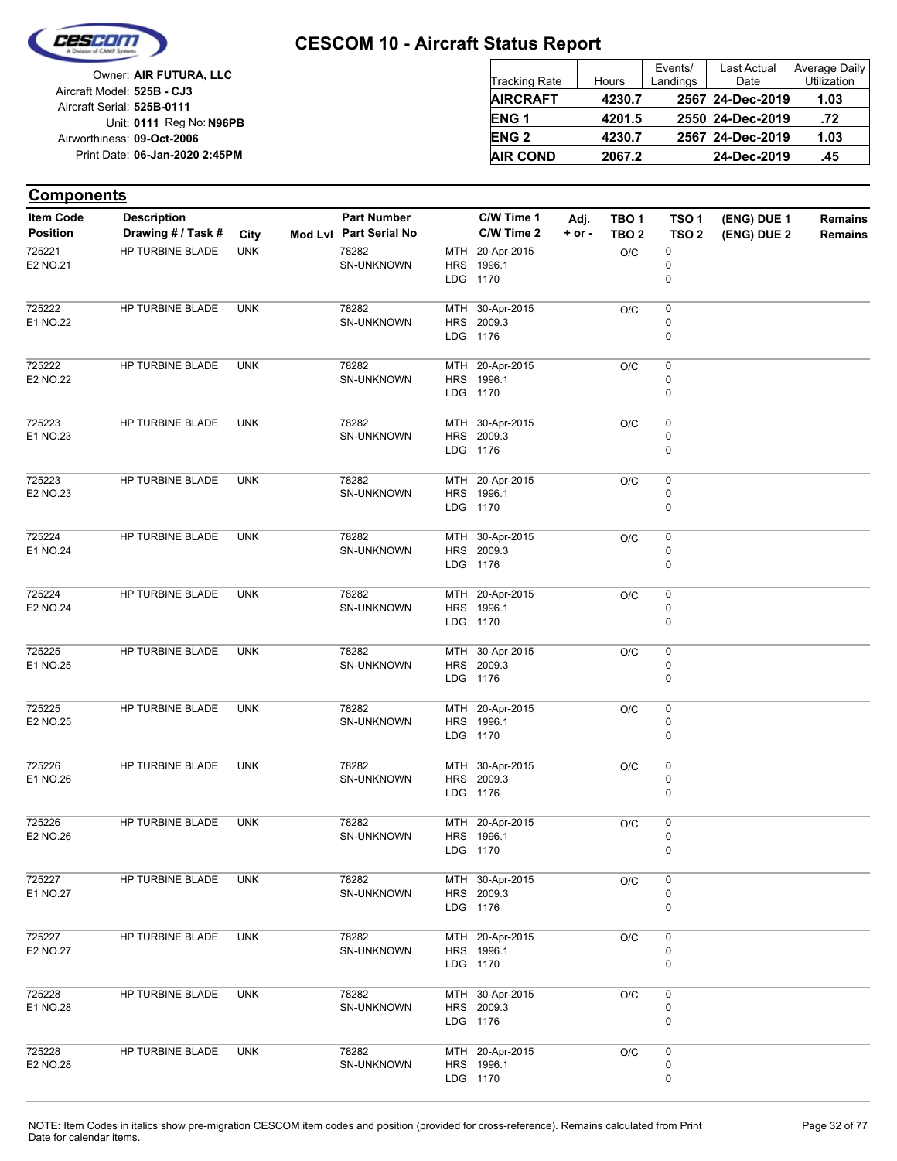

| Owner: AIR FUTURA, LLC                                   | <b>Tracking Rate</b>   | Hours  | Events/<br>Landings | Last Actual<br>Date | Average Daily<br><b>Utilization</b> |
|----------------------------------------------------------|------------------------|--------|---------------------|---------------------|-------------------------------------|
| Aircraft Model: 525B - CJ3<br>Aircraft Serial: 525B-0111 | <b>AIRCRAFT</b>        | 4230.7 |                     | 2567 24-Dec-2019    | 1.03                                |
| Unit: 0111 Reg No: N96PB                                 | <b>ENG1</b>            | 4201.5 |                     | 2550 24-Dec-2019    | .72                                 |
| Airworthiness: 09-Oct-2006                               | <b>ENG<sub>2</sub></b> | 4230.7 |                     | 2567 24-Dec-2019    | 1.03                                |
| Print Date: 06-Jan-2020 2:45PM                           | <b>AIR COND</b>        | 2067.2 |                     | 24-Dec-2019         | .45                                 |

| <b>Components</b>                   |                                          |            |                                              |     |                          |                  |                           |                                      |                            |                                  |
|-------------------------------------|------------------------------------------|------------|----------------------------------------------|-----|--------------------------|------------------|---------------------------|--------------------------------------|----------------------------|----------------------------------|
| <b>Item Code</b><br><b>Position</b> | <b>Description</b><br>Drawing # / Task # | City       | <b>Part Number</b><br>Mod Lvl Part Serial No |     | C/W Time 1<br>C/W Time 2 | Adj.<br>$+ or -$ | TBO 1<br>TBO <sub>2</sub> | TSO <sub>1</sub><br>TSO <sub>2</sub> | (ENG) DUE 1<br>(ENG) DUE 2 | <b>Remains</b><br><b>Remains</b> |
| 725221                              | HP TURBINE BLADE                         | <b>UNK</b> | 78282                                        | MTH | 20-Apr-2015              |                  | O/C                       | 0                                    |                            |                                  |
| E2 NO.21                            |                                          |            | SN-UNKNOWN                                   | HRS | 1996.1                   |                  |                           | 0                                    |                            |                                  |
|                                     |                                          |            |                                              |     | LDG 1170                 |                  |                           | 0                                    |                            |                                  |
| 725222                              | HP TURBINE BLADE                         | <b>UNK</b> | 78282                                        | MTH | 30-Apr-2015              |                  | O/C                       | 0                                    |                            |                                  |
| E1 NO.22                            |                                          |            | SN-UNKNOWN                                   |     | HRS 2009.3               |                  |                           | 0                                    |                            |                                  |
|                                     |                                          |            |                                              |     | LDG 1176                 |                  |                           | 0                                    |                            |                                  |
| 725222                              | HP TURBINE BLADE                         | <b>UNK</b> | 78282                                        |     | MTH 20-Apr-2015          |                  | O/C                       | 0                                    |                            |                                  |
| E2 NO.22                            |                                          |            | <b>SN-UNKNOWN</b>                            |     | HRS 1996.1               |                  |                           | 0                                    |                            |                                  |
|                                     |                                          |            |                                              |     | LDG 1170                 |                  |                           | 0                                    |                            |                                  |
| 725223                              | HP TURBINE BLADE                         | <b>UNK</b> | 78282                                        | MTH | 30-Apr-2015              |                  | O/C                       | 0                                    |                            |                                  |
| E1 NO.23                            |                                          |            | <b>SN-UNKNOWN</b>                            |     | HRS 2009.3               |                  |                           | 0                                    |                            |                                  |
|                                     |                                          |            |                                              |     | LDG 1176                 |                  |                           | 0                                    |                            |                                  |
| 725223                              | HP TURBINE BLADE                         | <b>UNK</b> | 78282                                        |     | MTH 20-Apr-2015          |                  | O/C                       | 0                                    |                            |                                  |
| E2 NO.23                            |                                          |            | <b>SN-UNKNOWN</b>                            |     | HRS 1996.1               |                  |                           | 0                                    |                            |                                  |
|                                     |                                          |            |                                              |     | LDG 1170                 |                  |                           | 0                                    |                            |                                  |
| 725224                              | HP TURBINE BLADE                         | <b>UNK</b> | 78282                                        | MTH | 30-Apr-2015              |                  | O/C                       | 0                                    |                            |                                  |
| E1 NO.24                            |                                          |            | SN-UNKNOWN                                   |     | HRS 2009.3               |                  |                           | 0                                    |                            |                                  |
|                                     |                                          |            |                                              |     | LDG 1176                 |                  |                           | 0                                    |                            |                                  |
| 725224                              | HP TURBINE BLADE                         | <b>UNK</b> | 78282                                        | MTH | 20-Apr-2015              |                  | O/C                       | 0                                    |                            |                                  |
| E2 NO.24                            |                                          |            | <b>SN-UNKNOWN</b>                            |     | HRS 1996.1               |                  |                           | 0                                    |                            |                                  |
|                                     |                                          |            |                                              |     | LDG 1170                 |                  |                           | 0                                    |                            |                                  |
| 725225                              | HP TURBINE BLADE                         | <b>UNK</b> | 78282                                        | MTH | 30-Apr-2015              |                  | O/C                       | 0                                    |                            |                                  |
| E1 NO.25                            |                                          |            | SN-UNKNOWN                                   |     | HRS 2009.3               |                  |                           | 0                                    |                            |                                  |
|                                     |                                          |            |                                              |     | LDG 1176                 |                  |                           | 0                                    |                            |                                  |
| 725225                              | HP TURBINE BLADE                         | <b>UNK</b> | 78282                                        |     | MTH 20-Apr-2015          |                  | O/C                       | 0                                    |                            |                                  |
| E2 NO.25                            |                                          |            | SN-UNKNOWN                                   |     | HRS 1996.1<br>LDG 1170   |                  |                           | 0<br>0                               |                            |                                  |
|                                     |                                          |            |                                              |     |                          |                  |                           |                                      |                            |                                  |
| 725226                              | HP TURBINE BLADE                         | <b>UNK</b> | 78282                                        | MTH | 30-Apr-2015              |                  | O/C                       | 0                                    |                            |                                  |
| E1 NO.26                            |                                          |            | SN-UNKNOWN                                   |     | HRS 2009.3               |                  |                           | 0                                    |                            |                                  |
|                                     |                                          |            |                                              |     | LDG 1176                 |                  |                           | 0                                    |                            |                                  |
| 725226                              | HP TURBINE BLADE                         | <b>UNK</b> | 78282                                        | MTH | 20-Apr-2015              |                  | O/C                       | 0                                    |                            |                                  |
| E2 NO.26                            |                                          |            | <b>SN-UNKNOWN</b>                            |     | HRS 1996.1               |                  |                           | 0                                    |                            |                                  |
|                                     |                                          |            |                                              |     | LDG 1170                 |                  |                           | 0                                    |                            |                                  |
| 725227                              | HP TURBINE BLADE                         | <b>UNK</b> | 78282                                        |     | MTH 30-Apr-2015          |                  | O/C                       | 0                                    |                            |                                  |
| E1 NO.27                            |                                          |            | SN-UNKNOWN                                   |     | HRS 2009.3               |                  |                           | 0                                    |                            |                                  |
|                                     |                                          |            |                                              |     | LDG 1176                 |                  |                           | 0                                    |                            |                                  |
| 725227                              | HP TURBINE BLADE                         | <b>UNK</b> | 78282                                        |     | MTH 20-Apr-2015          |                  | O/C                       | 0                                    |                            |                                  |
| E2 NO.27                            |                                          |            | SN-UNKNOWN                                   |     | HRS 1996.1               |                  |                           | 0                                    |                            |                                  |
|                                     |                                          |            |                                              |     | LDG 1170                 |                  |                           | 0                                    |                            |                                  |
| 725228                              | HP TURBINE BLADE                         | <b>UNK</b> | 78282                                        |     | MTH 30-Apr-2015          |                  | O/C                       | 0                                    |                            |                                  |
| E1 NO.28                            |                                          |            | SN-UNKNOWN                                   |     | HRS 2009.3               |                  |                           | 0                                    |                            |                                  |
|                                     |                                          |            |                                              |     | LDG 1176                 |                  |                           | 0                                    |                            |                                  |
| 725228                              | HP TURBINE BLADE                         | <b>UNK</b> | 78282                                        |     | MTH 20-Apr-2015          |                  | O/C                       | 0                                    |                            |                                  |
| E2 NO.28                            |                                          |            | SN-UNKNOWN                                   |     | HRS 1996.1               |                  |                           | 0                                    |                            |                                  |
|                                     |                                          |            |                                              |     | LDG 1170                 |                  |                           | 0                                    |                            |                                  |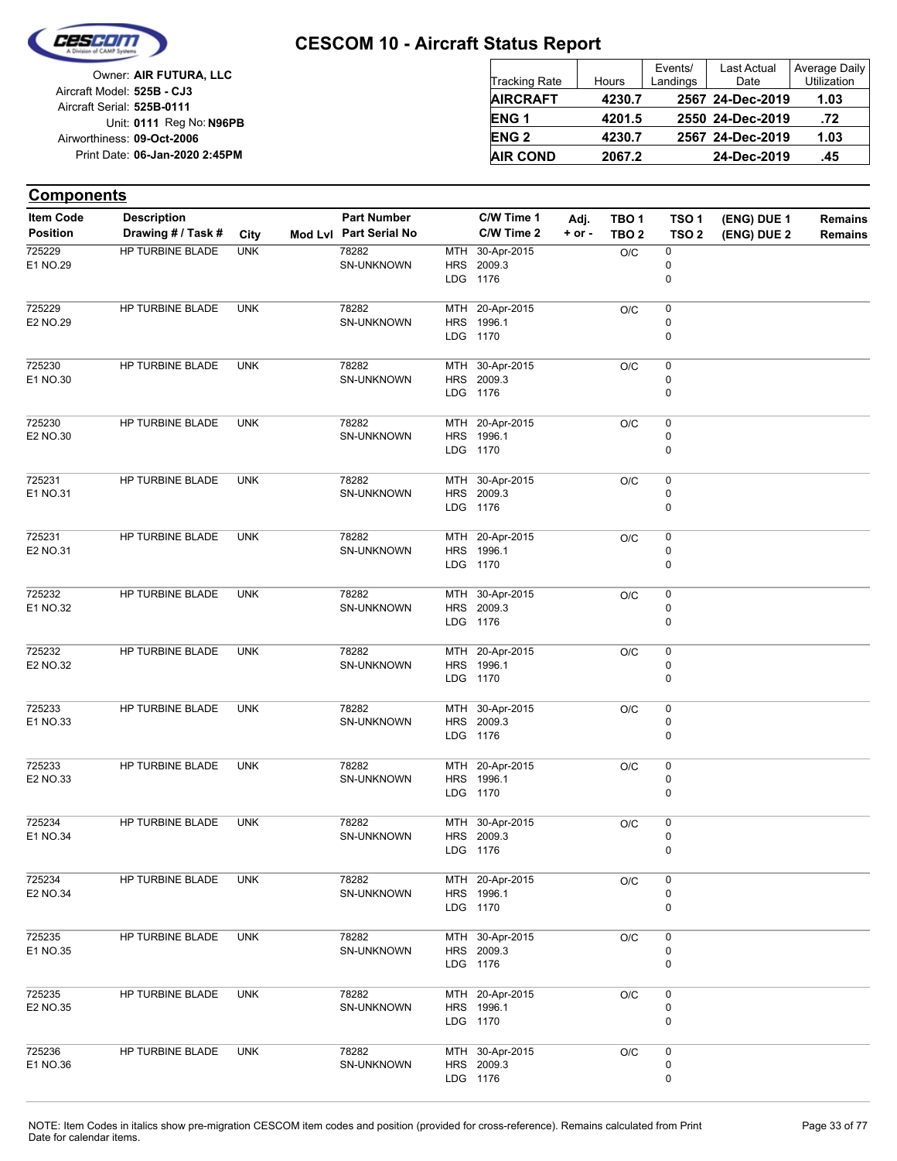

| Owner: AIR FUTURA, LLC                                   | <b>Tracking Rate</b> | Hours  | Events/<br>Landings | Last Actual<br>Date | Average Daily<br><b>Utilization</b> |
|----------------------------------------------------------|----------------------|--------|---------------------|---------------------|-------------------------------------|
| Aircraft Model: 525B - CJ3<br>Aircraft Serial: 525B-0111 | <b>AIRCRAFT</b>      | 4230.7 |                     | 2567 24-Dec-2019    | 1.03                                |
| Unit: 0111 Reg No: N96PB                                 | <b>ENG1</b>          | 4201.5 |                     | 2550 24-Dec-2019    | .72                                 |
| Airworthiness: 09-Oct-2006                               | <b>ENG 2</b>         | 4230.7 |                     | 2567 24-Dec-2019    | 1.03                                |
| Print Date: 06-Jan-2020 2:45PM                           | <b>AIR COND</b>      | 2067.2 |                     | 24-Dec-2019         | .45                                 |

#### **(ENG) DUE 2 (ENG) DUE 1 Components** City **Mod Lvl Part Serial No Part Number C/W Time 1 C/W Time 2 + or - Adj. TBO 1 TBO 2 TSO 2 TSO 1 Remains** Description Part Number C/W Time 1 Adj. TBO 1 TSO 1 (ENG) DUE 1 Remains **Position Drawing # / Task # Item Code** LDG **HRS** MTH 1176 2009.3 30-Apr-2015 0 0  $O/C$  0 SN-UNKNOWN 78282 E1 NO.29 725229 HP TURBINE BLADE UNK LDG **HRS** MTH 20-Apr-2015 1170 1996.1 0 0  $O/C$  0 SN-UNKNOWN 78282 E2 NO.29 725229 HP TURBINE BLADE UNK LDG HRS MTH 30-Apr-2015 1176 2009.3  $\Omega$ 0  $O/C = 0$ SN-UNKNOWN 78282 E1 NO.30 725230 HP TURBINE BLADE UNK LDG HRS 1996.1 MTH 20-Apr-2015 1170  $\Omega$ 0  $O/C = 0$ SN-UNKNOWN 78282 E2 NO.30 725230 HP TURBINE BLADE UNK LDG HRS 2009.3 MTH 1176 30-Apr-2015 0 0  $O/C$  0 SN-UNKNOWN 78282 E1 NO.31 725231 HP TURBINE BLADE UNK LDG HRS MTH 20-Apr-2015 1170 1996.1 0 0  $O/C$  0 SN-UNKNOWN 78282 E2 NO.31 725231 HP TURBINE BLADE UNK LDG HRS 2009.3 MTH 30-Apr-2015 1176  $\Omega$ 0  $O/C$  0 SN-UNKNOWN 78282 E1 NO.32 725232 HP TURBINE BLADE UNK LDG HRS MTH 1170 1996.1 20-Apr-2015  $\Omega$ 0  $\overline{OC}$  0 SN-UNKNOWN 78282 E2 NO.32 725232 HP TURBINE BLADE UNK LDG HRS 2009.3 MTH 1176 30-Apr-2015 0  $\Omega$  $O/C$  0 SN-UNKNOWN 78282 E1 NO.33 725233 HP TURBINE BLADE UNK LDG 1170 HRS 1996.1 MTH 20-Apr-2015 0  $\Omega$  $O/C$  0 SN-UNKNOWN 78282 E2 NO.33 725233 HP TURBINE BLADE UNK LDG HRS MTH 30-Apr-2015 1176 2009.3 0 0  $O/C$  0 SN-UNKNOWN 78282 E1 NO.34 725234 HP TURBINE BLADE UNK LDG HRS MTH 20-Apr-2015 1170 1996.1  $\Omega$ 0  $O/C$  0 SN-UNKNOWN 78282 E2 NO.34 725234 HP TURBINE BLADE UNK LDG HRS MTH 1176 2009.3 30-Apr-2015 0  $\Omega$  $O/C$  0 SN-UNKNOWN 78282 E1 NO.35 725235 HP TURBINE BLADE UNK LDG **HRS** MTH 1170 1996.1 20-Apr-2015 0  $\Omega$  $O/C$  0 SN-UNKNOWN 78282 E2 NO.35 725235 HP TURBINE BLADE UNK LDG HRS 2009.3 MTH 1176 30-Apr-2015 0 0  $O/C$  0 SN-UNKNOWN 78282 E1 NO.36 725236 HP TURBINE BLADE UNK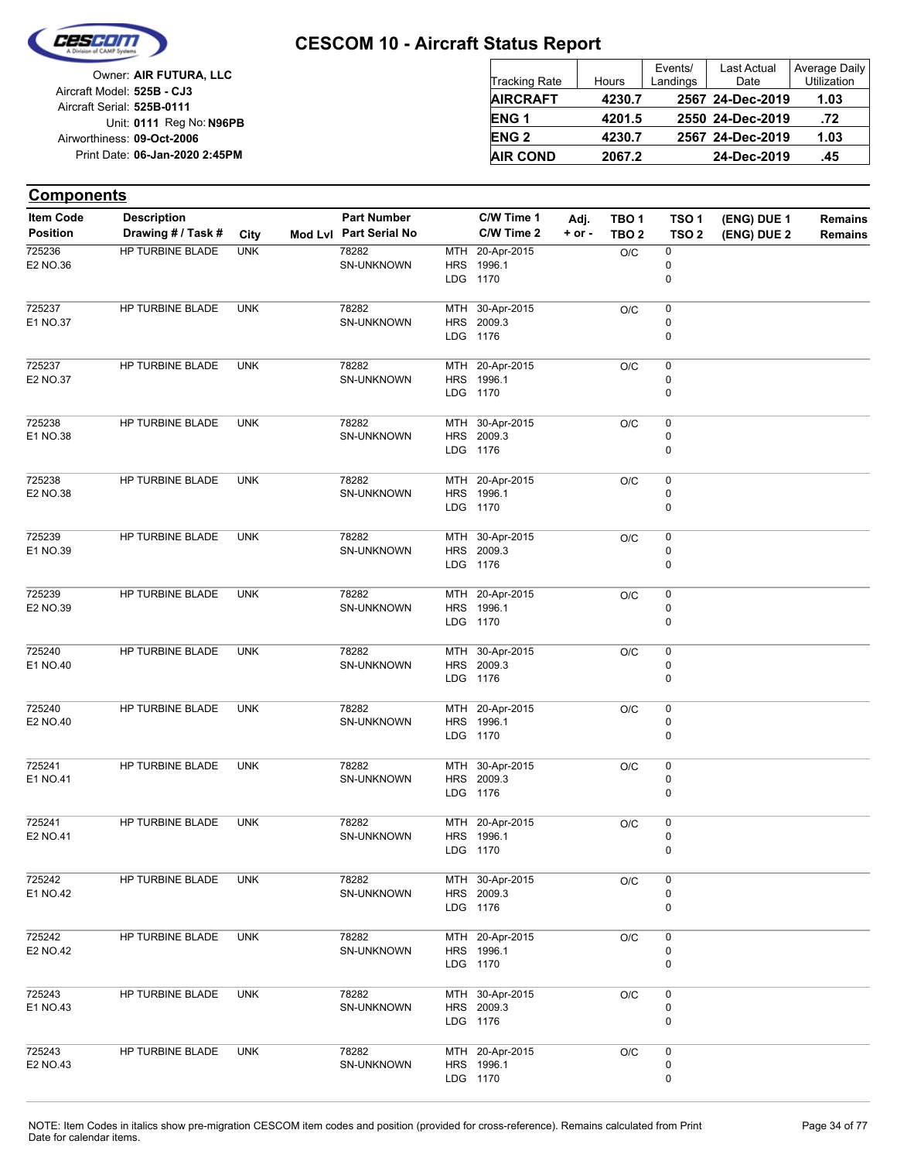

| Owner: AIR FUTURA, LLC                                   | Tracking Rate          | Hours  | Events/<br>Landings | Last Actual<br>Date | Average Daily<br><b>Utilization</b> |
|----------------------------------------------------------|------------------------|--------|---------------------|---------------------|-------------------------------------|
| Aircraft Model: 525B - CJ3<br>Aircraft Serial: 525B-0111 | <b>AIRCRAFT</b>        | 4230.7 |                     | 2567 24-Dec-2019    | 1.03                                |
| Unit: 0111 Reg No: N96PB                                 | <b>ENG1</b>            | 4201.5 |                     | 2550 24-Dec-2019    | .72                                 |
| Airworthiness: 09-Oct-2006                               | <b>ENG<sub>2</sub></b> | 4230.7 |                     | 2567 24-Dec-2019    | 1.03                                |
| Print Date: 06-Jan-2020 2:45PM                           | <b>AIR COND</b>        | 2067.2 |                     | 24-Dec-2019         | .45                                 |

#### **(ENG) DUE 2 (ENG) DUE 1 Components** City **Mod Lvl Part Serial No Part Number C/W Time 1 C/W Time 2 + or - Adj. TBO 1 TBO 2 TSO 2 TSO 1 Remains** Description Part Number C/W Time 1 Adj. TBO 1 TSO 1 (ENG) DUE 1 Remains **Position Drawing # / Task # Item Code** LDG **HRS** MTH 1170 1996.1 20-Apr-2015 0 0  $O/C$  0 SN-UNKNOWN 78282 E2 NO.36 725236 HP TURBINE BLADE UNK LDG **HRS** MTH 1176 2009.3 30-Apr-2015 0 0  $O/C$  0 SN-UNKNOWN 78282 E1 NO.37 725237 HP TURBINE BLADE UNK LDG HRS MTH 20-Apr-2015 1170 1996.1  $\Omega$ 0  $O/C = 0$ SN-UNKNOWN 78282 E2 NO.37 725237 HP TURBINE BLADE UNK LDG HRS 2009.3 MTH 30-Apr-2015 1176  $\Omega$ 0  $O/C = 0$ SN-UNKNOWN 78282 E1 NO.38 725238 HP TURBINE BLADE UNK LDG HRS MTH 20-Apr-2015 1170 1996.1 0 0  $O/C$  0 SN-UNKNOWN 78282 E2 NO.38 725238 HP TURBINE BLADE UNK LDG HRS MTH 30-Apr-2015 1176 2009.3 0 0  $O/C$  0 SN-UNKNOWN 78282 E1 NO.39 725239 HP TURBINE BLADE UNK LDG HRS MTH 20-Apr-2015 1170 1996.1  $\Omega$ 0  $O/C$  0 SN-UNKNOWN 78282 E2 NO.39 725239 HP TURBINE BLADE UNK LDG HRS MTH 1176 2009.3 30-Apr-2015  $\Omega$ 0  $\overline{OC}$  0 SN-UNKNOWN 78282 E1 NO.40 725240 HP TURBINE BLADE UNK LDG HRS MTH 1170 1996.1 20-Apr-2015 0  $\Omega$  $O/C$  0 SN-UNKNOWN 78282 E2 NO.40 725240 HP TURBINE BLADE UNK LDG 1176 HRS 2009.3 MTH 30-Apr-2015 0  $\Omega$  $O/C$  0 SN-UNKNOWN 78282 E1 NO.41 725241 HP TURBINE BLADE UNK LDG HRS MTH 20-Apr-2015 1170 1996.1 0 0  $O/C$  0 SN-UNKNOWN 78282 E2 NO.41 725241 HP TURBINE BLADE UNK LDG HRS MTH 1176 2009.3 30-Apr-2015  $\Omega$ 0  $O/C$  0 SN-UNKNOWN 78282 E1 NO.42 725242 HP TURBINE BLADE UNK LDG **HRS** MTH 1170 1996.1 20-Apr-2015 0  $\Omega$  $O/C$  0 SN-UNKNOWN 78282 E2 NO.42 725242 HP TURBINE BLADE UNK LDG HRS MTH 1176 2009.3 30-Apr-2015 0  $\Omega$  $O/C$  0 SN-UNKNOWN 78282 E1 NO.43 725243 HP TURBINE BLADE UNK LDG 1170 HRS MTH 20-Apr-2015 1996.1 0 0  $O/C$  0 SN-UNKNOWN 78282 E2 NO.43 725243 HP TURBINE BLADE UNK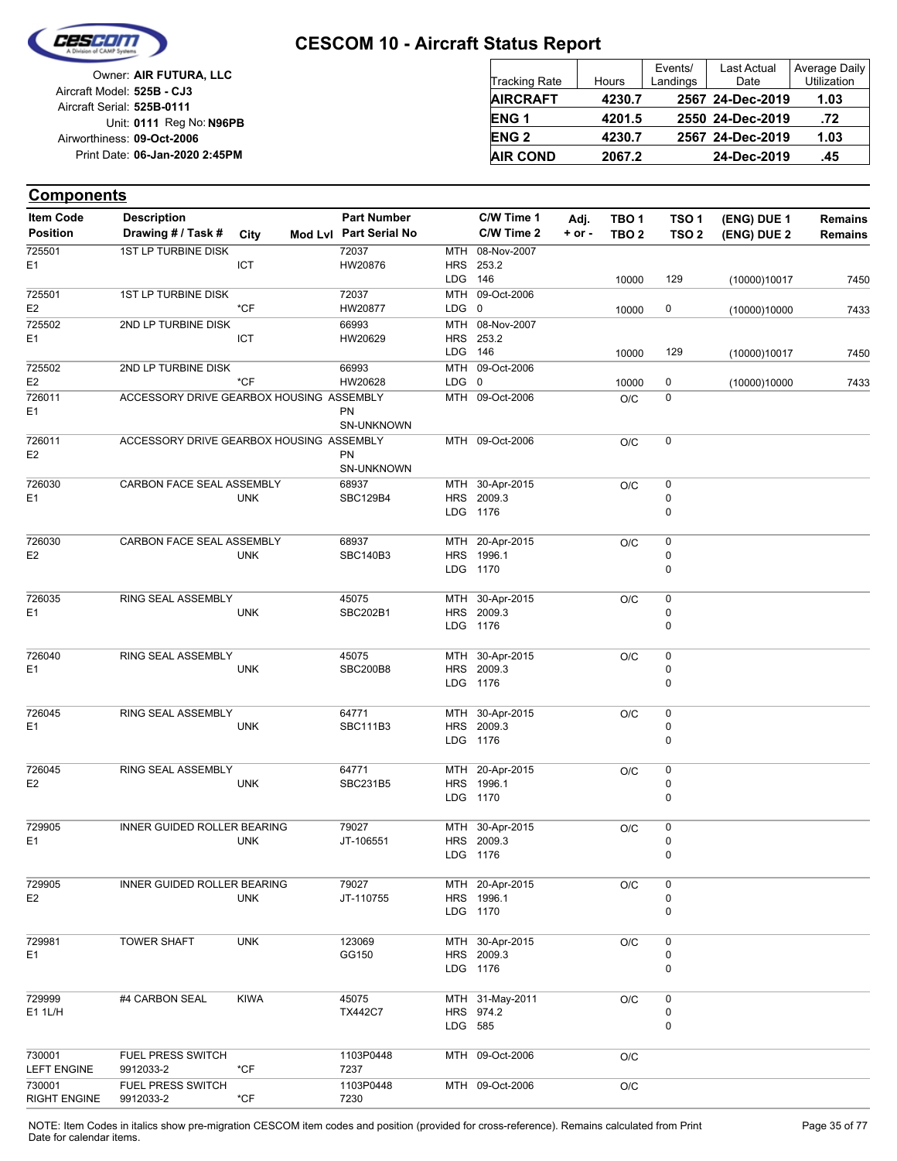

| Owner: AIR FUTURA, LLC                                   | Tracking Rate          | Hours  | Events/<br>Landings | Last Actual<br>Date | Average Daily<br><b>Utilization</b> |
|----------------------------------------------------------|------------------------|--------|---------------------|---------------------|-------------------------------------|
| Aircraft Model: 525B - CJ3<br>Aircraft Serial: 525B-0111 | <b>AIRCRAFT</b>        | 4230.7 |                     | 2567 24-Dec-2019    | 1.03                                |
| Unit: 0111 Reg No: N96PB                                 | ENG <sub>1</sub>       | 4201.5 |                     | 2550 24-Dec-2019    | .72                                 |
| Airworthiness: 09-Oct-2006                               | <b>ENG<sub>2</sub></b> | 4230.7 |                     | 2567 24-Dec-2019    | 1.03                                |
| Print Date: 06-Jan-2020 2:45PM                           | <b>AIR COND</b>        | 2067.2 |                     | 24-Dec-2019         | .45                                 |

| <b>Item Code</b>         | <b>Description</b>                       |               | <b>Part Number</b>       |         | C/W Time 1                    | Adj.       | TBO <sub>1</sub> | TSO <sub>1</sub> | (ENG) DUE 1  | <b>Remains</b> |
|--------------------------|------------------------------------------|---------------|--------------------------|---------|-------------------------------|------------|------------------|------------------|--------------|----------------|
| <b>Position</b>          | Drawing # / Task #                       | City          | Mod Lvl Part Serial No   |         | C/W Time 2                    | $+$ or $-$ | TBO <sub>2</sub> | TSO <sub>2</sub> | (ENG) DUE 2  | <b>Remains</b> |
| 725501                   | 1ST LP TURBINE DISK                      |               | 72037                    | MTH     | 08-Nov-2007                   |            |                  |                  |              |                |
| E <sub>1</sub>           |                                          | ICT           | HW20876                  |         | HRS 253.2                     |            |                  |                  |              |                |
|                          |                                          |               |                          | LDG 146 |                               |            | 10000            | 129              | (10000)10017 | 7450           |
| 725501                   | 1ST LP TURBINE DISK                      |               | 72037                    |         | MTH 09-Oct-2006               |            |                  |                  |              |                |
| E <sub>2</sub>           |                                          | $*$ CF        | HW20877                  | LDG 0   |                               |            | 10000            | 0                | (10000)10000 | 7433           |
| 725502<br>E <sub>1</sub> | 2ND LP TURBINE DISK                      | ICT           | 66993<br>HW20629         |         | MTH 08-Nov-2007<br>HRS 253.2  |            |                  |                  |              |                |
|                          |                                          |               |                          | LDG 146 |                               |            | 10000            | 129              | (10000)10017 | 7450           |
| 725502                   | 2ND LP TURBINE DISK                      |               | 66993                    |         | MTH 09-Oct-2006               |            |                  |                  |              |                |
| E <sub>2</sub>           |                                          | $*$ CF        | HW20628                  | LDG 0   |                               |            | 10000            | 0                | (10000)10000 | 7433           |
| 726011<br>E <sub>1</sub> | ACCESSORY DRIVE GEARBOX HOUSING ASSEMBLY |               |                          |         | MTH 09-Oct-2006               |            | O/C              | 0                |              |                |
|                          |                                          |               | <b>PN</b>                |         |                               |            |                  |                  |              |                |
|                          |                                          |               | SN-UNKNOWN               |         |                               |            |                  |                  |              |                |
| 726011<br>E <sub>2</sub> | ACCESSORY DRIVE GEARBOX HOUSING ASSEMBLY |               | <b>PN</b>                |         | MTH 09-Oct-2006               |            | O/C              | 0                |              |                |
|                          |                                          |               | SN-UNKNOWN               |         |                               |            |                  |                  |              |                |
| 726030                   | CARBON FACE SEAL ASSEMBLY                |               | 68937                    |         | MTH 30-Apr-2015               |            | O/C              | 0                |              |                |
| E <sub>1</sub>           |                                          | <b>UNK</b>    | <b>SBC129B4</b>          |         | HRS 2009.3                    |            |                  | 0                |              |                |
|                          |                                          |               |                          |         | LDG 1176                      |            |                  | 0                |              |                |
|                          |                                          |               |                          |         |                               |            |                  |                  |              |                |
| 726030                   | CARBON FACE SEAL ASSEMBLY                |               | 68937                    |         | MTH 20-Apr-2015               |            | O/C              | 0                |              |                |
| E <sub>2</sub>           |                                          | <b>UNK</b>    | <b>SBC140B3</b>          |         | HRS 1996.1<br>LDG 1170        |            |                  | 0<br>0           |              |                |
|                          |                                          |               |                          |         |                               |            |                  |                  |              |                |
| 726035                   | RING SEAL ASSEMBLY                       |               | 45075                    |         | MTH 30-Apr-2015               |            | O/C              | 0                |              |                |
| E1                       |                                          | <b>UNK</b>    | SBC202B1                 |         | HRS 2009.3                    |            |                  | 0                |              |                |
|                          |                                          |               |                          |         | LDG 1176                      |            |                  | 0                |              |                |
|                          |                                          |               |                          |         |                               |            |                  |                  |              |                |
| 726040<br>E <sub>1</sub> | RING SEAL ASSEMBLY                       | <b>UNK</b>    | 45075<br><b>SBC200B8</b> |         | MTH 30-Apr-2015<br>HRS 2009.3 |            | O/C              | 0<br>0           |              |                |
|                          |                                          |               |                          |         | LDG 1176                      |            |                  | 0                |              |                |
|                          |                                          |               |                          |         |                               |            |                  |                  |              |                |
| 726045                   | RING SEAL ASSEMBLY                       |               | 64771                    |         | MTH 30-Apr-2015               |            | O/C              | 0                |              |                |
| E <sub>1</sub>           |                                          | <b>UNK</b>    | SBC111B3                 |         | HRS 2009.3                    |            |                  | 0                |              |                |
|                          |                                          |               |                          |         | LDG 1176                      |            |                  | 0                |              |                |
|                          |                                          |               |                          |         |                               |            |                  |                  |              |                |
| 726045<br>E <sub>2</sub> | RING SEAL ASSEMBLY                       | <b>UNK</b>    | 64771<br>SBC231B5        |         | MTH 20-Apr-2015<br>HRS 1996.1 |            | O/C              | 0<br>0           |              |                |
|                          |                                          |               |                          |         | LDG 1170                      |            |                  | 0                |              |                |
|                          |                                          |               |                          |         |                               |            |                  |                  |              |                |
| 729905                   | INNER GUIDED ROLLER BEARING              |               | 79027                    |         | MTH 30-Apr-2015               |            | O/C              | 0                |              |                |
| E <sub>1</sub>           |                                          | <b>UNK</b>    | JT-106551                |         | HRS 2009.3                    |            |                  | 0                |              |                |
|                          |                                          |               |                          |         | LDG 1176                      |            |                  | 0                |              |                |
| 729905                   | INNER GUIDED ROLLER BEARING              |               | 79027                    |         | MTH 20-Apr-2015               |            | O/C              | 0                |              |                |
| E <sub>2</sub>           |                                          | <b>UNK</b>    | JT-110755                |         | HRS 1996.1                    |            |                  | 0                |              |                |
|                          |                                          |               |                          |         | LDG 1170                      |            |                  | $\pmb{0}$        |              |                |
|                          |                                          |               |                          |         |                               |            |                  |                  |              |                |
| 729981                   | <b>TOWER SHAFT</b>                       | <b>UNK</b>    | 123069<br>GG150          |         | MTH 30-Apr-2015               |            | O/C              | 0                |              |                |
| E1                       |                                          |               |                          |         | HRS 2009.3<br>LDG 1176        |            |                  | 0<br>0           |              |                |
|                          |                                          |               |                          |         |                               |            |                  |                  |              |                |
| 729999<br>E1 1L/H        | #4 CARBON SEAL                           | <b>KIWA</b>   | 45075                    |         | MTH 31-May-2011               |            | O/C              | 0                |              |                |
|                          |                                          |               | <b>TX442C7</b>           |         | HRS 974.2                     |            |                  | 0                |              |                |
|                          |                                          |               |                          | LDG 585 |                               |            |                  | 0                |              |                |
| 730001                   | FUEL PRESS SWITCH                        |               | 1103P0448                |         | MTH 09-Oct-2006               |            |                  |                  |              |                |
| <b>LEFT ENGINE</b>       | 9912033-2                                | $*$ CF        | 7237                     |         |                               |            | O/C              |                  |              |                |
| 730001                   | FUEL PRESS SWITCH                        |               | 1103P0448                |         | MTH 09-Oct-2006               |            | O/C              |                  |              |                |
| <b>RIGHT ENGINE</b>      | 9912033-2                                | $^{\star}$ CF | 7230                     |         |                               |            |                  |                  |              |                |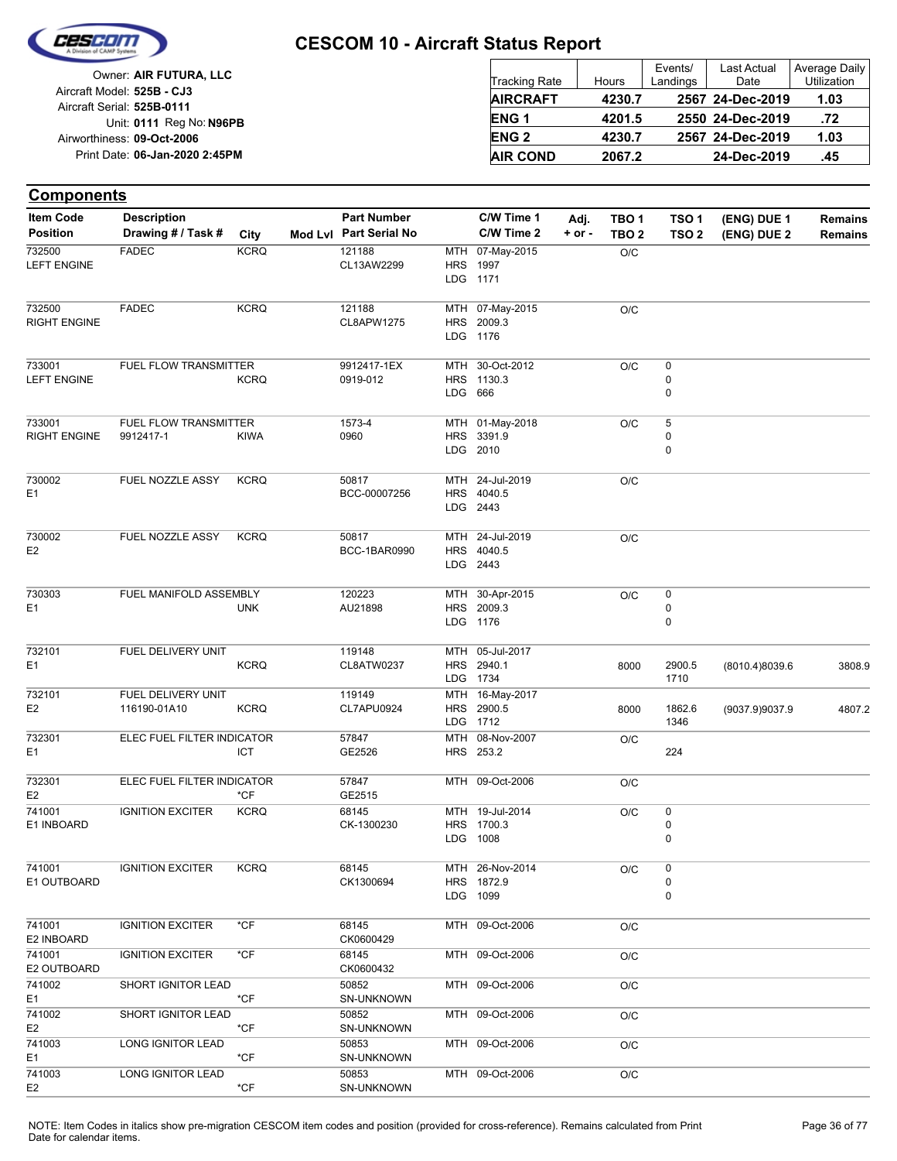

| Owner: AIR FUTURA, LLC         |                        |        | Events/  | Last Actual      | <b>Average Daily</b> |
|--------------------------------|------------------------|--------|----------|------------------|----------------------|
|                                | Tracking Rate          | Hours  | Landings | Date             | Utilization          |
| Aircraft Model: 525B - CJ3     | <b>AIRCRAFT</b>        | 4230.7 |          | 2567 24-Dec-2019 | 1.03                 |
| Aircraft Serial: 525B-0111     |                        |        |          |                  |                      |
| Unit: 0111 Reg No: N96PB       | ENG <sub>1</sub>       | 4201.5 |          | 2550 24-Dec-2019 | .72                  |
| Airworthiness: 09-Oct-2006     | <b>ENG<sub>2</sub></b> | 4230.7 |          | 2567 24-Dec-2019 | 1.03                 |
| Print Date: 06-Jan-2020 2:45PM | <b>AIR COND</b>        | 2067.2 |          | 24-Dec-2019      | .45                  |
|                                |                        |        |          |                  |                      |

| <b>Item Code</b>              | <b>Description</b>                 |               | <b>Part Number</b>           |         | C/W Time 1                                     | Adj.       | TBO <sub>1</sub> | TSO <sub>1</sub> | (ENG) DUE 1    | <b>Remains</b> |
|-------------------------------|------------------------------------|---------------|------------------------------|---------|------------------------------------------------|------------|------------------|------------------|----------------|----------------|
| <b>Position</b>               | Drawing # / Task #                 | City          | Mod Lvl Part Serial No       |         | C/W Time 2                                     | $+$ or $-$ | TBO <sub>2</sub> | TSO <sub>2</sub> | (ENG) DUE 2    | <b>Remains</b> |
| 732500<br><b>LEFT ENGINE</b>  | <b>FADEC</b>                       | <b>KCRQ</b>   | 121188<br>CL13AW2299         |         | MTH 07-May-2015<br><b>HRS</b> 1997<br>LDG 1171 |            | O/C              |                  |                |                |
| 732500<br><b>RIGHT ENGINE</b> | <b>FADEC</b>                       | <b>KCRQ</b>   | 121188<br>CL8APW1275         |         | MTH 07-May-2015<br>HRS 2009.3<br>LDG 1176      |            | O/C              |                  |                |                |
| 733001<br><b>LEFT ENGINE</b>  | FUEL FLOW TRANSMITTER              | <b>KCRQ</b>   | 9912417-1EX<br>0919-012      | LDG 666 | MTH 30-Oct-2012<br>HRS 1130.3                  |            | O/C              | 0<br>0<br>0      |                |                |
| 733001<br><b>RIGHT ENGINE</b> | FUEL FLOW TRANSMITTER<br>9912417-1 | <b>KIWA</b>   | 1573-4<br>0960               |         | MTH 01-May-2018<br>HRS 3391.9<br>LDG 2010      |            | O/C              | 5<br>0<br>0      |                |                |
| 730002<br>E <sub>1</sub>      | FUEL NOZZLE ASSY                   | <b>KCRQ</b>   | 50817<br>BCC-00007256        |         | MTH 24-Jul-2019<br>HRS 4040.5<br>LDG 2443      |            | O/C              |                  |                |                |
| 730002<br>E <sub>2</sub>      | FUEL NOZZLE ASSY                   | <b>KCRQ</b>   | 50817<br><b>BCC-1BAR0990</b> |         | MTH 24-Jul-2019<br>HRS 4040.5<br>LDG 2443      |            | O/C              |                  |                |                |
| 730303<br>E <sub>1</sub>      | FUEL MANIFOLD ASSEMBLY             | <b>UNK</b>    | 120223<br>AU21898            |         | MTH 30-Apr-2015<br>HRS 2009.3<br>LDG 1176      |            | O/C              | 0<br>0<br>0      |                |                |
| 732101<br>E <sub>1</sub>      | FUEL DELIVERY UNIT                 | <b>KCRQ</b>   | 119148<br>CL8ATW0237         |         | MTH 05-Jul-2017<br>HRS 2940.1<br>LDG 1734      |            | 8000             | 2900.5<br>1710   | (8010.4)8039.6 | 3808.9         |
| 732101<br>E <sub>2</sub>      | FUEL DELIVERY UNIT<br>116190-01A10 | <b>KCRQ</b>   | 119149<br>CL7APU0924         |         | MTH 16-May-2017<br>HRS 2900.5<br>LDG 1712      |            | 8000             | 1862.6<br>1346   | (9037.9)9037.9 | 4807.2         |
| 732301<br>E1                  | ELEC FUEL FILTER INDICATOR         | ICT           | 57847<br>GE2526              |         | MTH 08-Nov-2007<br>HRS 253.2                   |            | O/C              | 224              |                |                |
| 732301<br>E <sub>2</sub>      | ELEC FUEL FILTER INDICATOR         | $*$ CF        | 57847<br>GE2515              |         | MTH 09-Oct-2006                                |            | O/C              |                  |                |                |
| 741001<br>E1 INBOARD          | <b>IGNITION EXCITER</b>            | <b>KCRQ</b>   | 68145<br>CK-1300230          |         | MTH 19-Jul-2014<br>HRS 1700.3<br>LDG 1008      |            | O/C              | 0<br>0<br>0      |                |                |
| 741001<br>E1 OUTBOARD         | <b>IGNITION EXCITER</b>            | <b>KCRQ</b>   | 68145<br>CK1300694           |         | MTH 26-Nov-2014<br>HRS 1872.9<br>LDG 1099      |            | O/C              | 0<br>0<br>0      |                |                |
| 741001<br>E2 INBOARD          | <b>IGNITION EXCITER</b>            | $^{\star}$ CF | 68145<br>CK0600429           |         | MTH 09-Oct-2006                                |            | O/C              |                  |                |                |
| 741001<br>E2 OUTBOARD         | <b>IGNITION EXCITER</b>            | $*$ CF        | 68145<br>CK0600432           |         | MTH 09-Oct-2006                                |            | O/C              |                  |                |                |
| 741002<br>E1                  | SHORT IGNITOR LEAD                 | *CF           | 50852<br>SN-UNKNOWN          |         | MTH 09-Oct-2006                                |            | O/C              |                  |                |                |
| 741002<br>E <sub>2</sub>      | SHORT IGNITOR LEAD                 | $*$ CF        | 50852<br><b>SN-UNKNOWN</b>   |         | MTH 09-Oct-2006                                |            | O/C              |                  |                |                |
| 741003<br>E1                  | LONG IGNITOR LEAD                  | $*$ CF        | 50853<br>SN-UNKNOWN          |         | MTH 09-Oct-2006                                |            | O/C              |                  |                |                |
| 741003<br>E <sub>2</sub>      | LONG IGNITOR LEAD                  | $^{\star}$ CF | 50853<br>SN-UNKNOWN          |         | MTH 09-Oct-2006                                |            | O/C              |                  |                |                |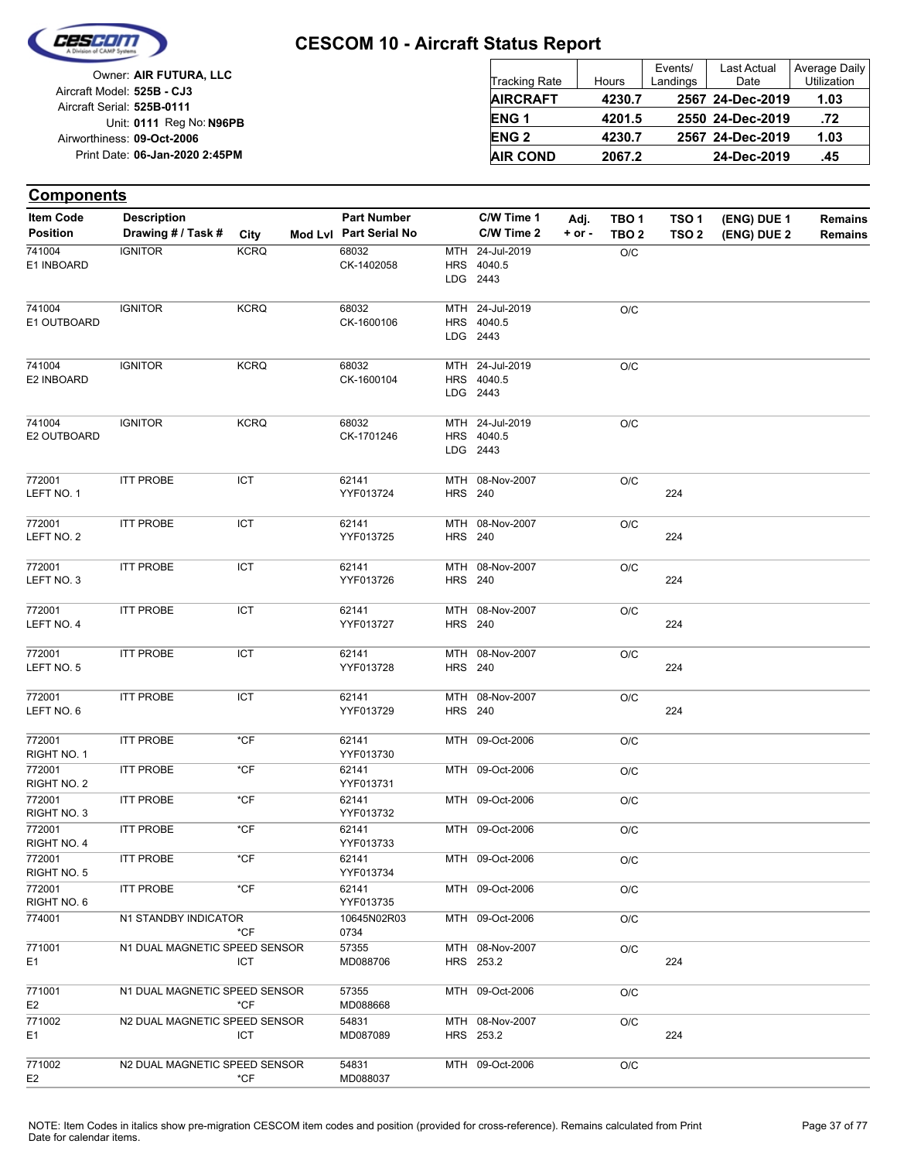

|                            | Owner: AIR FUTURA, LLC         |
|----------------------------|--------------------------------|
| Aircraft Model: 525B - CJ3 |                                |
| Aircraft Serial: 525B-0111 |                                |
|                            | Unit: 0111 Reg No: N96PB       |
| Airworthiness: 09-Oct-2006 |                                |
|                            | Print Date: 06-Jan-2020 2:45PM |
|                            |                                |

| <b>Tracking Rate</b> | Hours  | Events/<br>Landings | <b>Last Actual</b><br>Date | <b>Average Daily</b><br>Utilization |
|----------------------|--------|---------------------|----------------------------|-------------------------------------|
| <b>AIRCRAFT</b>      | 4230.7 |                     | 2567 24-Dec-2019           | 1.03                                |
| <b>ENG1</b>          | 4201.5 |                     | 2550 24-Dec-2019           | .72                                 |
| <b>ENG2</b>          | 4230.7 |                     | 2567 24-Dec-2019           | 1.03                                |
| <b>AIR COND</b>      | 2067.2 |                     | 24-Dec-2019                | .45                                 |

#### **Components**

| <b>Item Code</b>         | <b>Description</b>            |             | <b>Part Number</b>     |                | C/W Time 1                                | Adj.       | TBO <sub>1</sub> | TSO <sub>1</sub> | (ENG) DUE 1 | Remains        |
|--------------------------|-------------------------------|-------------|------------------------|----------------|-------------------------------------------|------------|------------------|------------------|-------------|----------------|
| <b>Position</b>          | Drawing # / Task #            | City        | Mod Lvl Part Serial No |                | C/W Time 2                                | $+$ or $-$ | TBO <sub>2</sub> | TSO <sub>2</sub> | (ENG) DUE 2 | <b>Remains</b> |
| 741004<br>E1 INBOARD     | <b>IGNITOR</b>                | <b>KCRQ</b> | 68032<br>CK-1402058    |                | MTH 24-Jul-2019<br>HRS 4040.5<br>LDG 2443 |            | O/C              |                  |             |                |
| 741004<br>E1 OUTBOARD    | <b>IGNITOR</b>                | <b>KCRQ</b> | 68032<br>CK-1600106    |                | MTH 24-Jul-2019<br>HRS 4040.5<br>LDG 2443 |            | $\rm O/C$        |                  |             |                |
| 741004<br>E2 INBOARD     | <b>IGNITOR</b>                | <b>KCRQ</b> | 68032<br>CK-1600104    |                | MTH 24-Jul-2019<br>HRS 4040.5<br>LDG 2443 |            | O/C              |                  |             |                |
| 741004<br>E2 OUTBOARD    | <b>IGNITOR</b>                | <b>KCRQ</b> | 68032<br>CK-1701246    |                | MTH 24-Jul-2019<br>HRS 4040.5<br>LDG 2443 |            | $\rm O/C$        |                  |             |                |
| 772001<br>LEFT NO. 1     | <b>ITT PROBE</b>              | ICT         | 62141<br>YYF013724     | <b>HRS 240</b> | MTH 08-Nov-2007                           |            | O/C              | 224              |             |                |
| 772001<br>LEFT NO. 2     | <b>ITT PROBE</b>              | ICT         | 62141<br>YYF013725     | <b>HRS 240</b> | MTH 08-Nov-2007                           |            | O/C              | 224              |             |                |
| 772001<br>LEFT NO. 3     | <b>ITT PROBE</b>              | <b>ICT</b>  | 62141<br>YYF013726     | <b>HRS 240</b> | MTH 08-Nov-2007                           |            | O/C              | 224              |             |                |
| 772001<br>LEFT NO. 4     | <b>ITT PROBE</b>              | ICT         | 62141<br>YYF013727     | <b>HRS</b> 240 | MTH 08-Nov-2007                           |            | O/C              | 224              |             |                |
| 772001<br>LEFT NO. 5     | <b>ITT PROBE</b>              | ICT         | 62141<br>YYF013728     | <b>HRS</b> 240 | MTH 08-Nov-2007                           |            | O/C              | 224              |             |                |
| 772001<br>LEFT NO. 6     | <b>ITT PROBE</b>              | ICT         | 62141<br>YYF013729     | <b>HRS</b> 240 | MTH 08-Nov-2007                           |            | O/C              | 224              |             |                |
| 772001<br>RIGHT NO. 1    | <b>ITT PROBE</b>              | *CF         | 62141<br>YYF013730     |                | MTH 09-Oct-2006                           |            | O/C              |                  |             |                |
| 772001<br>RIGHT NO. 2    | <b>ITT PROBE</b>              | $*$ CF      | 62141<br>YYF013731     |                | MTH 09-Oct-2006                           |            | O/C              |                  |             |                |
| 772001<br>RIGHT NO. 3    | <b>ITT PROBE</b>              | *CF         | 62141<br>YYF013732     |                | MTH 09-Oct-2006                           |            | O/C              |                  |             |                |
| 772001<br>RIGHT NO. 4    | <b>ITT PROBE</b>              | $*$ CF      | 62141<br>YYF013733     |                | MTH 09-Oct-2006                           |            | O/C              |                  |             |                |
| 772001<br>RIGHT NO. 5    | <b>ITT PROBE</b>              | $*$ CF      | 62141<br>YYF013734     |                | MTH 09-Oct-2006                           |            | O/C              |                  |             |                |
| 772001<br>RIGHT NO. 6    | <b>ITT PROBE</b>              | $*$ CF      | 62141<br>YYF013735     |                | MTH 09-Oct-2006                           |            | O/C              |                  |             |                |
| 774001                   | N1 STANDBY INDICATOR          | $*CF$       | 10645N02R03<br>0734    |                | MTH 09-Oct-2006                           |            | O/C              |                  |             |                |
| 771001<br>E <sub>1</sub> | N1 DUAL MAGNETIC SPEED SENSOR | <b>ICT</b>  | 57355<br>MD088706      |                | MTH 08-Nov-2007<br>HRS 253.2              |            | O/C              | 224              |             |                |
| 771001<br>E <sub>2</sub> | N1 DUAL MAGNETIC SPEED SENSOR | *CF         | 57355<br>MD088668      |                | MTH 09-Oct-2006                           |            | O/C              |                  |             |                |
| 771002<br>E1             | N2 DUAL MAGNETIC SPEED SENSOR | <b>ICT</b>  | 54831<br>MD087089      |                | MTH 08-Nov-2007<br>HRS 253.2              |            | O/C              | 224              |             |                |
| 771002<br>E <sub>2</sub> | N2 DUAL MAGNETIC SPEED SENSOR | *CF         | 54831<br>MD088037      |                | MTH 09-Oct-2006                           |            | O/C              |                  |             |                |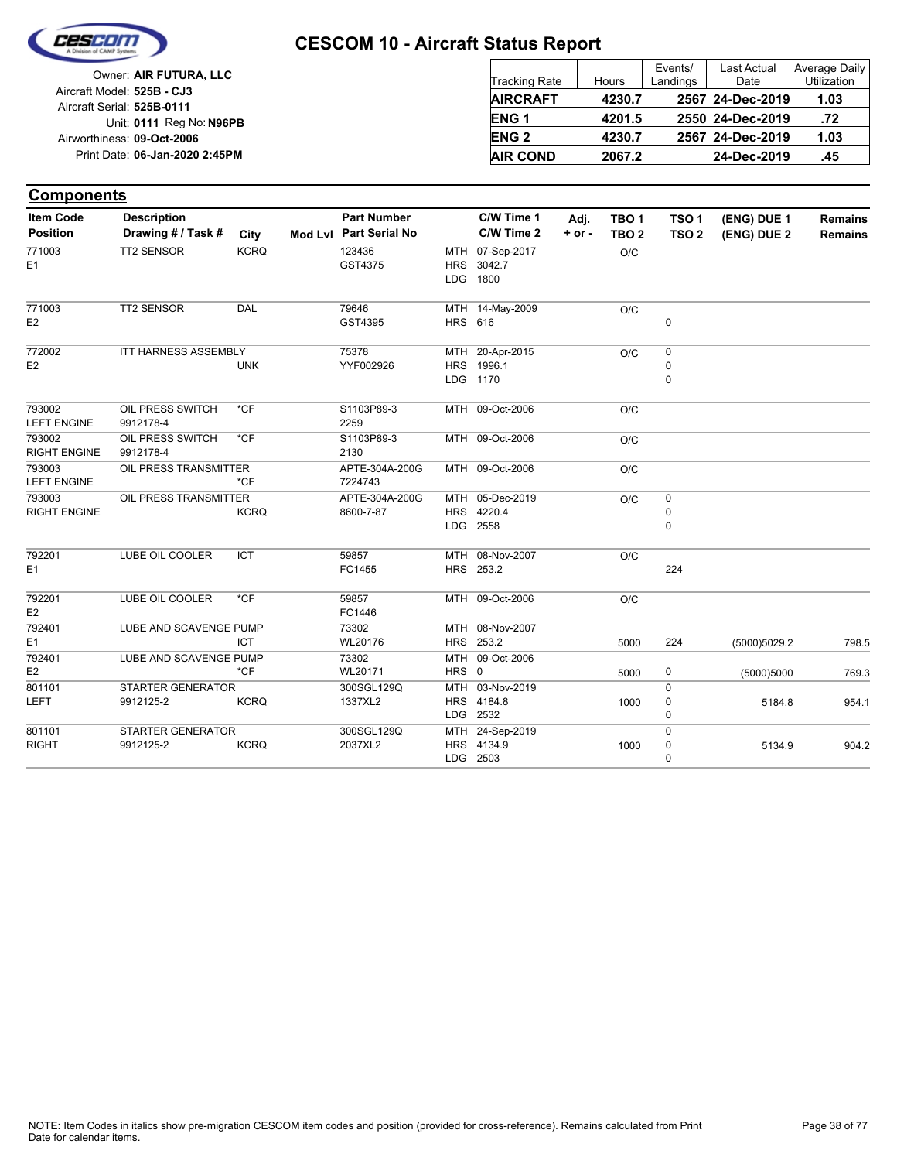

| Owner: AIR FUTURA, LLC         |
|--------------------------------|
| Aircraft Model: 525B - CJ3     |
| Aircraft Serial: 525B-0111     |
| Unit: 0111 Reg No: N96PB       |
| Airworthiness: 09-Oct-2006     |
| Print Date: 06-Jan-2020 2:45PM |
|                                |

| <b>Tracking Rate</b> | Hours  | Events/<br>Landings | <b>Last Actual</b><br>Date | Average Daily<br>Utilization |
|----------------------|--------|---------------------|----------------------------|------------------------------|
| <b>AIRCRAFT</b>      | 4230.7 |                     | 2567 24-Dec-2019           | 1.03                         |
| ENG <sub>1</sub>     | 4201.5 |                     | 2550 24-Dec-2019           | .72                          |
| <b>ENG2</b>          | 4230.7 |                     | 2567 24-Dec-2019           | 1.03                         |
| <b>AIR COND</b>      | 2067.2 |                     | 24-Dec-2019                | .45                          |

#### **Components**

| <b>Item Code</b>    | <b>Description</b>       |             | <b>Part Number</b>     |                | C/W Time 1      | Adj.       | TBO <sub>1</sub> | TSO <sub>1</sub> | (ENG) DUE 1  | <b>Remains</b> |
|---------------------|--------------------------|-------------|------------------------|----------------|-----------------|------------|------------------|------------------|--------------|----------------|
| <b>Position</b>     | Drawing # / Task #       | City        | Mod Lvl Part Serial No |                | C/W Time 2      | $+$ or $-$ | TBO <sub>2</sub> | TSO <sub>2</sub> | (ENG) DUE 2  | <b>Remains</b> |
| 771003              | <b>TT2 SENSOR</b>        | <b>KCRQ</b> | 123436                 |                | MTH 07-Sep-2017 |            | O/C              |                  |              |                |
| E1                  |                          |             | GST4375                |                | HRS 3042.7      |            |                  |                  |              |                |
|                     |                          |             |                        |                | LDG 1800        |            |                  |                  |              |                |
| 771003              | TT2 SENSOR               | <b>DAL</b>  | 79646                  |                | MTH 14-May-2009 |            | O/C              |                  |              |                |
| E <sub>2</sub>      |                          |             | GST4395                | <b>HRS 616</b> |                 |            |                  | $\mathbf 0$      |              |                |
| 772002              | ITT HARNESS ASSEMBLY     |             | 75378                  |                | MTH 20-Apr-2015 |            | O/C              | 0                |              |                |
| E <sub>2</sub>      |                          | <b>UNK</b>  | YYF002926              |                | HRS 1996.1      |            |                  | 0                |              |                |
|                     |                          |             |                        |                | LDG 1170        |            |                  | $\Omega$         |              |                |
| 793002              | OIL PRESS SWITCH         | $*$ CF      | S1103P89-3             |                | MTH 09-Oct-2006 |            | O/C              |                  |              |                |
| <b>LEFT ENGINE</b>  | 9912178-4                |             | 2259                   |                |                 |            |                  |                  |              |                |
| 793002              | OIL PRESS SWITCH         | $*CF$       | S1103P89-3             |                | MTH 09-Oct-2006 |            | O/C              |                  |              |                |
| <b>RIGHT ENGINE</b> | 9912178-4                |             | 2130                   |                |                 |            |                  |                  |              |                |
| 793003              | OIL PRESS TRANSMITTER    |             | APTE-304A-200G         |                | MTH 09-Oct-2006 |            | O/C              |                  |              |                |
| <b>LEFT ENGINE</b>  |                          | *CF         | 7224743                |                |                 |            |                  |                  |              |                |
| 793003              | OIL PRESS TRANSMITTER    |             | APTE-304A-200G         |                | MTH 05-Dec-2019 |            | O/C              | 0                |              |                |
| <b>RIGHT ENGINE</b> |                          | <b>KCRQ</b> | 8600-7-87              |                | HRS 4220.4      |            |                  | 0                |              |                |
|                     |                          |             |                        |                | LDG 2558        |            |                  | 0                |              |                |
| 792201              | LUBE OIL COOLER          | <b>ICT</b>  | 59857                  |                | MTH 08-Nov-2007 |            | O/C              |                  |              |                |
| E <sub>1</sub>      |                          |             | FC1455                 |                | HRS 253.2       |            |                  | 224              |              |                |
| 792201              | LUBE OIL COOLER          | $*$ CF      | 59857                  |                | MTH 09-Oct-2006 |            | O/C              |                  |              |                |
| E <sub>2</sub>      |                          |             | FC1446                 |                |                 |            |                  |                  |              |                |
| 792401              | LUBE AND SCAVENGE PUMP   |             | 73302                  |                | MTH 08-Nov-2007 |            |                  |                  |              |                |
| E <sub>1</sub>      |                          | <b>ICT</b>  | WL20176                |                | HRS 253.2       |            | 5000             | 224              | (5000)5029.2 | 798.5          |
| 792401              | LUBE AND SCAVENGE PUMP   |             | 73302                  |                | MTH 09-Oct-2006 |            |                  |                  |              |                |
| E <sub>2</sub>      |                          | $*$ CF      | WL20171                | HRS 0          |                 |            | 5000             | 0                | (5000)5000   | 769.3          |
| 801101              | <b>STARTER GENERATOR</b> |             | 300SGL129Q             | MTH            | 03-Nov-2019     |            |                  | $\Omega$         |              |                |
| LEFT                | 9912125-2                | <b>KCRQ</b> | 1337XL2                |                | HRS 4184.8      |            | 1000             | 0                | 5184.8       | 954.1          |
|                     |                          |             |                        |                | LDG 2532        |            |                  | 0                |              |                |
| 801101              | <b>STARTER GENERATOR</b> |             | 300SGL129Q             |                | MTH 24-Sep-2019 |            |                  | $\Omega$         |              |                |
| <b>RIGHT</b>        | 9912125-2                | <b>KCRQ</b> | 2037XL2                |                | HRS 4134.9      |            | 1000             | 0                | 5134.9       | 904.2          |
|                     |                          |             |                        |                | LDG 2503        |            |                  | $\Omega$         |              |                |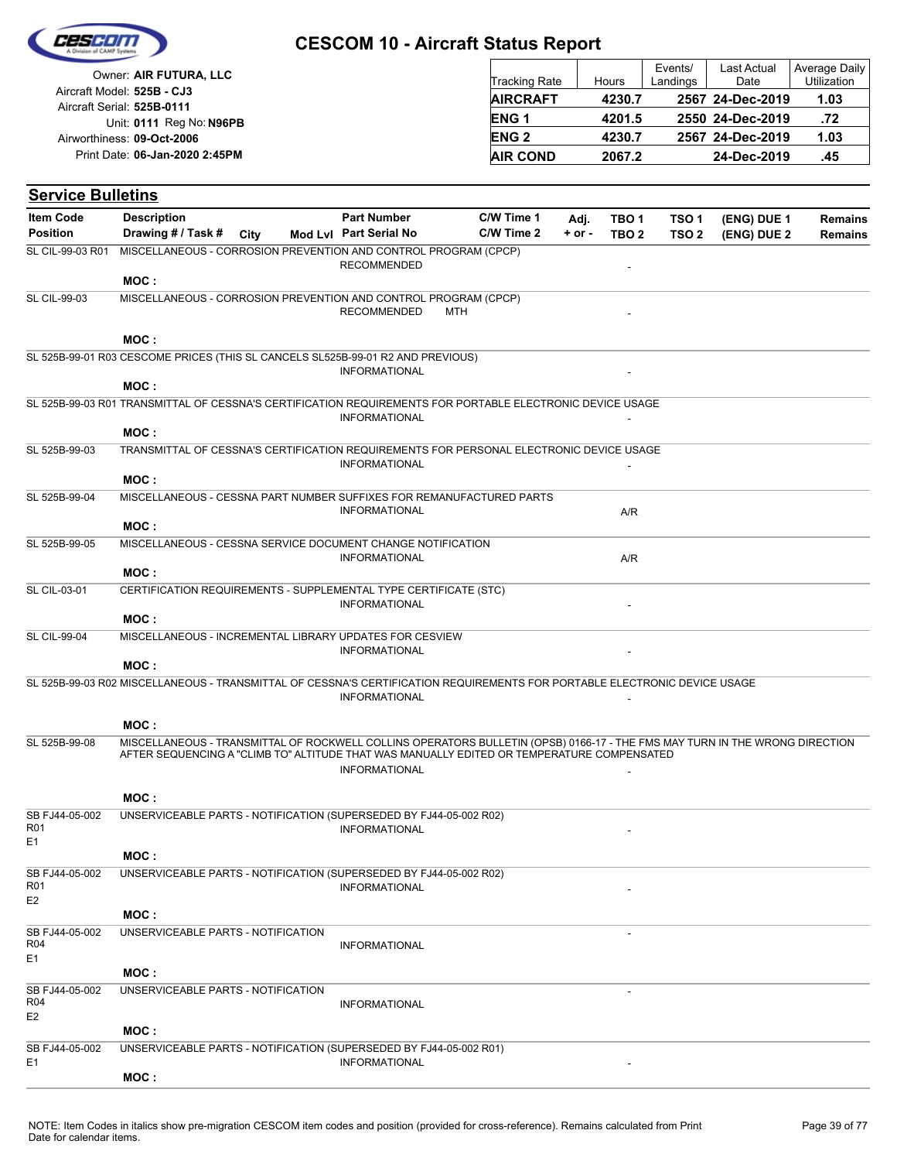

| Owner: AIR FUTURA, LLC                                   | <b>Tracking Rate</b> | Hours  | Events/<br>Landings | Last Actual<br>Date | Average Daily<br><b>Utilization</b> |
|----------------------------------------------------------|----------------------|--------|---------------------|---------------------|-------------------------------------|
| Aircraft Model: 525B - CJ3<br>Aircraft Serial: 525B-0111 | <b>AIRCRAFT</b>      | 4230.7 |                     | 2567 24-Dec-2019    | 1.03                                |
| Unit: 0111 Reg No: N96PB                                 | ENG <sub>1</sub>     | 4201.5 |                     | 2550 24-Dec-2019    | .72                                 |
| Airworthiness: 09-Oct-2006                               | <b>ENG 2</b>         | 4230.7 |                     | 2567 24-Dec-2019    | 1.03                                |
| Print Date: 06-Jan-2020 2:45PM                           | <b>AIR COND</b>      | 2067.2 |                     | 24-Dec-2019         | .45                                 |

| <b>Item Code</b>    | <b>Description</b>                                                                                                                                                                                                        | <b>Part Number</b>     | C/W Time 1 | Adj.       | TBO <sub>1</sub> | TSO 1            | (ENG) DUE 1 | <b>Remains</b> |
|---------------------|---------------------------------------------------------------------------------------------------------------------------------------------------------------------------------------------------------------------------|------------------------|------------|------------|------------------|------------------|-------------|----------------|
| <b>Position</b>     | Drawing # / Task #<br>City                                                                                                                                                                                                | Mod Lvl Part Serial No | C/W Time 2 | $+$ or $-$ | TBO <sub>2</sub> | TSO <sub>2</sub> | (ENG) DUE 2 | <b>Remains</b> |
| SL CIL-99-03 R01    | MISCELLANEOUS - CORROSION PREVENTION AND CONTROL PROGRAM (CPCP)                                                                                                                                                           |                        |            |            |                  |                  |             |                |
|                     |                                                                                                                                                                                                                           | <b>RECOMMENDED</b>     |            |            |                  |                  |             |                |
|                     | MOC:                                                                                                                                                                                                                      |                        |            |            |                  |                  |             |                |
| <b>SL CIL-99-03</b> | MISCELLANEOUS - CORROSION PREVENTION AND CONTROL PROGRAM (CPCP)                                                                                                                                                           | <b>RECOMMENDED</b>     | MTH        |            |                  |                  |             |                |
|                     |                                                                                                                                                                                                                           |                        |            |            |                  |                  |             |                |
|                     | MOC:                                                                                                                                                                                                                      |                        |            |            |                  |                  |             |                |
|                     | SL 525B-99-01 R03 CESCOME PRICES (THIS SL CANCELS SL525B-99-01 R2 AND PREVIOUS)                                                                                                                                           | <b>INFORMATIONAL</b>   |            |            |                  |                  |             |                |
|                     | MOC:                                                                                                                                                                                                                      |                        |            |            |                  |                  |             |                |
|                     | SL 525B-99-03 R01 TRANSMITTAL OF CESSNA'S CERTIFICATION REQUIREMENTS FOR PORTABLE ELECTRONIC DEVICE USAGE                                                                                                                 |                        |            |            |                  |                  |             |                |
|                     |                                                                                                                                                                                                                           | <b>INFORMATIONAL</b>   |            |            |                  |                  |             |                |
| SL 525B-99-03       | MOC:<br>TRANSMITTAL OF CESSNA'S CERTIFICATION REQUIREMENTS FOR PERSONAL ELECTRONIC DEVICE USAGE                                                                                                                           |                        |            |            |                  |                  |             |                |
|                     |                                                                                                                                                                                                                           | <b>INFORMATIONAL</b>   |            |            |                  |                  |             |                |
|                     | MOC:                                                                                                                                                                                                                      |                        |            |            |                  |                  |             |                |
| SL 525B-99-04       | MISCELLANEOUS - CESSNA PART NUMBER SUFFIXES FOR REMANUFACTURED PARTS                                                                                                                                                      |                        |            |            |                  |                  |             |                |
|                     | MOC:                                                                                                                                                                                                                      | <b>INFORMATIONAL</b>   |            |            | A/R              |                  |             |                |
| SL 525B-99-05       | MISCELLANEOUS - CESSNA SERVICE DOCUMENT CHANGE NOTIFICATION                                                                                                                                                               |                        |            |            |                  |                  |             |                |
|                     |                                                                                                                                                                                                                           | <b>INFORMATIONAL</b>   |            |            | A/R              |                  |             |                |
|                     | MOC:                                                                                                                                                                                                                      |                        |            |            |                  |                  |             |                |
| <b>SL CIL-03-01</b> | CERTIFICATION REQUIREMENTS - SUPPLEMENTAL TYPE CERTIFICATE (STC)                                                                                                                                                          | <b>INFORMATIONAL</b>   |            |            |                  |                  |             |                |
|                     | MOC:                                                                                                                                                                                                                      |                        |            |            |                  |                  |             |                |
| <b>SL CIL-99-04</b> | MISCELLANEOUS - INCREMENTAL LIBRARY UPDATES FOR CESVIEW                                                                                                                                                                   |                        |            |            |                  |                  |             |                |
|                     |                                                                                                                                                                                                                           | <b>INFORMATIONAL</b>   |            |            |                  |                  |             |                |
|                     | MOC:                                                                                                                                                                                                                      |                        |            |            |                  |                  |             |                |
|                     | SL 525B-99-03 R02 MISCELLANEOUS - TRANSMITTAL OF CESSNA'S CERTIFICATION REQUIREMENTS FOR PORTABLE ELECTRONIC DEVICE USAGE                                                                                                 | <b>INFORMATIONAL</b>   |            |            |                  |                  |             |                |
|                     |                                                                                                                                                                                                                           |                        |            |            |                  |                  |             |                |
|                     | MOC:                                                                                                                                                                                                                      |                        |            |            |                  |                  |             |                |
| SL 525B-99-08       | MISCELLANEOUS - TRANSMITTAL OF ROCKWELL COLLINS OPERATORS BULLETIN (OPSB) 0166-17 - THE FMS MAY TURN IN THE WRONG DIRECTION<br>AFTER SEQUENCING A "CLIMB TO" ALTITUDE THAT WAS MANUALLY EDITED OR TEMPERATURE COMPENSATED |                        |            |            |                  |                  |             |                |
|                     |                                                                                                                                                                                                                           | <b>INFORMATIONAL</b>   |            |            |                  |                  |             |                |
|                     | MOC:                                                                                                                                                                                                                      |                        |            |            |                  |                  |             |                |
| SB FJ44-05-002      | UNSERVICEABLE PARTS - NOTIFICATION (SUPERSEDED BY FJ44-05-002 R02)                                                                                                                                                        |                        |            |            |                  |                  |             |                |
| R <sub>01</sub>     |                                                                                                                                                                                                                           | <b>INFORMATIONAL</b>   |            |            |                  |                  |             |                |
| E1                  | MOC:                                                                                                                                                                                                                      |                        |            |            |                  |                  |             |                |
| SB FJ44-05-002      | UNSERVICEABLE PARTS - NOTIFICATION (SUPERSEDED BY FJ44-05-002 R02)                                                                                                                                                        |                        |            |            |                  |                  |             |                |
| <b>R01</b>          |                                                                                                                                                                                                                           | <b>INFORMATIONAL</b>   |            |            |                  |                  |             |                |
| E <sub>2</sub>      | MOC:                                                                                                                                                                                                                      |                        |            |            |                  |                  |             |                |
| SB FJ44-05-002      | UNSERVICEABLE PARTS - NOTIFICATION                                                                                                                                                                                        |                        |            |            |                  |                  |             |                |
| R <sub>04</sub>     |                                                                                                                                                                                                                           | <b>INFORMATIONAL</b>   |            |            |                  |                  |             |                |
| E <sub>1</sub>      | MOC:                                                                                                                                                                                                                      |                        |            |            |                  |                  |             |                |
| SB FJ44-05-002      | UNSERVICEABLE PARTS - NOTIFICATION                                                                                                                                                                                        |                        |            |            |                  |                  |             |                |
| R <sub>04</sub>     |                                                                                                                                                                                                                           | <b>INFORMATIONAL</b>   |            |            |                  |                  |             |                |
| E <sub>2</sub>      |                                                                                                                                                                                                                           |                        |            |            |                  |                  |             |                |
| SB FJ44-05-002      | MOC:<br>UNSERVICEABLE PARTS - NOTIFICATION (SUPERSEDED BY FJ44-05-002 R01)                                                                                                                                                |                        |            |            |                  |                  |             |                |
| E <sub>1</sub>      |                                                                                                                                                                                                                           | <b>INFORMATIONAL</b>   |            |            |                  |                  |             |                |
|                     | MOC:                                                                                                                                                                                                                      |                        |            |            |                  |                  |             |                |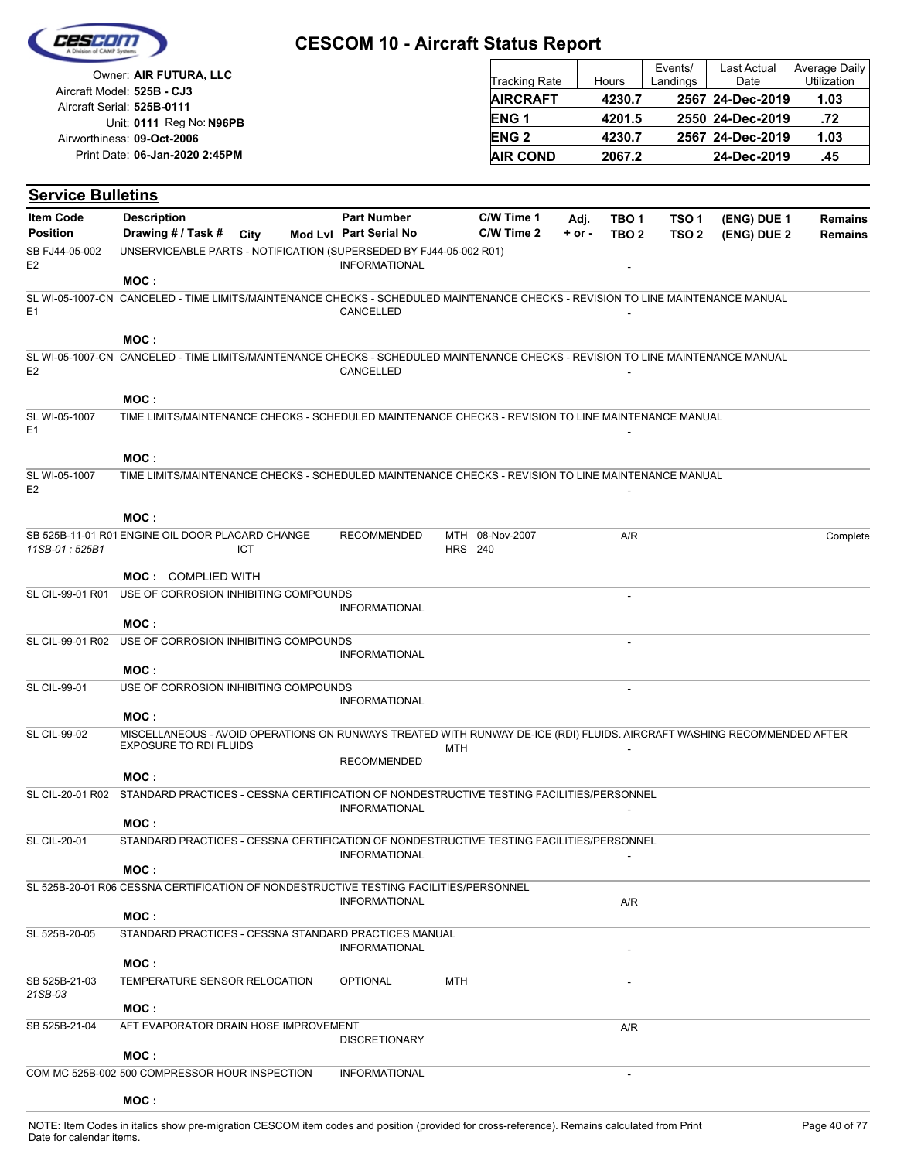| Cesedin |  |
|---------|--|
|         |  |
|         |  |

| Owner: AIR FUTURA, LLC                                   | <b>Tracking Rate</b>   | Hours  | Events/<br>Landings | Last Actual<br>Date | Average Daily<br>Utilization |
|----------------------------------------------------------|------------------------|--------|---------------------|---------------------|------------------------------|
| Aircraft Model: 525B - CJ3<br>Aircraft Serial: 525B-0111 | <b>AIRCRAFT</b>        | 4230.7 |                     | 2567 24-Dec-2019    | 1.03                         |
| Unit: 0111 Reg No: N96PB                                 | <b>ENG1</b>            | 4201.5 |                     | 2550 24-Dec-2019    | .72                          |
| Airworthiness: 09-Oct-2006                               | <b>ENG<sub>2</sub></b> | 4230.7 |                     | 2567 24-Dec-2019    | 1.03                         |
| Print Date: 06-Jan-2020 2:45PM                           | <b>AIR COND</b>        | 2067.2 |                     | 24-Dec-2019         | .45                          |

| <b>Service Bulletins</b>         |                                                                                                                                                   |      |                        |                |                 |            |                  |                  |             |                |
|----------------------------------|---------------------------------------------------------------------------------------------------------------------------------------------------|------|------------------------|----------------|-----------------|------------|------------------|------------------|-------------|----------------|
| <b>Item Code</b>                 | <b>Description</b>                                                                                                                                |      | <b>Part Number</b>     |                | C/W Time 1      | Adj.       | TBO <sub>1</sub> | TSO <sub>1</sub> | (ENG) DUE 1 | <b>Remains</b> |
| <b>Position</b>                  | Drawing # / Task #                                                                                                                                | City | Mod Lvl Part Serial No |                | C/W Time 2      | $+$ or $-$ | TBO <sub>2</sub> | TSO <sub>2</sub> | (ENG) DUE 2 | <b>Remains</b> |
| SB FJ44-05-002<br>E <sub>2</sub> | UNSERVICEABLE PARTS - NOTIFICATION (SUPERSEDED BY FJ44-05-002 R01)                                                                                |      | <b>INFORMATIONAL</b>   |                |                 |            |                  |                  |             |                |
|                                  | MOC :                                                                                                                                             |      |                        |                |                 |            |                  |                  |             |                |
| E <sub>1</sub>                   | SL WI-05-1007-CN CANCELED - TIME LIMITS/MAINTENANCE CHECKS - SCHEDULED MAINTENANCE CHECKS - REVISION TO LINE MAINTENANCE MANUAL                   |      | CANCELLED              |                |                 |            |                  |                  |             |                |
|                                  | MOC:                                                                                                                                              |      |                        |                |                 |            |                  |                  |             |                |
| E <sub>2</sub>                   | SL WI-05-1007-CN CANCELED - TIME LIMITS/MAINTENANCE CHECKS - SCHEDULED MAINTENANCE CHECKS - REVISION TO LINE MAINTENANCE MANUAL                   |      | CANCELLED              |                |                 |            |                  |                  |             |                |
|                                  | MOC :                                                                                                                                             |      |                        |                |                 |            |                  |                  |             |                |
| SL WI-05-1007<br>E <sub>1</sub>  | TIME LIMITS/MAINTENANCE CHECKS - SCHEDULED MAINTENANCE CHECKS - REVISION TO LINE MAINTENANCE MANUAL                                               |      |                        |                |                 |            |                  |                  |             |                |
|                                  | MOC :                                                                                                                                             |      |                        |                |                 |            |                  |                  |             |                |
| SL WI-05-1007<br>E <sub>2</sub>  | TIME LIMITS/MAINTENANCE CHECKS - SCHEDULED MAINTENANCE CHECKS - REVISION TO LINE MAINTENANCE MANUAL                                               |      |                        |                |                 |            |                  |                  |             |                |
|                                  | MOC:                                                                                                                                              |      |                        |                |                 |            |                  |                  |             |                |
| 11SB-01:525B1                    | SB 525B-11-01 R01 ENGINE OIL DOOR PLACARD CHANGE                                                                                                  | ICT  | <b>RECOMMENDED</b>     | <b>HRS</b> 240 | MTH 08-Nov-2007 |            | A/R              |                  |             | Complete       |
|                                  | <b>MOC: COMPLIED WITH</b>                                                                                                                         |      |                        |                |                 |            |                  |                  |             |                |
| SL CIL-99-01 R01                 | USE OF CORROSION INHIBITING COMPOUNDS                                                                                                             |      | <b>INFORMATIONAL</b>   |                |                 |            |                  |                  |             |                |
|                                  | MOC:                                                                                                                                              |      |                        |                |                 |            |                  |                  |             |                |
| SL CIL-99-01 R02                 | USE OF CORROSION INHIBITING COMPOUNDS                                                                                                             |      |                        |                |                 |            |                  |                  |             |                |
|                                  | MOC:                                                                                                                                              |      | <b>INFORMATIONAL</b>   |                |                 |            |                  |                  |             |                |
| <b>SL CIL-99-01</b>              | USE OF CORROSION INHIBITING COMPOUNDS                                                                                                             |      |                        |                |                 |            |                  |                  |             |                |
|                                  |                                                                                                                                                   |      | <b>INFORMATIONAL</b>   |                |                 |            |                  |                  |             |                |
|                                  | MOC:                                                                                                                                              |      |                        |                |                 |            |                  |                  |             |                |
| <b>SL CIL-99-02</b>              | MISCELLANEOUS - AVOID OPERATIONS ON RUNWAYS TREATED WITH RUNWAY DE-ICE (RDI) FLUIDS. AIRCRAFT WASHING RECOMMENDED AFTER<br>EXPOSURE TO RDI FLUIDS |      |                        | MTH            |                 |            |                  |                  |             |                |
|                                  |                                                                                                                                                   |      | <b>RECOMMENDED</b>     |                |                 |            |                  |                  |             |                |
|                                  | MOC:                                                                                                                                              |      |                        |                |                 |            |                  |                  |             |                |
| SL CIL-20-01 R02                 | STANDARD PRACTICES - CESSNA CERTIFICATION OF NONDESTRUCTIVE TESTING FACILITIES/PERSONNEL                                                          |      | <b>INFORMATIONAL</b>   |                |                 |            |                  |                  |             |                |
|                                  | MOC:                                                                                                                                              |      |                        |                |                 |            |                  |                  |             |                |
| <b>SL CIL-20-01</b>              | STANDARD PRACTICES - CESSNA CERTIFICATION OF NONDESTRUCTIVE TESTING FACILITIES/PERSONNEL                                                          |      |                        |                |                 |            |                  |                  |             |                |
|                                  | MOC:                                                                                                                                              |      | <b>INFORMATIONAL</b>   |                |                 |            |                  |                  |             |                |
|                                  | SL 525B-20-01 R06 CESSNA CERTIFICATION OF NONDESTRUCTIVE TESTING FACILITIES/PERSONNEL                                                             |      |                        |                |                 |            |                  |                  |             |                |
|                                  |                                                                                                                                                   |      | <b>INFORMATIONAL</b>   |                |                 |            | A/R              |                  |             |                |
|                                  | MOC:                                                                                                                                              |      |                        |                |                 |            |                  |                  |             |                |
| SL 525B-20-05                    | STANDARD PRACTICES - CESSNA STANDARD PRACTICES MANUAL                                                                                             |      | <b>INFORMATIONAL</b>   |                |                 |            |                  |                  |             |                |
|                                  | MOC:                                                                                                                                              |      |                        |                |                 |            |                  |                  |             |                |
| SB 525B-21-03<br>21SB-03         | TEMPERATURE SENSOR RELOCATION                                                                                                                     |      | <b>OPTIONAL</b>        | <b>MTH</b>     |                 |            |                  |                  |             |                |
|                                  | MOC:                                                                                                                                              |      |                        |                |                 |            |                  |                  |             |                |
| SB 525B-21-04                    | AFT EVAPORATOR DRAIN HOSE IMPROVEMENT                                                                                                             |      | <b>DISCRETIONARY</b>   |                |                 |            | A/R              |                  |             |                |
|                                  | MOC:                                                                                                                                              |      |                        |                |                 |            |                  |                  |             |                |
|                                  | COM MC 525B-002 500 COMPRESSOR HOUR INSPECTION                                                                                                    |      | <b>INFORMATIONAL</b>   |                |                 |            |                  |                  |             |                |
|                                  | MOC:                                                                                                                                              |      |                        |                |                 |            |                  |                  |             |                |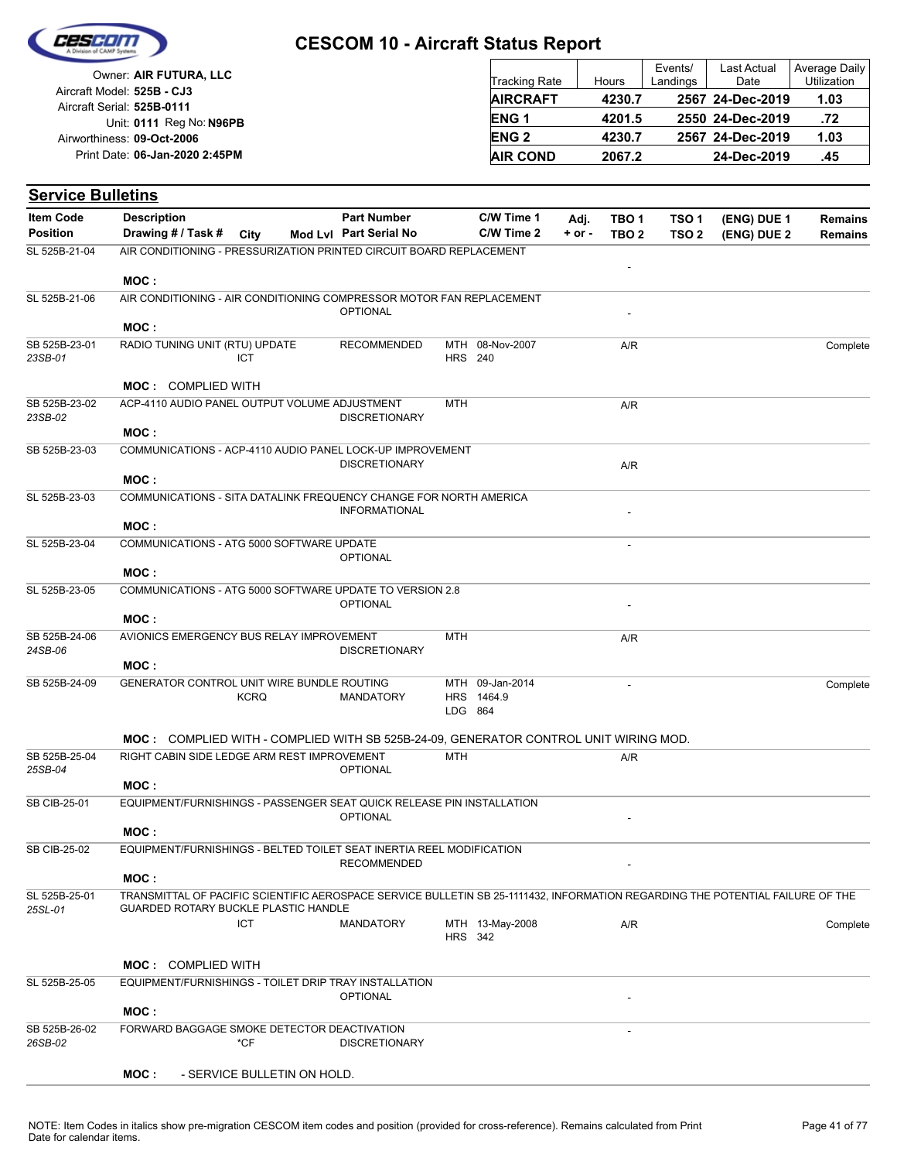

| Owner: AIR FUTURA, LLC                                   | <b>Tracking Rate</b>   | Hours  | Events/<br>Landings | Last Actual<br>Date | Average Daily<br><b>Utilization</b> |
|----------------------------------------------------------|------------------------|--------|---------------------|---------------------|-------------------------------------|
| Aircraft Model: 525B - CJ3<br>Aircraft Serial: 525B-0111 | <b>AIRCRAFT</b>        | 4230.7 |                     | 2567 24-Dec-2019    | 1.03                                |
| Unit: 0111 Reg No: N96PB                                 | ENG <sub>1</sub>       | 4201.5 |                     | 2550 24-Dec-2019    | .72                                 |
| Airworthiness: 09-Oct-2006                               | <b>ENG<sub>2</sub></b> | 4230.7 |                     | 2567 24-Dec-2019    | 1.03                                |
| Print Date: 06-Jan-2020 2:45PM                           | <b>AIR COND</b>        | 2067.2 |                     | 24-Dec-2019         | .45                                 |

| <b>Service Bulletins</b> |                                                                                                                                     |                             |                        |                |                               |            |                          |                  |                                                                                                                                               |                |
|--------------------------|-------------------------------------------------------------------------------------------------------------------------------------|-----------------------------|------------------------|----------------|-------------------------------|------------|--------------------------|------------------|-----------------------------------------------------------------------------------------------------------------------------------------------|----------------|
| <b>Item Code</b>         | <b>Description</b>                                                                                                                  |                             | <b>Part Number</b>     |                | C/W Time 1                    | Adj.       | TBO 1                    | TSO <sub>1</sub> |                                                                                                                                               | <b>Remains</b> |
| <b>Position</b>          | Drawing # / Task #                                                                                                                  | City                        | Mod Lvl Part Serial No |                | C/W Time 2                    | $+$ or $-$ | TBO <sub>2</sub>         | TSO <sub>2</sub> | (ENG) DUE 2                                                                                                                                   | <b>Remains</b> |
| SL 525B-21-04            | AIR CONDITIONING - PRESSURIZATION PRINTED CIRCUIT BOARD REPLACEMENT                                                                 |                             |                        |                |                               |            |                          |                  |                                                                                                                                               |                |
|                          | MOC:                                                                                                                                |                             |                        |                |                               |            |                          |                  |                                                                                                                                               |                |
| SL 525B-21-06            | AIR CONDITIONING - AIR CONDITIONING COMPRESSOR MOTOR FAN REPLACEMENT                                                                |                             |                        |                |                               |            |                          |                  | (ENG) DUE 1<br>TRANSMITTAL OF PACIFIC SCIENTIFIC AEROSPACE SERVICE BULLETIN SB 25-1111432, INFORMATION REGARDING THE POTENTIAL FAILURE OF THE |                |
|                          |                                                                                                                                     |                             | <b>OPTIONAL</b>        |                |                               |            |                          |                  |                                                                                                                                               |                |
|                          | MOC:                                                                                                                                |                             |                        |                |                               |            |                          |                  |                                                                                                                                               |                |
| SB 525B-23-01<br>23SB-01 | RADIO TUNING UNIT (RTU) UPDATE                                                                                                      | <b>ICT</b>                  | <b>RECOMMENDED</b>     | <b>HRS</b> 240 | MTH 08-Nov-2007               |            | A/R                      |                  |                                                                                                                                               | Complete       |
|                          |                                                                                                                                     |                             |                        |                |                               |            |                          |                  |                                                                                                                                               |                |
|                          | <b>MOC: COMPLIED WITH</b>                                                                                                           |                             |                        |                |                               |            |                          |                  |                                                                                                                                               |                |
| SB 525B-23-02            | ACP-4110 AUDIO PANEL OUTPUT VOLUME ADJUSTMENT                                                                                       |                             |                        | <b>MTH</b>     |                               |            | A/R                      |                  |                                                                                                                                               |                |
| 23SB-02                  | MOC:                                                                                                                                |                             | <b>DISCRETIONARY</b>   |                |                               |            |                          |                  |                                                                                                                                               |                |
| SB 525B-23-03            | COMMUNICATIONS - ACP-4110 AUDIO PANEL LOCK-UP IMPROVEMENT                                                                           |                             |                        |                |                               |            |                          |                  |                                                                                                                                               |                |
|                          |                                                                                                                                     |                             | <b>DISCRETIONARY</b>   |                |                               |            | A/R                      |                  |                                                                                                                                               |                |
|                          | MOC:                                                                                                                                |                             |                        |                |                               |            |                          |                  |                                                                                                                                               |                |
| SL 525B-23-03            | COMMUNICATIONS - SITA DATALINK FREQUENCY CHANGE FOR NORTH AMERICA                                                                   |                             |                        |                |                               |            |                          |                  |                                                                                                                                               |                |
|                          | MOC:                                                                                                                                |                             | <b>INFORMATIONAL</b>   |                |                               |            |                          |                  |                                                                                                                                               |                |
| SL 525B-23-04            | COMMUNICATIONS - ATG 5000 SOFTWARE UPDATE                                                                                           |                             |                        |                |                               |            | $\overline{\phantom{a}}$ |                  |                                                                                                                                               |                |
|                          |                                                                                                                                     |                             | <b>OPTIONAL</b>        |                |                               |            |                          |                  |                                                                                                                                               |                |
|                          | MOC:                                                                                                                                |                             |                        |                |                               |            |                          |                  |                                                                                                                                               |                |
| SL 525B-23-05            | COMMUNICATIONS - ATG 5000 SOFTWARE UPDATE TO VERSION 2.8                                                                            |                             | <b>OPTIONAL</b>        |                |                               |            |                          |                  |                                                                                                                                               |                |
| SB 525B-24-06            | MOC:                                                                                                                                |                             |                        |                |                               |            |                          |                  |                                                                                                                                               |                |
|                          | AVIONICS EMERGENCY BUS RELAY IMPROVEMENT                                                                                            |                             |                        | <b>MTH</b>     |                               |            | A/R                      |                  |                                                                                                                                               |                |
| 24SB-06                  |                                                                                                                                     |                             | <b>DISCRETIONARY</b>   |                |                               |            |                          |                  |                                                                                                                                               |                |
|                          | MOC:                                                                                                                                |                             |                        |                |                               |            |                          |                  |                                                                                                                                               |                |
| SB 525B-24-09            | GENERATOR CONTROL UNIT WIRE BUNDLE ROUTING                                                                                          | <b>KCRQ</b>                 | <b>MANDATORY</b>       |                | MTH 09-Jan-2014<br>HRS 1464.9 |            |                          |                  |                                                                                                                                               | Complete       |
|                          |                                                                                                                                     |                             |                        | LDG 864        |                               |            |                          |                  |                                                                                                                                               |                |
|                          |                                                                                                                                     |                             |                        |                |                               |            |                          |                  |                                                                                                                                               |                |
| SB 525B-25-04            | MOC: COMPLIED WITH - COMPLIED WITH SB 525B-24-09, GENERATOR CONTROL UNIT WIRING MOD.<br>RIGHT CABIN SIDE LEDGE ARM REST IMPROVEMENT |                             |                        | <b>MTH</b>     |                               |            |                          |                  |                                                                                                                                               |                |
| 25SB-04                  |                                                                                                                                     |                             | <b>OPTIONAL</b>        |                |                               |            | A/R                      |                  |                                                                                                                                               |                |
|                          | MOC:                                                                                                                                |                             |                        |                |                               |            |                          |                  |                                                                                                                                               |                |
| SB CIB-25-01             | EQUIPMENT/FURNISHINGS - PASSENGER SEAT QUICK RELEASE PIN INSTALLATION                                                               |                             |                        |                |                               |            |                          |                  |                                                                                                                                               |                |
|                          | MOC:                                                                                                                                |                             | <b>OPTIONAL</b>        |                |                               |            |                          |                  |                                                                                                                                               |                |
| <b>SB CIB-25-02</b>      | EQUIPMENT/FURNISHINGS - BELTED TOILET SEAT INERTIA REEL MODIFICATION                                                                |                             |                        |                |                               |            |                          |                  |                                                                                                                                               |                |
|                          |                                                                                                                                     |                             | <b>RECOMMENDED</b>     |                |                               |            |                          |                  |                                                                                                                                               |                |
|                          | MOC:                                                                                                                                |                             |                        |                |                               |            |                          |                  |                                                                                                                                               |                |
| SL 525B-25-01            |                                                                                                                                     |                             |                        |                |                               |            |                          |                  |                                                                                                                                               |                |
| 25SL-01                  | GUARDED ROTARY BUCKLE PLASTIC HANDLE                                                                                                | <b>ICT</b>                  | <b>MANDATORY</b>       |                | MTH 13-May-2008               |            | A/R                      |                  |                                                                                                                                               | Complete       |
|                          |                                                                                                                                     |                             |                        | <b>HRS</b> 342 |                               |            |                          |                  |                                                                                                                                               |                |
|                          |                                                                                                                                     |                             |                        |                |                               |            |                          |                  |                                                                                                                                               |                |
| SL 525B-25-05            | <b>MOC: COMPLIED WITH</b><br>EQUIPMENT/FURNISHINGS - TOILET DRIP TRAY INSTALLATION                                                  |                             |                        |                |                               |            |                          |                  |                                                                                                                                               |                |
|                          |                                                                                                                                     |                             | <b>OPTIONAL</b>        |                |                               |            |                          |                  |                                                                                                                                               |                |
|                          | MOC:                                                                                                                                |                             |                        |                |                               |            |                          |                  |                                                                                                                                               |                |
| SB 525B-26-02            | FORWARD BAGGAGE SMOKE DETECTOR DEACTIVATION                                                                                         |                             |                        |                |                               |            |                          |                  |                                                                                                                                               |                |
| 26SB-02                  |                                                                                                                                     | *CF                         | <b>DISCRETIONARY</b>   |                |                               |            |                          |                  |                                                                                                                                               |                |
|                          | MOC :                                                                                                                               | - SERVICE BULLETIN ON HOLD. |                        |                |                               |            |                          |                  |                                                                                                                                               |                |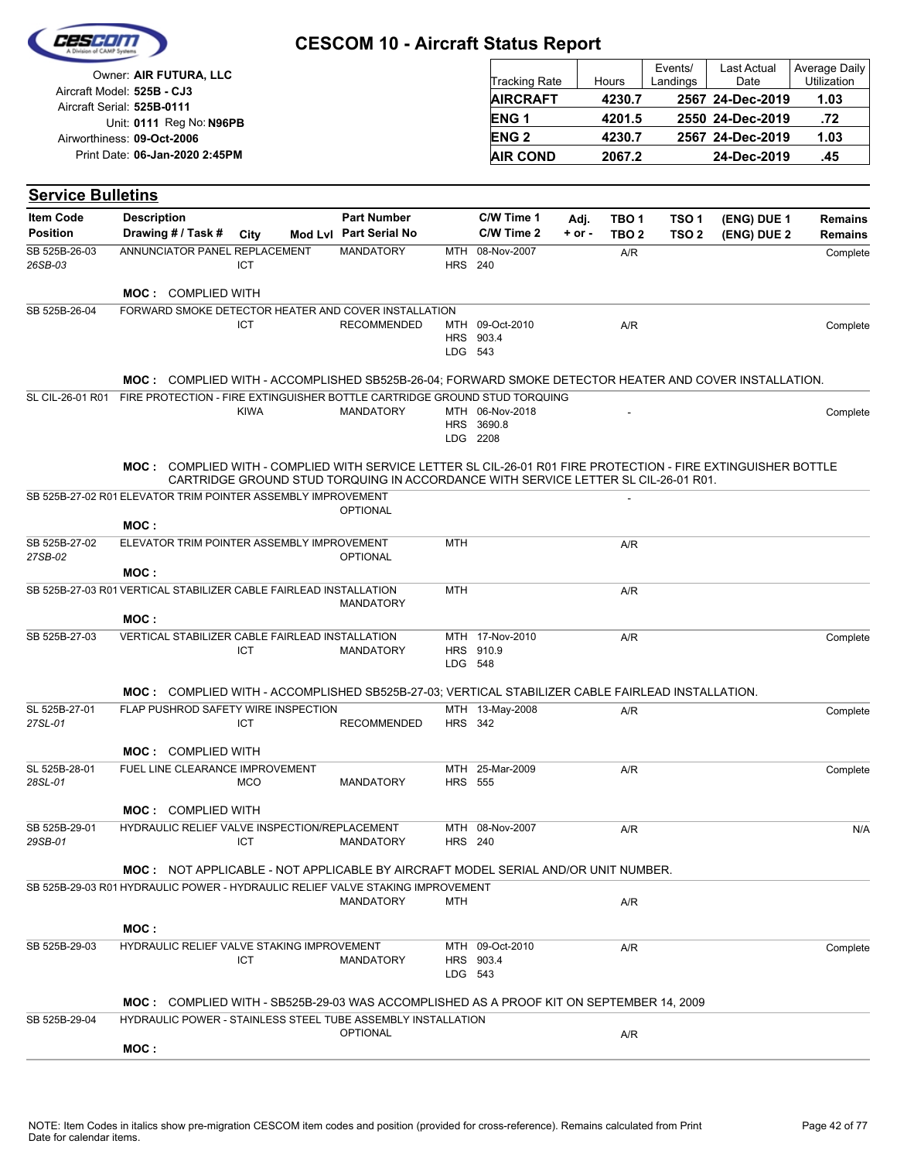|                                     |                                                                                                               |             | <b>CESCOM 10 - Aircraft Status Report</b>                                          |                              |                                           |                    |                                      |                                      |                                         |                                      |
|-------------------------------------|---------------------------------------------------------------------------------------------------------------|-------------|------------------------------------------------------------------------------------|------------------------------|-------------------------------------------|--------------------|--------------------------------------|--------------------------------------|-----------------------------------------|--------------------------------------|
|                                     | Owner: AIR FUTURA, LLC<br>Aircraft Model: 525B - CJ3                                                          |             |                                                                                    |                              | Tracking Rate<br><b>AIRCRAFT</b>          |                    | Hours<br>4230.7                      | Events/<br>Landings                  | Last Actual<br>Date<br>2567 24-Dec-2019 | Average Daily<br>Utilization<br>1.03 |
|                                     | Aircraft Serial: 525B-0111                                                                                    |             |                                                                                    |                              | <b>ENG1</b>                               |                    | 4201.5                               |                                      | 2550 24-Dec-2019                        | .72                                  |
|                                     | Unit: 0111 Reg No: N96PB<br>Airworthiness: 09-Oct-2006                                                        |             |                                                                                    |                              | <b>ENG2</b>                               |                    | 4230.7                               |                                      | 2567 24-Dec-2019                        | 1.03                                 |
|                                     | Print Date: 06-Jan-2020 2:45PM                                                                                |             |                                                                                    |                              | <b>AIR COND</b>                           |                    | 2067.2                               |                                      | 24-Dec-2019                             | .45                                  |
|                                     |                                                                                                               |             |                                                                                    |                              |                                           |                    |                                      |                                      |                                         |                                      |
| <b>Service Bulletins</b>            |                                                                                                               |             |                                                                                    |                              |                                           |                    |                                      |                                      |                                         |                                      |
| <b>Item Code</b><br><b>Position</b> | <b>Description</b><br>Drawing # / Task #                                                                      | City        | <b>Part Number</b><br>Mod Lvl Part Serial No                                       |                              | C/W Time 1<br>C/W Time 2                  | Adj.<br>$+$ or $-$ | TBO <sub>1</sub><br>TBO <sub>2</sub> | TSO <sub>1</sub><br>TSO <sub>2</sub> | (ENG) DUE 1<br>(ENG) DUE 2              | <b>Remains</b><br><b>Remains</b>     |
| SB 525B-26-03<br>26SB-03            | ANNUNCIATOR PANEL REPLACEMENT                                                                                 | ICT         | <b>MANDATORY</b>                                                                   | <b>MTH</b><br><b>HRS 240</b> | 08-Nov-2007                               |                    | A/R                                  |                                      |                                         | Complete                             |
|                                     | <b>MOC: COMPLIED WITH</b>                                                                                     |             |                                                                                    |                              |                                           |                    |                                      |                                      |                                         |                                      |
| SB 525B-26-04                       | FORWARD SMOKE DETECTOR HEATER AND COVER INSTALLATION                                                          | ICT         | <b>RECOMMENDED</b>                                                                 | HRS<br>LDG 543               | MTH 09-Oct-2010<br>903.4                  |                    | A/R                                  |                                      |                                         | Complete                             |
|                                     | MOC: COMPLIED WITH - ACCOMPLISHED SB525B-26-04: FORWARD SMOKE DETECTOR HEATER AND COVER INSTALLATION.         |             |                                                                                    |                              |                                           |                    |                                      |                                      |                                         |                                      |
| SL CIL-26-01 R01                    | FIRE PROTECTION - FIRE EXTINGUISHER BOTTLE CARTRIDGE GROUND STUD TORQUING                                     | <b>KIWA</b> | <b>MANDATORY</b>                                                                   |                              | MTH 06-Nov-2018<br>HRS 3690.8<br>LDG 2208 |                    |                                      |                                      |                                         | Complete                             |
|                                     | MOC: COMPLIED WITH - COMPLIED WITH SERVICE LETTER SL CIL-26-01 R01 FIRE PROTECTION - FIRE EXTINGUISHER BOTTLE |             | CARTRIDGE GROUND STUD TORQUING IN ACCORDANCE WITH SERVICE LETTER SL CIL-26-01 R01. |                              |                                           |                    |                                      |                                      |                                         |                                      |
|                                     | SB 525B-27-02 R01 ELEVATOR TRIM POINTER ASSEMBLY IMPROVEMENT<br>MOC:                                          |             | <b>OPTIONAL</b>                                                                    |                              |                                           |                    |                                      |                                      |                                         |                                      |
| SB 525B-27-02<br>27SB-02            | ELEVATOR TRIM POINTER ASSEMBLY IMPROVEMENT                                                                    |             | <b>OPTIONAL</b>                                                                    | <b>MTH</b>                   |                                           |                    | A/R                                  |                                      |                                         |                                      |
|                                     | MOC:<br>SB 525B-27-03 R01 VERTICAL STABILIZER CABLE FAIRLEAD INSTALLATION                                     |             |                                                                                    | <b>MTH</b>                   |                                           |                    |                                      |                                      |                                         |                                      |
|                                     | MOC:                                                                                                          |             | <b>MANDATORY</b>                                                                   |                              |                                           |                    | A/R                                  |                                      |                                         |                                      |
| SB 525B-27-03                       | VERTICAL STABILIZER CABLE FAIRLEAD INSTALLATION                                                               | ICT         | <b>MANDATORY</b>                                                                   | LDG 548                      | MTH 17-Nov-2010<br>HRS 910.9              |                    | A/R                                  |                                      |                                         | Complete                             |
|                                     | MOC: COMPLIED WITH - ACCOMPLISHED SB525B-27-03; VERTICAL STABILIZER CABLE FAIRLEAD INSTALLATION.              |             |                                                                                    |                              |                                           |                    |                                      |                                      |                                         |                                      |
| SL 525B-27-01<br>27SL-01            | FLAP PUSHROD SAFETY WIRE INSPECTION                                                                           | <b>ICT</b>  | <b>RECOMMENDED</b>                                                                 | <b>HRS</b> 342               | MTH 13-May-2008                           |                    | A/R                                  |                                      |                                         | Complete                             |
|                                     | <b>MOC: COMPLIED WITH</b>                                                                                     |             |                                                                                    |                              |                                           |                    |                                      |                                      |                                         |                                      |
| SL 525B-28-01<br>28SL-01            | FUEL LINE CLEARANCE IMPROVEMENT                                                                               | <b>MCO</b>  | <b>MANDATORY</b>                                                                   | <b>HRS</b> 555               | MTH 25-Mar-2009                           |                    | A/R                                  |                                      |                                         | Complete                             |
|                                     | <b>MOC: COMPLIED WITH</b>                                                                                     |             |                                                                                    |                              |                                           |                    |                                      |                                      |                                         |                                      |
| SB 525B-29-01<br>29SB-01            | HYDRAULIC RELIEF VALVE INSPECTION/REPLACEMENT                                                                 | <b>ICT</b>  | <b>MANDATORY</b>                                                                   | <b>HRS</b> 240               | MTH 08-Nov-2007                           |                    | A/R                                  |                                      |                                         | N/A                                  |
|                                     | MOC: NOT APPLICABLE - NOT APPLICABLE BY AIRCRAFT MODEL SERIAL AND/OR UNIT NUMBER.                             |             |                                                                                    |                              |                                           |                    |                                      |                                      |                                         |                                      |
|                                     | SB 525B-29-03 R01 HYDRAULIC POWER - HYDRAULIC RELIEF VALVE STAKING IMPROVEMENT                                |             | <b>MANDATORY</b>                                                                   | MTH                          |                                           |                    | A/R                                  |                                      |                                         |                                      |
|                                     | MOC:                                                                                                          |             |                                                                                    |                              |                                           |                    |                                      |                                      |                                         |                                      |
| SB 525B-29-03                       | HYDRAULIC RELIEF VALVE STAKING IMPROVEMENT                                                                    | <b>ICT</b>  | <b>MANDATORY</b>                                                                   | LDG 543                      | MTH 09-Oct-2010<br>HRS 903.4              |                    | A/R                                  |                                      |                                         | Complete                             |
|                                     | <b>MOC:</b> COMPLIED WITH - SB525B-29-03 WAS ACCOMPLISHED AS A PROOF KIT ON SEPTEMBER 14, 2009                |             |                                                                                    |                              |                                           |                    |                                      |                                      |                                         |                                      |
| SB 525B-29-04                       | HYDRAULIC POWER - STAINLESS STEEL TUBE ASSEMBLY INSTALLATION                                                  |             | <b>OPTIONAL</b>                                                                    |                              |                                           |                    | A/R                                  |                                      |                                         |                                      |
|                                     | MOC:                                                                                                          |             |                                                                                    |                              |                                           |                    |                                      |                                      |                                         |                                      |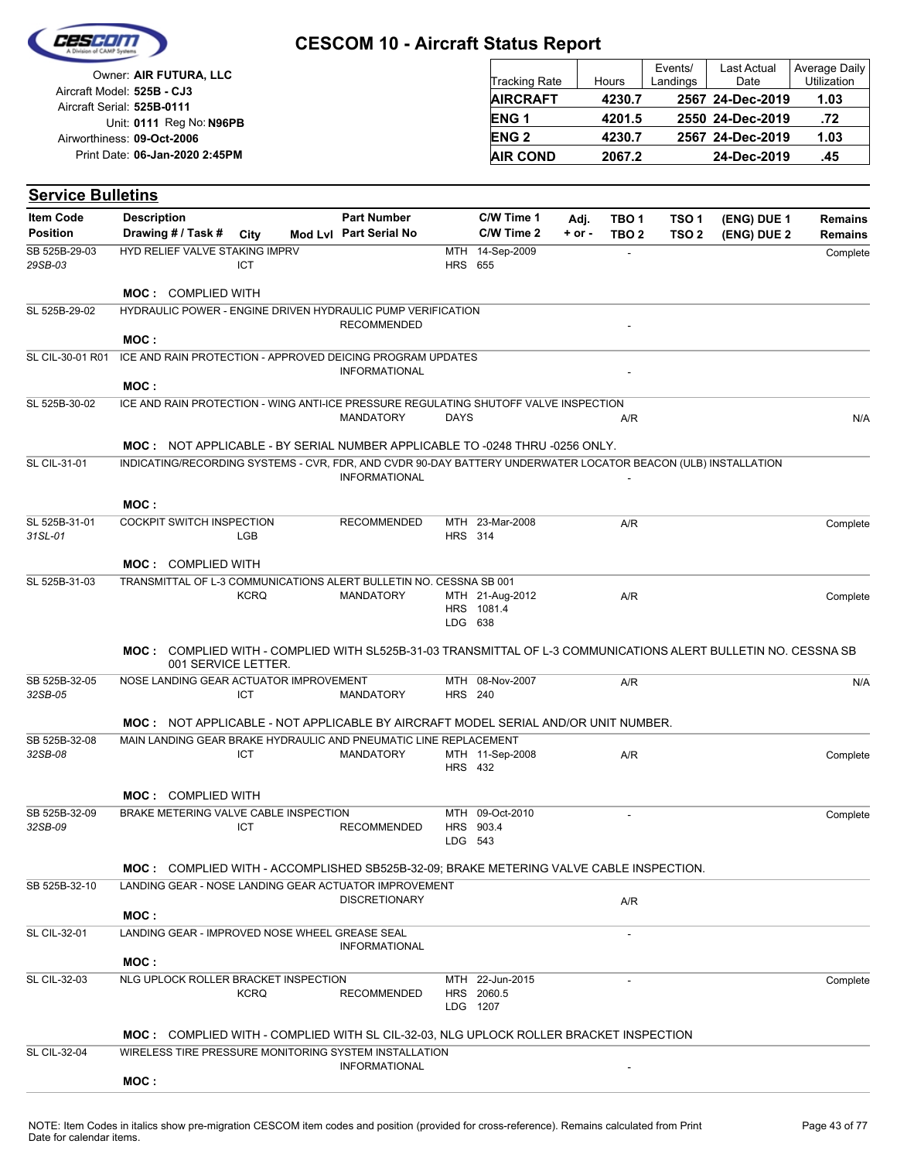

| Owner: AIR FUTURA, LLC                                   | Tracking Rate   | Hours  | Events/<br>Landings | Last Actual<br>Date | Average Daily<br>Utilization |
|----------------------------------------------------------|-----------------|--------|---------------------|---------------------|------------------------------|
| Aircraft Model: 525B - CJ3<br>Aircraft Serial: 525B-0111 | <b>AIRCRAFT</b> | 4230.7 |                     | 2567 24-Dec-2019    | 1.03                         |
| Unit: 0111 Reg No: N96PB                                 | <b>ENG1</b>     | 4201.5 |                     | 2550 24-Dec-2019    | .72                          |
| Airworthiness: 09-Oct-2006                               | <b>ENG 2</b>    | 4230.7 |                     | 2567 24-Dec-2019    | 1.03                         |
| Print Date: 06-Jan-2020 2:45PM                           | <b>AIR COND</b> | 2067.2 |                     | 24-Dec-2019         | .45                          |

#### **(ENG) DUE 2 (ENG) DUE 1 Service Bulletins** City **Mod Lvl Part Serial No Part Number C/W Time 1 C/W Time 2 + or - Adj. TBO 1 TBO 2 TSO 2 TSO 1 Remains** Description Part Number C/W Time 1 Adj. TBO 1 TSO 1 (ENG) DUE 1 Remains **Position Drawing # / Task # Item Code** HRS 655 MTH 14-Sep-2009 - Complete *29SB-03* SB 525B-29-03 ICT HYD RELIEF VALVE STAKING IMPRV **MOC :** COMPLIED WITH **RECOMMENDED** SL 525B-29-02 HYDRAULIC POWER - ENGINE DRIVEN HYDRAULIC PUMP VERIFICATION **MOC : INFORMATIONAL** SL CIL-30-01 R01 ICE AND RAIN PROTECTION - APPROVED DEICING PROGRAM UPDATES **MOC :** MANDATORY DAYS NAR A/R NAMBATORY NA SL 525B-30-02 ICE AND RAIN PROTECTION - WING ANTI-ICE PRESSURE REGULATING SHUTOFF VALVE INSPECTION **MOC :** NOT APPLICABLE - BY SERIAL NUMBER APPLICABLE TO -0248 THRU -0256 ONLY. **INFORMATIONAL** SL CIL-31-01 INDICATING/RECORDING SYSTEMS - CVR, FDR, AND CVDR 90-DAY BATTERY UNDERWATER LOCATOR BEACON (ULB) INSTALLATION **MOC :** HRS 314 RECOMMENDED MTH 23-Mar-2008 A/R Complete *31SL-01* SL 525B-31-01 LGB COCKPIT SWITCH INSPECTION **MOC :** COMPLIED WITH LDG 638 HRS 1081.4 MTH MANDATORY 21-Aug-2012 A/R Complete SL 525B-31-03 **KCRQ** TRANSMITTAL OF L-3 COMMUNICATIONS ALERT BULLETIN NO. CESSNA SB 001 **MOC :** COMPLIED WITH - COMPLIED WITH SL525B-31-03 TRANSMITTAL OF L-3 COMMUNICATIONS ALERT BULLETIN NO. CESSNA SB 001 SERVICE LETTER. HRS 240 MTH 08-Nov-2007 A/R MANDATORY N/A *32SB-05* SB 525B-32-05 ICT NOSE LANDING GEAR ACTUATOR IMPROVEMENT **MOC :** NOT APPLICABLE - NOT APPLICABLE BY AIRCRAFT MODEL SERIAL AND/OR UNIT NUMBER. HRS 432 MTH 11-Sep-2008 32SB-08 ICT MANDATORY MTH 11-Sep-2008 A/R Complete SB 525B-32-08 ICT MAIN LANDING GEAR BRAKE HYDRAULIC AND PNEUMATIC LINE REPLACEMENT **MOC :** COMPLIED WITH LDG 543 HRS 903.4 MTH 09-Oct-2010 RECOMMENDED **Complete** *32SB-09* SB 525B-32-09 ICT BRAKE METERING VALVE CABLE INSPECTION **MOC :** COMPLIED WITH - ACCOMPLISHED SB525B-32-09; BRAKE METERING VALVE CABLE INSPECTION. DISCRETIONARY A/R SB 525B-32-10 LANDING GEAR - NOSE LANDING GEAR ACTUATOR IMPROVEMENT **MOC :** - INFORMATIONAL SL CIL-32-01 LANDING GEAR - IMPROVED NOSE WHEEL GREASE SEAL **MOC :** LDG HRS 2060.5 MTH 22-Jun-2015 - 1207 RECOMMENDED SL CIL-32-03 Complete NLG UPLOCK ROLLER BRACKET INSPECTION **KCRO MOC :** COMPLIED WITH - COMPLIED WITH SL CIL-32-03, NLG UPLOCK ROLLER BRACKET INSPECTION **INFORMATIONAL** SL CIL-32-04 WIRELESS TIRE PRESSURE MONITORING SYSTEM INSTALLATION **MOC :**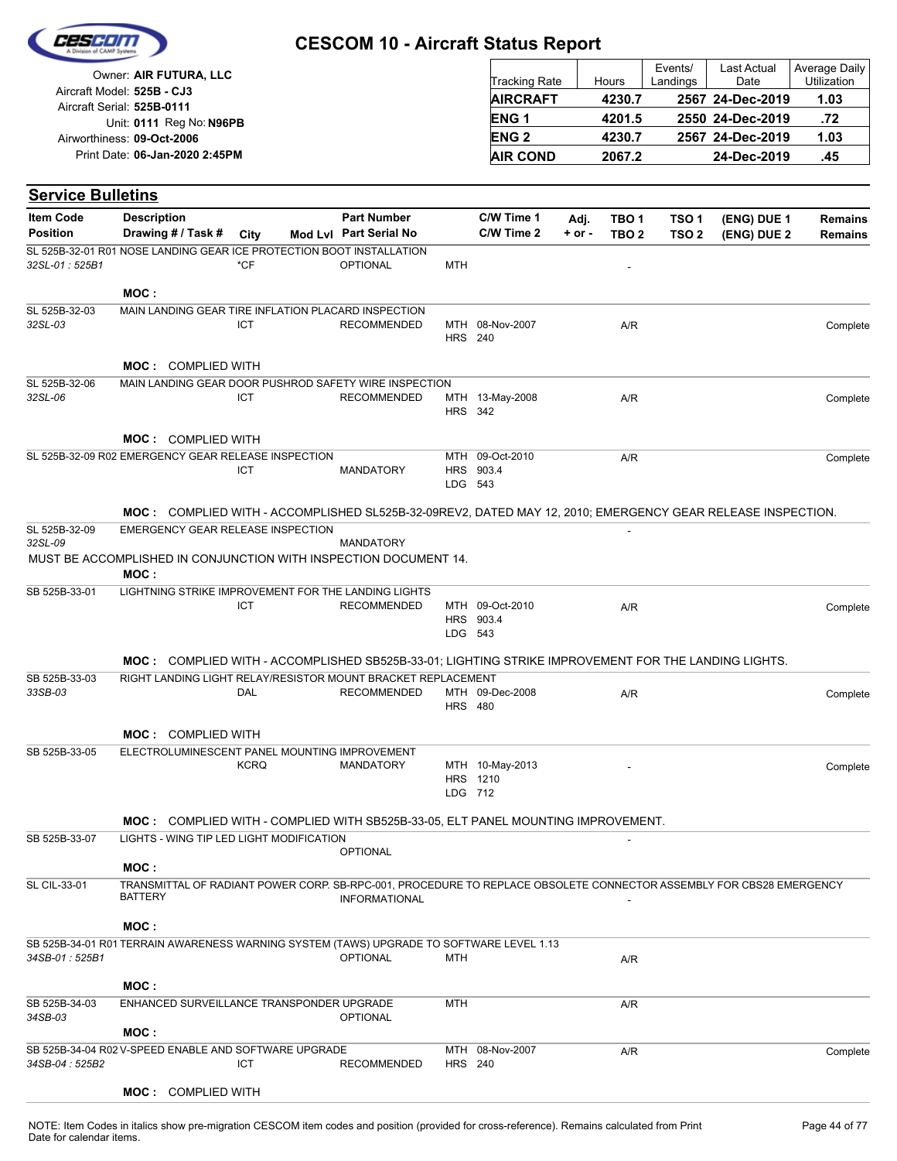

| Owner: AIR FUTURA, LLC                                   | Tracking Rate          | Hours  | Events/<br>Landings | Last Actual<br>Date | Average Daily<br>Utilization |
|----------------------------------------------------------|------------------------|--------|---------------------|---------------------|------------------------------|
| Aircraft Model: 525B - CJ3<br>Aircraft Serial: 525B-0111 | <b>AIRCRAFT</b>        | 4230.7 |                     | 2567 24-Dec-2019    | 1.03                         |
| Unit: 0111 Reg No: N96PB                                 | ENG <sub>1</sub>       | 4201.5 |                     | 2550 24-Dec-2019    | .72                          |
| Airworthiness: 09-Oct-2006                               | <b>ENG<sub>2</sub></b> | 4230.7 |                     | 2567 24-Dec-2019    | 1.03                         |
| Print Date: 06-Jan-2020 2:45PM                           | <b>AIR COND</b>        | 2067.2 |                     | 24-Dec-2019         | .45                          |

| <b>Item Code</b>         | <b>Description</b>                                                                                                  |             | <b>Part Number</b>     |                | C/W Time 1                   | Adj.       | TBO <sub>1</sub> | TSO 1            | (ENG) DUE 1 | <b>Remains</b> |
|--------------------------|---------------------------------------------------------------------------------------------------------------------|-------------|------------------------|----------------|------------------------------|------------|------------------|------------------|-------------|----------------|
| <b>Position</b>          | Drawing # / Task # City                                                                                             |             | Mod Lvl Part Serial No |                | C/W Time 2                   | $+$ or $-$ | TBO <sub>2</sub> | TSO <sub>2</sub> | (ENG) DUE 2 | <b>Remains</b> |
|                          | SL 525B-32-01 R01 NOSE LANDING GEAR ICE PROTECTION BOOT INSTALLATION                                                |             |                        |                |                              |            |                  |                  |             |                |
| 32SL-01: 525B1           |                                                                                                                     | *CF         | <b>OPTIONAL</b>        | MTH            |                              |            |                  |                  |             |                |
|                          |                                                                                                                     |             |                        |                |                              |            |                  |                  |             |                |
|                          | MOC:                                                                                                                |             |                        |                |                              |            |                  |                  |             |                |
| SL 525B-32-03<br>32SL-03 | MAIN LANDING GEAR TIRE INFLATION PLACARD INSPECTION                                                                 | ICT         | <b>RECOMMENDED</b>     |                | MTH 08-Nov-2007              |            | A/R              |                  |             |                |
|                          |                                                                                                                     |             |                        | <b>HRS</b> 240 |                              |            |                  |                  |             | Complete       |
|                          |                                                                                                                     |             |                        |                |                              |            |                  |                  |             |                |
|                          | <b>MOC: COMPLIED WITH</b>                                                                                           |             |                        |                |                              |            |                  |                  |             |                |
| SL 525B-32-06            | MAIN LANDING GEAR DOOR PUSHROD SAFETY WIRE INSPECTION                                                               |             |                        |                |                              |            |                  |                  |             |                |
| 32SL-06                  |                                                                                                                     | ICT         | <b>RECOMMENDED</b>     |                | MTH 13-May-2008              |            | A/R              |                  |             | Complete       |
|                          |                                                                                                                     |             |                        | <b>HRS 342</b> |                              |            |                  |                  |             |                |
|                          | <b>MOC: COMPLIED WITH</b>                                                                                           |             |                        |                |                              |            |                  |                  |             |                |
|                          | SL 525B-32-09 R02 EMERGENCY GEAR RELEASE INSPECTION                                                                 |             |                        |                | MTH 09-Oct-2010              |            |                  |                  |             |                |
|                          |                                                                                                                     | ICT         | <b>MANDATORY</b>       |                | HRS 903.4                    |            | A/R              |                  |             | Complete       |
|                          |                                                                                                                     |             |                        | LDG 543        |                              |            |                  |                  |             |                |
|                          |                                                                                                                     |             |                        |                |                              |            |                  |                  |             |                |
|                          | MOC: COMPLIED WITH - ACCOMPLISHED SL525B-32-09REV2, DATED MAY 12, 2010; EMERGENCY GEAR RELEASE INSPECTION.          |             |                        |                |                              |            |                  |                  |             |                |
| SL 525B-32-09            | EMERGENCY GEAR RELEASE INSPECTION                                                                                   |             |                        |                |                              |            |                  |                  |             |                |
| 32SL-09                  |                                                                                                                     |             | <b>MANDATORY</b>       |                |                              |            |                  |                  |             |                |
|                          | MUST BE ACCOMPLISHED IN CONJUNCTION WITH INSPECTION DOCUMENT 14.                                                    |             |                        |                |                              |            |                  |                  |             |                |
|                          | MOC:                                                                                                                |             |                        |                |                              |            |                  |                  |             |                |
| SB 525B-33-01            | LIGHTNING STRIKE IMPROVEMENT FOR THE LANDING LIGHTS                                                                 |             |                        |                |                              |            |                  |                  |             |                |
|                          |                                                                                                                     | ICT         | <b>RECOMMENDED</b>     |                | MTH 09-Oct-2010<br>HRS 903.4 |            | A/R              |                  |             | Complete       |
|                          |                                                                                                                     |             |                        | LDG 543        |                              |            |                  |                  |             |                |
|                          |                                                                                                                     |             |                        |                |                              |            |                  |                  |             |                |
|                          | MOC: COMPLIED WITH - ACCOMPLISHED SB525B-33-01; LIGHTING STRIKE IMPROVEMENT FOR THE LANDING LIGHTS.                 |             |                        |                |                              |            |                  |                  |             |                |
| SB 525B-33-03            | RIGHT LANDING LIGHT RELAY/RESISTOR MOUNT BRACKET REPLACEMENT                                                        |             |                        |                |                              |            |                  |                  |             |                |
| 33SB-03                  |                                                                                                                     | <b>DAL</b>  | <b>RECOMMENDED</b>     |                | MTH 09-Dec-2008              |            | A/R              |                  |             | Complete       |
|                          |                                                                                                                     |             |                        | <b>HRS 480</b> |                              |            |                  |                  |             |                |
|                          | <b>MOC: COMPLIED WITH</b>                                                                                           |             |                        |                |                              |            |                  |                  |             |                |
| SB 525B-33-05            | ELECTROLUMINESCENT PANEL MOUNTING IMPROVEMENT                                                                       |             |                        |                |                              |            |                  |                  |             |                |
|                          |                                                                                                                     | <b>KCRQ</b> | <b>MANDATORY</b>       |                | MTH 10-May-2013              |            |                  |                  |             | Complete       |
|                          |                                                                                                                     |             |                        |                | HRS 1210                     |            |                  |                  |             |                |
|                          |                                                                                                                     |             |                        | LDG 712        |                              |            |                  |                  |             |                |
|                          |                                                                                                                     |             |                        |                |                              |            |                  |                  |             |                |
|                          | MOC: COMPLIED WITH - COMPLIED WITH SB525B-33-05, ELT PANEL MOUNTING IMPROVEMENT.                                    |             |                        |                |                              |            |                  |                  |             |                |
| SB 525B-33-07            | LIGHTS - WING TIP LED LIGHT MODIFICATION                                                                            |             | <b>OPTIONAL</b>        |                |                              |            |                  |                  |             |                |
|                          | MOC:                                                                                                                |             |                        |                |                              |            |                  |                  |             |                |
| SL CIL-33-01             | TRANSMITTAL OF RADIANT POWER CORP. SB-RPC-001, PROCEDURE TO REPLACE OBSOLETE CONNECTOR ASSEMBLY FOR CBS28 EMERGENCY |             |                        |                |                              |            |                  |                  |             |                |
|                          | <b>BATTERY</b>                                                                                                      |             | <b>INFORMATIONAL</b>   |                |                              |            |                  |                  |             |                |
|                          |                                                                                                                     |             |                        |                |                              |            |                  |                  |             |                |
|                          | MOC:                                                                                                                |             |                        |                |                              |            |                  |                  |             |                |
|                          | SB 525B-34-01 R01 TERRAIN AWARENESS WARNING SYSTEM (TAWS) UPGRADE TO SOFTWARE LEVEL 1.13                            |             |                        |                |                              |            |                  |                  |             |                |
| 34SB-01: 525B1           |                                                                                                                     |             | <b>OPTIONAL</b>        | MTH            |                              |            | A/R              |                  |             |                |
|                          |                                                                                                                     |             |                        |                |                              |            |                  |                  |             |                |
|                          | MOC:                                                                                                                |             |                        |                |                              |            |                  |                  |             |                |
| SB 525B-34-03<br>34SB-03 | ENHANCED SURVEILLANCE TRANSPONDER UPGRADE                                                                           |             | <b>OPTIONAL</b>        | <b>MTH</b>     |                              |            | A/R              |                  |             |                |
|                          | MOC:                                                                                                                |             |                        |                |                              |            |                  |                  |             |                |
|                          | SB 525B-34-04 R02 V-SPEED ENABLE AND SOFTWARE UPGRADE                                                               |             |                        |                | MTH 08-Nov-2007              |            | A/R              |                  |             |                |
| 34SB-04: 525B2           |                                                                                                                     | ICT         | <b>RECOMMENDED</b>     | <b>HRS</b> 240 |                              |            |                  |                  |             | Complete       |
|                          |                                                                                                                     |             |                        |                |                              |            |                  |                  |             |                |
|                          | <b>MOC: COMPLIED WITH</b>                                                                                           |             |                        |                |                              |            |                  |                  |             |                |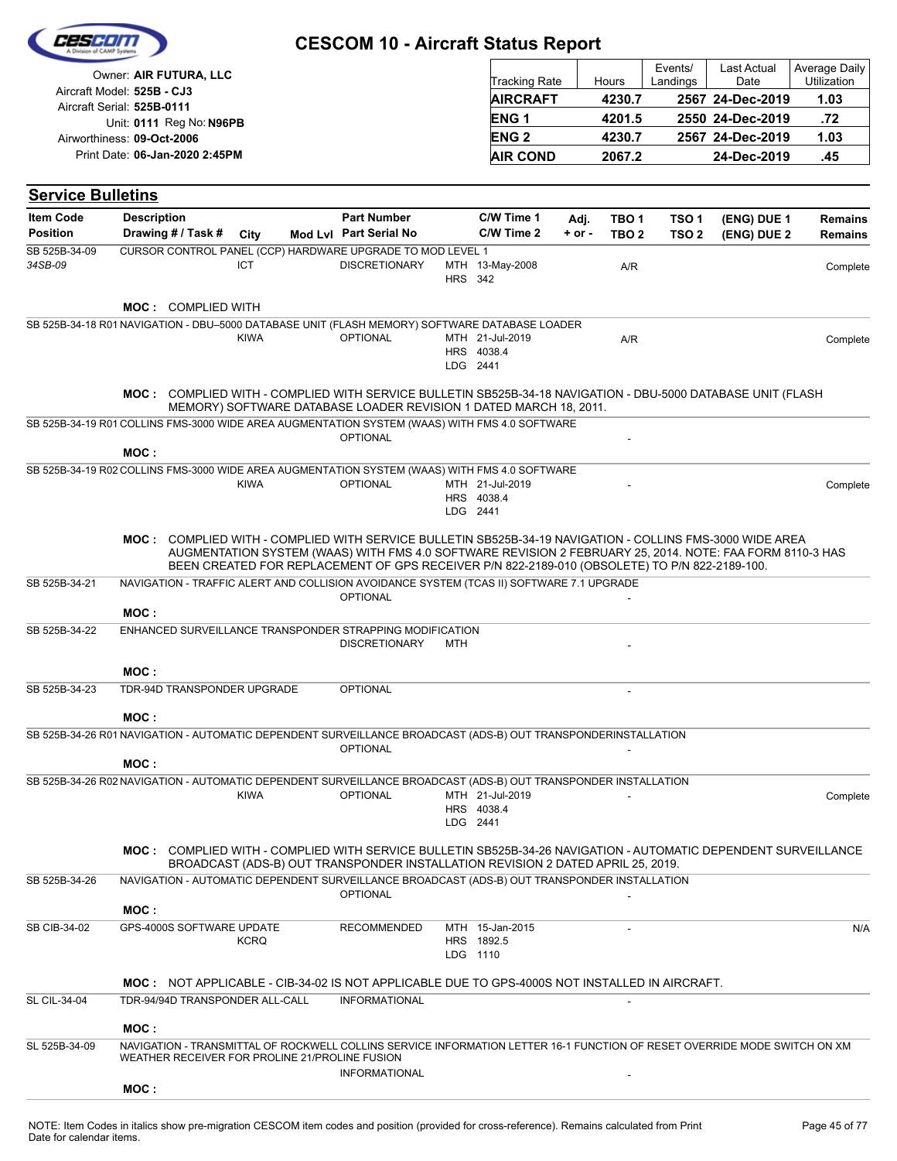|                                     |                                                                                                                                                                                                              | <b>CESCOM 10 - Aircraft Status Report</b>                                                                                                                                                                 |                |                               |                    |                                      |                                      |                            |                                  |
|-------------------------------------|--------------------------------------------------------------------------------------------------------------------------------------------------------------------------------------------------------------|-----------------------------------------------------------------------------------------------------------------------------------------------------------------------------------------------------------|----------------|-------------------------------|--------------------|--------------------------------------|--------------------------------------|----------------------------|----------------------------------|
|                                     | Owner: AIR FUTURA, LLC<br>Aircraft Model: 525B - CJ3                                                                                                                                                         |                                                                                                                                                                                                           |                | Tracking Rate                 |                    | Hours                                | Events/<br>Landings                  | Last Actual<br>Date        | Average Daily<br>Utilization     |
|                                     | Aircraft Serial: 525B-0111                                                                                                                                                                                   |                                                                                                                                                                                                           |                | <b>AIRCRAFT</b>               |                    | 4230.7                               |                                      | 2567 24-Dec-2019           | 1.03                             |
|                                     | Unit: 0111 Reg No: N96PB                                                                                                                                                                                     |                                                                                                                                                                                                           |                | ENG <sub>1</sub>              |                    | 4201.5                               |                                      | 2550 24-Dec-2019           | .72                              |
|                                     | Airworthiness: 09-Oct-2006                                                                                                                                                                                   |                                                                                                                                                                                                           |                | <b>ENG2</b>                   |                    | 4230.7                               |                                      | 2567 24-Dec-2019           | 1.03                             |
|                                     | Print Date: 06-Jan-2020 2:45PM                                                                                                                                                                               |                                                                                                                                                                                                           |                | <b>AIR COND</b>               |                    | 2067.2                               |                                      | 24-Dec-2019                | .45                              |
| <b>Service Bulletins</b>            |                                                                                                                                                                                                              |                                                                                                                                                                                                           |                |                               |                    |                                      |                                      |                            |                                  |
| <b>Item Code</b><br><b>Position</b> | <b>Description</b><br>Drawing # / Task #<br>City                                                                                                                                                             | <b>Part Number</b><br>Mod Lvl Part Serial No                                                                                                                                                              |                | C/W Time 1<br>C/W Time 2      | Adj.<br>$+$ or $-$ | TBO <sub>1</sub><br>TBO <sub>2</sub> | TSO <sub>1</sub><br>TSO <sub>2</sub> | (ENG) DUE 1<br>(ENG) DUE 2 | <b>Remains</b><br><b>Remains</b> |
| SB 525B-34-09<br>34SB-09            | CURSOR CONTROL PANEL (CCP) HARDWARE UPGRADE TO MOD LEVEL 1<br>ICT                                                                                                                                            | <b>DISCRETIONARY</b>                                                                                                                                                                                      | <b>HRS</b> 342 | MTH 13-May-2008               |                    | A/R                                  |                                      |                            | Complete                         |
|                                     | <b>MOC: COMPLIED WITH</b>                                                                                                                                                                                    |                                                                                                                                                                                                           |                |                               |                    |                                      |                                      |                            |                                  |
|                                     | SB 525B-34-18 R01 NAVIGATION - DBU-5000 DATABASE UNIT (FLASH MEMORY) SOFTWARE DATABASE LOADER<br><b>KIWA</b>                                                                                                 | <b>OPTIONAL</b>                                                                                                                                                                                           | LDG 2441       | MTH 21-Jul-2019<br>HRS 4038.4 |                    | A/R                                  |                                      |                            | Complete                         |
|                                     | MOC: COMPLIED WITH - COMPLIED WITH SERVICE BULLETIN SB525B-34-18 NAVIGATION - DBU-5000 DATABASE UNIT (FLASH<br>SB 525B-34-19 R01 COLLINS FMS-3000 WIDE AREA AUGMENTATION SYSTEM (WAAS) WITH FMS 4.0 SOFTWARE | MEMORY) SOFTWARE DATABASE LOADER REVISION 1 DATED MARCH 18, 2011.                                                                                                                                         |                |                               |                    |                                      |                                      |                            |                                  |
|                                     | MOC:                                                                                                                                                                                                         | <b>OPTIONAL</b>                                                                                                                                                                                           |                |                               |                    |                                      |                                      |                            |                                  |
|                                     | SB 525B-34-19 R02 COLLINS FMS-3000 WIDE AREA AUGMENTATION SYSTEM (WAAS) WITH FMS 4.0 SOFTWARE                                                                                                                |                                                                                                                                                                                                           |                |                               |                    |                                      |                                      |                            |                                  |
|                                     | <b>KIWA</b>                                                                                                                                                                                                  | <b>OPTIONAL</b>                                                                                                                                                                                           | LDG 2441       | MTH 21-Jul-2019<br>HRS 4038.4 |                    |                                      |                                      |                            | Complete                         |
|                                     | MOC: COMPLIED WITH - COMPLIED WITH SERVICE BULLETIN SB525B-34-19 NAVIGATION - COLLINS FMS-3000 WIDE AREA                                                                                                     | AUGMENTATION SYSTEM (WAAS) WITH FMS 4.0 SOFTWARE REVISION 2 FEBRUARY 25, 2014. NOTE: FAA FORM 8110-3 HAS<br>BEEN CREATED FOR REPLACEMENT OF GPS RECEIVER P/N 822-2189-010 (OBSOLETE) TO P/N 822-2189-100. |                |                               |                    |                                      |                                      |                            |                                  |
| SB 525B-34-21                       | NAVIGATION - TRAFFIC ALERT AND COLLISION AVOIDANCE SYSTEM (TCAS II) SOFTWARE 7.1 UPGRADE<br>MOC:                                                                                                             | <b>OPTIONAL</b>                                                                                                                                                                                           |                |                               |                    |                                      |                                      |                            |                                  |
| SB 525B-34-22                       | ENHANCED SURVEILLANCE TRANSPONDER STRAPPING MODIFICATION                                                                                                                                                     | <b>DISCRETIONARY</b>                                                                                                                                                                                      | <b>MTH</b>     |                               |                    |                                      |                                      |                            |                                  |
|                                     | MOC:                                                                                                                                                                                                         |                                                                                                                                                                                                           |                |                               |                    |                                      |                                      |                            |                                  |
| SB 525B-34-23                       | TDR-94D TRANSPONDER UPGRADE                                                                                                                                                                                  | <b>OPTIONAL</b>                                                                                                                                                                                           |                |                               |                    |                                      |                                      |                            |                                  |
|                                     | MOC:                                                                                                                                                                                                         |                                                                                                                                                                                                           |                |                               |                    |                                      |                                      |                            |                                  |
|                                     | SB 525B-34-26 R01 NAVIGATION - AUTOMATIC DEPENDENT SURVEILLANCE BROADCAST (ADS-B) OUT TRANSPONDERINSTALLATION                                                                                                |                                                                                                                                                                                                           |                |                               |                    |                                      |                                      |                            |                                  |
|                                     |                                                                                                                                                                                                              | <b>OPTIONAL</b>                                                                                                                                                                                           |                |                               |                    |                                      |                                      |                            |                                  |
|                                     | MOC:<br>SB 525B-34-26 R02 NAVIGATION - AUTOMATIC DEPENDENT SURVEILLANCE BROADCAST (ADS-B) OUT TRANSPONDER INSTALLATION                                                                                       |                                                                                                                                                                                                           |                |                               |                    |                                      |                                      |                            |                                  |
|                                     | <b>KIWA</b>                                                                                                                                                                                                  | <b>OPTIONAL</b>                                                                                                                                                                                           | LDG 2441       | MTH 21-Jul-2019<br>HRS 4038.4 |                    |                                      |                                      |                            | Complete                         |
|                                     | MOC: COMPLIED WITH - COMPLIED WITH SERVICE BULLETIN SB525B-34-26 NAVIGATION - AUTOMATIC DEPENDENT SURVEILLANCE                                                                                               | BROADCAST (ADS-B) OUT TRANSPONDER INSTALLATION REVISION 2 DATED APRIL 25, 2019.                                                                                                                           |                |                               |                    |                                      |                                      |                            |                                  |
| SB 525B-34-26                       | NAVIGATION - AUTOMATIC DEPENDENT SURVEILLANCE BROADCAST (ADS-B) OUT TRANSPONDER INSTALLATION                                                                                                                 | <b>OPTIONAL</b>                                                                                                                                                                                           |                |                               |                    |                                      |                                      |                            |                                  |
|                                     | MOC:                                                                                                                                                                                                         |                                                                                                                                                                                                           |                |                               |                    |                                      |                                      |                            |                                  |
| SB CIB-34-02                        | GPS-4000S SOFTWARE UPDATE<br><b>KCRQ</b>                                                                                                                                                                     | RECOMMENDED                                                                                                                                                                                               | LDG 1110       | MTH 15-Jan-2015<br>HRS 1892.5 |                    |                                      |                                      |                            | N/A                              |
|                                     | <b>MOC: NOT APPLICABLE - CIB-34-02 IS NOT APPLICABLE DUE TO GPS-4000S NOT INSTALLED IN AIRCRAFT.</b>                                                                                                         |                                                                                                                                                                                                           |                |                               |                    |                                      |                                      |                            |                                  |
| <b>SL CIL-34-04</b>                 | TDR-94/94D TRANSPONDER ALL-CALL                                                                                                                                                                              | <b>INFORMATIONAL</b>                                                                                                                                                                                      |                |                               |                    |                                      |                                      |                            |                                  |
|                                     | MOC:                                                                                                                                                                                                         |                                                                                                                                                                                                           |                |                               |                    |                                      |                                      |                            |                                  |
| SL 525B-34-09                       | NAVIGATION - TRANSMITTAL OF ROCKWELL COLLINS SERVICE INFORMATION LETTER 16-1 FUNCTION OF RESET OVERRIDE MODE SWITCH ON XM<br>WEATHER RECEIVER FOR PROLINE 21/PROLINE FUSION                                  | <b>INFORMATIONAL</b>                                                                                                                                                                                      |                |                               |                    |                                      |                                      |                            |                                  |
|                                     | MOC:                                                                                                                                                                                                         |                                                                                                                                                                                                           |                |                               |                    |                                      |                                      |                            |                                  |

 $\overline{\phantom{a}}$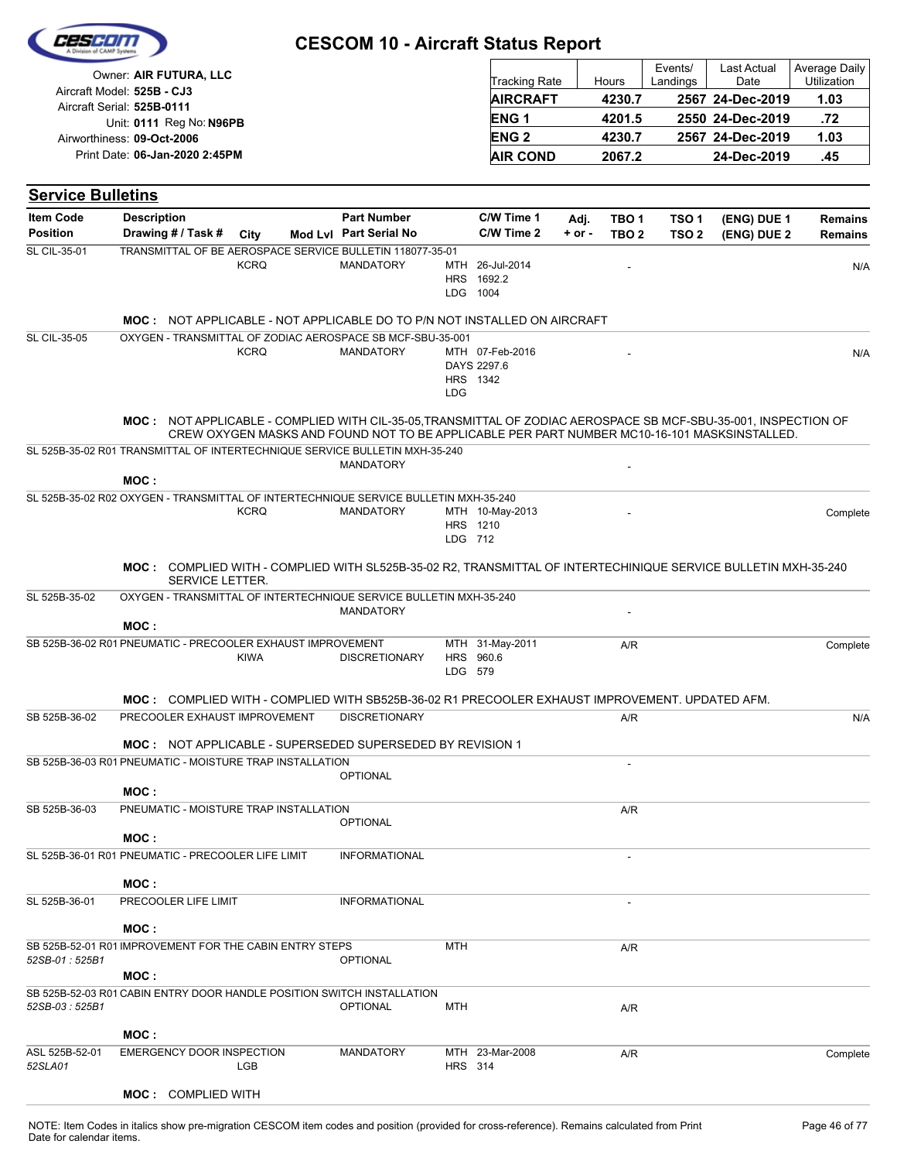|                                     |                                                                                      |             | <b>CESCOM 10 - Aircraft Status Report</b>                                                                              |                |                                           |                    |                                      |                                      |                     |                              |
|-------------------------------------|--------------------------------------------------------------------------------------|-------------|------------------------------------------------------------------------------------------------------------------------|----------------|-------------------------------------------|--------------------|--------------------------------------|--------------------------------------|---------------------|------------------------------|
|                                     | Owner: AIR FUTURA, LLC                                                               |             |                                                                                                                        |                | <b>Tracking Rate</b>                      |                    | Hours                                | Events/<br>Landings                  | Last Actual<br>Date | Average Daily<br>Utilization |
|                                     | Aircraft Model: 525B - CJ3                                                           |             |                                                                                                                        |                | <b>AIRCRAFT</b>                           |                    | 4230.7                               |                                      | 2567 24-Dec-2019    | 1.03                         |
|                                     | Aircraft Serial: 525B-0111                                                           |             |                                                                                                                        |                | ENG <sub>1</sub>                          |                    | 4201.5                               |                                      | 2550 24-Dec-2019    | .72                          |
|                                     | Unit: 0111 Reg No: N96PB<br>Airworthiness: 09-Oct-2006                               |             |                                                                                                                        |                | <b>ENG2</b>                               |                    | 4230.7                               |                                      | 2567 24-Dec-2019    | 1.03                         |
|                                     | Print Date: 06-Jan-2020 2:45PM                                                       |             |                                                                                                                        |                | <b>AIR COND</b>                           |                    | 2067.2                               |                                      | 24-Dec-2019         | .45                          |
|                                     |                                                                                      |             |                                                                                                                        |                |                                           |                    |                                      |                                      |                     |                              |
| <b>Service Bulletins</b>            |                                                                                      |             |                                                                                                                        |                |                                           |                    |                                      |                                      |                     |                              |
| <b>Item Code</b><br><b>Position</b> | <b>Description</b><br>Drawing # / Task #                                             | City        | <b>Part Number</b><br>Mod Lvl Part Serial No                                                                           |                | C/W Time 1<br>C/W Time 2                  | Adj.<br>$+$ or $-$ | TBO <sub>1</sub><br>TBO <sub>2</sub> | TSO <sub>1</sub><br>TSO <sub>2</sub> | (ENG) DUE 1         | <b>Remains</b>               |
| <b>SL CIL-35-01</b>                 |                                                                                      |             | TRANSMITTAL OF BE AEROSPACE SERVICE BULLETIN 118077-35-01                                                              |                |                                           |                    |                                      |                                      | (ENG) DUE 2         | <b>Remains</b>               |
|                                     |                                                                                      | <b>KCRQ</b> | <b>MANDATORY</b>                                                                                                       |                | MTH 26-Jul-2014<br>HRS 1692.2<br>LDG 1004 |                    |                                      |                                      |                     | N/A                          |
|                                     |                                                                                      |             | <b>MOC: NOT APPLICABLE - NOT APPLICABLE DO TO P/N NOT INSTALLED ON AIRCRAFT</b>                                        |                |                                           |                    |                                      |                                      |                     |                              |
| <b>SL CIL-35-05</b>                 |                                                                                      |             | OXYGEN - TRANSMITTAL OF ZODIAC AEROSPACE SB MCF-SBU-35-001                                                             |                |                                           |                    |                                      |                                      |                     |                              |
|                                     |                                                                                      | <b>KCRQ</b> | <b>MANDATORY</b>                                                                                                       |                | MTH 07-Feb-2016<br>DAYS 2297.6            |                    |                                      |                                      |                     | N/A                          |
|                                     |                                                                                      |             |                                                                                                                        | <b>LDG</b>     | HRS 1342                                  |                    |                                      |                                      |                     |                              |
|                                     |                                                                                      |             | MOC: NOT APPLICABLE - COMPLIED WITH CIL-35-05, TRANSMITTAL OF ZODIAC AEROSPACE SB MCF-SBU-35-001, INSPECTION OF        |                |                                           |                    |                                      |                                      |                     |                              |
|                                     |                                                                                      |             | CREW OXYGEN MASKS AND FOUND NOT TO BE APPLICABLE PER PART NUMBER MC10-16-101 MASKSINSTALLED.                           |                |                                           |                    |                                      |                                      |                     |                              |
|                                     | SL 525B-35-02 R01 TRANSMITTAL OF INTERTECHNIQUE SERVICE BULLETIN MXH-35-240          |             | <b>MANDATORY</b>                                                                                                       |                |                                           |                    |                                      |                                      |                     |                              |
|                                     | MOC:                                                                                 |             |                                                                                                                        |                |                                           |                    |                                      |                                      |                     |                              |
|                                     | SL 525B-35-02 R02 OXYGEN - TRANSMITTAL OF INTERTECHNIQUE SERVICE BULLETIN MXH-35-240 |             |                                                                                                                        |                |                                           |                    |                                      |                                      |                     |                              |
|                                     |                                                                                      | <b>KCRQ</b> | <b>MANDATORY</b>                                                                                                       |                | MTH 10-May-2013<br>HRS 1210               |                    |                                      |                                      |                     | Complete                     |
|                                     |                                                                                      |             |                                                                                                                        | LDG 712        |                                           |                    |                                      |                                      |                     |                              |
|                                     | SERVICE LETTER.                                                                      |             | MOC: COMPLIED WITH - COMPLIED WITH SL525B-35-02 R2, TRANSMITTAL OF INTERTECHINIQUE SERVICE BULLETIN MXH-35-240         |                |                                           |                    |                                      |                                      |                     |                              |
| SL 525B-35-02                       |                                                                                      |             | OXYGEN - TRANSMITTAL OF INTERTECHNIQUE SERVICE BULLETIN MXH-35-240                                                     |                |                                           |                    |                                      |                                      |                     |                              |
|                                     | MOC:                                                                                 |             | <b>MANDATORY</b>                                                                                                       |                |                                           |                    |                                      |                                      |                     |                              |
|                                     | SB 525B-36-02 R01 PNEUMATIC - PRECOOLER EXHAUST IMPROVEMENT                          |             |                                                                                                                        |                | MTH 31-May-2011                           |                    | A/R                                  |                                      |                     | Complete                     |
|                                     |                                                                                      | <b>KIWA</b> | <b>DISCRETIONARY</b>                                                                                                   | LDG 579        | HRS 960.6                                 |                    |                                      |                                      |                     |                              |
|                                     |                                                                                      |             |                                                                                                                        |                |                                           |                    |                                      |                                      |                     |                              |
| SB 525B-36-02                       | PRECOOLER EXHAUST IMPROVEMENT                                                        |             | MOC: COMPLIED WITH - COMPLIED WITH SB525B-36-02 R1 PRECOOLER EXHAUST IMPROVEMENT. UPDATED AFM.<br><b>DISCRETIONARY</b> |                |                                           |                    | A/R                                  |                                      |                     | N/A                          |
|                                     |                                                                                      |             |                                                                                                                        |                |                                           |                    |                                      |                                      |                     |                              |
|                                     |                                                                                      |             | <b>MOC: NOT APPLICABLE - SUPERSEDED SUPERSEDED BY REVISION 1</b>                                                       |                |                                           |                    |                                      |                                      |                     |                              |
|                                     | SB 525B-36-03 R01 PNEUMATIC - MOISTURE TRAP INSTALLATION<br>MOC:                     |             | <b>OPTIONAL</b>                                                                                                        |                |                                           |                    |                                      |                                      |                     |                              |
| SB 525B-36-03                       | PNEUMATIC - MOISTURE TRAP INSTALLATION                                               |             |                                                                                                                        |                |                                           |                    | A/R                                  |                                      |                     |                              |
|                                     |                                                                                      |             | <b>OPTIONAL</b>                                                                                                        |                |                                           |                    |                                      |                                      |                     |                              |
|                                     | MOC :<br>SL 525B-36-01 R01 PNEUMATIC - PRECOOLER LIFE LIMIT                          |             | <b>INFORMATIONAL</b>                                                                                                   |                |                                           |                    | $\overline{\phantom{a}}$             |                                      |                     |                              |
|                                     |                                                                                      |             |                                                                                                                        |                |                                           |                    |                                      |                                      |                     |                              |
| SL 525B-36-01                       | MOC :<br>PRECOOLER LIFE LIMIT                                                        |             | <b>INFORMATIONAL</b>                                                                                                   |                |                                           |                    |                                      |                                      |                     |                              |
|                                     |                                                                                      |             |                                                                                                                        |                |                                           |                    |                                      |                                      |                     |                              |
|                                     | MOC:<br>SB 525B-52-01 R01 IMPROVEMENT FOR THE CABIN ENTRY STEPS                      |             |                                                                                                                        | <b>MTH</b>     |                                           |                    |                                      |                                      |                     |                              |
| 52SB-01: 525B1                      | MOC:                                                                                 |             | <b>OPTIONAL</b>                                                                                                        |                |                                           |                    | A/R                                  |                                      |                     |                              |
| 52SB-03 : 525B1                     | SB 525B-52-03 R01 CABIN ENTRY DOOR HANDLE POSITION SWITCH INSTALLATION               |             | <b>OPTIONAL</b>                                                                                                        | MTH            |                                           |                    | A/R                                  |                                      |                     |                              |
|                                     | MOC:                                                                                 |             |                                                                                                                        |                |                                           |                    |                                      |                                      |                     |                              |
| ASL 525B-52-01                      | EMERGENCY DOOR INSPECTION                                                            |             | <b>MANDATORY</b>                                                                                                       |                | MTH 23-Mar-2008                           |                    | A/R                                  |                                      |                     | Complete                     |
| 52SLA01                             |                                                                                      | LGB         |                                                                                                                        | <b>HRS</b> 314 |                                           |                    |                                      |                                      |                     |                              |
|                                     | <b>MOC:</b> COMPLIED WITH                                                            |             |                                                                                                                        |                |                                           |                    |                                      |                                      |                     |                              |

 $\overline{\phantom{a}}$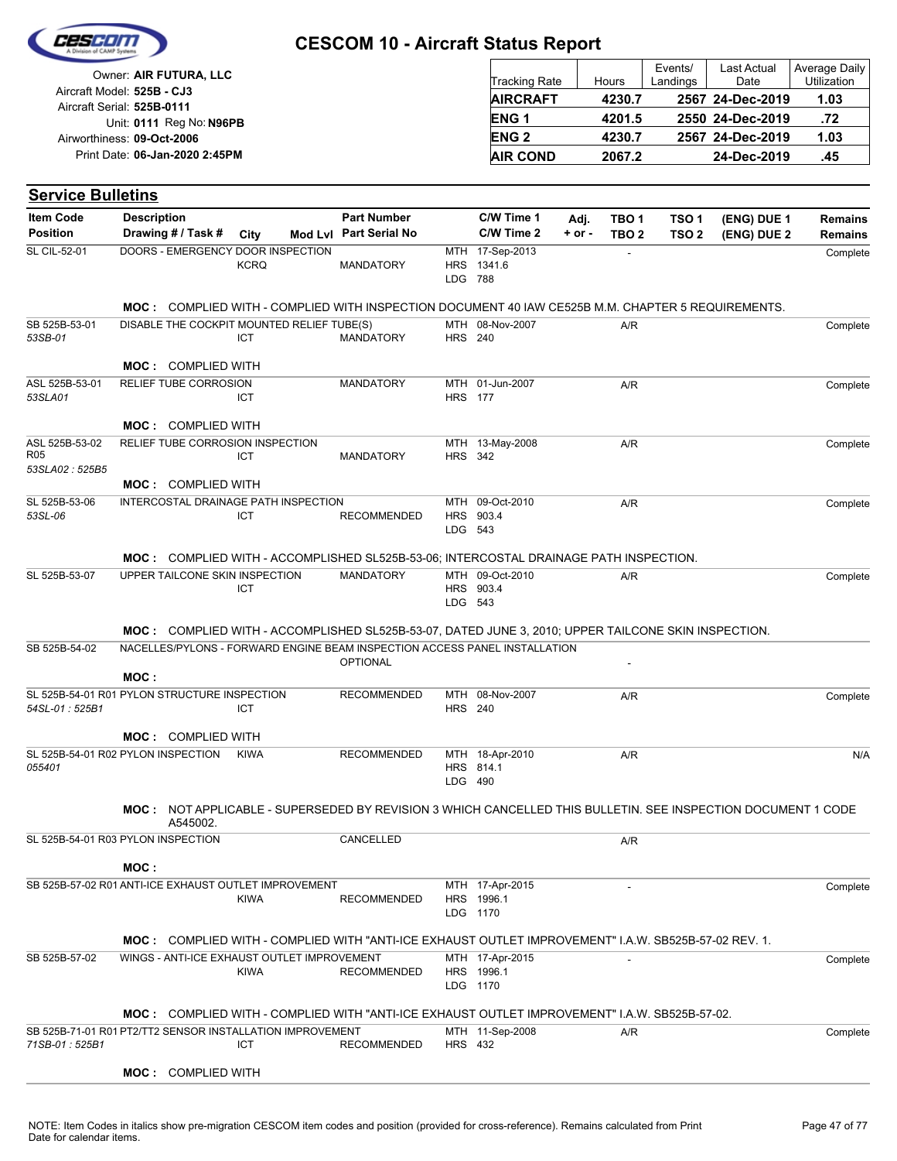

| Owner: AIR FUTURA, LLC                                   | <b>Tracking Rate</b> | Hours  | Events/<br>Landings | <b>Last Actual</b><br>Date | Average Daily<br>Utilization |
|----------------------------------------------------------|----------------------|--------|---------------------|----------------------------|------------------------------|
| Aircraft Model: 525B - CJ3<br>Aircraft Serial: 525B-0111 | <b>AIRCRAFT</b>      | 4230.7 |                     | 2567 24-Dec-2019           | 1.03                         |
| Unit: 0111 Reg No: N96PB                                 | <b>ENG1</b>          | 4201.5 |                     | 2550 24-Dec-2019           | .72                          |
| Airworthiness: 09-Oct-2006                               | <b>ENG 2</b>         | 4230.7 |                     | 2567 24-Dec-2019           | 1.03                         |
| Print Date: 06-Jan-2020 2:45PM                           | <b>AIR COND</b>      | 2067.2 |                     | 24-Dec-2019                | .45                          |

| <b>Service Bulletins</b>          |                                                                                                             |             |                        |                |                              |          |                  |                                                                                                                                                                                                                                                                                                                                                                                                                                                      |             |                |
|-----------------------------------|-------------------------------------------------------------------------------------------------------------|-------------|------------------------|----------------|------------------------------|----------|------------------|------------------------------------------------------------------------------------------------------------------------------------------------------------------------------------------------------------------------------------------------------------------------------------------------------------------------------------------------------------------------------------------------------------------------------------------------------|-------------|----------------|
| <b>Item Code</b>                  | <b>Description</b>                                                                                          |             | <b>Part Number</b>     |                | C/W Time 1                   | Adj.     | TBO 1            | TSO 1                                                                                                                                                                                                                                                                                                                                                                                                                                                | (ENG) DUE 1 | <b>Remains</b> |
| <b>Position</b>                   | Drawing # / Task #                                                                                          | City        | Mod Lvl Part Serial No |                | C/W Time 2                   | $+ or -$ | TBO <sub>2</sub> | TSO <sub>2</sub>                                                                                                                                                                                                                                                                                                                                                                                                                                     | (ENG) DUE 2 | <b>Remains</b> |
| <b>SL CIL-52-01</b>               | DOORS - EMERGENCY DOOR INSPECTION                                                                           | <b>KCRQ</b> | <b>MANDATORY</b>       | HRS<br>LDG 788 | MTH 17-Sep-2013<br>1341.6    |          |                  |                                                                                                                                                                                                                                                                                                                                                                                                                                                      |             | Complete       |
|                                   |                                                                                                             |             |                        |                |                              |          |                  | <b>MOC:</b> COMPLIED WITH - COMPLIED WITH INSPECTION DOCUMENT 40 IAW CE525B M.M. CHAPTER 5 REQUIREMENTS.<br>A/R<br>MOC: COMPLIED WITH - ACCOMPLISHED SL525B-53-06; INTERCOSTAL DRAINAGE PATH INSPECTION.<br>A/R<br>MOC: COMPLIED WITH - ACCOMPLISHED SL525B-53-07, DATED JUNE 3, 2010; UPPER TAILCONE SKIN INSPECTION.<br>A/R<br><b>MOC: NOT APPLICABLE - SUPERSEDED BY REVISION 3 WHICH CANCELLED THIS BULLETIN. SEE INSPECTION DOCUMENT 1 CODE</b> |             |                |
|                                   |                                                                                                             |             |                        |                |                              |          |                  |                                                                                                                                                                                                                                                                                                                                                                                                                                                      |             |                |
| SB 525B-53-01<br>53SB-01          | DISABLE THE COCKPIT MOUNTED RELIEF TUBE(S)                                                                  | ICT         | <b>MANDATORY</b>       | <b>HRS</b> 240 | MTH 08-Nov-2007              |          |                  |                                                                                                                                                                                                                                                                                                                                                                                                                                                      |             | Complete       |
|                                   | <b>MOC: COMPLIED WITH</b>                                                                                   |             |                        |                |                              |          |                  |                                                                                                                                                                                                                                                                                                                                                                                                                                                      |             |                |
| ASL 525B-53-01<br>53SLA01         | RELIEF TUBE CORROSION                                                                                       | ICT         | <b>MANDATORY</b>       | <b>HRS</b> 177 | MTH 01-Jun-2007              |          | A/R              |                                                                                                                                                                                                                                                                                                                                                                                                                                                      |             | Complete       |
|                                   | <b>MOC: COMPLIED WITH</b>                                                                                   |             |                        |                |                              |          |                  |                                                                                                                                                                                                                                                                                                                                                                                                                                                      |             |                |
| ASL 525B-53-02<br>R <sub>05</sub> | RELIEF TUBE CORROSION INSPECTION                                                                            | ICT         | <b>MANDATORY</b>       | <b>HRS 342</b> | MTH 13-May-2008              |          | A/R              |                                                                                                                                                                                                                                                                                                                                                                                                                                                      |             | Complete       |
| 53SLA02: 525B5                    | <b>MOC: COMPLIED WITH</b>                                                                                   |             |                        |                |                              |          |                  |                                                                                                                                                                                                                                                                                                                                                                                                                                                      |             |                |
| SL 525B-53-06<br>53SL-06          | INTERCOSTAL DRAINAGE PATH INSPECTION                                                                        | ICT         | <b>RECOMMENDED</b>     |                | MTH 09-Oct-2010<br>HRS 903.4 |          | A/R              |                                                                                                                                                                                                                                                                                                                                                                                                                                                      |             | Complete       |
|                                   |                                                                                                             |             |                        | LDG 543        |                              |          |                  |                                                                                                                                                                                                                                                                                                                                                                                                                                                      |             |                |
| SL 525B-53-07                     | UPPER TAILCONE SKIN INSPECTION                                                                              |             | <b>MANDATORY</b>       |                | MTH 09-Oct-2010              |          |                  |                                                                                                                                                                                                                                                                                                                                                                                                                                                      |             | Complete       |
|                                   |                                                                                                             | ICT         |                        | LDG 543        | HRS 903.4                    |          |                  |                                                                                                                                                                                                                                                                                                                                                                                                                                                      |             |                |
|                                   |                                                                                                             |             |                        |                |                              |          |                  |                                                                                                                                                                                                                                                                                                                                                                                                                                                      |             |                |
| SB 525B-54-02                     | NACELLES/PYLONS - FORWARD ENGINE BEAM INSPECTION ACCESS PANEL INSTALLATION                                  |             |                        |                |                              |          |                  |                                                                                                                                                                                                                                                                                                                                                                                                                                                      |             |                |
|                                   |                                                                                                             |             | <b>OPTIONAL</b>        |                |                              |          |                  |                                                                                                                                                                                                                                                                                                                                                                                                                                                      |             |                |
|                                   | MOC:                                                                                                        |             |                        |                |                              |          |                  |                                                                                                                                                                                                                                                                                                                                                                                                                                                      |             |                |
| 54SL-01: 525B1                    | SL 525B-54-01 R01 PYLON STRUCTURE INSPECTION                                                                | ICT         | <b>RECOMMENDED</b>     | <b>HRS</b> 240 | MTH 08-Nov-2007              |          |                  |                                                                                                                                                                                                                                                                                                                                                                                                                                                      |             | Complete       |
|                                   | <b>MOC: COMPLIED WITH</b>                                                                                   |             |                        |                |                              |          |                  |                                                                                                                                                                                                                                                                                                                                                                                                                                                      |             |                |
| 055401                            | SL 525B-54-01 R02 PYLON INSPECTION                                                                          | <b>KIWA</b> | <b>RECOMMENDED</b>     | LDG 490        | MTH 18-Apr-2010<br>HRS 814.1 |          | A/R              |                                                                                                                                                                                                                                                                                                                                                                                                                                                      |             | N/A            |
|                                   | A545002.                                                                                                    |             |                        |                |                              |          |                  |                                                                                                                                                                                                                                                                                                                                                                                                                                                      |             |                |
|                                   | SL 525B-54-01 R03 PYLON INSPECTION                                                                          |             | CANCELLED              |                |                              |          | A/R              |                                                                                                                                                                                                                                                                                                                                                                                                                                                      |             |                |
|                                   | MOC :                                                                                                       |             |                        |                |                              |          |                  |                                                                                                                                                                                                                                                                                                                                                                                                                                                      |             |                |
|                                   | SB 525B-57-02 R01 ANTI-ICE EXHAUST OUTLET IMPROVEMENT                                                       |             |                        |                | MTH 17-Apr-2015              |          |                  |                                                                                                                                                                                                                                                                                                                                                                                                                                                      |             |                |
|                                   |                                                                                                             | <b>KIWA</b> | <b>RECOMMENDED</b>     |                | HRS 1996.1<br>LDG 1170       |          |                  |                                                                                                                                                                                                                                                                                                                                                                                                                                                      |             | Complete       |
|                                   | <b>MOC: COMPLIED WITH - COMPLIED WITH "ANTI-ICE EXHAUST OUTLET IMPROVEMENT" I.A.W. SB525B-57-02 REV. 1.</b> |             |                        |                |                              |          |                  |                                                                                                                                                                                                                                                                                                                                                                                                                                                      |             |                |
| SB 525B-57-02                     | WINGS - ANTI-ICE EXHAUST OUTLET IMPROVEMENT                                                                 |             |                        |                | MTH 17-Apr-2015              |          |                  |                                                                                                                                                                                                                                                                                                                                                                                                                                                      |             | Complete       |
|                                   |                                                                                                             | <b>KIWA</b> | <b>RECOMMENDED</b>     |                | HRS 1996.1<br>LDG 1170       |          |                  |                                                                                                                                                                                                                                                                                                                                                                                                                                                      |             |                |
|                                   | MOC: COMPLIED WITH - COMPLIED WITH "ANTI-ICE EXHAUST OUTLET IMPROVEMENT" I.A.W. SB525B-57-02.               |             |                        |                |                              |          |                  |                                                                                                                                                                                                                                                                                                                                                                                                                                                      |             |                |
| 71SB-01: 525B1                    | SB 525B-71-01 R01 PT2/TT2 SENSOR INSTALLATION IMPROVEMENT                                                   | ICT         | <b>RECOMMENDED</b>     | <b>HRS 432</b> | MTH 11-Sep-2008              |          | A/R              |                                                                                                                                                                                                                                                                                                                                                                                                                                                      |             | Complete       |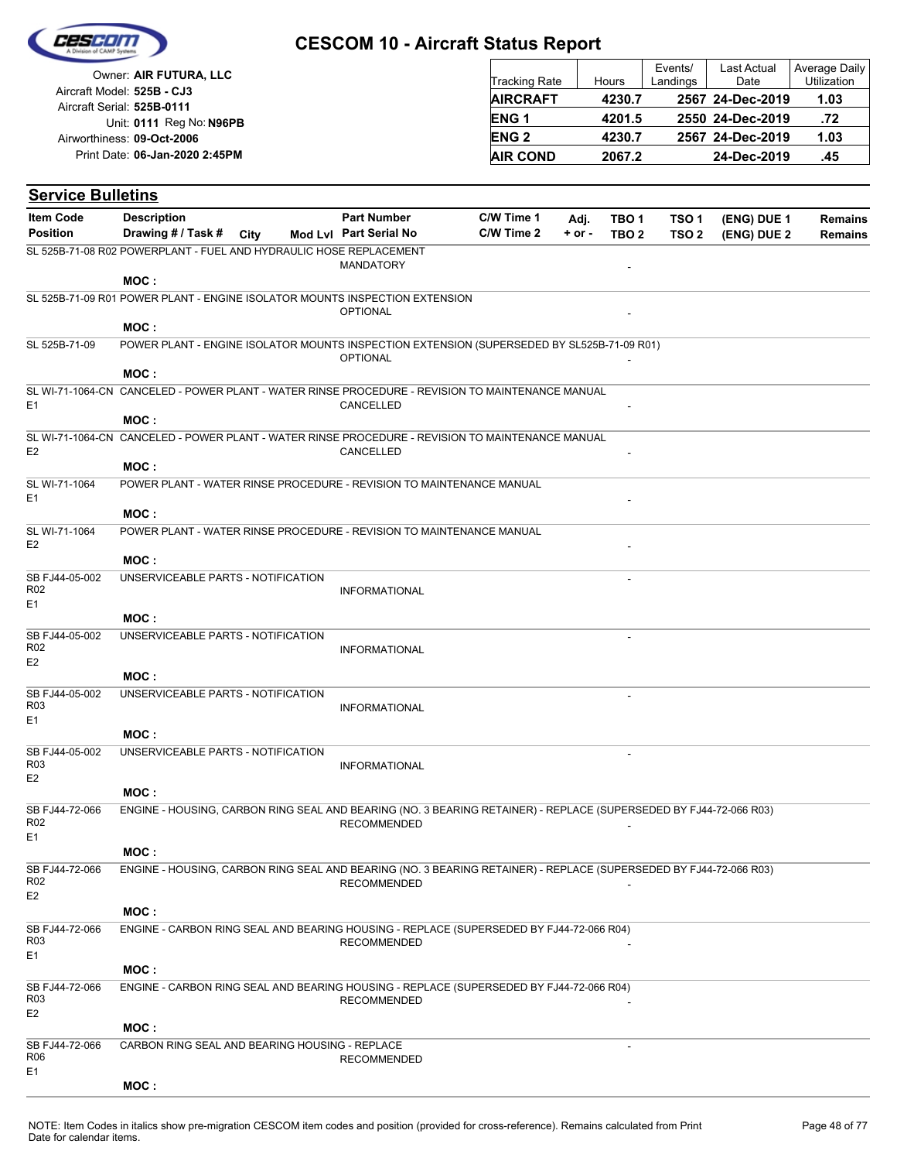

| Owner: AIR FUTURA, LLC                                   | <b>Tracking Rate</b> | Hours  | Events/<br>Landings | Last Actual<br>Date | Average Daily<br>Utilization |
|----------------------------------------------------------|----------------------|--------|---------------------|---------------------|------------------------------|
| Aircraft Model: 525B - CJ3<br>Aircraft Serial: 525B-0111 | <b>AIRCRAFT</b>      | 4230.7 |                     | 2567 24-Dec-2019    | 1.03                         |
| Unit: 0111 Reg No: N96PB                                 | ENG <sub>1</sub>     | 4201.5 |                     | 2550 24-Dec-2019    | .72                          |
| Airworthiness: 09-Oct-2006                               | <b>ENG 2</b>         | 4230.7 |                     | 2567 24-Dec-2019    | 1.03                         |
| Print Date: 06-Jan-2020 2:45PM                           | <b>AIR COND</b>      | 2067.2 |                     | 24-Dec-2019         | .45                          |

| <b>Service Bulletins</b>                            |                                                                                                                   |  |                                              |                          |                    |                                      |                                      |                            |                                  |
|-----------------------------------------------------|-------------------------------------------------------------------------------------------------------------------|--|----------------------------------------------|--------------------------|--------------------|--------------------------------------|--------------------------------------|----------------------------|----------------------------------|
| <b>Item Code</b><br><b>Position</b>                 | <b>Description</b><br>Drawing # / Task # City                                                                     |  | <b>Part Number</b><br>Mod Lvl Part Serial No | C/W Time 1<br>C/W Time 2 | Adj.<br>$+$ or $-$ | TBO <sub>1</sub><br>TBO <sub>2</sub> | TSO <sub>1</sub><br>TSO <sub>2</sub> | (ENG) DUE 1<br>(ENG) DUE 2 | <b>Remains</b><br><b>Remains</b> |
|                                                     | SL 525B-71-08 R02 POWERPLANT - FUEL AND HYDRAULIC HOSE REPLACEMENT                                                |  |                                              |                          |                    |                                      |                                      |                            |                                  |
|                                                     |                                                                                                                   |  | <b>MANDATORY</b>                             |                          |                    |                                      |                                      |                            |                                  |
|                                                     | MOC:                                                                                                              |  |                                              |                          |                    |                                      |                                      |                            |                                  |
|                                                     | SL 525B-71-09 R01 POWER PLANT - ENGINE ISOLATOR MOUNTS INSPECTION EXTENSION                                       |  | <b>OPTIONAL</b>                              |                          |                    |                                      |                                      |                            |                                  |
|                                                     | MOC:                                                                                                              |  |                                              |                          |                    |                                      |                                      |                            |                                  |
| SL 525B-71-09                                       | POWER PLANT - ENGINE ISOLATOR MOUNTS INSPECTION EXTENSION (SUPERSEDED BY SL525B-71-09 R01)                        |  | <b>OPTIONAL</b>                              |                          |                    |                                      |                                      |                            |                                  |
|                                                     | MOC:                                                                                                              |  |                                              |                          |                    |                                      |                                      |                            |                                  |
| E <sub>1</sub>                                      | SL WI-71-1064-CN CANCELED - POWER PLANT - WATER RINSE PROCEDURE - REVISION TO MAINTENANCE MANUAL<br>MOC:          |  | CANCELLED                                    |                          |                    |                                      |                                      |                            |                                  |
|                                                     | SL WI-71-1064-CN CANCELED - POWER PLANT - WATER RINSE PROCEDURE - REVISION TO MAINTENANCE MANUAL                  |  |                                              |                          |                    |                                      |                                      |                            |                                  |
| E <sub>2</sub>                                      |                                                                                                                   |  | CANCELLED                                    |                          |                    |                                      |                                      |                            |                                  |
|                                                     | MOC:                                                                                                              |  |                                              |                          |                    |                                      |                                      |                            |                                  |
| SL WI-71-1064<br>E <sub>1</sub>                     | POWER PLANT - WATER RINSE PROCEDURE - REVISION TO MAINTENANCE MANUAL                                              |  |                                              |                          |                    |                                      |                                      |                            |                                  |
|                                                     | MOC:                                                                                                              |  |                                              |                          |                    |                                      |                                      |                            |                                  |
| SL WI-71-1064<br>E <sub>2</sub>                     | POWER PLANT - WATER RINSE PROCEDURE - REVISION TO MAINTENANCE MANUAL<br>MOC:                                      |  |                                              |                          |                    |                                      |                                      |                            |                                  |
| SB FJ44-05-002                                      | UNSERVICEABLE PARTS - NOTIFICATION                                                                                |  |                                              |                          |                    |                                      |                                      |                            |                                  |
| R <sub>02</sub><br>E <sub>1</sub>                   |                                                                                                                   |  | <b>INFORMATIONAL</b>                         |                          |                    |                                      |                                      |                            |                                  |
|                                                     | MOC:                                                                                                              |  |                                              |                          |                    |                                      |                                      |                            |                                  |
| SB FJ44-05-002<br>R <sub>02</sub><br>E <sub>2</sub> | UNSERVICEABLE PARTS - NOTIFICATION                                                                                |  | <b>INFORMATIONAL</b>                         |                          |                    |                                      |                                      |                            |                                  |
|                                                     | MOC:                                                                                                              |  |                                              |                          |                    |                                      |                                      |                            |                                  |
| SB FJ44-05-002<br>R <sub>03</sub><br>E <sub>1</sub> | UNSERVICEABLE PARTS - NOTIFICATION                                                                                |  | <b>INFORMATIONAL</b>                         |                          |                    | $\sim$                               |                                      |                            |                                  |
|                                                     | MOC:                                                                                                              |  |                                              |                          |                    |                                      |                                      |                            |                                  |
| SB FJ44-05-002<br>R <sub>03</sub><br>E <sub>2</sub> | UNSERVICEABLE PARTS - NOTIFICATION                                                                                |  | <b>INFORMATIONAL</b>                         |                          |                    |                                      |                                      |                            |                                  |
|                                                     | MOC:                                                                                                              |  |                                              |                          |                    |                                      |                                      |                            |                                  |
| SB FJ44-72-066<br>R <sub>02</sub><br>E1             | ENGINE - HOUSING, CARBON RING SEAL AND BEARING (NO. 3 BEARING RETAINER) - REPLACE (SUPERSEDED BY FJ44-72-066 R03) |  | <b>RECOMMENDED</b>                           |                          |                    |                                      |                                      |                            |                                  |
|                                                     | MOC :                                                                                                             |  |                                              |                          |                    |                                      |                                      |                            |                                  |
| SB FJ44-72-066<br>R <sub>02</sub><br>E <sub>2</sub> | ENGINE - HOUSING, CARBON RING SEAL AND BEARING (NO. 3 BEARING RETAINER) - REPLACE (SUPERSEDED BY FJ44-72-066 R03) |  | <b>RECOMMENDED</b>                           |                          |                    |                                      |                                      |                            |                                  |
|                                                     | MOC:                                                                                                              |  |                                              |                          |                    |                                      |                                      |                            |                                  |
| SB FJ44-72-066<br>R <sub>03</sub><br>E1             | ENGINE - CARBON RING SEAL AND BEARING HOUSING - REPLACE (SUPERSEDED BY FJ44-72-066 R04)                           |  | <b>RECOMMENDED</b>                           |                          |                    |                                      |                                      |                            |                                  |
|                                                     | MOC:                                                                                                              |  |                                              |                          |                    |                                      |                                      |                            |                                  |
| SB FJ44-72-066<br>R03                               | ENGINE - CARBON RING SEAL AND BEARING HOUSING - REPLACE (SUPERSEDED BY FJ44-72-066 R04)                           |  | <b>RECOMMENDED</b>                           |                          |                    |                                      |                                      |                            |                                  |
| E <sub>2</sub>                                      | MOC:                                                                                                              |  |                                              |                          |                    |                                      |                                      |                            |                                  |
| SB FJ44-72-066<br>R06                               | CARBON RING SEAL AND BEARING HOUSING - REPLACE                                                                    |  | <b>RECOMMENDED</b>                           |                          |                    |                                      |                                      |                            |                                  |
| E1                                                  | MOC:                                                                                                              |  |                                              |                          |                    |                                      |                                      |                            |                                  |
|                                                     |                                                                                                                   |  |                                              |                          |                    |                                      |                                      |                            |                                  |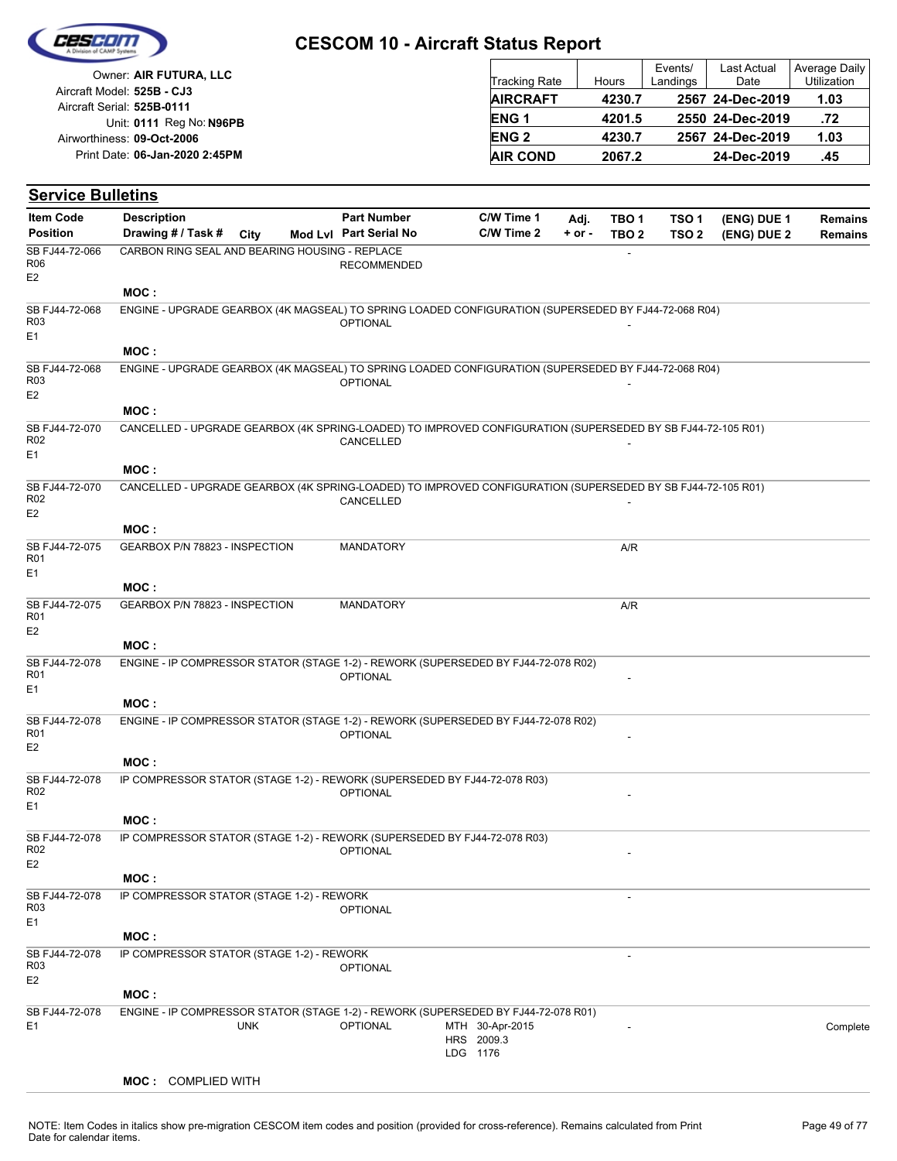

| Owner: AIR FUTURA, LLC                                   | <b>Tracking Rate</b>   | Hours  | Events/<br>Landings | <b>Last Actual</b><br>Date | Average Daily<br><b>Utilization</b> |
|----------------------------------------------------------|------------------------|--------|---------------------|----------------------------|-------------------------------------|
| Aircraft Model: 525B - CJ3<br>Aircraft Serial: 525B-0111 | <b>AIRCRAFT</b>        | 4230.7 |                     | 2567 24-Dec-2019           | 1.03                                |
| Unit: 0111 Reg No: N96PB                                 | ENG <sub>1</sub>       | 4201.5 |                     | 2550 24-Dec-2019           | .72                                 |
| Airworthiness: 09-Oct-2006                               | <b>ENG<sub>2</sub></b> | 4230.7 |                     | 2567 24-Dec-2019           | 1.03                                |
| Print Date: 06-Jan-2020 2:45PM                           | <b>AIR COND</b>        | 2067.2 |                     | 24-Dec-2019                | .45                                 |

#### **(ENG) DUE 2 (ENG) DUE 1 Service Bulletins** City **Mod Lvl Part Serial No Part Number C/W Time 1 C/W Time 2 + or - Adj. TBO 1 TBO 2 TSO 2 TSO 1 Remains** Description Part Number C/W Time 1 Adj. TBO 1 TSO 1 (ENG) DUE 1 Remains **Position Drawing # / Task # Item Code** - RECOMMENDED E2 SB FJ44-72-066 R06 CARBON RING SEAL AND BEARING HOUSING - REPLACE **MOC : OPTIONAL** E1 SB FJ44-72-068 R03 ENGINE - UPGRADE GEARBOX (4K MAGSEAL) TO SPRING LOADED CONFIGURATION (SUPERSEDED BY FJ44-72-068 R04) **MOC : OPTIONAL** E2 SB FJ44-72-068 R03 ENGINE - UPGRADE GEARBOX (4K MAGSEAL) TO SPRING LOADED CONFIGURATION (SUPERSEDED BY FJ44-72-068 R04) **MOC : CANCELLED** E1 SB FJ44-72-070 R02 CANCELLED - UPGRADE GEARBOX (4K SPRING-LOADED) TO IMPROVED CONFIGURATION (SUPERSEDED BY SB FJ44-72-105 R01) **MOC :** CANCELLED E2 SB FJ44-72-070 R02 CANCELLED - UPGRADE GEARBOX (4K SPRING-LOADED) TO IMPROVED CONFIGURATION (SUPERSEDED BY SB FJ44-72-105 R01) **MOC :** MANDATORY A/R E1 SB FJ44-72-075 R01 GEARBOX P/N 78823 - INSPECTION **MOC :** MANDATORY A/R E2 SB FJ44-72-075 R01 GEARBOX P/N 78823 - INSPECTION **MOC : OPTIONAL** E1 SB FJ44-72-078 R01 ENGINE - IP COMPRESSOR STATOR (STAGE 1-2) - REWORK (SUPERSEDED BY FJ44-72-078 R02) **MOC : OPTIONAL** E2 SB FJ44-72-078 R01 ENGINE - IP COMPRESSOR STATOR (STAGE 1-2) - REWORK (SUPERSEDED BY FJ44-72-078 R02) **MOC : OPTIONAL** E1 SB FJ44-72-078 R02 IP COMPRESSOR STATOR (STAGE 1-2) - REWORK (SUPERSEDED BY FJ44-72-078 R03) **MOC : OPTIONAL** E2 SB F.I44-72-078 R02 IP COMPRESSOR STATOR (STAGE 1-2) - REWORK (SUPERSEDED BY FJ44-72-078 R03) **MOC :** - OPTIONAL E1 SB FJ44-72-078 R03 IP COMPRESSOR STATOR (STAGE 1-2) - REWORK **MOC :** - OPTIONAL E2 SB FJ44-72-078 R03 IP COMPRESSOR STATOR (STAGE 1-2) - REWORK **MOC :** LDG 1176 HRS 2009.3 MTH 30-Apr-2015 E1 OPTIONAL 30-Apr-2015 - Complete SB FJ44-72-078 UNK ENGINE - IP COMPRESSOR STATOR (STAGE 1-2) - REWORK (SUPERSEDED BY FJ44-72-078 R01)

#### **MOC :** COMPLIED WITH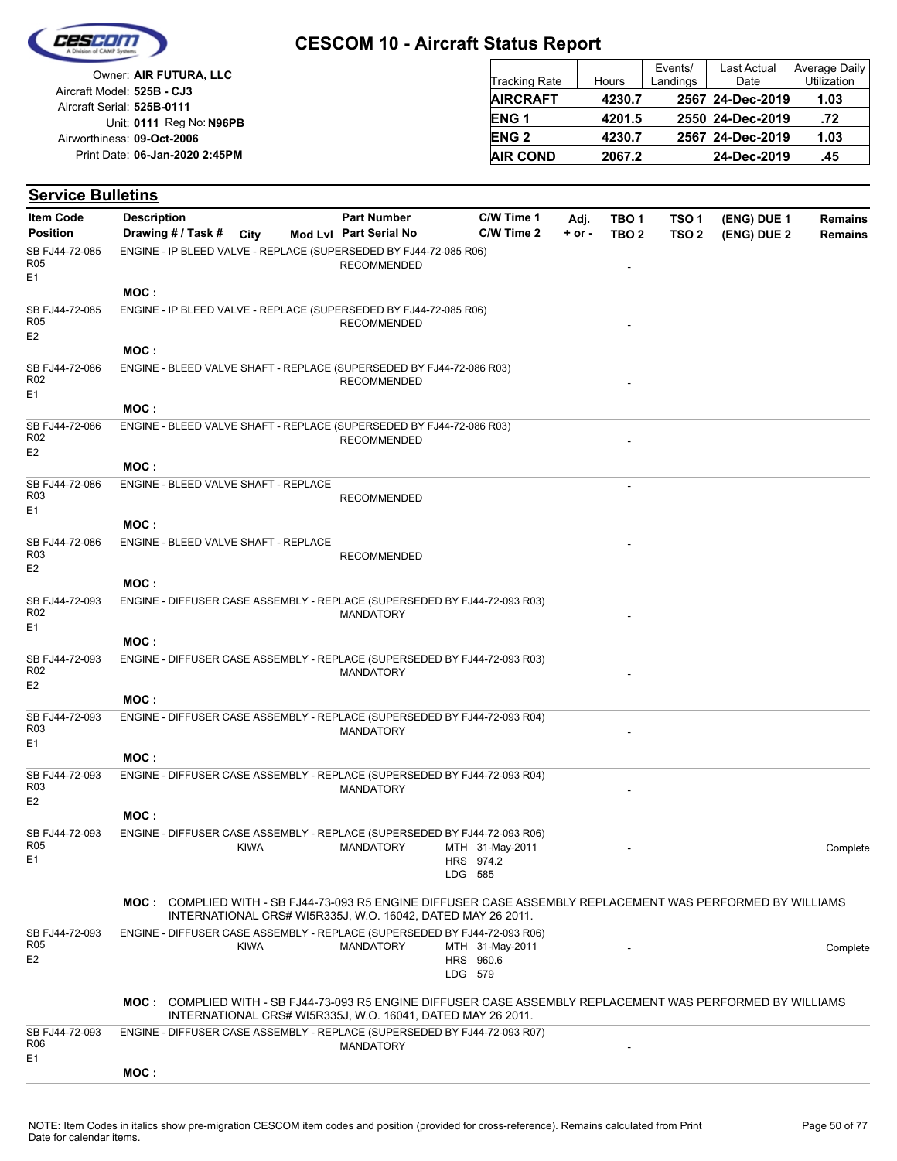

| Owner: AIR FUTURA, LLC                                   | <b>Tracking Rate</b> | Hours  | Events/<br>Landings | Last Actual<br>Date | Average Daily<br>Utilization |
|----------------------------------------------------------|----------------------|--------|---------------------|---------------------|------------------------------|
| Aircraft Model: 525B - CJ3<br>Aircraft Serial: 525B-0111 | <b>AIRCRAFT</b>      | 4230.7 |                     | 2567 24-Dec-2019    | 1.03                         |
| Unit: 0111 Reg No: N96PB                                 | <b>ENG1</b>          | 4201.5 |                     | 2550 24-Dec-2019    | .72                          |
| Airworthiness: 09-Oct-2006                               | <b>ENG 2</b>         | 4230.7 |                     | 2567 24-Dec-2019    | 1.03                         |
| Print Date: 06-Jan-2020 2:45PM                           | <b>AIR COND</b>      | 2067.2 |                     | 24-Dec-2019         | .45                          |

| <b>Item Code</b>                                    | <b>Description</b>                                                                                         |             | <b>Part Number</b>                                          |         | C/W Time 1                   | Adj.       | TBO <sub>1</sub> | TSO <sub>1</sub> | (ENG) DUE 1 | <b>Remains</b> |
|-----------------------------------------------------|------------------------------------------------------------------------------------------------------------|-------------|-------------------------------------------------------------|---------|------------------------------|------------|------------------|------------------|-------------|----------------|
| <b>Position</b>                                     | Drawing # / Task # City                                                                                    |             | Mod Lvl Part Serial No                                      |         | C/W Time 2                   | $+$ or $-$ | TBO <sub>2</sub> | TSO <sub>2</sub> | (ENG) DUE 2 | <b>Remains</b> |
| SB FJ44-72-085<br><b>R05</b><br>E1                  | ENGINE - IP BLEED VALVE - REPLACE (SUPERSEDED BY FJ44-72-085 R06)                                          |             | <b>RECOMMENDED</b>                                          |         |                              |            |                  |                  |             |                |
|                                                     | MOC:                                                                                                       |             |                                                             |         |                              |            |                  |                  |             |                |
| SB FJ44-72-085<br><b>R05</b><br>E <sub>2</sub>      | ENGINE - IP BLEED VALVE - REPLACE (SUPERSEDED BY FJ44-72-085 R06)                                          |             | <b>RECOMMENDED</b>                                          |         |                              |            |                  |                  |             |                |
|                                                     | MOC:                                                                                                       |             |                                                             |         |                              |            |                  |                  |             |                |
| SB FJ44-72-086<br>R02<br>E1                         | ENGINE - BLEED VALVE SHAFT - REPLACE (SUPERSEDED BY FJ44-72-086 R03)                                       |             | <b>RECOMMENDED</b>                                          |         |                              |            |                  |                  |             |                |
|                                                     | MOC:                                                                                                       |             |                                                             |         |                              |            |                  |                  |             |                |
| SB FJ44-72-086<br>R <sub>02</sub><br>E <sub>2</sub> | ENGINE - BLEED VALVE SHAFT - REPLACE (SUPERSEDED BY FJ44-72-086 R03)                                       |             | <b>RECOMMENDED</b>                                          |         |                              |            |                  |                  |             |                |
|                                                     | MOC:                                                                                                       |             |                                                             |         |                              |            |                  |                  |             |                |
| SB FJ44-72-086<br>R <sub>03</sub>                   | ENGINE - BLEED VALVE SHAFT - REPLACE                                                                       |             | <b>RECOMMENDED</b>                                          |         |                              |            |                  |                  |             |                |
| E <sub>1</sub>                                      | MOC:                                                                                                       |             |                                                             |         |                              |            |                  |                  |             |                |
| SB FJ44-72-086                                      | ENGINE - BLEED VALVE SHAFT - REPLACE                                                                       |             |                                                             |         |                              |            |                  |                  |             |                |
| R <sub>03</sub><br>E <sub>2</sub>                   |                                                                                                            |             | <b>RECOMMENDED</b>                                          |         |                              |            |                  |                  |             |                |
|                                                     | MOC:                                                                                                       |             |                                                             |         |                              |            |                  |                  |             |                |
| SB FJ44-72-093<br>R <sub>02</sub><br>E1             | ENGINE - DIFFUSER CASE ASSEMBLY - REPLACE (SUPERSEDED BY FJ44-72-093 R03)                                  |             | <b>MANDATORY</b>                                            |         |                              |            |                  |                  |             |                |
|                                                     | MOC:                                                                                                       |             |                                                             |         |                              |            |                  |                  |             |                |
| SB FJ44-72-093<br>R02<br>E <sub>2</sub>             | ENGINE - DIFFUSER CASE ASSEMBLY - REPLACE (SUPERSEDED BY FJ44-72-093 R03)                                  |             | <b>MANDATORY</b>                                            |         |                              |            |                  |                  |             |                |
|                                                     | MOC:                                                                                                       |             |                                                             |         |                              |            |                  |                  |             |                |
| SB FJ44-72-093<br>R <sub>03</sub><br>E1             | ENGINE - DIFFUSER CASE ASSEMBLY - REPLACE (SUPERSEDED BY FJ44-72-093 R04)                                  |             | <b>MANDATORY</b>                                            |         |                              |            |                  |                  |             |                |
|                                                     | MOC:                                                                                                       |             |                                                             |         |                              |            |                  |                  |             |                |
| SB FJ44-72-093<br>R <sub>03</sub>                   | ENGINE - DIFFUSER CASE ASSEMBLY - REPLACE (SUPERSEDED BY FJ44-72-093 R04)                                  |             | <b>MANDATORY</b>                                            |         |                              |            |                  |                  |             |                |
| E <sub>2</sub>                                      | MOC:                                                                                                       |             |                                                             |         |                              |            |                  |                  |             |                |
| SB FJ44-72-093                                      | ENGINE - DIFFUSER CASE ASSEMBLY - REPLACE (SUPERSEDED BY FJ44-72-093 R06)                                  |             |                                                             |         |                              |            |                  |                  |             |                |
| <b>R05</b><br>E1                                    |                                                                                                            | <b>KIWA</b> | MANDATORY                                                   | LDG 585 | MTH 31-May-2011<br>HRS 974.2 |            |                  |                  |             | Complete       |
|                                                     | MOC: COMPLIED WITH - SB FJ44-73-093 R5 ENGINE DIFFUSER CASE ASSEMBLY REPLACEMENT WAS PERFORMED BY WILLIAMS |             | INTERNATIONAL CRS# WI5R335J, W.O. 16042, DATED MAY 26 2011. |         |                              |            |                  |                  |             |                |
| SB FJ44-72-093<br><b>R05</b><br>E <sub>2</sub>      | ENGINE - DIFFUSER CASE ASSEMBLY - REPLACE (SUPERSEDED BY FJ44-72-093 R06)                                  | <b>KIWA</b> | MANDATORY                                                   | LDG 579 | MTH 31-May-2011<br>HRS 960.6 |            |                  |                  |             | Complete       |
|                                                     | MOC: COMPLIED WITH - SB FJ44-73-093 R5 ENGINE DIFFUSER CASE ASSEMBLY REPLACEMENT WAS PERFORMED BY WILLIAMS |             | INTERNATIONAL CRS# WI5R335J, W.O. 16041, DATED MAY 26 2011. |         |                              |            |                  |                  |             |                |
| SB FJ44-72-093<br>R06                               | ENGINE - DIFFUSER CASE ASSEMBLY - REPLACE (SUPERSEDED BY FJ44-72-093 R07)                                  |             | <b>MANDATORY</b>                                            |         |                              |            |                  |                  |             |                |
| E1                                                  | MOC:                                                                                                       |             |                                                             |         |                              |            |                  |                  |             |                |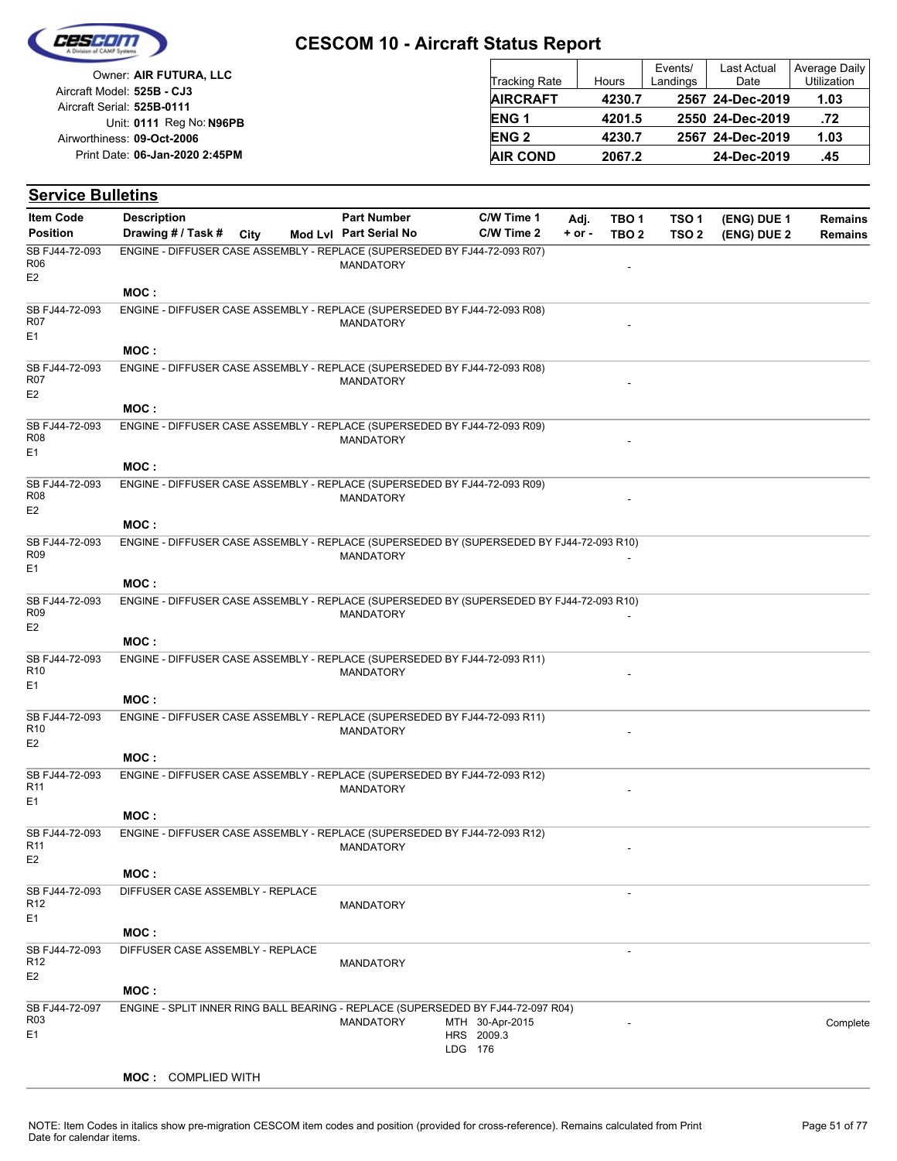

**Service Bulletins**

#### **CESCOM 10 - Aircraft Status Report**

| Owner: AIR FUTURA, LLC                                   | <b>Tracking Rate</b> | Hours  | Events/<br>Landings | <b>Last Actual</b><br>Date | Average Daily<br>Utilization |
|----------------------------------------------------------|----------------------|--------|---------------------|----------------------------|------------------------------|
| Aircraft Model: 525B - CJ3<br>Aircraft Serial: 525B-0111 | <b>AIRCRAFT</b>      | 4230.7 |                     | 2567 24-Dec-2019           | 1.03                         |
| Unit: 0111 Reg No: N96PB                                 | <b>ENG1</b>          | 4201.5 |                     | 2550 24-Dec-2019           | .72                          |
| Airworthiness: 09-Oct-2006                               | <b>ENG 2</b>         | 4230.7 |                     | 2567 24-Dec-2019           | 1.03                         |
| Print Date: 06-Jan-2020 2:45PM                           | <b>AIR COND</b>      | 2067.2 |                     | 24-Dec-2019                | .45                          |

**C/W Time 2 + or -**

**Adj. TBO 1**

**TBO 2 TSO 2**

**TSO 1**

#### City **Mod Lvl Part Serial No Part Number C/W Time 1** Description Part Number C/W Time 1 Adj. TBO 1 TSO 1 (ENG) DUE 1 Remains **Position Drawing # / Task # City Item Code MANDATORY** E2 SB FJ44-72-093 R06 ENGINE - DIFFUSER CASE ASSEMBLY - REPLACE (SUPERSEDED BY FJ44-72-093 R07) **MOC : MANDATORY** E1 SB FJ44-72-093 R07 ENGINE - DIFFUSER CASE ASSEMBLY - REPLACE (SUPERSEDED BY FJ44-72-093 R08) **MOC :** E2 SB FJ44-72-093 R07 ENGINE - DIFFUSER CASE ASSEMBLY - REPLACE (SUPERSEDED BY FJ44-72-093 R08)

| R07<br>E <sub>2</sub>             |                                                                           | MANDATORY                                                                                |  |
|-----------------------------------|---------------------------------------------------------------------------|------------------------------------------------------------------------------------------|--|
|                                   | MOC:                                                                      |                                                                                          |  |
| SB FJ44-72-093                    | ENGINE - DIFFUSER CASE ASSEMBLY - REPLACE (SUPERSEDED BY FJ44-72-093 R09) |                                                                                          |  |
| <b>R08</b>                        |                                                                           | <b>MANDATORY</b>                                                                         |  |
| E <sub>1</sub>                    |                                                                           |                                                                                          |  |
|                                   | MOC:                                                                      |                                                                                          |  |
| SB FJ44-72-093<br>R08             | ENGINE - DIFFUSER CASE ASSEMBLY - REPLACE (SUPERSEDED BY FJ44-72-093 R09) |                                                                                          |  |
| E <sub>2</sub>                    |                                                                           | <b>MANDATORY</b>                                                                         |  |
|                                   | MOC:                                                                      |                                                                                          |  |
| SB FJ44-72-093                    |                                                                           | ENGINE - DIFFUSER CASE ASSEMBLY - REPLACE (SUPERSEDED BY (SUPERSEDED BY FJ44-72-093 R10) |  |
| R09                               |                                                                           | <b>MANDATORY</b>                                                                         |  |
| E <sub>1</sub>                    | MOC:                                                                      |                                                                                          |  |
| SB FJ44-72-093                    |                                                                           | ENGINE - DIFFUSER CASE ASSEMBLY - REPLACE (SUPERSEDED BY (SUPERSEDED BY FJ44-72-093 R10) |  |
| R <sub>09</sub>                   |                                                                           | <b>MANDATORY</b>                                                                         |  |
| E <sub>2</sub>                    | MOC:                                                                      |                                                                                          |  |
| SB FJ44-72-093                    |                                                                           |                                                                                          |  |
| R <sub>10</sub>                   | ENGINE - DIFFUSER CASE ASSEMBLY - REPLACE (SUPERSEDED BY FJ44-72-093 R11) | <b>MANDATORY</b>                                                                         |  |
| E1                                |                                                                           |                                                                                          |  |
|                                   | MOC:                                                                      |                                                                                          |  |
| SB FJ44-72-093                    | ENGINE - DIFFUSER CASE ASSEMBLY - REPLACE (SUPERSEDED BY FJ44-72-093 R11) |                                                                                          |  |
| R <sub>10</sub>                   |                                                                           | <b>MANDATORY</b>                                                                         |  |
| E <sub>2</sub>                    | MOC:                                                                      |                                                                                          |  |
| SB FJ44-72-093                    | ENGINE - DIFFUSER CASE ASSEMBLY - REPLACE (SUPERSEDED BY FJ44-72-093 R12) |                                                                                          |  |
| R <sub>11</sub>                   |                                                                           | <b>MANDATORY</b>                                                                         |  |
| E1                                |                                                                           |                                                                                          |  |
|                                   | MOC:                                                                      |                                                                                          |  |
| SB FJ44-72-093                    | ENGINE - DIFFUSER CASE ASSEMBLY - REPLACE (SUPERSEDED BY FJ44-72-093 R12) |                                                                                          |  |
| R <sub>11</sub><br>E <sub>2</sub> |                                                                           | <b>MANDATORY</b>                                                                         |  |
|                                   | MOC:                                                                      |                                                                                          |  |
| SB FJ44-72-093                    | DIFFUSER CASE ASSEMBLY - REPLACE                                          |                                                                                          |  |
| R <sub>12</sub>                   |                                                                           | <b>MANDATORY</b>                                                                         |  |
| E <sub>1</sub>                    |                                                                           |                                                                                          |  |
|                                   | MOC :                                                                     |                                                                                          |  |
| SB FJ44-72-093<br>R <sub>12</sub> | DIFFUSER CASE ASSEMBLY - REPLACE                                          | <b>MANDATORY</b>                                                                         |  |
| F <sub>2</sub>                    |                                                                           |                                                                                          |  |

**MOC :** LDG 176 HRS 2009.3 MTH MANDATORY 30-Apr-2015 - Complete E1 SB FJ44-72-097 R03 ENGINE - SPLIT INNER RING BALL BEARING - REPLACE (SUPERSEDED BY FJ44-72-097 R04)

#### **MOC :** COMPLIED WITH

**(ENG) DUE 2 (ENG) DUE 1**

**Remains**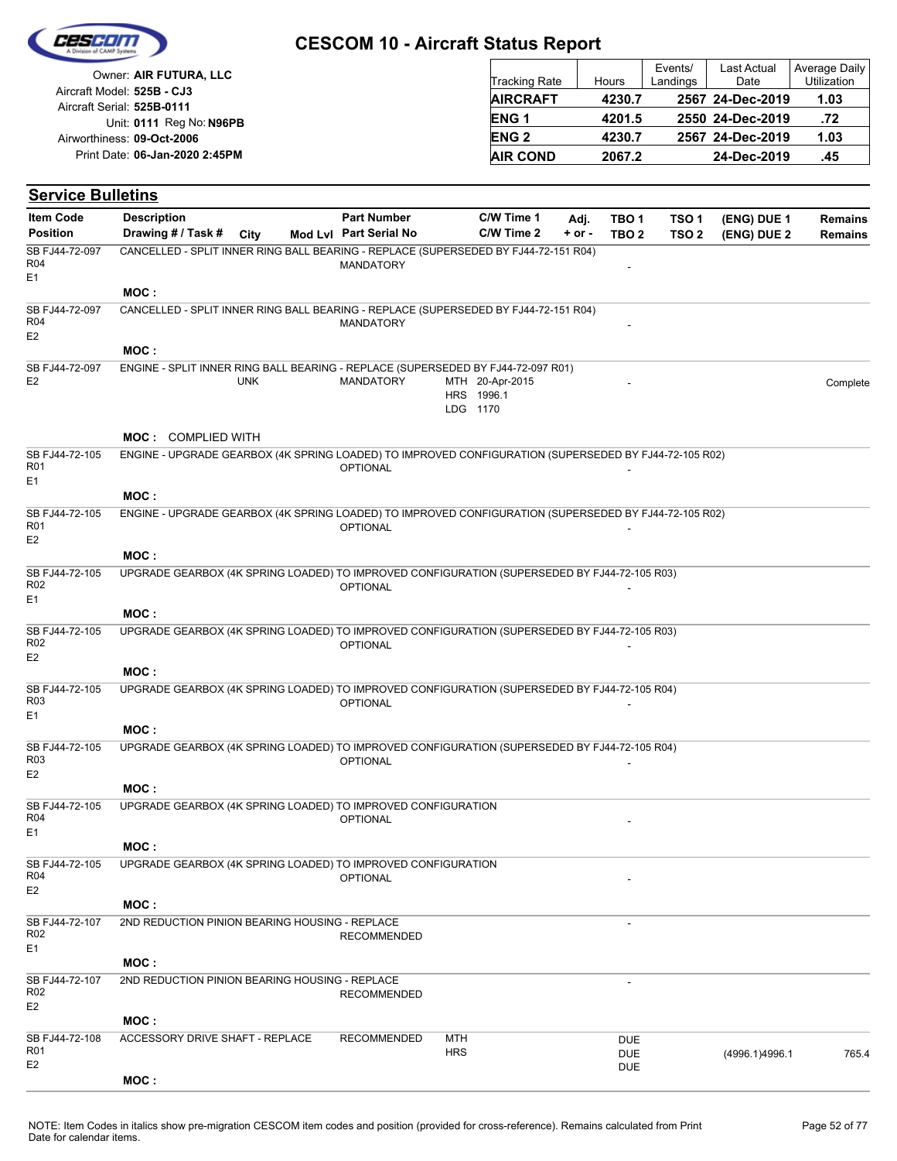| Cescon |
|--------|
|        |
|        |

| Owner: AIR FUTURA, LLC                                   | <b>Tracking Rate</b>   | Hours  | Events/<br>Landings | Last Actual<br>Date | Average Daily<br><b>Utilization</b> |
|----------------------------------------------------------|------------------------|--------|---------------------|---------------------|-------------------------------------|
| Aircraft Model: 525B - CJ3<br>Aircraft Serial: 525B-0111 | <b>AIRCRAFT</b>        | 4230.7 |                     | 2567 24-Dec-2019    | 1.03                                |
| Unit: 0111 Reg No: N96PB                                 | <b>ENG1</b>            | 4201.5 |                     | 2550 24-Dec-2019    | .72                                 |
| Airworthiness: 09-Oct-2006                               | <b>ENG<sub>2</sub></b> | 4230.7 |                     | 2567 24-Dec-2019    | 1.03                                |
| Print Date: 06-Jan-2020 2:45PM                           | <b>AIR COND</b>        | 2067.2 |                     | 24-Dec-2019         | .45                                 |

| <b>Item Code</b>                                    | <b>Description</b>                                                                                    |            | <b>Part Number</b>     |            | C/W Time 1                                | Adj.       | TBO <sub>1</sub>         | TSO <sub>1</sub> | (ENG) DUE 1    | <b>Remains</b> |
|-----------------------------------------------------|-------------------------------------------------------------------------------------------------------|------------|------------------------|------------|-------------------------------------------|------------|--------------------------|------------------|----------------|----------------|
| <b>Position</b>                                     | Drawing # / Task # City                                                                               |            | Mod Lvl Part Serial No |            | C/W Time 2                                | $+$ or $-$ | TBO <sub>2</sub>         | TSO <sub>2</sub> | (ENG) DUE 2    | <b>Remains</b> |
| SB FJ44-72-097<br>R04                               | CANCELLED - SPLIT INNER RING BALL BEARING - REPLACE (SUPERSEDED BY FJ44-72-151 R04)                   |            | <b>MANDATORY</b>       |            |                                           |            |                          |                  |                |                |
| E1                                                  | MOC:                                                                                                  |            |                        |            |                                           |            |                          |                  |                |                |
| SB FJ44-72-097<br>R04<br>E <sub>2</sub>             | CANCELLED - SPLIT INNER RING BALL BEARING - REPLACE (SUPERSEDED BY FJ44-72-151 R04)                   |            | <b>MANDATORY</b>       |            |                                           |            |                          |                  |                |                |
|                                                     | MOC:                                                                                                  |            |                        |            |                                           |            |                          |                  |                |                |
| SB FJ44-72-097                                      | ENGINE - SPLIT INNER RING BALL BEARING - REPLACE (SUPERSEDED BY FJ44-72-097 R01)                      |            |                        |            |                                           |            |                          |                  |                |                |
| E <sub>2</sub>                                      |                                                                                                       | <b>UNK</b> | <b>MANDATORY</b>       |            | MTH 20-Apr-2015<br>HRS 1996.1<br>LDG 1170 |            |                          |                  |                | Complete       |
|                                                     | <b>MOC: COMPLIED WITH</b>                                                                             |            |                        |            |                                           |            |                          |                  |                |                |
| SB FJ44-72-105<br>R <sub>01</sub><br>E <sub>1</sub> | ENGINE - UPGRADE GEARBOX (4K SPRING LOADED) TO IMPROVED CONFIGURATION (SUPERSEDED BY FJ44-72-105 R02) |            | <b>OPTIONAL</b>        |            |                                           |            |                          |                  |                |                |
|                                                     | MOC:                                                                                                  |            |                        |            |                                           |            |                          |                  |                |                |
| SB FJ44-72-105<br>R <sub>01</sub><br>E <sub>2</sub> | ENGINE - UPGRADE GEARBOX (4K SPRING LOADED) TO IMPROVED CONFIGURATION (SUPERSEDED BY FJ44-72-105 R02) |            | <b>OPTIONAL</b>        |            |                                           |            |                          |                  |                |                |
|                                                     | MOC:                                                                                                  |            |                        |            |                                           |            |                          |                  |                |                |
| SB FJ44-72-105<br>R <sub>02</sub><br>E <sub>1</sub> | UPGRADE GEARBOX (4K SPRING LOADED) TO IMPROVED CONFIGURATION (SUPERSEDED BY FJ44-72-105 R03)          |            | <b>OPTIONAL</b>        |            |                                           |            |                          |                  |                |                |
|                                                     | MOC:                                                                                                  |            |                        |            |                                           |            |                          |                  |                |                |
| SB FJ44-72-105<br>R <sub>02</sub><br>E <sub>2</sub> | UPGRADE GEARBOX (4K SPRING LOADED) TO IMPROVED CONFIGURATION (SUPERSEDED BY FJ44-72-105 R03)          |            | <b>OPTIONAL</b>        |            |                                           |            |                          |                  |                |                |
|                                                     | MOC:                                                                                                  |            |                        |            |                                           |            |                          |                  |                |                |
| SB FJ44-72-105<br>R <sub>03</sub><br>E <sub>1</sub> | UPGRADE GEARBOX (4K SPRING LOADED) TO IMPROVED CONFIGURATION (SUPERSEDED BY FJ44-72-105 R04)          |            | <b>OPTIONAL</b>        |            |                                           |            |                          |                  |                |                |
|                                                     | MOC:                                                                                                  |            |                        |            |                                           |            |                          |                  |                |                |
| SB FJ44-72-105<br>R <sub>03</sub><br>E <sub>2</sub> | UPGRADE GEARBOX (4K SPRING LOADED) TO IMPROVED CONFIGURATION (SUPERSEDED BY FJ44-72-105 R04)          |            | <b>OPTIONAL</b>        |            |                                           |            |                          |                  |                |                |
|                                                     | MOC:                                                                                                  |            |                        |            |                                           |            |                          |                  |                |                |
| SB FJ44-72-105<br>R04<br>E <sub>1</sub>             | UPGRADE GEARBOX (4K SPRING LOADED) TO IMPROVED CONFIGURATION                                          |            | <b>OPTIONAL</b>        |            |                                           |            |                          |                  |                |                |
|                                                     | MOC:                                                                                                  |            |                        |            |                                           |            |                          |                  |                |                |
| SB FJ44-72-105<br>R04<br>E <sub>2</sub>             | UPGRADE GEARBOX (4K SPRING LOADED) TO IMPROVED CONFIGURATION                                          |            | <b>OPTIONAL</b>        |            |                                           |            |                          |                  |                |                |
|                                                     | MOC:                                                                                                  |            |                        |            |                                           |            |                          |                  |                |                |
| SB FJ44-72-107<br>R <sub>02</sub><br>E1             | 2ND REDUCTION PINION BEARING HOUSING - REPLACE                                                        |            | <b>RECOMMENDED</b>     |            |                                           |            |                          |                  |                |                |
|                                                     | MOC:                                                                                                  |            |                        |            |                                           |            |                          |                  |                |                |
| SB FJ44-72-107<br>R <sub>02</sub><br>E <sub>2</sub> | 2ND REDUCTION PINION BEARING HOUSING - REPLACE                                                        |            | <b>RECOMMENDED</b>     |            |                                           |            |                          |                  |                |                |
| SB FJ44-72-108                                      | MOC:<br>ACCESSORY DRIVE SHAFT - REPLACE                                                               |            | <b>RECOMMENDED</b>     | MTH        |                                           |            | <b>DUE</b>               |                  |                |                |
| <b>R01</b><br>E <sub>2</sub>                        |                                                                                                       |            |                        | <b>HRS</b> |                                           |            | <b>DUE</b><br><b>DUE</b> |                  | (4996.1)4996.1 | 765.4          |
|                                                     | MOC:                                                                                                  |            |                        |            |                                           |            |                          |                  |                |                |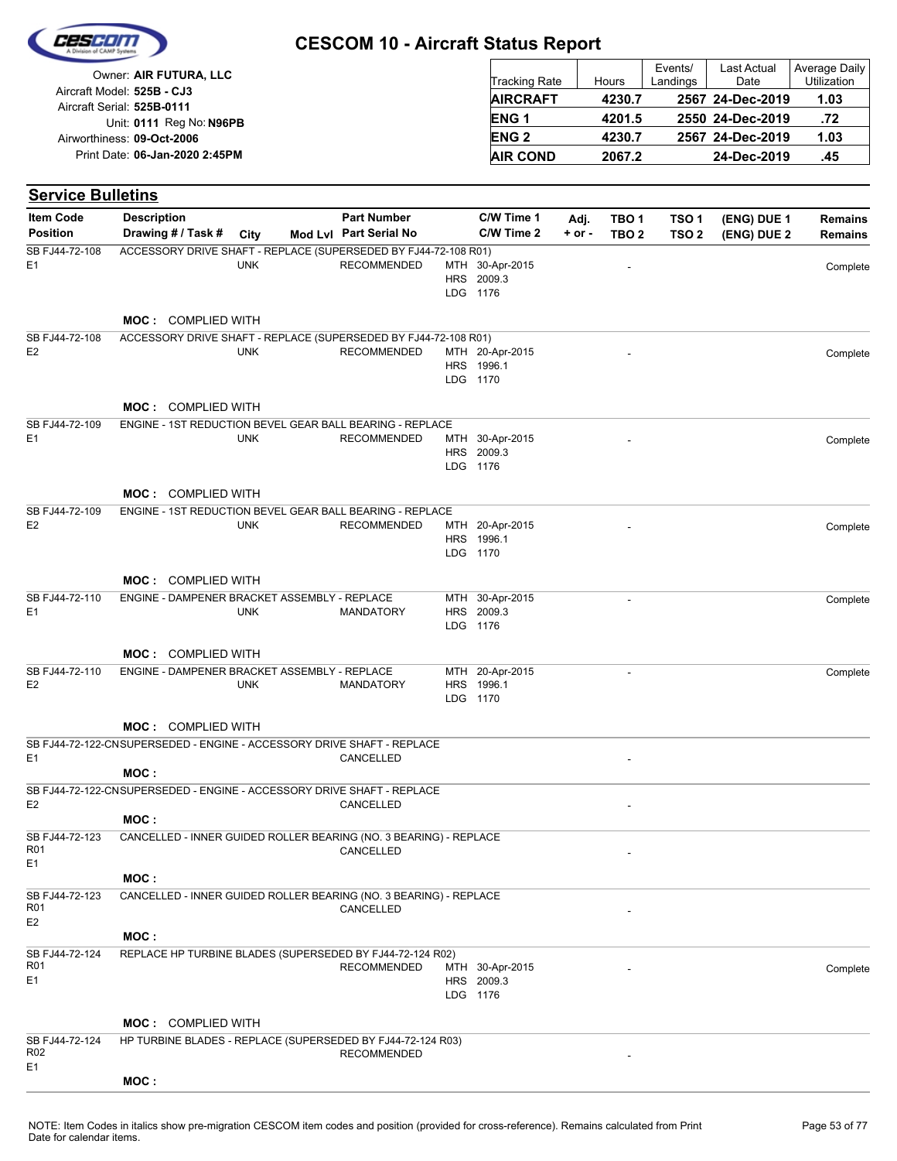| Cescon |  |
|--------|--|
|        |  |
|        |  |

| Owner: AIR FUTURA, LLC                                   | <b>Tracking Rate</b> | Hours  | Events/<br>Landings | <b>Last Actual</b><br>Date | Average Daily<br>Utilization |
|----------------------------------------------------------|----------------------|--------|---------------------|----------------------------|------------------------------|
| Aircraft Model: 525B - CJ3<br>Aircraft Serial: 525B-0111 | <b>AIRCRAFT</b>      | 4230.7 |                     | 2567 24-Dec-2019           | 1.03                         |
| Unit: 0111 Reg No: N96PB                                 | ENG <sub>1</sub>     | 4201.5 |                     | 2550 24-Dec-2019           | .72                          |
| Airworthiness: 09-Oct-2006                               | <b>ENG 2</b>         | 4230.7 |                     | 2567 24-Dec-2019           | 1.03                         |
| Print Date: 06-Jan-2020 2:45PM                           | <b>AIR COND</b>      | 2067.2 |                     | 24-Dec-2019                | .45                          |

| <b>Service Bulletins</b>                            |                                                                                |            |                        |                                           |            |                          |                  |             |                |
|-----------------------------------------------------|--------------------------------------------------------------------------------|------------|------------------------|-------------------------------------------|------------|--------------------------|------------------|-------------|----------------|
| <b>Item Code</b>                                    | <b>Description</b>                                                             |            | <b>Part Number</b>     | C/W Time 1                                | Adj.       | TBO <sub>1</sub>         | TSO <sub>1</sub> | (ENG) DUE 1 | <b>Remains</b> |
| <b>Position</b>                                     | Drawing # / Task #                                                             | City       | Mod Lvl Part Serial No | C/W Time 2                                | $+$ or $-$ | TBO <sub>2</sub>         | TSO <sub>2</sub> | (ENG) DUE 2 | <b>Remains</b> |
| SB FJ44-72-108<br>E <sub>1</sub>                    | ACCESSORY DRIVE SHAFT - REPLACE (SUPERSEDED BY FJ44-72-108 R01)                | <b>UNK</b> | <b>RECOMMENDED</b>     | MTH 30-Apr-2015<br>HRS 2009.3<br>LDG 1176 |            |                          |                  |             | Complete       |
|                                                     | <b>MOC: COMPLIED WITH</b>                                                      |            |                        |                                           |            |                          |                  |             |                |
| SB FJ44-72-108                                      | ACCESSORY DRIVE SHAFT - REPLACE (SUPERSEDED BY FJ44-72-108 R01)                |            |                        |                                           |            |                          |                  |             |                |
| E <sub>2</sub>                                      |                                                                                | <b>UNK</b> | <b>RECOMMENDED</b>     | MTH 20-Apr-2015<br>HRS 1996.1<br>LDG 1170 |            |                          |                  |             | Complete       |
|                                                     | <b>MOC: COMPLIED WITH</b>                                                      |            |                        |                                           |            |                          |                  |             |                |
| SB FJ44-72-109<br>E <sub>1</sub>                    | ENGINE - 1ST REDUCTION BEVEL GEAR BALL BEARING - REPLACE                       | <b>UNK</b> | <b>RECOMMENDED</b>     | MTH 30-Apr-2015<br>HRS 2009.3<br>LDG 1176 |            |                          |                  |             | Complete       |
|                                                     | <b>MOC:</b> COMPLIED WITH                                                      |            |                        |                                           |            |                          |                  |             |                |
| SB FJ44-72-109<br>E <sub>2</sub>                    | ENGINE - 1ST REDUCTION BEVEL GEAR BALL BEARING - REPLACE                       | <b>UNK</b> | <b>RECOMMENDED</b>     | MTH 20-Apr-2015<br>HRS 1996.1<br>LDG 1170 |            |                          |                  |             | Complete       |
|                                                     | <b>MOC: COMPLIED WITH</b>                                                      |            |                        |                                           |            |                          |                  |             |                |
| SB FJ44-72-110<br>E <sub>1</sub>                    | ENGINE - DAMPENER BRACKET ASSEMBLY - REPLACE                                   | <b>UNK</b> | <b>MANDATORY</b>       | MTH 30-Apr-2015<br>HRS 2009.3<br>LDG 1176 |            | $\overline{\phantom{a}}$ |                  |             | Complete       |
|                                                     | <b>MOC: COMPLIED WITH</b>                                                      |            |                        |                                           |            |                          |                  |             |                |
| SB FJ44-72-110<br>E <sub>2</sub>                    | ENGINE - DAMPENER BRACKET ASSEMBLY - REPLACE                                   | <b>UNK</b> | <b>MANDATORY</b>       | MTH 20-Apr-2015<br>HRS 1996.1<br>LDG 1170 |            | $\blacksquare$           |                  |             | Complete       |
|                                                     | <b>MOC: COMPLIED WITH</b>                                                      |            |                        |                                           |            |                          |                  |             |                |
| E <sub>1</sub>                                      | SB FJ44-72-122-CNSUPERSEDED - ENGINE - ACCESSORY DRIVE SHAFT - REPLACE         |            | CANCELLED              |                                           |            |                          |                  |             |                |
|                                                     | MOC:<br>SB FJ44-72-122-CNSUPERSEDED - ENGINE - ACCESSORY DRIVE SHAFT - REPLACE |            |                        |                                           |            |                          |                  |             |                |
| E <sub>2</sub>                                      | MOC:                                                                           |            | CANCELLED              |                                           |            |                          |                  |             |                |
| SB FJ44-72-123<br><b>R01</b><br>E <sub>1</sub>      | CANCELLED - INNER GUIDED ROLLER BEARING (NO. 3 BEARING) - REPLACE              |            | CANCELLED              |                                           |            |                          |                  |             |                |
|                                                     | MOC:                                                                           |            |                        |                                           |            |                          |                  |             |                |
| SB FJ44-72-123<br><b>R01</b><br>E <sub>2</sub>      | CANCELLED - INNER GUIDED ROLLER BEARING (NO. 3 BEARING) - REPLACE              |            | CANCELLED              |                                           |            |                          |                  |             |                |
|                                                     | MOC:                                                                           |            |                        |                                           |            |                          |                  |             |                |
| SB FJ44-72-124<br>R01<br>E <sub>1</sub>             | REPLACE HP TURBINE BLADES (SUPERSEDED BY FJ44-72-124 R02)                      |            | <b>RECOMMENDED</b>     | MTH 30-Apr-2015<br>HRS 2009.3<br>LDG 1176 |            |                          |                  |             | Complete       |
|                                                     | <b>MOC: COMPLIED WITH</b>                                                      |            |                        |                                           |            |                          |                  |             |                |
| SB FJ44-72-124<br>R <sub>02</sub><br>E <sub>1</sub> | HP TURBINE BLADES - REPLACE (SUPERSEDED BY FJ44-72-124 R03)                    |            | <b>RECOMMENDED</b>     |                                           |            |                          |                  |             |                |
|                                                     | MOC:                                                                           |            |                        |                                           |            |                          |                  |             |                |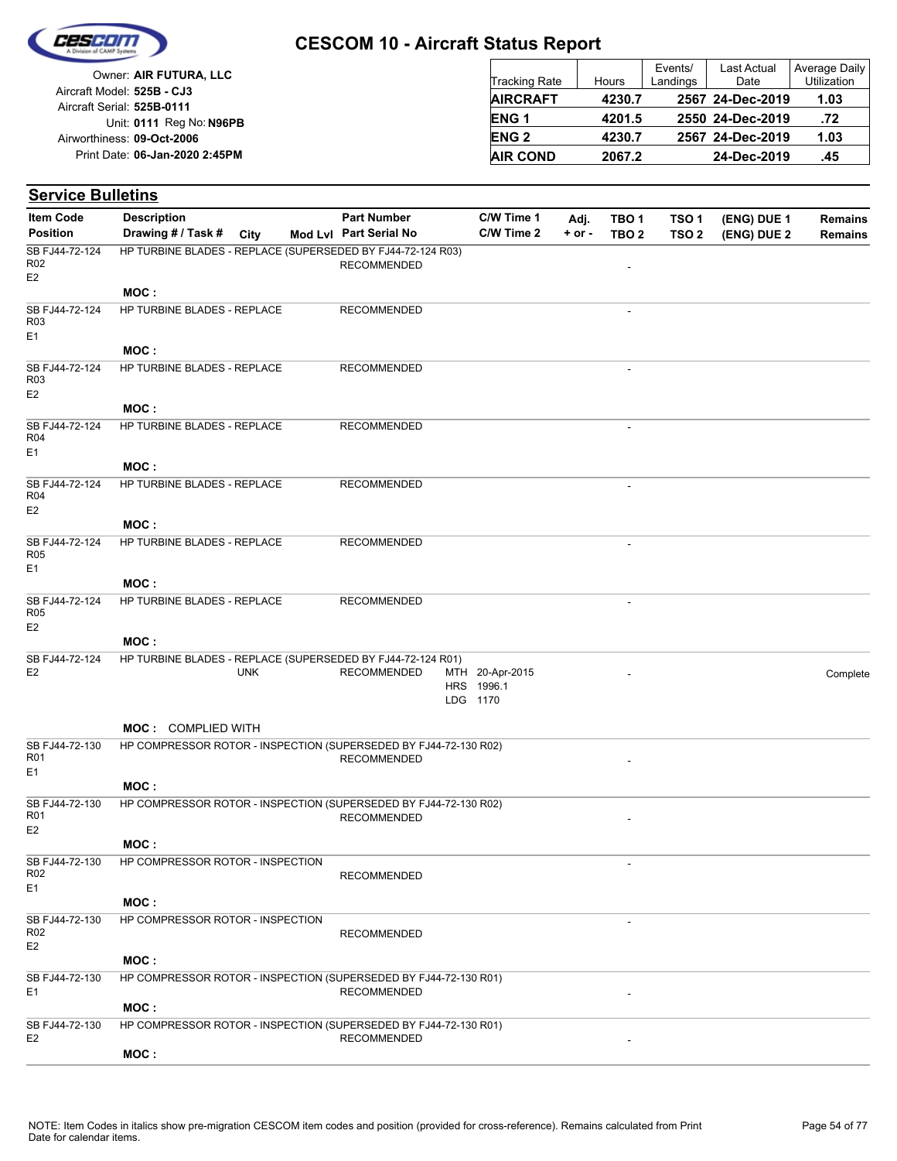

|                                |                        |        | Events/  | Last Actual      | Average Daily |
|--------------------------------|------------------------|--------|----------|------------------|---------------|
| Owner: AIR FUTURA, LLC         | <b>Tracking Rate</b>   | Hours  | Landings | Date             | Utilization   |
| Aircraft Model: 525B - CJ3     | <b>AIRCRAFT</b>        | 4230.7 |          | 2567 24-Dec-2019 | 1.03          |
| Aircraft Serial: 525B-0111     |                        |        |          |                  |               |
| Unit: 0111 Reg No: N96PB       | ENG <sub>1</sub>       | 4201.5 |          | 2550 24-Dec-2019 | .72           |
| Airworthiness: 09-Oct-2006     | <b>ENG<sub>2</sub></b> | 4230.7 |          | 2567 24-Dec-2019 | 1.03          |
| Print Date: 06-Jan-2020 2:45PM | <b>AIR COND</b>        | 2067.2 |          | 24-Dec-2019      | .45           |
|                                |                        |        |          |                  |               |

#### **(ENG) DUE 2 (ENG) DUE 1 Service Bulletins** City **Mod Lvl Part Serial No Part Number C/W Time 1 C/W Time 2 + or - Adj. TBO 1 TBO 2 TSO 2 TSO 1 Remains** Description Part Number C/W Time 1 Adj. TBO 1 TSO 1 (ENG) DUE 1 Remains **Position Drawing # / Task # Item Code RECOMMENDED** E2 SB FJ44-72-124 R02 HP TURBINE BLADES - REPLACE (SUPERSEDED BY FJ44-72-124 R03) **MOC : RECOMMENDED** E1 SB FJ44-72-124 R03 HP TURBINE BLADES - REPLACE **MOC :** RECOMMENDED FOR A SECOND AND THE SECOND ASSESSMENT OF A SECOND ASSESSMENT OF A SECOND ASSESSMENT OF A SECOND ASSESSMENT OF A SECOND ASSESSMENT OF A SECOND ASSESSMENT OF A SECOND ASSESSMENT OF A SECOND ASSESSMENT OF A SECON E2 SB FJ44-72-124 R03 HP TURBINE BLADES - REPLACE **MOC : RECOMMENDED** E1 SB FJ44-72-124 R04 HP TURBINE BLADES - REPLACE **MOC : RECOMMENDED** E2 SB FJ44-72-124 R04 HP TURBINE BLADES - REPLACE **MOC :** RECOMMENDED -E1 SB FJ44-72-124 R05 HP TURBINE BLADES - REPLACE **MOC :** RECOMMENDED FOR A SECOMMENDED E2 SB FJ44-72-124 R05 HP TURBINE BLADES - REPLACE **MOC :** LDG 1170 HRS 1996.1 MTH 20-Apr-2015 E2 UNK RECOMMENDED MTH 20-Apr-2015 Complete SB FJ44-72-124 UNK HP TURBINE BLADES - REPLACE (SUPERSEDED BY FJ44-72-124 R01) **MOC :** COMPLIED WITH **RECOMMENDED** E1 SB FJ44-72-130 R01 HP COMPRESSOR ROTOR - INSPECTION (SUPERSEDED BY FJ44-72-130 R02) **MOC : RECOMMENDED** E2 SB FJ44-72-130 R01 HP COMPRESSOR ROTOR - INSPECTION (SUPERSEDED BY FJ44-72-130 R02) **MOC :** - RECOMMENDED  $F<sub>1</sub>$ SB FJ44-72-130 R02 HP COMPRESSOR ROTOR - INSPECTION **MOC :** - RECOMMENDED E2 SB FJ44-72-130 R02 HP COMPRESSOR ROTOR - INSPECTION **MOC :** E1 RECOMMENDED SB FJ44-72-130 HP COMPRESSOR ROTOR - INSPECTION (SUPERSEDED BY FJ44-72-130 R01) **MOC :** E2 RECOMMENDED SB FJ44-72-130 HP COMPRESSOR ROTOR - INSPECTION (SUPERSEDED BY FJ44-72-130 R01) **MOC :**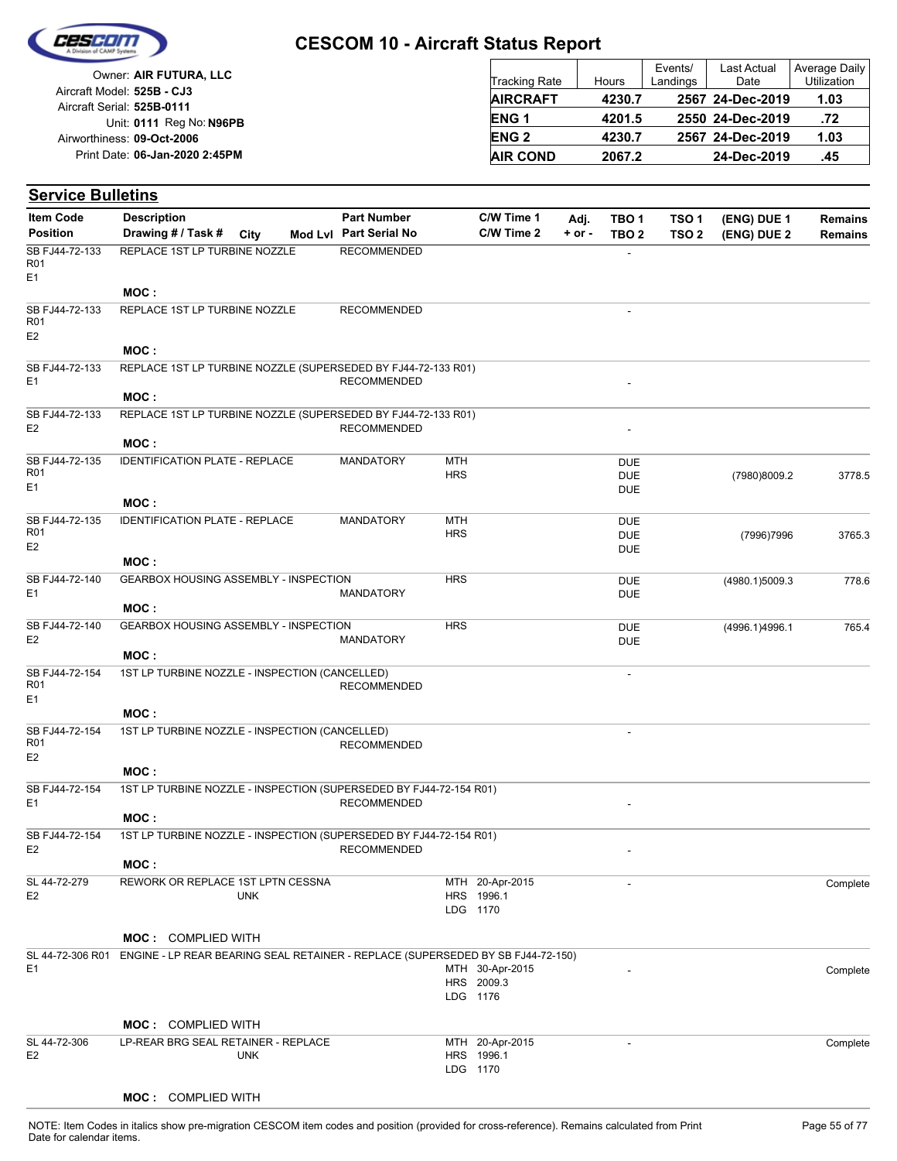

| Owner: AIR FUTURA, LLC                                   | <b>Tracking Rate</b> | Hours  | Events/<br>Landings | Last Actual<br>Date | Average Daily<br>Utilization |
|----------------------------------------------------------|----------------------|--------|---------------------|---------------------|------------------------------|
| Aircraft Model: 525B - CJ3<br>Aircraft Serial: 525B-0111 | <b>AIRCRAFT</b>      | 4230.7 |                     | 2567 24-Dec-2019    | 1.03                         |
| Unit: 0111 Reg No: N96PB                                 | <b>ENG1</b>          | 4201.5 |                     | 2550 24-Dec-2019    | .72                          |
| Airworthiness: 09-Oct-2006                               | <b>ENG 2</b>         | 4230.7 |                     | 2567 24-Dec-2019    | 1.03                         |
| Print Date: 06-Jan-2020 2:45PM                           | <b>AIR COND</b>      | 2067.2 |                     | 24-Dec-2019         | .45                          |

#### **(ENG) DUE 2 (ENG) DUE 1 Service Bulletins** City **Mod Lvl Part Serial No Part Number C/W Time 1 C/W Time 2 + or - Adj. TBO 1 TBO 2 TSO 2 TSO 1 Remains** Description Part Number C/W Time 1 Adj. TBO 1 TSO 1 (ENG) DUE 1 Remains **Position Drawing # / Task # Item Code RECOMMENDED** E1 SB FJ44-72-133 R01 REPLACE 1ST LP TURBINE NOZZLE **MOC :** RECOMMENDED FOR A SECOND AND THE RECOMMENDED E2 SB FJ44-72-133 R01 REPLACE 1ST LP TURBINE NOZZLE **MOC :** E1 RECOMMENDED SB FJ44-72-133 REPLACE 1ST LP TURBINE NOZZLE (SUPERSEDED BY FJ44-72-133 R01) **MOC :** E2 RECOMMENDED SB FJ44-72-133 REPLACE 1ST LP TURBINE NOZZLE (SUPERSEDED BY FJ44-72-133 R01) **MOC : HRS** MTH DUE DUE MANDATORY MTH DUE (7980)8009.2 3778.5 E1 SB FJ44-72-135 R01 IDENTIFICATION PLATE - REPLACE **MOC :** HRS **MTH** DUE DUE MANDATORY MTH (7996)7996 3765.3 E2 SB FJ44-72-135 R01 IDENTIFICATION PLATE - REPLACE **MOC : HRS** DUE **DUE** MANDATORY (4980.1)5009.3 778.6  $F<sub>1</sub>$ SB FJ44-72-140 GEARBOX HOUSING ASSEMBLY - INSPECTION **MOC : HRS** DUE **DUE** MANDATORY (4996.1)4996.1 765.4 E2 SB FJ44-72-140 GEARBOX HOUSING ASSEMBLY - INSPECTION **MOC :** - **RECOMMENDED**  $F<sub>1</sub>$ SB FJ44-72-154 R01 1ST LP TURBINE NOZZLE - INSPECTION (CANCELLED) **MOC :** - RECOMMENDED E2 SB FJ44-72-154 R01 1ST LP TURBINE NOZZLE - INSPECTION (CANCELLED) **MOC :** E1 RECOMMENDED SB FJ44-72-154 1ST LP TURBINE NOZZLE - INSPECTION (SUPERSEDED BY FJ44-72-154 R01) **MOC :** E2 RECOMMENDED SB FJ44-72-154 1ST LP TURBINE NOZZLE - INSPECTION (SUPERSEDED BY FJ44-72-154 R01) **MOC :** LDG 1170 HRS 1996.1 MTH 20-Apr-2015 - Complete E2 SL 44-72-279 UNK REWORK OR REPLACE 1ST LPTN CESSNA **MOC :** COMPLIED WITH LDG 1176 HRS 2009.3 MTH 30-Apr-2015 E1 30-Apr-2015 - Complete SL 44-72-306 R01 ENGINE - LP REAR BEARING SEAL RETAINER - REPLACE (SUPERSEDED BY SB FJ44-72-150) **MOC :** COMPLIED WITH

|                | <b>MUC: COMPLIED WITH</b>           |     |                 |                 |          |
|----------------|-------------------------------------|-----|-----------------|-----------------|----------|
| SL 44-72-306   | LP-REAR BRG SEAL RETAINER - REPLACE |     | MTH 20-Apr-2015 | <u>. на при</u> | Complete |
| E <sub>2</sub> | UNK                                 |     | HRS 1996.1      |                 |          |
|                |                                     | LDG | 1170            |                 |          |
|                |                                     |     |                 |                 |          |

#### **MOC :** COMPLIED WITH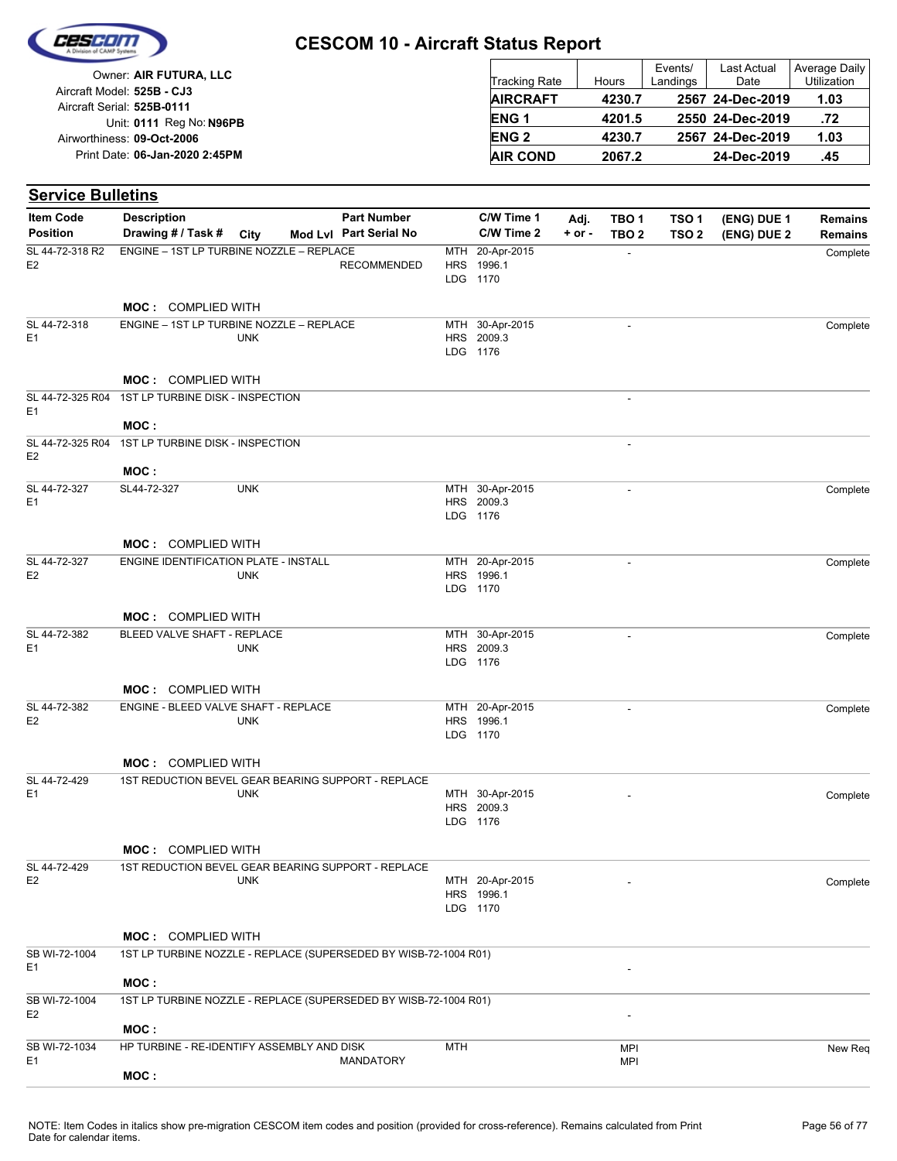

| Owner: AIR FUTURA, LLC                                   | <b>Tracking Rate</b> | Hours  | Events/<br>Landings | Last Actual<br>Date | Average Daily<br>Utilization |
|----------------------------------------------------------|----------------------|--------|---------------------|---------------------|------------------------------|
| Aircraft Model: 525B - CJ3<br>Aircraft Serial: 525B-0111 | <b>AIRCRAFT</b>      | 4230.7 |                     | 2567 24-Dec-2019    | 1.03                         |
| Unit: 0111 Reg No: N96PB                                 | <b>ENG1</b>          | 4201.5 |                     | 2550 24-Dec-2019    | .72                          |
| Airworthiness: 09-Oct-2006                               | <b>ENG 2</b>         | 4230.7 |                     | 2567 24-Dec-2019    | 1.03                         |
| Print Date: 06-Jan-2020 2:45PM                           | <b>AIR COND</b>      | 2067.2 |                     | 24-Dec-2019         | .45                          |

| <b>Service Bulletins</b>           |                                                                  |            |                        |                   |                                           |            |                          |                  |             |                |
|------------------------------------|------------------------------------------------------------------|------------|------------------------|-------------------|-------------------------------------------|------------|--------------------------|------------------|-------------|----------------|
| <b>Item Code</b>                   | <b>Description</b>                                               |            | <b>Part Number</b>     |                   | C/W Time 1                                | Adj.       | TBO <sub>1</sub>         | TSO <sub>1</sub> | (ENG) DUE 1 | <b>Remains</b> |
| <b>Position</b>                    | Drawing # / Task #                                               | City       | Mod Lvl Part Serial No |                   | C/W Time 2                                | $+$ or $-$ | TBO <sub>2</sub>         | TSO 2            | (ENG) DUE 2 | <b>Remains</b> |
| SL 44-72-318 R2<br>E <sub>2</sub>  | ENGINE - 1ST LP TURBINE NOZZLE - REPLACE                         |            | <b>RECOMMENDED</b>     | MTH<br><b>HRS</b> | 20-Apr-2015<br>1996.1<br>LDG 1170         |            | $\overline{\phantom{a}}$ |                  |             | Complete       |
|                                    | <b>MOC: COMPLIED WITH</b>                                        |            |                        |                   |                                           |            |                          |                  |             |                |
| SL 44-72-318                       | ENGINE - 1ST LP TURBINE NOZZLE - REPLACE                         |            |                        |                   | MTH 30-Apr-2015                           |            | $\overline{a}$           |                  |             | Complete       |
| E1                                 |                                                                  | <b>UNK</b> |                        |                   | HRS 2009.3<br>LDG 1176                    |            |                          |                  |             |                |
|                                    | <b>MOC: COMPLIED WITH</b>                                        |            |                        |                   |                                           |            |                          |                  |             |                |
| SL 44-72-325 R04<br>E <sub>1</sub> | 1ST LP TURBINE DISK - INSPECTION                                 |            |                        |                   |                                           |            | $\overline{a}$           |                  |             |                |
| SL 44-72-325 R04                   | MOC:<br>1ST LP TURBINE DISK - INSPECTION                         |            |                        |                   |                                           |            | $\overline{\phantom{a}}$ |                  |             |                |
| E <sub>2</sub>                     | MOC:                                                             |            |                        |                   |                                           |            |                          |                  |             |                |
| SL 44-72-327                       | SL44-72-327                                                      | <b>UNK</b> |                        |                   | MTH 30-Apr-2015                           |            | ÷,                       |                  |             | Complete       |
| E <sub>1</sub>                     |                                                                  |            |                        |                   | HRS 2009.3<br>LDG 1176                    |            |                          |                  |             |                |
|                                    | <b>MOC: COMPLIED WITH</b>                                        |            |                        |                   |                                           |            |                          |                  |             |                |
| SL 44-72-327<br>E <sub>2</sub>     | ENGINE IDENTIFICATION PLATE - INSTALL                            | <b>UNK</b> |                        |                   | MTH 20-Apr-2015<br>HRS 1996.1<br>LDG 1170 |            |                          |                  |             | Complete       |
|                                    | MOC: COMPLIED WITH                                               |            |                        |                   |                                           |            |                          |                  |             |                |
| SL 44-72-382<br>E <sub>1</sub>     | BLEED VALVE SHAFT - REPLACE                                      | <b>UNK</b> |                        |                   | MTH 30-Apr-2015<br>HRS 2009.3<br>LDG 1176 |            | $\overline{\phantom{a}}$ |                  |             | Complete       |
|                                    | <b>MOC: COMPLIED WITH</b>                                        |            |                        |                   |                                           |            |                          |                  |             |                |
| SL 44-72-382                       | ENGINE - BLEED VALVE SHAFT - REPLACE                             |            |                        |                   | MTH 20-Apr-2015                           |            | $\overline{\phantom{a}}$ |                  |             | Complete       |
| E <sub>2</sub>                     |                                                                  | <b>UNK</b> |                        |                   | HRS 1996.1<br>LDG 1170                    |            |                          |                  |             |                |
|                                    | <b>MOC: COMPLIED WITH</b>                                        |            |                        |                   |                                           |            |                          |                  |             |                |
| SL 44-72-429<br>E <sub>1</sub>     | 1ST REDUCTION BEVEL GEAR BEARING SUPPORT - REPLACE               | <b>UNK</b> |                        |                   | MTH 30-Apr-2015<br>HRS 2009.3<br>LDG 1176 |            |                          |                  |             | Complete       |
|                                    | MOC: COMPLIED WITH                                               |            |                        |                   |                                           |            |                          |                  |             |                |
| SL 44-72-429                       | 1ST REDUCTION BEVEL GEAR BEARING SUPPORT - REPLACE               |            |                        |                   |                                           |            |                          |                  |             |                |
| E <sub>2</sub>                     |                                                                  | <b>UNK</b> |                        |                   | MTH 20-Apr-2015<br>HRS 1996.1<br>LDG 1170 |            |                          |                  |             | Complete       |
|                                    | <b>MOC: COMPLIED WITH</b>                                        |            |                        |                   |                                           |            |                          |                  |             |                |
| SB WI-72-1004<br>E1                | 1ST LP TURBINE NOZZLE - REPLACE (SUPERSEDED BY WISB-72-1004 R01) |            |                        |                   |                                           |            |                          |                  |             |                |
|                                    | MOC:                                                             |            |                        |                   |                                           |            |                          |                  |             |                |
| SB WI-72-1004<br>E <sub>2</sub>    | 1ST LP TURBINE NOZZLE - REPLACE (SUPERSEDED BY WISB-72-1004 R01) |            |                        |                   |                                           |            |                          |                  |             |                |
| SB WI-72-1034                      | MOC:<br>HP TURBINE - RE-IDENTIFY ASSEMBLY AND DISK               |            |                        | <b>MTH</b>        |                                           |            | <b>MPI</b>               |                  |             | New Reg        |
| E1                                 | MOC:                                                             |            | <b>MANDATORY</b>       |                   |                                           |            | MPI                      |                  |             |                |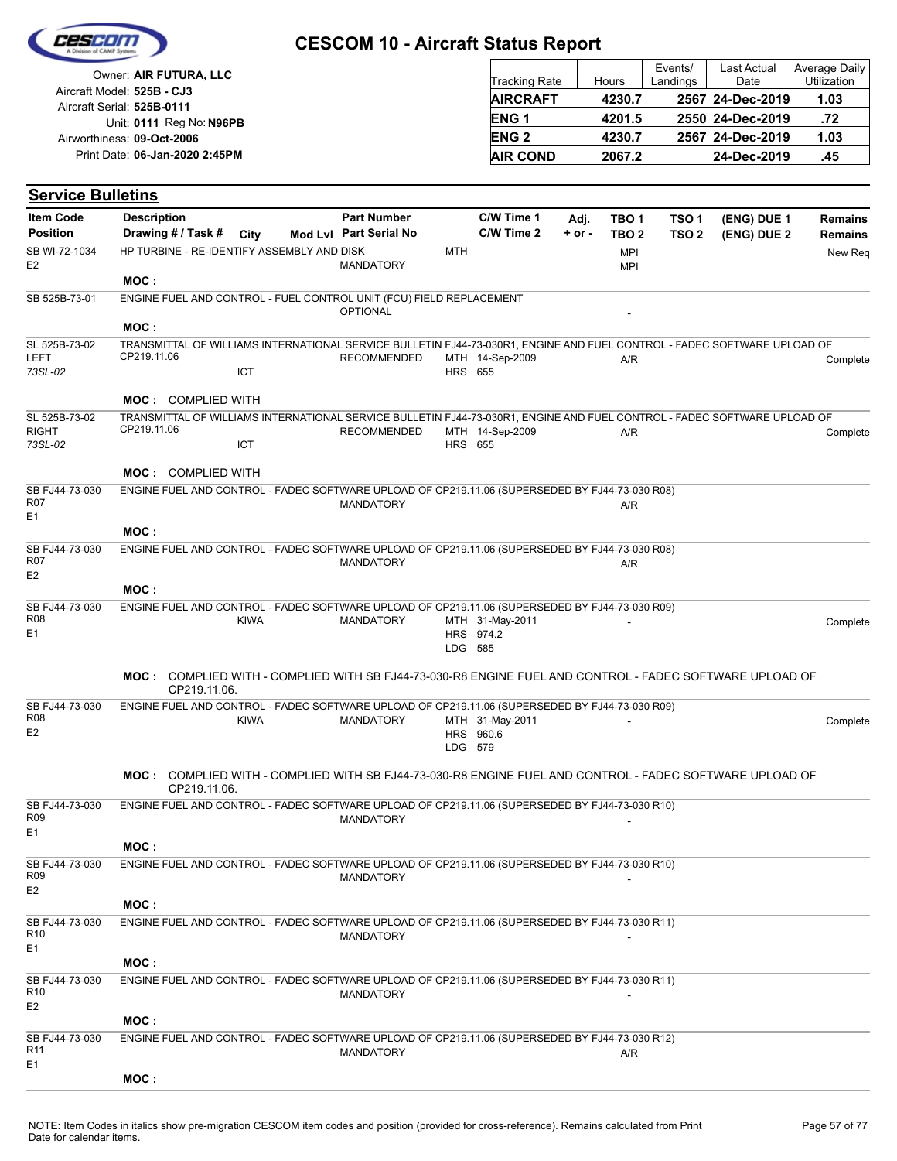

| Owner: AIR FUTURA, LLC                                   | <b>Tracking Rate</b> | Hours  | Events/<br>Landings | Last Actual<br>Date | Average Daily<br><b>Utilization</b> |
|----------------------------------------------------------|----------------------|--------|---------------------|---------------------|-------------------------------------|
| Aircraft Model: 525B - CJ3<br>Aircraft Serial: 525B-0111 | <b>AIRCRAFT</b>      | 4230.7 |                     | 2567 24-Dec-2019    | 1.03                                |
| Unit: 0111 Reg No: N96PB                                 | <b>ENG1</b>          | 4201.5 |                     | 2550 24-Dec-2019    | .72                                 |
| Airworthiness: 09-Oct-2006                               | <b>ENG 2</b>         | 4230.7 |                     | 2567 24-Dec-2019    | 1.03                                |
| Print Date: 06-Jan-2020 2:45PM                           | <b>AIR COND</b>      | 2067.2 |                     | 24-Dec-2019         | .45                                 |

| <b>Item Code</b>                               | <b>Description</b>                                                                                                                      |             | <b>Part Number</b>     |                | C/W Time 1      | Adj.       | TBO 1                    | TSO <sub>1</sub> | (ENG) DUE 1 | <b>Remains</b> |
|------------------------------------------------|-----------------------------------------------------------------------------------------------------------------------------------------|-------------|------------------------|----------------|-----------------|------------|--------------------------|------------------|-------------|----------------|
| <b>Position</b>                                | Drawing # / Task #                                                                                                                      | City        | Mod Lvl Part Serial No |                | C/W Time 2      | $+$ or $-$ | TBO <sub>2</sub>         | TSO <sub>2</sub> | (ENG) DUE 2 | <b>Remains</b> |
| SB WI-72-1034<br>E <sub>2</sub>                | HP TURBINE - RE-IDENTIFY ASSEMBLY AND DISK                                                                                              |             | <b>MANDATORY</b>       | <b>MTH</b>     |                 |            | <b>MPI</b><br><b>MPI</b> |                  |             | New Req        |
|                                                | MOC:                                                                                                                                    |             |                        |                |                 |            |                          |                  |             |                |
| SB 525B-73-01                                  | ENGINE FUEL AND CONTROL - FUEL CONTROL UNIT (FCU) FIELD REPLACEMENT                                                                     |             | <b>OPTIONAL</b>        |                |                 |            |                          |                  |             |                |
|                                                | MOC:                                                                                                                                    |             |                        |                |                 |            |                          |                  |             |                |
| SL 525B-73-02<br><b>LEFT</b>                   | TRANSMITTAL OF WILLIAMS INTERNATIONAL SERVICE BULLETIN FJ44-73-030R1, ENGINE AND FUEL CONTROL - FADEC SOFTWARE UPLOAD OF<br>CP219.11.06 |             | <b>RECOMMENDED</b>     |                | MTH 14-Sep-2009 |            | A/R                      |                  |             | Complete       |
| 73SL-02                                        |                                                                                                                                         | <b>ICT</b>  |                        |                | <b>HRS</b> 655  |            |                          |                  |             |                |
|                                                | <b>MOC: COMPLIED WITH</b>                                                                                                               |             |                        |                |                 |            |                          |                  |             |                |
| SL 525B-73-02<br><b>RIGHT</b>                  | TRANSMITTAL OF WILLIAMS INTERNATIONAL SERVICE BULLETIN FJ44-73-030R1, ENGINE AND FUEL CONTROL - FADEC SOFTWARE UPLOAD OF<br>CP219.11.06 |             | <b>RECOMMENDED</b>     |                | MTH 14-Sep-2009 |            | A/R                      |                  |             | Complete       |
| 73SL-02                                        |                                                                                                                                         | ICT         |                        | <b>HRS</b> 655 |                 |            |                          |                  |             |                |
|                                                | <b>MOC: COMPLIED WITH</b>                                                                                                               |             |                        |                |                 |            |                          |                  |             |                |
| SB FJ44-73-030<br><b>R07</b><br>E <sub>1</sub> | ENGINE FUEL AND CONTROL - FADEC SOFTWARE UPLOAD OF CP219.11.06 (SUPERSEDED BY FJ44-73-030 R08)                                          |             | <b>MANDATORY</b>       |                |                 |            | A/R                      |                  |             |                |
|                                                | MOC:                                                                                                                                    |             |                        |                |                 |            |                          |                  |             |                |
| SB FJ44-73-030                                 | ENGINE FUEL AND CONTROL - FADEC SOFTWARE UPLOAD OF CP219.11.06 (SUPERSEDED BY FJ44-73-030 R08)                                          |             |                        |                |                 |            |                          |                  |             |                |
| <b>R07</b>                                     |                                                                                                                                         |             | <b>MANDATORY</b>       |                |                 |            | A/R                      |                  |             |                |
| E <sub>2</sub>                                 |                                                                                                                                         |             |                        |                |                 |            |                          |                  |             |                |
|                                                | MOC:                                                                                                                                    |             |                        |                |                 |            |                          |                  |             |                |
| SB FJ44-73-030<br>R <sub>08</sub>              | ENGINE FUEL AND CONTROL - FADEC SOFTWARE UPLOAD OF CP219.11.06 (SUPERSEDED BY FJ44-73-030 R09)                                          | <b>KIWA</b> | <b>MANDATORY</b>       |                | MTH 31-May-2011 |            |                          |                  |             | Complete       |
| E1                                             |                                                                                                                                         |             |                        | LDG 585        | HRS 974.2       |            |                          |                  |             |                |
|                                                | MOC: COMPLIED WITH - COMPLIED WITH SB FJ44-73-030-R8 ENGINE FUEL AND CONTROL - FADEC SOFTWARE UPLOAD OF<br>CP219.11.06.                 |             |                        |                |                 |            |                          |                  |             |                |
| SB FJ44-73-030<br><b>R08</b>                   | ENGINE FUEL AND CONTROL - FADEC SOFTWARE UPLOAD OF CP219.11.06 (SUPERSEDED BY FJ44-73-030 R09)                                          | <b>KIWA</b> | <b>MANDATORY</b>       |                | MTH 31-May-2011 |            |                          |                  |             | Complete       |
| E <sub>2</sub>                                 |                                                                                                                                         |             |                        | LDG 579        | HRS 960.6       |            |                          |                  |             |                |
|                                                | MOC: COMPLIED WITH - COMPLIED WITH SB FJ44-73-030-R8 ENGINE FUEL AND CONTROL - FADEC SOFTWARE UPLOAD OF<br>CP219.11.06.                 |             |                        |                |                 |            |                          |                  |             |                |
| SB FJ44-73-030<br><b>R09</b>                   | ENGINE FUEL AND CONTROL - FADEC SOFTWARE UPLOAD OF CP219.11.06 (SUPERSEDED BY FJ44-73-030 R10)                                          |             | <b>MANDATORY</b>       |                |                 |            |                          |                  |             |                |
| E <sub>1</sub>                                 | MOC:                                                                                                                                    |             |                        |                |                 |            |                          |                  |             |                |
| SB FJ44-73-030<br>R <sub>09</sub>              | ENGINE FUEL AND CONTROL - FADEC SOFTWARE UPLOAD OF CP219.11.06 (SUPERSEDED BY FJ44-73-030 R10)                                          |             | <b>MANDATORY</b>       |                |                 |            |                          |                  |             |                |
| E <sub>2</sub>                                 | MOC:                                                                                                                                    |             |                        |                |                 |            |                          |                  |             |                |
| SB FJ44-73-030<br>R <sub>10</sub><br>E1        | ENGINE FUEL AND CONTROL - FADEC SOFTWARE UPLOAD OF CP219.11.06 (SUPERSEDED BY FJ44-73-030 R11)                                          |             | <b>MANDATORY</b>       |                |                 |            |                          |                  |             |                |
|                                                | MOC:                                                                                                                                    |             |                        |                |                 |            |                          |                  |             |                |
| SB FJ44-73-030<br>R <sub>10</sub>              | ENGINE FUEL AND CONTROL - FADEC SOFTWARE UPLOAD OF CP219.11.06 (SUPERSEDED BY FJ44-73-030 R11)                                          |             | <b>MANDATORY</b>       |                |                 |            |                          |                  |             |                |
| E <sub>2</sub>                                 |                                                                                                                                         |             |                        |                |                 |            |                          |                  |             |                |
|                                                | MOC:                                                                                                                                    |             |                        |                |                 |            |                          |                  |             |                |
| SB FJ44-73-030<br>R <sub>11</sub><br>E1        | ENGINE FUEL AND CONTROL - FADEC SOFTWARE UPLOAD OF CP219.11.06 (SUPERSEDED BY FJ44-73-030 R12)                                          |             | <b>MANDATORY</b>       |                |                 |            | A/R                      |                  |             |                |
|                                                | MOC:                                                                                                                                    |             |                        |                |                 |            |                          |                  |             |                |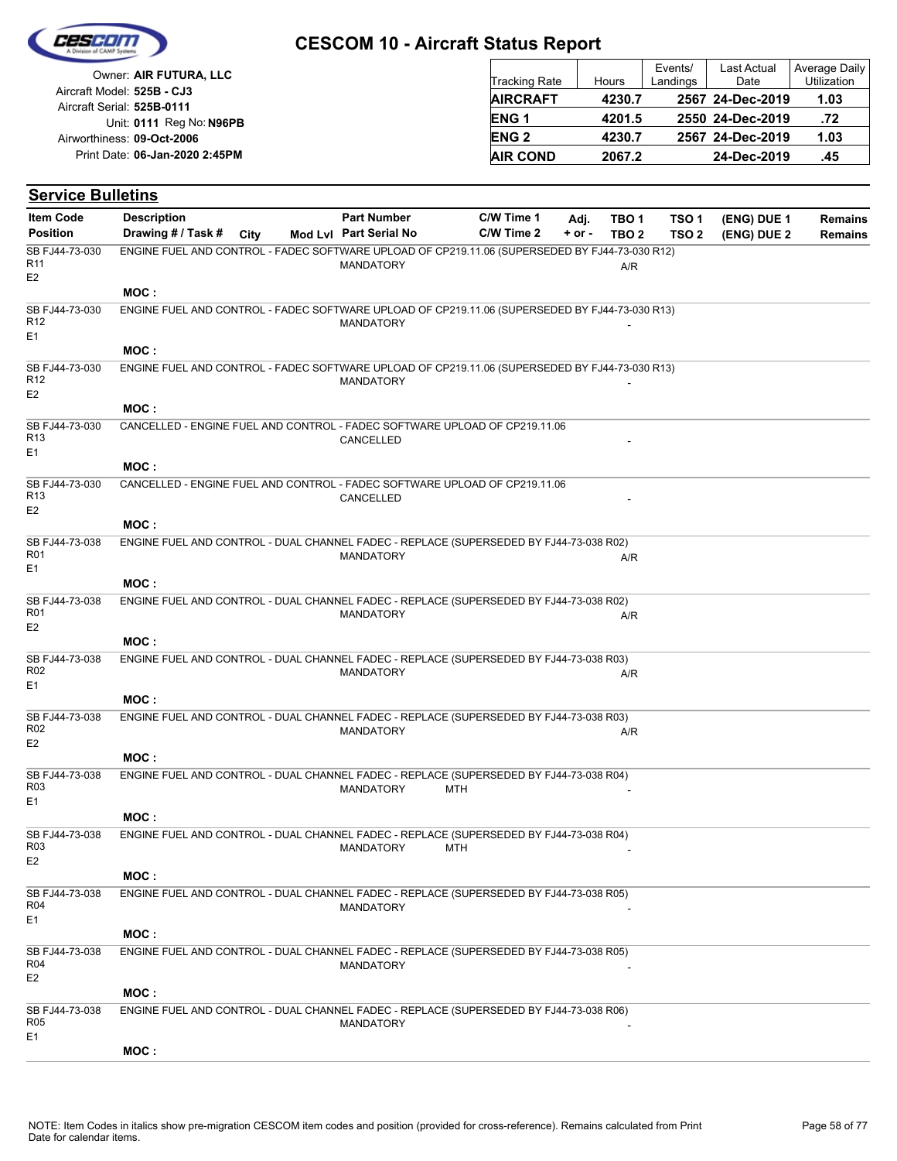

| Owner: AIR FUTURA, LLC                                   | Tracking Rate   | Hours  | Events/<br>Landings | Last Actual<br>Date | Average Daily<br><b>Utilization</b> |
|----------------------------------------------------------|-----------------|--------|---------------------|---------------------|-------------------------------------|
| Aircraft Model: 525B - CJ3<br>Aircraft Serial: 525B-0111 | <b>AIRCRAFT</b> | 4230.7 |                     | 2567 24-Dec-2019    | 1.03                                |
| Unit: 0111 Reg No: N96PB                                 | <b>ENG1</b>     | 4201.5 |                     | 2550 24-Dec-2019    | .72                                 |
| Airworthiness: 09-Oct-2006                               | <b>ENG 2</b>    | 4230.7 |                     | 2567 24-Dec-2019    | 1.03                                |
| Print Date: 06-Jan-2020 2:45PM                           | <b>AIR COND</b> | 2067.2 |                     | 24-Dec-2019         | .45                                 |

#### **(ENG) DUE 2 (ENG) DUE 1 Service Bulletins** City **Mod Lvl Part Serial No Part Number C/W Time 1 C/W Time 2 + or - Adj. TBO 1 TBO 2 TSO 2 TSO 1 Remains** Description Part Number C/W Time 1 Adj. TBO 1 TSO 1 (ENG) DUE 1 Remains **Position Drawing # / Task # Item Code** MANDATORY **A/R** E2 SB FJ44-73-030 R11 ENGINE FUEL AND CONTROL - FADEC SOFTWARE UPLOAD OF CP219.11.06 (SUPERSEDED BY FJ44-73-030 R12) **MOC : MANDATORY** E1 SB FJ44-73-030 R12 ENGINE FUEL AND CONTROL - FADEC SOFTWARE UPLOAD OF CP219.11.06 (SUPERSEDED BY FJ44-73-030 R13) **MOC : MANDATORY** E2 SB FJ44-73-030 R12 ENGINE FUEL AND CONTROL - FADEC SOFTWARE UPLOAD OF CP219.11.06 (SUPERSEDED BY FJ44-73-030 R13) **MOC :** CANCELLED E1 SB FJ44-73-030 R13 CANCELLED - ENGINE FUEL AND CONTROL - FADEC SOFTWARE UPLOAD OF CP219.11.06 **MOC :** CANCELLED E2 SB FJ44-73-030 R13 CANCELLED - ENGINE FUEL AND CONTROL - FADEC SOFTWARE UPLOAD OF CP219.11.06 **MOC :** MANDATORY A/R  $F<sub>1</sub>$ SB FJ44-73-038 R01 ENGINE FUEL AND CONTROL - DUAL CHANNEL FADEC - REPLACE (SUPERSEDED BY FJ44-73-038 R02) **MOC :** MANDATORY A/R E2 SB FJ44-73-038 R01 ENGINE FUEL AND CONTROL - DUAL CHANNEL FADEC - REPLACE (SUPERSEDED BY FJ44-73-038 R02) **MOC :** MANDATORY A/R E1 SB FJ44-73-038 R02 ENGINE FUEL AND CONTROL - DUAL CHANNEL FADEC - REPLACE (SUPERSEDED BY FJ44-73-038 R03) **MOC :** MANDATORY A/R E2 SB FJ44-73-038 R02 ENGINE FUEL AND CONTROL - DUAL CHANNEL FADEC - REPLACE (SUPERSEDED BY FJ44-73-038 R03) **MOC :** MANDATORY MTH E1 SB FJ44-73-038 R03 ENGINE FUEL AND CONTROL - DUAL CHANNEL FADEC - REPLACE (SUPERSEDED BY FJ44-73-038 R04) **MOC :** MANDATORY MTH E2 SB FJ44-73-038 R03 ENGINE FUEL AND CONTROL - DUAL CHANNEL FADEC - REPLACE (SUPERSEDED BY FJ44-73-038 R04) **MOC : MANDATORY**  $F<sub>1</sub>$ SB FJ44-73-038 R04 ENGINE FUEL AND CONTROL - DUAL CHANNEL FADEC - REPLACE (SUPERSEDED BY FJ44-73-038 R05) **MOC : MANDATORY** E2 SB FJ44-73-038 R04 ENGINE FUEL AND CONTROL - DUAL CHANNEL FADEC - REPLACE (SUPERSEDED BY FJ44-73-038 R05) **MOC : MANDATORY** E1 SB FJ44-73-038 R05 ENGINE FUEL AND CONTROL - DUAL CHANNEL FADEC - REPLACE (SUPERSEDED BY FJ44-73-038 R06) **MOC :**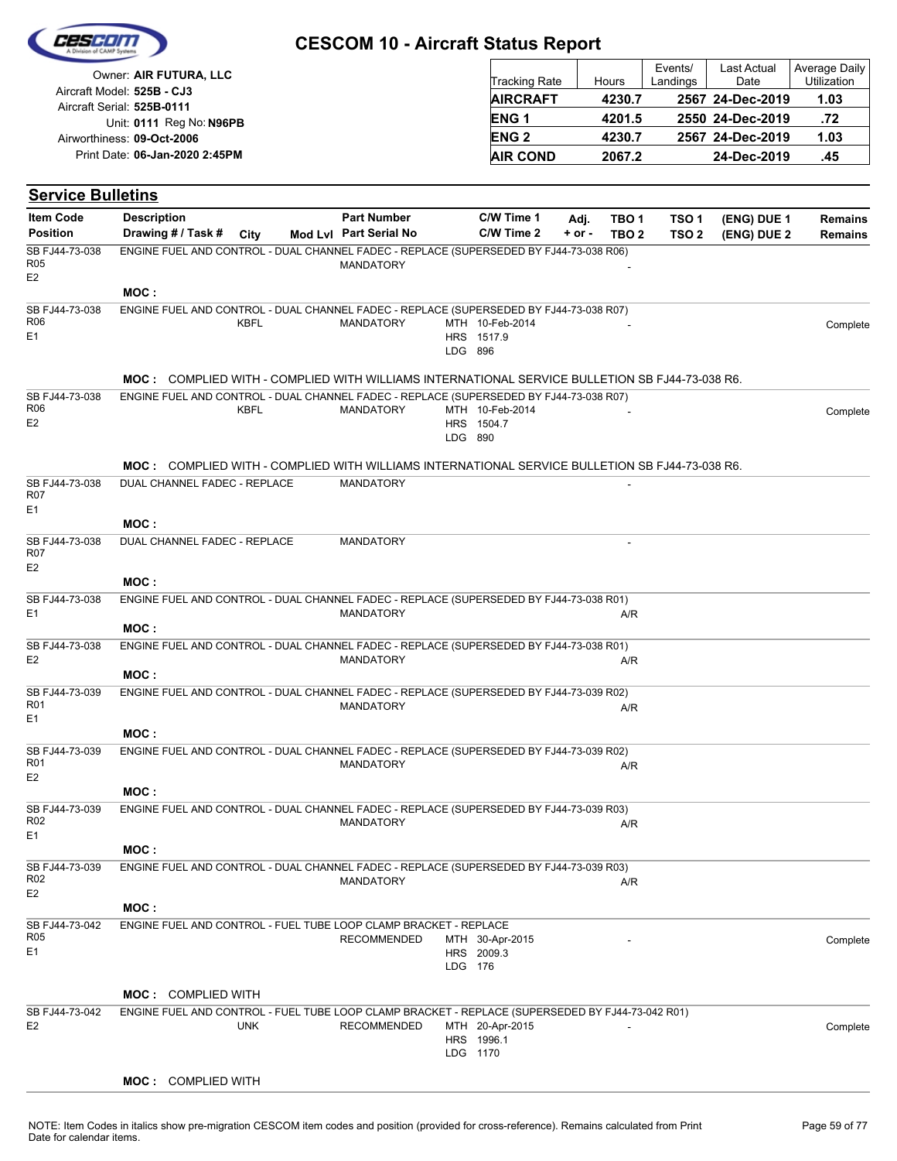|                                                | Owner: AIR FUTURA, LLC                                                                                |                                              |         | <b>Tracking Rate</b>          |                    | Hours                                | Events/<br>Landings                  | Last Actual<br>Date        | <b>Average Daily</b><br>Utilization |
|------------------------------------------------|-------------------------------------------------------------------------------------------------------|----------------------------------------------|---------|-------------------------------|--------------------|--------------------------------------|--------------------------------------|----------------------------|-------------------------------------|
|                                                | Aircraft Model: 525B - CJ3                                                                            |                                              |         | <b>AIRCRAFT</b>               |                    | 4230.7                               |                                      | 2567 24-Dec-2019           | 1.03                                |
|                                                | Aircraft Serial: 525B-0111<br>Unit: 0111 Reg No: N96PB                                                |                                              |         | ENG <sub>1</sub>              |                    | 4201.5                               |                                      | 2550 24-Dec-2019           | .72                                 |
|                                                | Airworthiness: 09-Oct-2006                                                                            |                                              |         | <b>ENG2</b>                   |                    | 4230.7                               |                                      | 2567 24-Dec-2019           | 1.03                                |
|                                                | Print Date: 06-Jan-2020 2:45PM                                                                        |                                              |         | <b>AIR COND</b>               |                    | 2067.2                               |                                      | 24-Dec-2019                | .45                                 |
|                                                |                                                                                                       |                                              |         |                               |                    |                                      |                                      |                            |                                     |
| <b>Service Bulletins</b>                       |                                                                                                       |                                              |         |                               |                    |                                      |                                      |                            |                                     |
| <b>Item Code</b><br><b>Position</b>            | <b>Description</b><br>Drawing # / Task #<br>City                                                      | <b>Part Number</b><br>Mod Lvl Part Serial No |         | C/W Time 1<br>C/W Time 2      | Adj.<br>$+$ or $-$ | TBO <sub>1</sub><br>TBO <sub>2</sub> | TSO <sub>1</sub><br>TSO <sub>2</sub> | (ENG) DUE 1<br>(ENG) DUE 2 | <b>Remains</b><br>Remains           |
| SB FJ44-73-038<br><b>R05</b><br>E <sub>2</sub> | ENGINE FUEL AND CONTROL - DUAL CHANNEL FADEC - REPLACE (SUPERSEDED BY FJ44-73-038 R06)<br>MOC :       | <b>MANDATORY</b>                             |         |                               |                    |                                      |                                      |                            |                                     |
| SB FJ44-73-038<br>R <sub>06</sub><br>E1        | ENGINE FUEL AND CONTROL - DUAL CHANNEL FADEC - REPLACE (SUPERSEDED BY FJ44-73-038 R07)<br>KBFL        | <b>MANDATORY</b>                             | LDG 896 | MTH 10-Feb-2014<br>HRS 1517.9 |                    |                                      |                                      |                            | Complete                            |
|                                                | MOC: COMPLIED WITH - COMPLIED WITH WILLIAMS INTERNATIONAL SERVICE BULLETION SB FJ44-73-038 R6.        |                                              |         |                               |                    |                                      |                                      |                            |                                     |
| SB FJ44-73-038<br>R06<br>E <sub>2</sub>        | ENGINE FUEL AND CONTROL - DUAL CHANNEL FADEC - REPLACE (SUPERSEDED BY FJ44-73-038 R07)<br><b>KBFL</b> | <b>MANDATORY</b>                             | LDG 890 | MTH 10-Feb-2014<br>HRS 1504.7 |                    |                                      |                                      |                            | Complete                            |
|                                                | MOC: COMPLIED WITH - COMPLIED WITH WILLIAMS INTERNATIONAL SERVICE BULLETION SB FJ44-73-038 R6.        |                                              |         |                               |                    |                                      |                                      |                            |                                     |
| SB FJ44-73-038<br><b>R07</b>                   | DUAL CHANNEL FADEC - REPLACE                                                                          | <b>MANDATORY</b>                             |         |                               |                    |                                      |                                      |                            |                                     |
| E <sub>1</sub>                                 | MOC:                                                                                                  |                                              |         |                               |                    |                                      |                                      |                            |                                     |
| SB FJ44-73-038<br><b>R07</b><br>E <sub>2</sub> | DUAL CHANNEL FADEC - REPLACE                                                                          | <b>MANDATORY</b>                             |         |                               |                    |                                      |                                      |                            |                                     |
|                                                | MOC :                                                                                                 |                                              |         |                               |                    |                                      |                                      |                            |                                     |
| SB FJ44-73-038<br>E1                           | ENGINE FUEL AND CONTROL - DUAL CHANNEL FADEC - REPLACE (SUPERSEDED BY FJ44-73-038 R01)<br>MOC:        | <b>MANDATORY</b>                             |         |                               |                    | A/R                                  |                                      |                            |                                     |
| SB FJ44-73-038                                 | ENGINE FUEL AND CONTROL - DUAL CHANNEL FADEC - REPLACE (SUPERSEDED BY FJ44-73-038 R01)                |                                              |         |                               |                    |                                      |                                      |                            |                                     |
| E <sub>2</sub>                                 | MOC:                                                                                                  | <b>MANDATORY</b>                             |         |                               |                    | A/R                                  |                                      |                            |                                     |
| SB FJ44-73-039<br>R <sub>01</sub>              | ENGINE FUEL AND CONTROL - DUAL CHANNEL FADEC - REPLACE (SUPERSEDED BY FJ44-73-039 R02)                |                                              |         |                               |                    |                                      |                                      |                            |                                     |
| E1                                             | MOC:                                                                                                  | <b>MANDATORY</b>                             |         |                               |                    | A/R                                  |                                      |                            |                                     |
| SB FJ44-73-039<br><b>R01</b>                   | ENGINE FUEL AND CONTROL - DUAL CHANNEL FADEC - REPLACE (SUPERSEDED BY FJ44-73-039 R02)                | <b>MANDATORY</b>                             |         |                               |                    | A/R                                  |                                      |                            |                                     |
| E <sub>2</sub>                                 | MOC:                                                                                                  |                                              |         |                               |                    |                                      |                                      |                            |                                     |
| SB FJ44-73-039<br>R <sub>02</sub><br>E1        | ENGINE FUEL AND CONTROL - DUAL CHANNEL FADEC - REPLACE (SUPERSEDED BY FJ44-73-039 R03)                | <b>MANDATORY</b>                             |         |                               |                    | A/R                                  |                                      |                            |                                     |
|                                                | MOC:                                                                                                  |                                              |         |                               |                    |                                      |                                      |                            |                                     |
| SB FJ44-73-039<br>R <sub>02</sub>              | ENGINE FUEL AND CONTROL - DUAL CHANNEL FADEC - REPLACE (SUPERSEDED BY FJ44-73-039 R03)                | <b>MANDATORY</b>                             |         |                               |                    | A/R                                  |                                      |                            |                                     |
| E <sub>2</sub>                                 | MOC:                                                                                                  |                                              |         |                               |                    |                                      |                                      |                            |                                     |
| SB FJ44-73-042<br>R <sub>05</sub><br>E1        | ENGINE FUEL AND CONTROL - FUEL TUBE LOOP CLAMP BRACKET - REPLACE                                      | <b>RECOMMENDED</b>                           | LDG 176 | MTH 30-Apr-2015<br>HRS 2009.3 |                    |                                      |                                      |                            | Complete                            |
|                                                |                                                                                                       |                                              |         |                               |                    |                                      |                                      |                            |                                     |
|                                                | <b>MOC: COMPLIED WITH</b>                                                                             |                                              |         |                               |                    |                                      |                                      |                            |                                     |
| SR F.I44-73-042                                | ENGINE FUEL AND CONTROL - FUEL TURE LOOP CLAMP BRACKET - REPLACE (SUPERSEDED BY F.144-73-042 R01)     |                                              |         |                               |                    |                                      |                                      |                            |                                     |

#### LDG 1170 HRS 1996.1 E2 UNK RECOMMENDED MTH 20-Apr-2015 Complete SB FJ44-73-042<br>E2 ENGINE FUEL AND CONTROL - FUEL TUBE LOOP CLAMP BRACKET - REPLACE (SUPERSEDED BY FJ44-73-042 R01)

#### **MOC :** COMPLIED WITH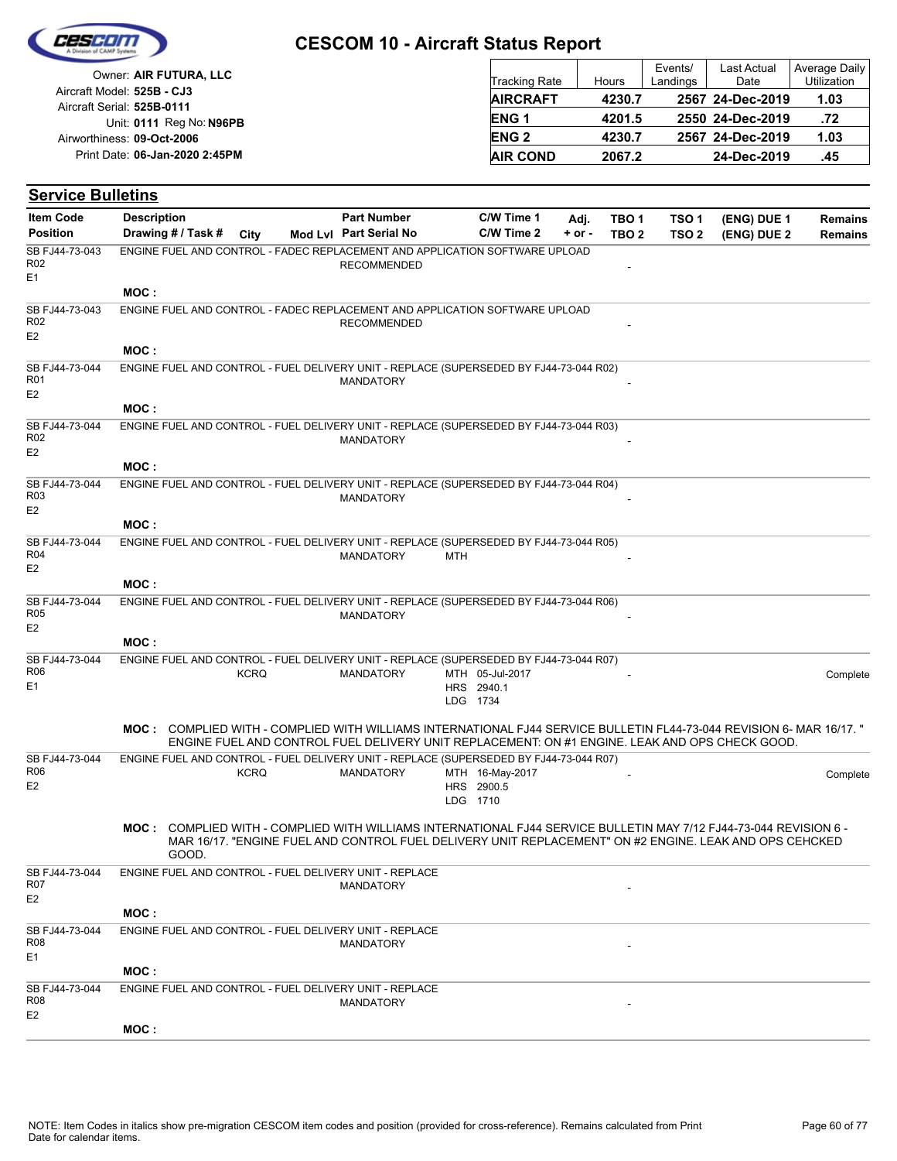

| Owner: AIR FUTURA, LLC                                   | Tracking Rate   | Hours  | Events/<br>Landings | <b>Last Actual</b><br>Date | Average Daily<br><b>Utilization</b> |
|----------------------------------------------------------|-----------------|--------|---------------------|----------------------------|-------------------------------------|
| Aircraft Model: 525B - CJ3<br>Aircraft Serial: 525B-0111 | <b>AIRCRAFT</b> | 4230.7 |                     | 2567 24-Dec-2019           | 1.03                                |
| Unit: 0111 Reg No: N96PB                                 | <b>ENG1</b>     | 4201.5 |                     | 2550 24-Dec-2019           | .72                                 |
| Airworthiness: 09-Oct-2006                               | <b>ENG 2</b>    | 4230.7 |                     | 2567 24-Dec-2019           | 1.03                                |
| Print Date: 06-Jan-2020 2:45PM                           | <b>AIR COND</b> | 2067.2 |                     | 24-Dec-2019                | .45                                 |

#### **(ENG) DUE 2 (ENG) DUE 1 Service Bulletins** City **Mod Lvl Part Serial No Part Number C/W Time 1 C/W Time 2 + or - Adj. TBO 1 TBO 2 TSO 2 TSO 1** Description Part Number C/W Time 1 Adj. TBO 1 TSO 1 (ENG) DUE 1 Remains **Position Drawing # / Task # Item Code RECOMMENDED** E1 SB FJ44-73-043 R02 ENGINE FUEL AND CONTROL - FADEC REPLACEMENT AND APPLICATION SOFTWARE UPLOAD **MOC :** RECOMMENDED E2 SB FJ44-73-043 R02 ENGINE FUEL AND CONTROL - FADEC REPLACEMENT AND APPLICATION SOFTWARE UPLOAD **MOC : MANDATORY** E2 SB FJ44-73-044 R01 ENGINE FUEL AND CONTROL - FUEL DELIVERY UNIT - REPLACE (SUPERSEDED BY FJ44-73-044 R02) **MOC : MANDATORY** E2 SB FJ44-73-044 R02 ENGINE FUEL AND CONTROL - FUEL DELIVERY UNIT - REPLACE (SUPERSEDED BY FJ44-73-044 R03) **MOC : MANDATORY** E2 SB FJ44-73-044 R03 ENGINE FUEL AND CONTROL - FUEL DELIVERY UNIT - REPLACE (SUPERSEDED BY FJ44-73-044 R04) **MOC :** MANDATORY MTH E2 SB FJ44-73-044 R04 ENGINE FUEL AND CONTROL - FUEL DELIVERY UNIT - REPLACE (SUPERSEDED BY FJ44-73-044 R05) **MOC : MANDATORY** E2 SB FJ44-73-044 R05 ENGINE FUEL AND CONTROL - FUEL DELIVERY UNIT - REPLACE (SUPERSEDED BY FJ44-73-044 R06) **MOC :** LDG 1734 HRS 2940.1 MTH MANDATORY 05-Jul-2017 - Complete E1 SB FJ44-73-044 R06 KCRQ ENGINE FUEL AND CONTROL - FUEL DELIVERY UNIT - REPLACE (SUPERSEDED BY FJ44-73-044 R07) COMPLIED WITH - COMPLIED WITH WILLIAMS INTERNATIONAL FJ44 SERVICE BULLETIN FL44-73-044 REVISION 6- MAR 16/17. " **MOC :** ENGINE FUEL AND CONTROL FUEL DELIVERY UNIT REPLACEMENT: ON #1 ENGINE. LEAK AND OPS CHECK GOOD. LDG 1710 HRS 2900.5 MTH MANDATORY 16-May-2017 - Complete E2 SB FJ44-73-044 **KCRQ** ENGINE FUEL AND CONTROL - FUEL DELIVERY UNIT - REPLACE (SUPERSEDED BY FJ44-73-044 R07) COMPLIED WITH - COMPLIED WITH WILLIAMS INTERNATIONAL FJ44 SERVICE BULLETIN MAY 7/12 FJ44-73-044 REVISION 6 - **MOC :** MAR 16/17. "ENGINE FUEL AND CONTROL FUEL DELIVERY UNIT REPLACEMENT" ON #2 ENGINE. LEAK AND OPS CEHCKED GOOD. **MANDATORY** E2 SB FJ44-73-044 R07 ENGINE FUEL AND CONTROL - FUEL DELIVERY UNIT - REPLACE **MOC : MANDATORY** SB FJ44-73-044 R08 ENGINE FUEL AND CONTROL - FUEL DELIVERY UNIT - REPLACE

| E <sub>1</sub>                          |                                                                     |
|-----------------------------------------|---------------------------------------------------------------------|
|                                         | MOC :                                                               |
| SB FJ44-73-044<br>R08<br>E <sub>2</sub> | ENGINE FUEL AND CONTROL - FUEL DELIVERY UNIT - REPLACE<br>MANDATORY |
|                                         | MOC :                                                               |

**Remains**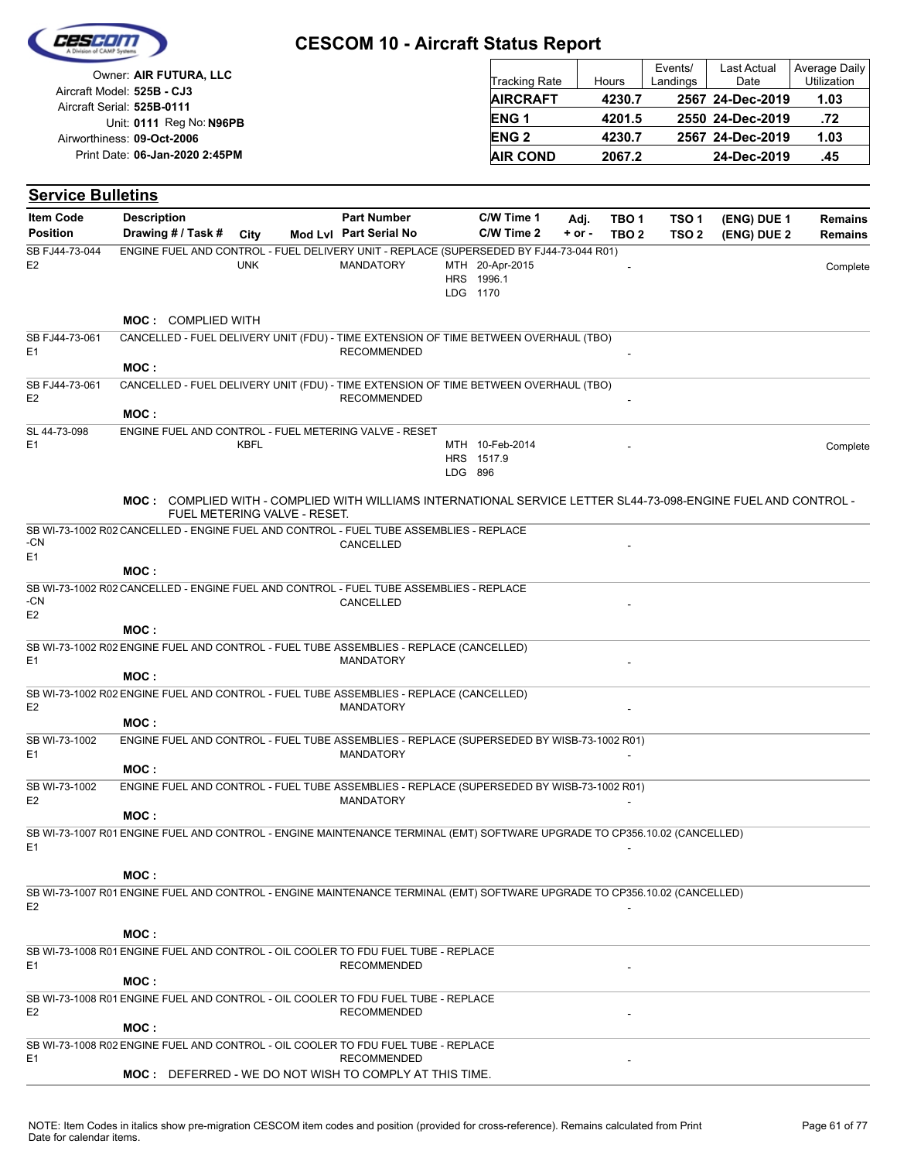|                                                          | <b>CESCOM 10 - Aircraft Status Report</b> |                        |        |                     |                     |                                     |
|----------------------------------------------------------|-------------------------------------------|------------------------|--------|---------------------|---------------------|-------------------------------------|
| Owner: AIR FUTURA, LLC                                   |                                           | <b>Tracking Rate</b>   | Hours  | Events/<br>Landings | Last Actual<br>Date | Average Daily<br><b>Utilization</b> |
| Aircraft Model: 525B - CJ3<br>Aircraft Serial: 525B-0111 |                                           | <b>AIRCRAFT</b>        | 4230.7 |                     | 2567 24-Dec-2019    | 1.03                                |
| Unit: 0111 Reg No: N96PB                                 |                                           | ENG <sub>1</sub>       | 4201.5 |                     | 2550 24-Dec-2019    | .72                                 |
| Airworthiness: 09-Oct-2006                               |                                           | <b>ENG<sub>2</sub></b> | 4230.7 |                     | 2567 24-Dec-2019    | 1.03                                |
| Print Date: 06-Jan-2020 2:45PM                           |                                           | <b>AIR COND</b>        | 2067.2 |                     | 24-Dec-2019         | .45                                 |

| <b>Service Bulletins</b>         |                    |                           |            |                              |                                                                                                                           |         |                                           |          |                  |                  |             |                |
|----------------------------------|--------------------|---------------------------|------------|------------------------------|---------------------------------------------------------------------------------------------------------------------------|---------|-------------------------------------------|----------|------------------|------------------|-------------|----------------|
| <b>Item Code</b>                 | <b>Description</b> |                           |            |                              | <b>Part Number</b>                                                                                                        |         | C/W Time 1                                | Adj.     | TBO <sub>1</sub> | TSO 1            | (ENG) DUE 1 | <b>Remains</b> |
| <b>Position</b>                  | Drawing # / Task # |                           | City       |                              | Mod Lvl Part Serial No                                                                                                    |         | C/W Time 2                                | $+ or -$ | TBO <sub>2</sub> | TSO <sub>2</sub> | (ENG) DUE 2 | <b>Remains</b> |
| SB FJ44-73-044<br>E <sub>2</sub> |                    |                           | <b>UNK</b> |                              | ENGINE FUEL AND CONTROL - FUEL DELIVERY UNIT - REPLACE (SUPERSEDED BY FJ44-73-044 R01)<br><b>MANDATORY</b>                |         | MTH 20-Apr-2015<br>HRS 1996.1<br>LDG 1170 |          |                  |                  |             | Complete       |
|                                  |                    | <b>MOC: COMPLIED WITH</b> |            |                              |                                                                                                                           |         |                                           |          |                  |                  |             |                |
| SB FJ44-73-061<br>E <sub>1</sub> |                    |                           |            |                              | CANCELLED - FUEL DELIVERY UNIT (FDU) - TIME EXTENSION OF TIME BETWEEN OVERHAUL (TBO)<br><b>RECOMMENDED</b>                |         |                                           |          |                  |                  |             |                |
| SB FJ44-73-061                   | MOC:               |                           |            |                              | CANCELLED - FUEL DELIVERY UNIT (FDU) - TIME EXTENSION OF TIME BETWEEN OVERHAUL (TBO)                                      |         |                                           |          |                  |                  |             |                |
| E <sub>2</sub>                   | MOC:               |                           |            |                              | <b>RECOMMENDED</b>                                                                                                        |         |                                           |          |                  |                  |             |                |
| SL 44-73-098<br>E1               |                    |                           | KBFL       |                              | ENGINE FUEL AND CONTROL - FUEL METERING VALVE - RESET                                                                     | LDG 896 | MTH 10-Feb-2014<br>HRS 1517.9             |          |                  |                  |             | Complete       |
|                                  |                    |                           |            | FUEL METERING VALVE - RESET. | <b>MOC:</b> COMPLIED WITH - COMPLIED WITH WILLIAMS INTERNATIONAL SERVICE LETTER SL44-73-098-ENGINE FUEL AND CONTROL -     |         |                                           |          |                  |                  |             |                |
| -CN<br>E <sub>1</sub>            |                    |                           |            |                              | SB WI-73-1002 R02 CANCELLED - ENGINE FUEL AND CONTROL - FUEL TUBE ASSEMBLIES - REPLACE<br>CANCELLED                       |         |                                           |          |                  |                  |             |                |
|                                  | MOC:               |                           |            |                              |                                                                                                                           |         |                                           |          |                  |                  |             |                |
| -CN<br>E <sub>2</sub>            |                    |                           |            |                              | SB WI-73-1002 R02 CANCELLED - ENGINE FUEL AND CONTROL - FUEL TUBE ASSEMBLIES - REPLACE<br>CANCELLED                       |         |                                           |          |                  |                  |             |                |
|                                  | MOC:               |                           |            |                              |                                                                                                                           |         |                                           |          |                  |                  |             |                |
| E <sub>1</sub>                   | MOC:               |                           |            |                              | SB WI-73-1002 R02 ENGINE FUEL AND CONTROL - FUEL TUBE ASSEMBLIES - REPLACE (CANCELLED)<br><b>MANDATORY</b>                |         |                                           |          |                  |                  |             |                |
| E <sub>2</sub>                   |                    |                           |            |                              | SB WI-73-1002 R02 ENGINE FUEL AND CONTROL - FUEL TUBE ASSEMBLIES - REPLACE (CANCELLED)<br><b>MANDATORY</b>                |         |                                           |          |                  |                  |             |                |
|                                  | MOC:               |                           |            |                              |                                                                                                                           |         |                                           |          |                  |                  |             |                |
| SB WI-73-1002<br>E <sub>1</sub>  | MOC:               |                           |            |                              | ENGINE FUEL AND CONTROL - FUEL TUBE ASSEMBLIES - REPLACE (SUPERSEDED BY WISB-73-1002 R01)<br><b>MANDATORY</b>             |         |                                           |          |                  |                  |             |                |
| SB WI-73-1002                    |                    |                           |            |                              | ENGINE FUEL AND CONTROL - FUEL TUBE ASSEMBLIES - REPLACE (SUPERSEDED BY WISB-73-1002 R01)                                 |         |                                           |          |                  |                  |             |                |
| E <sub>2</sub>                   | MOC:               |                           |            |                              | <b>MANDATORY</b>                                                                                                          |         |                                           |          |                  |                  |             |                |
| E1                               |                    |                           |            |                              | SB WI-73-1007 R01 ENGINE FUEL AND CONTROL - ENGINE MAINTENANCE TERMINAL (EMT) SOFTWARE UPGRADE TO CP356.10.02 (CANCELLED) |         |                                           |          |                  |                  |             |                |
|                                  | MOC:               |                           |            |                              |                                                                                                                           |         |                                           |          |                  |                  |             |                |
| E <sub>2</sub>                   |                    |                           |            |                              | SB WI-73-1007 R01 ENGINE FUEL AND CONTROL - ENGINE MAINTENANCE TERMINAL (EMT) SOFTWARE UPGRADE TO CP356.10.02 (CANCELLED) |         |                                           |          |                  |                  |             |                |
|                                  | MOC:               |                           |            |                              |                                                                                                                           |         |                                           |          |                  |                  |             |                |
| E <sub>1</sub>                   |                    |                           |            |                              | SB WI-73-1008 R01 ENGINE FUEL AND CONTROL - OIL COOLER TO FDU FUEL TUBE - REPLACE<br><b>RECOMMENDED</b>                   |         |                                           |          |                  |                  |             |                |
|                                  | MOC:               |                           |            |                              |                                                                                                                           |         |                                           |          |                  |                  |             |                |
| E <sub>2</sub>                   | MOC:               |                           |            |                              | SB WI-73-1008 R01 ENGINE FUEL AND CONTROL - OIL COOLER TO FDU FUEL TUBE - REPLACE<br><b>RECOMMENDED</b>                   |         |                                           |          |                  |                  |             |                |
|                                  |                    |                           |            |                              | SB WI-73-1008 R02 ENGINE FUEL AND CONTROL - OIL COOLER TO FDU FUEL TUBE - REPLACE                                         |         |                                           |          |                  |                  |             |                |
| E <sub>1</sub>                   |                    |                           |            |                              | <b>RECOMMENDED</b><br><b>MOC:</b> DEFERRED - WE DO NOT WISH TO COMPLY AT THIS TIME.                                       |         |                                           |          |                  |                  |             |                |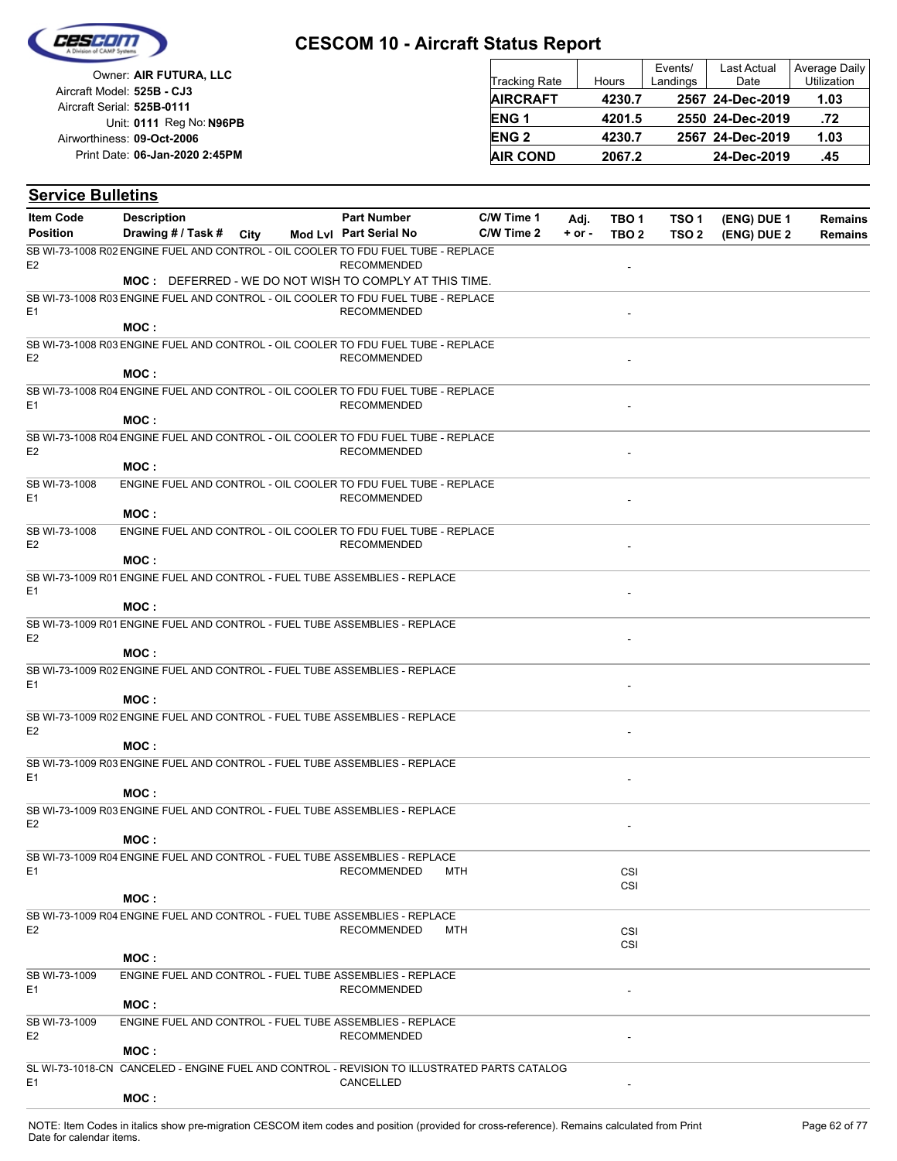

| Owner: AIR FUTURA, LLC                                   | <b>Tracking Rate</b>   | Hours  | Events/<br>Landings | <b>Last Actual</b><br>Date | Average Daily<br>Utilization |
|----------------------------------------------------------|------------------------|--------|---------------------|----------------------------|------------------------------|
| Aircraft Model: 525B - CJ3<br>Aircraft Serial: 525B-0111 | <b>AIRCRAFT</b>        | 4230.7 |                     | 2567 24-Dec-2019           | 1.03                         |
| Unit: 0111 Reg No: N96PB                                 | ENG <sub>1</sub>       | 4201.5 |                     | 2550 24-Dec-2019           | .72                          |
| Airworthiness: 09-Oct-2006                               | <b>ENG<sub>2</sub></b> | 4230.7 |                     | 2567 24-Dec-2019           | 1.03                         |
| Print Date: 06-Jan-2020 2:45PM                           | <b>AIR COND</b>        | 2067.2 |                     | 24-Dec-2019                | .45                          |

| <b>Service Bulletins</b>        |                                                                                             |                        |            |            |                  |                  |             |                |
|---------------------------------|---------------------------------------------------------------------------------------------|------------------------|------------|------------|------------------|------------------|-------------|----------------|
| <b>Item Code</b>                | <b>Description</b>                                                                          | <b>Part Number</b>     | C/W Time 1 | Adj.       | TBO <sub>1</sub> | TSO <sub>1</sub> | (ENG) DUE 1 | <b>Remains</b> |
| <b>Position</b>                 | Drawing # / Task #<br>City                                                                  | Mod Lyl Part Serial No | C/W Time 2 | $+$ or $-$ | TBO <sub>2</sub> | TSO <sub>2</sub> | (ENG) DUE 2 | <b>Remains</b> |
| E <sub>2</sub>                  | SB WI-73-1008 R02 ENGINE FUEL AND CONTROL - OIL COOLER TO FDU FUEL TUBE - REPLACE           | <b>RECOMMENDED</b>     |            |            |                  |                  |             |                |
|                                 | <b>MOC:</b> DEFERRED - WE DO NOT WISH TO COMPLY AT THIS TIME.                               |                        |            |            |                  |                  |             |                |
| E <sub>1</sub>                  | SB WI-73-1008 R03 ENGINE FUEL AND CONTROL - OIL COOLER TO FDU FUEL TUBE - REPLACE           | <b>RECOMMENDED</b>     |            |            |                  |                  |             |                |
|                                 | MOC:                                                                                        |                        |            |            |                  |                  |             |                |
| E <sub>2</sub>                  | SB WI-73-1008 R03 ENGINE FUEL AND CONTROL - OIL COOLER TO FDU FUEL TUBE - REPLACE<br>MOC:   | <b>RECOMMENDED</b>     |            |            |                  |                  |             |                |
|                                 | SB WI-73-1008 R04 ENGINE FUEL AND CONTROL - OIL COOLER TO FDU FUEL TUBE - REPLACE           |                        |            |            |                  |                  |             |                |
| E <sub>1</sub>                  | MOC:                                                                                        | <b>RECOMMENDED</b>     |            |            |                  |                  |             |                |
|                                 | SB WI-73-1008 R04 ENGINE FUEL AND CONTROL - OIL COOLER TO FDU FUEL TUBE - REPLACE           |                        |            |            |                  |                  |             |                |
| E <sub>2</sub>                  |                                                                                             | <b>RECOMMENDED</b>     |            |            |                  |                  |             |                |
|                                 | MOC:                                                                                        |                        |            |            |                  |                  |             |                |
| SB WI-73-1008<br>E <sub>1</sub> | ENGINE FUEL AND CONTROL - OIL COOLER TO FDU FUEL TUBE - REPLACE                             | <b>RECOMMENDED</b>     |            |            |                  |                  |             |                |
|                                 | MOC :                                                                                       |                        |            |            |                  |                  |             |                |
| SB WI-73-1008<br>E <sub>2</sub> | ENGINE FUEL AND CONTROL - OIL COOLER TO FDU FUEL TUBE - REPLACE                             | <b>RECOMMENDED</b>     |            |            |                  |                  |             |                |
|                                 | MOC:                                                                                        |                        |            |            |                  |                  |             |                |
| E <sub>1</sub>                  | SB WI-73-1009 R01 ENGINE FUEL AND CONTROL - FUEL TUBE ASSEMBLIES - REPLACE<br>MOC:          |                        |            |            |                  |                  |             |                |
|                                 | SB WI-73-1009 R01 ENGINE FUEL AND CONTROL - FUEL TUBE ASSEMBLIES - REPLACE                  |                        |            |            |                  |                  |             |                |
| E <sub>2</sub>                  | MOC:                                                                                        |                        |            |            |                  |                  |             |                |
|                                 | SB WI-73-1009 R02 ENGINE FUEL AND CONTROL - FUEL TUBE ASSEMBLIES - REPLACE                  |                        |            |            |                  |                  |             |                |
| E <sub>1</sub>                  |                                                                                             |                        |            |            |                  |                  |             |                |
|                                 | MOC:                                                                                        |                        |            |            |                  |                  |             |                |
| E <sub>2</sub>                  | SB WI-73-1009 R02 ENGINE FUEL AND CONTROL - FUEL TUBE ASSEMBLIES - REPLACE                  |                        |            |            |                  |                  |             |                |
|                                 | MOC:                                                                                        |                        |            |            |                  |                  |             |                |
| E1                              | SB WI-73-1009 R03 ENGINE FUEL AND CONTROL - FUEL TUBE ASSEMBLIES - REPLACE                  |                        |            |            |                  |                  |             |                |
|                                 | MOC:                                                                                        |                        |            |            |                  |                  |             |                |
| E <sub>2</sub>                  | SB WI-73-1009 R03 ENGINE FUEL AND CONTROL - FUEL TUBE ASSEMBLIES - REPLACE                  |                        |            |            |                  |                  |             |                |
|                                 | MOC:                                                                                        |                        |            |            |                  |                  |             |                |
|                                 | SB WI-73-1009 R04 ENGINE FUEL AND CONTROL - FUEL TUBE ASSEMBLIES - REPLACE                  |                        |            |            |                  |                  |             |                |
| E <sub>1</sub>                  |                                                                                             | <b>RECOMMENDED</b>     | MTH        |            | CSI<br>CSI       |                  |             |                |
|                                 | MOC :                                                                                       |                        |            |            |                  |                  |             |                |
|                                 | SB WI-73-1009 R04 ENGINE FUEL AND CONTROL - FUEL TUBE ASSEMBLIES - REPLACE                  |                        |            |            |                  |                  |             |                |
| E <sub>2</sub>                  |                                                                                             | <b>RECOMMENDED</b>     | MTH        |            | CSI              |                  |             |                |
|                                 | MOC:                                                                                        |                        |            |            | CSI              |                  |             |                |
| SB WI-73-1009                   | ENGINE FUEL AND CONTROL - FUEL TUBE ASSEMBLIES - REPLACE                                    |                        |            |            |                  |                  |             |                |
| E <sub>1</sub>                  |                                                                                             | <b>RECOMMENDED</b>     |            |            |                  |                  |             |                |
|                                 | MOC:                                                                                        |                        |            |            |                  |                  |             |                |
| SB WI-73-1009                   | ENGINE FUEL AND CONTROL - FUEL TUBE ASSEMBLIES - REPLACE                                    |                        |            |            |                  |                  |             |                |
| E <sub>2</sub>                  | MOC:                                                                                        | <b>RECOMMENDED</b>     |            |            |                  |                  |             |                |
|                                 | SL WI-73-1018-CN CANCELED - ENGINE FUEL AND CONTROL - REVISION TO ILLUSTRATED PARTS CATALOG |                        |            |            |                  |                  |             |                |
| E <sub>1</sub>                  |                                                                                             | CANCELLED              |            |            |                  |                  |             |                |
|                                 | MOC:                                                                                        |                        |            |            |                  |                  |             |                |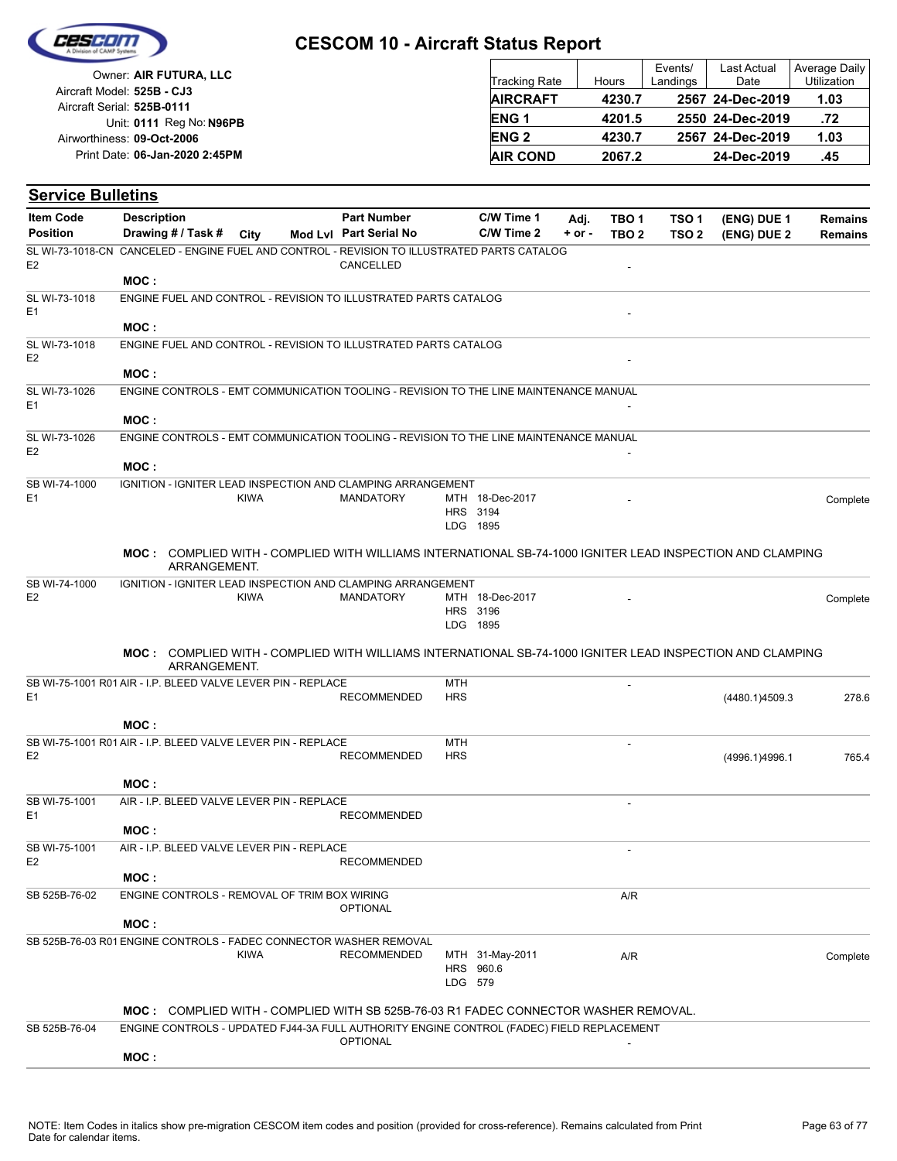

| Owner: AIR FUTURA, LLC                                   | Tracking Rate   | Hours  | Events/<br>Landings | Last Actual<br>Date | Average Daily<br><b>Utilization</b> |
|----------------------------------------------------------|-----------------|--------|---------------------|---------------------|-------------------------------------|
| Aircraft Model: 525B - CJ3<br>Aircraft Serial: 525B-0111 | <b>AIRCRAFT</b> | 4230.7 |                     | 2567 24-Dec-2019    | 1.03                                |
| Unit: 0111 Reg No: N96PB                                 | <b>ENG1</b>     | 4201.5 |                     | 2550 24-Dec-2019    | .72                                 |
| Airworthiness: 09-Oct-2006                               | <b>ENG 2</b>    | 4230.7 |                     | 2567 24-Dec-2019    | 1.03                                |
| Print Date: 06-Jan-2020 2:45PM                           | <b>AIR COND</b> | 2067.2 |                     | 24-Dec-2019         | .45                                 |

| <b>Service Bulletins</b>        |                                                                                                                                                                                         |             |                        |                   |                                         |            |                  |                  |                |                |
|---------------------------------|-----------------------------------------------------------------------------------------------------------------------------------------------------------------------------------------|-------------|------------------------|-------------------|-----------------------------------------|------------|------------------|------------------|----------------|----------------|
| <b>Item Code</b>                | <b>Description</b>                                                                                                                                                                      |             | <b>Part Number</b>     |                   | C/W Time 1                              | Adj.       | TBO 1            | TSO <sub>1</sub> | (ENG) DUE 1    | <b>Remains</b> |
| <b>Position</b>                 | Drawing # / Task #                                                                                                                                                                      | City        | Mod Lvl Part Serial No |                   | C/W Time 2                              | $+$ or $-$ | TBO <sub>2</sub> | TSO <sub>2</sub> | (ENG) DUE 2    | <b>Remains</b> |
| E <sub>2</sub>                  | SL WI-73-1018-CN CANCELED - ENGINE FUEL AND CONTROL - REVISION TO ILLUSTRATED PARTS CATALOG                                                                                             |             | CANCELLED              |                   |                                         |            |                  |                  |                |                |
|                                 | MOC:                                                                                                                                                                                    |             |                        |                   |                                         |            |                  |                  |                |                |
| SL WI-73-1018<br>E <sub>1</sub> | ENGINE FUEL AND CONTROL - REVISION TO ILLUSTRATED PARTS CATALOG                                                                                                                         |             |                        |                   |                                         |            |                  |                  |                |                |
|                                 | MOC:                                                                                                                                                                                    |             |                        |                   |                                         |            |                  |                  |                |                |
| SL WI-73-1018<br>E <sub>2</sub> | ENGINE FUEL AND CONTROL - REVISION TO ILLUSTRATED PARTS CATALOG                                                                                                                         |             |                        |                   |                                         |            |                  |                  |                |                |
|                                 | MOC :                                                                                                                                                                                   |             |                        |                   |                                         |            |                  |                  |                |                |
| SL WI-73-1026<br>E <sub>1</sub> | ENGINE CONTROLS - EMT COMMUNICATION TOOLING - REVISION TO THE LINE MAINTENANCE MANUAL                                                                                                   |             |                        |                   |                                         |            |                  |                  |                |                |
|                                 | MOC:                                                                                                                                                                                    |             |                        |                   |                                         |            |                  |                  |                |                |
| SL WI-73-1026<br>E <sub>2</sub> | ENGINE CONTROLS - EMT COMMUNICATION TOOLING - REVISION TO THE LINE MAINTENANCE MANUAL                                                                                                   |             |                        |                   |                                         |            |                  |                  |                |                |
|                                 | MOC:                                                                                                                                                                                    |             |                        |                   |                                         |            |                  |                  |                |                |
| SB WI-74-1000<br>E <sub>1</sub> | IGNITION - IGNITER LEAD INSPECTION AND CLAMPING ARRANGEMENT                                                                                                                             |             |                        |                   |                                         |            |                  |                  |                |                |
|                                 |                                                                                                                                                                                         | <b>KIWA</b> | <b>MANDATORY</b>       |                   | MTH 18-Dec-2017<br>HRS 3194<br>LDG 1895 |            |                  |                  |                | Complete       |
|                                 |                                                                                                                                                                                         |             |                        |                   |                                         |            |                  |                  |                |                |
|                                 | MOC: COMPLIED WITH - COMPLIED WITH WILLIAMS INTERNATIONAL SB-74-1000 IGNITER LEAD INSPECTION AND CLAMPING<br>ARRANGEMENT.                                                               |             |                        |                   |                                         |            |                  |                  |                |                |
| SB WI-74-1000                   | IGNITION - IGNITER LEAD INSPECTION AND CLAMPING ARRANGEMENT                                                                                                                             |             |                        |                   |                                         |            |                  |                  |                |                |
| E <sub>2</sub>                  |                                                                                                                                                                                         | <b>KIWA</b> | <b>MANDATORY</b>       |                   | MTH 18-Dec-2017<br>HRS 3196<br>LDG 1895 |            |                  |                  |                | Complete       |
|                                 | MOC: COMPLIED WITH - COMPLIED WITH WILLIAMS INTERNATIONAL SB-74-1000 IGNITER LEAD INSPECTION AND CLAMPING<br>ARRANGEMENT.                                                               |             |                        |                   |                                         |            |                  |                  |                |                |
| E <sub>1</sub>                  | SB WI-75-1001 R01 AIR - I.P. BLEED VALVE LEVER PIN - REPLACE                                                                                                                            |             | <b>RECOMMENDED</b>     | MTH<br><b>HRS</b> |                                         |            |                  |                  | (4480.1)4509.3 | 278.6          |
|                                 |                                                                                                                                                                                         |             |                        |                   |                                         |            |                  |                  |                |                |
|                                 | MOC:                                                                                                                                                                                    |             |                        |                   |                                         |            |                  |                  |                |                |
|                                 | SB WI-75-1001 R01 AIR - I.P. BLEED VALVE LEVER PIN - REPLACE                                                                                                                            |             |                        | <b>MTH</b>        |                                         |            |                  |                  |                |                |
| E <sub>2</sub>                  |                                                                                                                                                                                         |             | <b>RECOMMENDED</b>     | <b>HRS</b>        |                                         |            |                  |                  | (4996.1)4996.1 | 765.4          |
|                                 | MOC:                                                                                                                                                                                    |             |                        |                   |                                         |            |                  |                  |                |                |
| SB WI-75-1001                   | AIR - I.P. BLEED VALVE LEVER PIN - REPLACE                                                                                                                                              |             |                        |                   |                                         |            |                  |                  |                |                |
| E <sub>1</sub>                  |                                                                                                                                                                                         |             | <b>RECOMMENDED</b>     |                   |                                         |            |                  |                  |                |                |
|                                 | MOC:                                                                                                                                                                                    |             |                        |                   |                                         |            |                  |                  |                |                |
| SB WI-75-1001<br>E <sub>2</sub> | AIR - I.P. BLEED VALVE LEVER PIN - REPLACE                                                                                                                                              |             | <b>RECOMMENDED</b>     |                   |                                         |            |                  |                  |                |                |
|                                 | MOC:                                                                                                                                                                                    |             |                        |                   |                                         |            |                  |                  |                |                |
| SB 525B-76-02                   | ENGINE CONTROLS - REMOVAL OF TRIM BOX WIRING                                                                                                                                            |             | <b>OPTIONAL</b>        |                   |                                         |            | A/R              |                  |                |                |
|                                 | MOC:                                                                                                                                                                                    |             |                        |                   |                                         |            |                  |                  |                |                |
|                                 | SB 525B-76-03 R01 ENGINE CONTROLS - FADEC CONNECTOR WASHER REMOVAL                                                                                                                      | KIWA        | <b>RECOMMENDED</b>     |                   | MTH 31-May-2011<br>HRS 960.6            |            | A/R              |                  |                | Complete       |
|                                 |                                                                                                                                                                                         |             |                        |                   | LDG 579                                 |            |                  |                  |                |                |
| SB 525B-76-04                   | <b>MOC:</b> COMPLIED WITH - COMPLIED WITH SB 525B-76-03 R1 FADEC CONNECTOR WASHER REMOVAL.<br>ENGINE CONTROLS - UPDATED FJ44-3A FULL AUTHORITY ENGINE CONTROL (FADEC) FIELD REPLACEMENT |             |                        |                   |                                         |            |                  |                  |                |                |
|                                 | MOC:                                                                                                                                                                                    |             | <b>OPTIONAL</b>        |                   |                                         |            |                  |                  |                |                |
|                                 |                                                                                                                                                                                         |             |                        |                   |                                         |            |                  |                  |                |                |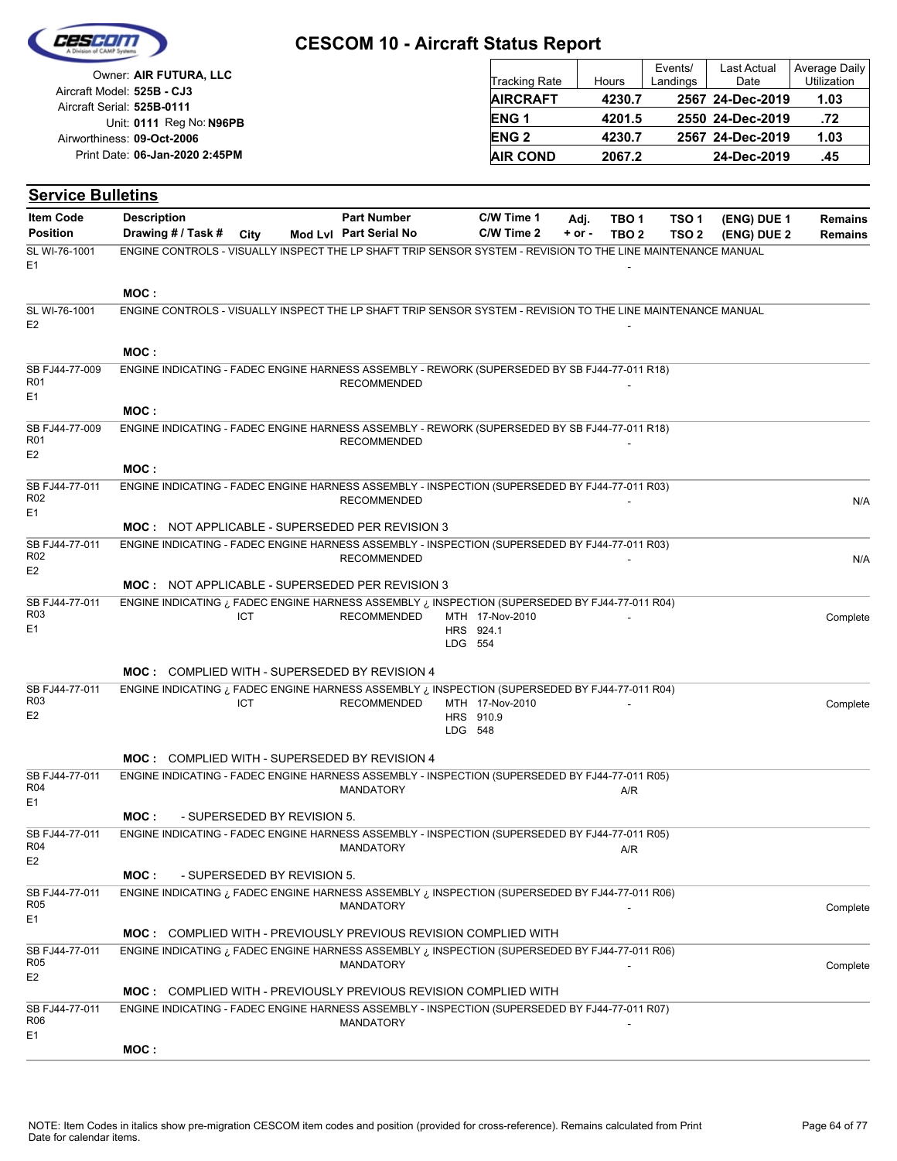

| Owner: AIR FUTURA, LLC                                   | <b>Tracking Rate</b> | Hours  | Events/<br>Landings | Last Actual<br>Date | Average Daily<br>Utilization |
|----------------------------------------------------------|----------------------|--------|---------------------|---------------------|------------------------------|
| Aircraft Model: 525B - CJ3<br>Aircraft Serial: 525B-0111 | <b>AIRCRAFT</b>      | 4230.7 |                     | 2567 24-Dec-2019    | 1.03                         |
| Unit: 0111 Reg No: N96PB                                 | <b>ENG1</b>          | 4201.5 |                     | 2550 24-Dec-2019    | .72                          |
| Airworthiness: 09-Oct-2006                               | <b>ENG 2</b>         | 4230.7 |                     | 2567 24-Dec-2019    | 1.03                         |
| Print Date: 06-Jan-2020 2:45PM                           | <b>AIR COND</b>      | 2067.2 |                     | 24-Dec-2019         | .45                          |

| <b>Item Code</b>                  | <b>Description</b>                                                                                               |                             | <b>Part Number</b>     | C/W Time 1           | Adj.       | TBO 1            | TSO <sub>1</sub> | (ENG) DUE 1 | <b>Remains</b> |
|-----------------------------------|------------------------------------------------------------------------------------------------------------------|-----------------------------|------------------------|----------------------|------------|------------------|------------------|-------------|----------------|
| <b>Position</b>                   | Drawing # / Task #                                                                                               | City                        | Mod Lvl Part Serial No | C/W Time 2           | $+$ or $-$ | TBO <sub>2</sub> | TSO <sub>2</sub> | (ENG) DUE 2 | <b>Remains</b> |
| SL WI-76-1001                     | ENGINE CONTROLS - VISUALLY INSPECT THE LP SHAFT TRIP SENSOR SYSTEM - REVISION TO THE LINE MAINTENANCE MANUAL     |                             |                        |                      |            |                  |                  |             |                |
| E <sub>1</sub>                    |                                                                                                                  |                             |                        |                      |            |                  |                  |             |                |
|                                   | MOC:                                                                                                             |                             |                        |                      |            |                  |                  |             |                |
| SL WI-76-1001                     | ENGINE CONTROLS - VISUALLY INSPECT THE LP SHAFT TRIP SENSOR SYSTEM - REVISION TO THE LINE MAINTENANCE MANUAL     |                             |                        |                      |            |                  |                  |             |                |
| E <sub>2</sub>                    |                                                                                                                  |                             |                        |                      |            |                  |                  |             |                |
|                                   | MOC:                                                                                                             |                             |                        |                      |            |                  |                  |             |                |
| SB FJ44-77-009                    | ENGINE INDICATING - FADEC ENGINE HARNESS ASSEMBLY - REWORK (SUPERSEDED BY SB FJ44-77-011 R18)                    |                             |                        |                      |            |                  |                  |             |                |
| R <sub>01</sub>                   |                                                                                                                  |                             | <b>RECOMMENDED</b>     |                      |            |                  |                  |             |                |
| E <sub>1</sub>                    | MOC:                                                                                                             |                             |                        |                      |            |                  |                  |             |                |
| SB FJ44-77-009                    | ENGINE INDICATING - FADEC ENGINE HARNESS ASSEMBLY - REWORK (SUPERSEDED BY SB FJ44-77-011 R18)                    |                             |                        |                      |            |                  |                  |             |                |
| R <sub>01</sub>                   |                                                                                                                  |                             | <b>RECOMMENDED</b>     |                      |            |                  |                  |             |                |
| E <sub>2</sub>                    |                                                                                                                  |                             |                        |                      |            |                  |                  |             |                |
| SB FJ44-77-011                    | MOC:<br>ENGINE INDICATING - FADEC ENGINE HARNESS ASSEMBLY - INSPECTION (SUPERSEDED BY FJ44-77-011 R03)           |                             |                        |                      |            |                  |                  |             |                |
| R <sub>02</sub>                   |                                                                                                                  |                             | <b>RECOMMENDED</b>     |                      |            |                  |                  |             | N/A            |
| E1                                |                                                                                                                  |                             |                        |                      |            |                  |                  |             |                |
|                                   | <b>MOC: NOT APPLICABLE - SUPERSEDED PER REVISION 3</b>                                                           |                             |                        |                      |            |                  |                  |             |                |
| SB FJ44-77-011<br>R <sub>02</sub> | ENGINE INDICATING - FADEC ENGINE HARNESS ASSEMBLY - INSPECTION (SUPERSEDED BY FJ44-77-011 R03)                   |                             | <b>RECOMMENDED</b>     |                      |            |                  |                  |             | N/A            |
| E <sub>2</sub>                    |                                                                                                                  |                             |                        |                      |            |                  |                  |             |                |
|                                   | <b>MOC: NOT APPLICABLE - SUPERSEDED PER REVISION 3</b>                                                           |                             |                        |                      |            |                  |                  |             |                |
| SB FJ44-77-011<br>R <sub>03</sub> | INSPECTION (SUPERSEDED BY FJ44-77-011 R04) ENGINE HARNESS ASSEMBLY in INSPECTION (SUPERSEDED BY FJ44-77-011 R04) | ICT                         | RECOMMENDED            | MTH 17-Nov-2010      |            |                  |                  |             | Complete       |
| E <sub>1</sub>                    |                                                                                                                  |                             |                        | HRS 924.1            |            |                  |                  |             |                |
|                                   |                                                                                                                  |                             |                        | LDG 554              |            |                  |                  |             |                |
|                                   | MOC: COMPLIED WITH - SUPERSEDED BY REVISION 4                                                                    |                             |                        |                      |            |                  |                  |             |                |
| SB FJ44-77-011                    | ENGINE INDICATING ¿ FADEC ENGINE HARNESS ASSEMBLY ¿ INSPECTION (SUPERSEDED BY FJ44-77-011 R04)                   |                             |                        |                      |            |                  |                  |             |                |
| R <sub>03</sub><br>E <sub>2</sub> |                                                                                                                  | ICT.                        | <b>RECOMMENDED</b>     | MTH 17-Nov-2010      |            |                  |                  |             | Complete       |
|                                   |                                                                                                                  |                             |                        | HRS 910.9<br>LDG 548 |            |                  |                  |             |                |
|                                   |                                                                                                                  |                             |                        |                      |            |                  |                  |             |                |
|                                   | MOC: COMPLIED WITH - SUPERSEDED BY REVISION 4                                                                    |                             |                        |                      |            |                  |                  |             |                |
| SB FJ44-77-011<br>R <sub>04</sub> | ENGINE INDICATING - FADEC ENGINE HARNESS ASSEMBLY - INSPECTION (SUPERSEDED BY FJ44-77-011 R05)                   |                             | MANDATORY              |                      |            | A/R              |                  |             |                |
| E1                                |                                                                                                                  |                             |                        |                      |            |                  |                  |             |                |
|                                   | MOC :                                                                                                            | - SUPERSEDED BY REVISION 5. |                        |                      |            |                  |                  |             |                |
| SB FJ44-77-011<br>R04             | ENGINE INDICATING - FADEC ENGINE HARNESS ASSEMBLY - INSPECTION (SUPERSEDED BY FJ44-77-011 R05)                   |                             | <b>MANDATORY</b>       |                      |            | A/R              |                  |             |                |
| E <sub>2</sub>                    |                                                                                                                  |                             |                        |                      |            |                  |                  |             |                |
|                                   | MOC :                                                                                                            | - SUPERSEDED BY REVISION 5. |                        |                      |            |                  |                  |             |                |
| SB FJ44-77-011<br>R <sub>05</sub> | INSPECTION (SUPERSEDED BY FJ44-77-011 R06) ENGINE HARNESS ASSEMBLY in INSPECTION (SUPERSEDED BY FJ44-77-011 R06) |                             | <b>MANDATORY</b>       |                      |            |                  |                  |             | Complete       |
| E1                                |                                                                                                                  |                             |                        |                      |            |                  |                  |             |                |
|                                   | <b>MOC: COMPLIED WITH - PREVIOUSLY PREVIOUS REVISION COMPLIED WITH</b>                                           |                             |                        |                      |            |                  |                  |             |                |
| SB FJ44-77-011<br>R <sub>05</sub> | ENGINE INDICATING ¿ FADEC ENGINE HARNESS ASSEMBLY ¿ INSPECTION (SUPERSEDED BY FJ44-77-011 R06)                   |                             | <b>MANDATORY</b>       |                      |            |                  |                  |             |                |
| E <sub>2</sub>                    |                                                                                                                  |                             |                        |                      |            |                  |                  |             | Complete       |
|                                   | <b>MOC: COMPLIED WITH - PREVIOUSLY PREVIOUS REVISION COMPLIED WITH</b>                                           |                             |                        |                      |            |                  |                  |             |                |
| SB FJ44-77-011<br>R06             | ENGINE INDICATING - FADEC ENGINE HARNESS ASSEMBLY - INSPECTION (SUPERSEDED BY FJ44-77-011 R07)                   |                             |                        |                      |            |                  |                  |             |                |
| E <sub>1</sub>                    |                                                                                                                  |                             | MANDATORY              |                      |            |                  |                  |             |                |
|                                   | MOC:                                                                                                             |                             |                        |                      |            |                  |                  |             |                |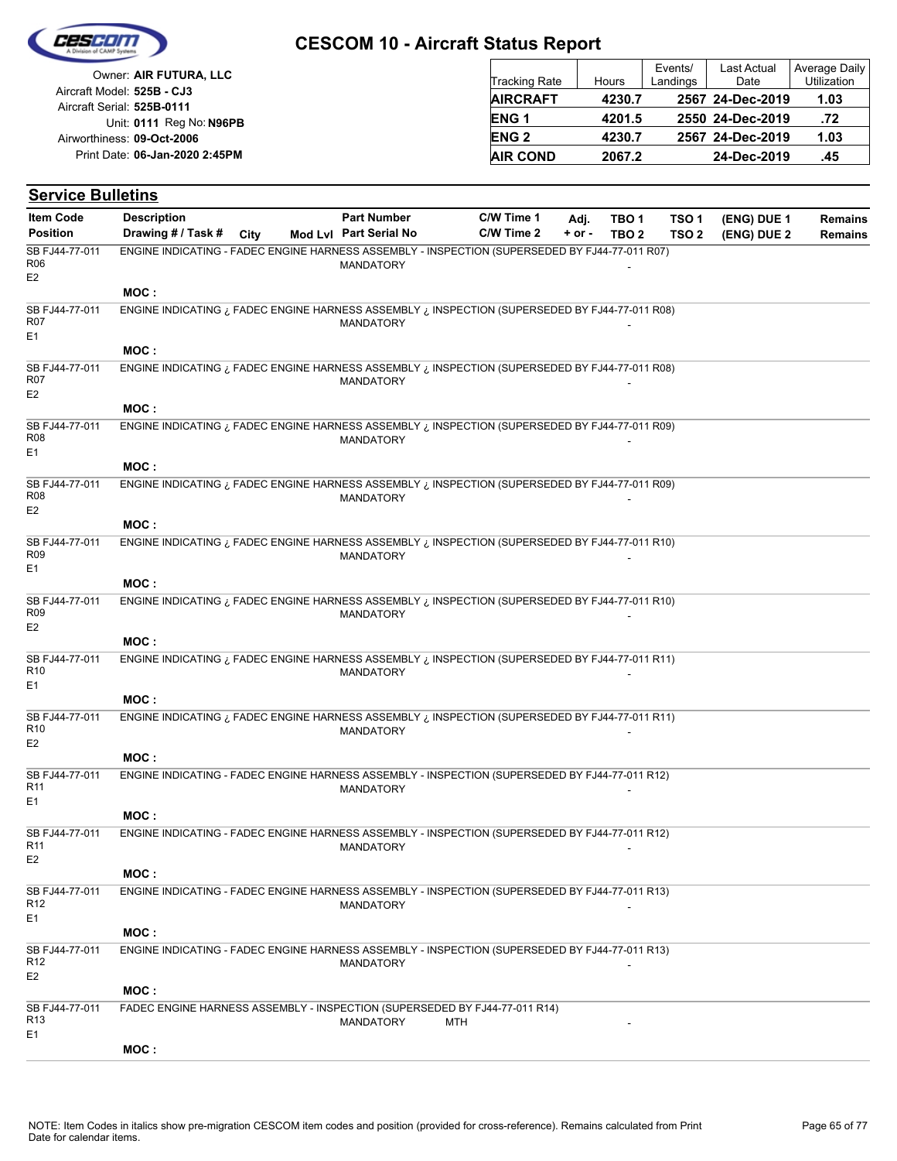

| Owner: AIR FUTURA, LLC                                   | Tracking Rate   | Hours  | Events/<br>Landings | <b>Last Actual</b><br>Date | Average Daily<br>Utilization |
|----------------------------------------------------------|-----------------|--------|---------------------|----------------------------|------------------------------|
| Aircraft Model: 525B - CJ3<br>Aircraft Serial: 525B-0111 | <b>AIRCRAFT</b> | 4230.7 |                     | 2567 24-Dec-2019           | 1.03                         |
| Unit: 0111 Reg No: N96PB                                 | <b>ENG1</b>     | 4201.5 |                     | 2550 24-Dec-2019           | .72                          |
| Airworthiness: 09-Oct-2006                               | <b>ENG 2</b>    | 4230.7 |                     | 2567 24-Dec-2019           | 1.03                         |
| Print Date: 06-Jan-2020 2:45PM                           | <b>AIR COND</b> | 2067.2 |                     | 24-Dec-2019                | .45                          |

| <b>Service Bulletins</b>                            |                                                                                                                          |      |                                              |                          |                  |                           |                                      |                            |                           |
|-----------------------------------------------------|--------------------------------------------------------------------------------------------------------------------------|------|----------------------------------------------|--------------------------|------------------|---------------------------|--------------------------------------|----------------------------|---------------------------|
| <b>Item Code</b><br><b>Position</b>                 | <b>Description</b><br>Drawing # / Task #                                                                                 | City | <b>Part Number</b><br>Mod Lvl Part Serial No | C/W Time 1<br>C/W Time 2 | Adj.<br>$+ or -$ | TBO 1<br>TBO <sub>2</sub> | TSO <sub>1</sub><br>TSO <sub>2</sub> | (ENG) DUE 1<br>(ENG) DUE 2 | <b>Remains</b><br>Remains |
| SB FJ44-77-011<br>R06<br>E <sub>2</sub>             | ENGINE INDICATING - FADEC ENGINE HARNESS ASSEMBLY - INSPECTION (SUPERSEDED BY FJ44-77-011 R07)                           |      | <b>MANDATORY</b>                             |                          |                  |                           |                                      |                            |                           |
|                                                     | MOC:                                                                                                                     |      |                                              |                          |                  |                           |                                      |                            |                           |
| SB FJ44-77-011<br>R07<br>E1                         | ENGINE INDICATING ¿ FADEC ENGINE HARNESS ASSEMBLY ¿ INSPECTION (SUPERSEDED BY FJ44-77-011 R08)                           |      | <b>MANDATORY</b>                             |                          |                  |                           |                                      |                            |                           |
|                                                     | MOC:                                                                                                                     |      |                                              |                          |                  |                           |                                      |                            |                           |
| SB FJ44-77-011<br>R07<br>E <sub>2</sub>             | INSPECTION (SUPERSEDED BY FJ44-77-011 R08) ENGINE HARNESS ASSEMBLY in INSPECTION (SUPERSEDED BY FJ44-77-011 R08)<br>MOC: |      | <b>MANDATORY</b>                             |                          |                  |                           |                                      |                            |                           |
| SB FJ44-77-011<br>R08                               | ENGINE INDICATING ¿ FADEC ENGINE HARNESS ASSEMBLY ¿ INSPECTION (SUPERSEDED BY FJ44-77-011 R09)                           |      | <b>MANDATORY</b>                             |                          |                  |                           |                                      |                            |                           |
| E1                                                  |                                                                                                                          |      |                                              |                          |                  |                           |                                      |                            |                           |
|                                                     | MOC:                                                                                                                     |      |                                              |                          |                  |                           |                                      |                            |                           |
| SB FJ44-77-011<br>R08<br>E <sub>2</sub>             | ENGINE INDICATING ¿ FADEC ENGINE HARNESS ASSEMBLY ¿ INSPECTION (SUPERSEDED BY FJ44-77-011 R09)                           |      | <b>MANDATORY</b>                             |                          |                  |                           |                                      |                            |                           |
|                                                     | MOC:                                                                                                                     |      |                                              |                          |                  |                           |                                      |                            |                           |
| SB FJ44-77-011<br>R <sub>09</sub><br>E1             | ENGINE INDICATING ¿ FADEC ENGINE HARNESS ASSEMBLY ¿ INSPECTION (SUPERSEDED BY FJ44-77-011 R10)                           |      | <b>MANDATORY</b>                             |                          |                  |                           |                                      |                            |                           |
|                                                     | MOC:                                                                                                                     |      |                                              |                          |                  |                           |                                      |                            |                           |
| SB FJ44-77-011<br>R <sub>09</sub><br>E <sub>2</sub> | ENGINE INDICATING ¿ FADEC ENGINE HARNESS ASSEMBLY ¿ INSPECTION (SUPERSEDED BY FJ44-77-011 R10)                           |      | <b>MANDATORY</b>                             |                          |                  |                           |                                      |                            |                           |
|                                                     | MOC:                                                                                                                     |      |                                              |                          |                  |                           |                                      |                            |                           |
| SB FJ44-77-011<br>R <sub>10</sub><br>E1             | ENGINE INDICATING ¿ FADEC ENGINE HARNESS ASSEMBLY ¿ INSPECTION (SUPERSEDED BY FJ44-77-011 R11)                           |      | <b>MANDATORY</b>                             |                          |                  |                           |                                      |                            |                           |
|                                                     | MOC:                                                                                                                     |      |                                              |                          |                  |                           |                                      |                            |                           |
| SB FJ44-77-011<br>R <sub>10</sub><br>E <sub>2</sub> | ENGINE INDICATING ¿ FADEC ENGINE HARNESS ASSEMBLY ¿ INSPECTION (SUPERSEDED BY FJ44-77-011 R11)                           |      | <b>MANDATORY</b>                             |                          |                  |                           |                                      |                            |                           |
|                                                     | MOC:                                                                                                                     |      |                                              |                          |                  |                           |                                      |                            |                           |
| SB FJ44-77-011<br>R11<br>E1                         | ENGINE INDICATING - FADEC ENGINE HARNESS ASSEMBLY - INSPECTION (SUPERSEDED BY FJ44-77-011 R12)                           |      | <b>MANDATORY</b>                             |                          |                  |                           |                                      |                            |                           |
|                                                     | MOC :                                                                                                                    |      |                                              |                          |                  |                           |                                      |                            |                           |
| SB FJ44-77-011<br>R11<br>E <sub>2</sub>             | ENGINE INDICATING - FADEC ENGINE HARNESS ASSEMBLY - INSPECTION (SUPERSEDED BY FJ44-77-011 R12)                           |      | <b>MANDATORY</b>                             |                          |                  |                           |                                      |                            |                           |
|                                                     | MOC:                                                                                                                     |      |                                              |                          |                  |                           |                                      |                            |                           |
| SB FJ44-77-011<br>R <sub>12</sub><br>E1             | ENGINE INDICATING - FADEC ENGINE HARNESS ASSEMBLY - INSPECTION (SUPERSEDED BY FJ44-77-011 R13)                           |      | <b>MANDATORY</b>                             |                          |                  |                           |                                      |                            |                           |
|                                                     | MOC:                                                                                                                     |      |                                              |                          |                  |                           |                                      |                            |                           |
| SB FJ44-77-011<br>R12<br>E <sub>2</sub>             | ENGINE INDICATING - FADEC ENGINE HARNESS ASSEMBLY - INSPECTION (SUPERSEDED BY FJ44-77-011 R13)                           |      | <b>MANDATORY</b>                             |                          |                  |                           |                                      |                            |                           |
|                                                     | MOC :                                                                                                                    |      |                                              |                          |                  |                           |                                      |                            |                           |
| SB FJ44-77-011<br>R <sub>13</sub><br>E1             | FADEC ENGINE HARNESS ASSEMBLY - INSPECTION (SUPERSEDED BY FJ44-77-011 R14)                                               |      | MANDATORY                                    | MTH                      |                  |                           |                                      |                            |                           |
|                                                     | MOC:                                                                                                                     |      |                                              |                          |                  |                           |                                      |                            |                           |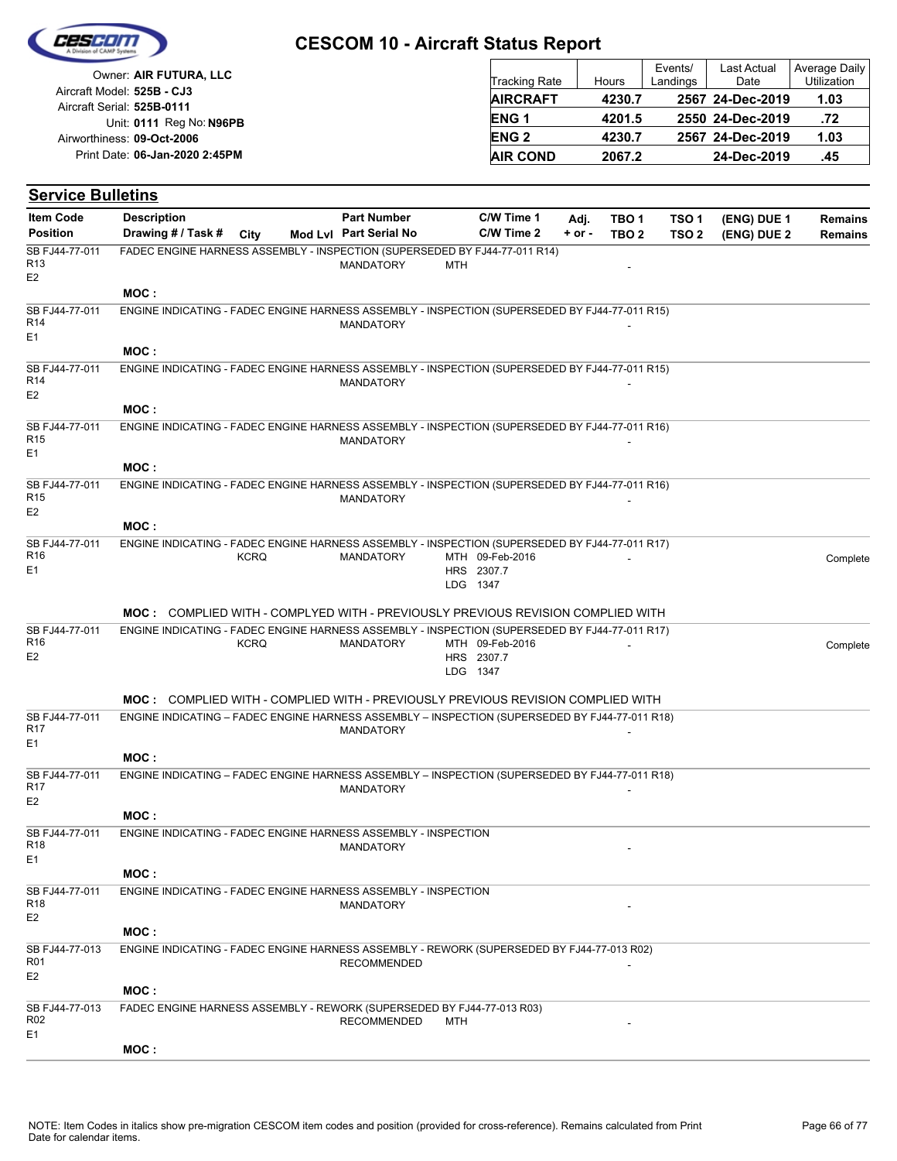

| Owner: AIR FUTURA, LLC                                   | <b>Tracking Rate</b> | Hours  | Events/<br>Landings | Last Actual<br>Date | Average Daily<br>Utilization |
|----------------------------------------------------------|----------------------|--------|---------------------|---------------------|------------------------------|
| Aircraft Model: 525B - CJ3<br>Aircraft Serial: 525B-0111 | <b>AIRCRAFT</b>      | 4230.7 |                     | 2567 24-Dec-2019    | 1.03                         |
| Unit: 0111 Reg No: N96PB                                 | <b>ENG1</b>          | 4201.5 |                     | 2550 24-Dec-2019    | .72                          |
| Airworthiness: 09-Oct-2006                               | <b>ENG 2</b>         | 4230.7 |                     | 2567 24-Dec-2019    | 1.03                         |
| Print Date: 06-Jan-2020 2:45PM                           | <b>AIR COND</b>      | 2067.2 |                     | 24-Dec-2019         | .45                          |

| <b>Service Bulletins</b>                            |                                                                                                |             |                                              |     |                                           |                    |                |                                      |                            |                                  |
|-----------------------------------------------------|------------------------------------------------------------------------------------------------|-------------|----------------------------------------------|-----|-------------------------------------------|--------------------|----------------|--------------------------------------|----------------------------|----------------------------------|
| <b>Item Code</b><br><b>Position</b>                 | <b>Description</b><br>Drawing # / Task # City                                                  |             | <b>Part Number</b><br>Mod Lvl Part Serial No |     | C/W Time 1<br>C/W Time 2                  | Adj.<br>$+$ or $-$ | TBO 1<br>TBO 2 | TSO <sub>1</sub><br>TSO <sub>2</sub> | (ENG) DUE 1<br>(ENG) DUE 2 | <b>Remains</b><br><b>Remains</b> |
| SB FJ44-77-011<br>R <sub>13</sub><br>E <sub>2</sub> | FADEC ENGINE HARNESS ASSEMBLY - INSPECTION (SUPERSEDED BY FJ44-77-011 R14)                     |             | <b>MANDATORY</b>                             | MTH |                                           |                    |                |                                      |                            |                                  |
|                                                     | MOC:                                                                                           |             |                                              |     |                                           |                    |                |                                      |                            |                                  |
| SB FJ44-77-011<br>R14<br>E1                         | ENGINE INDICATING - FADEC ENGINE HARNESS ASSEMBLY - INSPECTION (SUPERSEDED BY FJ44-77-011 R15) |             | <b>MANDATORY</b>                             |     |                                           |                    |                |                                      |                            |                                  |
|                                                     | MOC :                                                                                          |             |                                              |     |                                           |                    |                |                                      |                            |                                  |
| SB FJ44-77-011<br>R <sub>14</sub>                   | ENGINE INDICATING - FADEC ENGINE HARNESS ASSEMBLY - INSPECTION (SUPERSEDED BY FJ44-77-011 R15) |             | <b>MANDATORY</b>                             |     |                                           |                    |                |                                      |                            |                                  |
| E <sub>2</sub>                                      | MOC:                                                                                           |             |                                              |     |                                           |                    |                |                                      |                            |                                  |
| SB FJ44-77-011<br>R <sub>15</sub>                   | ENGINE INDICATING - FADEC ENGINE HARNESS ASSEMBLY - INSPECTION (SUPERSEDED BY FJ44-77-011 R16) |             | <b>MANDATORY</b>                             |     |                                           |                    |                |                                      |                            |                                  |
| E1                                                  | MOC:                                                                                           |             |                                              |     |                                           |                    |                |                                      |                            |                                  |
| SB FJ44-77-011<br>R <sub>15</sub><br>E <sub>2</sub> | ENGINE INDICATING - FADEC ENGINE HARNESS ASSEMBLY - INSPECTION (SUPERSEDED BY FJ44-77-011 R16) |             | <b>MANDATORY</b>                             |     |                                           |                    |                |                                      |                            |                                  |
|                                                     | MOC:                                                                                           |             |                                              |     |                                           |                    |                |                                      |                            |                                  |
| SB FJ44-77-011<br>R <sub>16</sub><br>E1             | ENGINE INDICATING - FADEC ENGINE HARNESS ASSEMBLY - INSPECTION (SUPERSEDED BY FJ44-77-011 R17) | <b>KCRQ</b> | <b>MANDATORY</b>                             |     | MTH 09-Feb-2016<br>HRS 2307.7<br>LDG 1347 |                    |                |                                      |                            | Complete                         |
|                                                     | <b>MOC:</b> COMPLIED WITH - COMPLYED WITH - PREVIOUSLY PREVIOUS REVISION COMPLIED WITH         |             |                                              |     |                                           |                    |                |                                      |                            |                                  |
| SB FJ44-77-011                                      | ENGINE INDICATING - FADEC ENGINE HARNESS ASSEMBLY - INSPECTION (SUPERSEDED BY FJ44-77-011 R17) |             |                                              |     |                                           |                    |                |                                      |                            |                                  |
| R <sub>16</sub><br>E <sub>2</sub>                   |                                                                                                | <b>KCRQ</b> | <b>MANDATORY</b>                             |     | MTH 09-Feb-2016<br>HRS 2307.7<br>LDG 1347 |                    |                |                                      |                            | Complete                         |
|                                                     | <b>MOC:</b> COMPLIED WITH - COMPLIED WITH - PREVIOUSLY PREVIOUS REVISION COMPLIED WITH         |             |                                              |     |                                           |                    |                |                                      |                            |                                  |
| SB FJ44-77-011                                      | ENGINE INDICATING - FADEC ENGINE HARNESS ASSEMBLY - INSPECTION (SUPERSEDED BY FJ44-77-011 R18) |             |                                              |     |                                           |                    |                |                                      |                            |                                  |
| R17<br>E1                                           |                                                                                                |             | <b>MANDATORY</b>                             |     |                                           |                    |                |                                      |                            |                                  |
|                                                     | MOC :                                                                                          |             |                                              |     |                                           |                    |                |                                      |                            |                                  |
| SB FJ44-77-011<br>R17<br>E <sub>2</sub>             | ENGINE INDICATING - FADEC ENGINE HARNESS ASSEMBLY - INSPECTION (SUPERSEDED BY FJ44-77-011 R18) |             | <b>MANDATORY</b>                             |     |                                           |                    |                |                                      |                            |                                  |
|                                                     | MOC:                                                                                           |             |                                              |     |                                           |                    |                |                                      |                            |                                  |
| SB FJ44-77-011<br>R <sub>18</sub><br>E1             | ENGINE INDICATING - FADEC ENGINE HARNESS ASSEMBLY - INSPECTION                                 |             | MANDATORY                                    |     |                                           |                    |                |                                      |                            |                                  |
|                                                     | MOC:                                                                                           |             |                                              |     |                                           |                    |                |                                      |                            |                                  |
| SB FJ44-77-011<br>R18<br>E <sub>2</sub>             | ENGINE INDICATING - FADEC ENGINE HARNESS ASSEMBLY - INSPECTION                                 |             | <b>MANDATORY</b>                             |     |                                           |                    |                |                                      |                            |                                  |
|                                                     | MOC:                                                                                           |             |                                              |     |                                           |                    |                |                                      |                            |                                  |
| SB FJ44-77-013<br>R01<br>E <sub>2</sub>             | ENGINE INDICATING - FADEC ENGINE HARNESS ASSEMBLY - REWORK (SUPERSEDED BY FJ44-77-013 R02)     |             | <b>RECOMMENDED</b>                           |     |                                           |                    |                |                                      |                            |                                  |
|                                                     | MOC:                                                                                           |             |                                              |     |                                           |                    |                |                                      |                            |                                  |
| SB FJ44-77-013<br>R <sub>02</sub><br>E1             | FADEC ENGINE HARNESS ASSEMBLY - REWORK (SUPERSEDED BY FJ44-77-013 R03)                         |             | <b>RECOMMENDED</b>                           | MTH |                                           |                    |                |                                      |                            |                                  |
|                                                     | MOC:                                                                                           |             |                                              |     |                                           |                    |                |                                      |                            |                                  |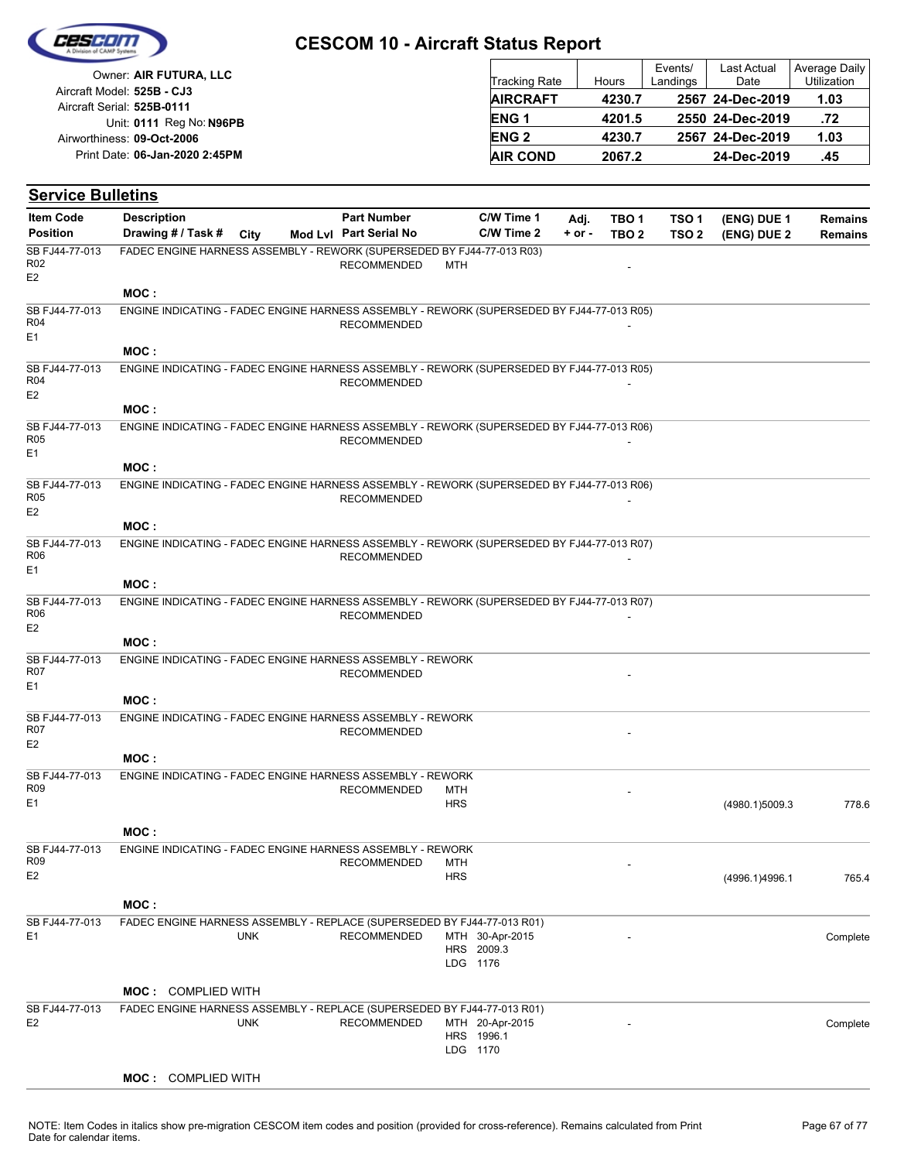

| Owner: AIR FUTURA, LLC                                   | Tracking Rate   | Hours  | Events/<br>Landings | Last Actual<br>Date | Average Daily<br><b>Utilization</b> |
|----------------------------------------------------------|-----------------|--------|---------------------|---------------------|-------------------------------------|
| Aircraft Model: 525B - CJ3<br>Aircraft Serial: 525B-0111 | <b>AIRCRAFT</b> | 4230.7 |                     | 2567 24-Dec-2019    | 1.03                                |
| Unit: 0111 Reg No: N96PB                                 | <b>ENG1</b>     | 4201.5 |                     | 2550 24-Dec-2019    | .72                                 |
| Airworthiness: 09-Oct-2006                               | <b>ENG 2</b>    | 4230.7 |                     | 2567 24-Dec-2019    | 1.03                                |
| Print Date: 06-Jan-2020 2:45PM                           | <b>AIR COND</b> | 2067.2 |                     | 24-Dec-2019         | .45                                 |

| <b>Service Bulletins</b>                            |                                                                                            |            |                        |                   |                                           |          |                  |                  |                |                |
|-----------------------------------------------------|--------------------------------------------------------------------------------------------|------------|------------------------|-------------------|-------------------------------------------|----------|------------------|------------------|----------------|----------------|
| <b>Item Code</b>                                    | <b>Description</b>                                                                         |            | <b>Part Number</b>     |                   | C/W Time 1                                | Adj.     | TBO 1            | TSO 1            | (ENG) DUE 1    | <b>Remains</b> |
| <b>Position</b>                                     | Drawing # / Task #                                                                         | City       | Mod Lvl Part Serial No |                   | C/W Time 2                                | $+ or -$ | TBO <sub>2</sub> | TSO <sub>2</sub> | (ENG) DUE 2    | <b>Remains</b> |
| SB FJ44-77-013<br>R <sub>02</sub><br>E2             | FADEC ENGINE HARNESS ASSEMBLY - REWORK (SUPERSEDED BY FJ44-77-013 R03)                     |            | <b>RECOMMENDED</b>     | MTH               |                                           |          |                  |                  |                |                |
|                                                     | MOC:                                                                                       |            |                        |                   |                                           |          |                  |                  |                |                |
| SB FJ44-77-013<br>R <sub>04</sub><br>E1             | ENGINE INDICATING - FADEC ENGINE HARNESS ASSEMBLY - REWORK (SUPERSEDED BY FJ44-77-013 R05) |            | <b>RECOMMENDED</b>     |                   |                                           |          |                  |                  |                |                |
|                                                     | MOC:                                                                                       |            |                        |                   |                                           |          |                  |                  |                |                |
| SB FJ44-77-013<br>R <sub>04</sub><br>E <sub>2</sub> | ENGINE INDICATING - FADEC ENGINE HARNESS ASSEMBLY - REWORK (SUPERSEDED BY FJ44-77-013 R05) |            | <b>RECOMMENDED</b>     |                   |                                           |          |                  |                  |                |                |
|                                                     | MOC:                                                                                       |            |                        |                   |                                           |          |                  |                  |                |                |
| SB FJ44-77-013<br><b>R05</b><br>E <sub>1</sub>      | ENGINE INDICATING - FADEC ENGINE HARNESS ASSEMBLY - REWORK (SUPERSEDED BY FJ44-77-013 R06) |            | <b>RECOMMENDED</b>     |                   |                                           |          |                  |                  |                |                |
|                                                     | MOC:                                                                                       |            |                        |                   |                                           |          |                  |                  |                |                |
| SB FJ44-77-013<br>R <sub>05</sub><br>E2             | ENGINE INDICATING - FADEC ENGINE HARNESS ASSEMBLY - REWORK (SUPERSEDED BY FJ44-77-013 R06) |            | <b>RECOMMENDED</b>     |                   |                                           |          |                  |                  |                |                |
|                                                     | MOC:                                                                                       |            |                        |                   |                                           |          |                  |                  |                |                |
| SB FJ44-77-013<br>R06<br>E1                         | ENGINE INDICATING - FADEC ENGINE HARNESS ASSEMBLY - REWORK (SUPERSEDED BY FJ44-77-013 R07) |            | <b>RECOMMENDED</b>     |                   |                                           |          |                  |                  |                |                |
|                                                     | MOC:                                                                                       |            |                        |                   |                                           |          |                  |                  |                |                |
| SB FJ44-77-013<br>R06<br>E <sub>2</sub>             | ENGINE INDICATING - FADEC ENGINE HARNESS ASSEMBLY - REWORK (SUPERSEDED BY FJ44-77-013 R07) |            | <b>RECOMMENDED</b>     |                   |                                           |          |                  |                  |                |                |
|                                                     | MOC:                                                                                       |            |                        |                   |                                           |          |                  |                  |                |                |
| SB FJ44-77-013<br>R07<br>E <sub>1</sub>             | ENGINE INDICATING - FADEC ENGINE HARNESS ASSEMBLY - REWORK                                 |            | <b>RECOMMENDED</b>     |                   |                                           |          |                  |                  |                |                |
|                                                     | MOC:                                                                                       |            |                        |                   |                                           |          |                  |                  |                |                |
| SB FJ44-77-013<br>R07<br>E2                         | ENGINE INDICATING - FADEC ENGINE HARNESS ASSEMBLY - REWORK                                 |            | <b>RECOMMENDED</b>     |                   |                                           |          |                  |                  |                |                |
|                                                     | MOC:                                                                                       |            |                        |                   |                                           |          |                  |                  |                |                |
| SB FJ44-77-013                                      | ENGINE INDICATING - FADEC ENGINE HARNESS ASSEMBLY - REWORK                                 |            |                        |                   |                                           |          |                  |                  |                |                |
| R09<br>E1                                           |                                                                                            |            | <b>RECOMMENDED</b>     | MTH<br><b>HRS</b> |                                           |          |                  |                  | (4980.1)5009.3 | 778.6          |
| SB FJ44-77-013                                      | MOC:<br>ENGINE INDICATING - FADEC ENGINE HARNESS ASSEMBLY - REWORK                         |            |                        |                   |                                           |          |                  |                  |                |                |
| R <sub>09</sub><br>E2                               |                                                                                            |            | <b>RECOMMENDED</b>     | MTH<br><b>HRS</b> |                                           |          |                  |                  | (4996.1)4996.1 | 765.4          |
|                                                     | MOC:                                                                                       |            |                        |                   |                                           |          |                  |                  |                |                |
| SB FJ44-77-013<br>E1                                | FADEC ENGINE HARNESS ASSEMBLY - REPLACE (SUPERSEDED BY FJ44-77-013 R01)                    | <b>UNK</b> | <b>RECOMMENDED</b>     |                   | MTH 30-Apr-2015<br>HRS 2009.3<br>LDG 1176 |          |                  |                  |                | Complete       |
|                                                     | <b>MOC: COMPLIED WITH</b>                                                                  |            |                        |                   |                                           |          |                  |                  |                |                |
| SB FJ44-77-013                                      | FADEC ENGINE HARNESS ASSEMBLY - REPLACE (SUPERSEDED BY FJ44-77-013 R01)                    |            |                        |                   |                                           |          |                  |                  |                |                |
| E <sub>2</sub>                                      |                                                                                            | <b>UNK</b> | <b>RECOMMENDED</b>     |                   | MTH 20-Apr-2015<br>HRS 1996.1<br>LDG 1170 |          |                  |                  |                | Complete       |
|                                                     | <b>MOC: COMPLIED WITH</b>                                                                  |            |                        |                   |                                           |          |                  |                  |                |                |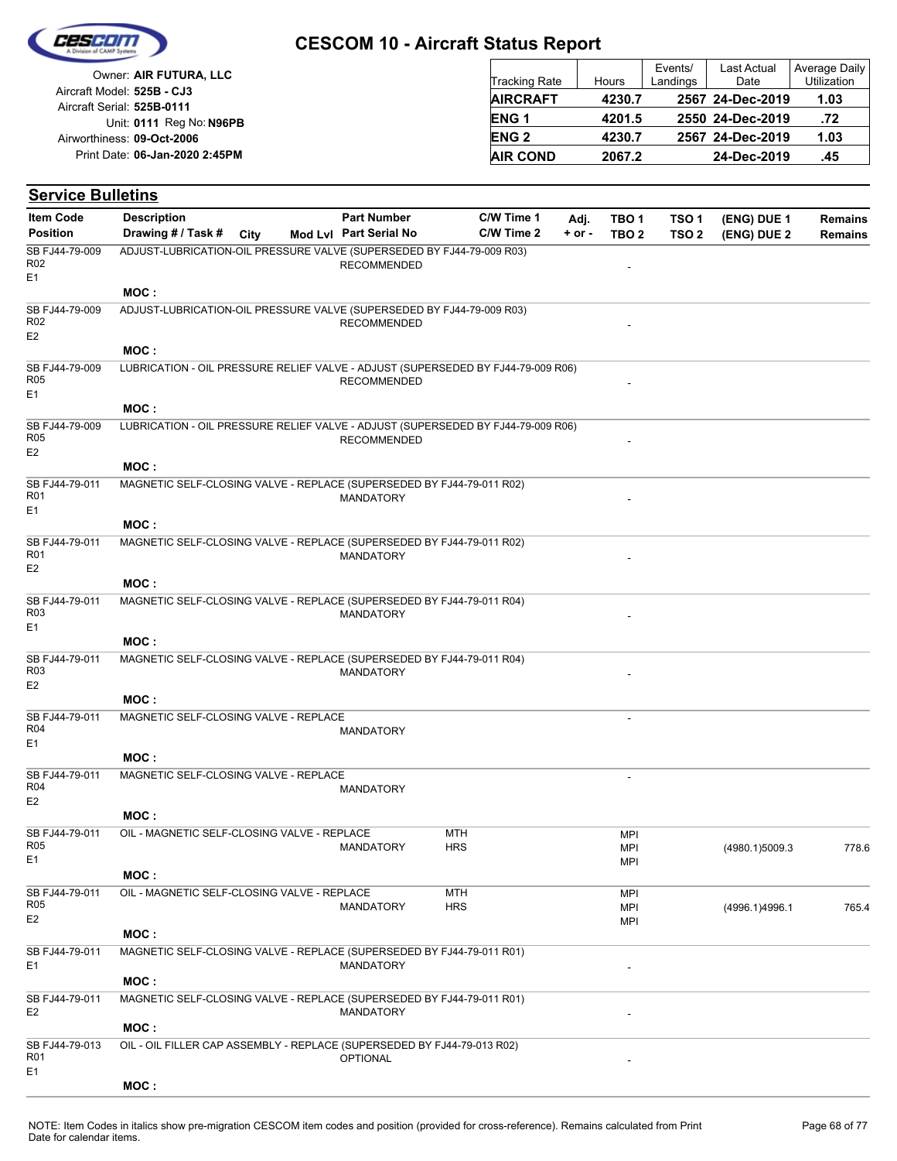

| Owner: AIR FUTURA, LLC                                   | <b>Tracking Rate</b> | Hours  | Events/<br>Landings | Last Actual<br>Date | Average Daily<br>Utilization |
|----------------------------------------------------------|----------------------|--------|---------------------|---------------------|------------------------------|
| Aircraft Model: 525B - CJ3<br>Aircraft Serial: 525B-0111 | <b>AIRCRAFT</b>      | 4230.7 |                     | 2567 24-Dec-2019    | 1.03                         |
| Unit: 0111 Reg No: N96PB                                 | <b>ENG1</b>          | 4201.5 |                     | 2550 24-Dec-2019    | .72                          |
| Airworthiness: 09-Oct-2006                               | <b>ENG 2</b>         | 4230.7 |                     | 2567 24-Dec-2019    | 1.03                         |
| Print Date: 06-Jan-2020 2:45PM                           | <b>AIR COND</b>      | 2067.2 |                     | 24-Dec-2019         | .45                          |

#### **(ENG) DUE 2 (ENG) DUE 1 Service Bulletins** City **Mod Lvl Part Serial No Part Number C/W Time 1 C/W Time 2 + or - Adj. TBO 1 TBO 2 TSO 2 TSO 1 Remains** Description Part Number C/W Time 1 Adj. TBO 1 TSO 1 (ENG) DUE 1 Remains **Position Drawing # / Task # Item Code RECOMMENDED** E1 SB FJ44-79-009 R02 ADJUST-LUBRICATION-OIL PRESSURE VALVE (SUPERSEDED BY FJ44-79-009 R03) **MOC : RECOMMENDED** E2 SB FJ44-79-009 R02 ADJUST-LUBRICATION-OIL PRESSURE VALVE (SUPERSEDED BY FJ44-79-009 R03) **MOC : RECOMMENDED** E1 SB FJ44-79-009 R05 LUBRICATION - OIL PRESSURE RELIEF VALVE - ADJUST (SUPERSEDED BY FJ44-79-009 R06) **MOC : RECOMMENDED** E2 SB FJ44-79-009 R05 LUBRICATION - OIL PRESSURE RELIEF VALVE - ADJUST (SUPERSEDED BY FJ44-79-009 R06) **MOC :** MANDATORY E1 SB FJ44-79-011 R01 MAGNETIC SELF-CLOSING VALVE - REPLACE (SUPERSEDED BY FJ44-79-011 R02) **MOC : MANDATORY** E2 SB FJ44-79-011 R01 MAGNETIC SELF-CLOSING VALVE - REPLACE (SUPERSEDED BY FJ44-79-011 R02) **MOC : MANDATORY** E1 SB FJ44-79-011 R03 MAGNETIC SELF-CLOSING VALVE - REPLACE (SUPERSEDED BY FJ44-79-011 R04) **MOC : MANDATORY** E2 SB FJ44-79-011 R03 MAGNETIC SELF-CLOSING VALVE - REPLACE (SUPERSEDED BY FJ44-79-011 R04) **MOC :** - MANDATORY E1 SB FJ44-79-011 R04 MAGNETIC SELF-CLOSING VALVE - REPLACE **MOC :** - MANDATORY E2 SB FJ44-79-011 R04 MAGNETIC SELF-CLOSING VALVE - REPLACE **MOC :** HRS **MTH** MPI MPI MPI MANDATORY (4980.1)5009.3 778.6 E1 SB FJ44-79-011 R05 OIL - MAGNETIC SELF-CLOSING VALVE - REPLACE **MOC : HRS MTH** MPI MPI MPI MANDATORY HRS HRS MPI (4996.1)4996.1 765.4 E2 SB FJ44-79-011 R05 OIL - MAGNETIC SELF-CLOSING VALVE - REPLACE **MOC :** E1 and the contract of the contract of the MANDATORY contract of the contract of the contract of the contract of the contract of the contract of the contract of the contract of the contract of the contract of the contract SB FJ44-79-011 MAGNETIC SELF-CLOSING VALVE - REPLACE (SUPERSEDED BY FJ44-79-011 R01) **MOC :** E2 and the contract of the contract of the MANDATORY contract of the contract of the contract of the contract of the contract of the contract of the contract of the contract of the contract of the contract of the contract SB FJ44-79-011 MAGNETIC SELF-CLOSING VALVE - REPLACE (SUPERSEDED BY FJ44-79-011 R01) **MOC : OPTIONAL** E1 SB FJ44-79-013 R01 OIL - OIL FILLER CAP ASSEMBLY - REPLACE (SUPERSEDED BY FJ44-79-013 R02)

**MOC :**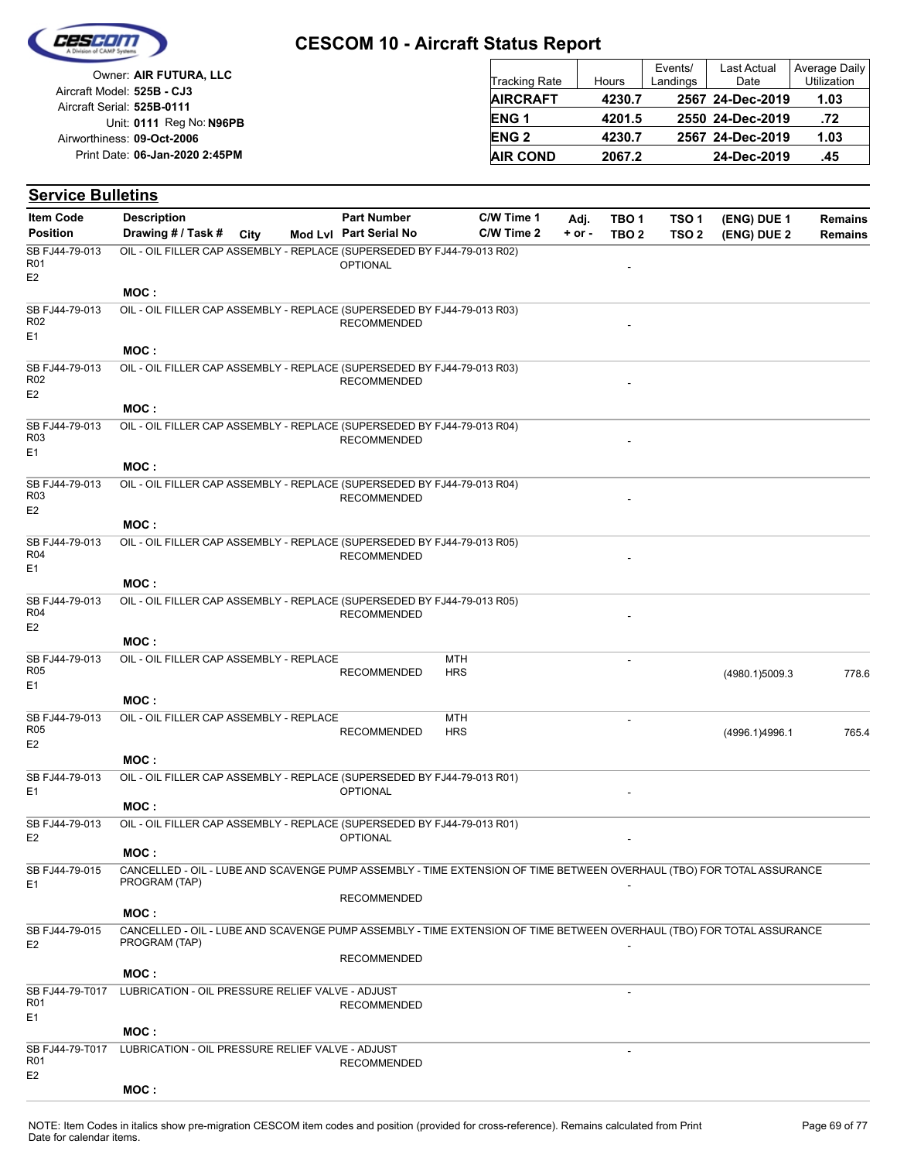

| Owner: AIR FUTURA, LLC                                   | <b>Tracking Rate</b> | Hours  | Events/<br>Landings | <b>Last Actual</b><br>Date | Average Daily<br>Utilization |
|----------------------------------------------------------|----------------------|--------|---------------------|----------------------------|------------------------------|
| Aircraft Model: 525B - CJ3<br>Aircraft Serial: 525B-0111 | <b>AIRCRAFT</b>      | 4230.7 |                     | 2567 24-Dec-2019           | 1.03                         |
| Unit: 0111 Reg No: N96PB                                 | <b>ENG1</b>          | 4201.5 |                     | 2550 24-Dec-2019           | .72                          |
| Airworthiness: 09-Oct-2006                               | <b>ENG 2</b>         | 4230.7 |                     | 2567 24-Dec-2019           | 1.03                         |
| Print Date: 06-Jan-2020 2:45PM                           | <b>AIR COND</b>      | 2067.2 |                     | 24-Dec-2019                | .45                          |

| <b>Item Code</b>                                     | <b>Description</b>                                                                                                                     | <b>Part Number</b>     |            | C/W Time 1 | Adj.       | TBO <sub>1</sub>         | TSO <sub>1</sub> | (ENG) DUE 1    | <b>Remains</b> |
|------------------------------------------------------|----------------------------------------------------------------------------------------------------------------------------------------|------------------------|------------|------------|------------|--------------------------|------------------|----------------|----------------|
| <b>Position</b>                                      | Drawing # / Task #<br>City                                                                                                             | Mod Lvl Part Serial No |            | C/W Time 2 | $+$ or $-$ | TBO <sub>2</sub>         | TSO <sub>2</sub> | (ENG) DUE 2    | <b>Remains</b> |
| SB FJ44-79-013<br>R <sub>01</sub><br>E <sub>2</sub>  | OIL - OIL FILLER CAP ASSEMBLY - REPLACE (SUPERSEDED BY FJ44-79-013 R02)                                                                | <b>OPTIONAL</b>        |            |            |            |                          |                  |                |                |
|                                                      | MOC:                                                                                                                                   |                        |            |            |            |                          |                  |                |                |
| SB FJ44-79-013<br>R <sub>02</sub><br>E <sub>1</sub>  | OIL - OIL FILLER CAP ASSEMBLY - REPLACE (SUPERSEDED BY FJ44-79-013 R03)                                                                | <b>RECOMMENDED</b>     |            |            |            |                          |                  |                |                |
|                                                      | MOC:                                                                                                                                   |                        |            |            |            |                          |                  |                |                |
| SB FJ44-79-013<br>R <sub>02</sub><br>E <sub>2</sub>  | OIL - OIL FILLER CAP ASSEMBLY - REPLACE (SUPERSEDED BY FJ44-79-013 R03)                                                                | <b>RECOMMENDED</b>     |            |            |            |                          |                  |                |                |
|                                                      | MOC:                                                                                                                                   |                        |            |            |            |                          |                  |                |                |
| SB FJ44-79-013<br>R <sub>03</sub><br>E <sub>1</sub>  | OIL - OIL FILLER CAP ASSEMBLY - REPLACE (SUPERSEDED BY FJ44-79-013 R04)                                                                | <b>RECOMMENDED</b>     |            |            |            |                          |                  |                |                |
|                                                      | MOC:                                                                                                                                   |                        |            |            |            |                          |                  |                |                |
| SB FJ44-79-013<br>R <sub>03</sub><br>E <sub>2</sub>  | OIL - OIL FILLER CAP ASSEMBLY - REPLACE (SUPERSEDED BY FJ44-79-013 R04)                                                                | <b>RECOMMENDED</b>     |            |            |            |                          |                  |                |                |
|                                                      | MOC:                                                                                                                                   |                        |            |            |            |                          |                  |                |                |
| SB FJ44-79-013<br><b>R04</b><br>E <sub>1</sub>       | OIL - OIL FILLER CAP ASSEMBLY - REPLACE (SUPERSEDED BY FJ44-79-013 R05)                                                                | <b>RECOMMENDED</b>     |            |            |            |                          |                  |                |                |
|                                                      | MOC:                                                                                                                                   |                        |            |            |            |                          |                  |                |                |
| SB FJ44-79-013<br>R <sub>04</sub><br>E <sub>2</sub>  | OIL - OIL FILLER CAP ASSEMBLY - REPLACE (SUPERSEDED BY FJ44-79-013 R05)                                                                | <b>RECOMMENDED</b>     |            |            |            |                          |                  |                |                |
|                                                      | MOC:                                                                                                                                   |                        |            |            |            |                          |                  |                |                |
| SB FJ44-79-013                                       | OIL - OIL FILLER CAP ASSEMBLY - REPLACE                                                                                                |                        | MTH        |            |            |                          |                  |                |                |
| <b>R05</b><br>E <sub>1</sub>                         |                                                                                                                                        | <b>RECOMMENDED</b>     | <b>HRS</b> |            |            |                          |                  | (4980.1)5009.3 | 778.6          |
|                                                      | MOC:                                                                                                                                   |                        |            |            |            |                          |                  |                |                |
| SB FJ44-79-013                                       | OIL - OIL FILLER CAP ASSEMBLY - REPLACE                                                                                                |                        | <b>MTH</b> |            |            | $\overline{\phantom{a}}$ |                  |                |                |
| <b>R05</b><br>E <sub>2</sub>                         |                                                                                                                                        | <b>RECOMMENDED</b>     | <b>HRS</b> |            |            |                          |                  | (4996.1)4996.1 | 765.4          |
|                                                      | MOC:                                                                                                                                   |                        |            |            |            |                          |                  |                |                |
| SB FJ44-79-013<br>E <sub>1</sub>                     | OIL - OIL FILLER CAP ASSEMBLY - REPLACE (SUPERSEDED BY FJ44-79-013 R01)                                                                | <b>OPTIONAL</b>        |            |            |            |                          |                  |                |                |
|                                                      | MOC:                                                                                                                                   |                        |            |            |            |                          |                  |                |                |
| SB FJ44-79-013<br>E <sub>2</sub>                     | OIL - OIL FILLER CAP ASSEMBLY - REPLACE (SUPERSEDED BY FJ44-79-013 R01)                                                                | <b>OPTIONAL</b>        |            |            |            |                          |                  |                |                |
|                                                      | MOC:                                                                                                                                   |                        |            |            |            |                          |                  |                |                |
| SB FJ44-79-015<br>E <sub>1</sub>                     | CANCELLED - OIL - LUBE AND SCAVENGE PUMP ASSEMBLY - TIME EXTENSION OF TIME BETWEEN OVERHAUL (TBO) FOR TOTAL ASSURANCE<br>PROGRAM (TAP) | <b>RECOMMENDED</b>     |            |            |            |                          |                  |                |                |
|                                                      | MOC:                                                                                                                                   |                        |            |            |            |                          |                  |                |                |
| SB FJ44-79-015<br>E <sub>2</sub>                     | CANCELLED - OIL - LUBE AND SCAVENGE PUMP ASSEMBLY - TIME EXTENSION OF TIME BETWEEN OVERHAUL (TBO) FOR TOTAL ASSURANCE<br>PROGRAM (TAP) |                        |            |            |            |                          |                  |                |                |
|                                                      |                                                                                                                                        | <b>RECOMMENDED</b>     |            |            |            |                          |                  |                |                |
|                                                      | MOC:                                                                                                                                   |                        |            |            |            |                          |                  |                |                |
| SB FJ44-79-T017<br>R <sub>01</sub><br>E1             | LUBRICATION - OIL PRESSURE RELIEF VALVE - ADJUST                                                                                       | <b>RECOMMENDED</b>     |            |            |            |                          |                  |                |                |
|                                                      | MOC:                                                                                                                                   |                        |            |            |            |                          |                  |                |                |
| SB FJ44-79-T017<br>R <sub>01</sub><br>E <sub>2</sub> | LUBRICATION - OIL PRESSURE RELIEF VALVE - ADJUST                                                                                       | <b>RECOMMENDED</b>     |            |            |            |                          |                  |                |                |
|                                                      | MOC:                                                                                                                                   |                        |            |            |            |                          |                  |                |                |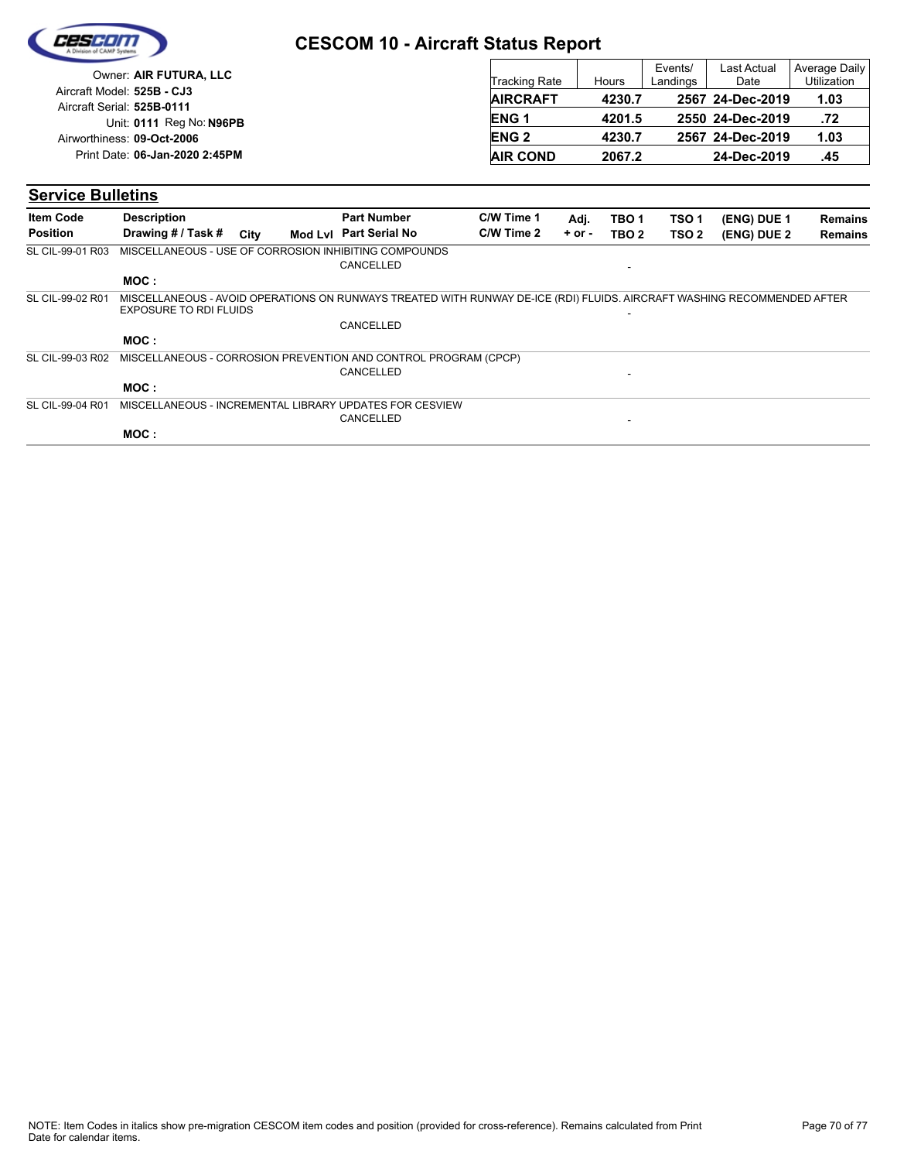| CESCIDI |  |
|---------|--|
|         |  |
|         |  |

| Owner: AIR FUTURA, LLC                                   | Tracking Rate   | Hours  | Events/<br>Landings | <b>Last Actual</b><br>Date | Average Daily<br><b>Utilization</b> |
|----------------------------------------------------------|-----------------|--------|---------------------|----------------------------|-------------------------------------|
| Aircraft Model: 525B - CJ3<br>Aircraft Serial: 525B-0111 | <b>AIRCRAFT</b> | 4230.7 |                     | 2567 24-Dec-2019           | 1.03                                |
| Unit: 0111 Reg No: N96PB                                 | <b>ENG1</b>     | 4201.5 |                     | 2550 24-Dec-2019           | .72                                 |
| Airworthiness: 09-Oct-2006                               | <b>ENG 2</b>    | 4230.7 |                     | 2567 24-Dec-2019           | 1.03                                |
| Print Date: 06-Jan-2020 2:45PM                           | <b>AIR COND</b> | 2067.2 |                     | 24-Dec-2019                | .45                                 |

| <b>Item Code</b> | <b>Description</b>            |      | <b>Part Number</b>                                                                                                      | C/W Time 1 | Adj.       | TBO <sub>1</sub>         | TSO <sub>1</sub> | (ENG) DUE 1 | <b>Remains</b> |
|------------------|-------------------------------|------|-------------------------------------------------------------------------------------------------------------------------|------------|------------|--------------------------|------------------|-------------|----------------|
| <b>Position</b>  | Drawing # / Task #            | City | Mod Lyl Part Serial No                                                                                                  | C/W Time 2 | $+$ or $-$ | TBO <sub>2</sub>         | TSO <sub>2</sub> | (ENG) DUE 2 | <b>Remains</b> |
| SL CIL-99-01 R03 |                               |      | MISCELLANEOUS - USE OF CORROSION INHIBITING COMPOUNDS<br>CANCELLED                                                      |            |            |                          |                  |             |                |
|                  | MOC :                         |      |                                                                                                                         |            |            |                          |                  |             |                |
| SL CIL-99-02 R01 | <b>EXPOSURE TO RDI FLUIDS</b> |      | MISCELLANEOUS - AVOID OPERATIONS ON RUNWAYS TREATED WITH RUNWAY DE-ICE (RDI) FLUIDS. AIRCRAFT WASHING RECOMMENDED AFTER |            |            | ٠                        |                  |             |                |
|                  |                               |      | CANCELLED                                                                                                               |            |            |                          |                  |             |                |
|                  | MOC :                         |      |                                                                                                                         |            |            |                          |                  |             |                |
| SL CIL-99-03 R02 |                               |      | MISCELLANEOUS - CORROSION PREVENTION AND CONTROL PROGRAM (CPCP)                                                         |            |            |                          |                  |             |                |
|                  |                               |      | CANCELLED                                                                                                               |            |            | $\overline{\phantom{0}}$ |                  |             |                |
|                  | MOC:                          |      |                                                                                                                         |            |            |                          |                  |             |                |
| SL CIL-99-04 R01 |                               |      | MISCELLANEOUS - INCREMENTAL LIBRARY UPDATES FOR CESVIEW                                                                 |            |            |                          |                  |             |                |
|                  |                               |      | CANCELLED                                                                                                               |            |            | $\overline{\phantom{0}}$ |                  |             |                |
|                  | MOC:                          |      |                                                                                                                         |            |            |                          |                  |             |                |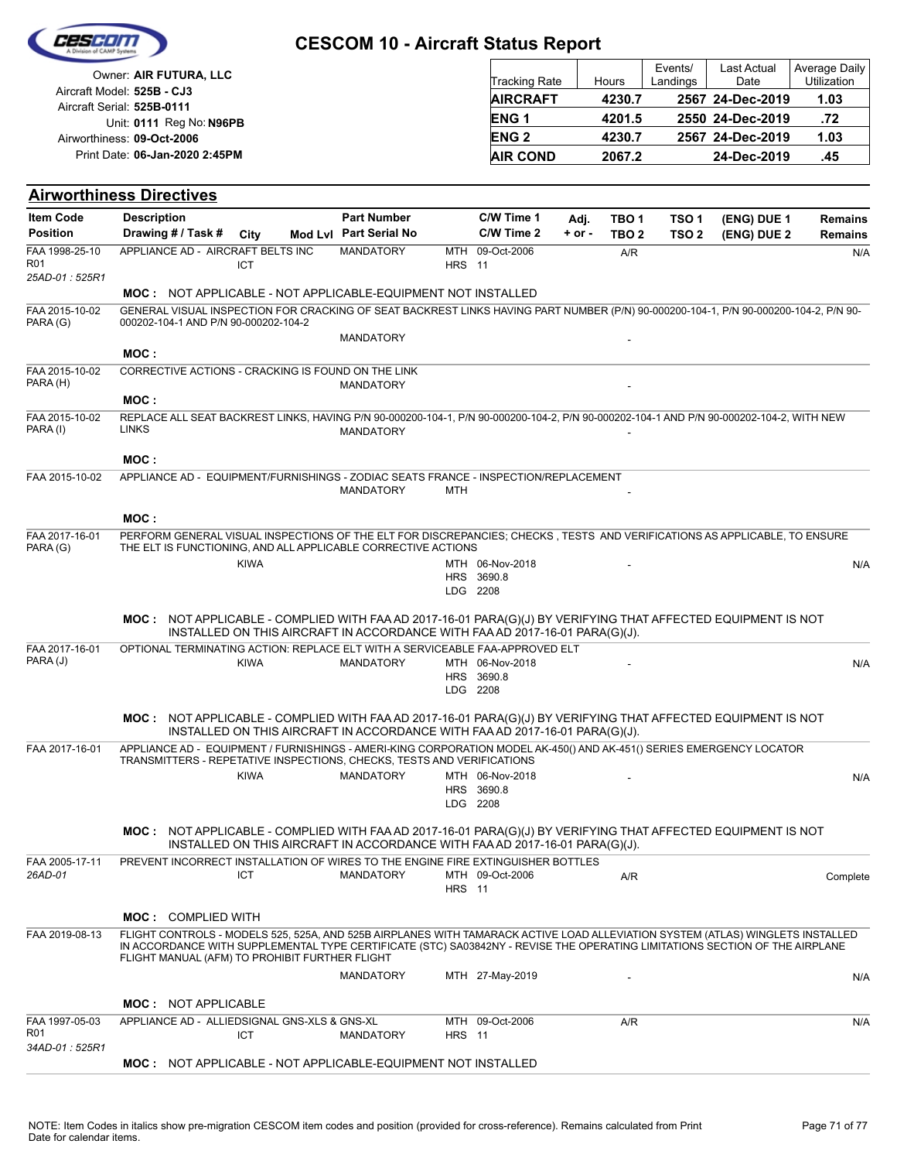| Cesein |
|--------|
|        |
|        |

| Owner: AIR FUTURA, LLC                                   | <b>Tracking Rate</b> | Hours  | Events/<br>Landings | Last Actual<br>Date | Average Daily<br><b>Utilization</b> |
|----------------------------------------------------------|----------------------|--------|---------------------|---------------------|-------------------------------------|
| Aircraft Model: 525B - CJ3<br>Aircraft Serial: 525B-0111 | <b>AIRCRAFT</b>      | 4230.7 |                     | 2567 24-Dec-2019    | 1.03                                |
| Unit: 0111 Reg No: N96PB                                 | <b>ENG1</b>          | 4201.5 |                     | 2550 24-Dec-2019    | .72                                 |
| Airworthiness: 09-Oct-2006                               | <b>ENG 2</b>         | 4230.7 |                     | 2567 24-Dec-2019    | 1.03                                |
| Print Date: 06-Jan-2020 2:45PM                           | <b>AIR COND</b>      | 2067.2 |                     | 24-Dec-2019         | .45                                 |

### **Airworthiness Directives**

| <b>Item Code</b>                  | <b>Description</b>                                                                                                                                                                                                                                                                                              |             | <b>Part Number</b>                                                          |               | C/W Time 1                                | Adj.       | TBO <sub>1</sub> | TSO <sub>1</sub> | (ENG) DUE 1 | Remains        |
|-----------------------------------|-----------------------------------------------------------------------------------------------------------------------------------------------------------------------------------------------------------------------------------------------------------------------------------------------------------------|-------------|-----------------------------------------------------------------------------|---------------|-------------------------------------------|------------|------------------|------------------|-------------|----------------|
| <b>Position</b>                   | Drawing # / Task #                                                                                                                                                                                                                                                                                              | City        | Mod Lvl Part Serial No                                                      |               | C/W Time 2                                | $+$ or $-$ | TBO <sub>2</sub> | TSO <sub>2</sub> | (ENG) DUE 2 | <b>Remains</b> |
| FAA 1998-25-10<br>R <sub>01</sub> | APPLIANCE AD - AIRCRAFT BELTS INC                                                                                                                                                                                                                                                                               | <b>ICT</b>  | <b>MANDATORY</b>                                                            | <b>HRS</b> 11 | MTH 09-Oct-2006                           |            | A/R              |                  |             | N/A            |
| 25AD-01:525R1                     |                                                                                                                                                                                                                                                                                                                 |             |                                                                             |               |                                           |            |                  |                  |             |                |
|                                   | <b>MOC: NOT APPLICABLE - NOT APPLICABLE-EQUIPMENT NOT INSTALLED</b>                                                                                                                                                                                                                                             |             |                                                                             |               |                                           |            |                  |                  |             |                |
| FAA 2015-10-02<br>PARA (G)        | GENERAL VISUAL INSPECTION FOR CRACKING OF SEAT BACKREST LINKS HAVING PART NUMBER (P/N) 90-000200-104-1, P/N 90-000200-104-2, P/N 90-<br>000202-104-1 AND P/N 90-000202-104-2                                                                                                                                    |             |                                                                             |               |                                           |            |                  |                  |             |                |
|                                   | MOC:                                                                                                                                                                                                                                                                                                            |             | MANDATORY                                                                   |               |                                           |            |                  |                  |             |                |
| FAA 2015-10-02<br>PARA (H)        | CORRECTIVE ACTIONS - CRACKING IS FOUND ON THE LINK                                                                                                                                                                                                                                                              |             | <b>MANDATORY</b>                                                            |               |                                           |            |                  |                  |             |                |
|                                   | MOC:                                                                                                                                                                                                                                                                                                            |             |                                                                             |               |                                           |            |                  |                  |             |                |
| FAA 2015-10-02<br>PARA (I)        | REPLACE ALL SEAT BACKREST LINKS, HAVING P/N 90-000200-104-1, P/N 90-000200-104-2, P/N 90-000202-104-1 AND P/N 90-000202-104-2, WITH NEW<br><b>LINKS</b>                                                                                                                                                         |             | <b>MANDATORY</b>                                                            |               |                                           |            |                  |                  |             |                |
|                                   | MOC:                                                                                                                                                                                                                                                                                                            |             |                                                                             |               |                                           |            |                  |                  |             |                |
| FAA 2015-10-02                    | APPLIANCE AD - EQUIPMENT/FURNISHINGS - ZODIAC SEATS FRANCE - INSPECTION/REPLACEMENT                                                                                                                                                                                                                             |             | <b>MANDATORY</b>                                                            | MTH           |                                           |            |                  |                  |             |                |
|                                   | MOC:                                                                                                                                                                                                                                                                                                            |             |                                                                             |               |                                           |            |                  |                  |             |                |
| FAA 2017-16-01<br>PARA (G)        | PERFORM GENERAL VISUAL INSPECTIONS OF THE ELT FOR DISCREPANCIES; CHECKS, TESTS AND VERIFICATIONS AS APPLICABLE, TO ENSURE<br>THE ELT IS FUNCTIONING, AND ALL APPLICABLE CORRECTIVE ACTIONS                                                                                                                      |             |                                                                             |               |                                           |            |                  |                  |             |                |
|                                   |                                                                                                                                                                                                                                                                                                                 | <b>KIWA</b> |                                                                             |               | MTH 06-Nov-2018                           |            |                  |                  |             | N/A            |
|                                   |                                                                                                                                                                                                                                                                                                                 |             |                                                                             |               | HRS 3690.8<br>LDG 2208                    |            |                  |                  |             |                |
|                                   | MOC: NOT APPLICABLE - COMPLIED WITH FAA AD 2017-16-01 PARA(G)(J) BY VERIFYING THAT AFFECTED EQUIPMENT IS NOT                                                                                                                                                                                                    |             | INSTALLED ON THIS AIRCRAFT IN ACCORDANCE WITH FAA AD 2017-16-01 PARA(G)(J). |               |                                           |            |                  |                  |             |                |
| FAA 2017-16-01                    | OPTIONAL TERMINATING ACTION: REPLACE ELT WITH A SERVICEABLE FAA-APPROVED ELT                                                                                                                                                                                                                                    |             |                                                                             |               |                                           |            |                  |                  |             |                |
| PARA (J)                          |                                                                                                                                                                                                                                                                                                                 | <b>KIWA</b> | <b>MANDATORY</b>                                                            |               | MTH 06-Nov-2018<br>HRS 3690.8<br>LDG 2208 |            |                  |                  |             | N/A            |
|                                   | MOC: NOT APPLICABLE - COMPLIED WITH FAA AD 2017-16-01 PARA(G)(J) BY VERIFYING THAT AFFECTED EQUIPMENT IS NOT                                                                                                                                                                                                    |             | INSTALLED ON THIS AIRCRAFT IN ACCORDANCE WITH FAA AD 2017-16-01 PARA(G)(J). |               |                                           |            |                  |                  |             |                |
| FAA 2017-16-01                    | APPLIANCE AD - EQUIPMENT / FURNISHINGS - AMERI-KING CORPORATION MODEL AK-450() AND AK-451() SERIES EMERGENCY LOCATOR<br>TRANSMITTERS - REPETATIVE INSPECTIONS, CHECKS, TESTS AND VERIFICATIONS                                                                                                                  |             |                                                                             |               |                                           |            |                  |                  |             |                |
|                                   |                                                                                                                                                                                                                                                                                                                 | <b>KIWA</b> | <b>MANDATORY</b>                                                            |               | MTH 06-Nov-2018                           |            |                  |                  |             | N/A            |
|                                   |                                                                                                                                                                                                                                                                                                                 |             |                                                                             |               | HRS 3690.8<br>LDG 2208                    |            |                  |                  |             |                |
|                                   | MOC: NOT APPLICABLE - COMPLIED WITH FAA AD 2017-16-01 PARA(G)(J) BY VERIFYING THAT AFFECTED EQUIPMENT IS NOT                                                                                                                                                                                                    |             | INSTALLED ON THIS AIRCRAFT IN ACCORDANCE WITH FAA AD 2017-16-01 PARA(G)(J). |               |                                           |            |                  |                  |             |                |
| FAA 2005-17-11                    | PREVENT INCORRECT INSTALLATION OF WIRES TO THE ENGINE FIRE EXTINGUISHER BOTTLES                                                                                                                                                                                                                                 |             |                                                                             |               |                                           |            |                  |                  |             |                |
| 26AD-01                           |                                                                                                                                                                                                                                                                                                                 | <b>ICT</b>  | <b>MANDATORY</b>                                                            | <b>HRS</b> 11 | MTH 09-Oct-2006                           |            | A/R              |                  |             | Complete       |
|                                   | <b>MOC: COMPLIED WITH</b>                                                                                                                                                                                                                                                                                       |             |                                                                             |               |                                           |            |                  |                  |             |                |
| FAA 2019-08-13                    | FLIGHT CONTROLS - MODELS 525, 525A, AND 525B AIRPLANES WITH TAMARACK ACTIVE LOAD ALLEVIATION SYSTEM (ATLAS) WINGLETS INSTALLED<br>IN ACCORDANCE WITH SUPPLEMENTAL TYPE CERTIFICATE (STC) SA03842NY - REVISE THE OPERATING LIMITATIONS SECTION OF THE AIRPLANE<br>FLIGHT MANUAL (AFM) TO PROHIBIT FURTHER FLIGHT |             |                                                                             |               |                                           |            |                  |                  |             |                |
|                                   |                                                                                                                                                                                                                                                                                                                 |             | <b>MANDATORY</b>                                                            |               | MTH 27-May-2019                           |            |                  |                  |             | N/A            |
|                                   | <b>MOC: NOT APPLICABLE</b>                                                                                                                                                                                                                                                                                      |             |                                                                             |               |                                           |            |                  |                  |             |                |
| FAA 1997-05-03<br><b>R01</b>      | APPLIANCE AD - ALLIEDSIGNAL GNS-XLS & GNS-XL                                                                                                                                                                                                                                                                    | ICT         | <b>MANDATORY</b>                                                            | <b>HRS</b> 11 | MTH 09-Oct-2006                           |            | A/R              |                  |             | N/A            |
| 34AD-01: 525R1                    | MOC: NOT APPLICABLE - NOT APPLICABLE-EQUIPMENT NOT INSTALLED                                                                                                                                                                                                                                                    |             |                                                                             |               |                                           |            |                  |                  |             |                |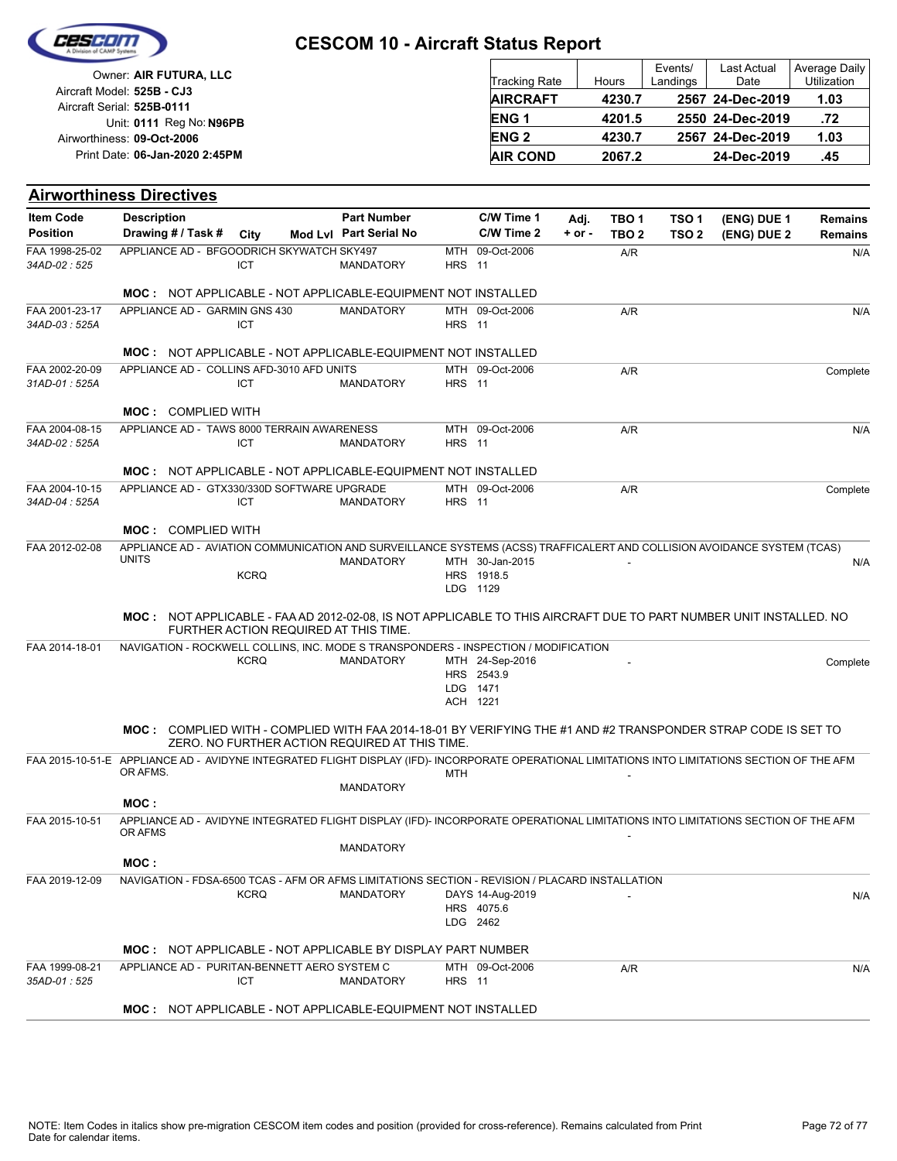

| Owner: AIR FUTURA, LLC                                   | <b>Tracking Rate</b>   | Hours  | Events/<br>Landings | Last Actual<br>Date | Average Daily<br><b>Utilization</b> |
|----------------------------------------------------------|------------------------|--------|---------------------|---------------------|-------------------------------------|
| Aircraft Model: 525B - CJ3<br>Aircraft Serial: 525B-0111 | <b>AIRCRAFT</b>        | 4230.7 |                     | 2567 24-Dec-2019    | 1.03                                |
| Unit: 0111 Reg No: N96PB                                 | <b>ENG1</b>            | 4201.5 |                     | 2550 24-Dec-2019    | .72                                 |
| Airworthiness: 09-Oct-2006                               | <b>ENG<sub>2</sub></b> | 4230.7 |                     | 2567 24-Dec-2019    | 1.03                                |
| Print Date: 06-Jan-2020 2:45PM                           | <b>AIR COND</b>        | 2067.2 |                     | 24-Dec-2019         | .45                                 |

#### **Airworthiness Directives**

| <b>Item Code</b>                | <b>Description</b>                                                                                                                                           |             | <b>Part Number</b>                             |               | C/W Time 1                    | Adj.       | TBO 1            | TSO 1            | (ENG) DUE 1 | <b>Remains</b> |
|---------------------------------|--------------------------------------------------------------------------------------------------------------------------------------------------------------|-------------|------------------------------------------------|---------------|-------------------------------|------------|------------------|------------------|-------------|----------------|
| <b>Position</b>                 | Drawing # / Task #                                                                                                                                           | City        | Mod Lvl Part Serial No                         |               | C/W Time 2                    | $+$ or $-$ | TBO <sub>2</sub> | TSO <sub>2</sub> | (ENG) DUE 2 | <b>Remains</b> |
| FAA 1998-25-02<br>34AD-02:525   | APPLIANCE AD - BFGOODRICH SKYWATCH SKY497                                                                                                                    | ICT         | <b>MANDATORY</b>                               | <b>HRS</b> 11 | MTH 09-Oct-2006               |            | A/R              |                  |             | N/A            |
|                                 | <b>MOC: NOT APPLICABLE - NOT APPLICABLE-EQUIPMENT NOT INSTALLED</b>                                                                                          |             |                                                |               |                               |            |                  |                  |             |                |
| FAA 2001-23-17<br>34AD-03: 525A | APPLIANCE AD - GARMIN GNS 430                                                                                                                                | ICT         | <b>MANDATORY</b>                               | <b>HRS</b> 11 | MTH 09-Oct-2006               |            | A/R              |                  |             | N/A            |
|                                 | <b>MOC: NOT APPLICABLE - NOT APPLICABLE-EQUIPMENT NOT INSTALLED</b>                                                                                          |             |                                                |               |                               |            |                  |                  |             |                |
| FAA 2002-20-09                  | APPLIANCE AD - COLLINS AFD-3010 AFD UNITS                                                                                                                    |             |                                                |               | MTH 09-Oct-2006               |            | A/R              |                  |             | Complete       |
| 31AD-01: 525A                   |                                                                                                                                                              | ICT         | <b>MANDATORY</b>                               | <b>HRS</b> 11 |                               |            |                  |                  |             |                |
|                                 | <b>MOC: COMPLIED WITH</b>                                                                                                                                    |             |                                                |               |                               |            |                  |                  |             |                |
| FAA 2004-08-15<br>34AD-02: 525A | APPLIANCE AD - TAWS 8000 TERRAIN AWARENESS                                                                                                                   | ICT         | <b>MANDATORY</b>                               | <b>HRS</b> 11 | MTH 09-Oct-2006               |            | A/R              |                  |             | N/A            |
|                                 | <b>MOC: NOT APPLICABLE - NOT APPLICABLE-EQUIPMENT NOT INSTALLED</b>                                                                                          |             |                                                |               |                               |            |                  |                  |             |                |
| FAA 2004-10-15                  | APPLIANCE AD - GTX330/330D SOFTWARE UPGRADE                                                                                                                  |             |                                                |               | MTH 09-Oct-2006               |            | A/R              |                  |             | Complete       |
| 34AD-04 : 525A                  |                                                                                                                                                              | ICT         | <b>MANDATORY</b>                               | <b>HRS</b> 11 |                               |            |                  |                  |             |                |
|                                 | <b>MOC: COMPLIED WITH</b>                                                                                                                                    |             |                                                |               |                               |            |                  |                  |             |                |
| FAA 2012-02-08                  | APPLIANCE AD - AVIATION COMMUNICATION AND SURVEILLANCE SYSTEMS (ACSS) TRAFFICALERT AND COLLISION AVOIDANCE SYSTEM (TCAS)<br><b>UNITS</b>                     |             |                                                |               |                               |            |                  |                  |             |                |
|                                 |                                                                                                                                                              | <b>KCRQ</b> | <b>MANDATORY</b>                               |               | MTH 30-Jan-2015<br>HRS 1918.5 |            |                  |                  |             | N/A            |
|                                 |                                                                                                                                                              |             |                                                |               | LDG 1129                      |            |                  |                  |             |                |
|                                 | MOC: NOT APPLICABLE - FAA AD 2012-02-08. IS NOT APPLICABLE TO THIS AIRCRAFT DUE TO PART NUMBER UNIT INSTALLED. NO                                            |             | FURTHER ACTION REQUIRED AT THIS TIME.          |               |                               |            |                  |                  |             |                |
| FAA 2014-18-01                  | NAVIGATION - ROCKWELL COLLINS, INC. MODE S TRANSPONDERS - INSPECTION / MODIFICATION                                                                          |             |                                                |               |                               |            |                  |                  |             |                |
|                                 |                                                                                                                                                              | <b>KCRQ</b> | <b>MANDATORY</b>                               |               | MTH 24-Sep-2016<br>HRS 2543.9 |            |                  |                  |             | Complete       |
|                                 |                                                                                                                                                              |             |                                                |               | LDG 1471                      |            |                  |                  |             |                |
|                                 |                                                                                                                                                              |             |                                                |               | ACH 1221                      |            |                  |                  |             |                |
|                                 | MOC: COMPLIED WITH - COMPLIED WITH FAA 2014-18-01 BY VERIFYING THE #1 AND #2 TRANSPONDER STRAP CODE IS SET TO                                                |             | ZERO. NO FURTHER ACTION REQUIRED AT THIS TIME. |               |                               |            |                  |                  |             |                |
|                                 | FAA 2015-10-51-E APPLIANCE AD - AVIDYNE INTEGRATED FLIGHT DISPLAY (IFD)- INCORPORATE OPERATIONAL LIMITATIONS INTO LIMITATIONS SECTION OF THE AFM<br>OR AFMS. |             |                                                |               |                               |            |                  |                  |             |                |
|                                 |                                                                                                                                                              |             | <b>MANDATORY</b>                               | <b>MTH</b>    |                               |            |                  |                  |             |                |
|                                 | MOC:                                                                                                                                                         |             |                                                |               |                               |            |                  |                  |             |                |
| FAA 2015-10-51                  | APPLIANCE AD - AVIDYNE INTEGRATED FLIGHT DISPLAY (IFD)- INCORPORATE OPERATIONAL LIMITATIONS INTO LIMITATIONS SECTION OF THE AFM<br>OR AFMS                   |             |                                                |               |                               |            |                  |                  |             |                |
|                                 | MOC:                                                                                                                                                         |             | <b>MANDATORY</b>                               |               |                               |            |                  |                  |             |                |
| FAA 2019-12-09                  | NAVIGATION - FDSA-6500 TCAS - AFM OR AFMS LIMITATIONS SECTION - REVISION / PLACARD INSTALLATION                                                              |             |                                                |               |                               |            |                  |                  |             |                |
|                                 |                                                                                                                                                              | <b>KCRQ</b> | <b>MANDATORY</b>                               |               | DAYS 14-Aug-2019              |            |                  |                  |             | N/A            |
|                                 |                                                                                                                                                              |             |                                                |               | HRS 4075.6<br>LDG 2462        |            |                  |                  |             |                |
|                                 | <b>MOC: NOT APPLICABLE - NOT APPLICABLE BY DISPLAY PART NUMBER</b>                                                                                           |             |                                                |               |                               |            |                  |                  |             |                |
| FAA 1999-08-21<br>35AD-01 : 525 | APPLIANCE AD - PURITAN-BENNETT AERO SYSTEM C                                                                                                                 | <b>ICT</b>  | <b>MANDATORY</b>                               | <b>HRS</b> 11 | MTH 09-Oct-2006               |            | A/R              |                  |             | N/A            |
|                                 | <b>MOC: NOT APPLICABLE - NOT APPLICABLE-EQUIPMENT NOT INSTALLED</b>                                                                                          |             |                                                |               |                               |            |                  |                  |             |                |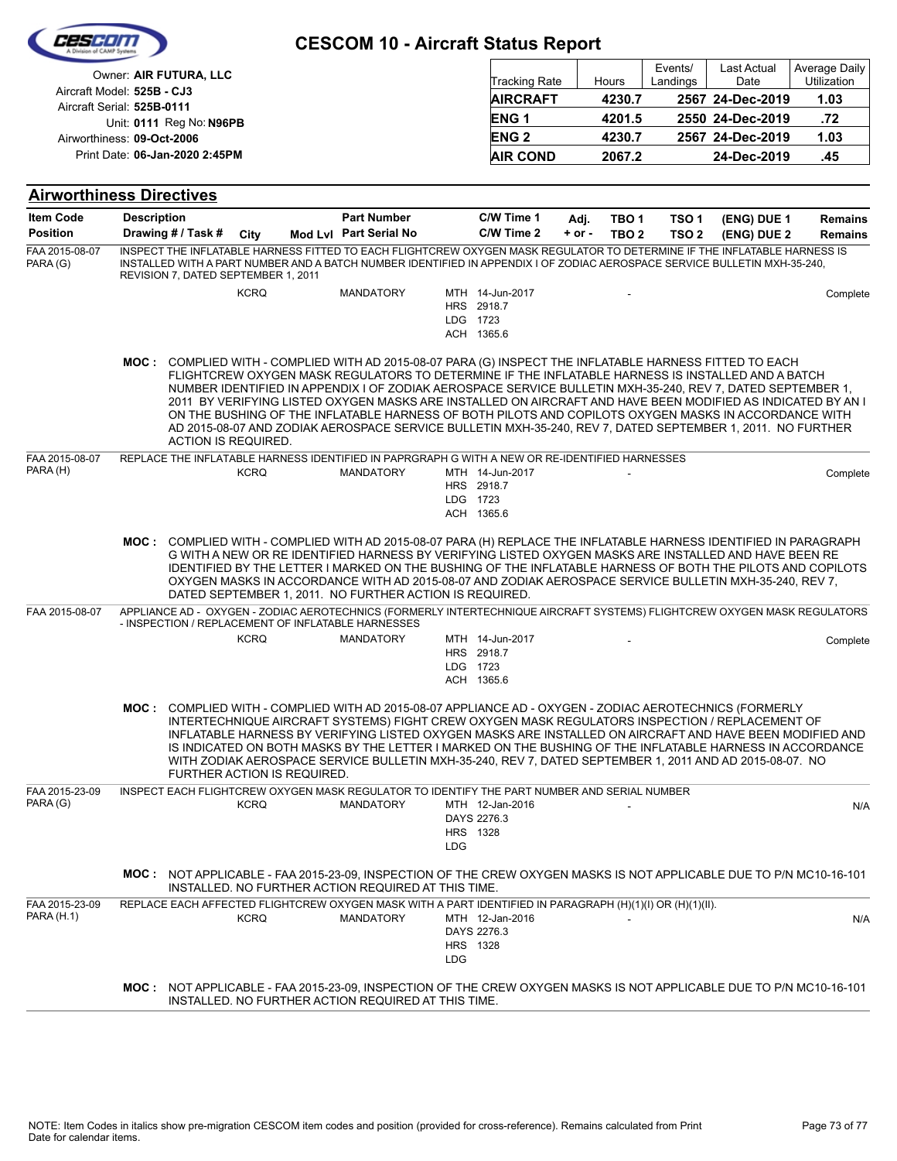| FEST                                |                                                                                                                                                                                                                                                                                              |                             | <b>CESCOM 10 - Aircraft Status Report</b>                                                                                                                                                                                                                                                                                                                                                                                                                                                                                                            |                               |                                             |                    |                           |                                      |                                                |                                      |
|-------------------------------------|----------------------------------------------------------------------------------------------------------------------------------------------------------------------------------------------------------------------------------------------------------------------------------------------|-----------------------------|------------------------------------------------------------------------------------------------------------------------------------------------------------------------------------------------------------------------------------------------------------------------------------------------------------------------------------------------------------------------------------------------------------------------------------------------------------------------------------------------------------------------------------------------------|-------------------------------|---------------------------------------------|--------------------|---------------------------|--------------------------------------|------------------------------------------------|--------------------------------------|
|                                     | Owner: AIR FUTURA, LLC<br>Aircraft Model: 525B - CJ3                                                                                                                                                                                                                                         |                             |                                                                                                                                                                                                                                                                                                                                                                                                                                                                                                                                                      |                               | <b>Tracking Rate</b><br><b>AIRCRAFT</b>     |                    | Hours<br>4230.7           | Events/<br>Landings                  | <b>Last Actual</b><br>Date<br>2567 24-Dec-2019 | Average Daily<br>Utilization<br>1.03 |
|                                     | Aircraft Serial: 525B-0111                                                                                                                                                                                                                                                                   |                             |                                                                                                                                                                                                                                                                                                                                                                                                                                                                                                                                                      |                               | ENG <sub>1</sub>                            |                    | 4201.5                    |                                      | 2550 24-Dec-2019                               | .72                                  |
|                                     | Unit: 0111 Reg No: N96PB<br>Airworthiness: 09-Oct-2006                                                                                                                                                                                                                                       |                             |                                                                                                                                                                                                                                                                                                                                                                                                                                                                                                                                                      |                               | ENG <sub>2</sub>                            |                    | 4230.7                    |                                      | 2567 24-Dec-2019                               | 1.03                                 |
|                                     | Print Date: 06-Jan-2020 2:45PM                                                                                                                                                                                                                                                               |                             |                                                                                                                                                                                                                                                                                                                                                                                                                                                                                                                                                      |                               | <b>AIR COND</b>                             |                    | 2067.2                    |                                      | 24-Dec-2019                                    | .45                                  |
|                                     |                                                                                                                                                                                                                                                                                              |                             |                                                                                                                                                                                                                                                                                                                                                                                                                                                                                                                                                      |                               |                                             |                    |                           |                                      |                                                |                                      |
| <b>Item Code</b>                    | <b>Airworthiness Directives</b><br><b>Description</b>                                                                                                                                                                                                                                        |                             | <b>Part Number</b>                                                                                                                                                                                                                                                                                                                                                                                                                                                                                                                                   |                               | C/W Time 1                                  |                    |                           |                                      |                                                |                                      |
| <b>Position</b>                     | Drawing # / Task #                                                                                                                                                                                                                                                                           | City                        | Mod Lvl Part Serial No                                                                                                                                                                                                                                                                                                                                                                                                                                                                                                                               |                               | C/W Time 2                                  | Adj.<br>$+$ or $-$ | TBO 1<br>TBO <sub>2</sub> | TSO <sub>1</sub><br>TSO <sub>2</sub> | (ENG) DUE 1<br>(ENG) DUE 2                     | <b>Remains</b><br><b>Remains</b>     |
| FAA 2015-08-07<br>PARA (G)          | INSPECT THE INFLATABLE HARNESS FITTED TO EACH FLIGHTCREW OXYGEN MASK REGULATOR TO DETERMINE IF THE INFLATABLE HARNESS IS<br>INSTALLED WITH A PART NUMBER AND A BATCH NUMBER IDENTIFIED IN APPENDIX I OF ZODIAC AEROSPACE SERVICE BULLETIN MXH-35-240,<br>REVISION 7, DATED SEPTEMBER 1, 2011 |                             |                                                                                                                                                                                                                                                                                                                                                                                                                                                                                                                                                      |                               |                                             |                    |                           |                                      |                                                |                                      |
|                                     |                                                                                                                                                                                                                                                                                              | <b>KCRQ</b>                 | <b>MANDATORY</b>                                                                                                                                                                                                                                                                                                                                                                                                                                                                                                                                     | LDG 1723                      | MTH 14-Jun-2017<br>HRS 2918.7<br>ACH 1365.6 |                    |                           |                                      |                                                | Complete                             |
|                                     | MOC: COMPLIED WITH - COMPLIED WITH AD 2015-08-07 PARA (G) INSPECT THE INFLATABLE HARNESS FITTED TO EACH<br><b>ACTION IS REQUIRED.</b>                                                                                                                                                        |                             | FLIGHTCREW OXYGEN MASK REGULATORS TO DETERMINE IF THE INFLATABLE HARNESS IS INSTALLED AND A BATCH<br>NUMBER IDENTIFIED IN APPENDIX I OF ZODIAK AEROSPACE SERVICE BULLETIN MXH-35-240. REV 7. DATED SEPTEMBER 1.<br>2011 BY VERIFYING LISTED OXYGEN MASKS ARE INSTALLED ON AIRCRAFT AND HAVE BEEN MODIFIED AS INDICATED BY AN I<br>ON THE BUSHING OF THE INFLATABLE HARNESS OF BOTH PILOTS AND COPILOTS OXYGEN MASKS IN ACCORDANCE WITH<br>AD 2015-08-07 AND ZODIAK AEROSPACE SERVICE BULLETIN MXH-35-240, REV 7, DATED SEPTEMBER 1, 2011. NO FURTHER |                               |                                             |                    |                           |                                      |                                                |                                      |
| FAA 2015-08-07<br>PARA (H)          | REPLACE THE INFLATABLE HARNESS IDENTIFIED IN PAPRGRAPH G WITH A NEW OR RE-IDENTIFIED HARNESSES                                                                                                                                                                                               | <b>KCRQ</b>                 | <b>MANDATORY</b>                                                                                                                                                                                                                                                                                                                                                                                                                                                                                                                                     | LDG 1723                      | MTH 14-Jun-2017<br>HRS 2918.7<br>ACH 1365.6 |                    |                           |                                      |                                                | Complete                             |
|                                     | MOC: COMPLIED WITH - COMPLIED WITH AD 2015-08-07 PARA (H) REPLACE THE INFLATABLE HARNESS IDENTIFIED IN PARAGRAPH                                                                                                                                                                             |                             | G WITH A NEW OR RE IDENTIFIED HARNESS BY VERIFYING LISTED OXYGEN MASKS ARE INSTALLED AND HAVE BEEN RE<br>IDENTIFIED BY THE LETTER I MARKED ON THE BUSHING OF THE INFLATABLE HARNESS OF BOTH THE PILOTS AND COPILOTS<br>OXYGEN MASKS IN ACCORDANCE WITH AD 2015-08-07 AND ZODIAK AEROSPACE SERVICE BULLETIN MXH-35-240, REV 7,<br>DATED SEPTEMBER 1, 2011. NO FURTHER ACTION IS REQUIRED.                                                                                                                                                             |                               |                                             |                    |                           |                                      |                                                |                                      |
| FAA 2015-08-07                      | APPLIANCE AD - OXYGEN - ZODIAC AEROTECHNICS (FORMERLY INTERTECHNIQUE AIRCRAFT SYSTEMS) FLIGHTCREW OXYGEN MASK REGULATORS<br>- INSPECTION / REPLACEMENT OF INFLATABLE HARNESSES                                                                                                               |                             |                                                                                                                                                                                                                                                                                                                                                                                                                                                                                                                                                      |                               |                                             |                    |                           |                                      |                                                |                                      |
|                                     |                                                                                                                                                                                                                                                                                              | <b>KCRQ</b>                 | <b>MANDATORY</b>                                                                                                                                                                                                                                                                                                                                                                                                                                                                                                                                     | LDG 1723                      | MTH 14-Jun-2017<br>HRS 2918.7<br>ACH 1365.6 |                    |                           |                                      |                                                | Complete                             |
|                                     | MOC: COMPLIED WITH - COMPLIED WITH AD 2015-08-07 APPLIANCE AD - OXYGEN - ZODIAC AEROTECHNICS (FORMERLY                                                                                                                                                                                       | FURTHER ACTION IS REQUIRED. | INTERTECHNIQUE AIRCRAFT SYSTEMS) FIGHT CREW OXYGEN MASK REGULATORS INSPECTION / REPLACEMENT OF<br>INFLATABLE HARNESS BY VERIFYING LISTED OXYGEN MASKS ARE INSTALLED ON AIRCRAFT AND HAVE BEEN MODIFIED AND<br>IS INDICATED ON BOTH MASKS BY THE LETTER I MARKED ON THE BUSHING OF THE INFLATABLE HARNESS IN ACCORDANCE<br>WITH ZODIAK AEROSPACE SERVICE BULLETIN MXH-35-240, REV 7, DATED SEPTEMBER 1, 2011 AND AD 2015-08-07. NO                                                                                                                    |                               |                                             |                    |                           |                                      |                                                |                                      |
| FAA 2015-23-09<br>PARA (G)          | INSPECT EACH FLIGHTCREW OXYGEN MASK REGULATOR TO IDENTIFY THE PART NUMBER AND SERIAL NUMBER                                                                                                                                                                                                  | <b>KCRQ</b>                 | <b>MANDATORY</b>                                                                                                                                                                                                                                                                                                                                                                                                                                                                                                                                     | <b>HRS</b> 1328<br><b>LDG</b> | MTH 12-Jan-2016<br>DAYS 2276.3              |                    |                           |                                      |                                                | N/A                                  |
|                                     | MOC: NOT APPLICABLE - FAA 2015-23-09. INSPECTION OF THE CREW OXYGEN MASKS IS NOT APPLICABLE DUE TO P/N MC10-16-101                                                                                                                                                                           |                             | INSTALLED. NO FURTHER ACTION REQUIRED AT THIS TIME.                                                                                                                                                                                                                                                                                                                                                                                                                                                                                                  |                               |                                             |                    |                           |                                      |                                                |                                      |
| FAA 2015-23-09<br><b>PARA (H.1)</b> | REPLACE EACH AFFECTED FLIGHTCREW OXYGEN MASK WITH A PART IDENTIFIED IN PARAGRAPH (H)(1)(I) OR (H)(1)(II).                                                                                                                                                                                    | <b>KCRQ</b>                 | <b>MANDATORY</b>                                                                                                                                                                                                                                                                                                                                                                                                                                                                                                                                     | HRS 1328<br><b>LDG</b>        | MTH 12-Jan-2016<br>DAYS 2276.3              |                    |                           |                                      |                                                | N/A                                  |
|                                     | MOC: NOT APPLICABLE - FAA 2015-23-09, INSPECTION OF THE CREW OXYGEN MASKS IS NOT APPLICABLE DUE TO P/N MC10-16-101                                                                                                                                                                           |                             | INSTALLED. NO FURTHER ACTION REQUIRED AT THIS TIME.                                                                                                                                                                                                                                                                                                                                                                                                                                                                                                  |                               |                                             |                    |                           |                                      |                                                |                                      |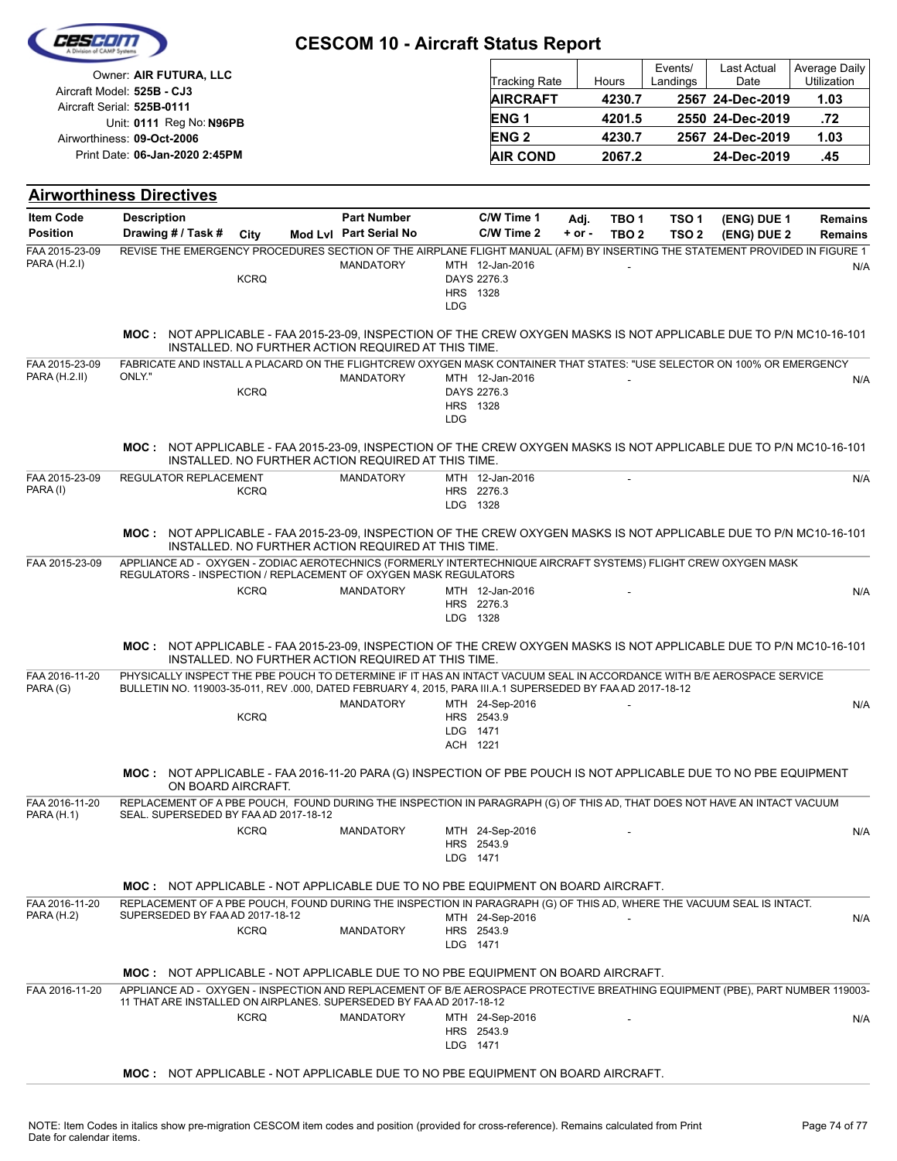| A Division of CAMP Systems                                                                                                                                                     |                                                                                                                                                                                                                                    |             |  |                                                     |            |                                                   |          |                  |                     |                     |                              |  |
|--------------------------------------------------------------------------------------------------------------------------------------------------------------------------------|------------------------------------------------------------------------------------------------------------------------------------------------------------------------------------------------------------------------------------|-------------|--|-----------------------------------------------------|------------|---------------------------------------------------|----------|------------------|---------------------|---------------------|------------------------------|--|
| Owner: AIR FUTURA, LLC<br>Aircraft Model: 525B - CJ3<br>Aircraft Serial: 525B-0111<br>Unit: 0111 Reg No: N96PB<br>Airworthiness: 09-Oct-2006<br>Print Date: 06-Jan-2020 2:45PM |                                                                                                                                                                                                                                    |             |  |                                                     |            | <b>Tracking Rate</b>                              |          | Hours            | Events/<br>Landings | Last Actual<br>Date | Average Daily<br>Utilization |  |
|                                                                                                                                                                                |                                                                                                                                                                                                                                    |             |  |                                                     |            | <b>AIRCRAFT</b>                                   |          | 4230.7           | 2567 24-Dec-2019    |                     | 1.03                         |  |
|                                                                                                                                                                                |                                                                                                                                                                                                                                    |             |  |                                                     |            | ENG <sub>1</sub>                                  |          | 4201.5           |                     | 2550 24-Dec-2019    | .72                          |  |
|                                                                                                                                                                                |                                                                                                                                                                                                                                    |             |  |                                                     |            | <b>ENG2</b>                                       |          | 4230.7           |                     | 2567 24-Dec-2019    | 1.03                         |  |
|                                                                                                                                                                                |                                                                                                                                                                                                                                    |             |  |                                                     |            | <b>AIR COND</b>                                   |          | 2067.2           |                     | 24-Dec-2019         | .45                          |  |
|                                                                                                                                                                                |                                                                                                                                                                                                                                    |             |  |                                                     |            |                                                   |          |                  |                     |                     |                              |  |
|                                                                                                                                                                                | <b>Airworthiness Directives</b>                                                                                                                                                                                                    |             |  |                                                     |            |                                                   |          |                  |                     |                     |                              |  |
| <b>Item Code</b>                                                                                                                                                               | <b>Description</b>                                                                                                                                                                                                                 |             |  | <b>Part Number</b>                                  |            | C/W Time 1                                        | Adj.     | TBO <sub>1</sub> | TSO 1               | (ENG) DUE 1         | <b>Remains</b>               |  |
| <b>Position</b>                                                                                                                                                                | Drawing # / Task #                                                                                                                                                                                                                 | City        |  | Mod Lvl Part Serial No                              |            | C/W Time 2                                        | $+ or -$ | TBO <sub>2</sub> | TSO <sub>2</sub>    | (ENG) DUE 2         | <b>Remains</b>               |  |
| FAA 2015-23-09<br>PARA (H.2.I)                                                                                                                                                 | REVISE THE EMERGENCY PROCEDURES SECTION OF THE AIRPLANE FLIGHT MANUAL (AFM) BY INSERTING THE STATEMENT PROVIDED IN FIGURE 1                                                                                                        | <b>KCRQ</b> |  | <b>MANDATORY</b>                                    | <b>LDG</b> | MTH 12-Jan-2016<br>DAYS 2276.3<br>HRS 1328        |          |                  |                     |                     | N/A                          |  |
|                                                                                                                                                                                | MOC: NOT APPLICABLE - FAA 2015-23-09, INSPECTION OF THE CREW OXYGEN MASKS IS NOT APPLICABLE DUE TO P/N MC10-16-101                                                                                                                 |             |  | INSTALLED. NO FURTHER ACTION REQUIRED AT THIS TIME. |            |                                                   |          |                  |                     |                     |                              |  |
| FAA 2015-23-09                                                                                                                                                                 | FABRICATE AND INSTALL A PLACARD ON THE FLIGHTCREW OXYGEN MASK CONTAINER THAT STATES: "USE SELECTOR ON 100% OR EMERGENCY                                                                                                            |             |  |                                                     |            |                                                   |          |                  |                     |                     |                              |  |
| PARA (H.2.II)                                                                                                                                                                  | ONLY."                                                                                                                                                                                                                             | <b>KCRQ</b> |  | <b>MANDATORY</b>                                    | <b>LDG</b> | MTH 12-Jan-2016<br>DAYS 2276.3<br><b>HRS</b> 1328 |          |                  |                     |                     | N/A                          |  |
|                                                                                                                                                                                | <b>MOC: NOT APPLICABLE - FAA 2015-23-09, INSPECTION OF THE CREW OXYGEN MASKS IS NOT APPLICABLE DUE TO P/N MC10-16-101</b>                                                                                                          |             |  | INSTALLED. NO FURTHER ACTION REQUIRED AT THIS TIME. |            |                                                   |          |                  |                     |                     |                              |  |
| FAA 2015-23-09<br>PARA (I)                                                                                                                                                     | REGULATOR REPLACEMENT                                                                                                                                                                                                              | <b>KCRQ</b> |  | <b>MANDATORY</b>                                    |            | MTH 12-Jan-2016<br>HRS 2276.3<br>LDG 1328         |          |                  |                     |                     | N/A                          |  |
|                                                                                                                                                                                | MOC: NOT APPLICABLE - FAA 2015-23-09, INSPECTION OF THE CREW OXYGEN MASKS IS NOT APPLICABLE DUE TO P/N MC10-16-101                                                                                                                 |             |  | INSTALLED. NO FURTHER ACTION REQUIRED AT THIS TIME. |            |                                                   |          |                  |                     |                     |                              |  |
| FAA 2015-23-09                                                                                                                                                                 | APPLIANCE AD - OXYGEN - ZODIAC AEROTECHNICS (FORMERLY INTERTECHNIQUE AIRCRAFT SYSTEMS) FLIGHT CREW OXYGEN MASK<br>REGULATORS - INSPECTION / REPLACEMENT OF OXYGEN MASK REGULATORS                                                  |             |  |                                                     |            |                                                   |          |                  |                     |                     |                              |  |
|                                                                                                                                                                                |                                                                                                                                                                                                                                    | <b>KCRQ</b> |  | <b>MANDATORY</b>                                    |            | MTH 12-Jan-2016<br>HRS 2276.3<br>LDG 1328         |          |                  |                     |                     | N/A                          |  |
|                                                                                                                                                                                | MOC: NOT APPLICABLE - FAA 2015-23-09, INSPECTION OF THE CREW OXYGEN MASKS IS NOT APPLICABLE DUE TO P/N MC10-16-101                                                                                                                 |             |  | INSTALLED. NO FURTHER ACTION REQUIRED AT THIS TIME. |            |                                                   |          |                  |                     |                     |                              |  |
| FAA 2016-11-20<br>PARA (G)                                                                                                                                                     | PHYSICALLY INSPECT THE PBE POUCH TO DETERMINE IF IT HAS AN INTACT VACUUM SEAL IN ACCORDANCE WITH B/E AEROSPACE SERVICE<br>BULLETIN NO. 119003-35-011, REV.000, DATED FEBRUARY 4, 2015, PARA III.A.1 SUPERSEDED BY FAAAD 2017-18-12 |             |  |                                                     |            |                                                   |          |                  |                     |                     |                              |  |
|                                                                                                                                                                                |                                                                                                                                                                                                                                    | <b>KCRQ</b> |  | MANDATORY                                           |            | MTH 24-Sep-2016<br>HRS 2543.9<br>LDG 1471         |          |                  |                     |                     | N/A                          |  |
|                                                                                                                                                                                |                                                                                                                                                                                                                                    |             |  |                                                     |            | ACH 1221                                          |          |                  |                     |                     |                              |  |
|                                                                                                                                                                                | MOC: NOT APPLICABLE - FAA 2016-11-20 PARA (G) INSPECTION OF PBE POUCH IS NOT APPLICABLE DUE TO NO PBE EQUIPMENT<br>ON BOARD AIRCRAFT.                                                                                              |             |  |                                                     |            |                                                   |          |                  |                     |                     |                              |  |
| FAA 2016-11-20<br><b>PARA (H.1)</b>                                                                                                                                            | REPLACEMENT OF A PBE POUCH, FOUND DURING THE INSPECTION IN PARAGRAPH (G) OF THIS AD, THAT DOES NOT HAVE AN INTACT VACUUM<br>SEAL. SUPERSEDED BY FAA AD 2017-18-12                                                                  |             |  |                                                     |            |                                                   |          |                  |                     |                     |                              |  |
|                                                                                                                                                                                |                                                                                                                                                                                                                                    | <b>KCRQ</b> |  | MANDATORY                                           |            | MTH 24-Sep-2016<br>HRS 2543.9<br>LDG 1471         |          |                  |                     |                     | N/A                          |  |
|                                                                                                                                                                                | <b>MOC:</b> NOT APPLICABLE - NOT APPLICABLE DUE TO NO PBE EQUIPMENT ON BOARD AIRCRAFT.                                                                                                                                             |             |  |                                                     |            |                                                   |          |                  |                     |                     |                              |  |
| FAA 2016-11-20                                                                                                                                                                 | REPLACEMENT OF A PBE POUCH, FOUND DURING THE INSPECTION IN PARAGRAPH (G) OF THIS AD, WHERE THE VACUUM SEAL IS INTACT.<br>SUPERSEDED BY FAA AD 2017-18-12                                                                           |             |  |                                                     |            |                                                   |          |                  |                     |                     |                              |  |
| <b>PARA (H.2)</b>                                                                                                                                                              |                                                                                                                                                                                                                                    | <b>KCRQ</b> |  | <b>MANDATORY</b>                                    |            | MTH 24-Sep-2016<br>HRS 2543.9<br>LDG 1471         |          |                  |                     |                     | N/A                          |  |
|                                                                                                                                                                                | <b>MOC:</b> NOT APPLICABLE - NOT APPLICABLE DUE TO NO PBE EQUIPMENT ON BOARD AIRCRAFT.                                                                                                                                             |             |  |                                                     |            |                                                   |          |                  |                     |                     |                              |  |
| FAA 2016-11-20                                                                                                                                                                 | APPLIANCE AD - OXYGEN - INSPECTION AND REPLACEMENT OF B/E AEROSPACE PROTECTIVE BREATHING EQUIPMENT (PBE), PART NUMBER 119003-<br>11 THAT ARE INSTALLED ON AIRPLANES. SUPERSEDED BY FAA AD 2017-18-12                               |             |  |                                                     |            |                                                   |          |                  |                     |                     |                              |  |
|                                                                                                                                                                                |                                                                                                                                                                                                                                    | <b>KCRQ</b> |  | <b>MANDATORY</b>                                    |            | MTH 24-Sep-2016<br>HRS 2543.9<br>LDG 1471         |          |                  |                     |                     | N/A                          |  |
|                                                                                                                                                                                | <b>MOC: NOT APPLICABLE - NOT APPLICABLE DUE TO NO PBE EQUIPMENT ON BOARD AIRCRAFT.</b>                                                                                                                                             |             |  |                                                     |            |                                                   |          |                  |                     |                     |                              |  |

**CESCOM 10 - Aircraft Status Report**

CESCOM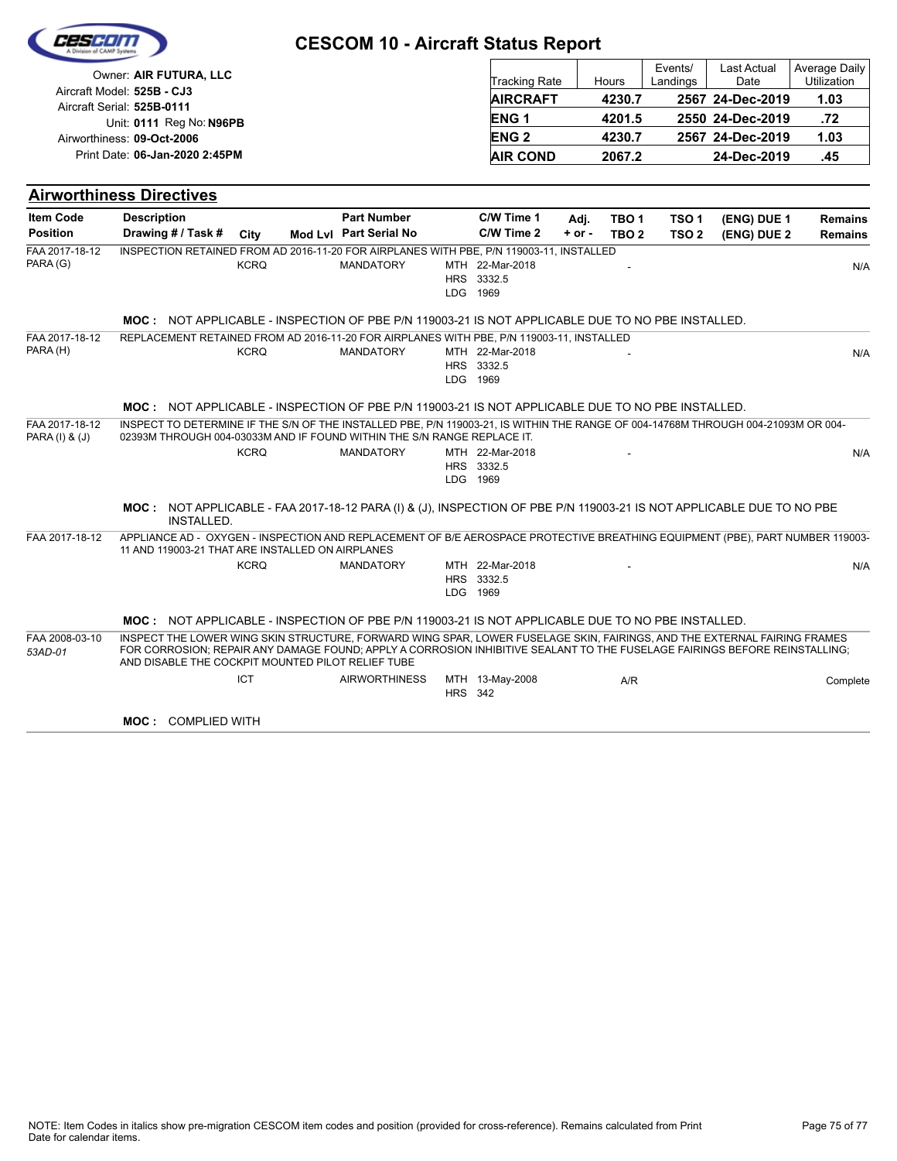|                                                        |                                                                                                                                                                                                                                                                                                             |             | <b>CESCOM 10 - Aircraft Status Report</b> |                |                                           |            |                  |                     |                            |                              |
|--------------------------------------------------------|-------------------------------------------------------------------------------------------------------------------------------------------------------------------------------------------------------------------------------------------------------------------------------------------------------------|-------------|-------------------------------------------|----------------|-------------------------------------------|------------|------------------|---------------------|----------------------------|------------------------------|
|                                                        | Owner: AIR FUTURA, LLC                                                                                                                                                                                                                                                                                      |             |                                           |                | <b>Tracking Rate</b>                      |            | Hours            | Events/<br>Landings | <b>Last Actual</b><br>Date | Average Daily<br>Utilization |
|                                                        | Aircraft Model: 525B - CJ3                                                                                                                                                                                                                                                                                  |             |                                           |                | <b>AIRCRAFT</b>                           |            | 4230.7           |                     | 2567 24-Dec-2019           | 1.03                         |
| Aircraft Serial: 525B-0111<br>Unit: 0111 Reg No: N96PB |                                                                                                                                                                                                                                                                                                             |             |                                           |                | <b>ENG 1</b>                              |            | 4201.5           |                     | 2550 24-Dec-2019           | .72                          |
|                                                        | Airworthiness: 09-Oct-2006                                                                                                                                                                                                                                                                                  |             |                                           |                | <b>ENG2</b>                               |            | 4230.7           |                     | 2567 24-Dec-2019           | 1.03                         |
|                                                        | Print Date: 06-Jan-2020 2:45PM                                                                                                                                                                                                                                                                              |             |                                           |                | <b>AIR COND</b>                           |            | 2067.2           |                     | 24-Dec-2019                | .45                          |
|                                                        | <b>Airworthiness Directives</b>                                                                                                                                                                                                                                                                             |             |                                           |                |                                           |            |                  |                     |                            |                              |
| <b>Item Code</b>                                       | <b>Description</b>                                                                                                                                                                                                                                                                                          |             | <b>Part Number</b>                        |                | C/W Time 1                                | Adj.       | TBO <sub>1</sub> | TSO <sub>1</sub>    | (ENG) DUE 1                | <b>Remains</b>               |
| <b>Position</b>                                        | Drawing # / Task #                                                                                                                                                                                                                                                                                          | City        | Mod Lvl Part Serial No                    |                | C/W Time 2                                | $+$ or $-$ | TBO <sub>2</sub> | TSO <sub>2</sub>    | (ENG) DUE 2                | <b>Remains</b>               |
| FAA 2017-18-12<br>PARA (G)                             | INSPECTION RETAINED FROM AD 2016-11-20 FOR AIRPLANES WITH PBE, P/N 119003-11, INSTALLED                                                                                                                                                                                                                     | <b>KCRQ</b> | <b>MANDATORY</b>                          |                | MTH 22-Mar-2018<br>HRS 3332.5<br>LDG 1969 |            |                  |                     |                            | N/A                          |
|                                                        | MOC: NOT APPLICABLE - INSPECTION OF PBE P/N 119003-21 IS NOT APPLICABLE DUE TO NO PBE INSTALLED.                                                                                                                                                                                                            |             |                                           |                |                                           |            |                  |                     |                            |                              |
| FAA 2017-18-12<br>PARA (H)                             | REPLACEMENT RETAINED FROM AD 2016-11-20 FOR AIRPLANES WITH PBE, P/N 119003-11, INSTALLED                                                                                                                                                                                                                    | <b>KCRQ</b> | <b>MANDATORY</b>                          |                | MTH 22-Mar-2018<br>HRS 3332.5<br>LDG 1969 |            |                  |                     |                            | N/A                          |
|                                                        | MOC: NOT APPLICABLE - INSPECTION OF PBE P/N 119003-21 IS NOT APPLICABLE DUE TO NO PBE INSTALLED.                                                                                                                                                                                                            |             |                                           |                |                                           |            |                  |                     |                            |                              |
| FAA 2017-18-12<br>PARA (I) & (J)                       | INSPECT TO DETERMINE IF THE S/N OF THE INSTALLED PBE, P/N 119003-21, IS WITHIN THE RANGE OF 004-14768M THROUGH 004-21093M OR 004-<br>02393M THROUGH 004-03033M AND IF FOUND WITHIN THE S/N RANGE REPLACE IT.                                                                                                |             |                                           |                |                                           |            |                  |                     |                            |                              |
|                                                        |                                                                                                                                                                                                                                                                                                             | <b>KCRQ</b> | <b>MANDATORY</b>                          |                | MTH 22-Mar-2018<br>HRS 3332.5<br>LDG 1969 |            |                  |                     |                            | N/A                          |
|                                                        | MOC: NOT APPLICABLE - FAA 2017-18-12 PARA (I) & (J), INSPECTION OF PBE P/N 119003-21 IS NOT APPLICABLE DUE TO NO PBE<br><b>INSTALLED.</b>                                                                                                                                                                   |             |                                           |                |                                           |            |                  |                     |                            |                              |
| FAA 2017-18-12                                         | APPLIANCE AD - OXYGEN - INSPECTION AND REPLACEMENT OF B/E AEROSPACE PROTECTIVE BREATHING EQUIPMENT (PBE), PART NUMBER 119003-<br>11 AND 119003-21 THAT ARE INSTALLED ON AIRPLANES                                                                                                                           |             |                                           |                |                                           |            |                  |                     |                            |                              |
|                                                        |                                                                                                                                                                                                                                                                                                             | <b>KCRQ</b> | <b>MANDATORY</b>                          |                | MTH 22-Mar-2018<br>HRS 3332.5<br>LDG 1969 |            |                  |                     |                            | N/A                          |
|                                                        | MOC: NOT APPLICABLE - INSPECTION OF PBE P/N 119003-21 IS NOT APPLICABLE DUE TO NO PBE INSTALLED.                                                                                                                                                                                                            |             |                                           |                |                                           |            |                  |                     |                            |                              |
| FAA 2008-03-10<br>53AD-01                              | INSPECT THE LOWER WING SKIN STRUCTURE, FORWARD WING SPAR, LOWER FUSELAGE SKIN, FAIRINGS, AND THE EXTERNAL FAIRING FRAMES<br>FOR CORROSION; REPAIR ANY DAMAGE FOUND; APPLY A CORROSION INHIBITIVE SEALANT TO THE FUSELAGE FAIRINGS BEFORE REINSTALLING;<br>AND DISABLE THE COCKPIT MOUNTED PILOT RELIEF TUBE |             |                                           |                |                                           |            |                  |                     |                            |                              |
|                                                        |                                                                                                                                                                                                                                                                                                             | <b>ICT</b>  | <b>AIRWORTHINESS</b>                      | <b>HRS</b> 342 | MTH 13-May-2008                           |            | A/R              |                     |                            | Complete                     |
|                                                        | <b>MOC: COMPLIED WITH</b>                                                                                                                                                                                                                                                                                   |             |                                           |                |                                           |            |                  |                     |                            |                              |

**STATE** 

 $\overline{\phantom{0}}$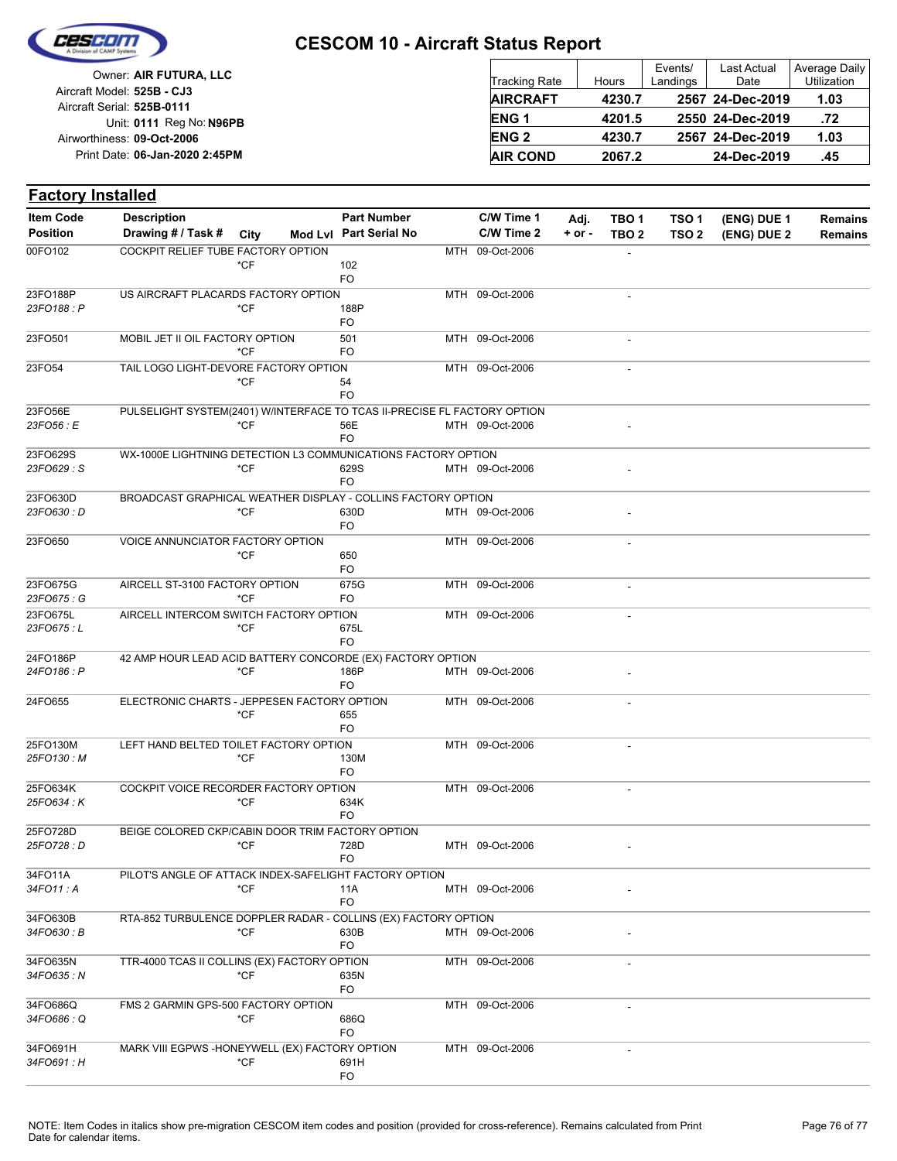

## **CESCOM 10 - Aircraft Status Report**

Unit: 0111 Reg No: N96PB **06-Jan-2020 2:45PM** Print Date: **09-Oct-2006** Airworthiness: Owner: **AIR FUTURA, LLC** Aircraft Serial: **525B-0111** Aircraft Model: **525B - CJ3**

| <b>Tracking Rate</b> | Hours  | Events/<br>Landings | <b>Last Actual</b><br>Date | Average Daily<br>Utilization |
|----------------------|--------|---------------------|----------------------------|------------------------------|
| <b>AIRCRAFT</b>      | 4230.7 |                     | 2567 24-Dec-2019           | 1.03                         |
| <b>ENG1</b>          | 4201.5 |                     | 2550 24-Dec-2019           | .72                          |
| <b>ENG 2</b>         | 4230.7 |                     | 2567 24-Dec-2019           | 1.03                         |
| <b>AIR COND</b>      | 2067.2 |                     | 24-Dec-2019                | .45                          |

| <b>Part Number</b><br>C/W Time 1<br><b>Description</b><br>TSO <sub>1</sub><br>TBO <sub>1</sub><br>(ENG) DUE 1<br>Adj.<br><b>Remains</b><br>Mod Lvl Part Serial No<br>C/W Time 2<br>Drawing # / Task #<br>City<br>$+$ or $-$<br>TBO <sub>2</sub><br>TSO <sub>2</sub><br>(ENG) DUE 2<br><b>Remains</b><br>COCKPIT RELIEF TUBE FACTORY OPTION<br>MTH 09-Oct-2006<br>*CF<br>102<br>FO<br>US AIRCRAFT PLACARDS FACTORY OPTION<br>MTH 09-Oct-2006<br>23FO188: P<br>*CF<br>188P<br>FO<br>23FO501<br>MOBIL JET II OIL FACTORY OPTION<br>501<br>MTH 09-Oct-2006<br>$\blacksquare$<br>*CF<br>FO<br>23FO54<br>TAIL LOGO LIGHT-DEVORE FACTORY OPTION<br>MTH 09-Oct-2006<br>*CF<br>54<br>FO<br>PULSELIGHT SYSTEM(2401) W/INTERFACE TO TCAS II-PRECISE FL FACTORY OPTION<br>23FO56 : E<br>*CF<br>56E<br>MTH 09-Oct-2006<br>FO<br>23FO629S<br>WX-1000E LIGHTNING DETECTION L3 COMMUNICATIONS FACTORY OPTION<br>23FO629: S<br>*CF<br>629S<br>MTH 09-Oct-2006<br>FO<br>BROADCAST GRAPHICAL WEATHER DISPLAY - COLLINS FACTORY OPTION<br>*CF<br>630D<br>MTH 09-Oct-2006<br>FO<br>VOICE ANNUNCIATOR FACTORY OPTION<br>MTH 09-Oct-2006<br>$*$ CF<br>650<br>FO<br>23FO675G<br>AIRCELL ST-3100 FACTORY OPTION<br>MTH 09-Oct-2006<br>675G<br>$\overline{\phantom{a}}$<br>23FO675: G<br>*CF<br>FO<br>23FO675L<br>AIRCELL INTERCOM SWITCH FACTORY OPTION<br>MTH 09-Oct-2006<br>ä,<br>23FO675 : L<br>*CF<br>675L<br>FO<br>42 AMP HOUR LEAD ACID BATTERY CONCORDE (EX) FACTORY OPTION<br>*CF<br>186P<br>MTH 09-Oct-2006<br>FO<br>ELECTRONIC CHARTS - JEPPESEN FACTORY OPTION<br>24FO655<br>MTH 09-Oct-2006<br>*CF<br>655<br>FO<br>25FO130M<br>LEFT HAND BELTED TOILET FACTORY OPTION<br>MTH 09-Oct-2006<br>*CF<br>130M<br>FO<br>COCKPIT VOICE RECORDER FACTORY OPTION<br>MTH 09-Oct-2006<br>25FO634 : K<br>*CF<br>634K<br>FO<br>25FO728D<br>BEIGE COLORED CKP/CABIN DOOR TRIM FACTORY OPTION<br>25FO728 : D<br>*CF<br>728D<br>MTH 09-Oct-2006<br>FO<br>PILOT'S ANGLE OF ATTACK INDEX-SAFELIGHT FACTORY OPTION<br>*CF<br>MTH 09-Oct-2006<br>11A<br>FO<br>RTA-852 TURBULENCE DOPPLER RADAR - COLLINS (EX) FACTORY OPTION<br>34FO630 : B<br>*CF<br>630B<br>MTH 09-Oct-2006<br>FO<br>34FO635N<br>TTR-4000 TCAS II COLLINS (EX) FACTORY OPTION<br>MTH 09-Oct-2006<br>*CF<br>34FO635: N<br>635N<br>FO<br>FMS 2 GARMIN GPS-500 FACTORY OPTION<br>MTH 09-Oct-2006<br>$*$ CF<br>686Q<br>FO<br>MARK VIII EGPWS - HONEYWELL (EX) FACTORY OPTION<br>MTH 09-Oct-2006<br>ä,<br>34FO691: H<br>$*$ CF<br>691H<br>FO | <b>Factory Installed</b> |  |  |  |  |  |  |
|-------------------------------------------------------------------------------------------------------------------------------------------------------------------------------------------------------------------------------------------------------------------------------------------------------------------------------------------------------------------------------------------------------------------------------------------------------------------------------------------------------------------------------------------------------------------------------------------------------------------------------------------------------------------------------------------------------------------------------------------------------------------------------------------------------------------------------------------------------------------------------------------------------------------------------------------------------------------------------------------------------------------------------------------------------------------------------------------------------------------------------------------------------------------------------------------------------------------------------------------------------------------------------------------------------------------------------------------------------------------------------------------------------------------------------------------------------------------------------------------------------------------------------------------------------------------------------------------------------------------------------------------------------------------------------------------------------------------------------------------------------------------------------------------------------------------------------------------------------------------------------------------------------------------------------------------------------------------------------------------------------------------------------------------------------------------------------------------------------------------------------------------------------------------------------------------------------------------------------------------------------------------------------------------------------------------------------------------------------------------------------------------------------------------------------------------------------------------------|--------------------------|--|--|--|--|--|--|
|                                                                                                                                                                                                                                                                                                                                                                                                                                                                                                                                                                                                                                                                                                                                                                                                                                                                                                                                                                                                                                                                                                                                                                                                                                                                                                                                                                                                                                                                                                                                                                                                                                                                                                                                                                                                                                                                                                                                                                                                                                                                                                                                                                                                                                                                                                                                                                                                                                                                         | <b>Item Code</b>         |  |  |  |  |  |  |
|                                                                                                                                                                                                                                                                                                                                                                                                                                                                                                                                                                                                                                                                                                                                                                                                                                                                                                                                                                                                                                                                                                                                                                                                                                                                                                                                                                                                                                                                                                                                                                                                                                                                                                                                                                                                                                                                                                                                                                                                                                                                                                                                                                                                                                                                                                                                                                                                                                                                         | <b>Position</b>          |  |  |  |  |  |  |
|                                                                                                                                                                                                                                                                                                                                                                                                                                                                                                                                                                                                                                                                                                                                                                                                                                                                                                                                                                                                                                                                                                                                                                                                                                                                                                                                                                                                                                                                                                                                                                                                                                                                                                                                                                                                                                                                                                                                                                                                                                                                                                                                                                                                                                                                                                                                                                                                                                                                         | 00FO102                  |  |  |  |  |  |  |
|                                                                                                                                                                                                                                                                                                                                                                                                                                                                                                                                                                                                                                                                                                                                                                                                                                                                                                                                                                                                                                                                                                                                                                                                                                                                                                                                                                                                                                                                                                                                                                                                                                                                                                                                                                                                                                                                                                                                                                                                                                                                                                                                                                                                                                                                                                                                                                                                                                                                         |                          |  |  |  |  |  |  |
|                                                                                                                                                                                                                                                                                                                                                                                                                                                                                                                                                                                                                                                                                                                                                                                                                                                                                                                                                                                                                                                                                                                                                                                                                                                                                                                                                                                                                                                                                                                                                                                                                                                                                                                                                                                                                                                                                                                                                                                                                                                                                                                                                                                                                                                                                                                                                                                                                                                                         |                          |  |  |  |  |  |  |
|                                                                                                                                                                                                                                                                                                                                                                                                                                                                                                                                                                                                                                                                                                                                                                                                                                                                                                                                                                                                                                                                                                                                                                                                                                                                                                                                                                                                                                                                                                                                                                                                                                                                                                                                                                                                                                                                                                                                                                                                                                                                                                                                                                                                                                                                                                                                                                                                                                                                         | 23FO188P                 |  |  |  |  |  |  |
|                                                                                                                                                                                                                                                                                                                                                                                                                                                                                                                                                                                                                                                                                                                                                                                                                                                                                                                                                                                                                                                                                                                                                                                                                                                                                                                                                                                                                                                                                                                                                                                                                                                                                                                                                                                                                                                                                                                                                                                                                                                                                                                                                                                                                                                                                                                                                                                                                                                                         |                          |  |  |  |  |  |  |
|                                                                                                                                                                                                                                                                                                                                                                                                                                                                                                                                                                                                                                                                                                                                                                                                                                                                                                                                                                                                                                                                                                                                                                                                                                                                                                                                                                                                                                                                                                                                                                                                                                                                                                                                                                                                                                                                                                                                                                                                                                                                                                                                                                                                                                                                                                                                                                                                                                                                         |                          |  |  |  |  |  |  |
|                                                                                                                                                                                                                                                                                                                                                                                                                                                                                                                                                                                                                                                                                                                                                                                                                                                                                                                                                                                                                                                                                                                                                                                                                                                                                                                                                                                                                                                                                                                                                                                                                                                                                                                                                                                                                                                                                                                                                                                                                                                                                                                                                                                                                                                                                                                                                                                                                                                                         |                          |  |  |  |  |  |  |
|                                                                                                                                                                                                                                                                                                                                                                                                                                                                                                                                                                                                                                                                                                                                                                                                                                                                                                                                                                                                                                                                                                                                                                                                                                                                                                                                                                                                                                                                                                                                                                                                                                                                                                                                                                                                                                                                                                                                                                                                                                                                                                                                                                                                                                                                                                                                                                                                                                                                         |                          |  |  |  |  |  |  |
|                                                                                                                                                                                                                                                                                                                                                                                                                                                                                                                                                                                                                                                                                                                                                                                                                                                                                                                                                                                                                                                                                                                                                                                                                                                                                                                                                                                                                                                                                                                                                                                                                                                                                                                                                                                                                                                                                                                                                                                                                                                                                                                                                                                                                                                                                                                                                                                                                                                                         |                          |  |  |  |  |  |  |
|                                                                                                                                                                                                                                                                                                                                                                                                                                                                                                                                                                                                                                                                                                                                                                                                                                                                                                                                                                                                                                                                                                                                                                                                                                                                                                                                                                                                                                                                                                                                                                                                                                                                                                                                                                                                                                                                                                                                                                                                                                                                                                                                                                                                                                                                                                                                                                                                                                                                         |                          |  |  |  |  |  |  |
|                                                                                                                                                                                                                                                                                                                                                                                                                                                                                                                                                                                                                                                                                                                                                                                                                                                                                                                                                                                                                                                                                                                                                                                                                                                                                                                                                                                                                                                                                                                                                                                                                                                                                                                                                                                                                                                                                                                                                                                                                                                                                                                                                                                                                                                                                                                                                                                                                                                                         | 23FO56E                  |  |  |  |  |  |  |
|                                                                                                                                                                                                                                                                                                                                                                                                                                                                                                                                                                                                                                                                                                                                                                                                                                                                                                                                                                                                                                                                                                                                                                                                                                                                                                                                                                                                                                                                                                                                                                                                                                                                                                                                                                                                                                                                                                                                                                                                                                                                                                                                                                                                                                                                                                                                                                                                                                                                         |                          |  |  |  |  |  |  |
|                                                                                                                                                                                                                                                                                                                                                                                                                                                                                                                                                                                                                                                                                                                                                                                                                                                                                                                                                                                                                                                                                                                                                                                                                                                                                                                                                                                                                                                                                                                                                                                                                                                                                                                                                                                                                                                                                                                                                                                                                                                                                                                                                                                                                                                                                                                                                                                                                                                                         |                          |  |  |  |  |  |  |
|                                                                                                                                                                                                                                                                                                                                                                                                                                                                                                                                                                                                                                                                                                                                                                                                                                                                                                                                                                                                                                                                                                                                                                                                                                                                                                                                                                                                                                                                                                                                                                                                                                                                                                                                                                                                                                                                                                                                                                                                                                                                                                                                                                                                                                                                                                                                                                                                                                                                         |                          |  |  |  |  |  |  |
|                                                                                                                                                                                                                                                                                                                                                                                                                                                                                                                                                                                                                                                                                                                                                                                                                                                                                                                                                                                                                                                                                                                                                                                                                                                                                                                                                                                                                                                                                                                                                                                                                                                                                                                                                                                                                                                                                                                                                                                                                                                                                                                                                                                                                                                                                                                                                                                                                                                                         |                          |  |  |  |  |  |  |
|                                                                                                                                                                                                                                                                                                                                                                                                                                                                                                                                                                                                                                                                                                                                                                                                                                                                                                                                                                                                                                                                                                                                                                                                                                                                                                                                                                                                                                                                                                                                                                                                                                                                                                                                                                                                                                                                                                                                                                                                                                                                                                                                                                                                                                                                                                                                                                                                                                                                         | 23FO630D                 |  |  |  |  |  |  |
|                                                                                                                                                                                                                                                                                                                                                                                                                                                                                                                                                                                                                                                                                                                                                                                                                                                                                                                                                                                                                                                                                                                                                                                                                                                                                                                                                                                                                                                                                                                                                                                                                                                                                                                                                                                                                                                                                                                                                                                                                                                                                                                                                                                                                                                                                                                                                                                                                                                                         | 23FO630: D               |  |  |  |  |  |  |
|                                                                                                                                                                                                                                                                                                                                                                                                                                                                                                                                                                                                                                                                                                                                                                                                                                                                                                                                                                                                                                                                                                                                                                                                                                                                                                                                                                                                                                                                                                                                                                                                                                                                                                                                                                                                                                                                                                                                                                                                                                                                                                                                                                                                                                                                                                                                                                                                                                                                         |                          |  |  |  |  |  |  |
|                                                                                                                                                                                                                                                                                                                                                                                                                                                                                                                                                                                                                                                                                                                                                                                                                                                                                                                                                                                                                                                                                                                                                                                                                                                                                                                                                                                                                                                                                                                                                                                                                                                                                                                                                                                                                                                                                                                                                                                                                                                                                                                                                                                                                                                                                                                                                                                                                                                                         | 23FO650                  |  |  |  |  |  |  |
|                                                                                                                                                                                                                                                                                                                                                                                                                                                                                                                                                                                                                                                                                                                                                                                                                                                                                                                                                                                                                                                                                                                                                                                                                                                                                                                                                                                                                                                                                                                                                                                                                                                                                                                                                                                                                                                                                                                                                                                                                                                                                                                                                                                                                                                                                                                                                                                                                                                                         |                          |  |  |  |  |  |  |
|                                                                                                                                                                                                                                                                                                                                                                                                                                                                                                                                                                                                                                                                                                                                                                                                                                                                                                                                                                                                                                                                                                                                                                                                                                                                                                                                                                                                                                                                                                                                                                                                                                                                                                                                                                                                                                                                                                                                                                                                                                                                                                                                                                                                                                                                                                                                                                                                                                                                         |                          |  |  |  |  |  |  |
|                                                                                                                                                                                                                                                                                                                                                                                                                                                                                                                                                                                                                                                                                                                                                                                                                                                                                                                                                                                                                                                                                                                                                                                                                                                                                                                                                                                                                                                                                                                                                                                                                                                                                                                                                                                                                                                                                                                                                                                                                                                                                                                                                                                                                                                                                                                                                                                                                                                                         |                          |  |  |  |  |  |  |
|                                                                                                                                                                                                                                                                                                                                                                                                                                                                                                                                                                                                                                                                                                                                                                                                                                                                                                                                                                                                                                                                                                                                                                                                                                                                                                                                                                                                                                                                                                                                                                                                                                                                                                                                                                                                                                                                                                                                                                                                                                                                                                                                                                                                                                                                                                                                                                                                                                                                         |                          |  |  |  |  |  |  |
|                                                                                                                                                                                                                                                                                                                                                                                                                                                                                                                                                                                                                                                                                                                                                                                                                                                                                                                                                                                                                                                                                                                                                                                                                                                                                                                                                                                                                                                                                                                                                                                                                                                                                                                                                                                                                                                                                                                                                                                                                                                                                                                                                                                                                                                                                                                                                                                                                                                                         |                          |  |  |  |  |  |  |
|                                                                                                                                                                                                                                                                                                                                                                                                                                                                                                                                                                                                                                                                                                                                                                                                                                                                                                                                                                                                                                                                                                                                                                                                                                                                                                                                                                                                                                                                                                                                                                                                                                                                                                                                                                                                                                                                                                                                                                                                                                                                                                                                                                                                                                                                                                                                                                                                                                                                         |                          |  |  |  |  |  |  |
|                                                                                                                                                                                                                                                                                                                                                                                                                                                                                                                                                                                                                                                                                                                                                                                                                                                                                                                                                                                                                                                                                                                                                                                                                                                                                                                                                                                                                                                                                                                                                                                                                                                                                                                                                                                                                                                                                                                                                                                                                                                                                                                                                                                                                                                                                                                                                                                                                                                                         | 24FO186P                 |  |  |  |  |  |  |
|                                                                                                                                                                                                                                                                                                                                                                                                                                                                                                                                                                                                                                                                                                                                                                                                                                                                                                                                                                                                                                                                                                                                                                                                                                                                                                                                                                                                                                                                                                                                                                                                                                                                                                                                                                                                                                                                                                                                                                                                                                                                                                                                                                                                                                                                                                                                                                                                                                                                         | 24FO186: P               |  |  |  |  |  |  |
|                                                                                                                                                                                                                                                                                                                                                                                                                                                                                                                                                                                                                                                                                                                                                                                                                                                                                                                                                                                                                                                                                                                                                                                                                                                                                                                                                                                                                                                                                                                                                                                                                                                                                                                                                                                                                                                                                                                                                                                                                                                                                                                                                                                                                                                                                                                                                                                                                                                                         |                          |  |  |  |  |  |  |
|                                                                                                                                                                                                                                                                                                                                                                                                                                                                                                                                                                                                                                                                                                                                                                                                                                                                                                                                                                                                                                                                                                                                                                                                                                                                                                                                                                                                                                                                                                                                                                                                                                                                                                                                                                                                                                                                                                                                                                                                                                                                                                                                                                                                                                                                                                                                                                                                                                                                         |                          |  |  |  |  |  |  |
|                                                                                                                                                                                                                                                                                                                                                                                                                                                                                                                                                                                                                                                                                                                                                                                                                                                                                                                                                                                                                                                                                                                                                                                                                                                                                                                                                                                                                                                                                                                                                                                                                                                                                                                                                                                                                                                                                                                                                                                                                                                                                                                                                                                                                                                                                                                                                                                                                                                                         |                          |  |  |  |  |  |  |
|                                                                                                                                                                                                                                                                                                                                                                                                                                                                                                                                                                                                                                                                                                                                                                                                                                                                                                                                                                                                                                                                                                                                                                                                                                                                                                                                                                                                                                                                                                                                                                                                                                                                                                                                                                                                                                                                                                                                                                                                                                                                                                                                                                                                                                                                                                                                                                                                                                                                         |                          |  |  |  |  |  |  |
|                                                                                                                                                                                                                                                                                                                                                                                                                                                                                                                                                                                                                                                                                                                                                                                                                                                                                                                                                                                                                                                                                                                                                                                                                                                                                                                                                                                                                                                                                                                                                                                                                                                                                                                                                                                                                                                                                                                                                                                                                                                                                                                                                                                                                                                                                                                                                                                                                                                                         | 25FO130 : M              |  |  |  |  |  |  |
|                                                                                                                                                                                                                                                                                                                                                                                                                                                                                                                                                                                                                                                                                                                                                                                                                                                                                                                                                                                                                                                                                                                                                                                                                                                                                                                                                                                                                                                                                                                                                                                                                                                                                                                                                                                                                                                                                                                                                                                                                                                                                                                                                                                                                                                                                                                                                                                                                                                                         |                          |  |  |  |  |  |  |
|                                                                                                                                                                                                                                                                                                                                                                                                                                                                                                                                                                                                                                                                                                                                                                                                                                                                                                                                                                                                                                                                                                                                                                                                                                                                                                                                                                                                                                                                                                                                                                                                                                                                                                                                                                                                                                                                                                                                                                                                                                                                                                                                                                                                                                                                                                                                                                                                                                                                         | 25FO634K                 |  |  |  |  |  |  |
|                                                                                                                                                                                                                                                                                                                                                                                                                                                                                                                                                                                                                                                                                                                                                                                                                                                                                                                                                                                                                                                                                                                                                                                                                                                                                                                                                                                                                                                                                                                                                                                                                                                                                                                                                                                                                                                                                                                                                                                                                                                                                                                                                                                                                                                                                                                                                                                                                                                                         |                          |  |  |  |  |  |  |
|                                                                                                                                                                                                                                                                                                                                                                                                                                                                                                                                                                                                                                                                                                                                                                                                                                                                                                                                                                                                                                                                                                                                                                                                                                                                                                                                                                                                                                                                                                                                                                                                                                                                                                                                                                                                                                                                                                                                                                                                                                                                                                                                                                                                                                                                                                                                                                                                                                                                         |                          |  |  |  |  |  |  |
|                                                                                                                                                                                                                                                                                                                                                                                                                                                                                                                                                                                                                                                                                                                                                                                                                                                                                                                                                                                                                                                                                                                                                                                                                                                                                                                                                                                                                                                                                                                                                                                                                                                                                                                                                                                                                                                                                                                                                                                                                                                                                                                                                                                                                                                                                                                                                                                                                                                                         |                          |  |  |  |  |  |  |
|                                                                                                                                                                                                                                                                                                                                                                                                                                                                                                                                                                                                                                                                                                                                                                                                                                                                                                                                                                                                                                                                                                                                                                                                                                                                                                                                                                                                                                                                                                                                                                                                                                                                                                                                                                                                                                                                                                                                                                                                                                                                                                                                                                                                                                                                                                                                                                                                                                                                         |                          |  |  |  |  |  |  |
|                                                                                                                                                                                                                                                                                                                                                                                                                                                                                                                                                                                                                                                                                                                                                                                                                                                                                                                                                                                                                                                                                                                                                                                                                                                                                                                                                                                                                                                                                                                                                                                                                                                                                                                                                                                                                                                                                                                                                                                                                                                                                                                                                                                                                                                                                                                                                                                                                                                                         | 34FO11A                  |  |  |  |  |  |  |
|                                                                                                                                                                                                                                                                                                                                                                                                                                                                                                                                                                                                                                                                                                                                                                                                                                                                                                                                                                                                                                                                                                                                                                                                                                                                                                                                                                                                                                                                                                                                                                                                                                                                                                                                                                                                                                                                                                                                                                                                                                                                                                                                                                                                                                                                                                                                                                                                                                                                         | 34FO11: A                |  |  |  |  |  |  |
|                                                                                                                                                                                                                                                                                                                                                                                                                                                                                                                                                                                                                                                                                                                                                                                                                                                                                                                                                                                                                                                                                                                                                                                                                                                                                                                                                                                                                                                                                                                                                                                                                                                                                                                                                                                                                                                                                                                                                                                                                                                                                                                                                                                                                                                                                                                                                                                                                                                                         |                          |  |  |  |  |  |  |
|                                                                                                                                                                                                                                                                                                                                                                                                                                                                                                                                                                                                                                                                                                                                                                                                                                                                                                                                                                                                                                                                                                                                                                                                                                                                                                                                                                                                                                                                                                                                                                                                                                                                                                                                                                                                                                                                                                                                                                                                                                                                                                                                                                                                                                                                                                                                                                                                                                                                         | 34FO630B                 |  |  |  |  |  |  |
|                                                                                                                                                                                                                                                                                                                                                                                                                                                                                                                                                                                                                                                                                                                                                                                                                                                                                                                                                                                                                                                                                                                                                                                                                                                                                                                                                                                                                                                                                                                                                                                                                                                                                                                                                                                                                                                                                                                                                                                                                                                                                                                                                                                                                                                                                                                                                                                                                                                                         |                          |  |  |  |  |  |  |
|                                                                                                                                                                                                                                                                                                                                                                                                                                                                                                                                                                                                                                                                                                                                                                                                                                                                                                                                                                                                                                                                                                                                                                                                                                                                                                                                                                                                                                                                                                                                                                                                                                                                                                                                                                                                                                                                                                                                                                                                                                                                                                                                                                                                                                                                                                                                                                                                                                                                         |                          |  |  |  |  |  |  |
|                                                                                                                                                                                                                                                                                                                                                                                                                                                                                                                                                                                                                                                                                                                                                                                                                                                                                                                                                                                                                                                                                                                                                                                                                                                                                                                                                                                                                                                                                                                                                                                                                                                                                                                                                                                                                                                                                                                                                                                                                                                                                                                                                                                                                                                                                                                                                                                                                                                                         |                          |  |  |  |  |  |  |
|                                                                                                                                                                                                                                                                                                                                                                                                                                                                                                                                                                                                                                                                                                                                                                                                                                                                                                                                                                                                                                                                                                                                                                                                                                                                                                                                                                                                                                                                                                                                                                                                                                                                                                                                                                                                                                                                                                                                                                                                                                                                                                                                                                                                                                                                                                                                                                                                                                                                         |                          |  |  |  |  |  |  |
|                                                                                                                                                                                                                                                                                                                                                                                                                                                                                                                                                                                                                                                                                                                                                                                                                                                                                                                                                                                                                                                                                                                                                                                                                                                                                                                                                                                                                                                                                                                                                                                                                                                                                                                                                                                                                                                                                                                                                                                                                                                                                                                                                                                                                                                                                                                                                                                                                                                                         | 34FO686Q                 |  |  |  |  |  |  |
|                                                                                                                                                                                                                                                                                                                                                                                                                                                                                                                                                                                                                                                                                                                                                                                                                                                                                                                                                                                                                                                                                                                                                                                                                                                                                                                                                                                                                                                                                                                                                                                                                                                                                                                                                                                                                                                                                                                                                                                                                                                                                                                                                                                                                                                                                                                                                                                                                                                                         | 34FO686 : Q              |  |  |  |  |  |  |
|                                                                                                                                                                                                                                                                                                                                                                                                                                                                                                                                                                                                                                                                                                                                                                                                                                                                                                                                                                                                                                                                                                                                                                                                                                                                                                                                                                                                                                                                                                                                                                                                                                                                                                                                                                                                                                                                                                                                                                                                                                                                                                                                                                                                                                                                                                                                                                                                                                                                         |                          |  |  |  |  |  |  |
|                                                                                                                                                                                                                                                                                                                                                                                                                                                                                                                                                                                                                                                                                                                                                                                                                                                                                                                                                                                                                                                                                                                                                                                                                                                                                                                                                                                                                                                                                                                                                                                                                                                                                                                                                                                                                                                                                                                                                                                                                                                                                                                                                                                                                                                                                                                                                                                                                                                                         | 34FO691H                 |  |  |  |  |  |  |
|                                                                                                                                                                                                                                                                                                                                                                                                                                                                                                                                                                                                                                                                                                                                                                                                                                                                                                                                                                                                                                                                                                                                                                                                                                                                                                                                                                                                                                                                                                                                                                                                                                                                                                                                                                                                                                                                                                                                                                                                                                                                                                                                                                                                                                                                                                                                                                                                                                                                         |                          |  |  |  |  |  |  |